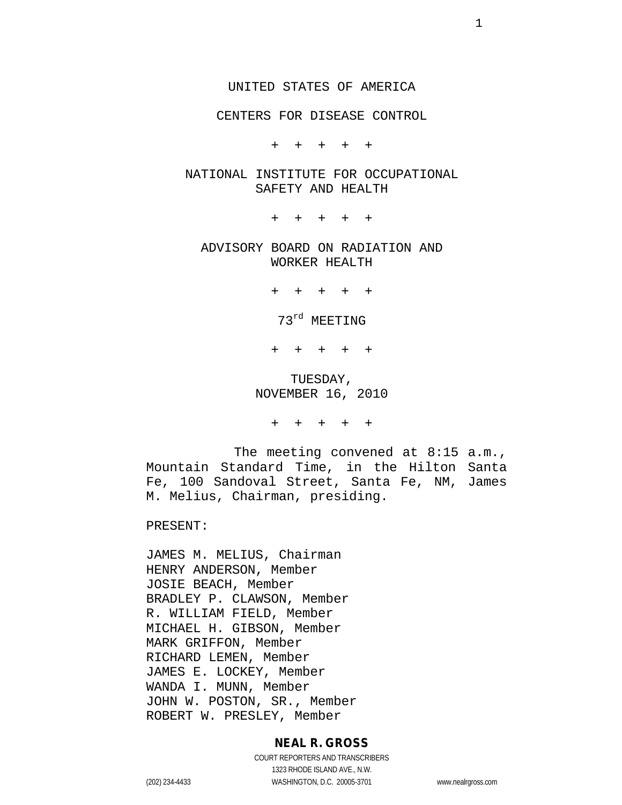#### UNITED STATES OF AMERICA

#### CENTERS FOR DISEASE CONTROL

+ + + + +

#### NATIONAL INSTITUTE FOR OCCUPATIONAL SAFETY AND HEALTH

+ + + + +

## ADVISORY BOARD ON RADIATION AND WORKER HEALTH

+ + + + +

73<sup>rd</sup> MEETING

+ + + + +

## TUESDAY, NOVEMBER 16, 2010

+ + + + +

The meeting convened at 8:15 a.m., Mountain Standard Time, in the Hilton Santa Fe, 100 Sandoval Street, Santa Fe, NM, James M. Melius, Chairman, presiding.

PRESENT:

JAMES M. MELIUS, Chairman HENRY ANDERSON, Member JOSIE BEACH, Member BRADLEY P. CLAWSON, Member R. WILLIAM FIELD, Member MICHAEL H. GIBSON, Member MARK GRIFFON, Member RICHARD LEMEN, Member JAMES E. LOCKEY, Member WANDA I. MUNN, Member JOHN W. POSTON, SR., Member ROBERT W. PRESLEY, Member

#### **NEAL R. GROSS**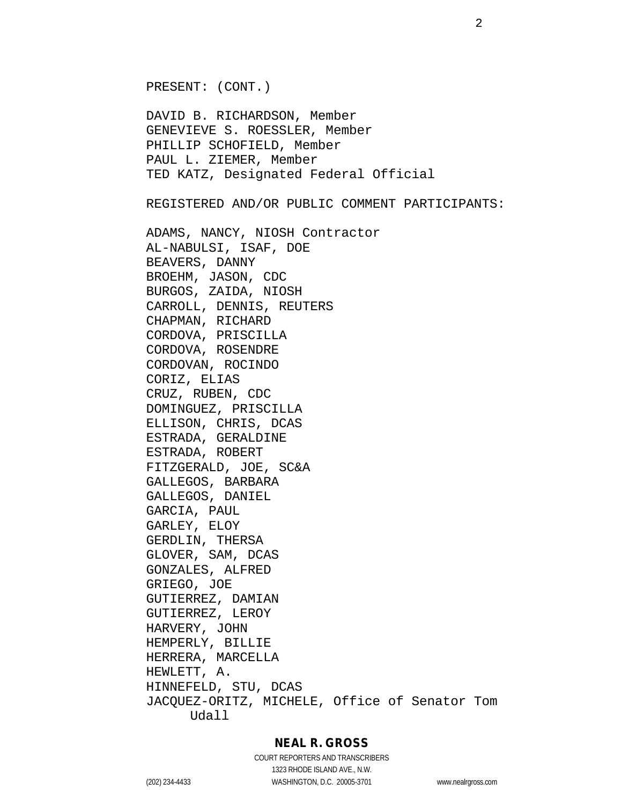PRESENT: (CONT.)

DAVID B. RICHARDSON, Member GENEVIEVE S. ROESSLER, Member PHILLIP SCHOFIELD, Member PAUL L. ZIEMER, Member TED KATZ, Designated Federal Official

REGISTERED AND/OR PUBLIC COMMENT PARTICIPANTS:

ADAMS, NANCY, NIOSH Contractor AL-NABULSI, ISAF, DOE BEAVERS, DANNY BROEHM, JASON, CDC BURGOS, ZAIDA, NIOSH CARROLL, DENNIS, REUTERS CHAPMAN, RICHARD CORDOVA, PRISCILLA CORDOVA, ROSENDRE CORDOVAN, ROCINDO CORIZ, ELIAS CRUZ, RUBEN, CDC DOMINGUEZ, PRISCILLA ELLISON, CHRIS, DCAS ESTRADA, GERALDINE ESTRADA, ROBERT FITZGERALD, JOE, SC&A GALLEGOS, BARBARA GALLEGOS, DANIEL GARCIA, PAUL GARLEY, ELOY GERDLIN, THERSA GLOVER, SAM, DCAS GONZALES, ALFRED GRIEGO, JOE GUTIERREZ, DAMIAN GUTIERREZ, LEROY HARVERY, JOHN HEMPERLY, BILLIE HERRERA, MARCELLA HEWLETT, A. HINNEFELD, STU, DCAS JACQUEZ-ORITZ, MICHELE, Office of Senator Tom Udall

## **NEAL R. GROSS**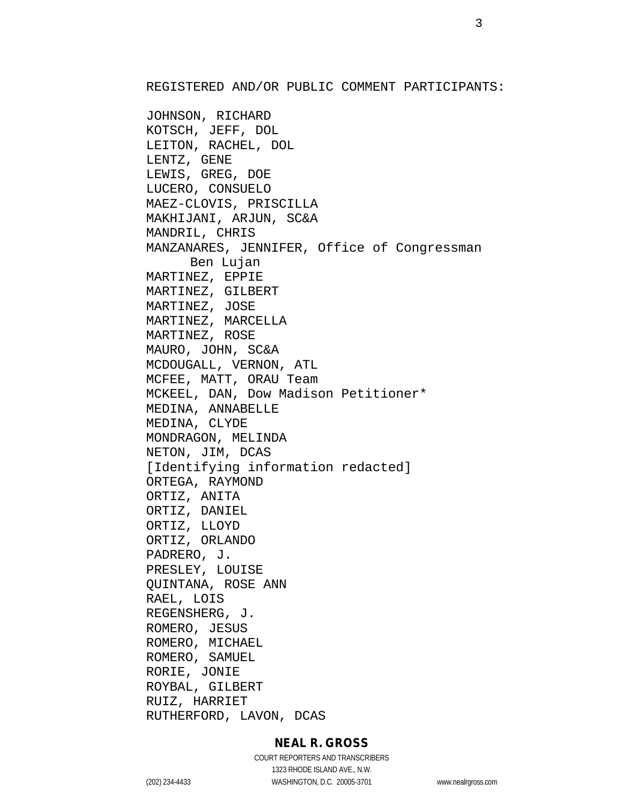REGISTERED AND/OR PUBLIC COMMENT PARTICIPANTS:

JOHNSON, RICHARD KOTSCH, JEFF, DOL LEITON, RACHEL, DOL LENTZ, GENE LEWIS, GREG, DOE LUCERO, CONSUELO MAEZ-CLOVIS, PRISCILLA MAKHIJANI, ARJUN, SC&A MANDRIL, CHRIS MANZANARES, JENNIFER, Office of Congressman Ben Lujan MARTINEZ, EPPIE MARTINEZ, GILBERT MARTINEZ, JOSE MARTINEZ, MARCELLA MARTINEZ, ROSE MAURO, JOHN, SC&A MCDOUGALL, VERNON, ATL MCFEE, MATT, ORAU Team MCKEEL, DAN, Dow Madison Petitioner\* MEDINA, ANNABELLE MEDINA, CLYDE MONDRAGON, MELINDA NETON, JIM, DCAS [Identifying information redacted] ORTEGA, RAYMOND ORTIZ, ANITA ORTIZ, DANIEL ORTIZ, LLOYD ORTIZ, ORLANDO PADRERO, J. PRESLEY, LOUISE QUINTANA, ROSE ANN RAEL, LOIS REGENSHERG, J. ROMERO, JESUS ROMERO, MICHAEL ROMERO, SAMUEL RORIE, JONIE ROYBAL, GILBERT RUIZ, HARRIET RUTHERFORD, LAVON, DCAS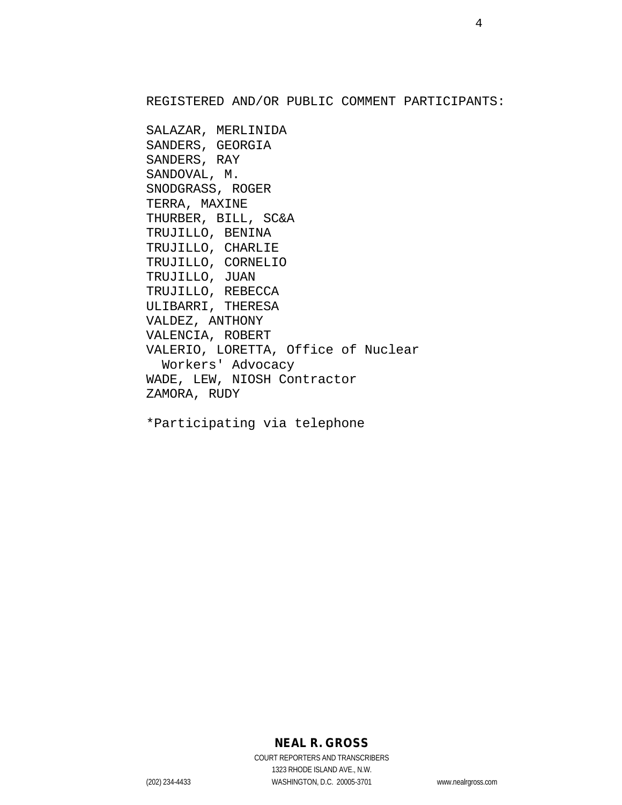REGISTERED AND/OR PUBLIC COMMENT PARTICIPANTS:

SALAZAR, MERLINIDA SANDERS, GEORGIA SANDERS, RAY SANDOVAL, M. SNODGRASS, ROGER TERRA, MAXINE THURBER, BILL, SC&A TRUJILLO, BENINA TRUJILLO, CHARLIE TRUJILLO, CORNELIO TRUJILLO, JUAN TRUJILLO, REBECCA ULIBARRI, THERESA VALDEZ, ANTHONY VALENCIA, ROBERT VALERIO, LORETTA, Office of Nuclear Workers' Advocacy WADE, LEW, NIOSH Contractor ZAMORA, RUDY

\*Participating via telephone

# **NEAL R. GROSS**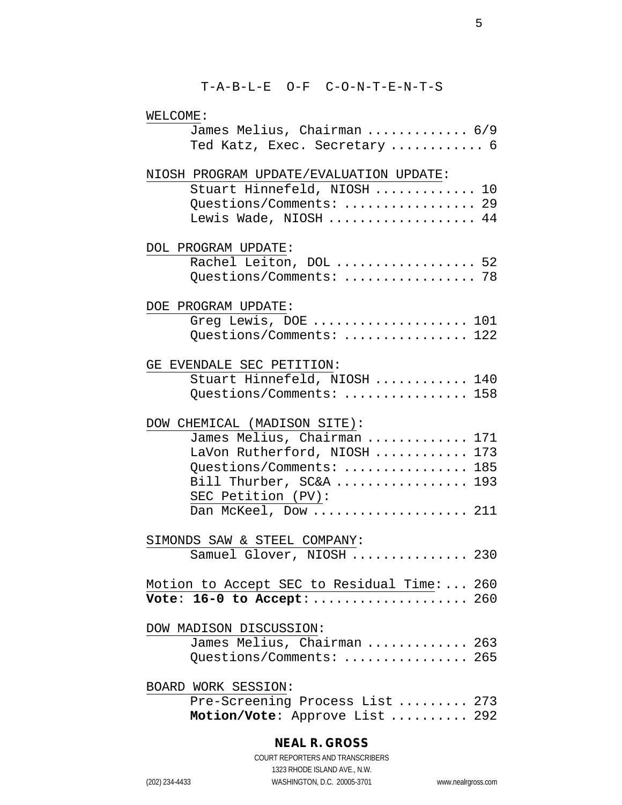| WELCOME:                                          |  |
|---------------------------------------------------|--|
| James Melius, Chairman  6/9                       |  |
| Ted Katz, Exec. Secretary  6                      |  |
| NIOSH PROGRAM UPDATE/EVALUATION UPDATE:           |  |
| Stuart Hinnefeld, NIOSH  10                       |  |
| Questions/Comments:  29                           |  |
| Lewis Wade, NIOSH  44                             |  |
| DOL PROGRAM UPDATE:                               |  |
| Rachel Leiton, DOL  52<br>Questions/Comments:  78 |  |
|                                                   |  |
| DOE PROGRAM UPDATE:                               |  |
| Greg Lewis, DOE  101                              |  |
| Questions/Comments:  122                          |  |
|                                                   |  |
| GE EVENDALE SEC PETITION:                         |  |
| Stuart Hinnefeld, NIOSH  140                      |  |
| Questions/Comments:  158                          |  |
| DOW CHEMICAL (MADISON SITE):                      |  |
| James Melius, Chairman  171                       |  |
| LaVon Rutherford, NIOSH  173                      |  |
| Questions/Comments:  185                          |  |
| Bill Thurber, SC&A  193                           |  |
| SEC Petition (PV):                                |  |
| Dan McKeel, Dow  211                              |  |
|                                                   |  |
| SIMONDS SAW & STEEL COMPANY:                      |  |
| Samuel Glover, NIOSH  230                         |  |
|                                                   |  |
| Motion to Accept SEC to Residual Time:  260       |  |
| Vote: 16-0 to Accept:  260                        |  |
| DOW MADISON DISCUSSION:                           |  |
| James Melius, Chairman  263                       |  |
| Questions/Comments:  265                          |  |
|                                                   |  |
| BOARD WORK SESSION:                               |  |
| Pre-Screening Process List  273                   |  |
| Motion/Vote: Approve List  292                    |  |
|                                                   |  |

# **NEAL R. GROSS**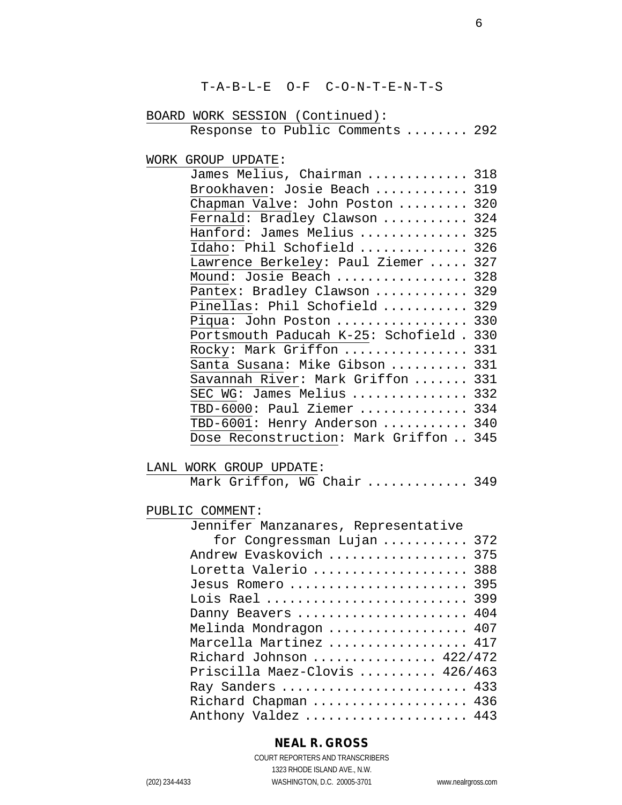T-A-B-L-E O-F C-O-N-T-E-N-T-S

# BOARD WORK SESSION (Continued):

| Response to Public Comments  292 |  |  |  |  |  |
|----------------------------------|--|--|--|--|--|
|----------------------------------|--|--|--|--|--|

WORK GROUP UPDATE:

| James Melius, Chairman  318         |     |
|-------------------------------------|-----|
| Brookhaven: Josie Beach             | 319 |
| Chapman Valve: John Poston          | 320 |
| Fernald: Bradley Clawson            | 324 |
| Hanford: James Melius               | 325 |
| Idaho: Phil Schofield               | 326 |
| Lawrence Berkeley: Paul Ziemer      | 327 |
| Mound: Josie Beach                  | 328 |
| Pantex: Bradley Clawson             | 329 |
| Pinellas: Phil Schofield            | 329 |
| Piqua: John Poston                  | 330 |
| Portsmouth Paducah K-25: Schofield. | 330 |
| Rocky: Mark Griffon                 | 331 |
| Santa Susana: Mike Gibson           | 331 |
| Savannah River: Mark Griffon        | 331 |
| SEC WG: James Melius                | 332 |
| TBD-6000: Paul Ziemer               | 334 |
| TBD-6001: Henry Anderson            | 340 |
| Dose Reconstruction: Mark Griffon   | 345 |

#### LANL WORK GROUP UPDATE:

|  |  |  |  | Mark Griffon, WG Chair  349 |  |
|--|--|--|--|-----------------------------|--|
|--|--|--|--|-----------------------------|--|

#### PUBLIC COMMENT:

| Jennifer Manzanares, Representative |
|-------------------------------------|
| for Congressman Lujan  372          |
| Andrew Evaskovich<br>375            |
| Loretta Valerio<br>388              |
| 395<br>Jesus Romero                 |
| Lois Rael  399                      |
| Danny Beavers  404                  |
| Melinda Mondragon  407              |
| Marcella Martinez  417              |
| Richard Johnson  422/472            |
| Priscilla Maez-Clovis  426/463      |
| Ray Sanders  433                    |
| Richard Chapman  436                |
| Anthony Valdez  443                 |

## **NEAL R. GROSS**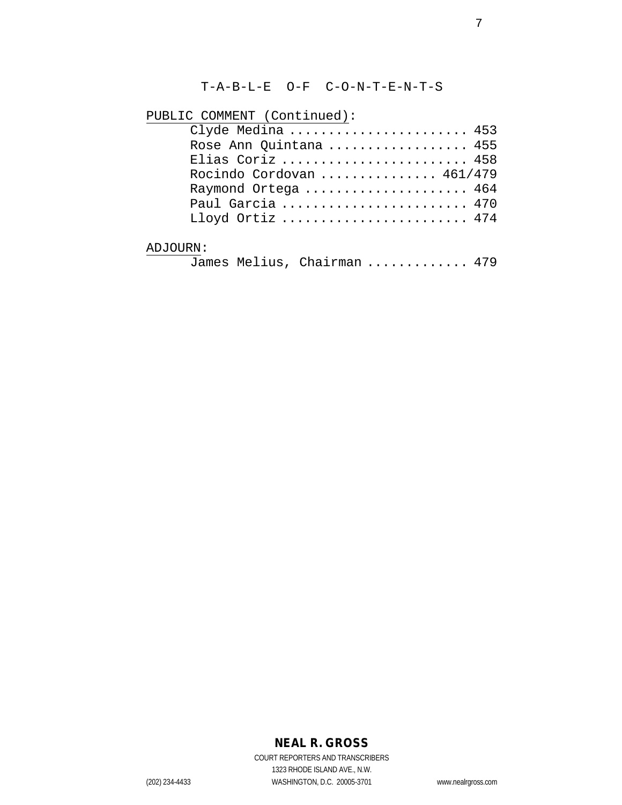T-A-B-L-E O-F C-O-N-T-E-N-T-S

PUBLIC COMMENT (Continued):

| Clyde Medina  453           |  |
|-----------------------------|--|
| Rose Ann Quintana  455      |  |
| Elias Coriz  458            |  |
| Rocindo Cordovan  461/479   |  |
| Raymond Ortega  464         |  |
| Paul Garcia  470            |  |
| Lloyd Ortiz  474            |  |
| ADJOURN:                    |  |
| James Melius, Chairman  479 |  |

## **NEAL R. GROSS**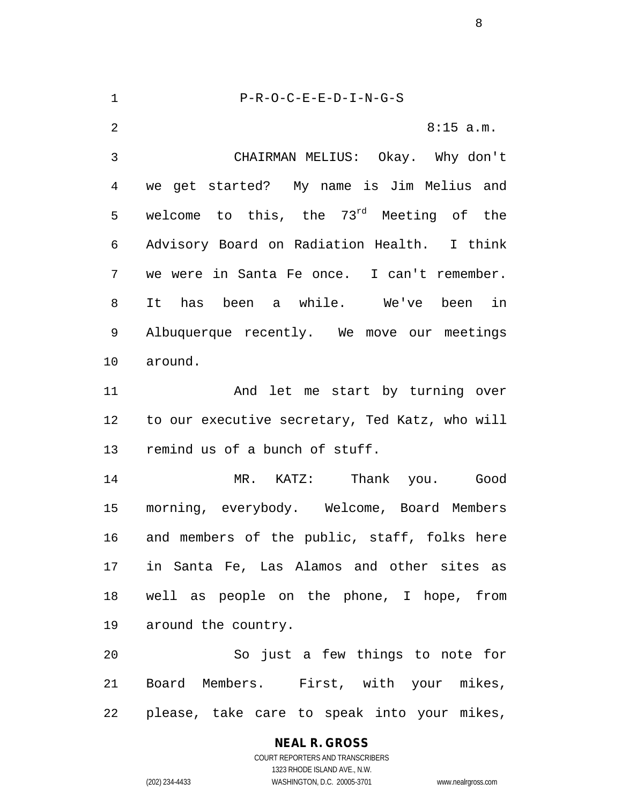P-R-O-C-E-E-D-I-N-G-S 2 8:15 a.m. CHAIRMAN MELIUS: Okay. Why don't we get started? My name is Jim Melius and 5 welcome to this, the  $73^{rd}$  Meeting of the Advisory Board on Radiation Health. I think we were in Santa Fe once. I can't remember. It has been a while. We've been in Albuquerque recently. We move our meetings around. 11 And let me start by turning over to our executive secretary, Ted Katz, who will remind us of a bunch of stuff. MR. KATZ: Thank you. Good morning, everybody. Welcome, Board Members and members of the public, staff, folks here in Santa Fe, Las Alamos and other sites as well as people on the phone, I hope, from around the country. So just a few things to note for Board Members. First, with your mikes, please, take care to speak into your mikes,

#### **NEAL R. GROSS**

COURT REPORTERS AND TRANSCRIBERS 1323 RHODE ISLAND AVE., N.W. (202) 234-4433 WASHINGTON, D.C. 20005-3701 www.nealrgross.com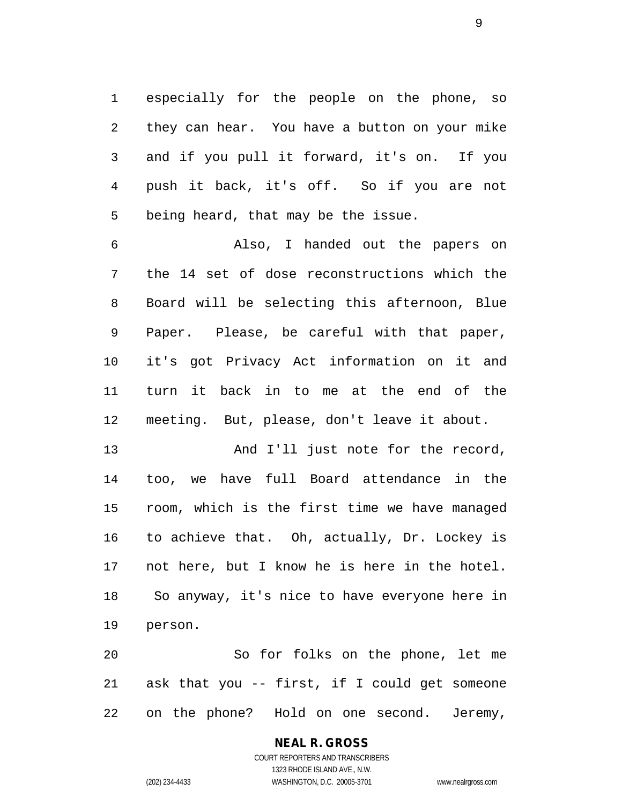especially for the people on the phone, so they can hear. You have a button on your mike and if you pull it forward, it's on. If you push it back, it's off. So if you are not being heard, that may be the issue.

 Also, I handed out the papers on the 14 set of dose reconstructions which the Board will be selecting this afternoon, Blue Paper. Please, be careful with that paper, it's got Privacy Act information on it and turn it back in to me at the end of the meeting. But, please, don't leave it about.

13 And I'll just note for the record, too, we have full Board attendance in the room, which is the first time we have managed to achieve that. Oh, actually, Dr. Lockey is not here, but I know he is here in the hotel. So anyway, it's nice to have everyone here in person.

 So for folks on the phone, let me ask that you -- first, if I could get someone on the phone? Hold on one second. Jeremy,

#### **NEAL R. GROSS** COURT REPORTERS AND TRANSCRIBERS

1323 RHODE ISLAND AVE., N.W. (202) 234-4433 WASHINGTON, D.C. 20005-3701 www.nealrgross.com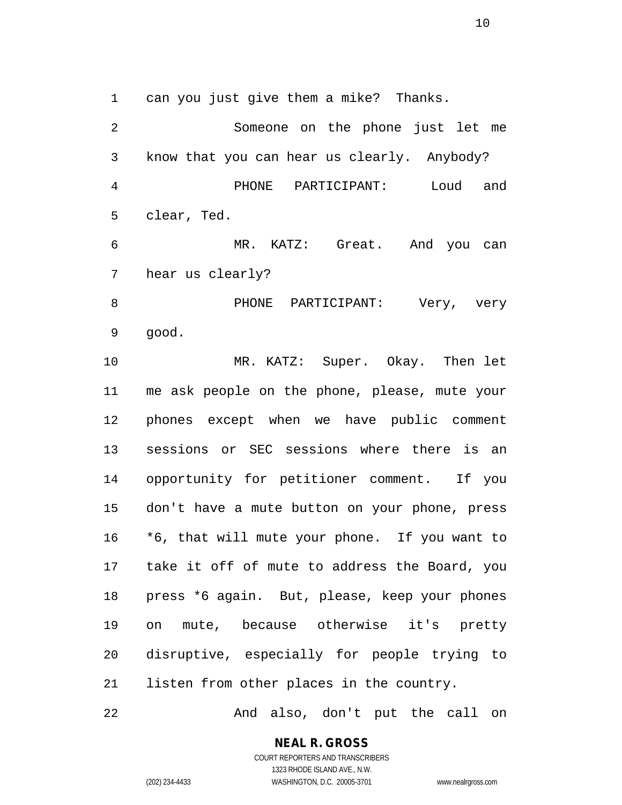can you just give them a mike? Thanks.

 Someone on the phone just let me know that you can hear us clearly. Anybody? PHONE PARTICIPANT: Loud and clear, Ted. MR. KATZ: Great. And you can hear us clearly? PHONE PARTICIPANT: Very, very good. MR. KATZ: Super. Okay. Then let me ask people on the phone, please, mute your phones except when we have public comment sessions or SEC sessions where there is an opportunity for petitioner comment. If you don't have a mute button on your phone, press \*6, that will mute your phone. If you want to take it off of mute to address the Board, you press \*6 again. But, please, keep your phones on mute, because otherwise it's pretty disruptive, especially for people trying to listen from other places in the country.

And also, don't put the call on

**NEAL R. GROSS** COURT REPORTERS AND TRANSCRIBERS

1323 RHODE ISLAND AVE., N.W.

(202) 234-4433 WASHINGTON, D.C. 20005-3701 www.nealrgross.com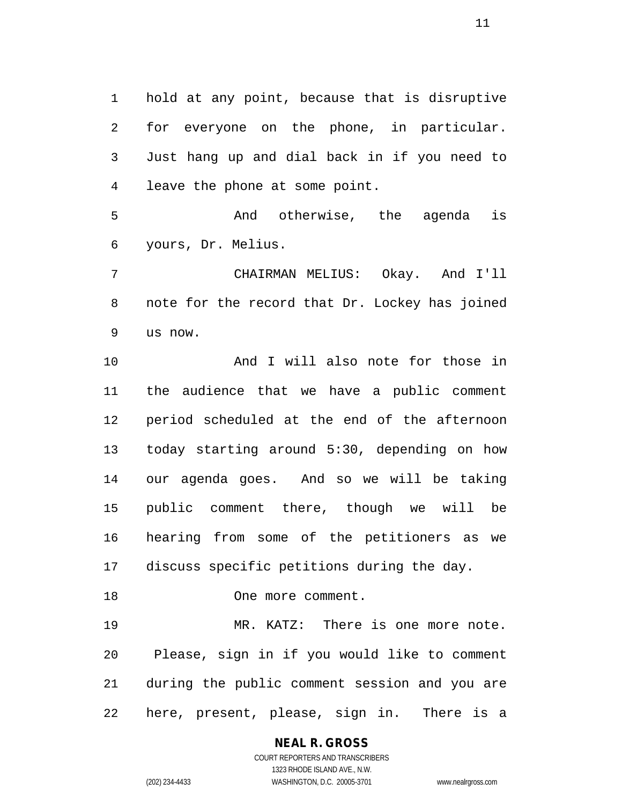hold at any point, because that is disruptive for everyone on the phone, in particular. Just hang up and dial back in if you need to leave the phone at some point.

 And otherwise, the agenda is yours, Dr. Melius.

 CHAIRMAN MELIUS: Okay. And I'll note for the record that Dr. Lockey has joined us now.

 And I will also note for those in the audience that we have a public comment period scheduled at the end of the afternoon today starting around 5:30, depending on how our agenda goes. And so we will be taking public comment there, though we will be hearing from some of the petitioners as we discuss specific petitions during the day.

 MR. KATZ: There is one more note. Please, sign in if you would like to comment during the public comment session and you are here, present, please, sign in. There is a

One more comment.

# **NEAL R. GROSS**

COURT REPORTERS AND TRANSCRIBERS 1323 RHODE ISLAND AVE., N.W. (202) 234-4433 WASHINGTON, D.C. 20005-3701 www.nealrgross.com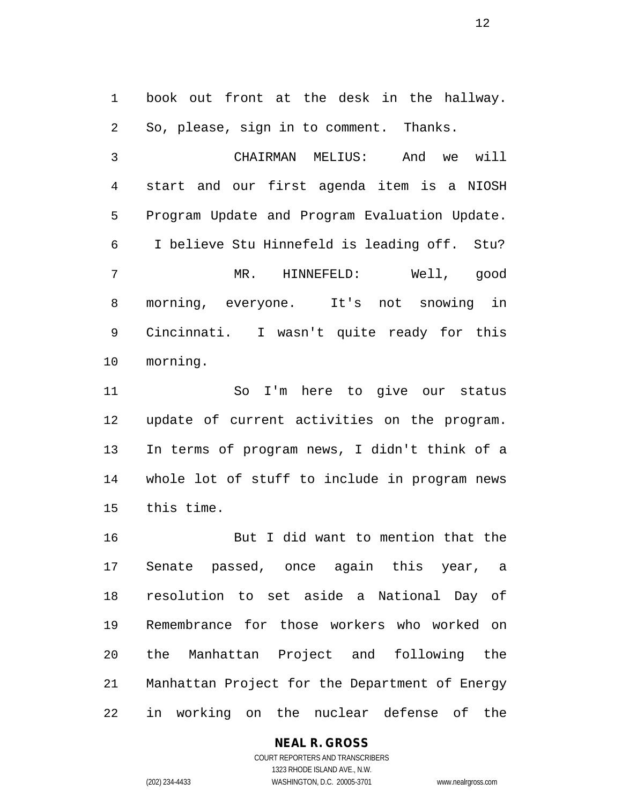book out front at the desk in the hallway. So, please, sign in to comment. Thanks.

 CHAIRMAN MELIUS: And we will start and our first agenda item is a NIOSH Program Update and Program Evaluation Update. I believe Stu Hinnefeld is leading off. Stu? MR. HINNEFELD: Well, good morning, everyone. It's not snowing in Cincinnati. I wasn't quite ready for this morning.

 So I'm here to give our status update of current activities on the program. In terms of program news, I didn't think of a whole lot of stuff to include in program news this time.

 But I did want to mention that the Senate passed, once again this year, a resolution to set aside a National Day of Remembrance for those workers who worked on the Manhattan Project and following the Manhattan Project for the Department of Energy in working on the nuclear defense of the

## **NEAL R. GROSS**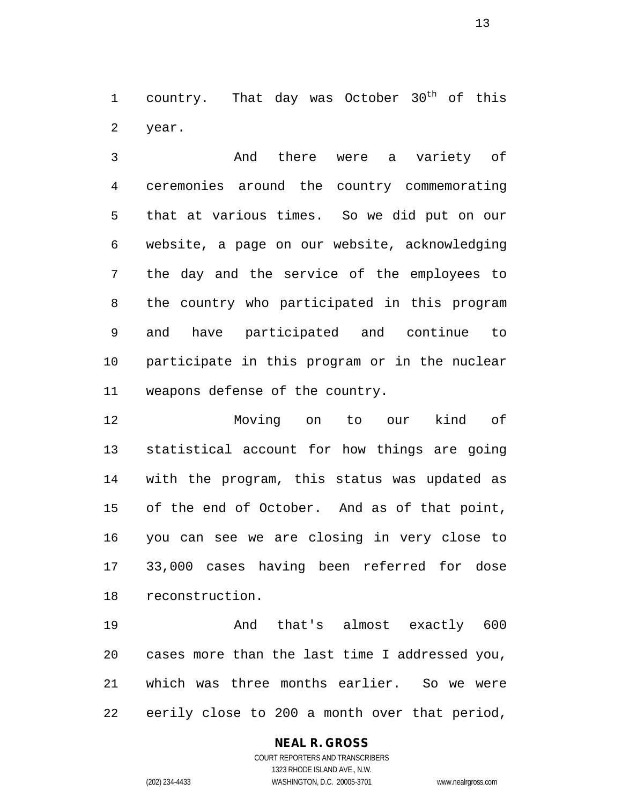1 country. That day was October  $30<sup>th</sup>$  of this year.

 And there were a variety of ceremonies around the country commemorating that at various times. So we did put on our website, a page on our website, acknowledging the day and the service of the employees to the country who participated in this program and have participated and continue to participate in this program or in the nuclear weapons defense of the country.

 Moving on to our kind of statistical account for how things are going with the program, this status was updated as of the end of October. And as of that point, you can see we are closing in very close to 33,000 cases having been referred for dose reconstruction.

 And that's almost exactly 600 cases more than the last time I addressed you, which was three months earlier. So we were eerily close to 200 a month over that period,

## **NEAL R. GROSS**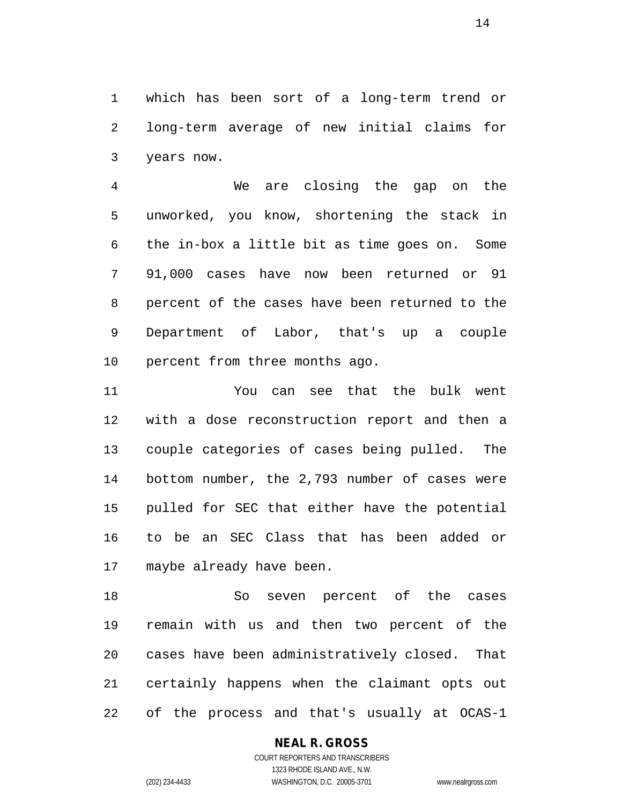which has been sort of a long-term trend or long-term average of new initial claims for years now.

 We are closing the gap on the unworked, you know, shortening the stack in the in-box a little bit as time goes on. Some 91,000 cases have now been returned or 91 percent of the cases have been returned to the Department of Labor, that's up a couple percent from three months ago.

 You can see that the bulk went with a dose reconstruction report and then a couple categories of cases being pulled. The bottom number, the 2,793 number of cases were pulled for SEC that either have the potential to be an SEC Class that has been added or maybe already have been.

 So seven percent of the cases remain with us and then two percent of the cases have been administratively closed. That certainly happens when the claimant opts out of the process and that's usually at OCAS-1

## **NEAL R. GROSS**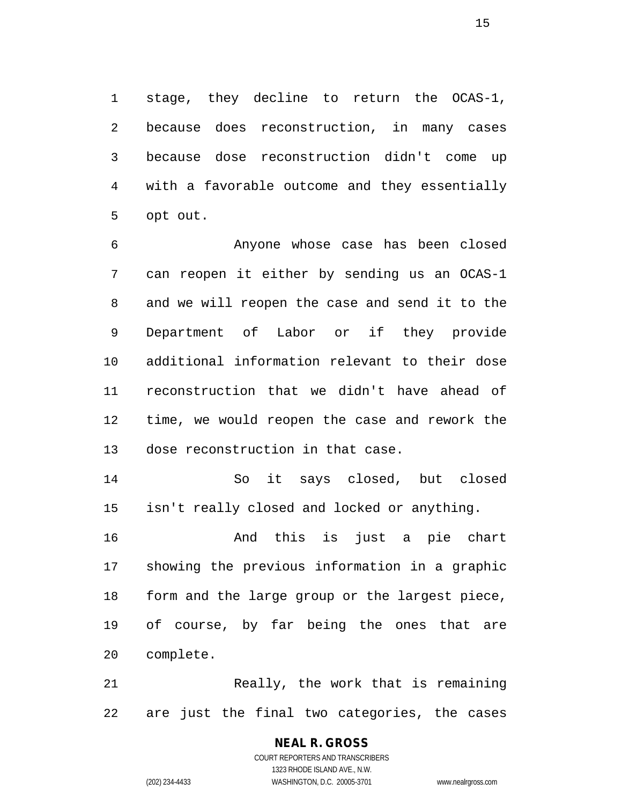stage, they decline to return the OCAS-1, because does reconstruction, in many cases because dose reconstruction didn't come up with a favorable outcome and they essentially opt out.

 Anyone whose case has been closed can reopen it either by sending us an OCAS-1 and we will reopen the case and send it to the Department of Labor or if they provide additional information relevant to their dose reconstruction that we didn't have ahead of time, we would reopen the case and rework the dose reconstruction in that case.

 So it says closed, but closed isn't really closed and locked or anything.

 And this is just a pie chart showing the previous information in a graphic form and the large group or the largest piece, of course, by far being the ones that are complete.

 Really, the work that is remaining are just the final two categories, the cases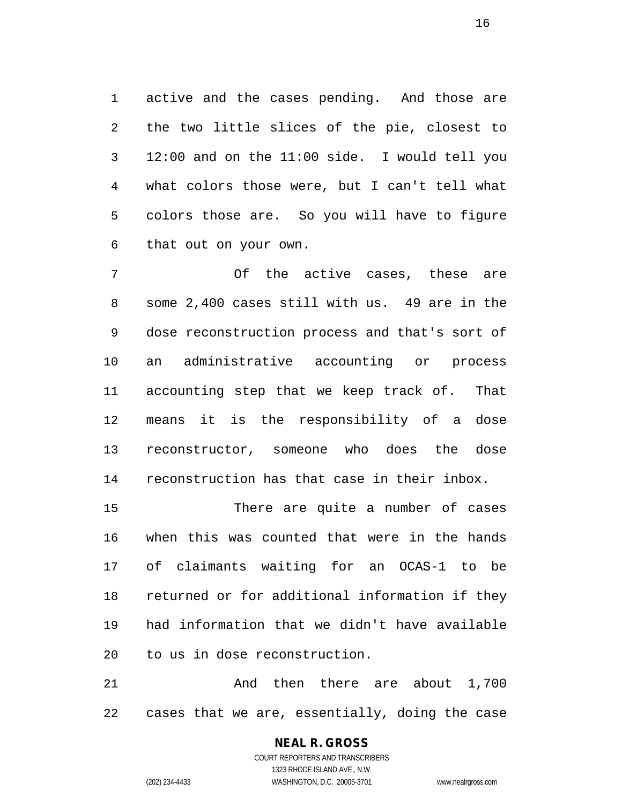active and the cases pending. And those are the two little slices of the pie, closest to 12:00 and on the 11:00 side. I would tell you what colors those were, but I can't tell what colors those are. So you will have to figure that out on your own.

 Of the active cases, these are some 2,400 cases still with us. 49 are in the dose reconstruction process and that's sort of an administrative accounting or process accounting step that we keep track of. That means it is the responsibility of a dose reconstructor, someone who does the dose reconstruction has that case in their inbox.

 There are quite a number of cases when this was counted that were in the hands of claimants waiting for an OCAS-1 to be returned or for additional information if they had information that we didn't have available to us in dose reconstruction.

 And then there are about 1,700 cases that we are, essentially, doing the case

#### **NEAL R. GROSS** COURT REPORTERS AND TRANSCRIBERS

1323 RHODE ISLAND AVE., N.W. (202) 234-4433 WASHINGTON, D.C. 20005-3701 www.nealrgross.com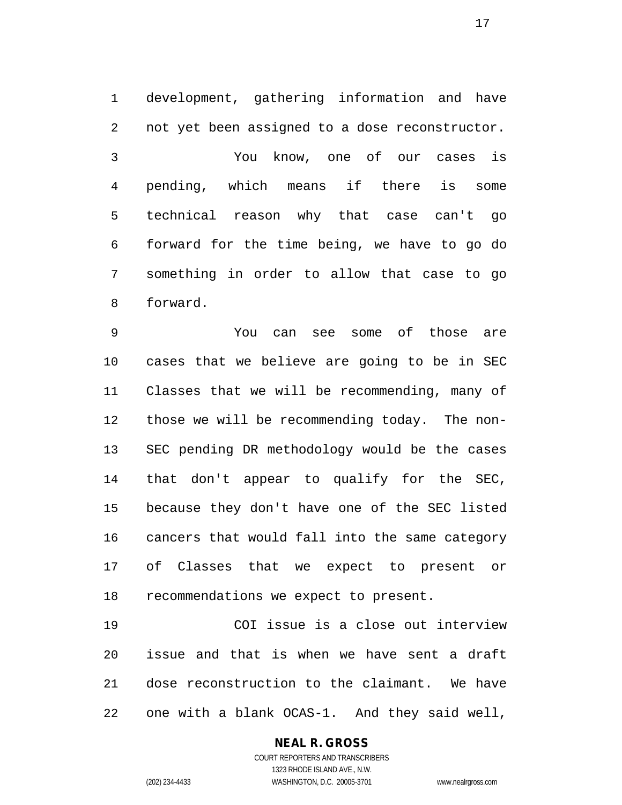development, gathering information and have not yet been assigned to a dose reconstructor.

 You know, one of our cases is pending, which means if there is some technical reason why that case can't go forward for the time being, we have to go do something in order to allow that case to go forward.

 You can see some of those are cases that we believe are going to be in SEC Classes that we will be recommending, many of those we will be recommending today. The non- SEC pending DR methodology would be the cases that don't appear to qualify for the SEC, because they don't have one of the SEC listed cancers that would fall into the same category of Classes that we expect to present or recommendations we expect to present.

 COI issue is a close out interview issue and that is when we have sent a draft dose reconstruction to the claimant. We have one with a blank OCAS-1. And they said well,

## **NEAL R. GROSS**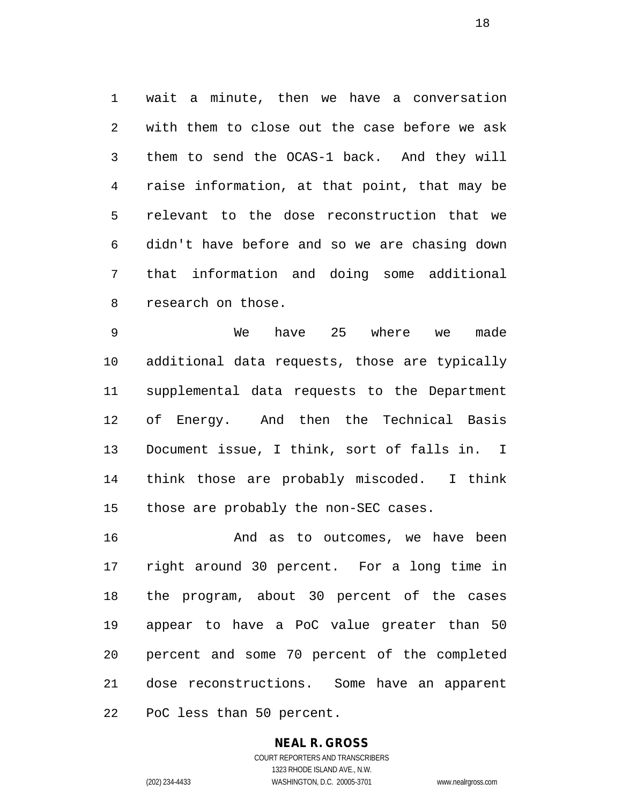wait a minute, then we have a conversation with them to close out the case before we ask them to send the OCAS-1 back. And they will raise information, at that point, that may be relevant to the dose reconstruction that we didn't have before and so we are chasing down that information and doing some additional research on those.

 We have 25 where we made additional data requests, those are typically supplemental data requests to the Department of Energy. And then the Technical Basis Document issue, I think, sort of falls in. I think those are probably miscoded. I think those are probably the non-SEC cases.

16 And as to outcomes, we have been right around 30 percent. For a long time in the program, about 30 percent of the cases appear to have a PoC value greater than 50 percent and some 70 percent of the completed dose reconstructions. Some have an apparent PoC less than 50 percent.

# **NEAL R. GROSS**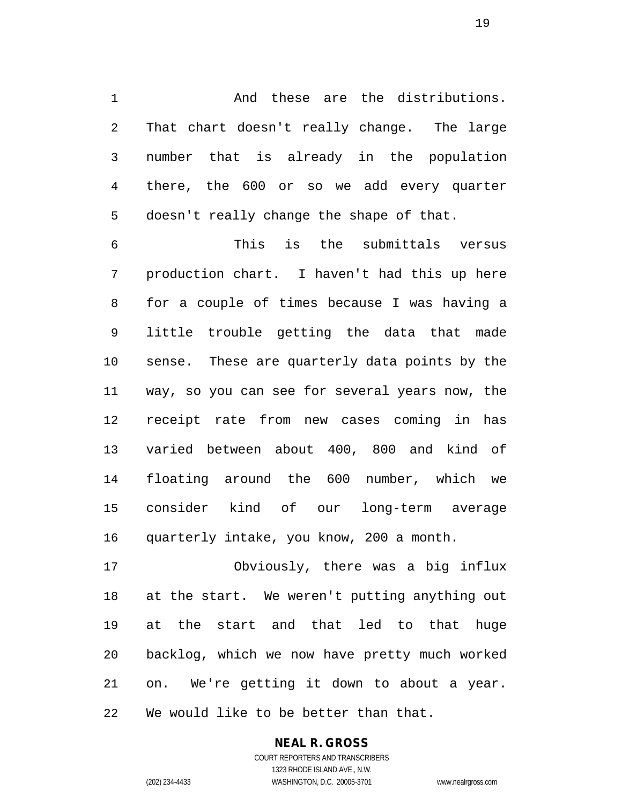1 and these are the distributions. That chart doesn't really change. The large number that is already in the population there, the 600 or so we add every quarter doesn't really change the shape of that.

 This is the submittals versus production chart. I haven't had this up here for a couple of times because I was having a little trouble getting the data that made sense. These are quarterly data points by the way, so you can see for several years now, the receipt rate from new cases coming in has varied between about 400, 800 and kind of floating around the 600 number, which we consider kind of our long-term average quarterly intake, you know, 200 a month.

 Obviously, there was a big influx at the start. We weren't putting anything out at the start and that led to that huge backlog, which we now have pretty much worked on. We're getting it down to about a year. We would like to be better than that.

#### **NEAL R. GROSS** COURT REPORTERS AND TRANSCRIBERS 1323 RHODE ISLAND AVE., N.W.

(202) 234-4433 WASHINGTON, D.C. 20005-3701 www.nealrgross.com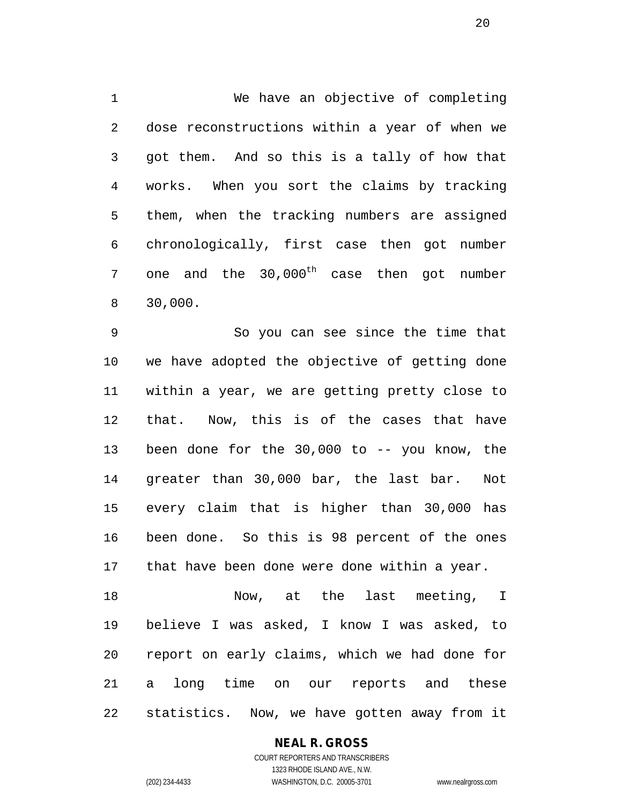We have an objective of completing dose reconstructions within a year of when we got them. And so this is a tally of how that works. When you sort the claims by tracking them, when the tracking numbers are assigned chronologically, first case then got number 7 one and the  $30,000^{\text{th}}$  case then got number 30,000.

 So you can see since the time that we have adopted the objective of getting done within a year, we are getting pretty close to that. Now, this is of the cases that have been done for the 30,000 to -- you know, the greater than 30,000 bar, the last bar. Not every claim that is higher than 30,000 has been done. So this is 98 percent of the ones that have been done were done within a year.

 Now, at the last meeting, I believe I was asked, I know I was asked, to report on early claims, which we had done for a long time on our reports and these statistics. Now, we have gotten away from it

## **NEAL R. GROSS**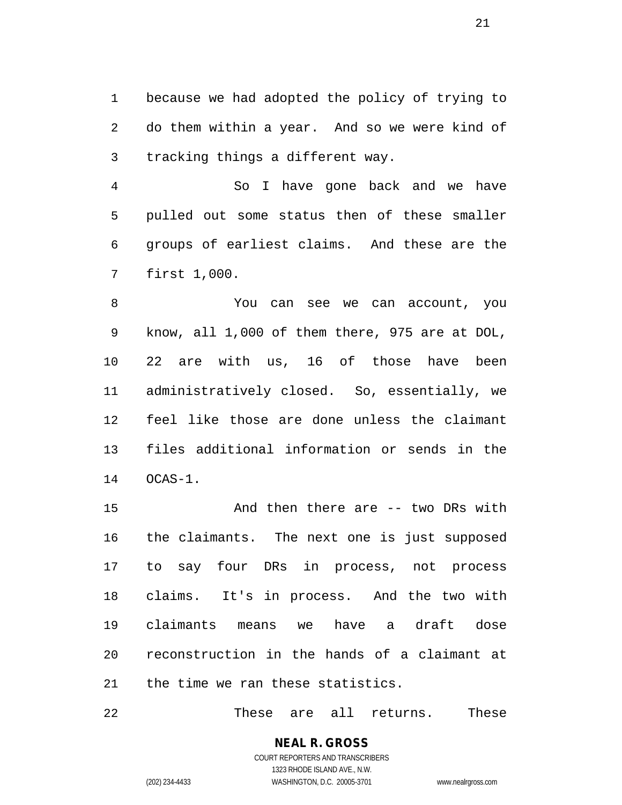because we had adopted the policy of trying to do them within a year. And so we were kind of tracking things a different way.

 So I have gone back and we have pulled out some status then of these smaller groups of earliest claims. And these are the first 1,000.

 You can see we can account, you know, all 1,000 of them there, 975 are at DOL, 22 are with us, 16 of those have been administratively closed. So, essentially, we feel like those are done unless the claimant files additional information or sends in the OCAS-1.

 And then there are -- two DRs with the claimants. The next one is just supposed to say four DRs in process, not process claims. It's in process. And the two with claimants means we have a draft dose reconstruction in the hands of a claimant at the time we ran these statistics.

These are all returns. These

COURT REPORTERS AND TRANSCRIBERS 1323 RHODE ISLAND AVE., N.W. (202) 234-4433 WASHINGTON, D.C. 20005-3701 www.nealrgross.com

**NEAL R. GROSS**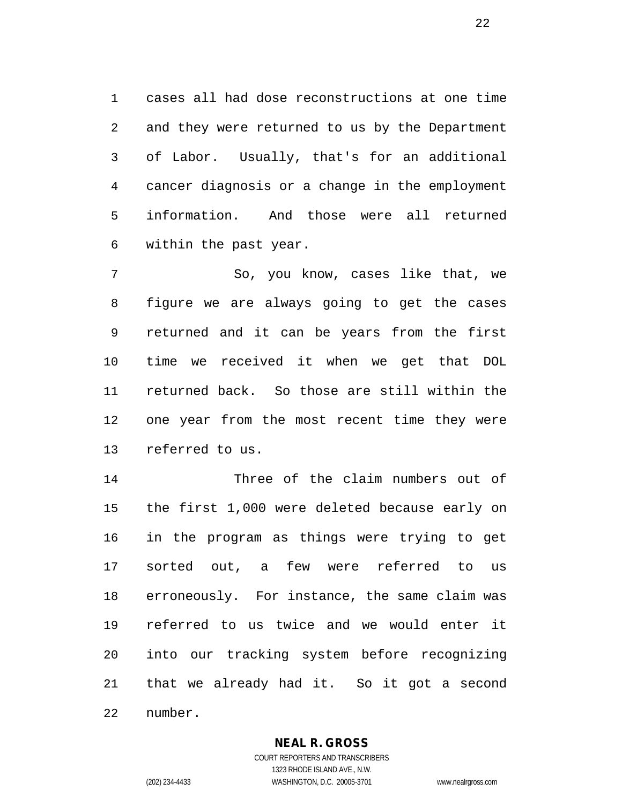cases all had dose reconstructions at one time and they were returned to us by the Department of Labor. Usually, that's for an additional cancer diagnosis or a change in the employment information. And those were all returned within the past year.

 So, you know, cases like that, we figure we are always going to get the cases returned and it can be years from the first time we received it when we get that DOL returned back. So those are still within the one year from the most recent time they were referred to us.

 Three of the claim numbers out of the first 1,000 were deleted because early on in the program as things were trying to get sorted out, a few were referred to us erroneously. For instance, the same claim was referred to us twice and we would enter it into our tracking system before recognizing that we already had it. So it got a second number.

**NEAL R. GROSS**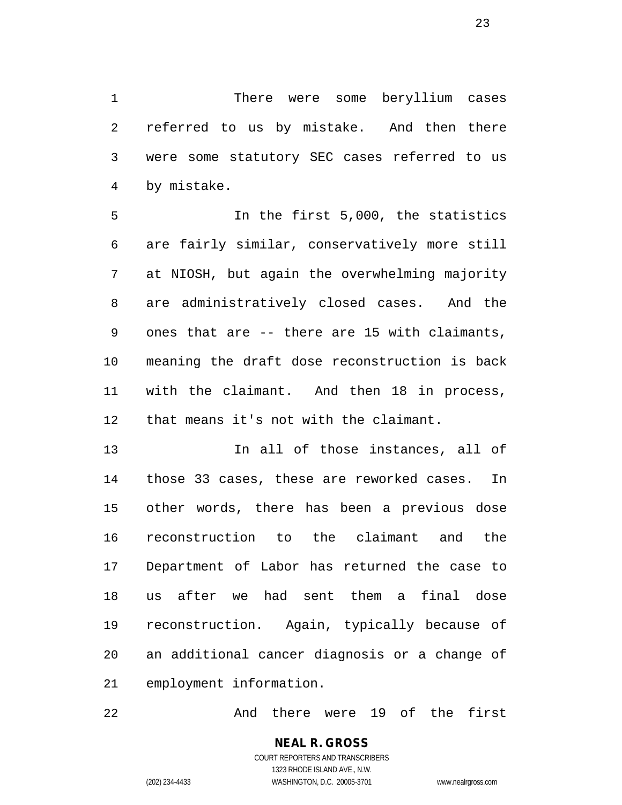There were some beryllium cases referred to us by mistake. And then there were some statutory SEC cases referred to us by mistake.

 In the first 5,000, the statistics are fairly similar, conservatively more still at NIOSH, but again the overwhelming majority are administratively closed cases. And the ones that are -- there are 15 with claimants, meaning the draft dose reconstruction is back with the claimant. And then 18 in process, that means it's not with the claimant.

 In all of those instances, all of those 33 cases, these are reworked cases. In other words, there has been a previous dose reconstruction to the claimant and the Department of Labor has returned the case to us after we had sent them a final dose reconstruction. Again, typically because of an additional cancer diagnosis or a change of employment information.

And there were 19 of the first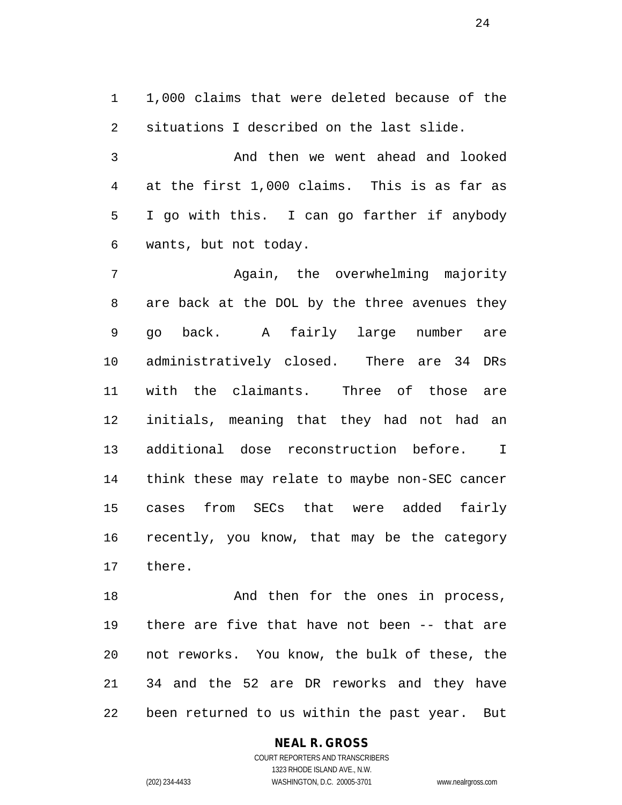1,000 claims that were deleted because of the situations I described on the last slide.

 And then we went ahead and looked at the first 1,000 claims. This is as far as I go with this. I can go farther if anybody wants, but not today.

 Again, the overwhelming majority are back at the DOL by the three avenues they go back. A fairly large number are administratively closed. There are 34 DRs with the claimants. Three of those are initials, meaning that they had not had an additional dose reconstruction before. I think these may relate to maybe non-SEC cancer cases from SECs that were added fairly recently, you know, that may be the category there.

18 And then for the ones in process, there are five that have not been -- that are not reworks. You know, the bulk of these, the 34 and the 52 are DR reworks and they have been returned to us within the past year. But

## **NEAL R. GROSS**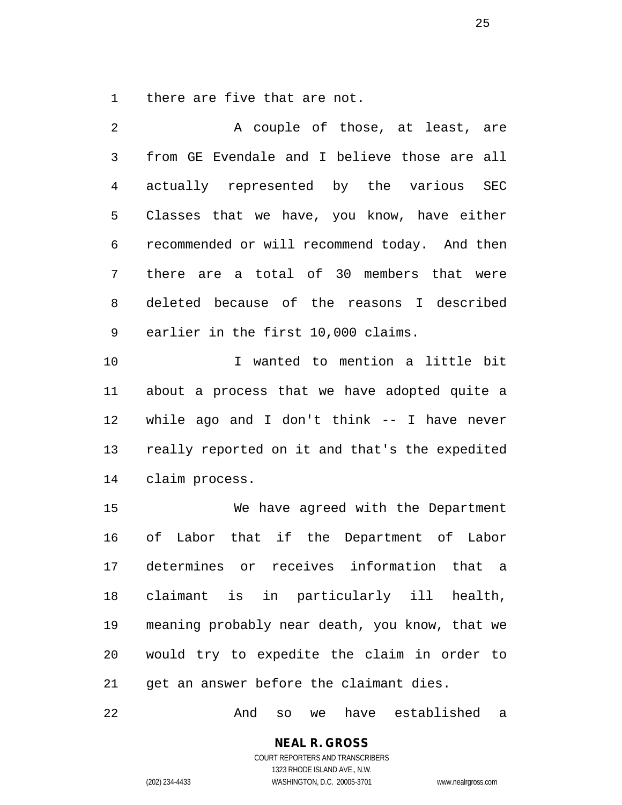there are five that are not.

| 2              | A couple of those, at least, are               |
|----------------|------------------------------------------------|
| $\mathfrak{Z}$ | from GE Evendale and I believe those are all   |
| 4              | actually represented by the various SEC        |
| 5              | Classes that we have, you know, have either    |
| 6              | recommended or will recommend today. And then  |
| 7              | there are a total of 30 members that were      |
| 8              | deleted because of the reasons I described     |
| 9              | earlier in the first 10,000 claims.            |
| 10             | I wanted to mention a little bit               |
| 11             | about a process that we have adopted quite a   |
| 12             | while ago and I don't think $--$ I have never  |
| 13             | really reported on it and that's the expedited |
| 14             | claim process.                                 |
| 15             | We have agreed with the Department             |
| 16             | of Labor that if the Department of Labor       |
| 17             | determines or receives information that a      |
| 18             | claimant is in particularly ill health,        |
| 19             | meaning probably near death, you know, that we |
| 20             | would try to expedite the claim in order to    |
| 21             | get an answer before the claimant dies.        |

And so we have established a

COURT REPORTERS AND TRANSCRIBERS 1323 RHODE ISLAND AVE., N.W. (202) 234-4433 WASHINGTON, D.C. 20005-3701 www.nealrgross.com

**NEAL R. GROSS**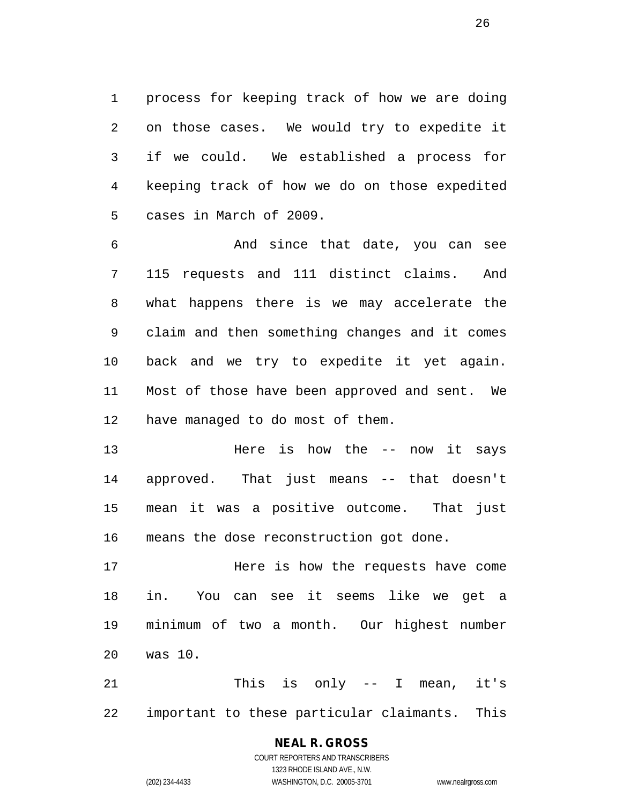process for keeping track of how we are doing on those cases. We would try to expedite it if we could. We established a process for keeping track of how we do on those expedited cases in March of 2009.

 And since that date, you can see 115 requests and 111 distinct claims. And what happens there is we may accelerate the claim and then something changes and it comes back and we try to expedite it yet again. Most of those have been approved and sent. We have managed to do most of them.

 Here is how the -- now it says approved. That just means -- that doesn't mean it was a positive outcome. That just means the dose reconstruction got done.

 Here is how the requests have come in. You can see it seems like we get a minimum of two a month. Our highest number was 10.

 This is only -- I mean, it's important to these particular claimants. This

# **NEAL R. GROSS**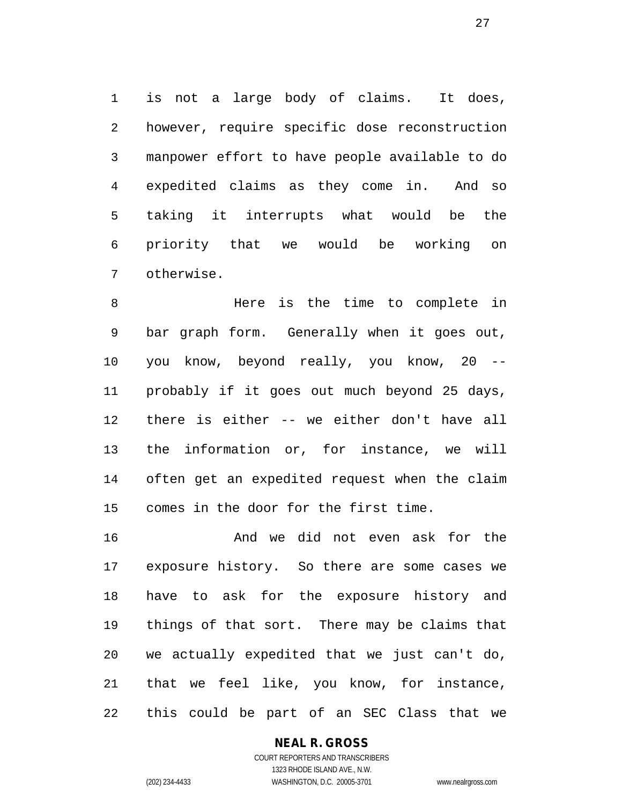is not a large body of claims. It does, however, require specific dose reconstruction manpower effort to have people available to do expedited claims as they come in. And so taking it interrupts what would be the priority that we would be working on otherwise.

 Here is the time to complete in bar graph form. Generally when it goes out, you know, beyond really, you know, 20 -- probably if it goes out much beyond 25 days, there is either -- we either don't have all the information or, for instance, we will often get an expedited request when the claim comes in the door for the first time.

 And we did not even ask for the exposure history. So there are some cases we have to ask for the exposure history and things of that sort. There may be claims that we actually expedited that we just can't do, that we feel like, you know, for instance, this could be part of an SEC Class that we

## **NEAL R. GROSS**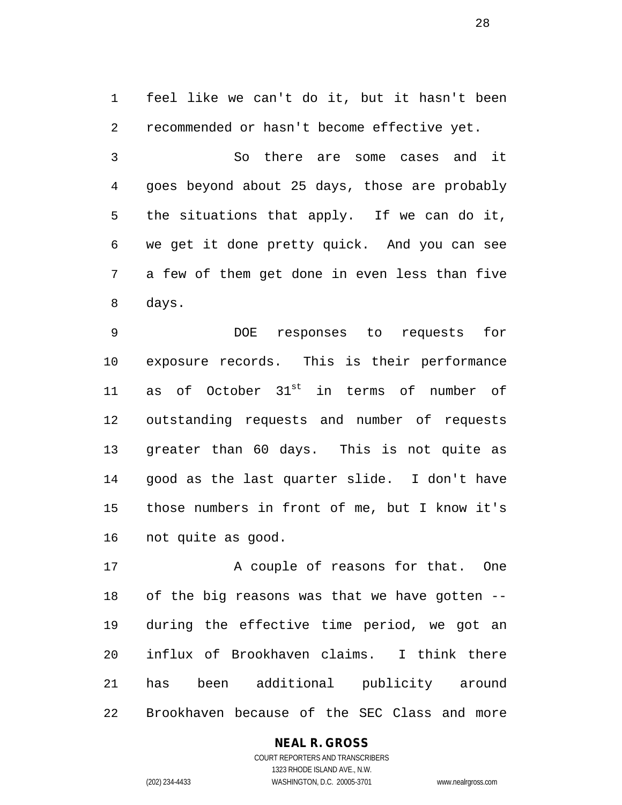feel like we can't do it, but it hasn't been recommended or hasn't become effective yet.

 So there are some cases and it goes beyond about 25 days, those are probably the situations that apply. If we can do it, we get it done pretty quick. And you can see a few of them get done in even less than five days.

 DOE responses to requests for exposure records. This is their performance 11 as of October  $31^{st}$  in terms of number of outstanding requests and number of requests greater than 60 days. This is not quite as good as the last quarter slide. I don't have those numbers in front of me, but I know it's not quite as good.

17 A couple of reasons for that. One of the big reasons was that we have gotten -- during the effective time period, we got an influx of Brookhaven claims. I think there has been additional publicity around Brookhaven because of the SEC Class and more

## **NEAL R. GROSS**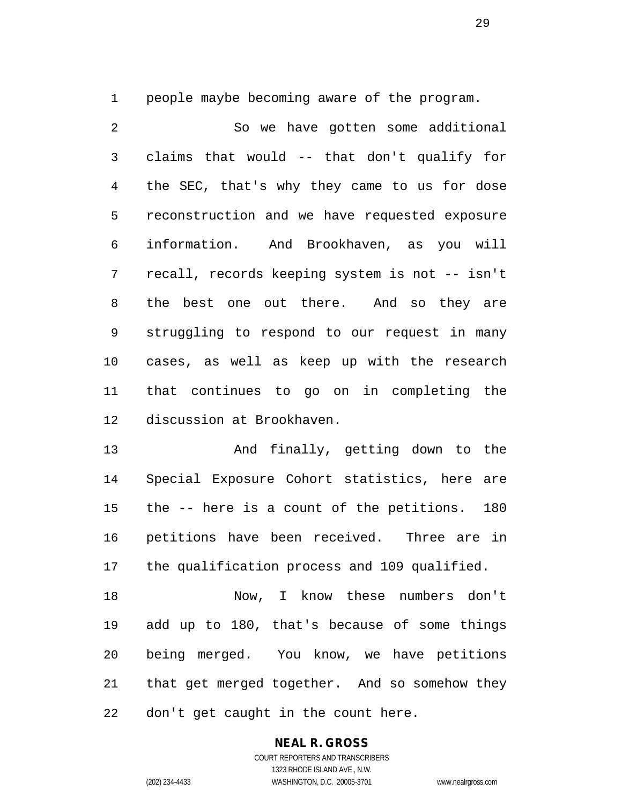people maybe becoming aware of the program.

 So we have gotten some additional claims that would -- that don't qualify for the SEC, that's why they came to us for dose reconstruction and we have requested exposure information. And Brookhaven, as you will recall, records keeping system is not -- isn't the best one out there. And so they are struggling to respond to our request in many cases, as well as keep up with the research that continues to go on in completing the discussion at Brookhaven.

 And finally, getting down to the Special Exposure Cohort statistics, here are the -- here is a count of the petitions. 180 petitions have been received. Three are in the qualification process and 109 qualified.

 Now, I know these numbers don't add up to 180, that's because of some things being merged. You know, we have petitions that get merged together. And so somehow they don't get caught in the count here.

> **NEAL R. GROSS** COURT REPORTERS AND TRANSCRIBERS

1323 RHODE ISLAND AVE., N.W. (202) 234-4433 WASHINGTON, D.C. 20005-3701 www.nealrgross.com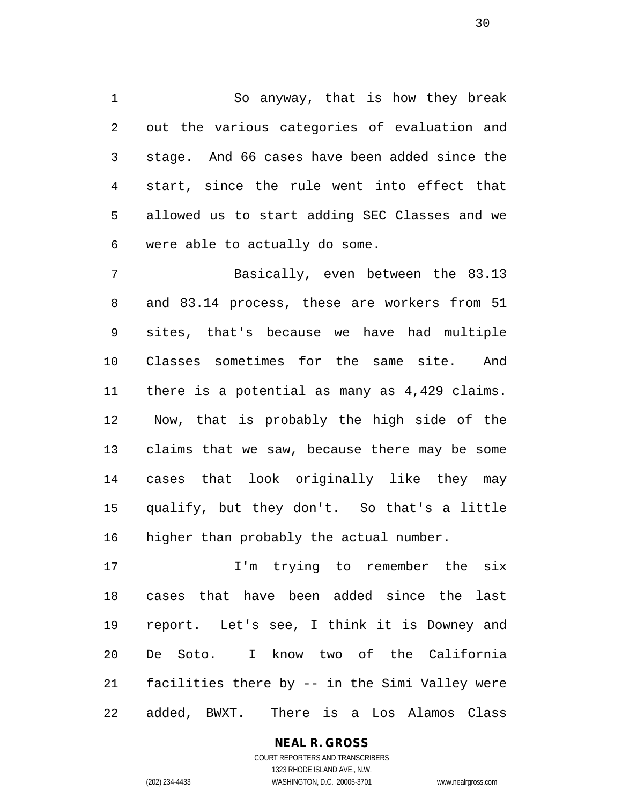So anyway, that is how they break out the various categories of evaluation and stage. And 66 cases have been added since the start, since the rule went into effect that allowed us to start adding SEC Classes and we were able to actually do some.

 Basically, even between the 83.13 and 83.14 process, these are workers from 51 sites, that's because we have had multiple Classes sometimes for the same site. And there is a potential as many as 4,429 claims. Now, that is probably the high side of the claims that we saw, because there may be some cases that look originally like they may qualify, but they don't. So that's a little higher than probably the actual number.

17 1'm trying to remember the six cases that have been added since the last report. Let's see, I think it is Downey and De Soto. I know two of the California facilities there by -- in the Simi Valley were added, BWXT. There is a Los Alamos Class

**NEAL R. GROSS**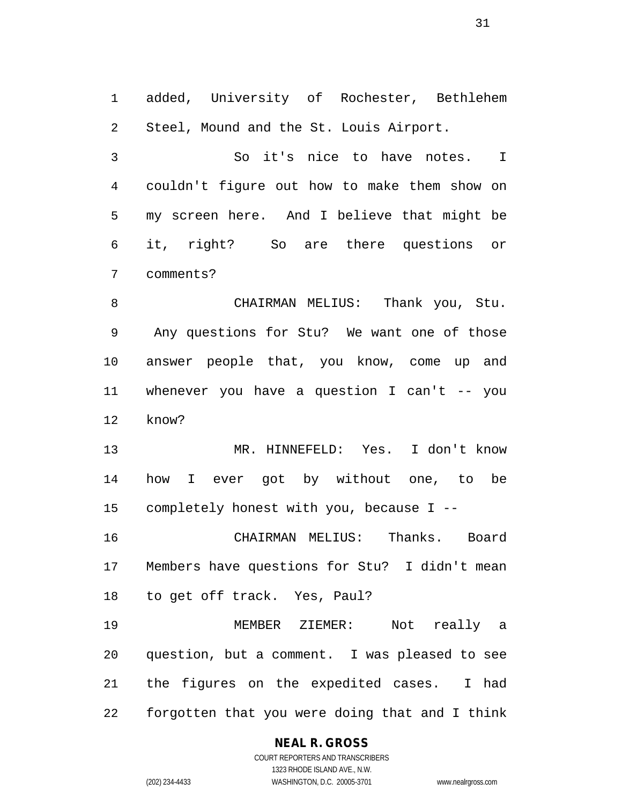added, University of Rochester, Bethlehem Steel, Mound and the St. Louis Airport.

 So it's nice to have notes. I couldn't figure out how to make them show on my screen here. And I believe that might be it, right? So are there questions or comments?

 CHAIRMAN MELIUS: Thank you, Stu. Any questions for Stu? We want one of those answer people that, you know, come up and whenever you have a question I can't -- you know?

 MR. HINNEFELD: Yes. I don't know how I ever got by without one, to be completely honest with you, because I --

 CHAIRMAN MELIUS: Thanks. Board Members have questions for Stu? I didn't mean to get off track. Yes, Paul?

 MEMBER ZIEMER: Not really a question, but a comment. I was pleased to see the figures on the expedited cases. I had forgotten that you were doing that and I think

#### **NEAL R. GROSS**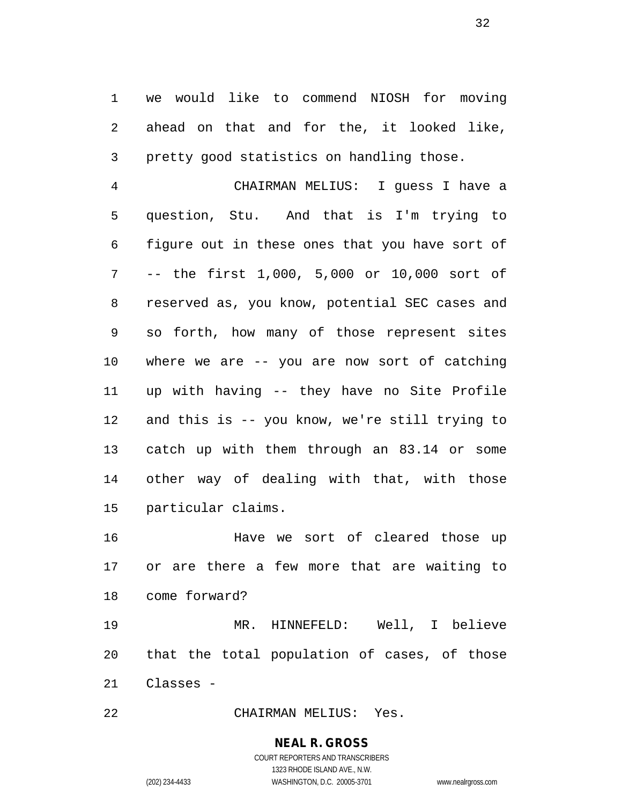we would like to commend NIOSH for moving ahead on that and for the, it looked like, pretty good statistics on handling those.

 CHAIRMAN MELIUS: I guess I have a question, Stu. And that is I'm trying to figure out in these ones that you have sort of -- the first 1,000, 5,000 or 10,000 sort of reserved as, you know, potential SEC cases and so forth, how many of those represent sites where we are -- you are now sort of catching up with having -- they have no Site Profile and this is -- you know, we're still trying to catch up with them through an 83.14 or some other way of dealing with that, with those particular claims.

 Have we sort of cleared those up or are there a few more that are waiting to come forward?

 MR. HINNEFELD: Well, I believe that the total population of cases, of those Classes -

CHAIRMAN MELIUS: Yes.

# **NEAL R. GROSS**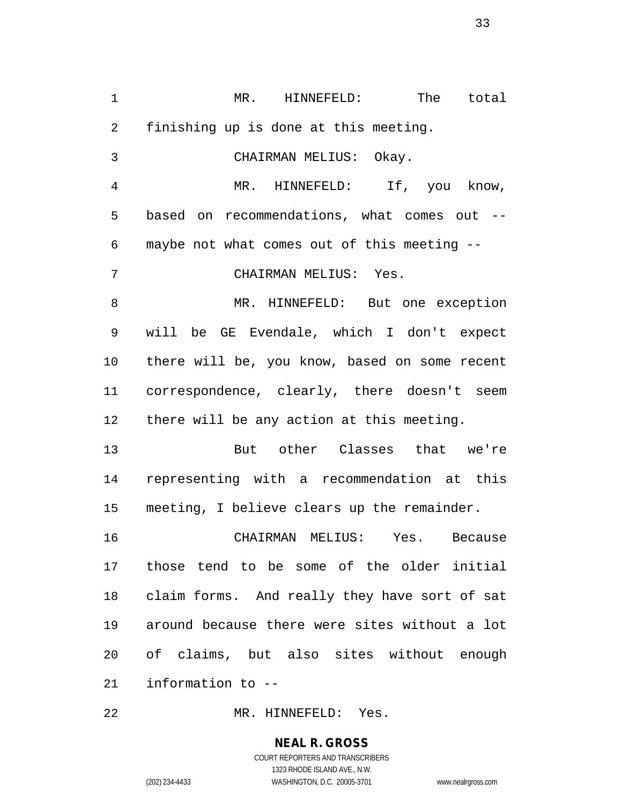MR. HINNEFELD: The total finishing up is done at this meeting. CHAIRMAN MELIUS: Okay. MR. HINNEFELD: If, you know, based on recommendations, what comes out -- maybe not what comes out of this meeting -- CHAIRMAN MELIUS: Yes. MR. HINNEFELD: But one exception will be GE Evendale, which I don't expect there will be, you know, based on some recent correspondence, clearly, there doesn't seem there will be any action at this meeting. But other Classes that we're representing with a recommendation at this meeting, I believe clears up the remainder. CHAIRMAN MELIUS: Yes. Because those tend to be some of the older initial claim forms. And really they have sort of sat around because there were sites without a lot of claims, but also sites without enough information to --

MR. HINNEFELD: Yes.

# **NEAL R. GROSS**

COURT REPORTERS AND TRANSCRIBERS 1323 RHODE ISLAND AVE., N.W. (202) 234-4433 WASHINGTON, D.C. 20005-3701 www.nealrgross.com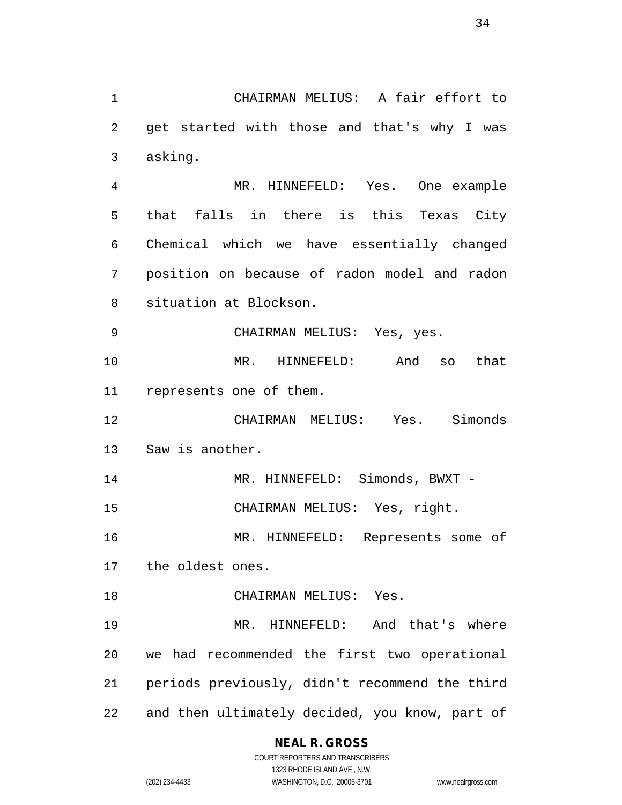**NEAL R. GROSS** CHAIRMAN MELIUS: A fair effort to get started with those and that's why I was asking. MR. HINNEFELD: Yes. One example that falls in there is this Texas City Chemical which we have essentially changed position on because of radon model and radon situation at Blockson. CHAIRMAN MELIUS: Yes, yes. MR. HINNEFELD: And so that represents one of them. CHAIRMAN MELIUS: Yes. Simonds Saw is another. 14 MR. HINNEFELD: Simonds, BWXT - CHAIRMAN MELIUS: Yes, right. MR. HINNEFELD: Represents some of the oldest ones. CHAIRMAN MELIUS: Yes. MR. HINNEFELD: And that's where we had recommended the first two operational periods previously, didn't recommend the third and then ultimately decided, you know, part of

COURT REPORTERS AND TRANSCRIBERS 1323 RHODE ISLAND AVE., N.W. (202) 234-4433 WASHINGTON, D.C. 20005-3701 www.nealrgross.com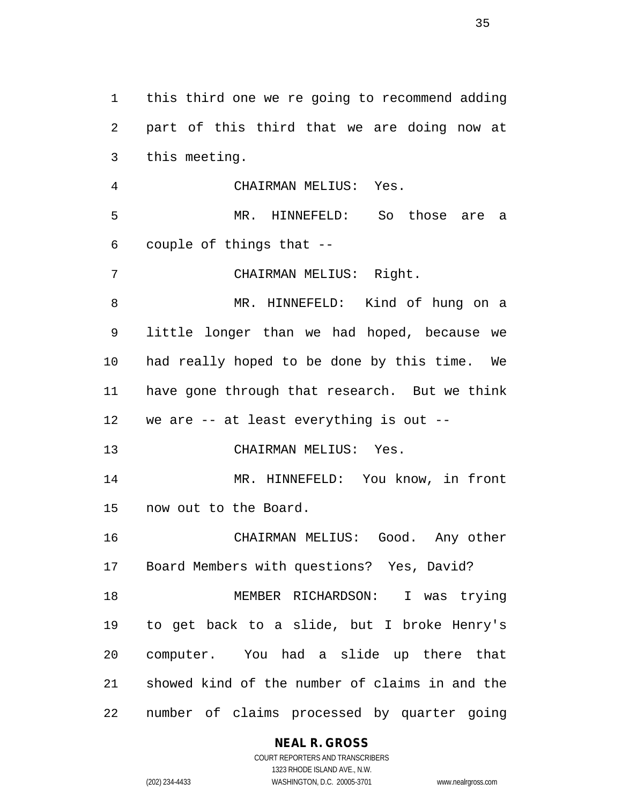this third one we re going to recommend adding part of this third that we are doing now at this meeting. CHAIRMAN MELIUS: Yes. MR. HINNEFELD: So those are a couple of things that -- CHAIRMAN MELIUS: Right. MR. HINNEFELD: Kind of hung on a little longer than we had hoped, because we had really hoped to be done by this time. We have gone through that research. But we think we are -- at least everything is out -- CHAIRMAN MELIUS: Yes. MR. HINNEFELD: You know, in front now out to the Board. CHAIRMAN MELIUS: Good. Any other Board Members with questions? Yes, David? MEMBER RICHARDSON: I was trying to get back to a slide, but I broke Henry's computer. You had a slide up there that showed kind of the number of claims in and the number of claims processed by quarter going

#### **NEAL R. GROSS**

COURT REPORTERS AND TRANSCRIBERS 1323 RHODE ISLAND AVE., N.W. (202) 234-4433 WASHINGTON, D.C. 20005-3701 www.nealrgross.com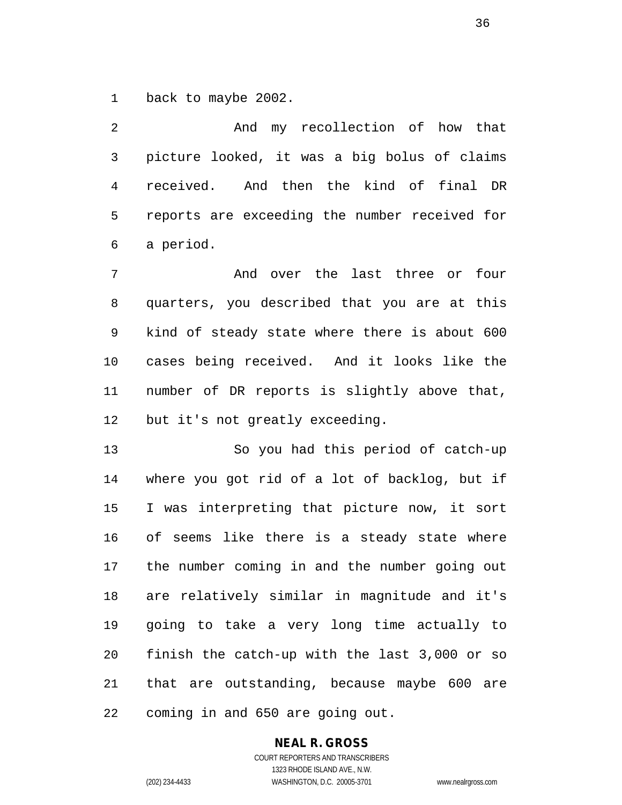back to maybe 2002.

 And my recollection of how that picture looked, it was a big bolus of claims received. And then the kind of final DR reports are exceeding the number received for a period.

 And over the last three or four quarters, you described that you are at this kind of steady state where there is about 600 cases being received. And it looks like the number of DR reports is slightly above that, but it's not greatly exceeding.

 So you had this period of catch-up where you got rid of a lot of backlog, but if I was interpreting that picture now, it sort of seems like there is a steady state where the number coming in and the number going out are relatively similar in magnitude and it's going to take a very long time actually to finish the catch-up with the last 3,000 or so that are outstanding, because maybe 600 are coming in and 650 are going out.

## **NEAL R. GROSS**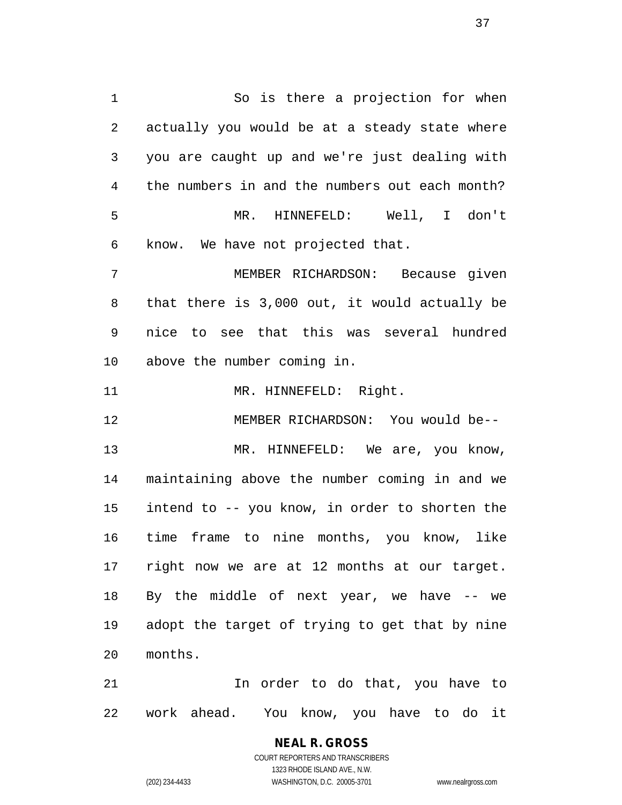1 So is there a projection for when actually you would be at a steady state where you are caught up and we're just dealing with the numbers in and the numbers out each month? MR. HINNEFELD: Well, I don't know. We have not projected that. MEMBER RICHARDSON: Because given

 that there is 3,000 out, it would actually be nice to see that this was several hundred above the number coming in.

11 MR. HINNEFELD: Right.

 MEMBER RICHARDSON: You would be-- MR. HINNEFELD: We are, you know, maintaining above the number coming in and we intend to -- you know, in order to shorten the time frame to nine months, you know, like right now we are at 12 months at our target. By the middle of next year, we have -- we adopt the target of trying to get that by nine months.

 In order to do that, you have to work ahead. You know, you have to do it

### **NEAL R. GROSS** COURT REPORTERS AND TRANSCRIBERS 1323 RHODE ISLAND AVE., N.W.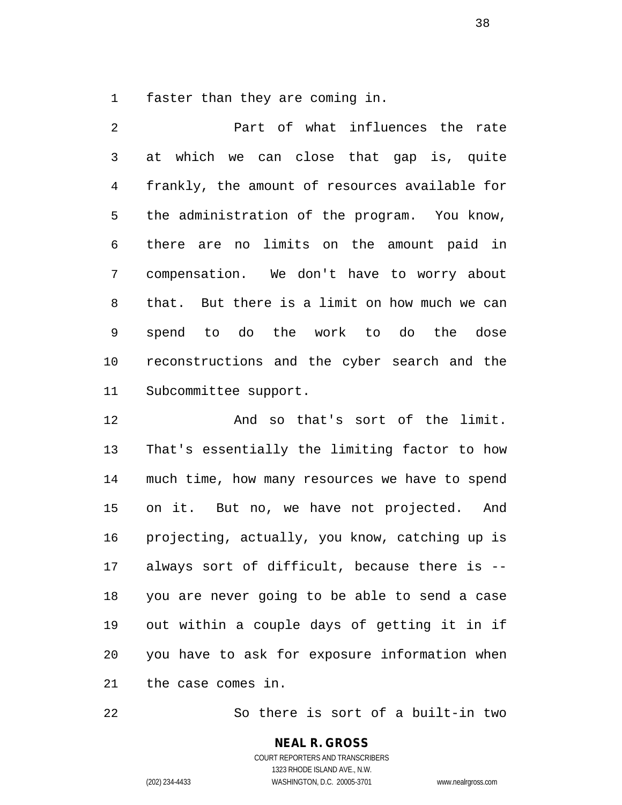faster than they are coming in.

 Part of what influences the rate at which we can close that gap is, quite frankly, the amount of resources available for the administration of the program. You know, there are no limits on the amount paid in compensation. We don't have to worry about that. But there is a limit on how much we can spend to do the work to do the dose reconstructions and the cyber search and the Subcommittee support.

 And so that's sort of the limit. That's essentially the limiting factor to how much time, how many resources we have to spend on it. But no, we have not projected. And projecting, actually, you know, catching up is always sort of difficult, because there is -- you are never going to be able to send a case out within a couple days of getting it in if you have to ask for exposure information when the case comes in.

So there is sort of a built-in two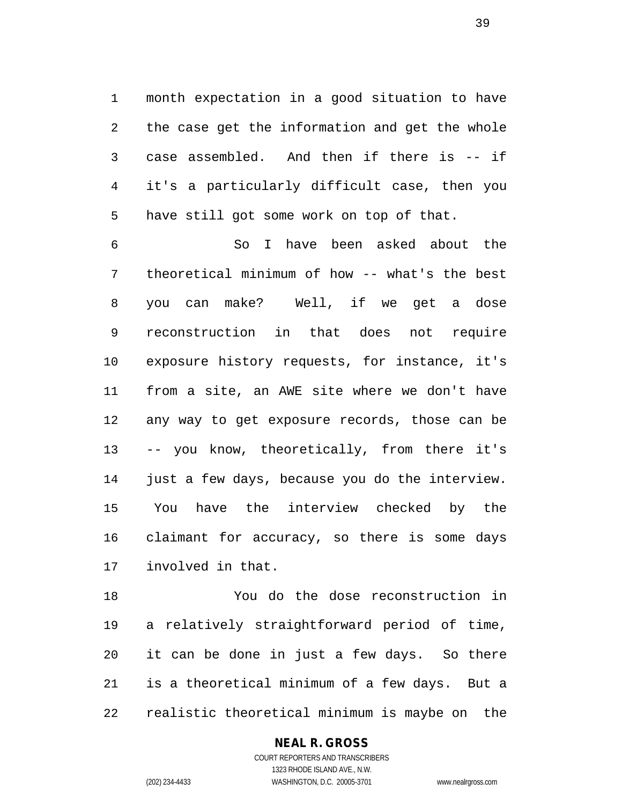month expectation in a good situation to have the case get the information and get the whole case assembled. And then if there is -- if it's a particularly difficult case, then you have still got some work on top of that.

 So I have been asked about the theoretical minimum of how -- what's the best you can make? Well, if we get a dose reconstruction in that does not require exposure history requests, for instance, it's from a site, an AWE site where we don't have any way to get exposure records, those can be -- you know, theoretically, from there it's just a few days, because you do the interview. You have the interview checked by the claimant for accuracy, so there is some days involved in that.

 You do the dose reconstruction in a relatively straightforward period of time, it can be done in just a few days. So there is a theoretical minimum of a few days. But a realistic theoretical minimum is maybe on the

**NEAL R. GROSS**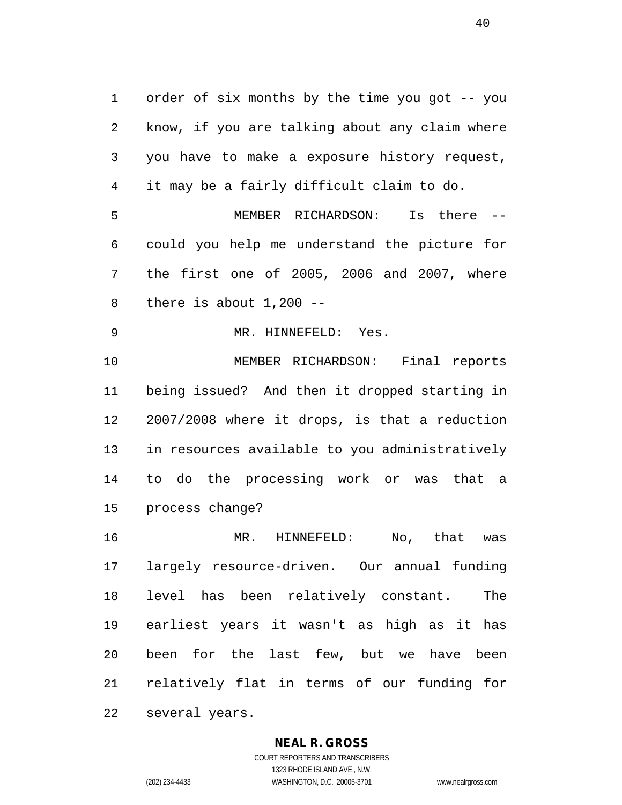order of six months by the time you got -- you know, if you are talking about any claim where you have to make a exposure history request, it may be a fairly difficult claim to do. MEMBER RICHARDSON: Is there -- could you help me understand the picture for the first one of 2005, 2006 and 2007, where 8 there is about  $1,200$  -- MR. HINNEFELD: Yes. MEMBER RICHARDSON: Final reports being issued? And then it dropped starting in 2007/2008 where it drops, is that a reduction in resources available to you administratively to do the processing work or was that a process change? MR. HINNEFELD: No, that was largely resource-driven. Our annual funding level has been relatively constant. The earliest years it wasn't as high as it has been for the last few, but we have been relatively flat in terms of our funding for several years.

#### **NEAL R. GROSS**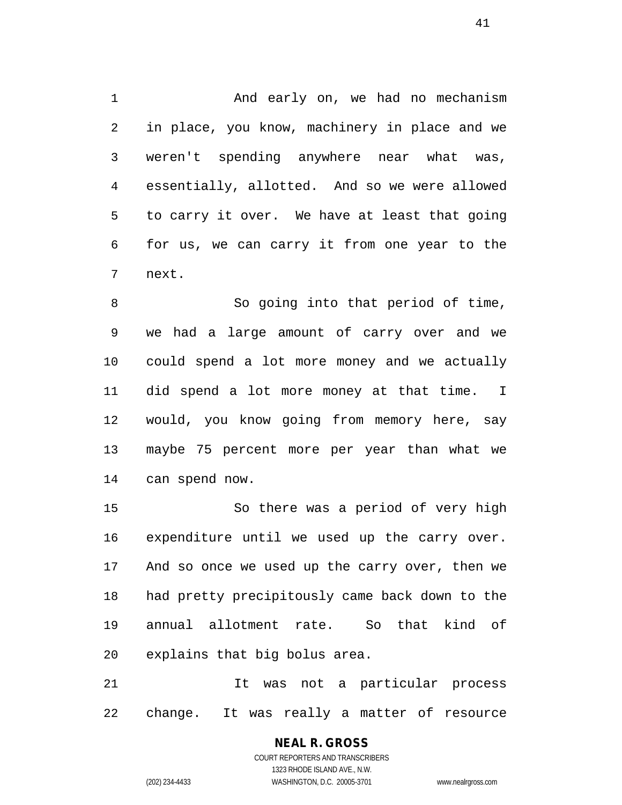And early on, we had no mechanism in place, you know, machinery in place and we weren't spending anywhere near what was, essentially, allotted. And so we were allowed to carry it over. We have at least that going for us, we can carry it from one year to the next.

 So going into that period of time, we had a large amount of carry over and we could spend a lot more money and we actually did spend a lot more money at that time. I would, you know going from memory here, say maybe 75 percent more per year than what we can spend now.

 So there was a period of very high expenditure until we used up the carry over. And so once we used up the carry over, then we had pretty precipitously came back down to the annual allotment rate. So that kind of explains that big bolus area.

 It was not a particular process change. It was really a matter of resource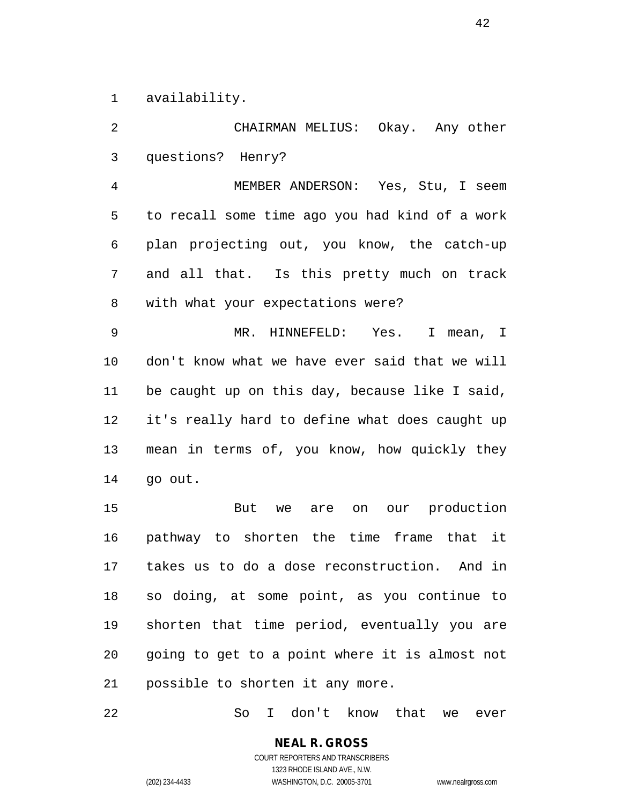availability.

 CHAIRMAN MELIUS: Okay. Any other questions? Henry?

 MEMBER ANDERSON: Yes, Stu, I seem to recall some time ago you had kind of a work plan projecting out, you know, the catch-up and all that. Is this pretty much on track with what your expectations were?

 MR. HINNEFELD: Yes. I mean, I don't know what we have ever said that we will be caught up on this day, because like I said, it's really hard to define what does caught up mean in terms of, you know, how quickly they go out.

 But we are on our production pathway to shorten the time frame that it takes us to do a dose reconstruction. And in so doing, at some point, as you continue to shorten that time period, eventually you are going to get to a point where it is almost not possible to shorten it any more.

So I don't know that we ever

COURT REPORTERS AND TRANSCRIBERS 1323 RHODE ISLAND AVE., N.W. (202) 234-4433 WASHINGTON, D.C. 20005-3701 www.nealrgross.com

**NEAL R. GROSS**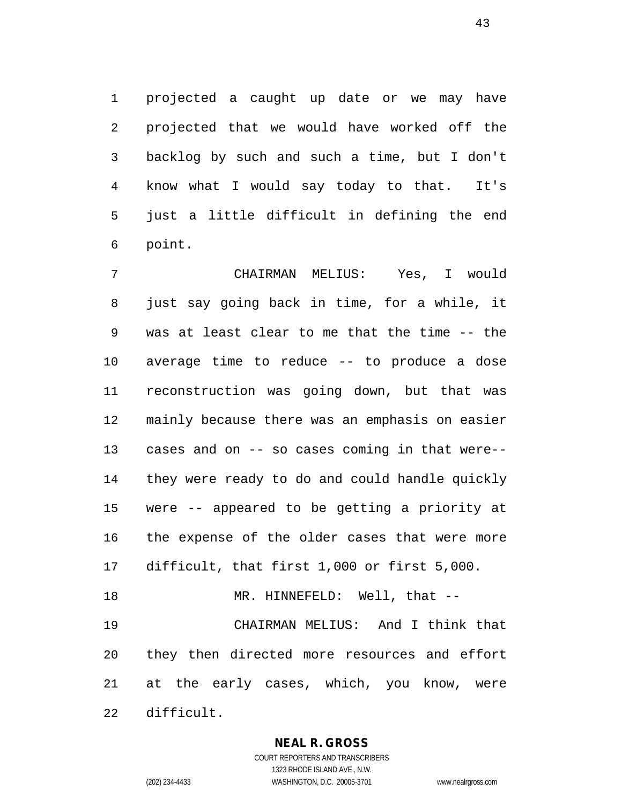projected a caught up date or we may have projected that we would have worked off the backlog by such and such a time, but I don't know what I would say today to that. It's just a little difficult in defining the end point.

 CHAIRMAN MELIUS: Yes, I would just say going back in time, for a while, it was at least clear to me that the time -- the average time to reduce -- to produce a dose reconstruction was going down, but that was mainly because there was an emphasis on easier cases and on -- so cases coming in that were-- they were ready to do and could handle quickly were -- appeared to be getting a priority at the expense of the older cases that were more difficult, that first 1,000 or first 5,000. 18 MR. HINNEFELD: Well, that -- CHAIRMAN MELIUS: And I think that they then directed more resources and effort at the early cases, which, you know, were difficult.

**NEAL R. GROSS**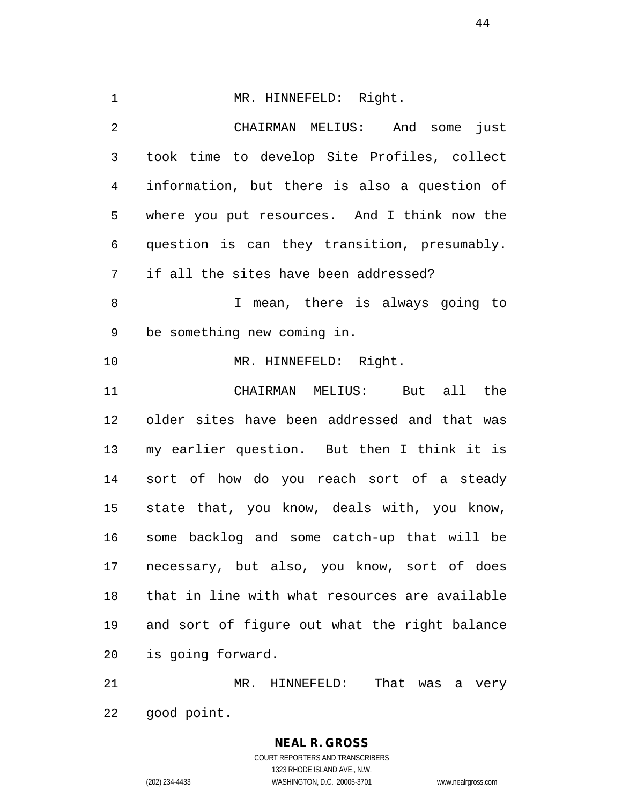1 MR. HINNEFELD: Right. CHAIRMAN MELIUS: And some just took time to develop Site Profiles, collect information, but there is also a question of where you put resources. And I think now the question is can they transition, presumably. if all the sites have been addressed? I mean, there is always going to be something new coming in. 10 MR. HINNEFELD: Right. CHAIRMAN MELIUS: But all the older sites have been addressed and that was my earlier question. But then I think it is sort of how do you reach sort of a steady state that, you know, deals with, you know, some backlog and some catch-up that will be necessary, but also, you know, sort of does that in line with what resources are available and sort of figure out what the right balance is going forward.

 MR. HINNEFELD: That was a very good point.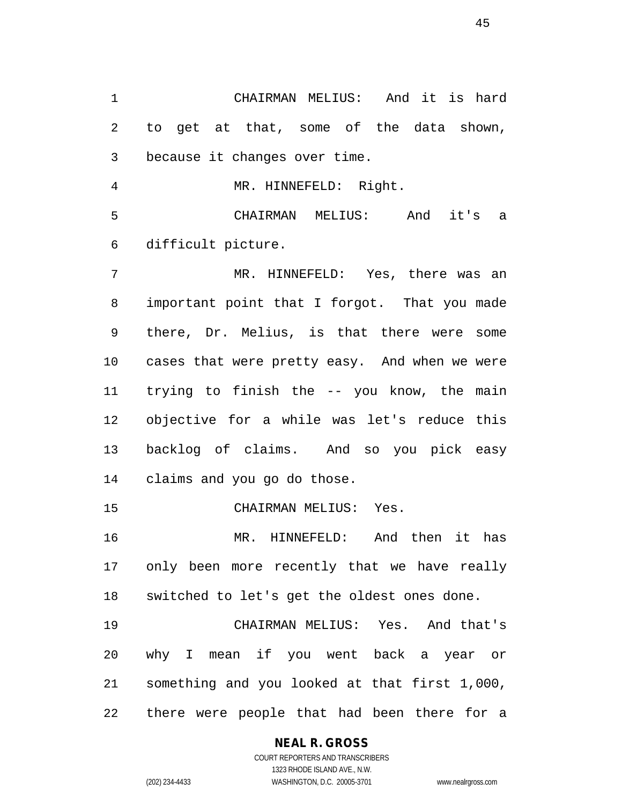CHAIRMAN MELIUS: And it is hard to get at that, some of the data shown, because it changes over time.

MR. HINNEFELD: Right.

 CHAIRMAN MELIUS: And it's a difficult picture.

 MR. HINNEFELD: Yes, there was an important point that I forgot. That you made there, Dr. Melius, is that there were some cases that were pretty easy. And when we were trying to finish the -- you know, the main objective for a while was let's reduce this backlog of claims. And so you pick easy claims and you go do those.

CHAIRMAN MELIUS: Yes.

 MR. HINNEFELD: And then it has only been more recently that we have really switched to let's get the oldest ones done.

 CHAIRMAN MELIUS: Yes. And that's why I mean if you went back a year or something and you looked at that first 1,000, there were people that had been there for a

# **NEAL R. GROSS**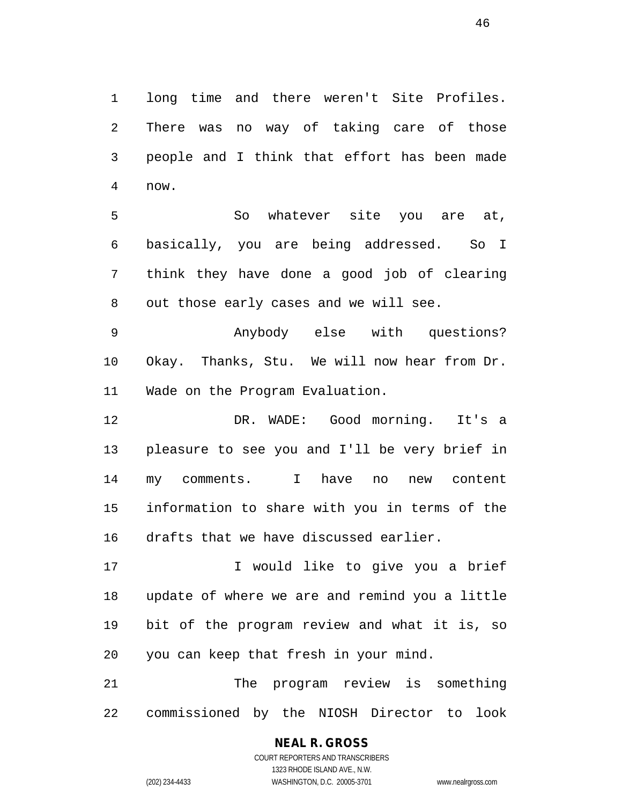long time and there weren't Site Profiles. There was no way of taking care of those people and I think that effort has been made now.

 So whatever site you are at, basically, you are being addressed. So I think they have done a good job of clearing out those early cases and we will see.

 Anybody else with questions? Okay. Thanks, Stu. We will now hear from Dr. Wade on the Program Evaluation.

 DR. WADE: Good morning. It's a pleasure to see you and I'll be very brief in my comments. I have no new content information to share with you in terms of the drafts that we have discussed earlier.

17 I would like to give you a brief update of where we are and remind you a little bit of the program review and what it is, so you can keep that fresh in your mind.

 The program review is something commissioned by the NIOSH Director to look

## **NEAL R. GROSS**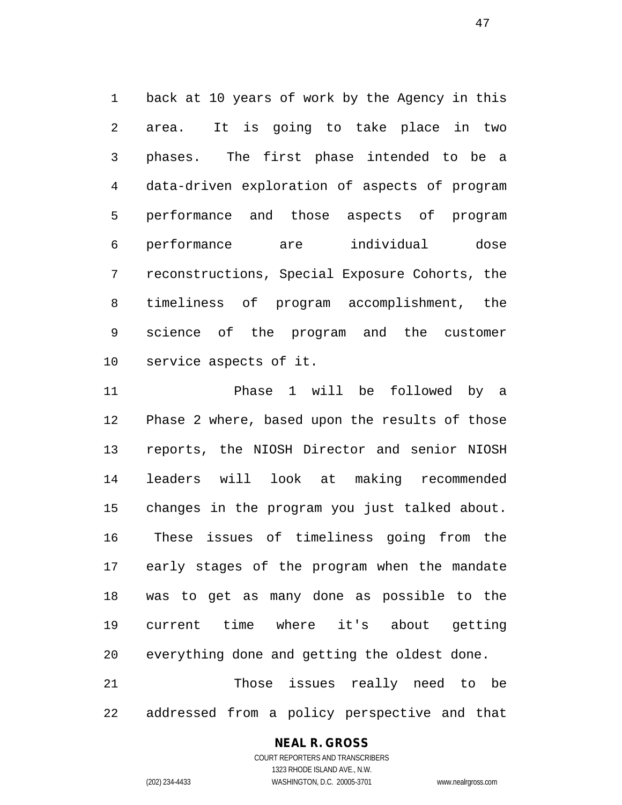back at 10 years of work by the Agency in this area. It is going to take place in two phases. The first phase intended to be a data-driven exploration of aspects of program performance and those aspects of program performance are individual dose reconstructions, Special Exposure Cohorts, the timeliness of program accomplishment, the science of the program and the customer service aspects of it.

 Phase 1 will be followed by a Phase 2 where, based upon the results of those reports, the NIOSH Director and senior NIOSH leaders will look at making recommended changes in the program you just talked about. These issues of timeliness going from the early stages of the program when the mandate was to get as many done as possible to the current time where it's about getting everything done and getting the oldest done. Those issues really need to be

addressed from a policy perspective and that

#### **NEAL R. GROSS**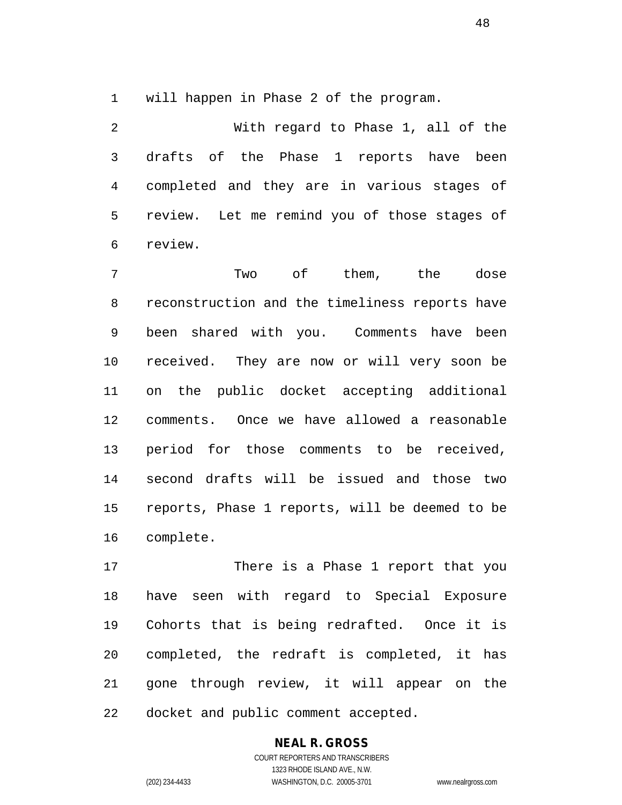will happen in Phase 2 of the program.

 With regard to Phase 1, all of the drafts of the Phase 1 reports have been completed and they are in various stages of review. Let me remind you of those stages of review.

 Two of them, the dose reconstruction and the timeliness reports have been shared with you. Comments have been received. They are now or will very soon be on the public docket accepting additional comments. Once we have allowed a reasonable period for those comments to be received, second drafts will be issued and those two reports, Phase 1 reports, will be deemed to be complete.

 There is a Phase 1 report that you have seen with regard to Special Exposure Cohorts that is being redrafted. Once it is completed, the redraft is completed, it has gone through review, it will appear on the docket and public comment accepted.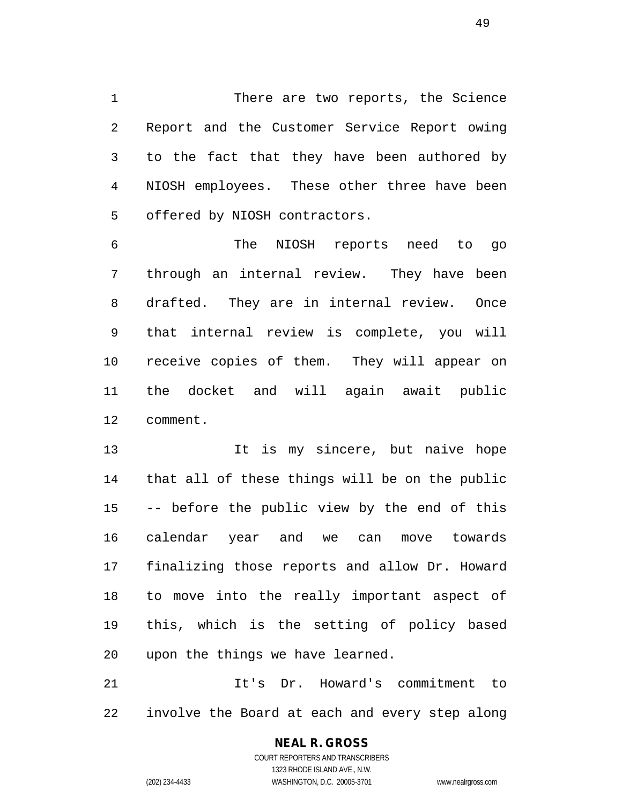There are two reports, the Science Report and the Customer Service Report owing to the fact that they have been authored by NIOSH employees. These other three have been offered by NIOSH contractors.

 The NIOSH reports need to go through an internal review. They have been drafted. They are in internal review. Once that internal review is complete, you will receive copies of them. They will appear on the docket and will again await public comment.

13 13 It is my sincere, but naive hope that all of these things will be on the public -- before the public view by the end of this calendar year and we can move towards finalizing those reports and allow Dr. Howard to move into the really important aspect of this, which is the setting of policy based upon the things we have learned.

 It's Dr. Howard's commitment to involve the Board at each and every step along

# **NEAL R. GROSS**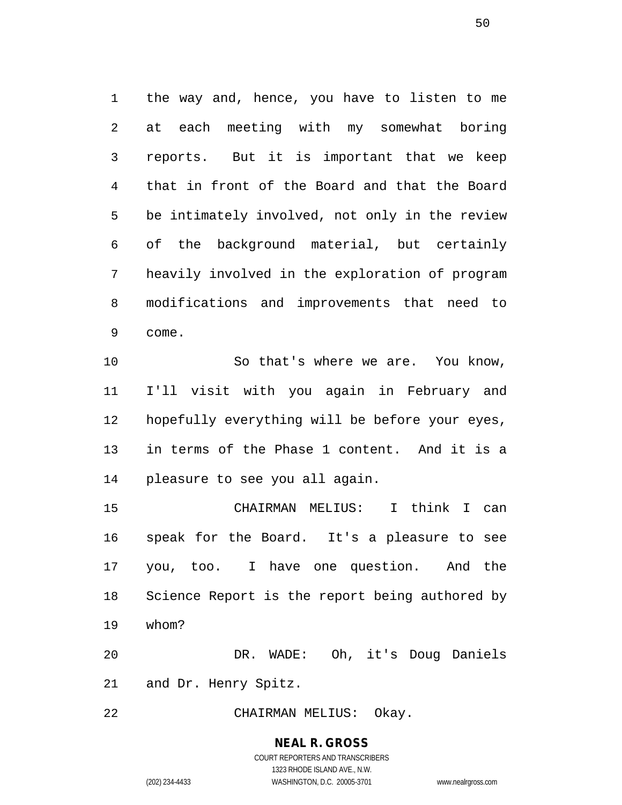the way and, hence, you have to listen to me at each meeting with my somewhat boring reports. But it is important that we keep that in front of the Board and that the Board be intimately involved, not only in the review of the background material, but certainly heavily involved in the exploration of program modifications and improvements that need to come.

 So that's where we are. You know, I'll visit with you again in February and hopefully everything will be before your eyes, in terms of the Phase 1 content. And it is a pleasure to see you all again.

 CHAIRMAN MELIUS: I think I can speak for the Board. It's a pleasure to see you, too. I have one question. And the Science Report is the report being authored by whom?

 DR. WADE: Oh, it's Doug Daniels and Dr. Henry Spitz.

CHAIRMAN MELIUS: Okay.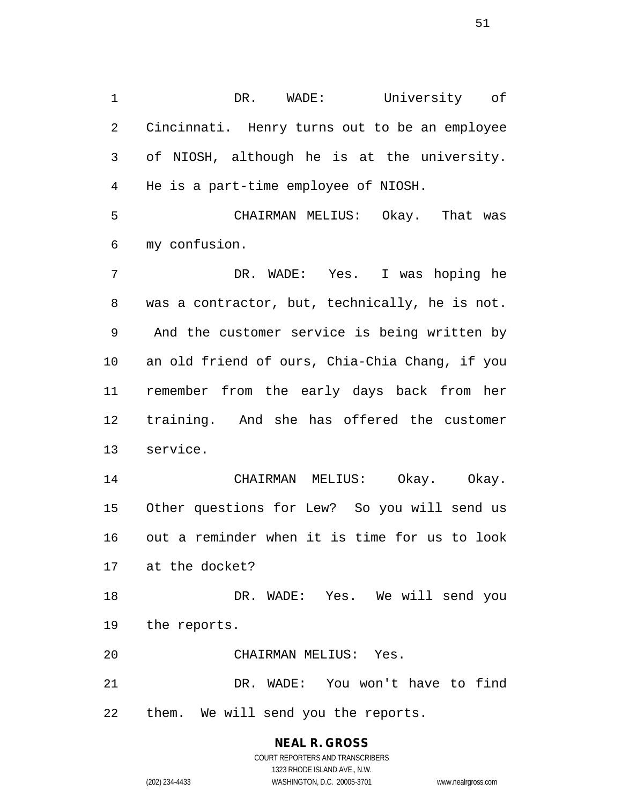DR. WADE: University of Cincinnati. Henry turns out to be an employee of NIOSH, although he is at the university. He is a part-time employee of NIOSH.

 CHAIRMAN MELIUS: Okay. That was my confusion.

 DR. WADE: Yes. I was hoping he was a contractor, but, technically, he is not. And the customer service is being written by an old friend of ours, Chia-Chia Chang, if you remember from the early days back from her training. And she has offered the customer service.

 CHAIRMAN MELIUS: Okay. Okay. Other questions for Lew? So you will send us out a reminder when it is time for us to look at the docket?

 DR. WADE: Yes. We will send you the reports.

CHAIRMAN MELIUS: Yes.

 DR. WADE: You won't have to find them. We will send you the reports.

# **NEAL R. GROSS**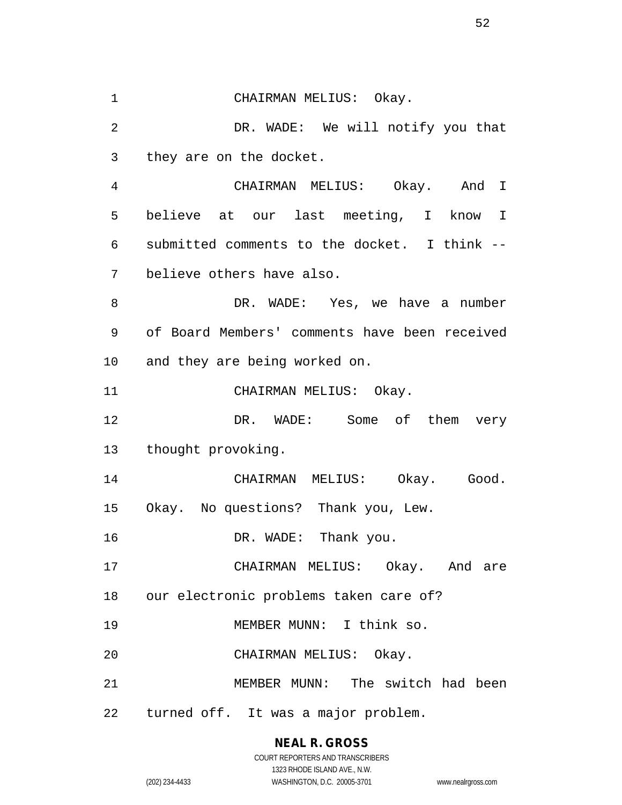CHAIRMAN MELIUS: Okay. DR. WADE: We will notify you that they are on the docket. CHAIRMAN MELIUS: Okay. And I believe at our last meeting, I know I submitted comments to the docket. I think -- believe others have also. 8 DR. WADE: Yes, we have a number of Board Members' comments have been received and they are being worked on. 11 CHAIRMAN MELIUS: Okay. 12 DR. WADE: Some of them very thought provoking. CHAIRMAN MELIUS: Okay. Good. Okay. No questions? Thank you, Lew. 16 DR. WADE: Thank you. CHAIRMAN MELIUS: Okay. And are our electronic problems taken care of? MEMBER MUNN: I think so. CHAIRMAN MELIUS: Okay. MEMBER MUNN: The switch had been turned off. It was a major problem.

### **NEAL R. GROSS**

COURT REPORTERS AND TRANSCRIBERS 1323 RHODE ISLAND AVE., N.W. (202) 234-4433 WASHINGTON, D.C. 20005-3701 www.nealrgross.com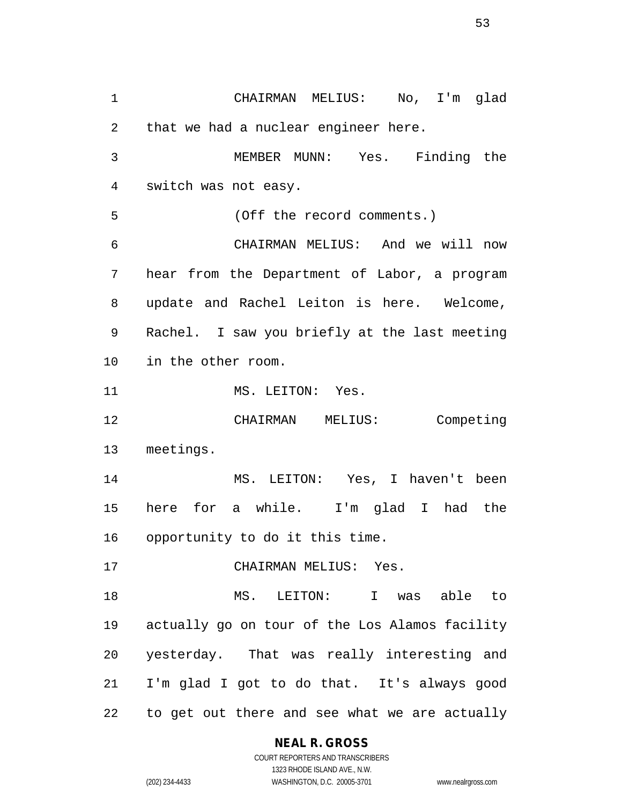CHAIRMAN MELIUS: No, I'm glad that we had a nuclear engineer here. MEMBER MUNN: Yes. Finding the switch was not easy. (Off the record comments.) CHAIRMAN MELIUS: And we will now hear from the Department of Labor, a program update and Rachel Leiton is here. Welcome, Rachel. I saw you briefly at the last meeting in the other room. 11 MS. LEITON: Yes. CHAIRMAN MELIUS: Competing meetings. MS. LEITON: Yes, I haven't been here for a while. I'm glad I had the opportunity to do it this time. CHAIRMAN MELIUS: Yes. MS. LEITON: I was able to actually go on tour of the Los Alamos facility yesterday. That was really interesting and I'm glad I got to do that. It's always good to get out there and see what we are actually

#### **NEAL R. GROSS** COURT REPORTERS AND TRANSCRIBERS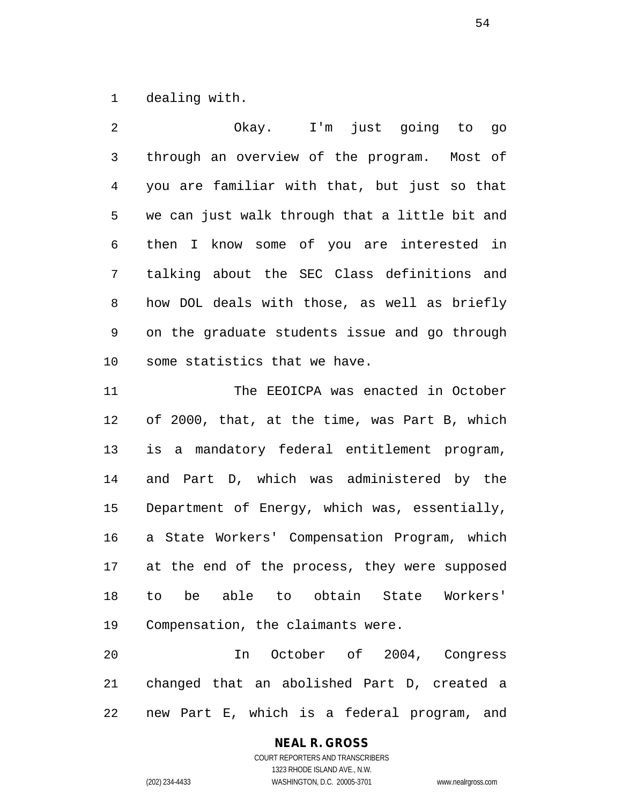dealing with.

 Okay. I'm just going to go through an overview of the program. Most of you are familiar with that, but just so that we can just walk through that a little bit and then I know some of you are interested in talking about the SEC Class definitions and how DOL deals with those, as well as briefly on the graduate students issue and go through some statistics that we have.

 The EEOICPA was enacted in October of 2000, that, at the time, was Part B, which is a mandatory federal entitlement program, and Part D, which was administered by the Department of Energy, which was, essentially, a State Workers' Compensation Program, which at the end of the process, they were supposed to be able to obtain State Workers' Compensation, the claimants were.

 In October of 2004, Congress changed that an abolished Part D, created a new Part E, which is a federal program, and

# **NEAL R. GROSS**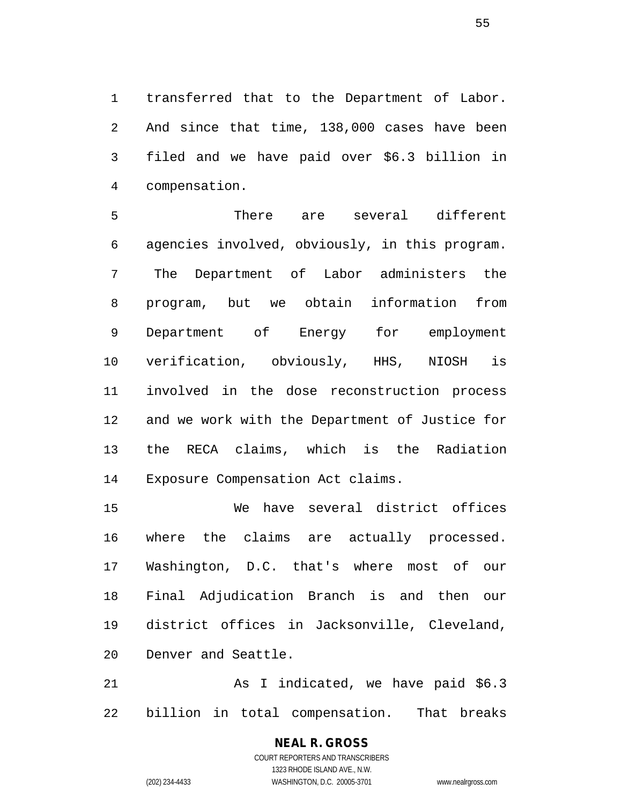transferred that to the Department of Labor. And since that time, 138,000 cases have been filed and we have paid over \$6.3 billion in compensation.

 There are several different agencies involved, obviously, in this program. The Department of Labor administers the program, but we obtain information from Department of Energy for employment verification, obviously, HHS, NIOSH is involved in the dose reconstruction process and we work with the Department of Justice for the RECA claims, which is the Radiation Exposure Compensation Act claims.

 We have several district offices where the claims are actually processed. Washington, D.C. that's where most of our Final Adjudication Branch is and then our district offices in Jacksonville, Cleveland, Denver and Seattle.

 As I indicated, we have paid \$6.3 billion in total compensation. That breaks

> **NEAL R. GROSS** COURT REPORTERS AND TRANSCRIBERS 1323 RHODE ISLAND AVE., N.W. (202) 234-4433 WASHINGTON, D.C. 20005-3701 www.nealrgross.com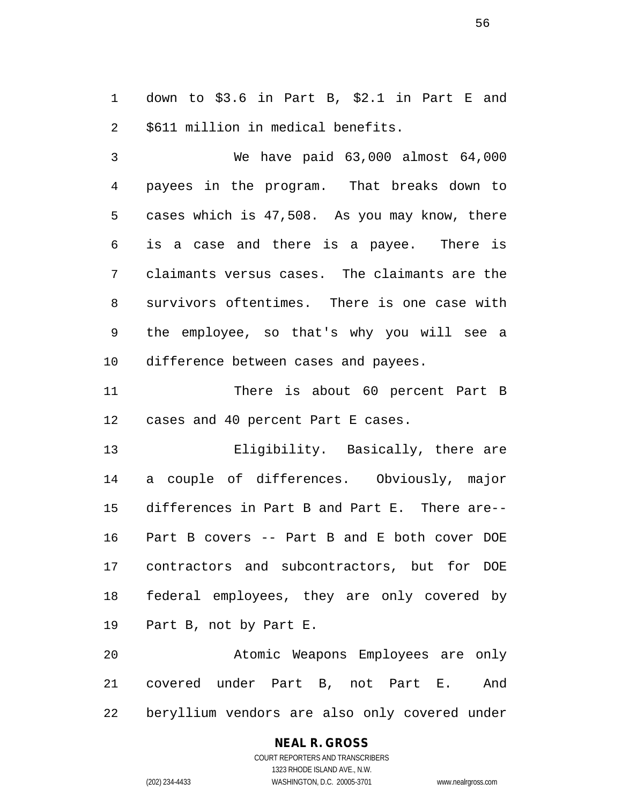down to \$3.6 in Part B, \$2.1 in Part E and \$611 million in medical benefits.

 We have paid 63,000 almost 64,000 payees in the program. That breaks down to cases which is 47,508. As you may know, there is a case and there is a payee. There is claimants versus cases. The claimants are the survivors oftentimes. There is one case with the employee, so that's why you will see a difference between cases and payees.

 There is about 60 percent Part B cases and 40 percent Part E cases.

 Eligibility. Basically, there are a couple of differences. Obviously, major differences in Part B and Part E. There are-- Part B covers -- Part B and E both cover DOE contractors and subcontractors, but for DOE federal employees, they are only covered by Part B, not by Part E.

 Atomic Weapons Employees are only covered under Part B, not Part E. And beryllium vendors are also only covered under

## **NEAL R. GROSS**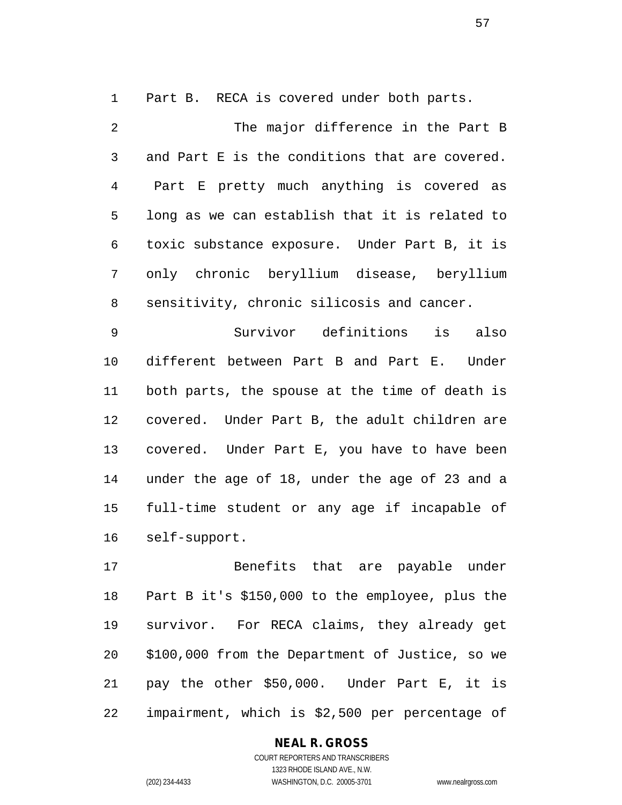Part B. RECA is covered under both parts.

 The major difference in the Part B and Part E is the conditions that are covered. Part E pretty much anything is covered as long as we can establish that it is related to toxic substance exposure. Under Part B, it is only chronic beryllium disease, beryllium sensitivity, chronic silicosis and cancer.

 Survivor definitions is also different between Part B and Part E. Under both parts, the spouse at the time of death is covered. Under Part B, the adult children are covered. Under Part E, you have to have been under the age of 18, under the age of 23 and a full-time student or any age if incapable of self-support.

 Benefits that are payable under Part B it's \$150,000 to the employee, plus the survivor. For RECA claims, they already get \$100,000 from the Department of Justice, so we pay the other \$50,000. Under Part E, it is impairment, which is \$2,500 per percentage of

### **NEAL R. GROSS**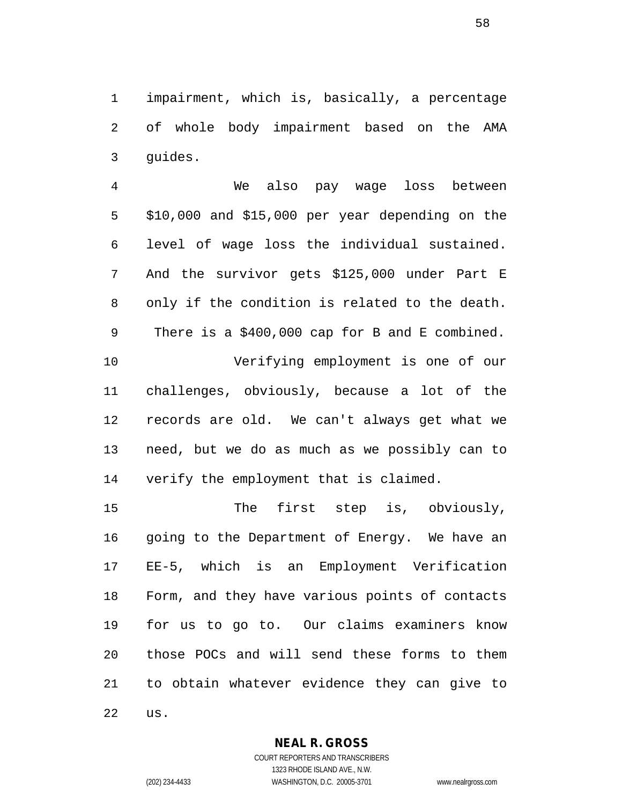impairment, which is, basically, a percentage of whole body impairment based on the AMA guides.

 We also pay wage loss between \$10,000 and \$15,000 per year depending on the level of wage loss the individual sustained. And the survivor gets \$125,000 under Part E only if the condition is related to the death. There is a \$400,000 cap for B and E combined. Verifying employment is one of our challenges, obviously, because a lot of the records are old. We can't always get what we need, but we do as much as we possibly can to verify the employment that is claimed.

15 The first step is, obviously, 16 going to the Department of Energy. We have an EE-5, which is an Employment Verification Form, and they have various points of contacts for us to go to. Our claims examiners know those POCs and will send these forms to them to obtain whatever evidence they can give to us.

### **NEAL R. GROSS**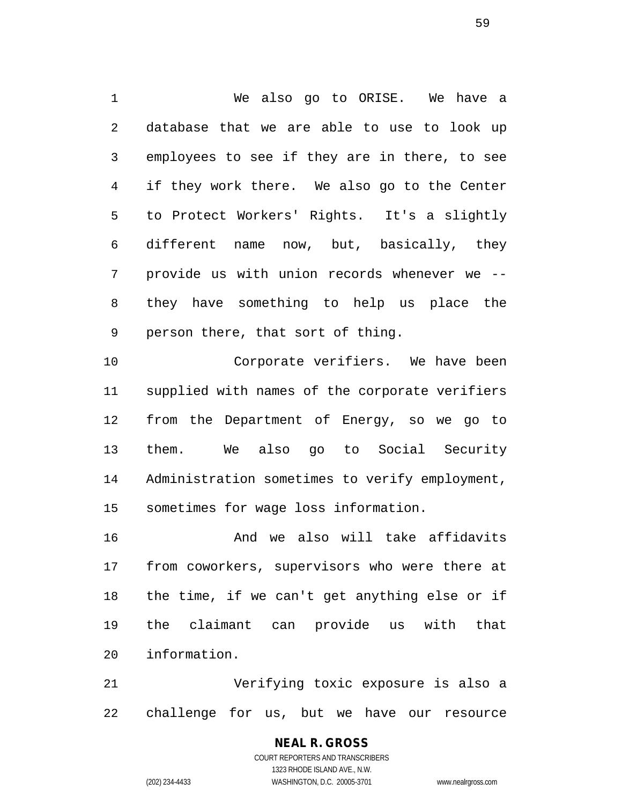We also go to ORISE. We have a database that we are able to use to look up employees to see if they are in there, to see if they work there. We also go to the Center to Protect Workers' Rights. It's a slightly different name now, but, basically, they provide us with union records whenever we -- they have something to help us place the person there, that sort of thing.

 Corporate verifiers. We have been supplied with names of the corporate verifiers from the Department of Energy, so we go to them. We also go to Social Security Administration sometimes to verify employment, sometimes for wage loss information.

 And we also will take affidavits from coworkers, supervisors who were there at the time, if we can't get anything else or if the claimant can provide us with that information.

 Verifying toxic exposure is also a challenge for us, but we have our resource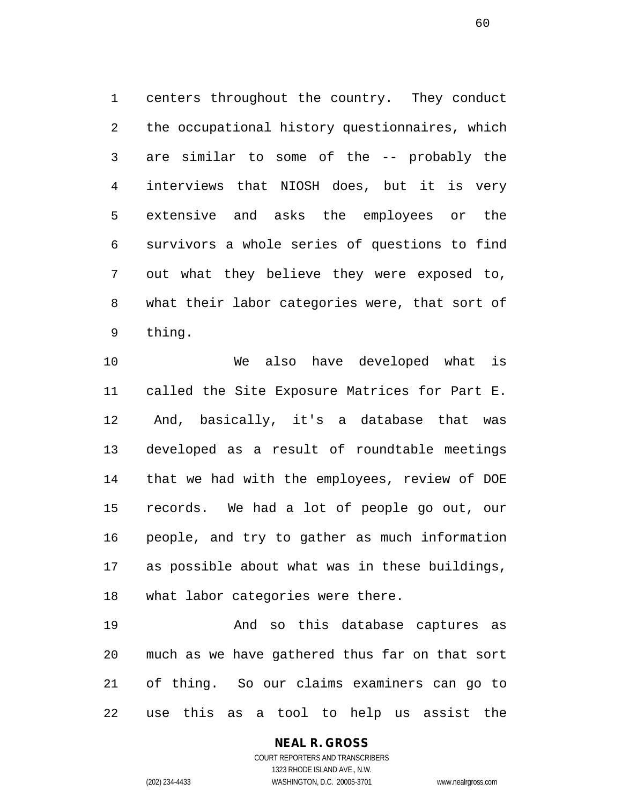centers throughout the country. They conduct the occupational history questionnaires, which are similar to some of the -- probably the interviews that NIOSH does, but it is very extensive and asks the employees or the survivors a whole series of questions to find out what they believe they were exposed to, what their labor categories were, that sort of thing.

 We also have developed what is called the Site Exposure Matrices for Part E. And, basically, it's a database that was developed as a result of roundtable meetings that we had with the employees, review of DOE records. We had a lot of people go out, our people, and try to gather as much information as possible about what was in these buildings, what labor categories were there.

 And so this database captures as much as we have gathered thus far on that sort of thing. So our claims examiners can go to use this as a tool to help us assist the

#### **NEAL R. GROSS** COURT REPORTERS AND TRANSCRIBERS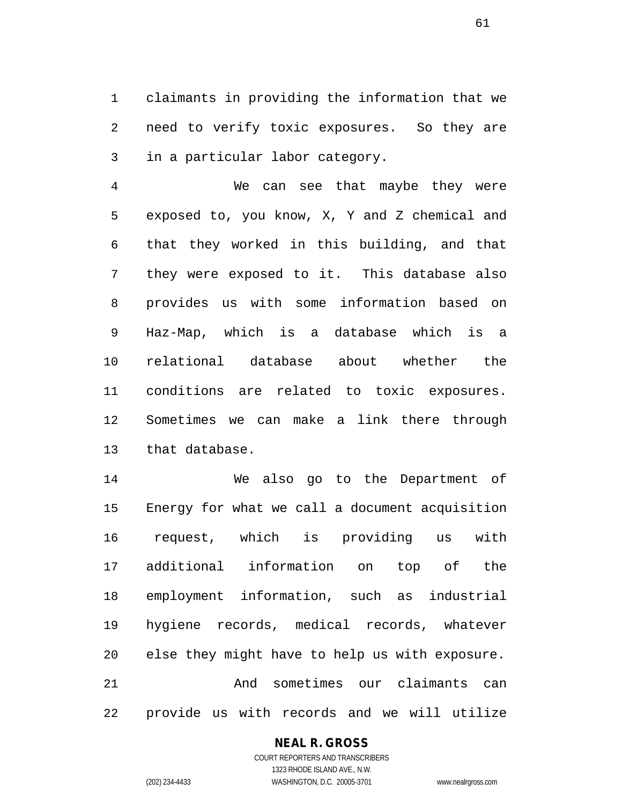claimants in providing the information that we need to verify toxic exposures. So they are in a particular labor category.

 We can see that maybe they were exposed to, you know, X, Y and Z chemical and that they worked in this building, and that they were exposed to it. This database also provides us with some information based on Haz-Map, which is a database which is a relational database about whether the conditions are related to toxic exposures. Sometimes we can make a link there through that database.

 We also go to the Department of Energy for what we call a document acquisition request, which is providing us with additional information on top of the employment information, such as industrial hygiene records, medical records, whatever else they might have to help us with exposure. And sometimes our claimants can provide us with records and we will utilize

### **NEAL R. GROSS**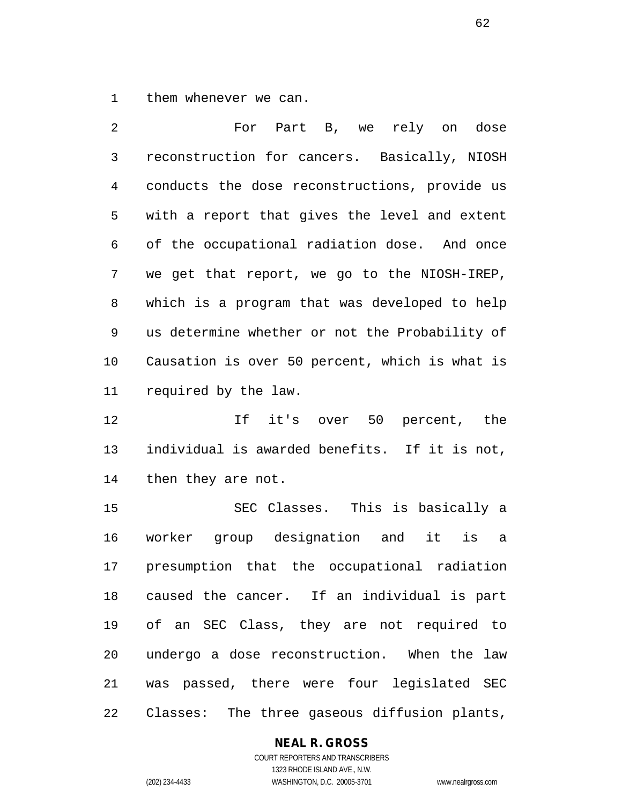them whenever we can.

 For Part B, we rely on dose reconstruction for cancers. Basically, NIOSH conducts the dose reconstructions, provide us with a report that gives the level and extent of the occupational radiation dose. And once we get that report, we go to the NIOSH-IREP, which is a program that was developed to help us determine whether or not the Probability of Causation is over 50 percent, which is what is required by the law.

 If it's over 50 percent, the individual is awarded benefits. If it is not, then they are not.

 SEC Classes. This is basically a worker group designation and it is a presumption that the occupational radiation caused the cancer. If an individual is part of an SEC Class, they are not required to undergo a dose reconstruction. When the law was passed, there were four legislated SEC Classes: The three gaseous diffusion plants,

#### **NEAL R. GROSS**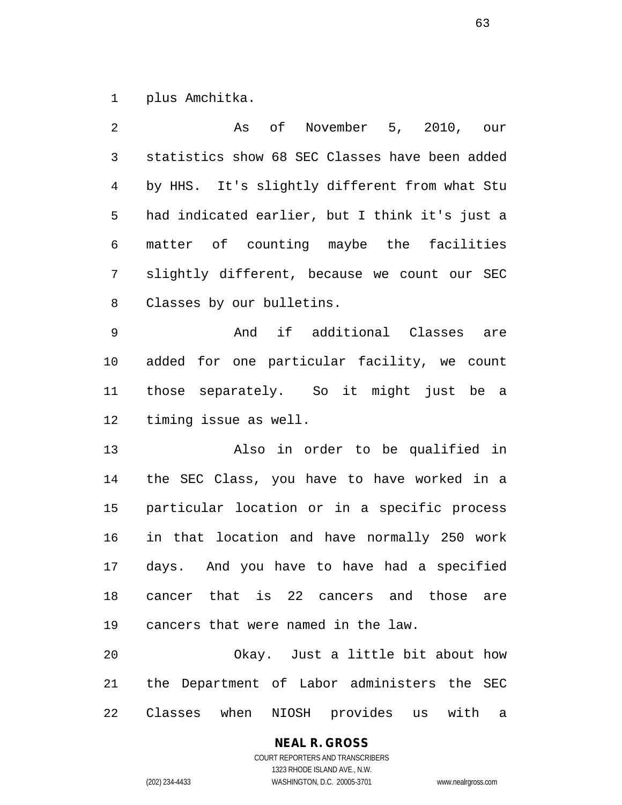plus Amchitka.

| 2              | As of November 5, 2010, our                    |
|----------------|------------------------------------------------|
| 3              | statistics show 68 SEC Classes have been added |
| $\overline{4}$ | by HHS. It's slightly different from what Stu  |
| 5              | had indicated earlier, but I think it's just a |
| 6              | matter of counting maybe the facilities        |
| 7              | slightly different, because we count our SEC   |
| 8              | Classes by our bulletins.                      |
| 9              | And if additional Classes are                  |
| 10             | added for one particular facility, we count    |
| 11             | those separately. So it might just be a        |
| 12             | timing issue as well.                          |
| 13             | Also in order to be qualified in               |
| 14             | the SEC Class, you have to have worked in a    |
| 15             | particular location or in a specific process   |
| 16             | in that location and have normally 250 work    |
| 17             | days. And you have to have had a specified     |
| 18             | cancer that is 22 cancers and those are        |
| 19             | cancers that were named in the law.            |
| 20             | Okay. Just a little bit about how              |
| 21             | the Department of Labor administers the SEC    |
| 22             | Classes when NIOSH provides us with<br>а       |

**NEAL R. GROSS**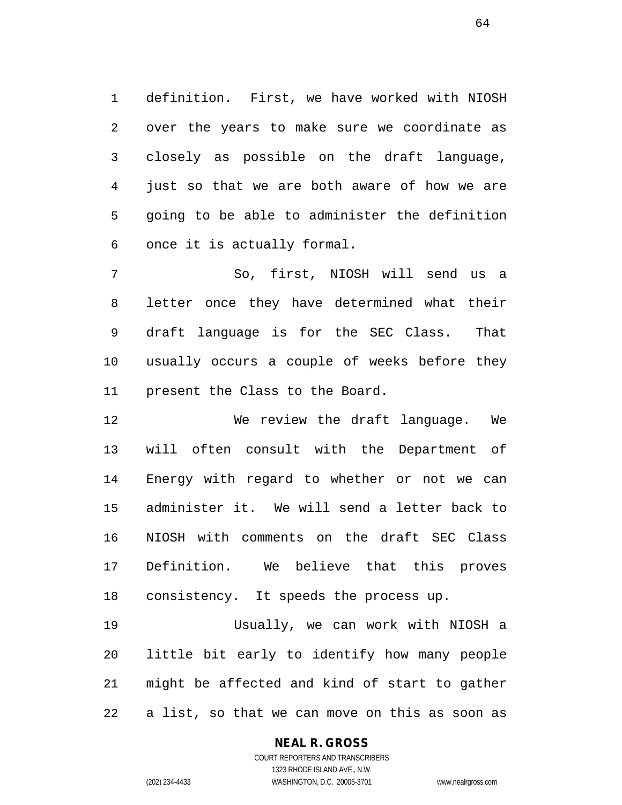definition. First, we have worked with NIOSH over the years to make sure we coordinate as closely as possible on the draft language, just so that we are both aware of how we are going to be able to administer the definition once it is actually formal.

 So, first, NIOSH will send us a letter once they have determined what their draft language is for the SEC Class. That usually occurs a couple of weeks before they present the Class to the Board.

 We review the draft language. We will often consult with the Department of Energy with regard to whether or not we can administer it. We will send a letter back to NIOSH with comments on the draft SEC Class Definition. We believe that this proves consistency. It speeds the process up.

 Usually, we can work with NIOSH a little bit early to identify how many people might be affected and kind of start to gather a list, so that we can move on this as soon as

### **NEAL R. GROSS**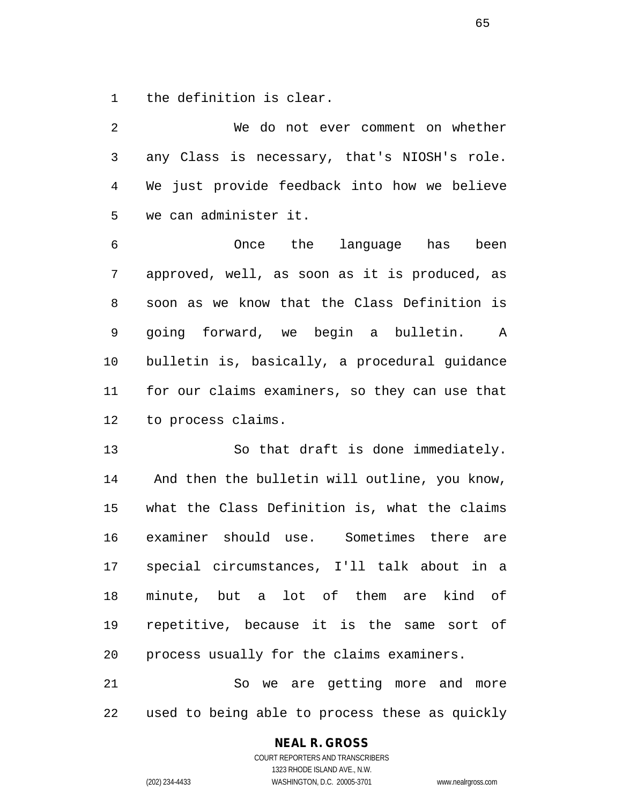the definition is clear.

 We do not ever comment on whether any Class is necessary, that's NIOSH's role. We just provide feedback into how we believe we can administer it. Once the language has been approved, well, as soon as it is produced, as soon as we know that the Class Definition is going forward, we begin a bulletin. A bulletin is, basically, a procedural guidance for our claims examiners, so they can use that to process claims. 13 So that draft is done immediately.

 And then the bulletin will outline, you know, what the Class Definition is, what the claims examiner should use. Sometimes there are special circumstances, I'll talk about in a minute, but a lot of them are kind of repetitive, because it is the same sort of process usually for the claims examiners.

 So we are getting more and more used to being able to process these as quickly

### **NEAL R. GROSS**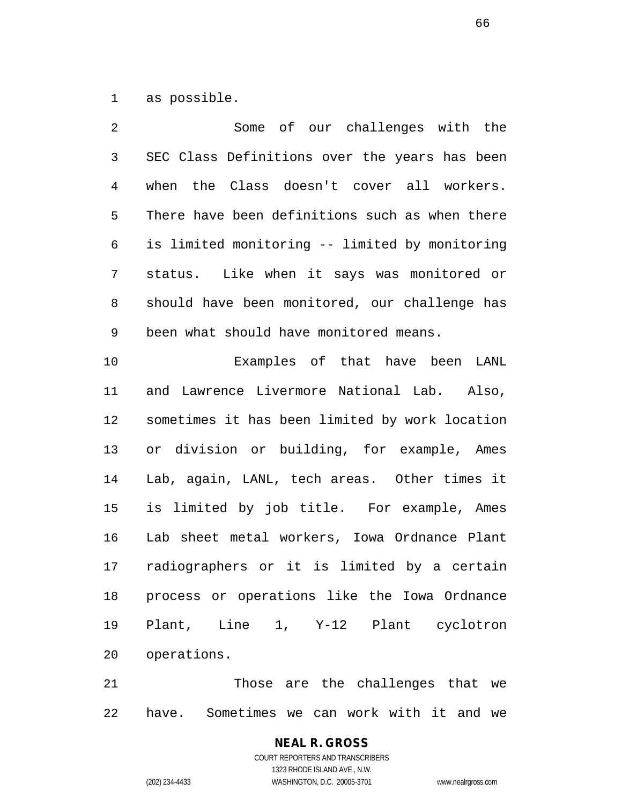as possible.

| 2              | Some of our challenges with the                |
|----------------|------------------------------------------------|
| $\mathfrak{Z}$ | SEC Class Definitions over the years has been  |
| $\overline{4}$ | when the Class doesn't cover all workers.      |
| 5              | There have been definitions such as when there |
| 6              | is limited monitoring -- limited by monitoring |
| 7              | status. Like when it says was monitored or     |
| 8              | should have been monitored, our challenge has  |
| 9              | been what should have monitored means.         |
| 10             | Examples of that have been LANL                |
| 11             | and Lawrence Livermore National Lab. Also,     |
| 12             | sometimes it has been limited by work location |
| 13             | or division or building, for example, Ames     |
| 14             | Lab, again, LANL, tech areas. Other times it   |
| 15             | is limited by job title. For example, Ames     |
| 16             | Lab sheet metal workers, Iowa Ordnance Plant   |
| 17             | radiographers or it is limited by a certain    |
| $18\,$         | process or operations like the Iowa Ordnance   |
| 19             | Plant, Line 1, Y-12 Plant cyclotron            |
| 20             | operations.                                    |
|                |                                                |

 Those are the challenges that we have. Sometimes we can work with it and we

## **NEAL R. GROSS** COURT REPORTERS AND TRANSCRIBERS 1323 RHODE ISLAND AVE., N.W.

(202) 234-4433 WASHINGTON, D.C. 20005-3701 www.nealrgross.com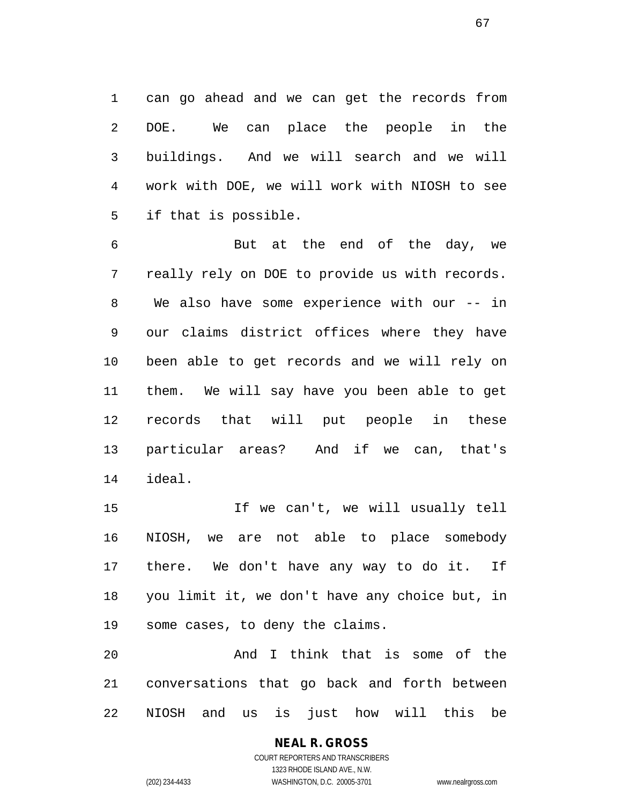can go ahead and we can get the records from DOE. We can place the people in the buildings. And we will search and we will work with DOE, we will work with NIOSH to see if that is possible.

 But at the end of the day, we really rely on DOE to provide us with records. We also have some experience with our -- in our claims district offices where they have been able to get records and we will rely on them. We will say have you been able to get records that will put people in these particular areas? And if we can, that's ideal.

 If we can't, we will usually tell NIOSH, we are not able to place somebody there. We don't have any way to do it. If you limit it, we don't have any choice but, in some cases, to deny the claims.

 And I think that is some of the conversations that go back and forth between NIOSH and us is just how will this be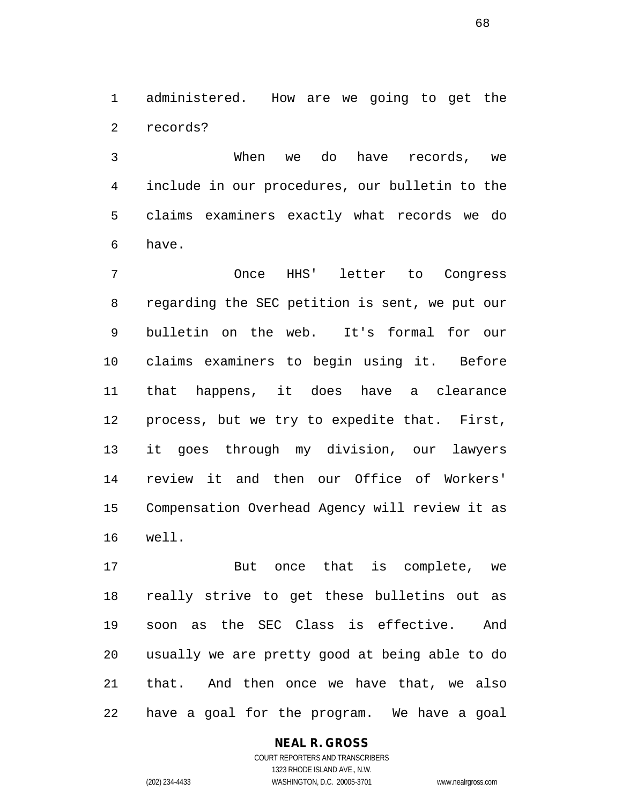administered. How are we going to get the records?

 When we do have records, we include in our procedures, our bulletin to the claims examiners exactly what records we do have.

 Once HHS' letter to Congress regarding the SEC petition is sent, we put our bulletin on the web. It's formal for our claims examiners to begin using it. Before that happens, it does have a clearance process, but we try to expedite that. First, it goes through my division, our lawyers review it and then our Office of Workers' Compensation Overhead Agency will review it as well.

 But once that is complete, we really strive to get these bulletins out as soon as the SEC Class is effective. And usually we are pretty good at being able to do that. And then once we have that, we also have a goal for the program. We have a goal

## **NEAL R. GROSS**

COURT REPORTERS AND TRANSCRIBERS 1323 RHODE ISLAND AVE., N.W. (202) 234-4433 WASHINGTON, D.C. 20005-3701 www.nealrgross.com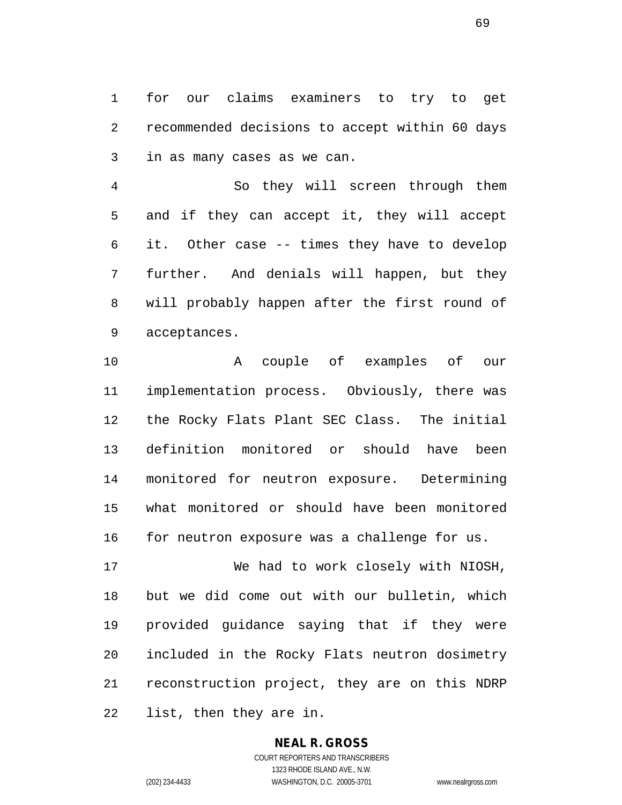for our claims examiners to try to get recommended decisions to accept within 60 days in as many cases as we can.

 So they will screen through them and if they can accept it, they will accept it. Other case -- times they have to develop further. And denials will happen, but they will probably happen after the first round of acceptances.

 A couple of examples of our implementation process. Obviously, there was the Rocky Flats Plant SEC Class. The initial definition monitored or should have been monitored for neutron exposure. Determining what monitored or should have been monitored for neutron exposure was a challenge for us.

 We had to work closely with NIOSH, but we did come out with our bulletin, which provided guidance saying that if they were included in the Rocky Flats neutron dosimetry reconstruction project, they are on this NDRP list, then they are in.

# **NEAL R. GROSS**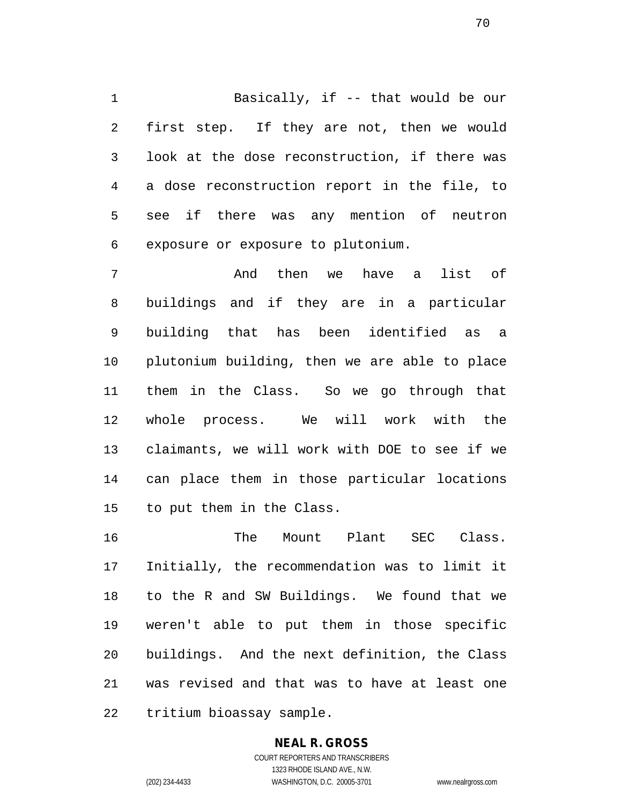Basically, if -- that would be our first step. If they are not, then we would look at the dose reconstruction, if there was a dose reconstruction report in the file, to see if there was any mention of neutron exposure or exposure to plutonium.

 And then we have a list of buildings and if they are in a particular building that has been identified as a plutonium building, then we are able to place them in the Class. So we go through that whole process. We will work with the claimants, we will work with DOE to see if we can place them in those particular locations to put them in the Class.

 The Mount Plant SEC Class. Initially, the recommendation was to limit it to the R and SW Buildings. We found that we weren't able to put them in those specific buildings. And the next definition, the Class was revised and that was to have at least one tritium bioassay sample.

# **NEAL R. GROSS**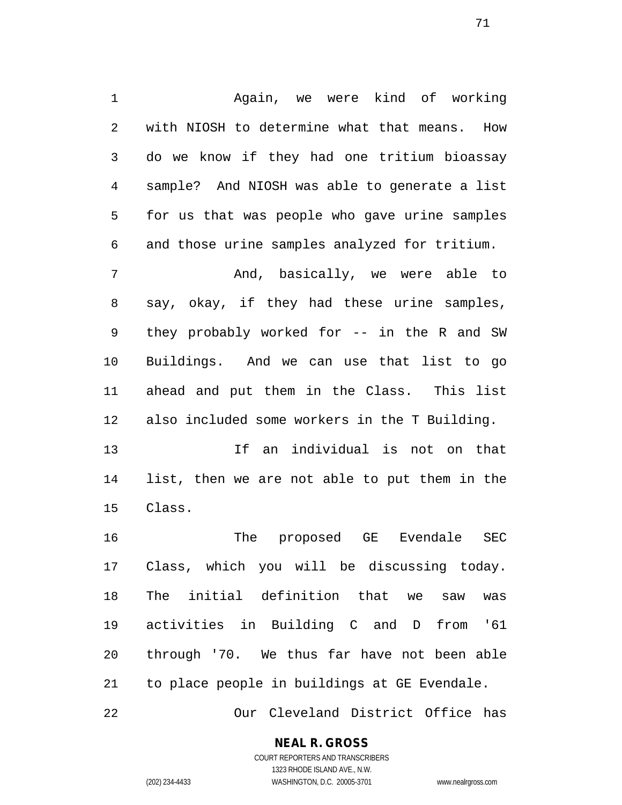Again, we were kind of working with NIOSH to determine what that means. How do we know if they had one tritium bioassay sample? And NIOSH was able to generate a list for us that was people who gave urine samples and those urine samples analyzed for tritium. And, basically, we were able to say, okay, if they had these urine samples, they probably worked for -- in the R and SW Buildings. And we can use that list to go

 ahead and put them in the Class. This list also included some workers in the T Building.

 If an individual is not on that list, then we are not able to put them in the Class.

 The proposed GE Evendale SEC Class, which you will be discussing today. The initial definition that we saw was activities in Building C and D from '61 through '70. We thus far have not been able to place people in buildings at GE Evendale.

Our Cleveland District Office has

**NEAL R. GROSS**

COURT REPORTERS AND TRANSCRIBERS 1323 RHODE ISLAND AVE., N.W. (202) 234-4433 WASHINGTON, D.C. 20005-3701 www.nealrgross.com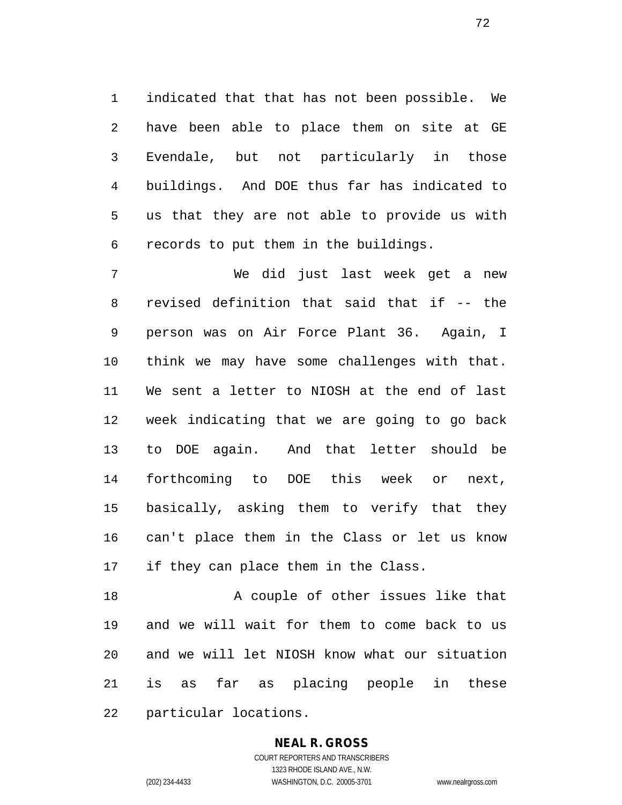indicated that that has not been possible. We have been able to place them on site at GE Evendale, but not particularly in those buildings. And DOE thus far has indicated to us that they are not able to provide us with records to put them in the buildings.

 We did just last week get a new revised definition that said that if -- the person was on Air Force Plant 36. Again, I think we may have some challenges with that. We sent a letter to NIOSH at the end of last week indicating that we are going to go back to DOE again. And that letter should be forthcoming to DOE this week or next, basically, asking them to verify that they can't place them in the Class or let us know if they can place them in the Class.

18 A couple of other issues like that and we will wait for them to come back to us and we will let NIOSH know what our situation is as far as placing people in these particular locations.

#### **NEAL R. GROSS**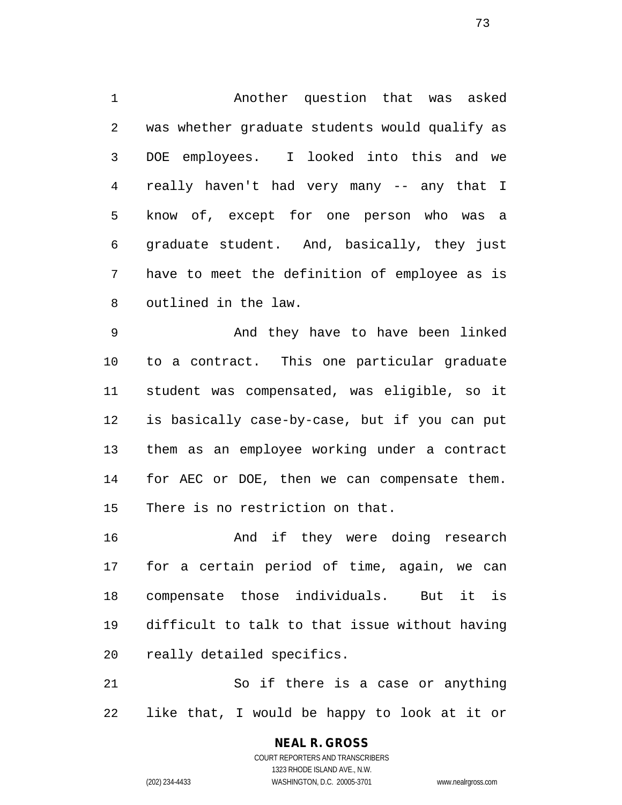Another question that was asked was whether graduate students would qualify as DOE employees. I looked into this and we really haven't had very many -- any that I know of, except for one person who was a graduate student. And, basically, they just have to meet the definition of employee as is outlined in the law.

 And they have to have been linked to a contract. This one particular graduate student was compensated, was eligible, so it is basically case-by-case, but if you can put them as an employee working under a contract for AEC or DOE, then we can compensate them. There is no restriction on that.

 And if they were doing research for a certain period of time, again, we can compensate those individuals. But it is difficult to talk to that issue without having really detailed specifics.

 So if there is a case or anything like that, I would be happy to look at it or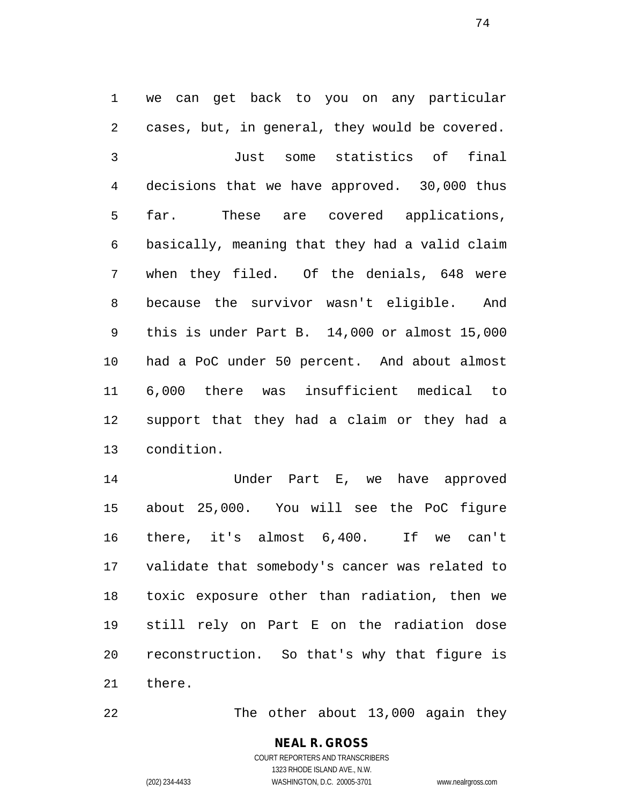we can get back to you on any particular cases, but, in general, they would be covered. Just some statistics of final decisions that we have approved. 30,000 thus far. These are covered applications, basically, meaning that they had a valid claim when they filed. Of the denials, 648 were because the survivor wasn't eligible. And this is under Part B. 14,000 or almost 15,000 had a PoC under 50 percent. And about almost 6,000 there was insufficient medical to support that they had a claim or they had a condition.

 Under Part E, we have approved about 25,000. You will see the PoC figure there, it's almost 6,400. If we can't validate that somebody's cancer was related to toxic exposure other than radiation, then we still rely on Part E on the radiation dose reconstruction. So that's why that figure is there.

22 The other about 13,000 again they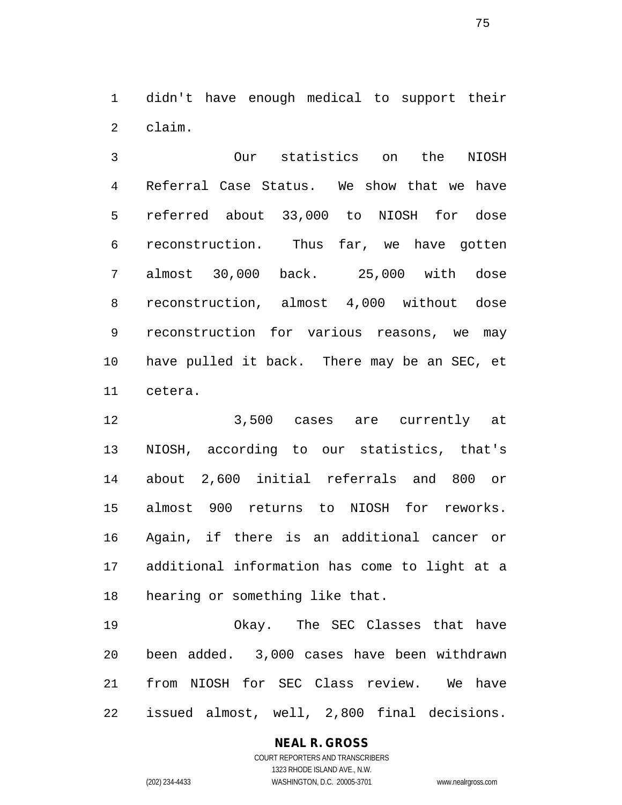didn't have enough medical to support their claim.

 Our statistics on the NIOSH Referral Case Status. We show that we have referred about 33,000 to NIOSH for dose reconstruction. Thus far, we have gotten almost 30,000 back. 25,000 with dose reconstruction, almost 4,000 without dose reconstruction for various reasons, we may have pulled it back. There may be an SEC, et cetera.

 3,500 cases are currently at NIOSH, according to our statistics, that's about 2,600 initial referrals and 800 or almost 900 returns to NIOSH for reworks. Again, if there is an additional cancer or additional information has come to light at a hearing or something like that.

 Okay. The SEC Classes that have been added. 3,000 cases have been withdrawn from NIOSH for SEC Class review. We have issued almost, well, 2,800 final decisions.

### **NEAL R. GROSS**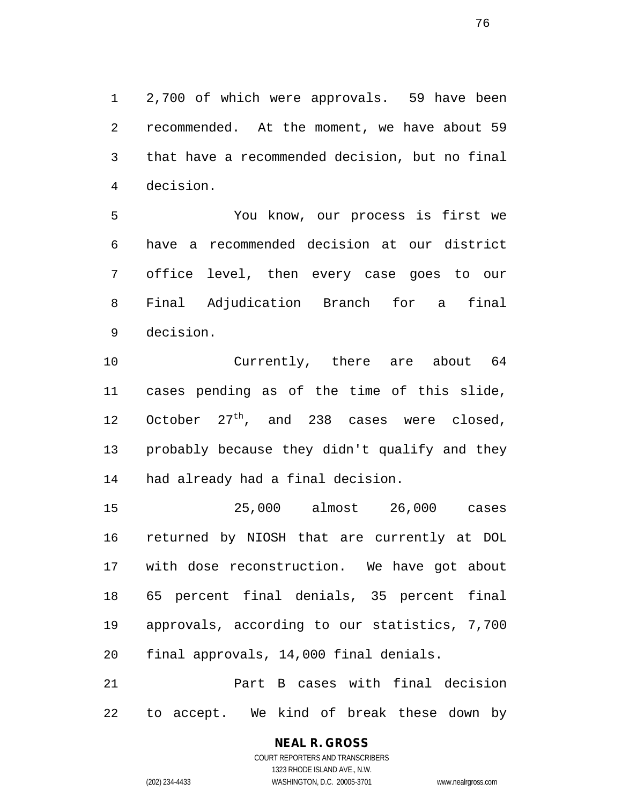2,700 of which were approvals. 59 have been recommended. At the moment, we have about 59 that have a recommended decision, but no final decision.

 You know, our process is first we have a recommended decision at our district office level, then every case goes to our Final Adjudication Branch for a final decision.

 Currently, there are about 64 cases pending as of the time of this slide, 12 October  $27<sup>th</sup>$ , and 238 cases were closed, probably because they didn't qualify and they had already had a final decision.

 25,000 almost 26,000 cases returned by NIOSH that are currently at DOL with dose reconstruction. We have got about 65 percent final denials, 35 percent final approvals, according to our statistics, 7,700 final approvals, 14,000 final denials.

 Part B cases with final decision to accept. We kind of break these down by

**NEAL R. GROSS**

COURT REPORTERS AND TRANSCRIBERS 1323 RHODE ISLAND AVE., N.W. (202) 234-4433 WASHINGTON, D.C. 20005-3701 www.nealrgross.com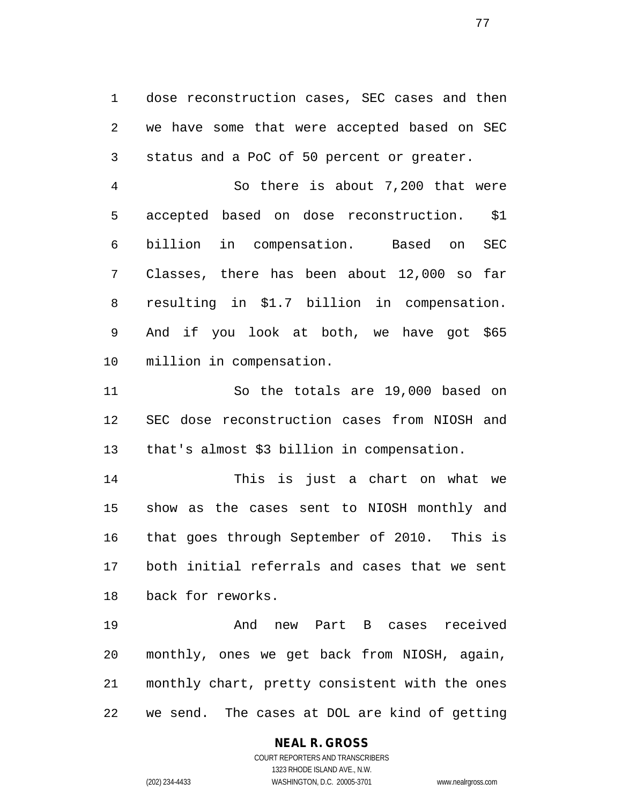dose reconstruction cases, SEC cases and then we have some that were accepted based on SEC status and a PoC of 50 percent or greater.

 So there is about 7,200 that were accepted based on dose reconstruction. \$1 billion in compensation. Based on SEC Classes, there has been about 12,000 so far resulting in \$1.7 billion in compensation. And if you look at both, we have got \$65 million in compensation.

 So the totals are 19,000 based on SEC dose reconstruction cases from NIOSH and that's almost \$3 billion in compensation.

 This is just a chart on what we show as the cases sent to NIOSH monthly and that goes through September of 2010. This is both initial referrals and cases that we sent back for reworks.

 And new Part B cases received monthly, ones we get back from NIOSH, again, monthly chart, pretty consistent with the ones we send. The cases at DOL are kind of getting

### **NEAL R. GROSS**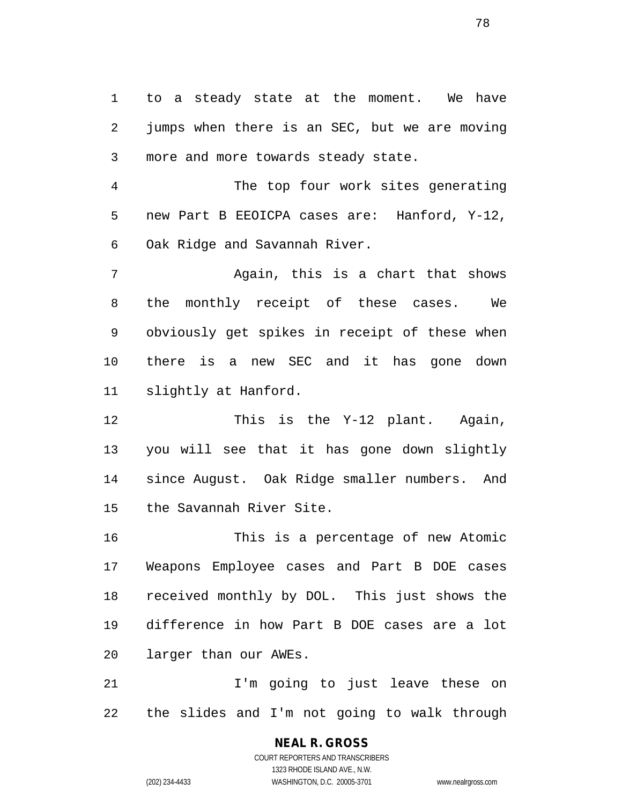to a steady state at the moment. We have jumps when there is an SEC, but we are moving more and more towards steady state.

 The top four work sites generating new Part B EEOICPA cases are: Hanford, Y-12, Oak Ridge and Savannah River.

 Again, this is a chart that shows the monthly receipt of these cases. We obviously get spikes in receipt of these when there is a new SEC and it has gone down slightly at Hanford.

 This is the Y-12 plant. Again, you will see that it has gone down slightly since August. Oak Ridge smaller numbers. And the Savannah River Site.

 This is a percentage of new Atomic Weapons Employee cases and Part B DOE cases received monthly by DOL. This just shows the difference in how Part B DOE cases are a lot larger than our AWEs.

 I'm going to just leave these on the slides and I'm not going to walk through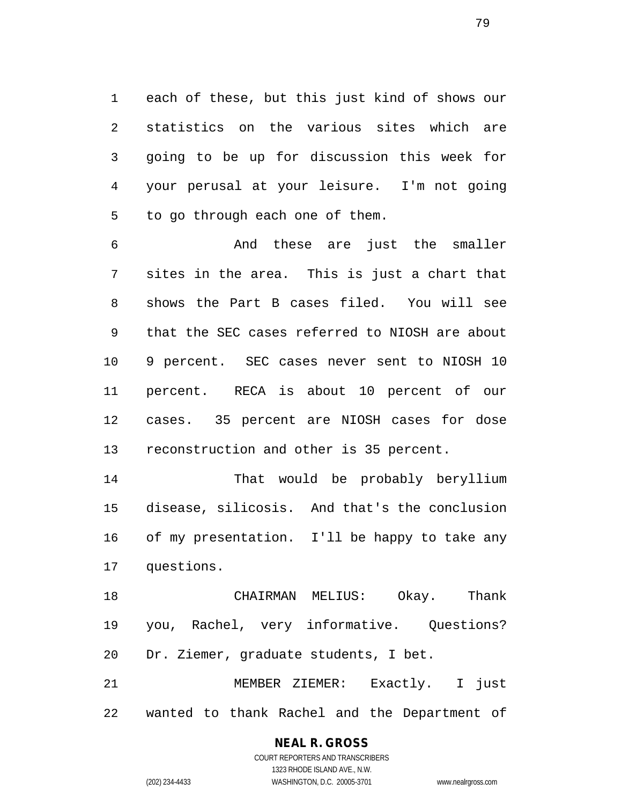each of these, but this just kind of shows our statistics on the various sites which are going to be up for discussion this week for your perusal at your leisure. I'm not going to go through each one of them.

 And these are just the smaller sites in the area. This is just a chart that shows the Part B cases filed. You will see that the SEC cases referred to NIOSH are about 9 percent. SEC cases never sent to NIOSH 10 percent. RECA is about 10 percent of our cases. 35 percent are NIOSH cases for dose reconstruction and other is 35 percent.

 That would be probably beryllium disease, silicosis. And that's the conclusion of my presentation. I'll be happy to take any questions.

 CHAIRMAN MELIUS: Okay. Thank you, Rachel, very informative. Questions? Dr. Ziemer, graduate students, I bet.

 MEMBER ZIEMER: Exactly. I just wanted to thank Rachel and the Department of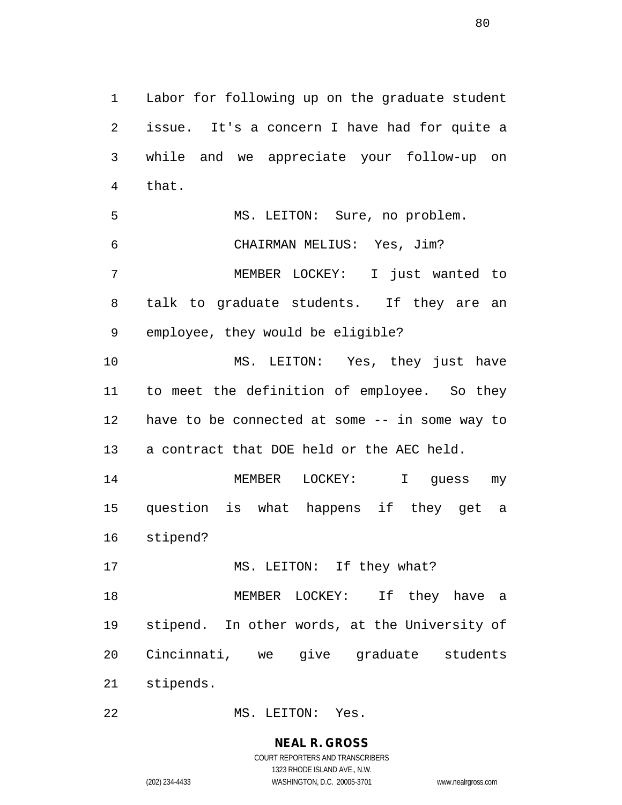Labor for following up on the graduate student issue. It's a concern I have had for quite a while and we appreciate your follow-up on that. MS. LEITON: Sure, no problem. CHAIRMAN MELIUS: Yes, Jim? MEMBER LOCKEY: I just wanted to talk to graduate students. If they are an employee, they would be eligible? MS. LEITON: Yes, they just have to meet the definition of employee. So they have to be connected at some -- in some way to a contract that DOE held or the AEC held. MEMBER LOCKEY: I guess my question is what happens if they get a stipend? 17 MS. LEITON: If they what? MEMBER LOCKEY: If they have a stipend. In other words, at the University of Cincinnati, we give graduate students stipends.

MS. LEITON: Yes.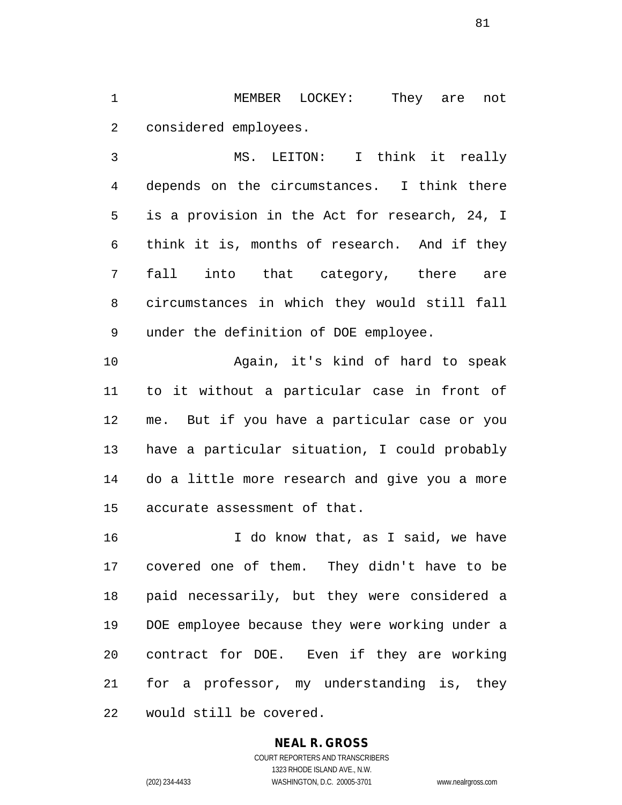MEMBER LOCKEY: They are not considered employees.

 MS. LEITON: I think it really depends on the circumstances. I think there is a provision in the Act for research, 24, I think it is, months of research. And if they fall into that category, there are circumstances in which they would still fall under the definition of DOE employee.

 Again, it's kind of hard to speak to it without a particular case in front of me. But if you have a particular case or you have a particular situation, I could probably do a little more research and give you a more accurate assessment of that.

16 16 I do know that, as I said, we have covered one of them. They didn't have to be paid necessarily, but they were considered a DOE employee because they were working under a contract for DOE. Even if they are working for a professor, my understanding is, they would still be covered.

### **NEAL R. GROSS**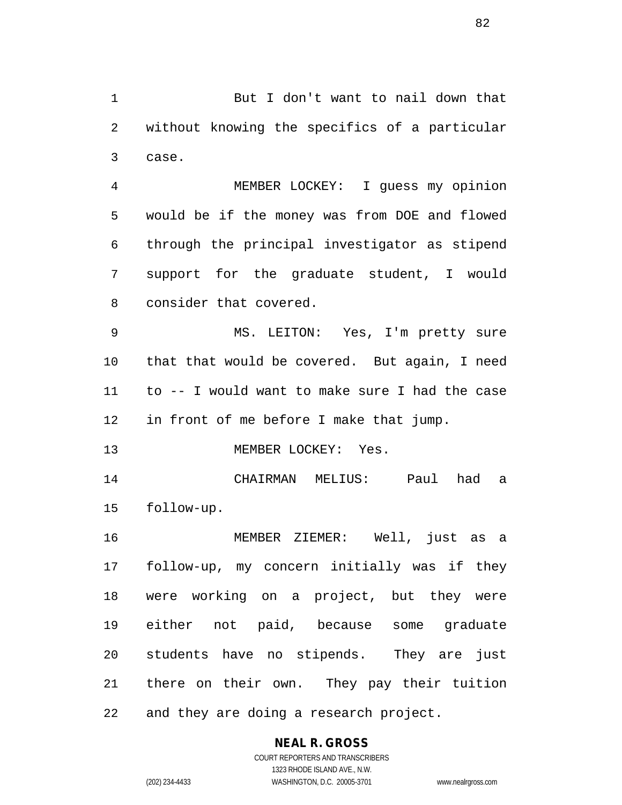But I don't want to nail down that without knowing the specifics of a particular case.

 MEMBER LOCKEY: I guess my opinion would be if the money was from DOE and flowed through the principal investigator as stipend support for the graduate student, I would consider that covered.

 MS. LEITON: Yes, I'm pretty sure that that would be covered. But again, I need to -- I would want to make sure I had the case in front of me before I make that jump.

MEMBER LOCKEY: Yes.

 CHAIRMAN MELIUS: Paul had a follow-up.

 MEMBER ZIEMER: Well, just as a follow-up, my concern initially was if they were working on a project, but they were either not paid, because some graduate students have no stipends. They are just there on their own. They pay their tuition and they are doing a research project.

### **NEAL R. GROSS**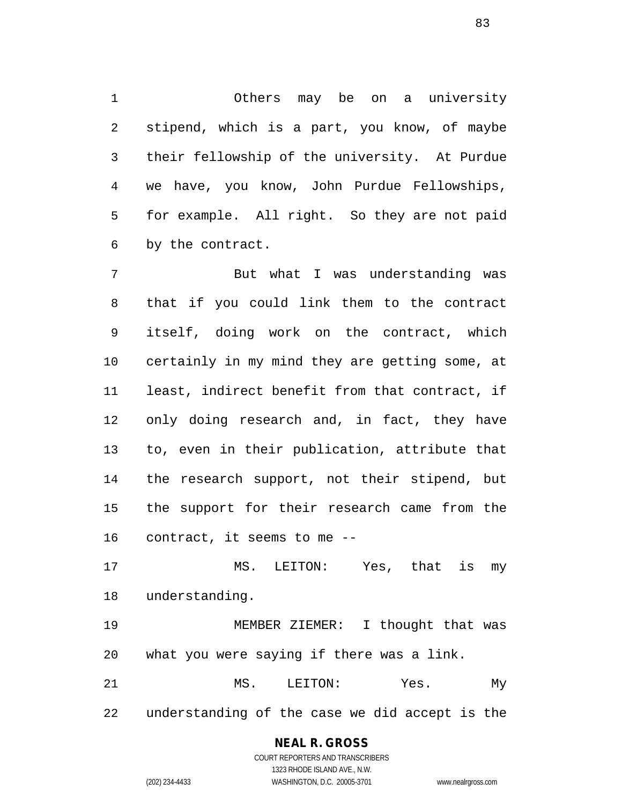Others may be on a university stipend, which is a part, you know, of maybe their fellowship of the university. At Purdue we have, you know, John Purdue Fellowships, for example. All right. So they are not paid by the contract.

 But what I was understanding was that if you could link them to the contract itself, doing work on the contract, which certainly in my mind they are getting some, at least, indirect benefit from that contract, if only doing research and, in fact, they have to, even in their publication, attribute that the research support, not their stipend, but the support for their research came from the contract, it seems to me --

 MS. LEITON: Yes, that is my understanding.

 MEMBER ZIEMER: I thought that was what you were saying if there was a link.

21 MS. LEITON: Yes. My understanding of the case we did accept is the

## **NEAL R. GROSS**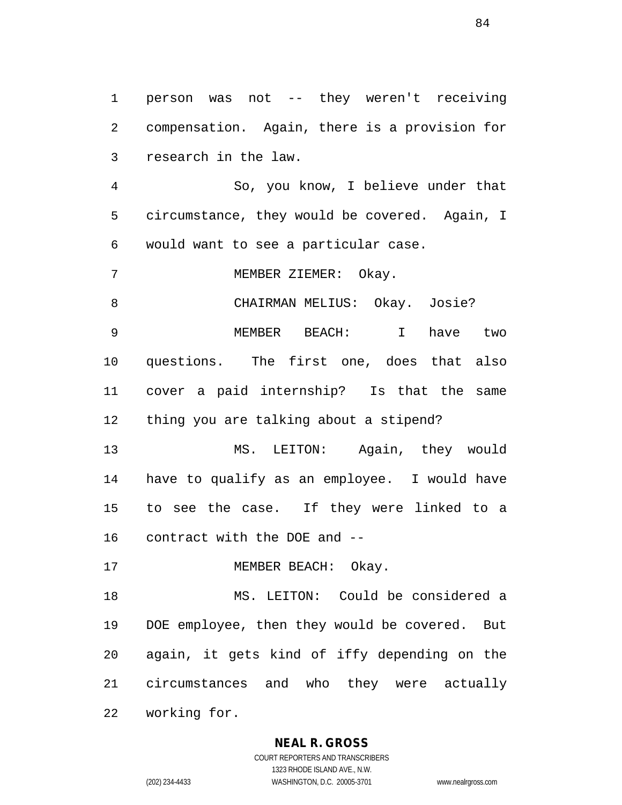person was not -- they weren't receiving compensation. Again, there is a provision for research in the law.

 So, you know, I believe under that circumstance, they would be covered. Again, I would want to see a particular case.

MEMBER ZIEMER: Okay.

CHAIRMAN MELIUS: Okay. Josie?

 MEMBER BEACH: I have two questions. The first one, does that also cover a paid internship? Is that the same thing you are talking about a stipend?

 MS. LEITON: Again, they would have to qualify as an employee. I would have to see the case. If they were linked to a contract with the DOE and --

17 MEMBER BEACH: Okay.

 MS. LEITON: Could be considered a DOE employee, then they would be covered. But again, it gets kind of iffy depending on the circumstances and who they were actually working for.

### **NEAL R. GROSS**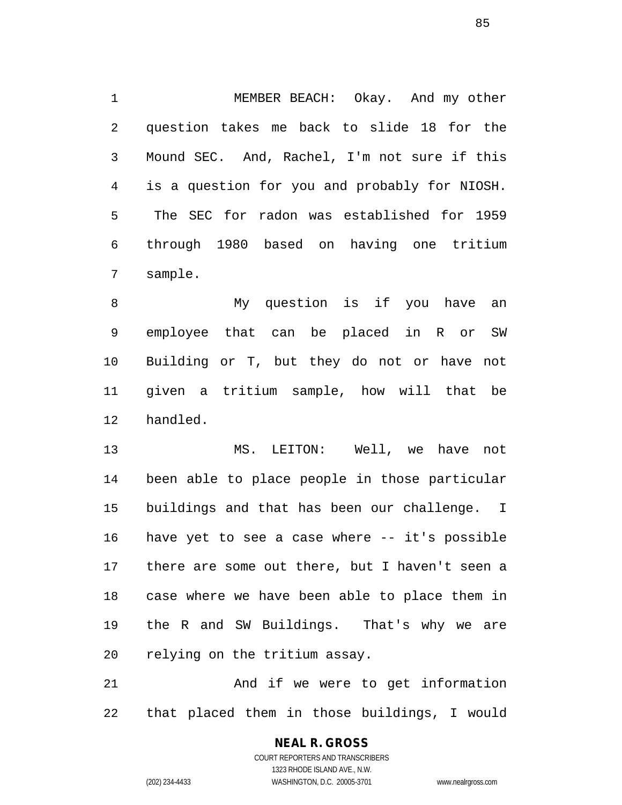MEMBER BEACH: Okay. And my other question takes me back to slide 18 for the Mound SEC. And, Rachel, I'm not sure if this is a question for you and probably for NIOSH. The SEC for radon was established for 1959 through 1980 based on having one tritium sample.

 My question is if you have an employee that can be placed in R or SW Building or T, but they do not or have not given a tritium sample, how will that be handled.

 MS. LEITON: Well, we have not been able to place people in those particular buildings and that has been our challenge. I have yet to see a case where -- it's possible there are some out there, but I haven't seen a case where we have been able to place them in the R and SW Buildings. That's why we are relying on the tritium assay.

 And if we were to get information that placed them in those buildings, I would

# **NEAL R. GROSS**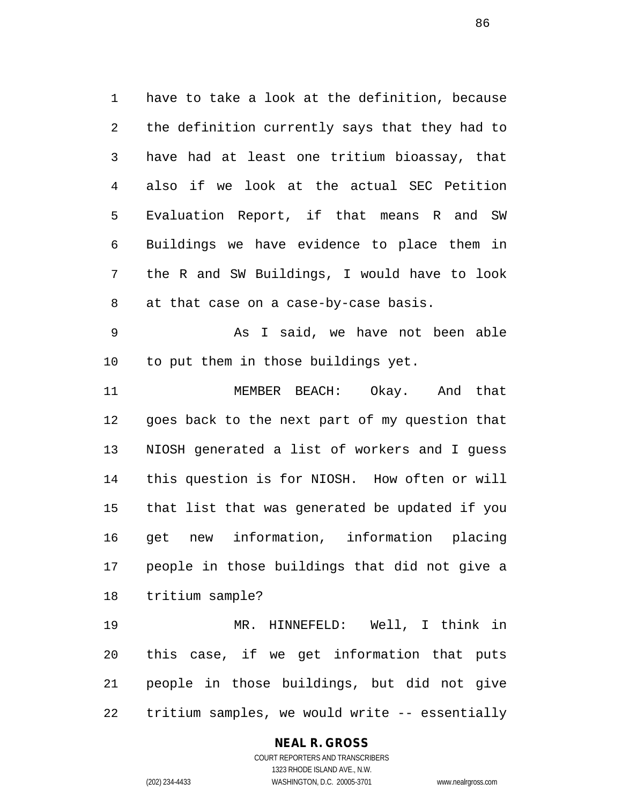have to take a look at the definition, because the definition currently says that they had to have had at least one tritium bioassay, that also if we look at the actual SEC Petition Evaluation Report, if that means R and SW Buildings we have evidence to place them in the R and SW Buildings, I would have to look at that case on a case-by-case basis.

 As I said, we have not been able to put them in those buildings yet.

 MEMBER BEACH: Okay. And that goes back to the next part of my question that NIOSH generated a list of workers and I guess this question is for NIOSH. How often or will that list that was generated be updated if you get new information, information placing people in those buildings that did not give a tritium sample?

 MR. HINNEFELD: Well, I think in this case, if we get information that puts people in those buildings, but did not give tritium samples, we would write -- essentially

### **NEAL R. GROSS**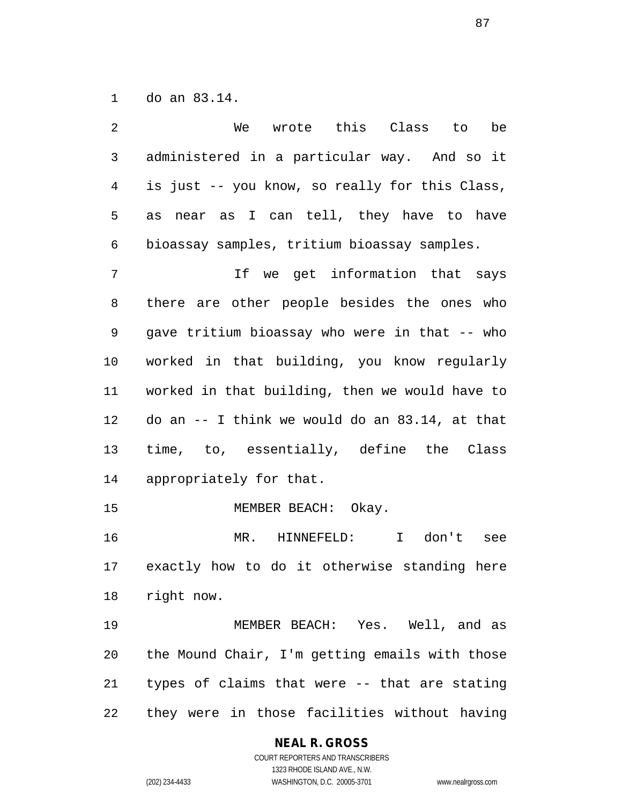do an 83.14.

| $\overline{2}$ | wrote this Class to<br>We<br>be                |
|----------------|------------------------------------------------|
| $\mathsf{3}$   | administered in a particular way. And so it    |
| $\overline{4}$ | is just -- you know, so really for this Class, |
| 5              | near as I can tell, they have to have<br>as    |
| 6              | bioassay samples, tritium bioassay samples.    |
| 7              | If we get information that says                |
| 8              | there are other people besides the ones who    |
| 9              | gave tritium bioassay who were in that -- who  |
| 10             | worked in that building, you know regularly    |
| 11             | worked in that building, then we would have to |
| 12             | do an -- I think we would do an 83.14, at that |
| 13             | time, to, essentially, define the Class        |
| 14             | appropriately for that.                        |
| 15             | MEMBER BEACH: Okay.                            |
| 16             | MR. HINNEFELD:<br>I don't<br>see               |
| 17             | exactly how to do it otherwise standing here   |
| 18             | right now.                                     |
| 19             | MEMBER BEACH: Yes. Well, and as                |
| 20             | the Mound Chair, I'm getting emails with those |
| 21             | types of claims that were -- that are stating  |
| 22             | they were in those facilities without having   |

### **NEAL R. GROSS**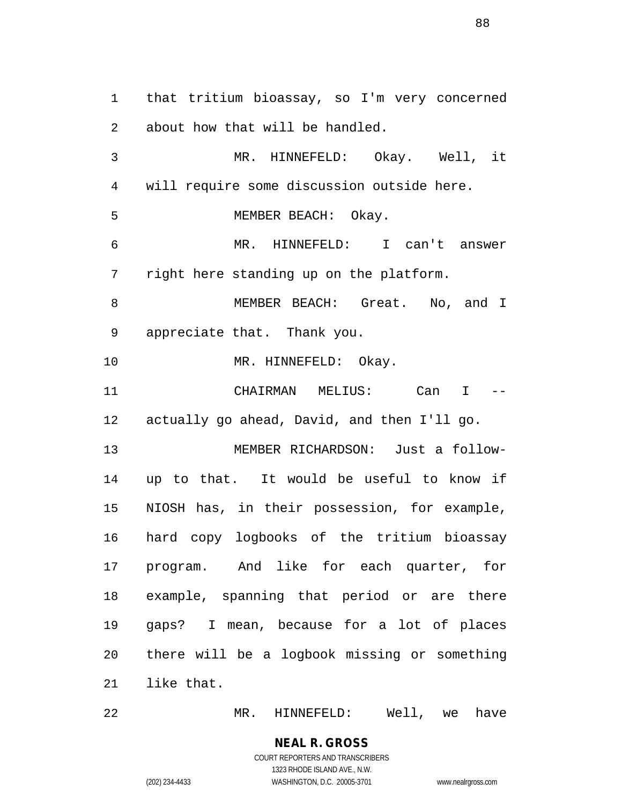that tritium bioassay, so I'm very concerned about how that will be handled. MR. HINNEFELD: Okay. Well, it will require some discussion outside here. MEMBER BEACH: Okay. MR. HINNEFELD: I can't answer right here standing up on the platform. 8 MEMBER BEACH: Great. No, and I appreciate that. Thank you. 10 MR. HINNEFELD: Okay. CHAIRMAN MELIUS: Can I -- actually go ahead, David, and then I'll go. MEMBER RICHARDSON: Just a follow- up to that. It would be useful to know if NIOSH has, in their possession, for example, hard copy logbooks of the tritium bioassay program. And like for each quarter, for example, spanning that period or are there gaps? I mean, because for a lot of places there will be a logbook missing or something like that.

MR. HINNEFELD: Well, we have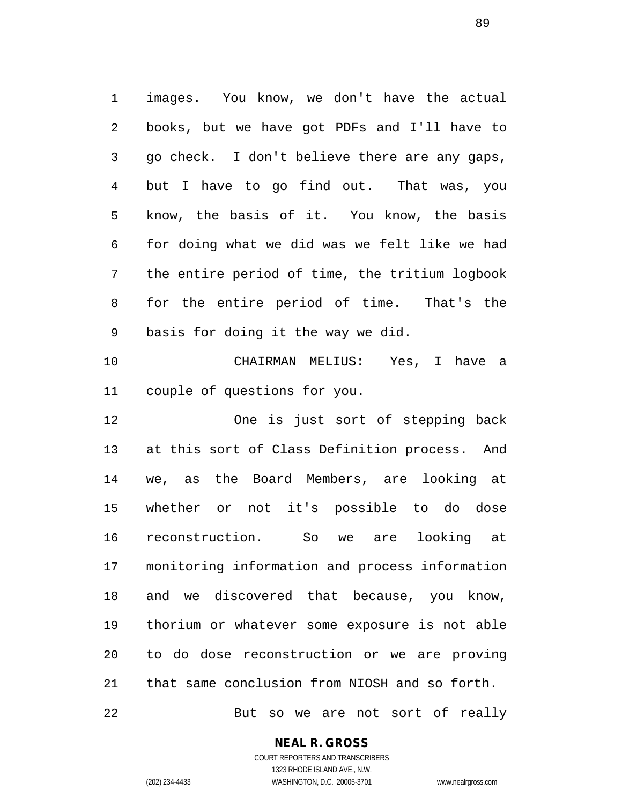images. You know, we don't have the actual books, but we have got PDFs and I'll have to go check. I don't believe there are any gaps, but I have to go find out. That was, you know, the basis of it. You know, the basis for doing what we did was we felt like we had the entire period of time, the tritium logbook for the entire period of time. That's the basis for doing it the way we did. CHAIRMAN MELIUS: Yes, I have a

couple of questions for you.

 One is just sort of stepping back at this sort of Class Definition process. And we, as the Board Members, are looking at whether or not it's possible to do dose reconstruction. So we are looking at monitoring information and process information and we discovered that because, you know, thorium or whatever some exposure is not able to do dose reconstruction or we are proving that same conclusion from NIOSH and so forth.

But so we are not sort of really

**NEAL R. GROSS**

COURT REPORTERS AND TRANSCRIBERS 1323 RHODE ISLAND AVE., N.W. (202) 234-4433 WASHINGTON, D.C. 20005-3701 www.nealrgross.com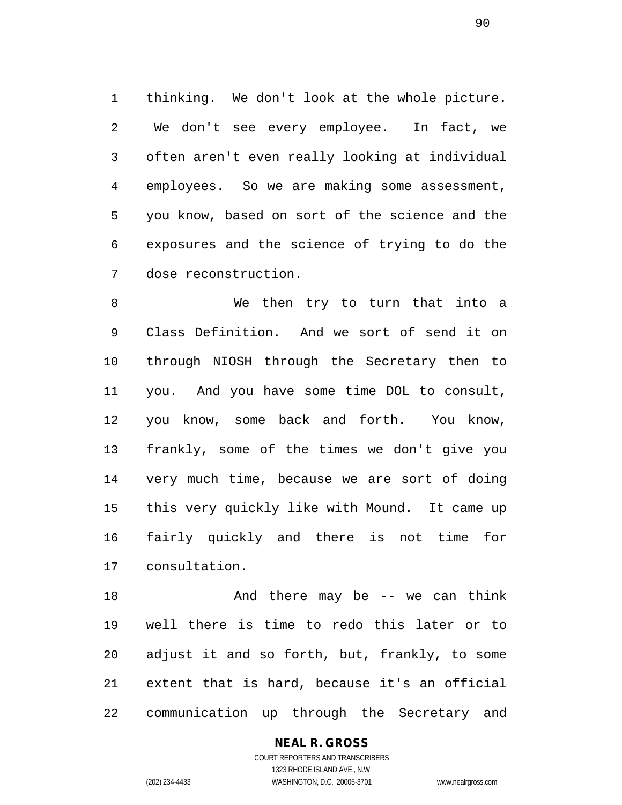thinking. We don't look at the whole picture. We don't see every employee. In fact, we often aren't even really looking at individual employees. So we are making some assessment, you know, based on sort of the science and the exposures and the science of trying to do the dose reconstruction.

 We then try to turn that into a Class Definition. And we sort of send it on through NIOSH through the Secretary then to you. And you have some time DOL to consult, you know, some back and forth. You know, frankly, some of the times we don't give you very much time, because we are sort of doing this very quickly like with Mound. It came up fairly quickly and there is not time for consultation.

18 And there may be -- we can think well there is time to redo this later or to adjust it and so forth, but, frankly, to some extent that is hard, because it's an official communication up through the Secretary and

## **NEAL R. GROSS**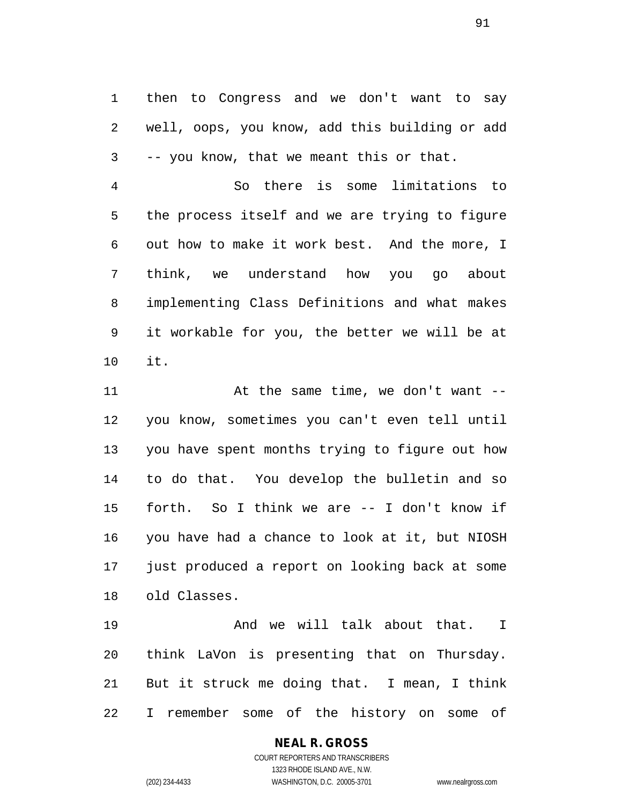then to Congress and we don't want to say well, oops, you know, add this building or add -- you know, that we meant this or that.

 So there is some limitations to the process itself and we are trying to figure out how to make it work best. And the more, I think, we understand how you go about implementing Class Definitions and what makes it workable for you, the better we will be at it.

11 At the same time, we don't want -- you know, sometimes you can't even tell until you have spent months trying to figure out how to do that. You develop the bulletin and so forth. So I think we are -- I don't know if you have had a chance to look at it, but NIOSH just produced a report on looking back at some old Classes.

 And we will talk about that. I think LaVon is presenting that on Thursday. But it struck me doing that. I mean, I think I remember some of the history on some of

### **NEAL R. GROSS**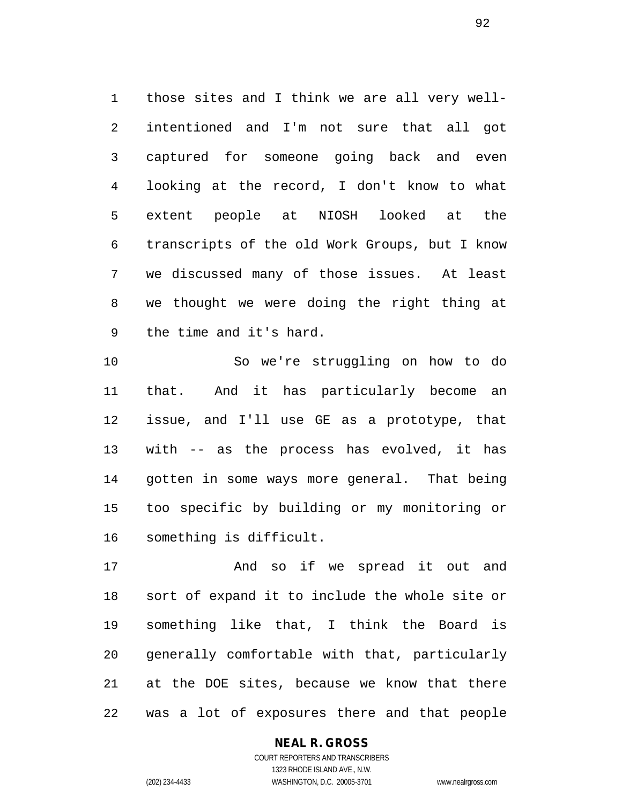those sites and I think we are all very well- intentioned and I'm not sure that all got captured for someone going back and even looking at the record, I don't know to what extent people at NIOSH looked at the transcripts of the old Work Groups, but I know we discussed many of those issues. At least we thought we were doing the right thing at the time and it's hard.

 So we're struggling on how to do that. And it has particularly become an issue, and I'll use GE as a prototype, that with -- as the process has evolved, it has gotten in some ways more general. That being too specific by building or my monitoring or something is difficult.

 And so if we spread it out and sort of expand it to include the whole site or something like that, I think the Board is generally comfortable with that, particularly at the DOE sites, because we know that there was a lot of exposures there and that people

> COURT REPORTERS AND TRANSCRIBERS 1323 RHODE ISLAND AVE., N.W. (202) 234-4433 WASHINGTON, D.C. 20005-3701 www.nealrgross.com

**NEAL R. GROSS**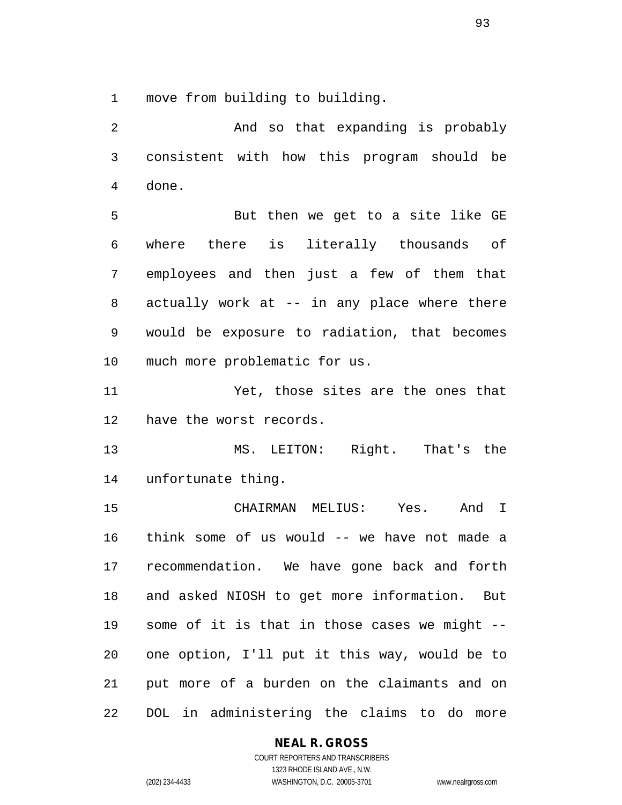move from building to building.

 And so that expanding is probably consistent with how this program should be done. But then we get to a site like GE where there is literally thousands of employees and then just a few of them that actually work at -- in any place where there would be exposure to radiation, that becomes much more problematic for us. Yet, those sites are the ones that have the worst records. MS. LEITON: Right. That's the unfortunate thing. CHAIRMAN MELIUS: Yes. And I think some of us would -- we have not made a recommendation. We have gone back and forth and asked NIOSH to get more information. But some of it is that in those cases we might -- one option, I'll put it this way, would be to put more of a burden on the claimants and on DOL in administering the claims to do more

### **NEAL R. GROSS**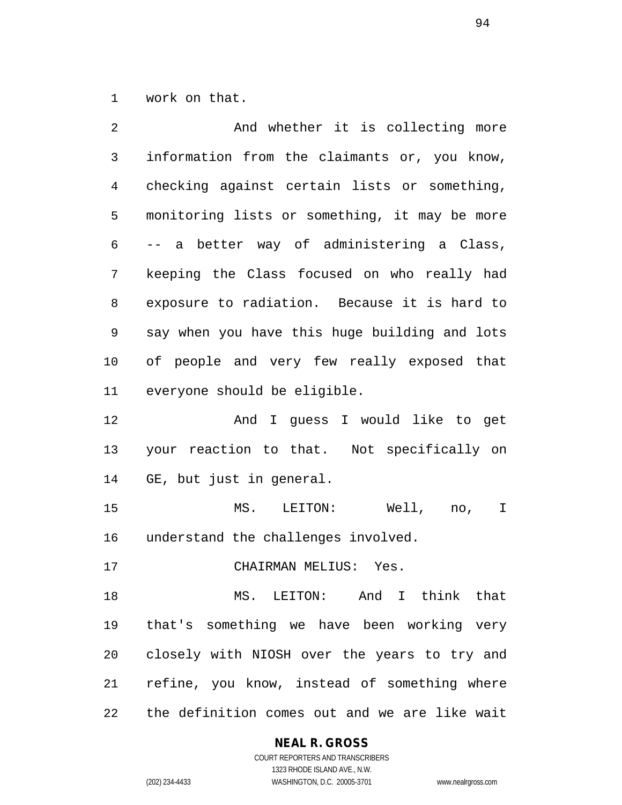work on that.

| 2  | And whether it is collecting more             |
|----|-----------------------------------------------|
| 3  | information from the claimants or, you know,  |
| 4  | checking against certain lists or something,  |
| 5  | monitoring lists or something, it may be more |
| 6  | -- a better way of administering a Class,     |
| 7  | keeping the Class focused on who really had   |
| 8  | exposure to radiation. Because it is hard to  |
| 9  | say when you have this huge building and lots |
| 10 | of people and very few really exposed that    |
| 11 | everyone should be eligible.                  |
| 12 | And I guess I would like to get               |
| 13 | your reaction to that. Not specifically on    |
| 14 | GE, but just in general.                      |
| 15 | MS. LEITON: Well, no,<br>$\mathbf I$          |
| 16 | understand the challenges involved.           |
| 17 | CHAIRMAN MELIUS: Yes.                         |
| 18 | MS. LEITON: And I think that                  |
| 19 | that's something we have been working very    |
| 20 | closely with NIOSH over the years to try and  |
| 21 | refine, you know, instead of something where  |
| 22 | the definition comes out and we are like wait |

### **NEAL R. GROSS** COURT REPORTERS AND TRANSCRIBERS

1323 RHODE ISLAND AVE., N.W. (202) 234-4433 WASHINGTON, D.C. 20005-3701 www.nealrgross.com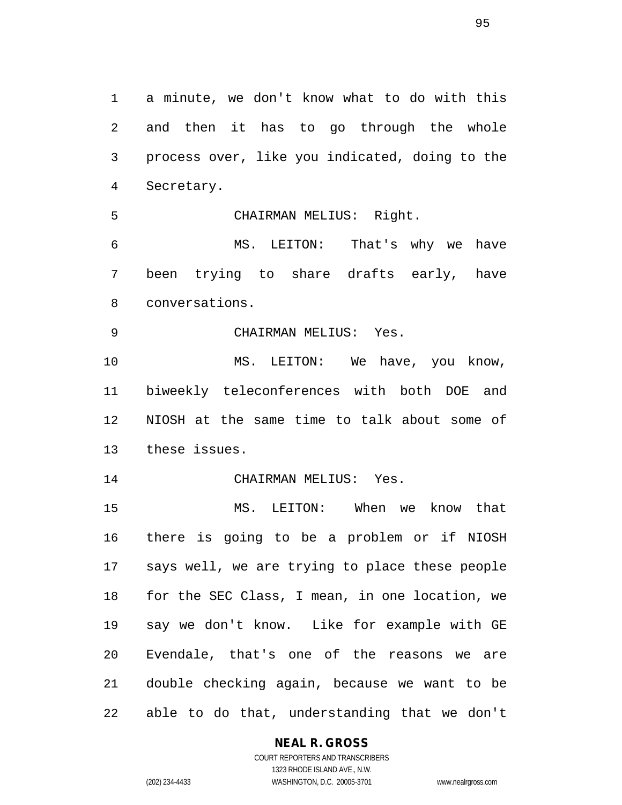a minute, we don't know what to do with this and then it has to go through the whole process over, like you indicated, doing to the Secretary.

CHAIRMAN MELIUS: Right.

 MS. LEITON: That's why we have been trying to share drafts early, have conversations.

CHAIRMAN MELIUS: Yes.

10 MS. LEITON: We have, you know, biweekly teleconferences with both DOE and NIOSH at the same time to talk about some of these issues.

14 CHAIRMAN MELIUS: Yes.

 MS. LEITON: When we know that there is going to be a problem or if NIOSH says well, we are trying to place these people for the SEC Class, I mean, in one location, we say we don't know. Like for example with GE Evendale, that's one of the reasons we are double checking again, because we want to be able to do that, understanding that we don't

#### **NEAL R. GROSS**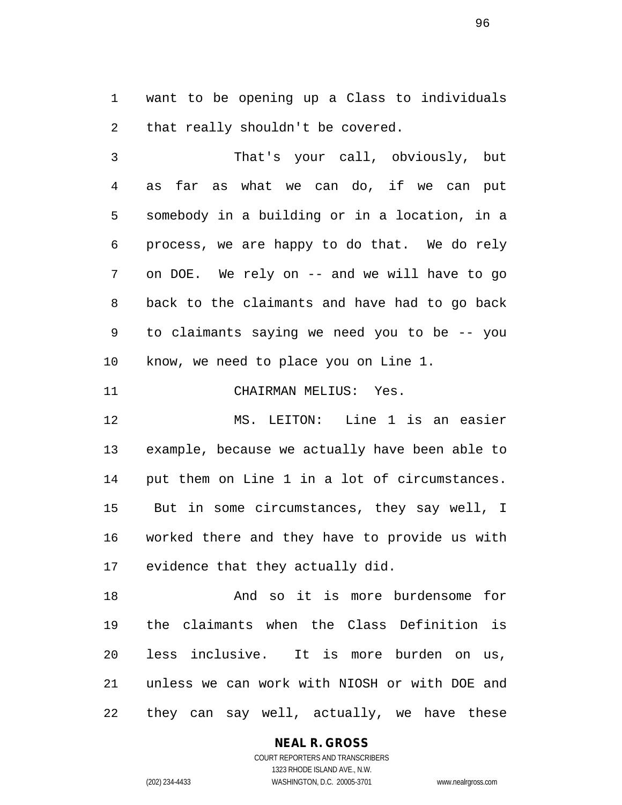want to be opening up a Class to individuals that really shouldn't be covered.

 That's your call, obviously, but as far as what we can do, if we can put somebody in a building or in a location, in a process, we are happy to do that. We do rely on DOE. We rely on -- and we will have to go back to the claimants and have had to go back to claimants saying we need you to be -- you know, we need to place you on Line 1.

CHAIRMAN MELIUS: Yes.

 MS. LEITON: Line 1 is an easier example, because we actually have been able to put them on Line 1 in a lot of circumstances. But in some circumstances, they say well, I worked there and they have to provide us with evidence that they actually did.

 And so it is more burdensome for the claimants when the Class Definition is less inclusive. It is more burden on us, unless we can work with NIOSH or with DOE and they can say well, actually, we have these

**NEAL R. GROSS**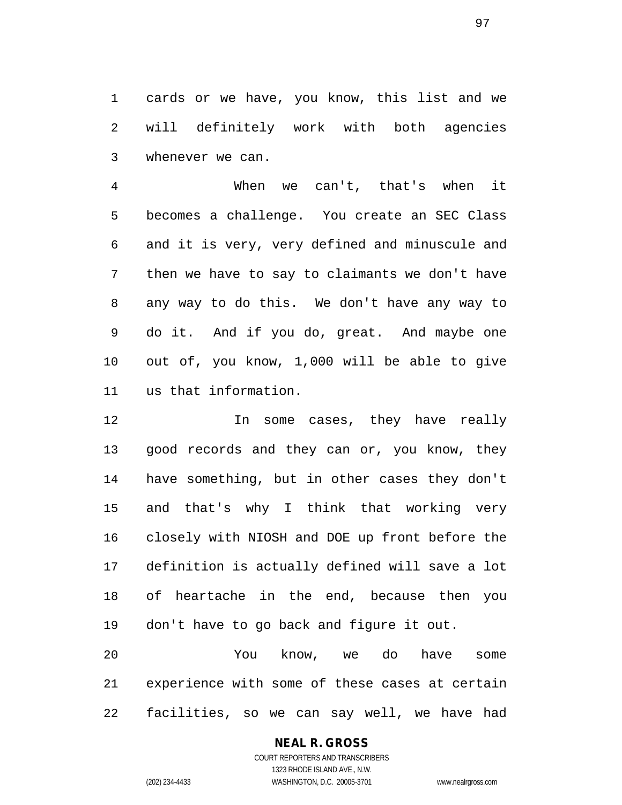cards or we have, you know, this list and we will definitely work with both agencies whenever we can.

 When we can't, that's when it becomes a challenge. You create an SEC Class and it is very, very defined and minuscule and then we have to say to claimants we don't have any way to do this. We don't have any way to do it. And if you do, great. And maybe one out of, you know, 1,000 will be able to give us that information.

 In some cases, they have really good records and they can or, you know, they have something, but in other cases they don't and that's why I think that working very closely with NIOSH and DOE up front before the definition is actually defined will save a lot of heartache in the end, because then you don't have to go back and figure it out.

 You know, we do have some experience with some of these cases at certain facilities, so we can say well, we have had

## **NEAL R. GROSS**

COURT REPORTERS AND TRANSCRIBERS 1323 RHODE ISLAND AVE., N.W. (202) 234-4433 WASHINGTON, D.C. 20005-3701 www.nealrgross.com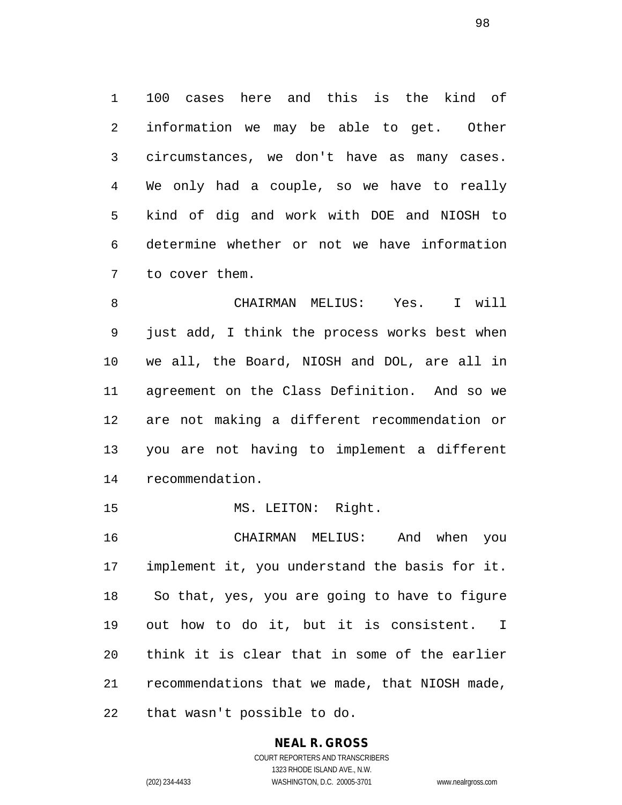100 cases here and this is the kind of information we may be able to get. Other circumstances, we don't have as many cases. We only had a couple, so we have to really kind of dig and work with DOE and NIOSH to determine whether or not we have information to cover them.

 CHAIRMAN MELIUS: Yes. I will just add, I think the process works best when we all, the Board, NIOSH and DOL, are all in agreement on the Class Definition. And so we are not making a different recommendation or you are not having to implement a different recommendation.

15 MS. LEITON: Right.

 CHAIRMAN MELIUS: And when you implement it, you understand the basis for it. So that, yes, you are going to have to figure out how to do it, but it is consistent. I think it is clear that in some of the earlier recommendations that we made, that NIOSH made, that wasn't possible to do.

## **NEAL R. GROSS**

COURT REPORTERS AND TRANSCRIBERS 1323 RHODE ISLAND AVE., N.W. (202) 234-4433 WASHINGTON, D.C. 20005-3701 www.nealrgross.com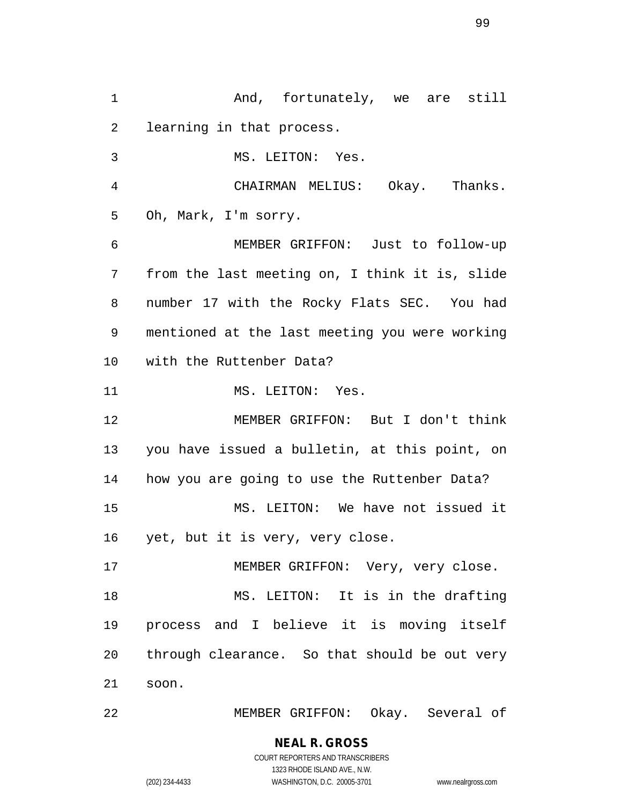And, fortunately, we are still learning in that process. MS. LEITON: Yes. CHAIRMAN MELIUS: Okay. Thanks. Oh, Mark, I'm sorry. MEMBER GRIFFON: Just to follow-up from the last meeting on, I think it is, slide number 17 with the Rocky Flats SEC. You had mentioned at the last meeting you were working with the Ruttenber Data? 11 MS. LEITON: Yes. MEMBER GRIFFON: But I don't think you have issued a bulletin, at this point, on how you are going to use the Ruttenber Data? MS. LEITON: We have not issued it yet, but it is very, very close. MEMBER GRIFFON: Very, very close. MS. LEITON: It is in the drafting process and I believe it is moving itself through clearance. So that should be out very soon.

MEMBER GRIFFON: Okay. Several of

**NEAL R. GROSS** COURT REPORTERS AND TRANSCRIBERS

1323 RHODE ISLAND AVE., N.W.

(202) 234-4433 WASHINGTON, D.C. 20005-3701 www.nealrgross.com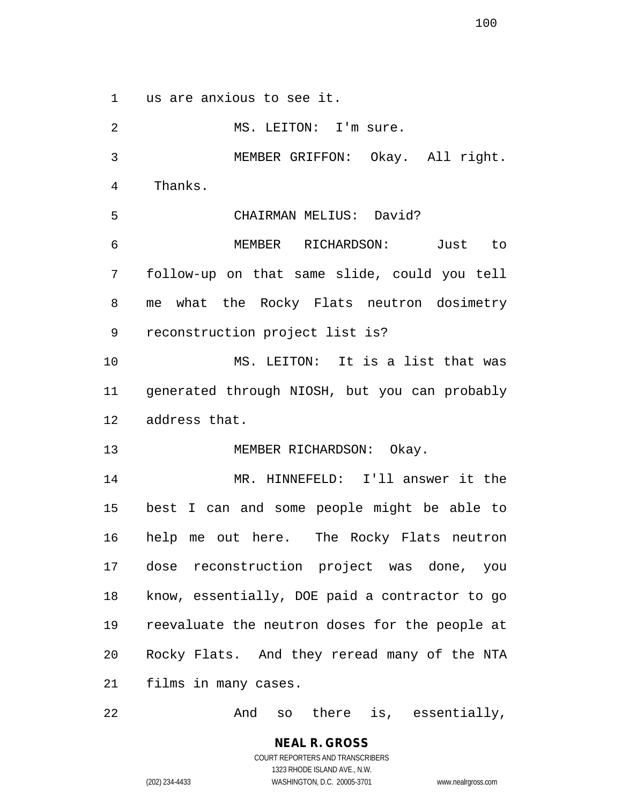us are anxious to see it.

2 MS. LEITON: I'm sure. MEMBER GRIFFON: Okay. All right. Thanks. CHAIRMAN MELIUS: David? MEMBER RICHARDSON: Just to follow-up on that same slide, could you tell me what the Rocky Flats neutron dosimetry reconstruction project list is? MS. LEITON: It is a list that was generated through NIOSH, but you can probably address that. 13 MEMBER RICHARDSON: Okay. MR. HINNEFELD: I'll answer it the best I can and some people might be able to help me out here. The Rocky Flats neutron dose reconstruction project was done, you know, essentially, DOE paid a contractor to go reevaluate the neutron doses for the people at Rocky Flats. And they reread many of the NTA films in many cases.

22 And so there is, essentially,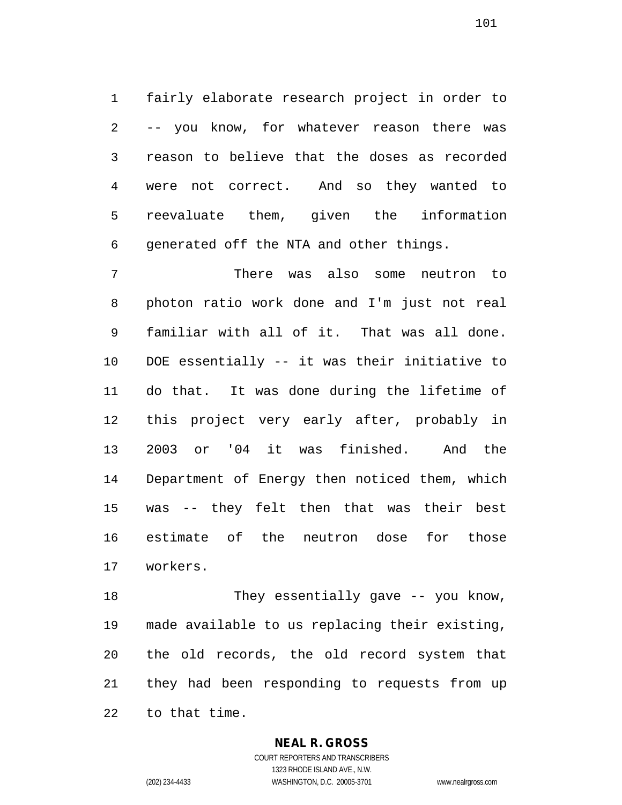fairly elaborate research project in order to -- you know, for whatever reason there was reason to believe that the doses as recorded were not correct. And so they wanted to reevaluate them, given the information generated off the NTA and other things.

 There was also some neutron to photon ratio work done and I'm just not real familiar with all of it. That was all done. DOE essentially -- it was their initiative to do that. It was done during the lifetime of this project very early after, probably in 2003 or '04 it was finished. And the Department of Energy then noticed them, which was -- they felt then that was their best estimate of the neutron dose for those workers.

 They essentially gave -- you know, made available to us replacing their existing, the old records, the old record system that they had been responding to requests from up to that time.

### **NEAL R. GROSS**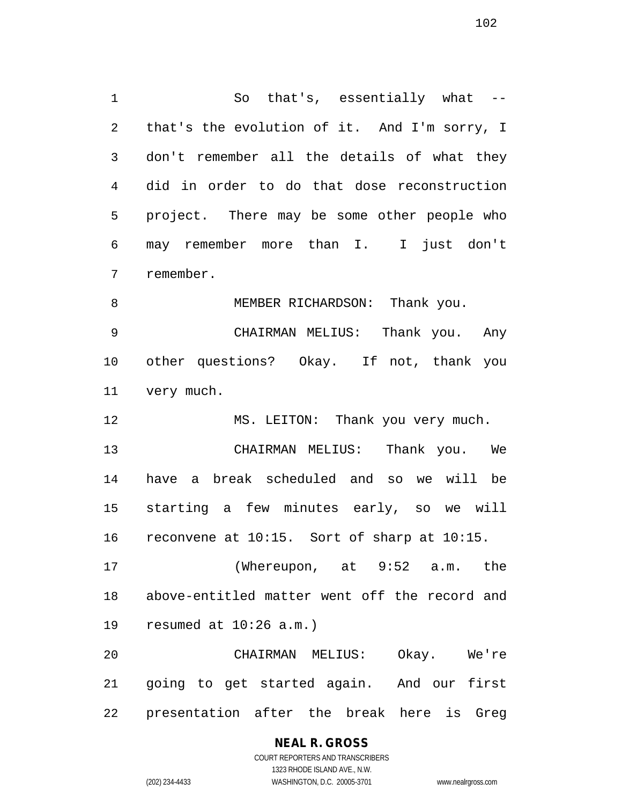1 So that's, essentially what -- that's the evolution of it. And I'm sorry, I don't remember all the details of what they did in order to do that dose reconstruction project. There may be some other people who may remember more than I. I just don't remember.

8 MEMBER RICHARDSON: Thank you.

 CHAIRMAN MELIUS: Thank you. Any other questions? Okay. If not, thank you very much.

MS. LEITON: Thank you very much.

 CHAIRMAN MELIUS: Thank you. We have a break scheduled and so we will be starting a few minutes early, so we will reconvene at 10:15. Sort of sharp at 10:15.

 (Whereupon, at 9:52 a.m. the above-entitled matter went off the record and resumed at 10:26 a.m.)

 CHAIRMAN MELIUS: Okay. We're going to get started again. And our first presentation after the break here is Greg

### **NEAL R. GROSS** COURT REPORTERS AND TRANSCRIBERS

1323 RHODE ISLAND AVE., N.W. (202) 234-4433 WASHINGTON, D.C. 20005-3701 www.nealrgross.com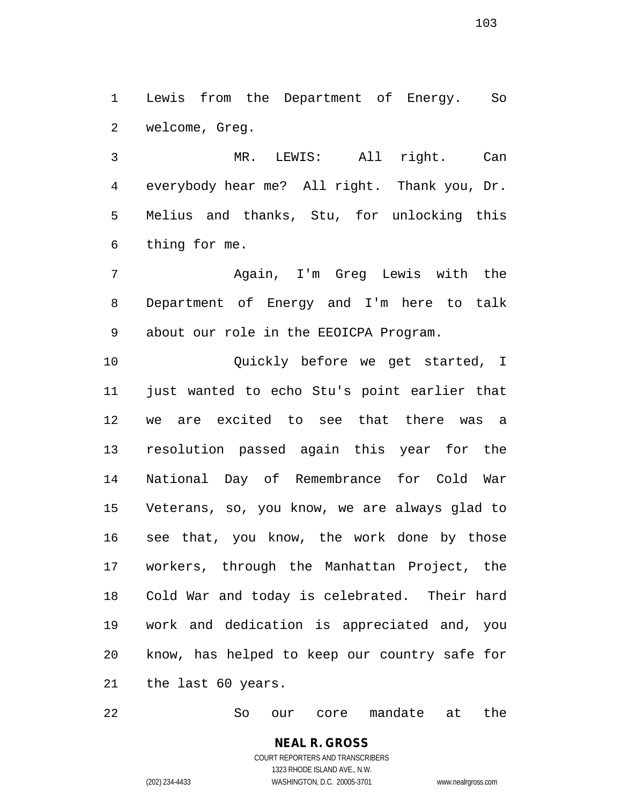Lewis from the Department of Energy. So welcome, Greg.

 MR. LEWIS: All right. Can everybody hear me? All right. Thank you, Dr. Melius and thanks, Stu, for unlocking this thing for me.

 Again, I'm Greg Lewis with the Department of Energy and I'm here to talk about our role in the EEOICPA Program.

 Quickly before we get started, I just wanted to echo Stu's point earlier that we are excited to see that there was a resolution passed again this year for the National Day of Remembrance for Cold War Veterans, so, you know, we are always glad to see that, you know, the work done by those workers, through the Manhattan Project, the Cold War and today is celebrated. Their hard work and dedication is appreciated and, you know, has helped to keep our country safe for the last 60 years.

So our core mandate at the

COURT REPORTERS AND TRANSCRIBERS 1323 RHODE ISLAND AVE., N.W. (202) 234-4433 WASHINGTON, D.C. 20005-3701 www.nealrgross.com

**NEAL R. GROSS**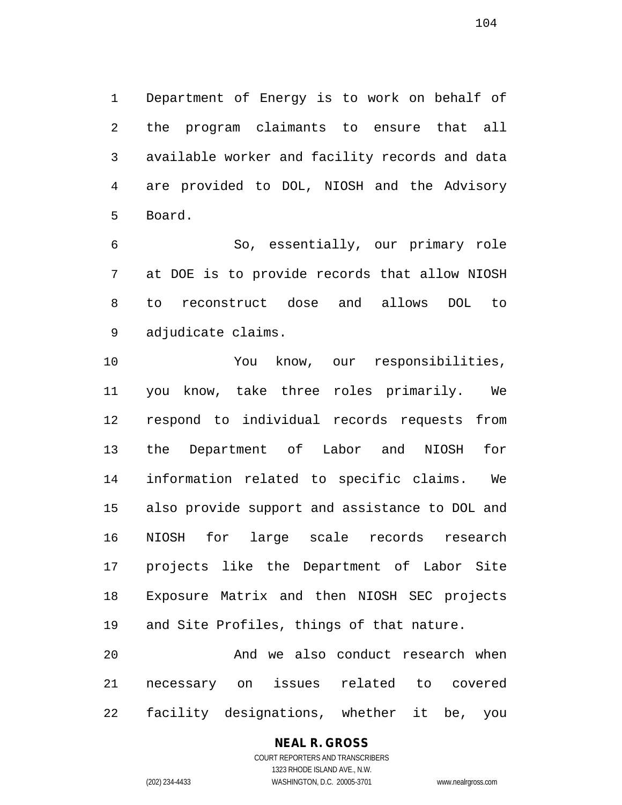Department of Energy is to work on behalf of the program claimants to ensure that all available worker and facility records and data are provided to DOL, NIOSH and the Advisory Board.

 So, essentially, our primary role at DOE is to provide records that allow NIOSH to reconstruct dose and allows DOL to adjudicate claims.

 You know, our responsibilities, you know, take three roles primarily. We respond to individual records requests from the Department of Labor and NIOSH for information related to specific claims. We also provide support and assistance to DOL and NIOSH for large scale records research projects like the Department of Labor Site Exposure Matrix and then NIOSH SEC projects and Site Profiles, things of that nature.

 And we also conduct research when necessary on issues related to covered facility designations, whether it be, you

#### **NEAL R. GROSS** COURT REPORTERS AND TRANSCRIBERS 1323 RHODE ISLAND AVE., N.W.

(202) 234-4433 WASHINGTON, D.C. 20005-3701 www.nealrgross.com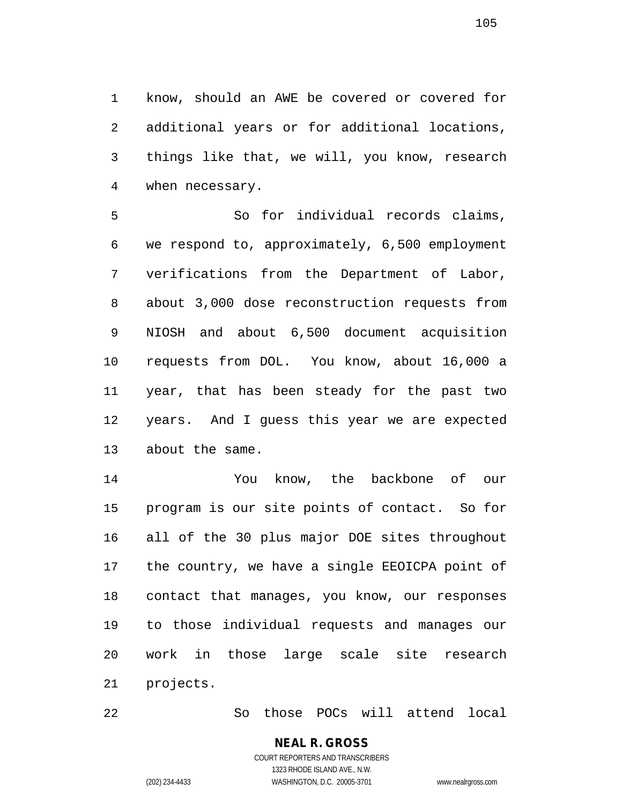know, should an AWE be covered or covered for additional years or for additional locations, things like that, we will, you know, research when necessary.

 So for individual records claims, we respond to, approximately, 6,500 employment verifications from the Department of Labor, about 3,000 dose reconstruction requests from NIOSH and about 6,500 document acquisition requests from DOL. You know, about 16,000 a year, that has been steady for the past two years. And I guess this year we are expected about the same.

 You know, the backbone of our program is our site points of contact. So for all of the 30 plus major DOE sites throughout the country, we have a single EEOICPA point of contact that manages, you know, our responses to those individual requests and manages our work in those large scale site research projects.

So those POCs will attend local

## **NEAL R. GROSS**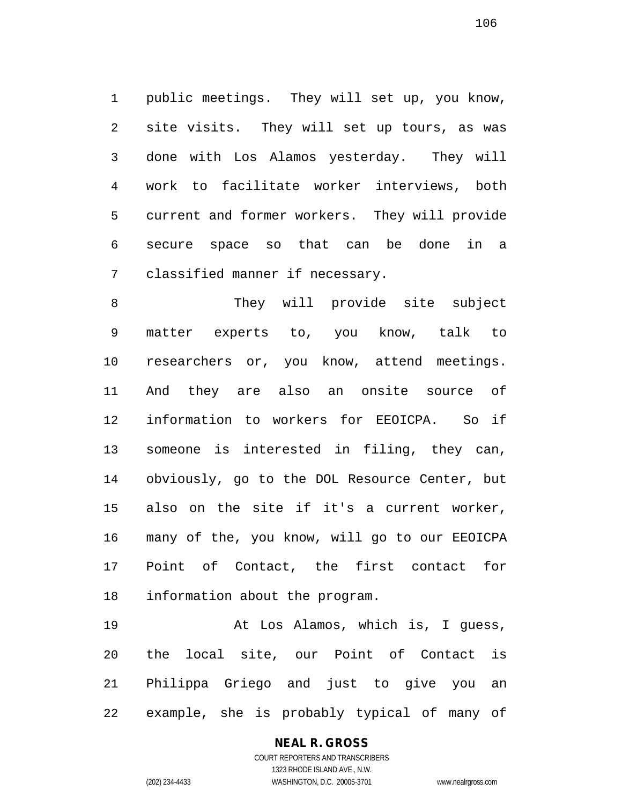public meetings. They will set up, you know, site visits. They will set up tours, as was done with Los Alamos yesterday. They will work to facilitate worker interviews, both current and former workers. They will provide secure space so that can be done in a classified manner if necessary.

 They will provide site subject matter experts to, you know, talk to researchers or, you know, attend meetings. And they are also an onsite source of information to workers for EEOICPA. So if someone is interested in filing, they can, obviously, go to the DOL Resource Center, but also on the site if it's a current worker, many of the, you know, will go to our EEOICPA Point of Contact, the first contact for information about the program.

 At Los Alamos, which is, I guess, the local site, our Point of Contact is Philippa Griego and just to give you an example, she is probably typical of many of

### **NEAL R. GROSS**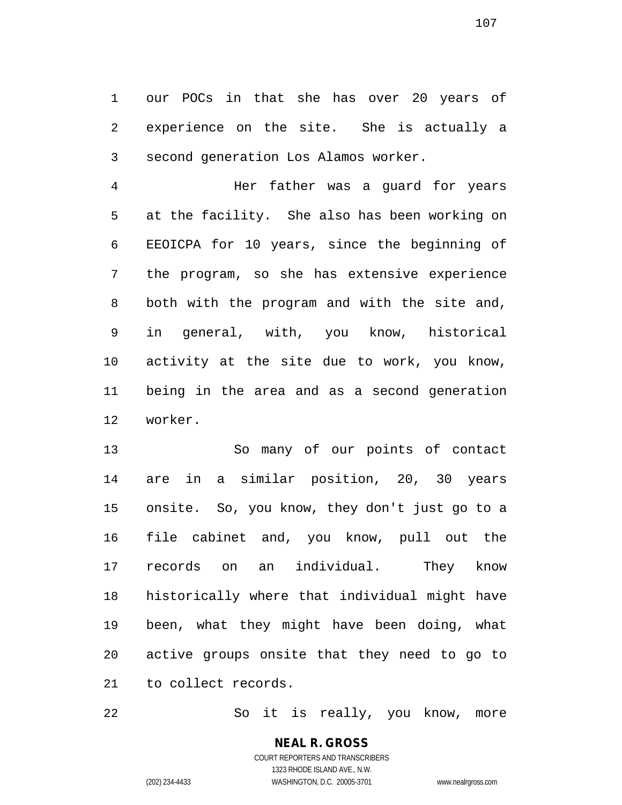our POCs in that she has over 20 years of experience on the site. She is actually a second generation Los Alamos worker.

 Her father was a guard for years at the facility. She also has been working on EEOICPA for 10 years, since the beginning of the program, so she has extensive experience both with the program and with the site and, in general, with, you know, historical activity at the site due to work, you know, being in the area and as a second generation worker.

 So many of our points of contact are in a similar position, 20, 30 years onsite. So, you know, they don't just go to a file cabinet and, you know, pull out the records on an individual. They know historically where that individual might have been, what they might have been doing, what active groups onsite that they need to go to to collect records.

So it is really, you know, more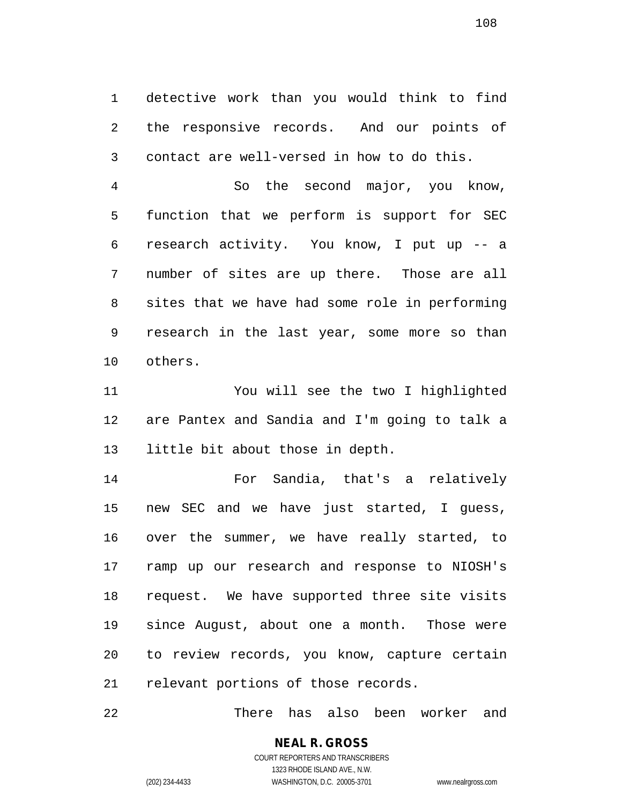detective work than you would think to find the responsive records. And our points of contact are well-versed in how to do this.

 So the second major, you know, function that we perform is support for SEC research activity. You know, I put up -- a number of sites are up there. Those are all sites that we have had some role in performing research in the last year, some more so than others.

 You will see the two I highlighted are Pantex and Sandia and I'm going to talk a little bit about those in depth.

 For Sandia, that's a relatively new SEC and we have just started, I guess, over the summer, we have really started, to ramp up our research and response to NIOSH's request. We have supported three site visits since August, about one a month. Those were to review records, you know, capture certain relevant portions of those records.

There has also been worker and

### **NEAL R. GROSS** COURT REPORTERS AND TRANSCRIBERS

1323 RHODE ISLAND AVE., N.W. (202) 234-4433 WASHINGTON, D.C. 20005-3701 www.nealrgross.com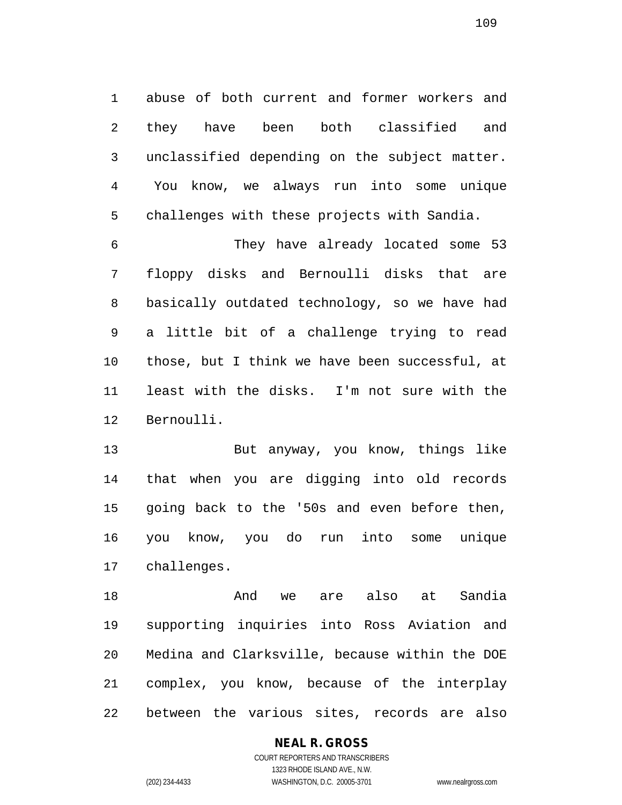abuse of both current and former workers and they have been both classified and unclassified depending on the subject matter. You know, we always run into some unique challenges with these projects with Sandia.

 They have already located some 53 floppy disks and Bernoulli disks that are basically outdated technology, so we have had a little bit of a challenge trying to read those, but I think we have been successful, at least with the disks. I'm not sure with the Bernoulli.

 But anyway, you know, things like that when you are digging into old records going back to the '50s and even before then, you know, you do run into some unique challenges.

 And we are also at Sandia supporting inquiries into Ross Aviation and Medina and Clarksville, because within the DOE complex, you know, because of the interplay between the various sites, records are also

#### **NEAL R. GROSS**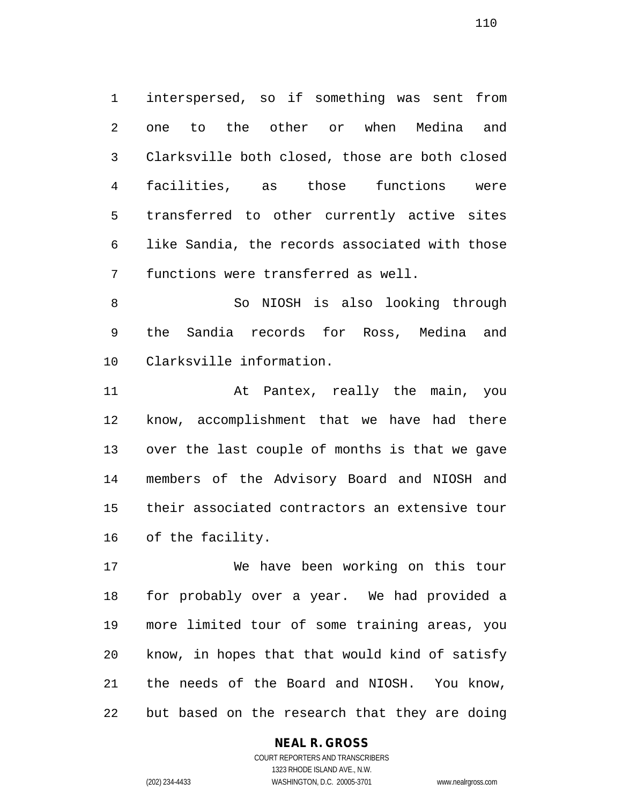interspersed, so if something was sent from one to the other or when Medina and Clarksville both closed, those are both closed facilities, as those functions were transferred to other currently active sites like Sandia, the records associated with those functions were transferred as well.

 So NIOSH is also looking through the Sandia records for Ross, Medina and Clarksville information.

 At Pantex, really the main, you know, accomplishment that we have had there over the last couple of months is that we gave members of the Advisory Board and NIOSH and their associated contractors an extensive tour of the facility.

 We have been working on this tour for probably over a year. We had provided a more limited tour of some training areas, you know, in hopes that that would kind of satisfy the needs of the Board and NIOSH. You know, but based on the research that they are doing

**NEAL R. GROSS**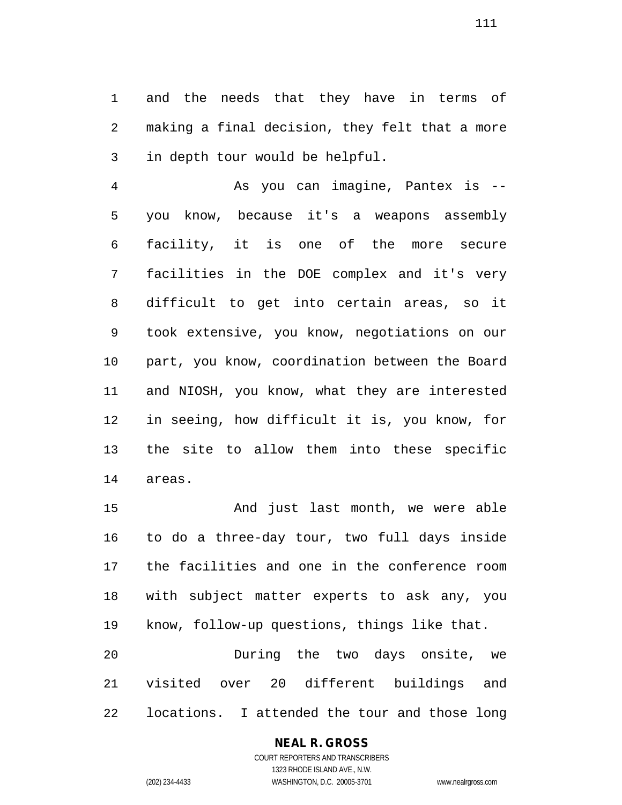and the needs that they have in terms of making a final decision, they felt that a more in depth tour would be helpful.

 As you can imagine, Pantex is -- you know, because it's a weapons assembly facility, it is one of the more secure facilities in the DOE complex and it's very difficult to get into certain areas, so it took extensive, you know, negotiations on our part, you know, coordination between the Board and NIOSH, you know, what they are interested in seeing, how difficult it is, you know, for the site to allow them into these specific areas.

 And just last month, we were able to do a three-day tour, two full days inside the facilities and one in the conference room with subject matter experts to ask any, you know, follow-up questions, things like that. During the two days onsite, we

 visited over 20 different buildings and locations. I attended the tour and those long

## **NEAL R. GROSS**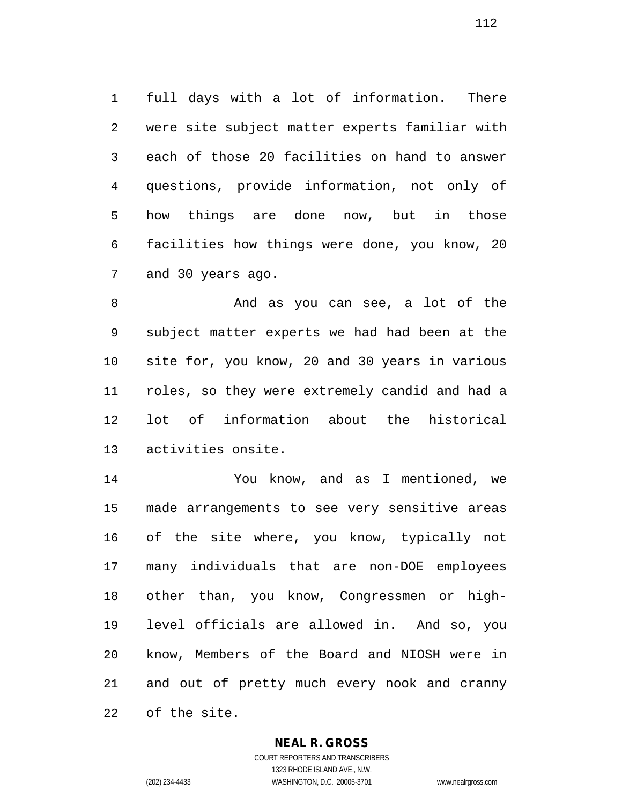full days with a lot of information. There were site subject matter experts familiar with each of those 20 facilities on hand to answer questions, provide information, not only of how things are done now, but in those facilities how things were done, you know, 20 and 30 years ago.

 And as you can see, a lot of the subject matter experts we had had been at the site for, you know, 20 and 30 years in various roles, so they were extremely candid and had a lot of information about the historical activities onsite.

 You know, and as I mentioned, we made arrangements to see very sensitive areas of the site where, you know, typically not many individuals that are non-DOE employees other than, you know, Congressmen or high- level officials are allowed in. And so, you know, Members of the Board and NIOSH were in and out of pretty much every nook and cranny of the site.

## **NEAL R. GROSS**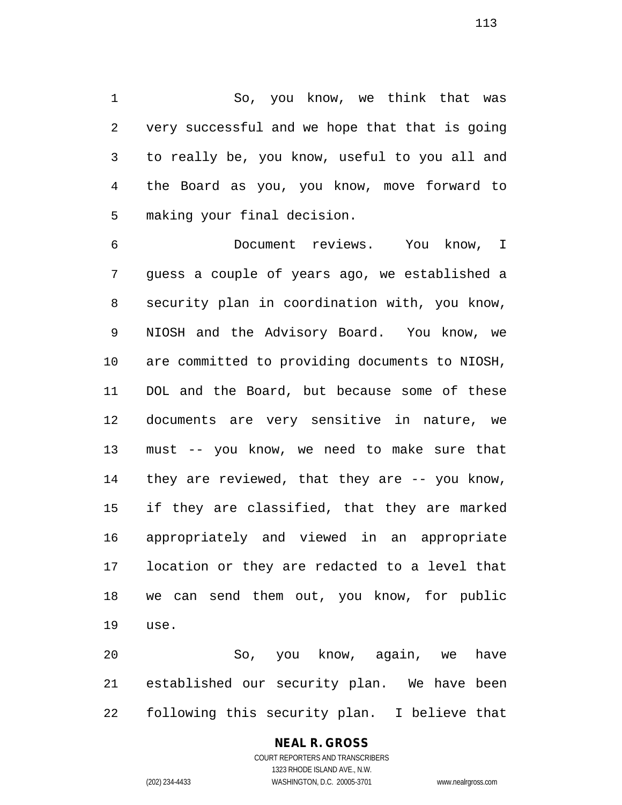So, you know, we think that was very successful and we hope that that is going to really be, you know, useful to you all and the Board as you, you know, move forward to making your final decision.

 Document reviews. You know, I guess a couple of years ago, we established a security plan in coordination with, you know, NIOSH and the Advisory Board. You know, we are committed to providing documents to NIOSH, DOL and the Board, but because some of these documents are very sensitive in nature, we must -- you know, we need to make sure that they are reviewed, that they are -- you know, if they are classified, that they are marked appropriately and viewed in an appropriate location or they are redacted to a level that we can send them out, you know, for public use.

 So, you know, again, we have established our security plan. We have been following this security plan. I believe that

#### **NEAL R. GROSS** COURT REPORTERS AND TRANSCRIBERS

1323 RHODE ISLAND AVE., N.W. (202) 234-4433 WASHINGTON, D.C. 20005-3701 www.nealrgross.com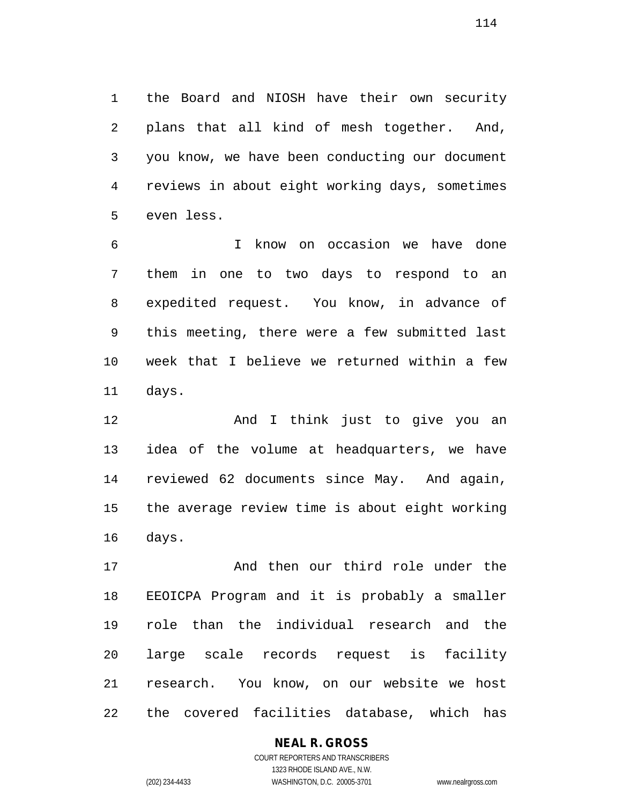the Board and NIOSH have their own security plans that all kind of mesh together. And, you know, we have been conducting our document reviews in about eight working days, sometimes even less.

 I know on occasion we have done them in one to two days to respond to an expedited request. You know, in advance of this meeting, there were a few submitted last week that I believe we returned within a few days.

 And I think just to give you an idea of the volume at headquarters, we have reviewed 62 documents since May. And again, the average review time is about eight working days.

 And then our third role under the EEOICPA Program and it is probably a smaller role than the individual research and the large scale records request is facility research. You know, on our website we host the covered facilities database, which has

# **NEAL R. GROSS** COURT REPORTERS AND TRANSCRIBERS 1323 RHODE ISLAND AVE., N.W.

(202) 234-4433 WASHINGTON, D.C. 20005-3701 www.nealrgross.com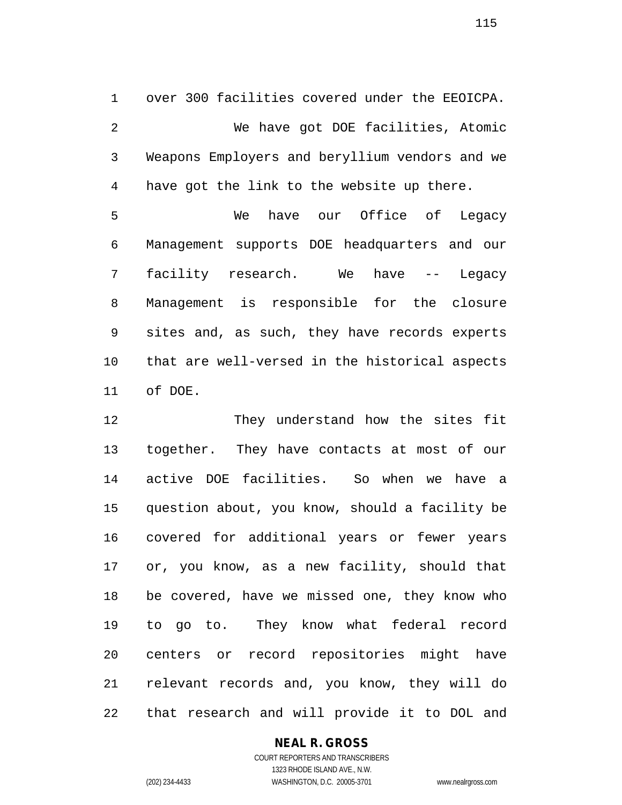over 300 facilities covered under the EEOICPA. We have got DOE facilities, Atomic Weapons Employers and beryllium vendors and we have got the link to the website up there.

 We have our Office of Legacy Management supports DOE headquarters and our facility research. We have -- Legacy Management is responsible for the closure sites and, as such, they have records experts that are well-versed in the historical aspects of DOE.

12 They understand how the sites fit together. They have contacts at most of our active DOE facilities. So when we have a question about, you know, should a facility be covered for additional years or fewer years or, you know, as a new facility, should that be covered, have we missed one, they know who to go to. They know what federal record centers or record repositories might have relevant records and, you know, they will do that research and will provide it to DOL and

## **NEAL R. GROSS**

COURT REPORTERS AND TRANSCRIBERS 1323 RHODE ISLAND AVE., N.W. (202) 234-4433 WASHINGTON, D.C. 20005-3701 www.nealrgross.com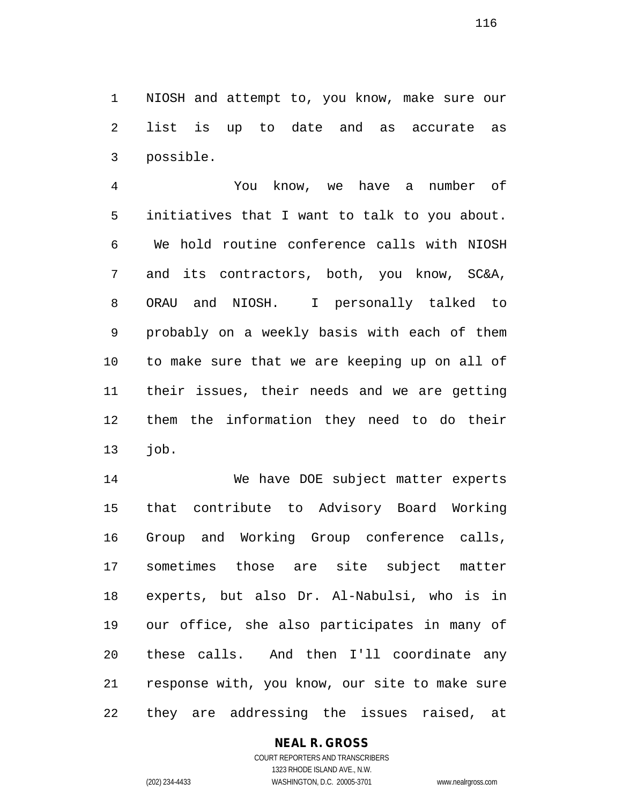NIOSH and attempt to, you know, make sure our list is up to date and as accurate as possible.

 You know, we have a number of initiatives that I want to talk to you about. We hold routine conference calls with NIOSH and its contractors, both, you know, SC&A, ORAU and NIOSH. I personally talked to probably on a weekly basis with each of them to make sure that we are keeping up on all of their issues, their needs and we are getting them the information they need to do their job.

 We have DOE subject matter experts that contribute to Advisory Board Working Group and Working Group conference calls, sometimes those are site subject matter experts, but also Dr. Al-Nabulsi, who is in our office, she also participates in many of these calls. And then I'll coordinate any response with, you know, our site to make sure they are addressing the issues raised, at

# **NEAL R. GROSS**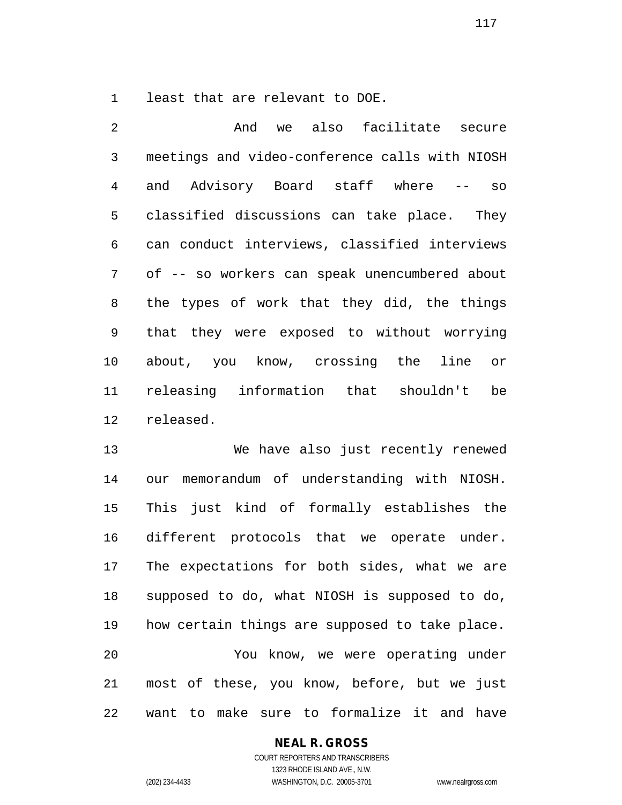least that are relevant to DOE.

 And we also facilitate secure meetings and video-conference calls with NIOSH and Advisory Board staff where -- so classified discussions can take place. They can conduct interviews, classified interviews of -- so workers can speak unencumbered about the types of work that they did, the things that they were exposed to without worrying about, you know, crossing the line or releasing information that shouldn't be released.

 We have also just recently renewed our memorandum of understanding with NIOSH. This just kind of formally establishes the different protocols that we operate under. The expectations for both sides, what we are supposed to do, what NIOSH is supposed to do, how certain things are supposed to take place. You know, we were operating under most of these, you know, before, but we just want to make sure to formalize it and have

#### **NEAL R. GROSS**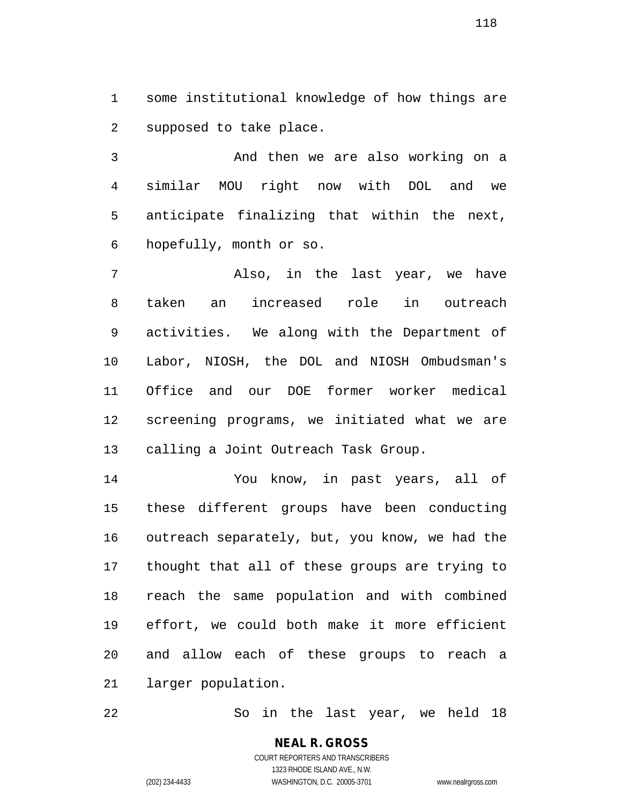some institutional knowledge of how things are supposed to take place.

 And then we are also working on a similar MOU right now with DOL and we anticipate finalizing that within the next, hopefully, month or so.

 Also, in the last year, we have taken an increased role in outreach activities. We along with the Department of Labor, NIOSH, the DOL and NIOSH Ombudsman's Office and our DOE former worker medical screening programs, we initiated what we are calling a Joint Outreach Task Group.

 You know, in past years, all of these different groups have been conducting outreach separately, but, you know, we had the thought that all of these groups are trying to reach the same population and with combined effort, we could both make it more efficient and allow each of these groups to reach a larger population.

So in the last year, we held 18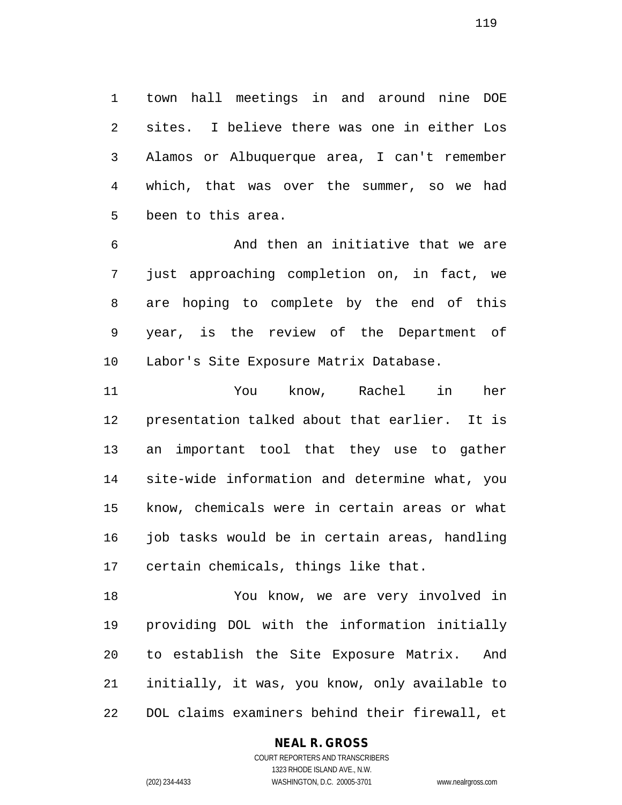town hall meetings in and around nine DOE sites. I believe there was one in either Los Alamos or Albuquerque area, I can't remember which, that was over the summer, so we had been to this area.

 And then an initiative that we are just approaching completion on, in fact, we are hoping to complete by the end of this year, is the review of the Department of Labor's Site Exposure Matrix Database.

 You know, Rachel in her presentation talked about that earlier. It is an important tool that they use to gather site-wide information and determine what, you know, chemicals were in certain areas or what 16 job tasks would be in certain areas, handling certain chemicals, things like that.

 You know, we are very involved in providing DOL with the information initially to establish the Site Exposure Matrix. And initially, it was, you know, only available to DOL claims examiners behind their firewall, et

## **NEAL R. GROSS**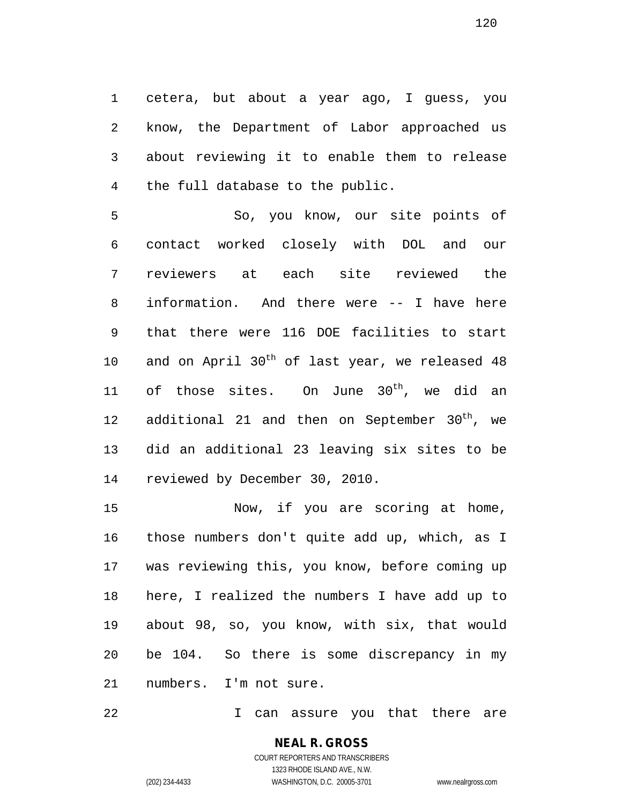cetera, but about a year ago, I guess, you know, the Department of Labor approached us about reviewing it to enable them to release the full database to the public.

 So, you know, our site points of contact worked closely with DOL and our reviewers at each site reviewed the information. And there were -- I have here that there were 116 DOE facilities to start 10 and on April  $30<sup>th</sup>$  of last year, we released 48 11 of those sites. On June  $30^{\text{th}}$ , we did an 12 additional 21 and then on September  $30<sup>th</sup>$ , we did an additional 23 leaving six sites to be reviewed by December 30, 2010.

 Now, if you are scoring at home, those numbers don't quite add up, which, as I was reviewing this, you know, before coming up here, I realized the numbers I have add up to about 98, so, you know, with six, that would be 104. So there is some discrepancy in my numbers. I'm not sure.

I can assure you that there are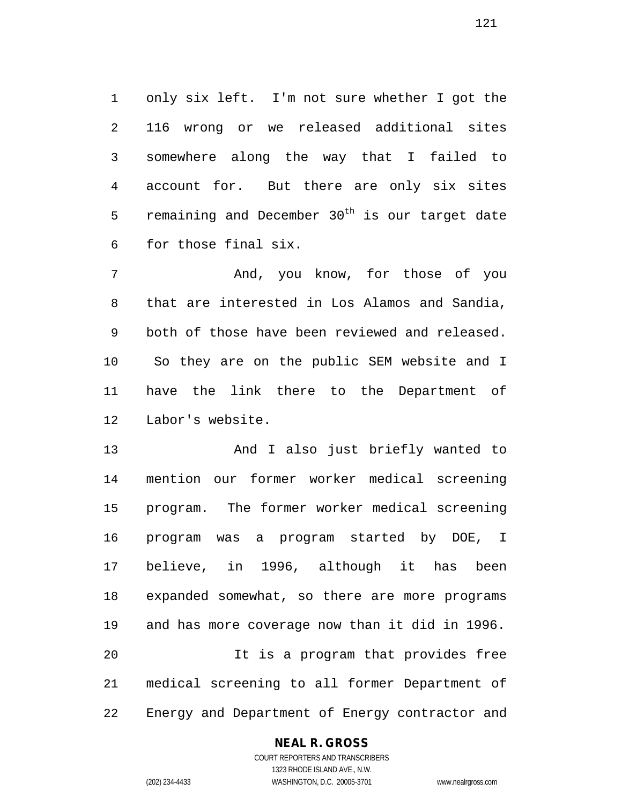only six left. I'm not sure whether I got the 116 wrong or we released additional sites somewhere along the way that I failed to account for. But there are only six sites 5 remaining and December  $30<sup>th</sup>$  is our target date for those final six.

 And, you know, for those of you that are interested in Los Alamos and Sandia, both of those have been reviewed and released. So they are on the public SEM website and I have the link there to the Department of Labor's website.

 And I also just briefly wanted to mention our former worker medical screening program. The former worker medical screening program was a program started by DOE, I believe, in 1996, although it has been expanded somewhat, so there are more programs and has more coverage now than it did in 1996. It is a program that provides free medical screening to all former Department of Energy and Department of Energy contractor and

## **NEAL R. GROSS**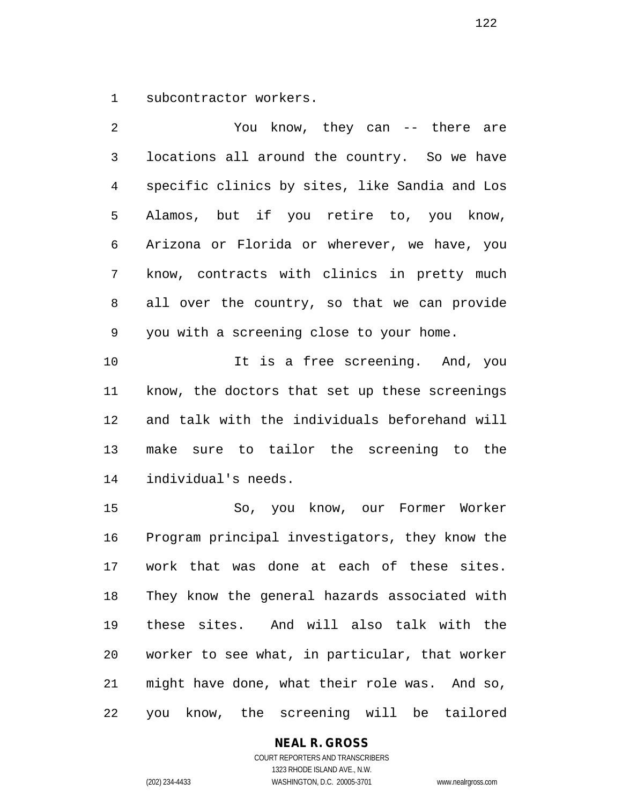subcontractor workers.

 You know, they can -- there are locations all around the country. So we have specific clinics by sites, like Sandia and Los Alamos, but if you retire to, you know, Arizona or Florida or wherever, we have, you know, contracts with clinics in pretty much all over the country, so that we can provide you with a screening close to your home. It is a free screening. And, you know, the doctors that set up these screenings and talk with the individuals beforehand will make sure to tailor the screening to the individual's needs. So, you know, our Former Worker Program principal investigators, they know the work that was done at each of these sites. They know the general hazards associated with these sites. And will also talk with the worker to see what, in particular, that worker

you know, the screening will be tailored

might have done, what their role was. And so,

#### **NEAL R. GROSS**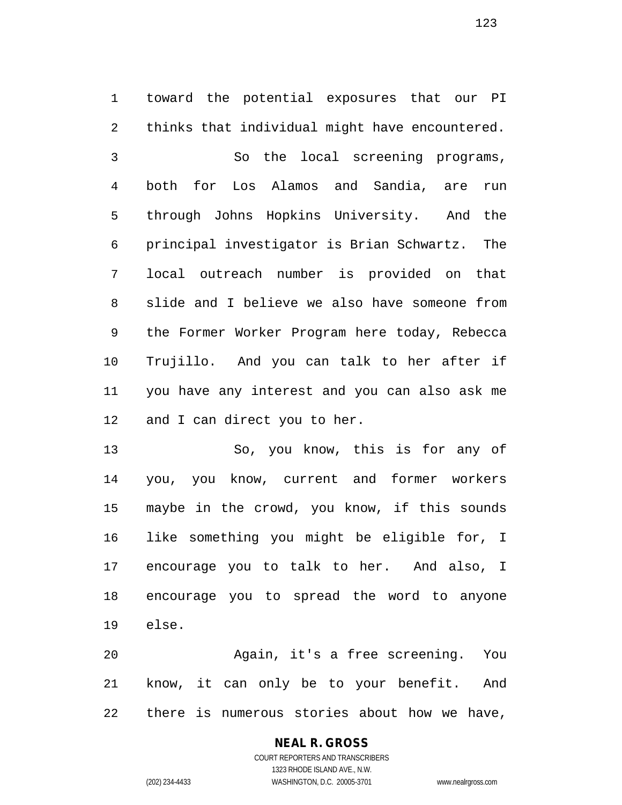toward the potential exposures that our PI thinks that individual might have encountered. So the local screening programs, both for Los Alamos and Sandia, are run through Johns Hopkins University. And the principal investigator is Brian Schwartz. The local outreach number is provided on that slide and I believe we also have someone from the Former Worker Program here today, Rebecca Trujillo. And you can talk to her after if you have any interest and you can also ask me 12 and I can direct you to her.

 So, you know, this is for any of you, you know, current and former workers maybe in the crowd, you know, if this sounds like something you might be eligible for, I encourage you to talk to her. And also, I encourage you to spread the word to anyone else.

 Again, it's a free screening. You know, it can only be to your benefit. And there is numerous stories about how we have,

# **NEAL R. GROSS**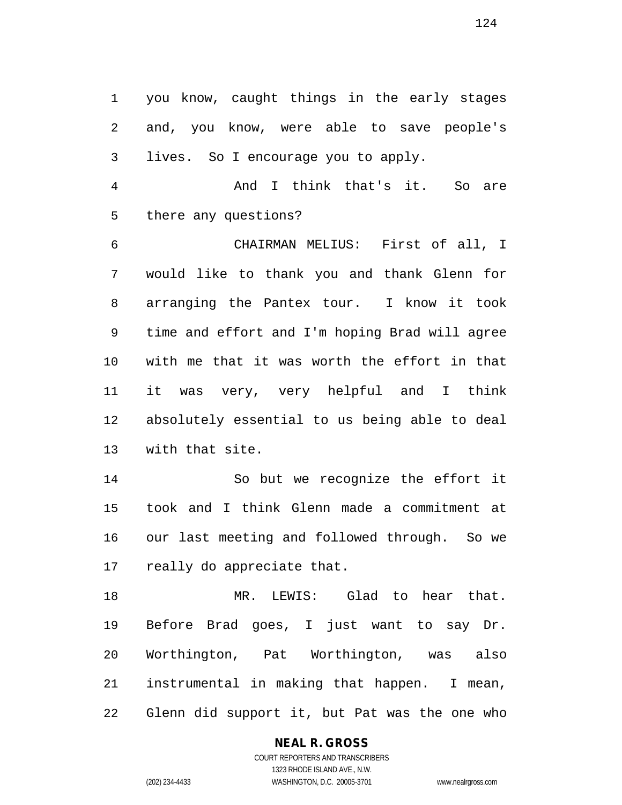you know, caught things in the early stages and, you know, were able to save people's lives. So I encourage you to apply.

 And I think that's it. So are there any questions?

 CHAIRMAN MELIUS: First of all, I would like to thank you and thank Glenn for arranging the Pantex tour. I know it took time and effort and I'm hoping Brad will agree with me that it was worth the effort in that it was very, very helpful and I think absolutely essential to us being able to deal with that site.

 So but we recognize the effort it took and I think Glenn made a commitment at our last meeting and followed through. So we really do appreciate that.

 MR. LEWIS: Glad to hear that. Before Brad goes, I just want to say Dr. Worthington, Pat Worthington, was also instrumental in making that happen. I mean, Glenn did support it, but Pat was the one who

## **NEAL R. GROSS**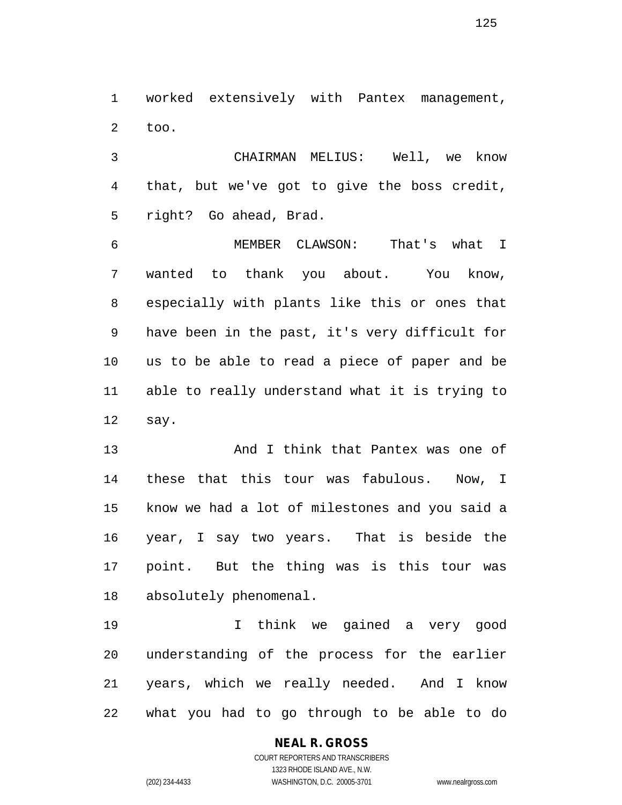worked extensively with Pantex management, too.

 CHAIRMAN MELIUS: Well, we know that, but we've got to give the boss credit, right? Go ahead, Brad.

 MEMBER CLAWSON: That's what I wanted to thank you about. You know, especially with plants like this or ones that have been in the past, it's very difficult for us to be able to read a piece of paper and be able to really understand what it is trying to say.

 And I think that Pantex was one of these that this tour was fabulous. Now, I know we had a lot of milestones and you said a year, I say two years. That is beside the point. But the thing was is this tour was absolutely phenomenal.

 I think we gained a very good understanding of the process for the earlier years, which we really needed. And I know what you had to go through to be able to do

# **NEAL R. GROSS**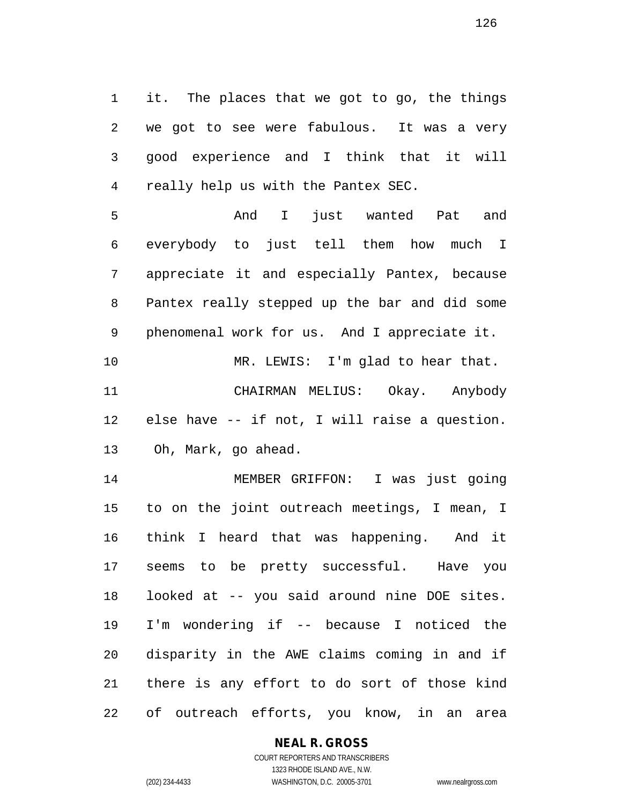it. The places that we got to go, the things we got to see were fabulous. It was a very good experience and I think that it will really help us with the Pantex SEC.

 And I just wanted Pat and everybody to just tell them how much I appreciate it and especially Pantex, because Pantex really stepped up the bar and did some phenomenal work for us. And I appreciate it. 10 MR. LEWIS: I'm glad to hear that. CHAIRMAN MELIUS: Okay. Anybody else have -- if not, I will raise a question. Oh, Mark, go ahead.

 MEMBER GRIFFON: I was just going to on the joint outreach meetings, I mean, I think I heard that was happening. And it seems to be pretty successful. Have you looked at -- you said around nine DOE sites. I'm wondering if -- because I noticed the disparity in the AWE claims coming in and if there is any effort to do sort of those kind of outreach efforts, you know, in an area

## **NEAL R. GROSS**

COURT REPORTERS AND TRANSCRIBERS 1323 RHODE ISLAND AVE., N.W. (202) 234-4433 WASHINGTON, D.C. 20005-3701 www.nealrgross.com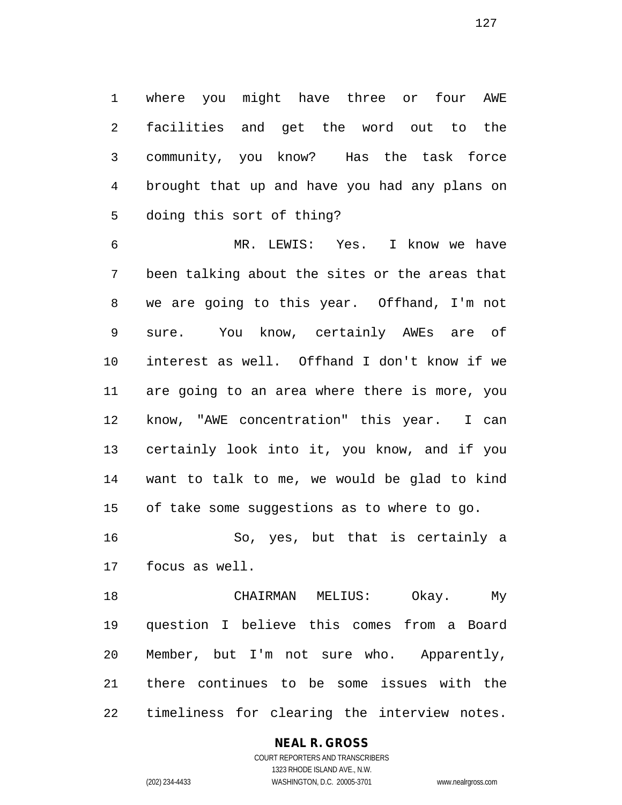where you might have three or four AWE facilities and get the word out to the community, you know? Has the task force brought that up and have you had any plans on doing this sort of thing?

 MR. LEWIS: Yes. I know we have been talking about the sites or the areas that we are going to this year. Offhand, I'm not sure. You know, certainly AWEs are of interest as well. Offhand I don't know if we are going to an area where there is more, you know, "AWE concentration" this year. I can certainly look into it, you know, and if you want to talk to me, we would be glad to kind of take some suggestions as to where to go.

 So, yes, but that is certainly a focus as well.

 CHAIRMAN MELIUS: Okay. My question I believe this comes from a Board Member, but I'm not sure who. Apparently, there continues to be some issues with the timeliness for clearing the interview notes.

**NEAL R. GROSS**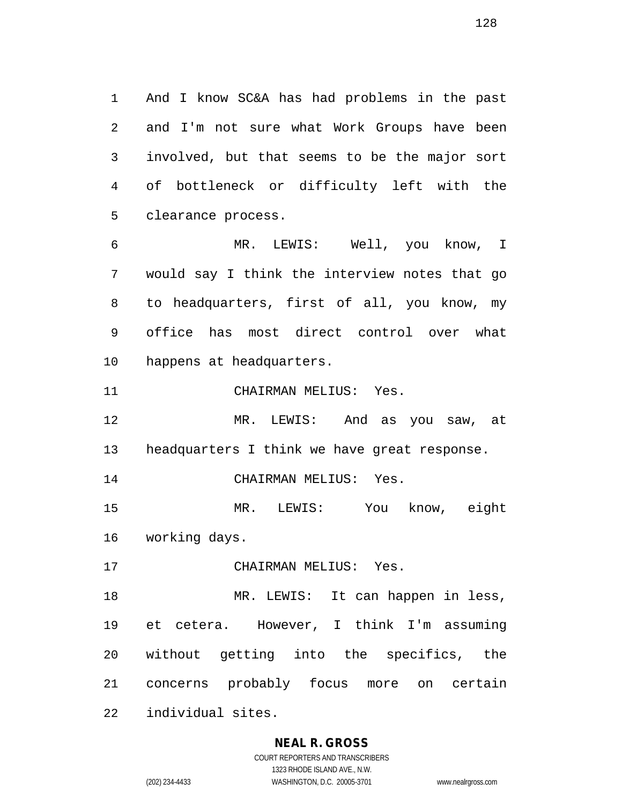And I know SC&A has had problems in the past and I'm not sure what Work Groups have been involved, but that seems to be the major sort of bottleneck or difficulty left with the clearance process.

 MR. LEWIS: Well, you know, I would say I think the interview notes that go to headquarters, first of all, you know, my office has most direct control over what happens at headquarters.

CHAIRMAN MELIUS: Yes.

 MR. LEWIS: And as you saw, at headquarters I think we have great response.

CHAIRMAN MELIUS: Yes.

 MR. LEWIS: You know, eight working days.

CHAIRMAN MELIUS: Yes.

 MR. LEWIS: It can happen in less, et cetera. However, I think I'm assuming without getting into the specifics, the concerns probably focus more on certain individual sites.

## **NEAL R. GROSS**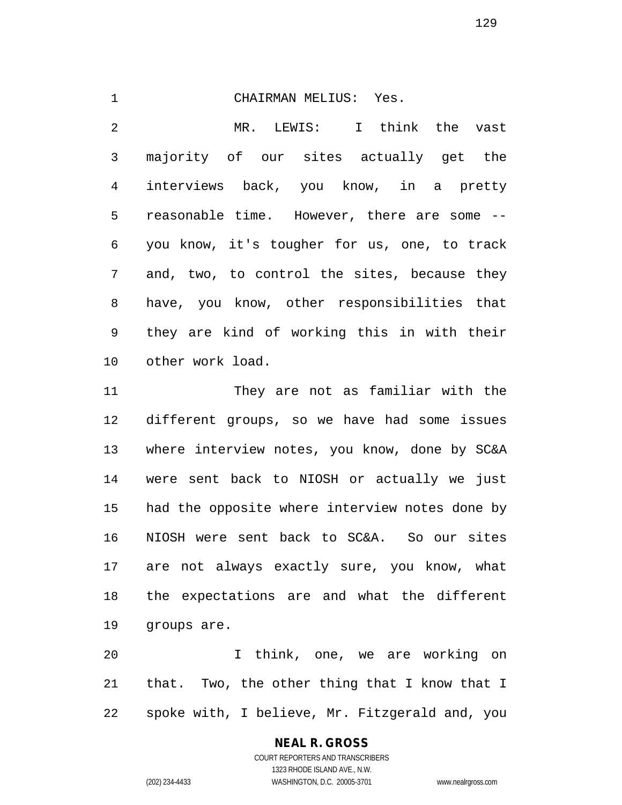#### CHAIRMAN MELIUS: Yes.

 MR. LEWIS: I think the vast majority of our sites actually get the interviews back, you know, in a pretty reasonable time. However, there are some -- you know, it's tougher for us, one, to track and, two, to control the sites, because they have, you know, other responsibilities that they are kind of working this in with their other work load.

 They are not as familiar with the different groups, so we have had some issues where interview notes, you know, done by SC&A were sent back to NIOSH or actually we just had the opposite where interview notes done by NIOSH were sent back to SC&A. So our sites are not always exactly sure, you know, what the expectations are and what the different groups are.

 I think, one, we are working on that. Two, the other thing that I know that I spoke with, I believe, Mr. Fitzgerald and, you

#### **NEAL R. GROSS**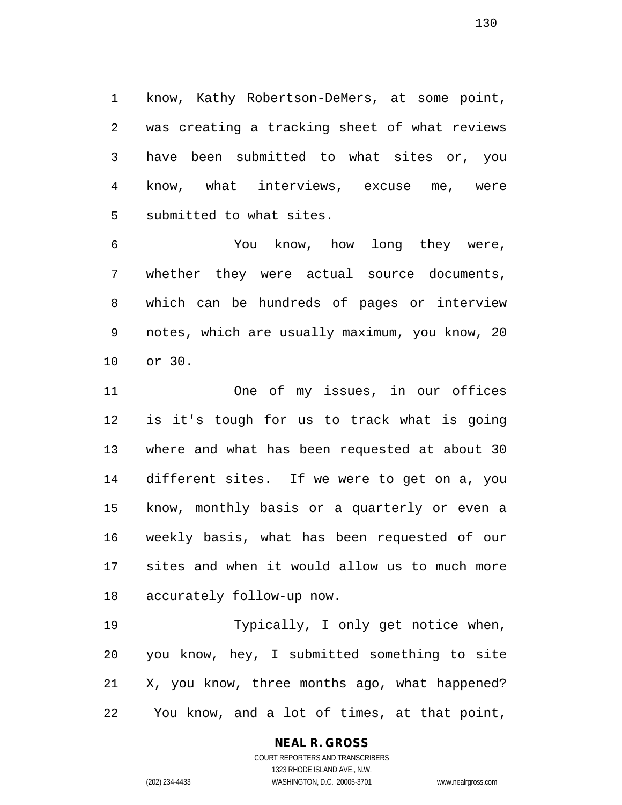know, Kathy Robertson-DeMers, at some point, was creating a tracking sheet of what reviews have been submitted to what sites or, you know, what interviews, excuse me, were submitted to what sites.

 You know, how long they were, whether they were actual source documents, which can be hundreds of pages or interview notes, which are usually maximum, you know, 20 or 30.

 One of my issues, in our offices is it's tough for us to track what is going where and what has been requested at about 30 different sites. If we were to get on a, you know, monthly basis or a quarterly or even a weekly basis, what has been requested of our sites and when it would allow us to much more accurately follow-up now.

 Typically, I only get notice when, you know, hey, I submitted something to site X, you know, three months ago, what happened? You know, and a lot of times, at that point,

## **NEAL R. GROSS**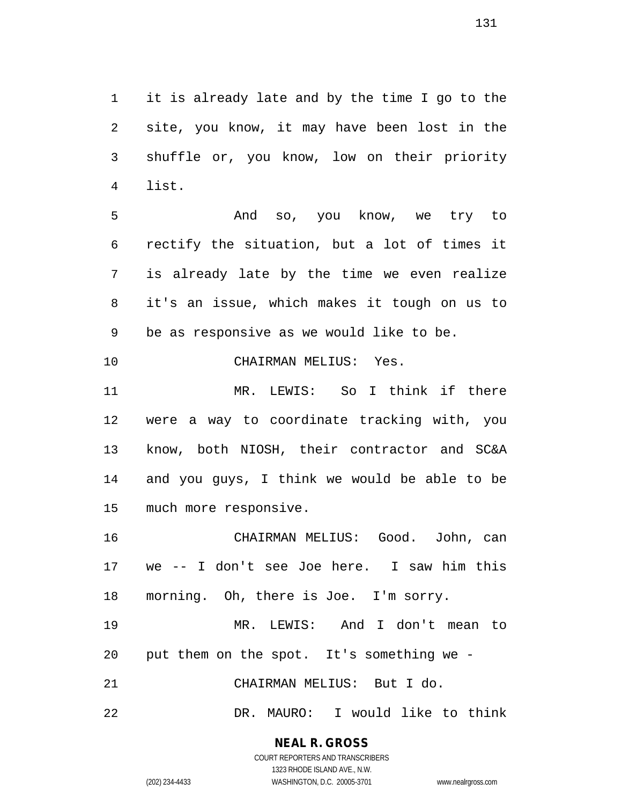it is already late and by the time I go to the site, you know, it may have been lost in the shuffle or, you know, low on their priority list.

 And so, you know, we try to rectify the situation, but a lot of times it is already late by the time we even realize it's an issue, which makes it tough on us to be as responsive as we would like to be.

CHAIRMAN MELIUS: Yes.

 MR. LEWIS: So I think if there were a way to coordinate tracking with, you know, both NIOSH, their contractor and SC&A and you guys, I think we would be able to be much more responsive.

 CHAIRMAN MELIUS: Good. John, can we -- I don't see Joe here. I saw him this morning. Oh, there is Joe. I'm sorry.

 MR. LEWIS: And I don't mean to put them on the spot. It's something we -

CHAIRMAN MELIUS: But I do.

DR. MAURO: I would like to think

**NEAL R. GROSS**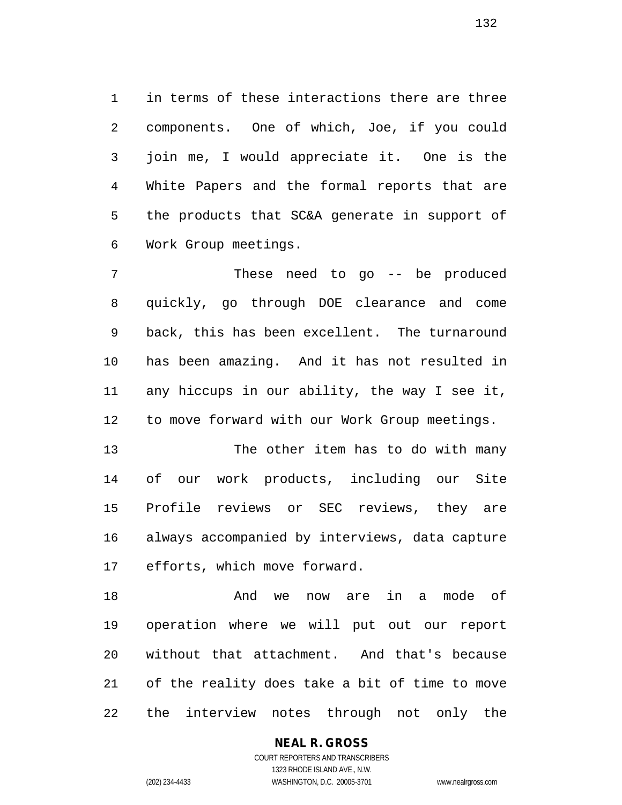in terms of these interactions there are three components. One of which, Joe, if you could join me, I would appreciate it. One is the White Papers and the formal reports that are the products that SC&A generate in support of Work Group meetings.

 These need to go -- be produced quickly, go through DOE clearance and come back, this has been excellent. The turnaround has been amazing. And it has not resulted in any hiccups in our ability, the way I see it, to move forward with our Work Group meetings.

 The other item has to do with many of our work products, including our Site Profile reviews or SEC reviews, they are always accompanied by interviews, data capture efforts, which move forward.

 And we now are in a mode of operation where we will put out our report without that attachment. And that's because of the reality does take a bit of time to move the interview notes through not only the

> **NEAL R. GROSS** COURT REPORTERS AND TRANSCRIBERS

1323 RHODE ISLAND AVE., N.W. (202) 234-4433 WASHINGTON, D.C. 20005-3701 www.nealrgross.com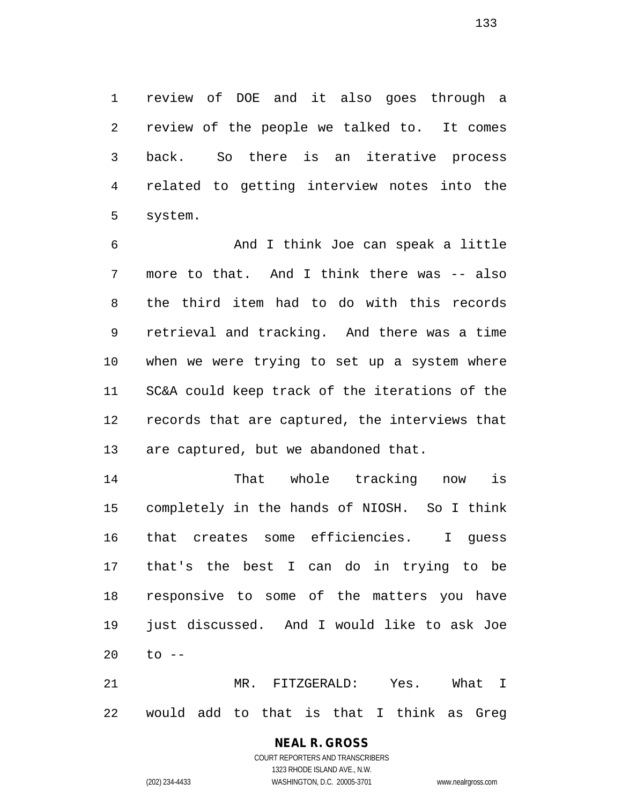review of DOE and it also goes through a review of the people we talked to. It comes back. So there is an iterative process related to getting interview notes into the system.

 And I think Joe can speak a little 7 more to that. And I think there was -- also the third item had to do with this records retrieval and tracking. And there was a time when we were trying to set up a system where SC&A could keep track of the iterations of the records that are captured, the interviews that are captured, but we abandoned that.

 That whole tracking now is completely in the hands of NIOSH. So I think that creates some efficiencies. I guess that's the best I can do in trying to be responsive to some of the matters you have just discussed. And I would like to ask Joe to --

 MR. FITZGERALD: Yes. What I would add to that is that I think as Greg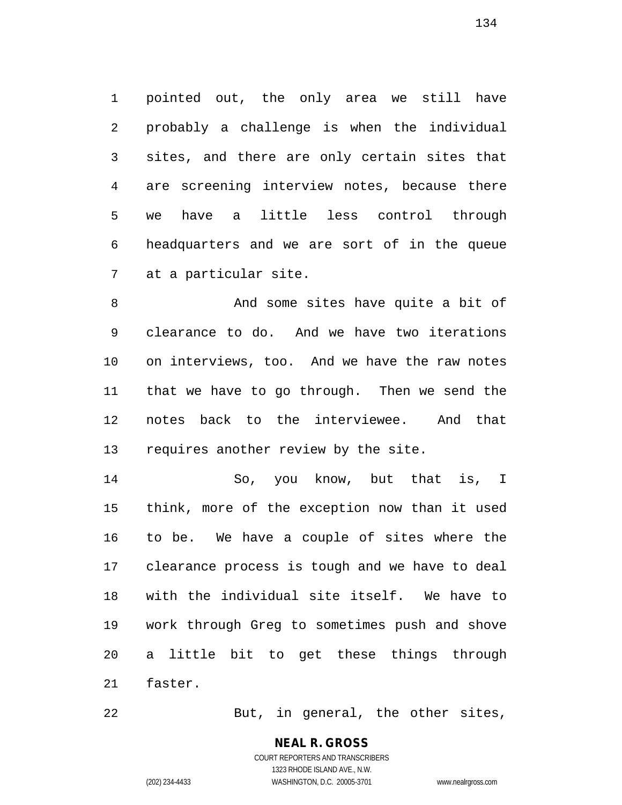pointed out, the only area we still have probably a challenge is when the individual sites, and there are only certain sites that are screening interview notes, because there we have a little less control through headquarters and we are sort of in the queue at a particular site.

 And some sites have quite a bit of clearance to do. And we have two iterations on interviews, too. And we have the raw notes that we have to go through. Then we send the notes back to the interviewee. And that requires another review by the site.

 So, you know, but that is, I think, more of the exception now than it used to be. We have a couple of sites where the clearance process is tough and we have to deal with the individual site itself. We have to work through Greg to sometimes push and shove a little bit to get these things through faster.

22 But, in general, the other sites,

COURT REPORTERS AND TRANSCRIBERS 1323 RHODE ISLAND AVE., N.W. (202) 234-4433 WASHINGTON, D.C. 20005-3701 www.nealrgross.com

**NEAL R. GROSS**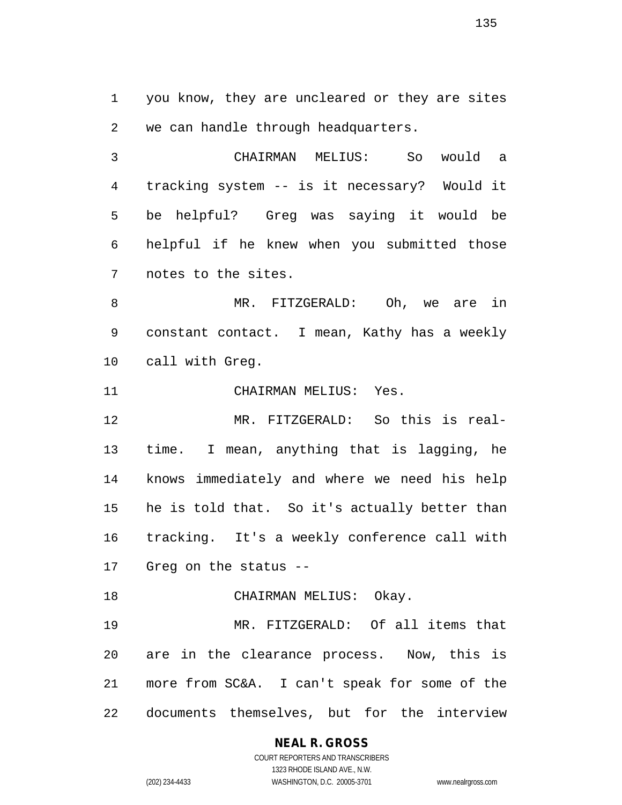you know, they are uncleared or they are sites we can handle through headquarters.

 CHAIRMAN MELIUS: So would a tracking system -- is it necessary? Would it be helpful? Greg was saying it would be helpful if he knew when you submitted those notes to the sites.

 MR. FITZGERALD: Oh, we are in constant contact. I mean, Kathy has a weekly call with Greg.

CHAIRMAN MELIUS: Yes.

 MR. FITZGERALD: So this is real- time. I mean, anything that is lagging, he knows immediately and where we need his help he is told that. So it's actually better than tracking. It's a weekly conference call with Greg on the status --

18 CHAIRMAN MELIUS: Okay.

 MR. FITZGERALD: Of all items that are in the clearance process. Now, this is more from SC&A. I can't speak for some of the documents themselves, but for the interview

**NEAL R. GROSS**

COURT REPORTERS AND TRANSCRIBERS 1323 RHODE ISLAND AVE., N.W. (202) 234-4433 WASHINGTON, D.C. 20005-3701 www.nealrgross.com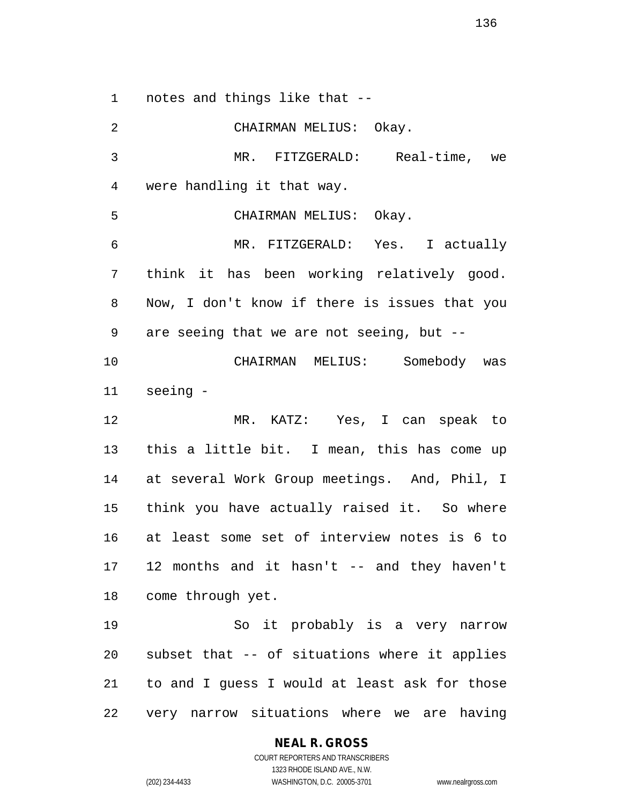notes and things like that --

 CHAIRMAN MELIUS: Okay. MR. FITZGERALD: Real-time, we were handling it that way. CHAIRMAN MELIUS: Okay. MR. FITZGERALD: Yes. I actually think it has been working relatively good. Now, I don't know if there is issues that you are seeing that we are not seeing, but -- CHAIRMAN MELIUS: Somebody was seeing - MR. KATZ: Yes, I can speak to this a little bit. I mean, this has come up at several Work Group meetings. And, Phil, I think you have actually raised it. So where at least some set of interview notes is 6 to 12 months and it hasn't -- and they haven't come through yet. So it probably is a very narrow subset that -- of situations where it applies to and I guess I would at least ask for those very narrow situations where we are having

**NEAL R. GROSS**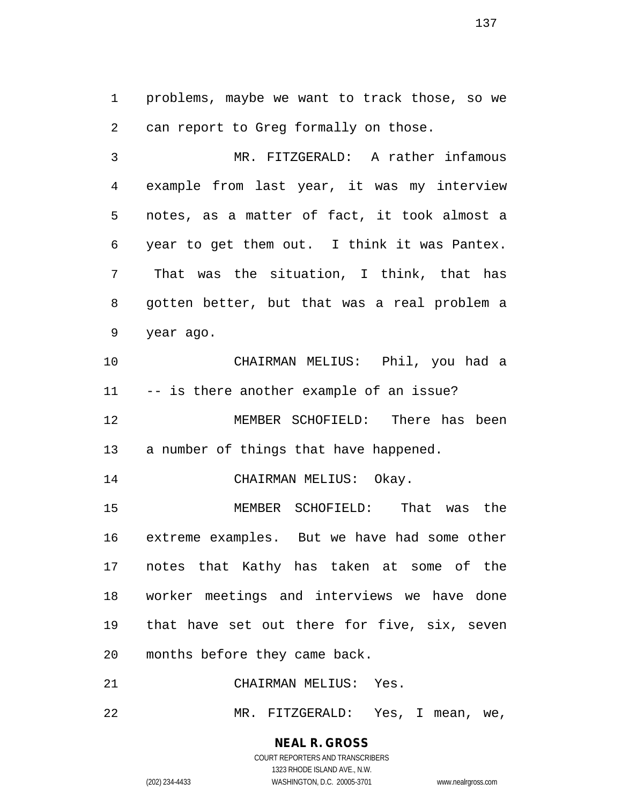problems, maybe we want to track those, so we can report to Greg formally on those.

 MR. FITZGERALD: A rather infamous example from last year, it was my interview notes, as a matter of fact, it took almost a year to get them out. I think it was Pantex. That was the situation, I think, that has gotten better, but that was a real problem a year ago.

 CHAIRMAN MELIUS: Phil, you had a -- is there another example of an issue? MEMBER SCHOFIELD: There has been

a number of things that have happened.

14 CHAIRMAN MELIUS: Okay.

 MEMBER SCHOFIELD: That was the extreme examples. But we have had some other notes that Kathy has taken at some of the worker meetings and interviews we have done that have set out there for five, six, seven months before they came back.

CHAIRMAN MELIUS: Yes.

MR. FITZGERALD: Yes, I mean, we,

**NEAL R. GROSS** COURT REPORTERS AND TRANSCRIBERS

1323 RHODE ISLAND AVE., N.W. (202) 234-4433 WASHINGTON, D.C. 20005-3701 www.nealrgross.com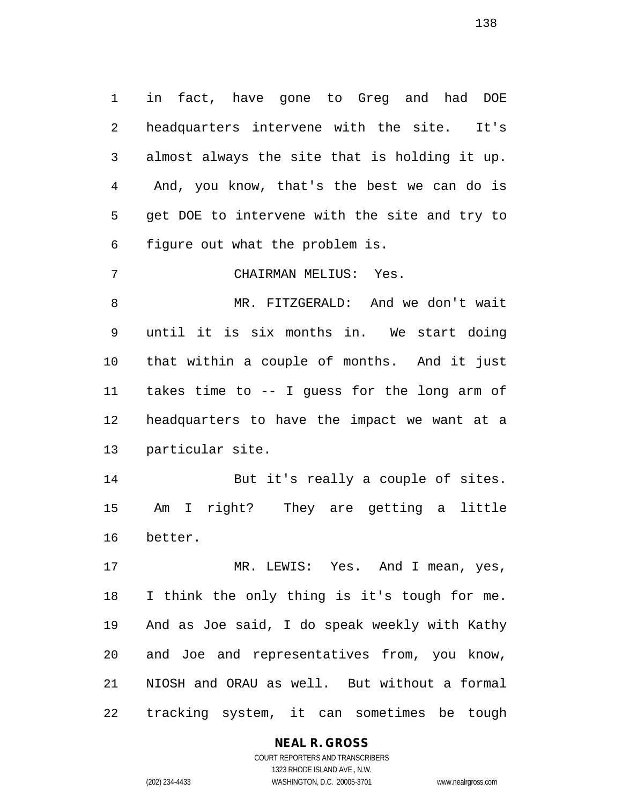in fact, have gone to Greg and had DOE headquarters intervene with the site. It's almost always the site that is holding it up. And, you know, that's the best we can do is get DOE to intervene with the site and try to figure out what the problem is.

CHAIRMAN MELIUS: Yes.

 MR. FITZGERALD: And we don't wait until it is six months in. We start doing that within a couple of months. And it just takes time to -- I guess for the long arm of headquarters to have the impact we want at a particular site.

 But it's really a couple of sites. Am I right? They are getting a little better.

 MR. LEWIS: Yes. And I mean, yes, I think the only thing is it's tough for me. And as Joe said, I do speak weekly with Kathy and Joe and representatives from, you know, NIOSH and ORAU as well. But without a formal tracking system, it can sometimes be tough

# **NEAL R. GROSS**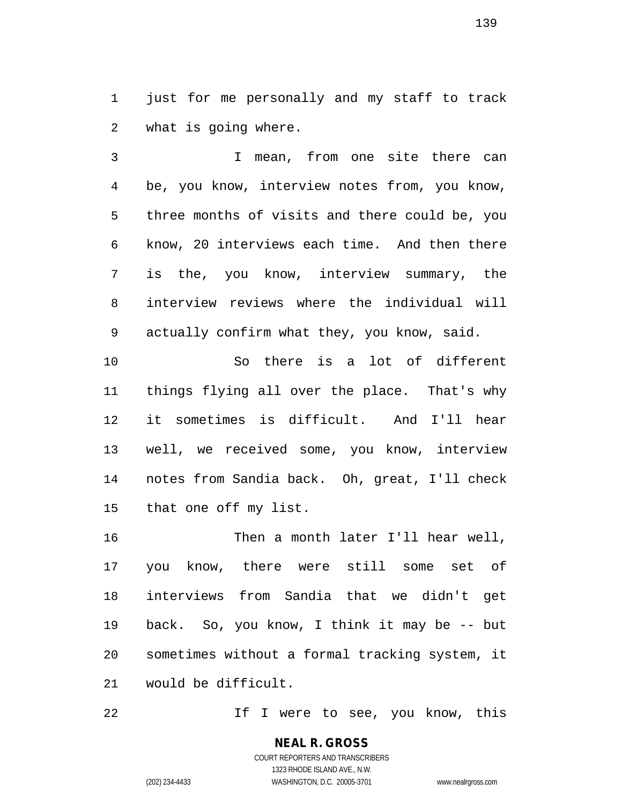just for me personally and my staff to track what is going where.

 I mean, from one site there can be, you know, interview notes from, you know, three months of visits and there could be, you know, 20 interviews each time. And then there is the, you know, interview summary, the interview reviews where the individual will actually confirm what they, you know, said. So there is a lot of different

 things flying all over the place. That's why it sometimes is difficult. And I'll hear well, we received some, you know, interview notes from Sandia back. Oh, great, I'll check that one off my list.

 Then a month later I'll hear well, you know, there were still some set of interviews from Sandia that we didn't get back. So, you know, I think it may be -- but sometimes without a formal tracking system, it would be difficult.

22 1f I were to see, you know, this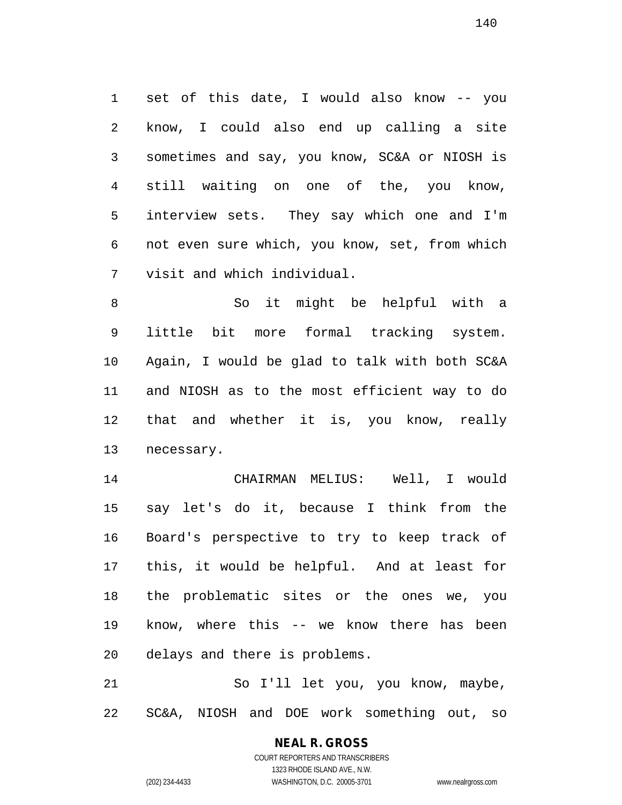set of this date, I would also know -- you know, I could also end up calling a site sometimes and say, you know, SC&A or NIOSH is still waiting on one of the, you know, interview sets. They say which one and I'm not even sure which, you know, set, from which visit and which individual.

 So it might be helpful with a little bit more formal tracking system. Again, I would be glad to talk with both SC&A and NIOSH as to the most efficient way to do that and whether it is, you know, really necessary.

 CHAIRMAN MELIUS: Well, I would say let's do it, because I think from the Board's perspective to try to keep track of this, it would be helpful. And at least for the problematic sites or the ones we, you know, where this -- we know there has been delays and there is problems.

 So I'll let you, you know, maybe, SC&A, NIOSH and DOE work something out, so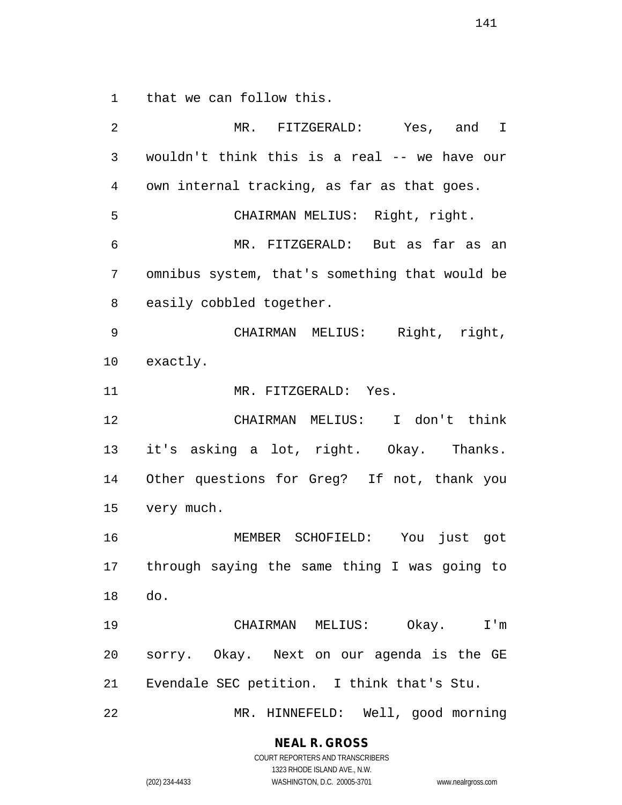that we can follow this.

 MR. FITZGERALD: Yes, and I wouldn't think this is a real -- we have our own internal tracking, as far as that goes. CHAIRMAN MELIUS: Right, right. MR. FITZGERALD: But as far as an omnibus system, that's something that would be easily cobbled together. CHAIRMAN MELIUS: Right, right, exactly. 11 MR. FITZGERALD: Yes. CHAIRMAN MELIUS: I don't think it's asking a lot, right. Okay. Thanks. Other questions for Greg? If not, thank you very much. MEMBER SCHOFIELD: You just got through saying the same thing I was going to do. CHAIRMAN MELIUS: Okay. I'm sorry. Okay. Next on our agenda is the GE Evendale SEC petition. I think that's Stu. MR. HINNEFELD: Well, good morning

**NEAL R. GROSS**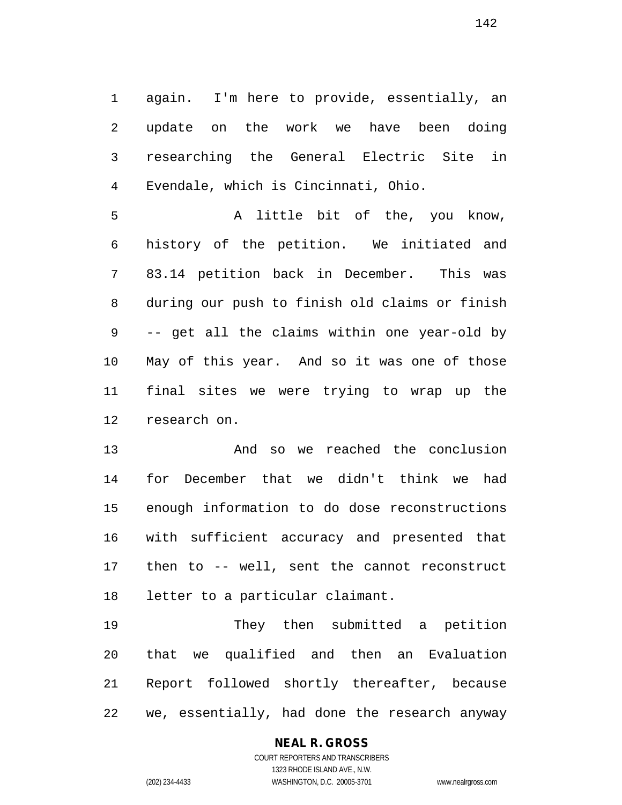again. I'm here to provide, essentially, an update on the work we have been doing researching the General Electric Site in Evendale, which is Cincinnati, Ohio.

 A little bit of the, you know, history of the petition. We initiated and 83.14 petition back in December. This was during our push to finish old claims or finish -- get all the claims within one year-old by May of this year. And so it was one of those final sites we were trying to wrap up the research on.

 And so we reached the conclusion for December that we didn't think we had enough information to do dose reconstructions with sufficient accuracy and presented that then to -- well, sent the cannot reconstruct letter to a particular claimant.

 They then submitted a petition that we qualified and then an Evaluation Report followed shortly thereafter, because we, essentially, had done the research anyway

## **NEAL R. GROSS**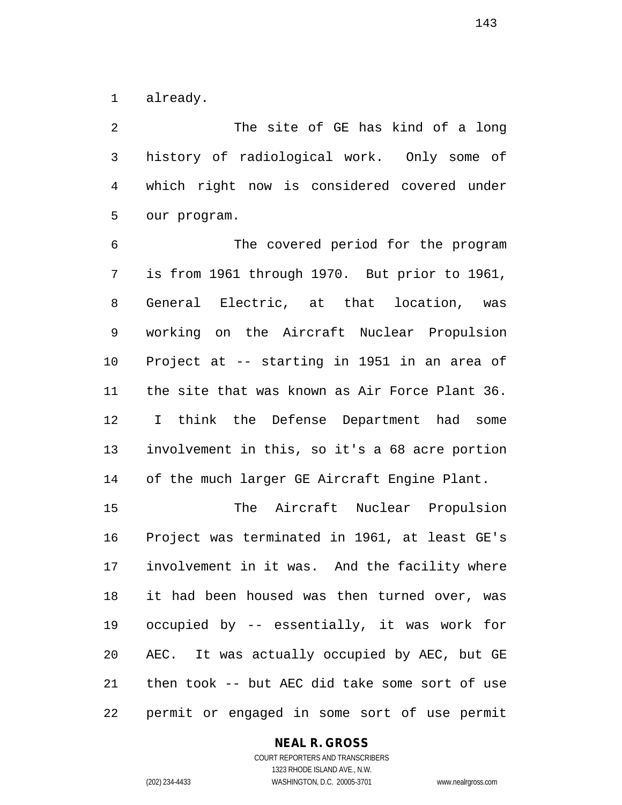already.

 The site of GE has kind of a long history of radiological work. Only some of which right now is considered covered under our program.

 The covered period for the program is from 1961 through 1970. But prior to 1961, General Electric, at that location, was working on the Aircraft Nuclear Propulsion Project at -- starting in 1951 in an area of the site that was known as Air Force Plant 36. I think the Defense Department had some involvement in this, so it's a 68 acre portion of the much larger GE Aircraft Engine Plant.

 The Aircraft Nuclear Propulsion Project was terminated in 1961, at least GE's involvement in it was. And the facility where it had been housed was then turned over, was occupied by -- essentially, it was work for AEC. It was actually occupied by AEC, but GE then took -- but AEC did take some sort of use permit or engaged in some sort of use permit

## **NEAL R. GROSS**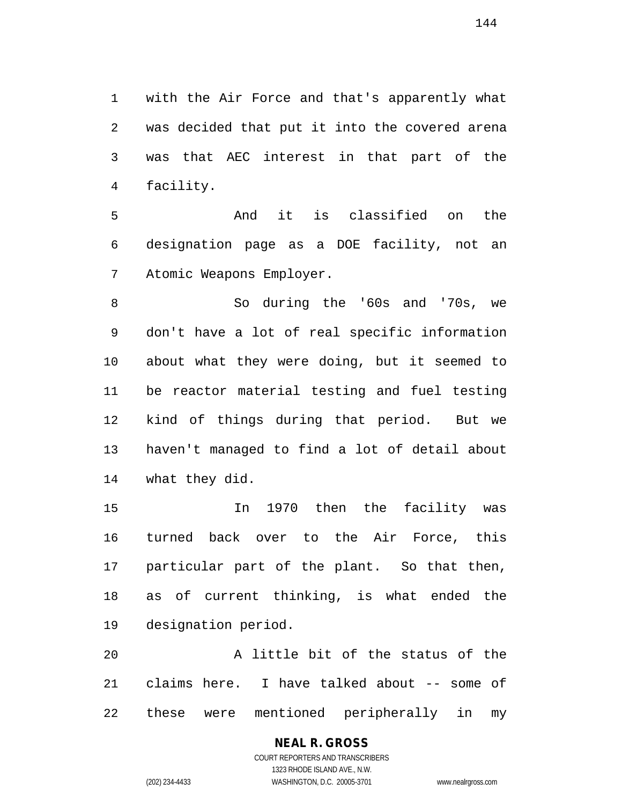with the Air Force and that's apparently what was decided that put it into the covered arena was that AEC interest in that part of the facility.

 And it is classified on the designation page as a DOE facility, not an Atomic Weapons Employer.

 So during the '60s and '70s, we don't have a lot of real specific information about what they were doing, but it seemed to be reactor material testing and fuel testing kind of things during that period. But we haven't managed to find a lot of detail about what they did.

 In 1970 then the facility was turned back over to the Air Force, this particular part of the plant. So that then, as of current thinking, is what ended the designation period.

 A little bit of the status of the claims here. I have talked about -- some of these were mentioned peripherally in my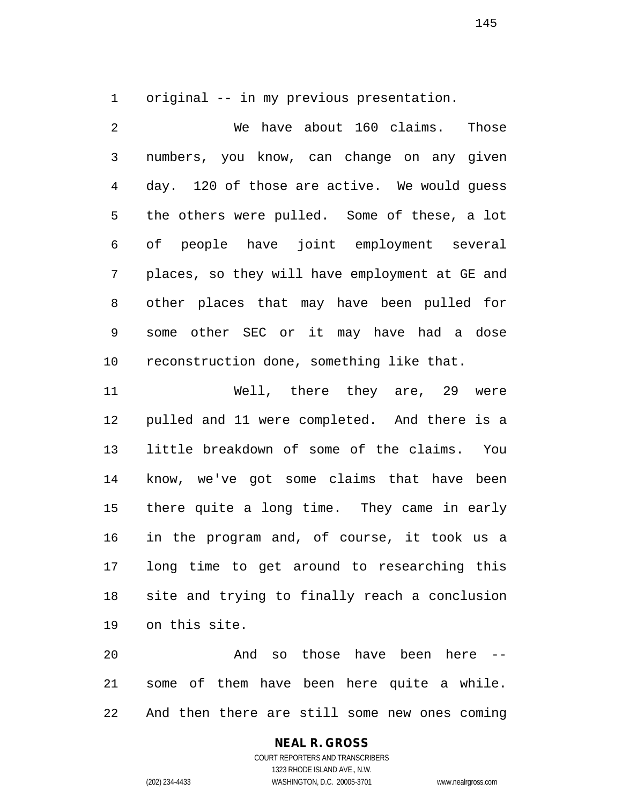original -- in my previous presentation.

 We have about 160 claims. Those numbers, you know, can change on any given day. 120 of those are active. We would guess the others were pulled. Some of these, a lot of people have joint employment several places, so they will have employment at GE and other places that may have been pulled for some other SEC or it may have had a dose reconstruction done, something like that.

 Well, there they are, 29 were pulled and 11 were completed. And there is a little breakdown of some of the claims. You know, we've got some claims that have been there quite a long time. They came in early in the program and, of course, it took us a long time to get around to researching this site and trying to finally reach a conclusion on this site.

 And so those have been here -- some of them have been here quite a while. And then there are still some new ones coming

# **NEAL R. GROSS**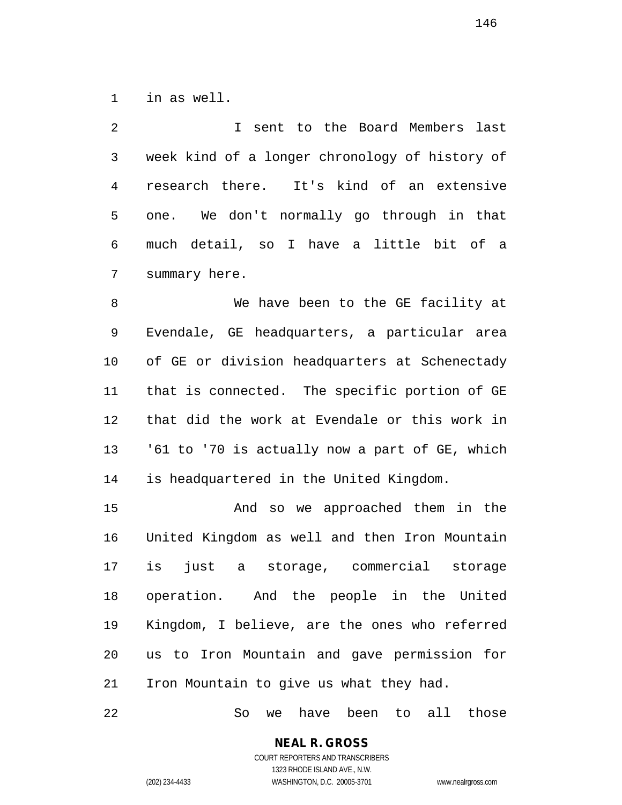in as well.

 I sent to the Board Members last week kind of a longer chronology of history of research there. It's kind of an extensive one. We don't normally go through in that much detail, so I have a little bit of a summary here.

 We have been to the GE facility at Evendale, GE headquarters, a particular area of GE or division headquarters at Schenectady that is connected. The specific portion of GE that did the work at Evendale or this work in '61 to '70 is actually now a part of GE, which is headquartered in the United Kingdom.

 And so we approached them in the United Kingdom as well and then Iron Mountain is just a storage, commercial storage operation. And the people in the United Kingdom, I believe, are the ones who referred us to Iron Mountain and gave permission for Iron Mountain to give us what they had.

So we have been to all those

**NEAL R. GROSS** COURT REPORTERS AND TRANSCRIBERS

1323 RHODE ISLAND AVE., N.W.

(202) 234-4433 WASHINGTON, D.C. 20005-3701 www.nealrgross.com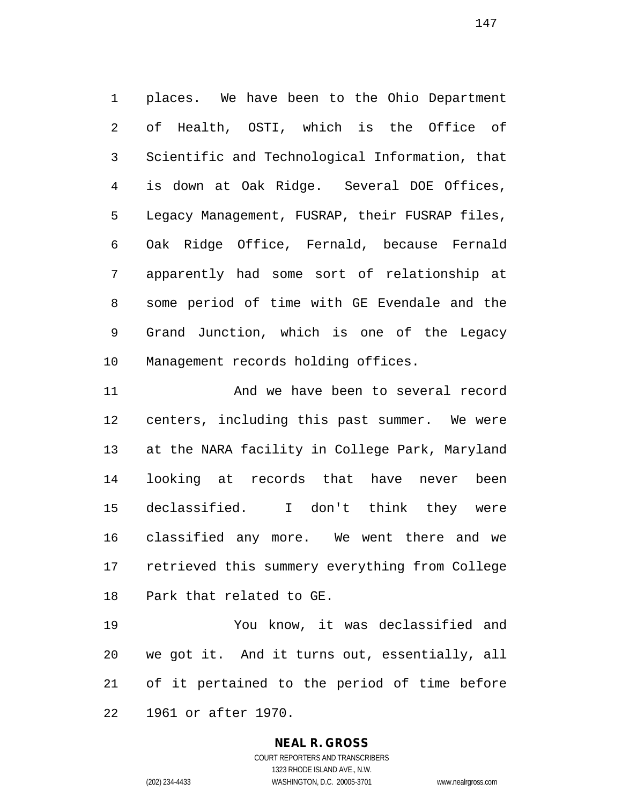places. We have been to the Ohio Department of Health, OSTI, which is the Office of Scientific and Technological Information, that is down at Oak Ridge. Several DOE Offices, Legacy Management, FUSRAP, their FUSRAP files, Oak Ridge Office, Fernald, because Fernald apparently had some sort of relationship at some period of time with GE Evendale and the Grand Junction, which is one of the Legacy Management records holding offices.

 And we have been to several record centers, including this past summer. We were at the NARA facility in College Park, Maryland looking at records that have never been declassified. I don't think they were classified any more. We went there and we retrieved this summery everything from College Park that related to GE.

 You know, it was declassified and we got it. And it turns out, essentially, all of it pertained to the period of time before 1961 or after 1970.

## **NEAL R. GROSS**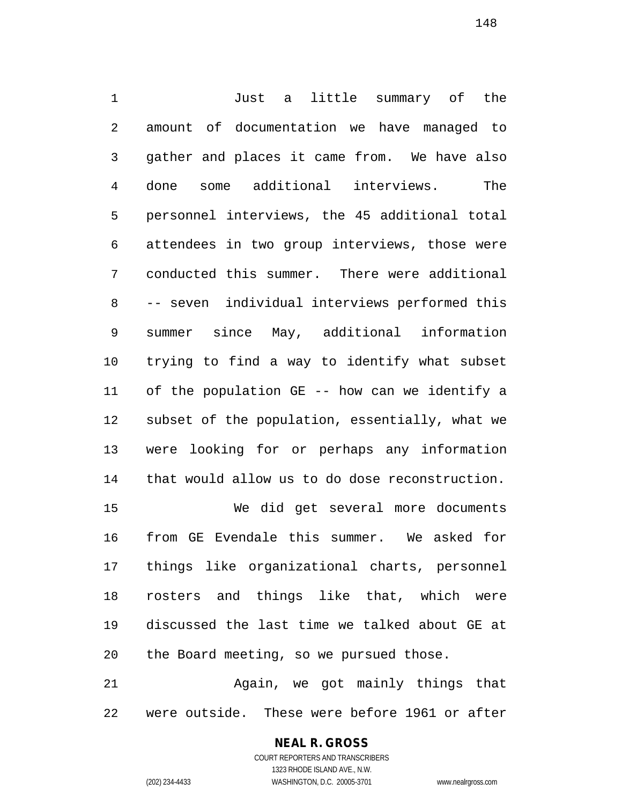Just a little summary of the amount of documentation we have managed to gather and places it came from. We have also done some additional interviews. The personnel interviews, the 45 additional total attendees in two group interviews, those were conducted this summer. There were additional -- seven individual interviews performed this summer since May, additional information trying to find a way to identify what subset of the population GE -- how can we identify a subset of the population, essentially, what we were looking for or perhaps any information that would allow us to do dose reconstruction.

 We did get several more documents from GE Evendale this summer. We asked for things like organizational charts, personnel rosters and things like that, which were discussed the last time we talked about GE at the Board meeting, so we pursued those.

 Again, we got mainly things that were outside. These were before 1961 or after

# **NEAL R. GROSS**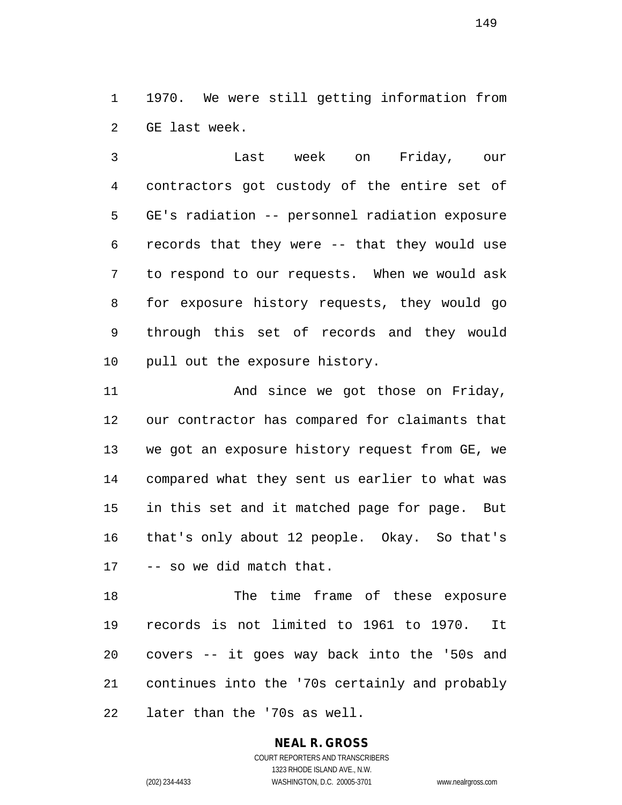1970. We were still getting information from GE last week.

 Last week on Friday, our contractors got custody of the entire set of GE's radiation -- personnel radiation exposure records that they were -- that they would use to respond to our requests. When we would ask for exposure history requests, they would go through this set of records and they would pull out the exposure history.

11 And since we got those on Friday, our contractor has compared for claimants that we got an exposure history request from GE, we compared what they sent us earlier to what was in this set and it matched page for page. But that's only about 12 people. Okay. So that's -- so we did match that.

 The time frame of these exposure records is not limited to 1961 to 1970. It covers -- it goes way back into the '50s and continues into the '70s certainly and probably later than the '70s as well.

# **NEAL R. GROSS**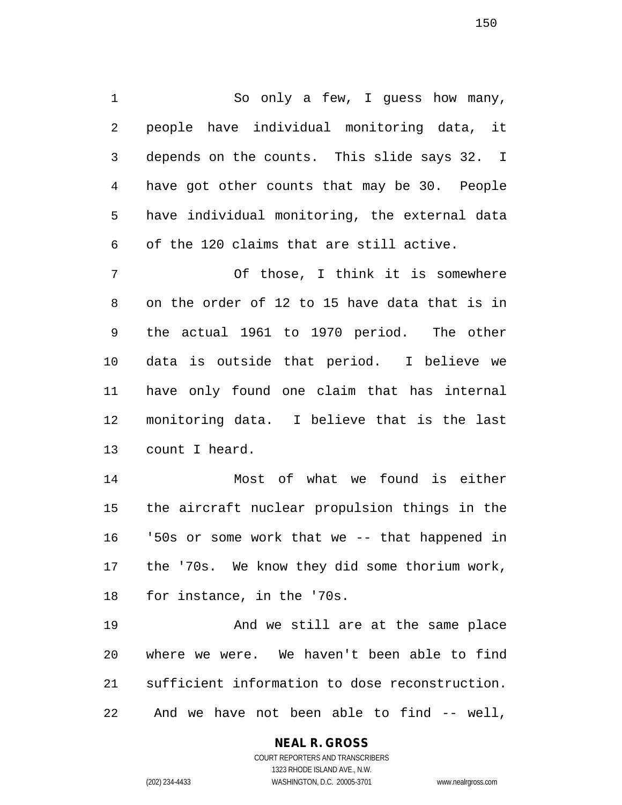So only a few, I guess how many, people have individual monitoring data, it depends on the counts. This slide says 32. I have got other counts that may be 30. People have individual monitoring, the external data of the 120 claims that are still active.

 Of those, I think it is somewhere on the order of 12 to 15 have data that is in the actual 1961 to 1970 period. The other data is outside that period. I believe we have only found one claim that has internal monitoring data. I believe that is the last count I heard.

 Most of what we found is either the aircraft nuclear propulsion things in the '50s or some work that we -- that happened in the '70s. We know they did some thorium work, for instance, in the '70s.

 And we still are at the same place where we were. We haven't been able to find sufficient information to dose reconstruction. And we have not been able to find -- well,

> **NEAL R. GROSS** COURT REPORTERS AND TRANSCRIBERS

1323 RHODE ISLAND AVE., N.W. (202) 234-4433 WASHINGTON, D.C. 20005-3701 www.nealrgross.com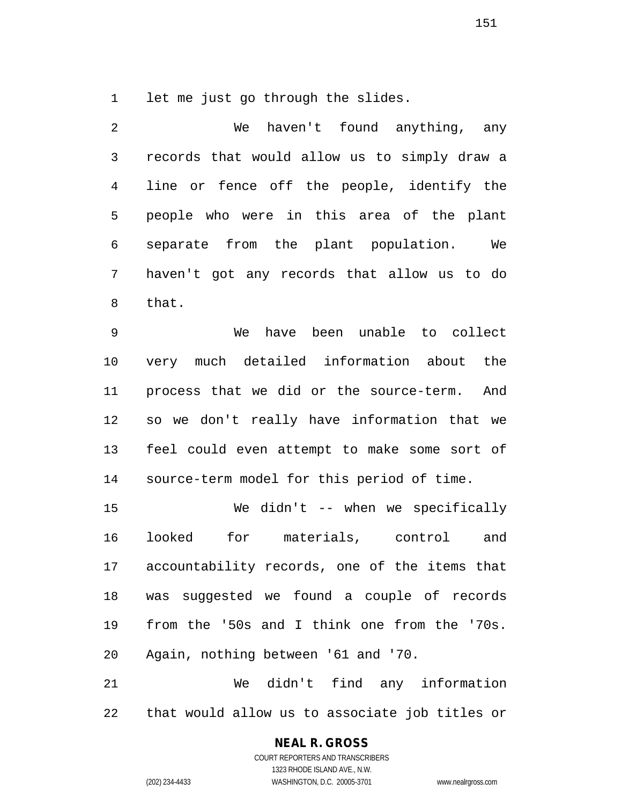let me just go through the slides.

 We haven't found anything, any records that would allow us to simply draw a line or fence off the people, identify the people who were in this area of the plant separate from the plant population. We haven't got any records that allow us to do that.

 We have been unable to collect very much detailed information about the process that we did or the source-term. And so we don't really have information that we feel could even attempt to make some sort of source-term model for this period of time.

 We didn't -- when we specifically looked for materials, control and accountability records, one of the items that was suggested we found a couple of records from the '50s and I think one from the '70s. Again, nothing between '61 and '70.

 We didn't find any information that would allow us to associate job titles or

# **NEAL R. GROSS**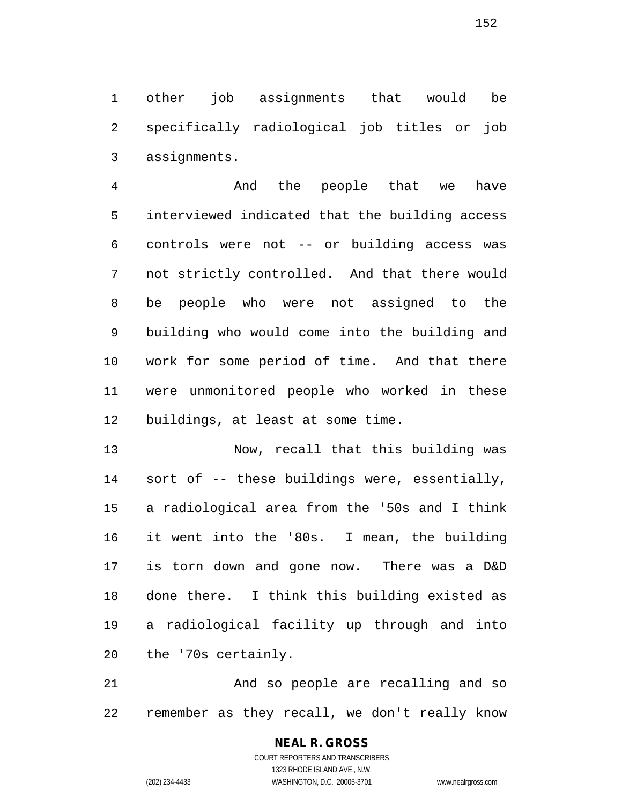other job assignments that would be specifically radiological job titles or job assignments.

 And the people that we have interviewed indicated that the building access controls were not -- or building access was not strictly controlled. And that there would be people who were not assigned to the building who would come into the building and work for some period of time. And that there were unmonitored people who worked in these buildings, at least at some time.

 Now, recall that this building was sort of -- these buildings were, essentially, a radiological area from the '50s and I think it went into the '80s. I mean, the building is torn down and gone now. There was a D&D done there. I think this building existed as a radiological facility up through and into the '70s certainly.

 And so people are recalling and so remember as they recall, we don't really know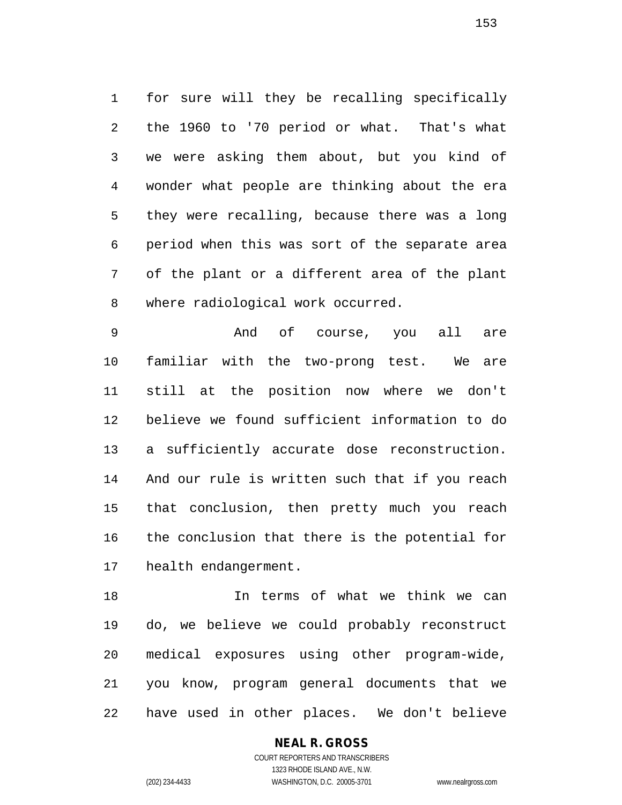for sure will they be recalling specifically the 1960 to '70 period or what. That's what we were asking them about, but you kind of wonder what people are thinking about the era they were recalling, because there was a long period when this was sort of the separate area of the plant or a different area of the plant where radiological work occurred.

 And of course, you all are familiar with the two-prong test. We are still at the position now where we don't believe we found sufficient information to do a sufficiently accurate dose reconstruction. And our rule is written such that if you reach that conclusion, then pretty much you reach the conclusion that there is the potential for health endangerment.

 In terms of what we think we can do, we believe we could probably reconstruct medical exposures using other program-wide, you know, program general documents that we have used in other places. We don't believe

# **NEAL R. GROSS**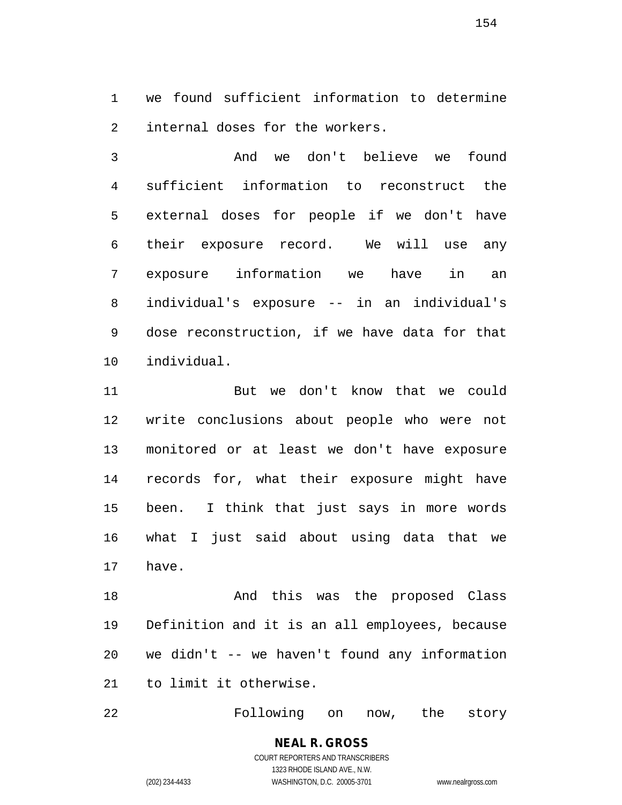we found sufficient information to determine internal doses for the workers.

 And we don't believe we found sufficient information to reconstruct the external doses for people if we don't have their exposure record. We will use any exposure information we have in an individual's exposure -- in an individual's dose reconstruction, if we have data for that individual.

 But we don't know that we could write conclusions about people who were not monitored or at least we don't have exposure records for, what their exposure might have been. I think that just says in more words what I just said about using data that we have.

18 And this was the proposed Class Definition and it is an all employees, because we didn't -- we haven't found any information to limit it otherwise.

Following on now, the story

COURT REPORTERS AND TRANSCRIBERS 1323 RHODE ISLAND AVE., N.W. (202) 234-4433 WASHINGTON, D.C. 20005-3701 www.nealrgross.com

**NEAL R. GROSS**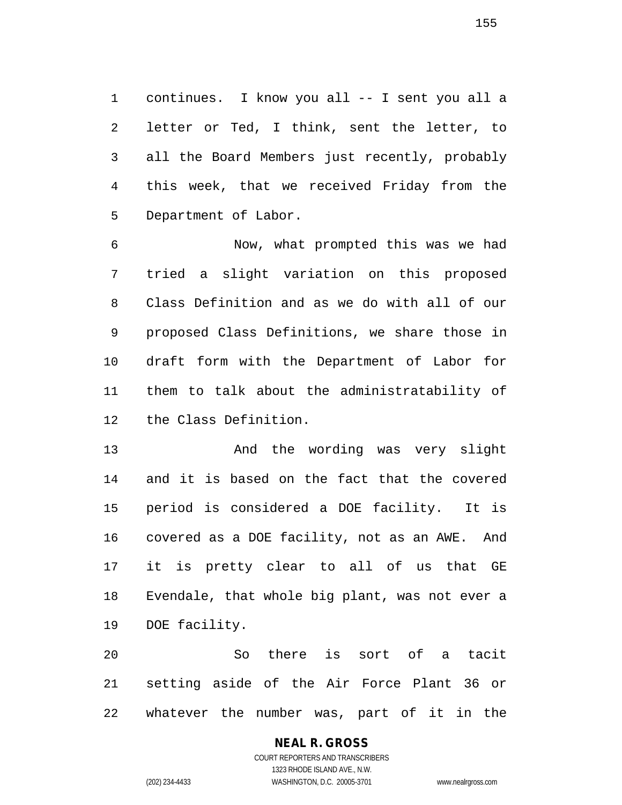continues. I know you all -- I sent you all a letter or Ted, I think, sent the letter, to all the Board Members just recently, probably this week, that we received Friday from the Department of Labor.

 Now, what prompted this was we had tried a slight variation on this proposed Class Definition and as we do with all of our proposed Class Definitions, we share those in draft form with the Department of Labor for them to talk about the administratability of the Class Definition.

 And the wording was very slight and it is based on the fact that the covered period is considered a DOE facility. It is covered as a DOE facility, not as an AWE. And it is pretty clear to all of us that GE Evendale, that whole big plant, was not ever a DOE facility.

 So there is sort of a tacit setting aside of the Air Force Plant 36 or whatever the number was, part of it in the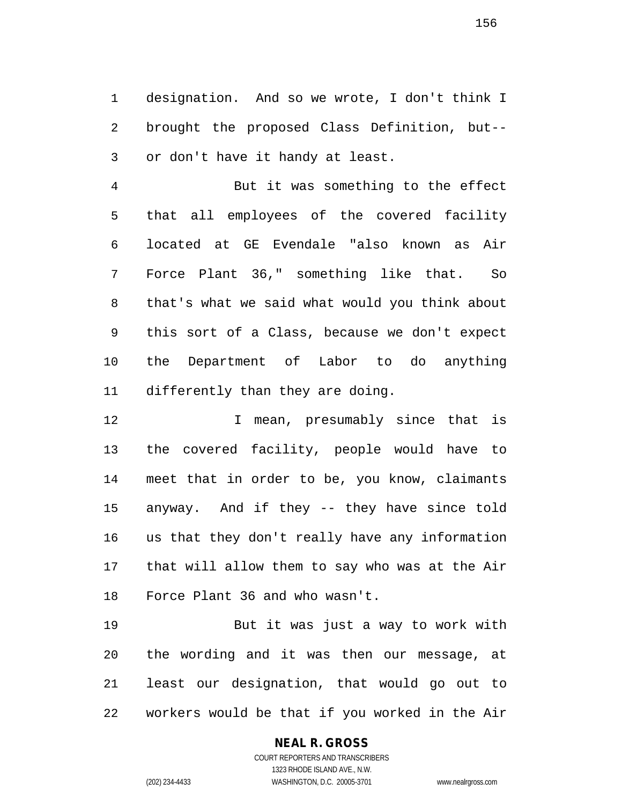designation. And so we wrote, I don't think I brought the proposed Class Definition, but-- or don't have it handy at least.

 But it was something to the effect that all employees of the covered facility located at GE Evendale "also known as Air Force Plant 36," something like that. So that's what we said what would you think about this sort of a Class, because we don't expect the Department of Labor to do anything differently than they are doing.

12 12 I mean, presumably since that is the covered facility, people would have to meet that in order to be, you know, claimants anyway. And if they -- they have since told us that they don't really have any information that will allow them to say who was at the Air Force Plant 36 and who wasn't.

 But it was just a way to work with the wording and it was then our message, at least our designation, that would go out to workers would be that if you worked in the Air

## **NEAL R. GROSS**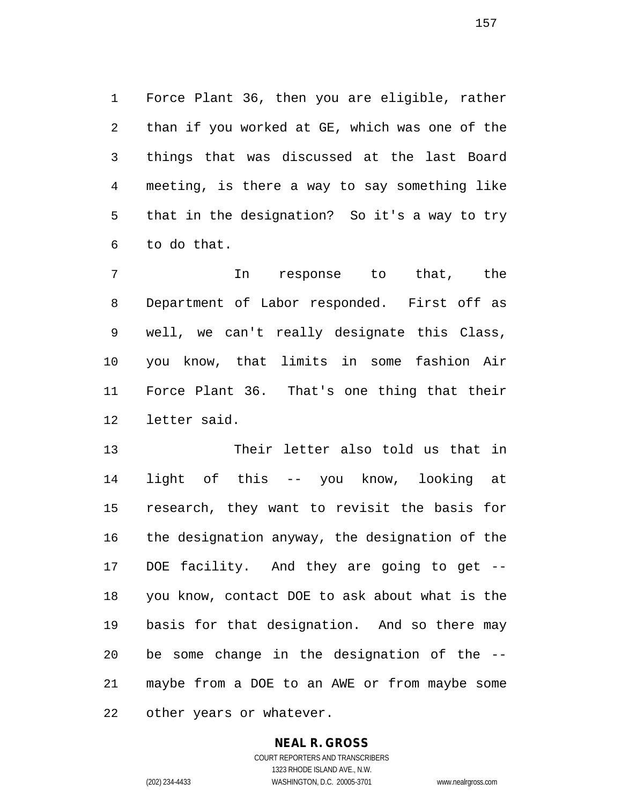Force Plant 36, then you are eligible, rather than if you worked at GE, which was one of the things that was discussed at the last Board meeting, is there a way to say something like that in the designation? So it's a way to try to do that.

 In response to that, the Department of Labor responded. First off as well, we can't really designate this Class, you know, that limits in some fashion Air Force Plant 36. That's one thing that their letter said.

 Their letter also told us that in light of this -- you know, looking at research, they want to revisit the basis for the designation anyway, the designation of the DOE facility. And they are going to get -- you know, contact DOE to ask about what is the basis for that designation. And so there may be some change in the designation of the -- maybe from a DOE to an AWE or from maybe some other years or whatever.

# **NEAL R. GROSS**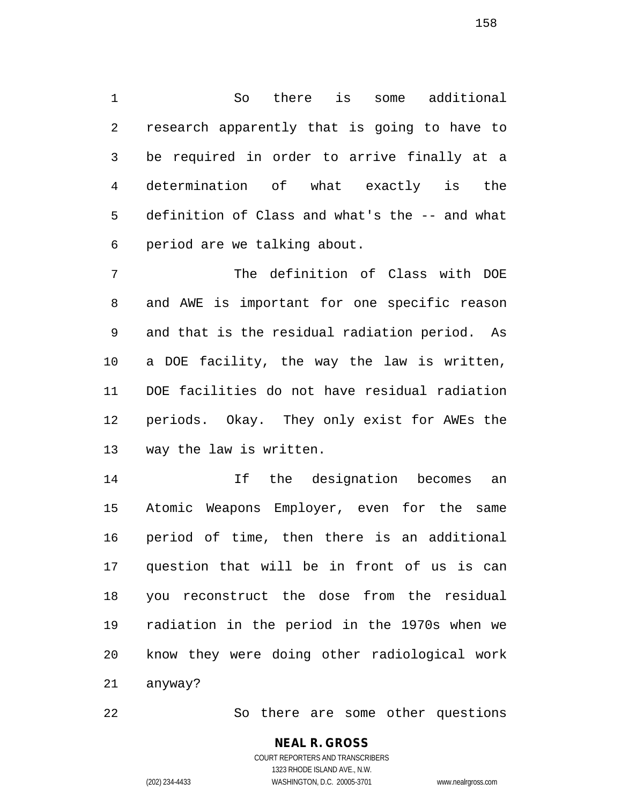So there is some additional research apparently that is going to have to be required in order to arrive finally at a determination of what exactly is the definition of Class and what's the -- and what period are we talking about.

 The definition of Class with DOE and AWE is important for one specific reason and that is the residual radiation period. As a DOE facility, the way the law is written, DOE facilities do not have residual radiation periods. Okay. They only exist for AWEs the way the law is written.

 If the designation becomes an Atomic Weapons Employer, even for the same period of time, then there is an additional question that will be in front of us is can you reconstruct the dose from the residual radiation in the period in the 1970s when we know they were doing other radiological work anyway?

So there are some other questions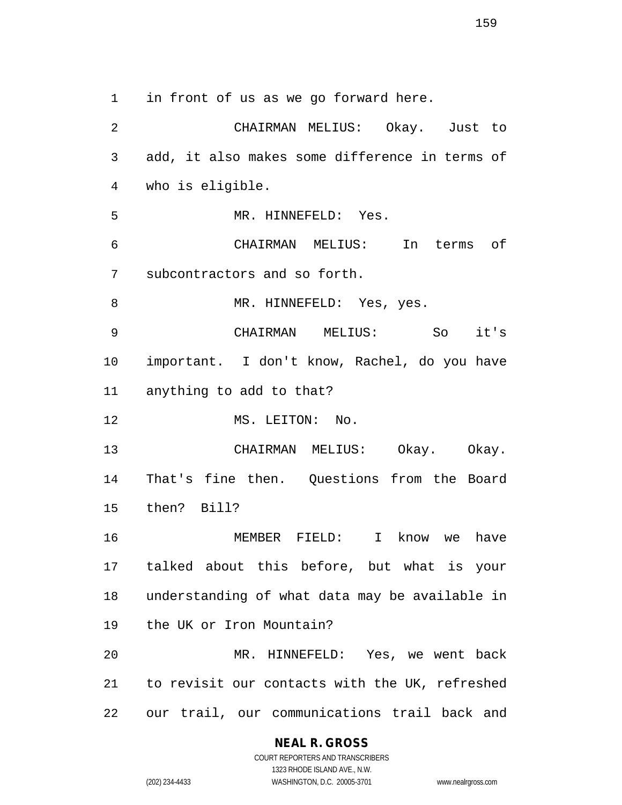in front of us as we go forward here. CHAIRMAN MELIUS: Okay. Just to add, it also makes some difference in terms of who is eligible. MR. HINNEFELD: Yes. CHAIRMAN MELIUS: In terms of subcontractors and so forth. 8 MR. HINNEFELD: Yes, yes. CHAIRMAN MELIUS: So it's important. I don't know, Rachel, do you have anything to add to that? 12 MS. LEITON: No. CHAIRMAN MELIUS: Okay. Okay. That's fine then. Questions from the Board then? Bill? MEMBER FIELD: I know we have talked about this before, but what is your understanding of what data may be available in the UK or Iron Mountain? MR. HINNEFELD: Yes, we went back to revisit our contacts with the UK, refreshed

### **NEAL R. GROSS**

our trail, our communications trail back and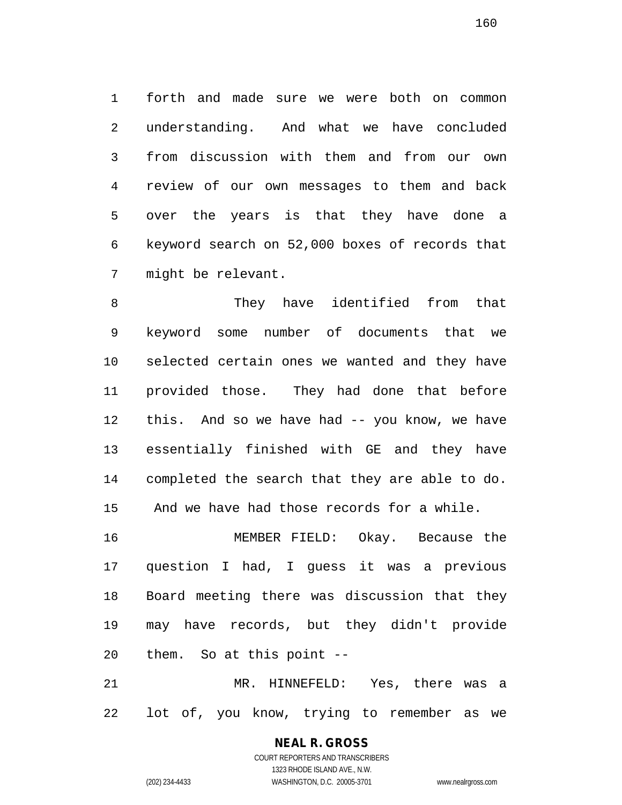forth and made sure we were both on common understanding. And what we have concluded from discussion with them and from our own review of our own messages to them and back over the years is that they have done a keyword search on 52,000 boxes of records that might be relevant.

 They have identified from that keyword some number of documents that we selected certain ones we wanted and they have provided those. They had done that before this. And so we have had -- you know, we have essentially finished with GE and they have completed the search that they are able to do. And we have had those records for a while.

 MEMBER FIELD: Okay. Because the question I had, I guess it was a previous Board meeting there was discussion that they may have records, but they didn't provide them. So at this point --

 MR. HINNEFELD: Yes, there was a lot of, you know, trying to remember as we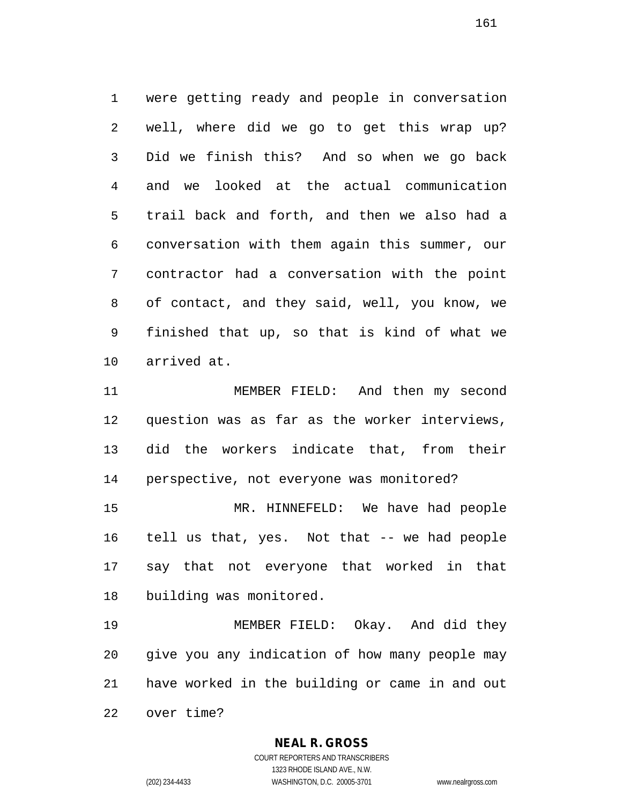were getting ready and people in conversation well, where did we go to get this wrap up? Did we finish this? And so when we go back and we looked at the actual communication trail back and forth, and then we also had a conversation with them again this summer, our contractor had a conversation with the point of contact, and they said, well, you know, we finished that up, so that is kind of what we arrived at.

 MEMBER FIELD: And then my second question was as far as the worker interviews, did the workers indicate that, from their perspective, not everyone was monitored?

 MR. HINNEFELD: We have had people tell us that, yes. Not that -- we had people say that not everyone that worked in that building was monitored.

 MEMBER FIELD: Okay. And did they give you any indication of how many people may have worked in the building or came in and out over time?

### **NEAL R. GROSS**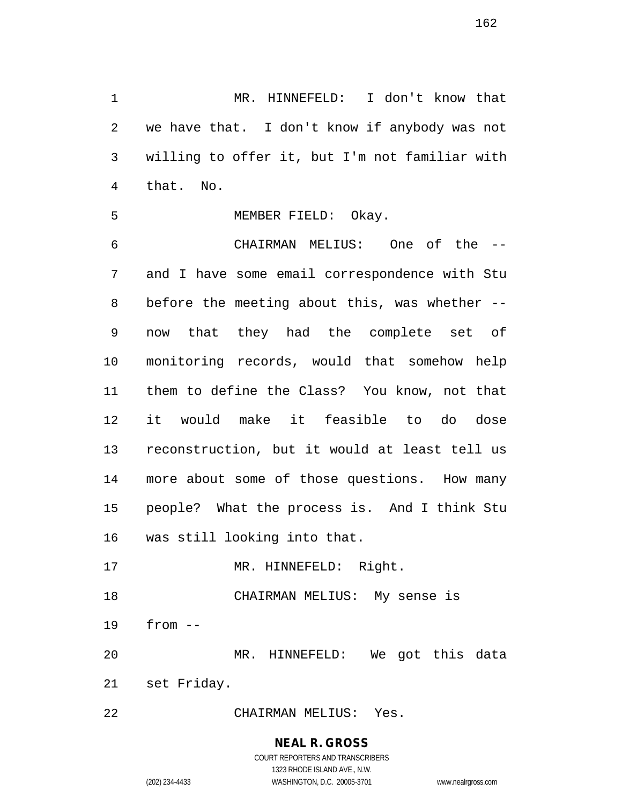MR. HINNEFELD: I don't know that we have that. I don't know if anybody was not willing to offer it, but I'm not familiar with that. No.

MEMBER FIELD: Okay.

 CHAIRMAN MELIUS: One of the -- and I have some email correspondence with Stu before the meeting about this, was whether -- now that they had the complete set of monitoring records, would that somehow help them to define the Class? You know, not that it would make it feasible to do dose reconstruction, but it would at least tell us more about some of those questions. How many people? What the process is. And I think Stu was still looking into that.

17 MR. HINNEFELD: Right.

CHAIRMAN MELIUS: My sense is

from --

 MR. HINNEFELD: We got this data set Friday.

CHAIRMAN MELIUS: Yes.

**NEAL R. GROSS**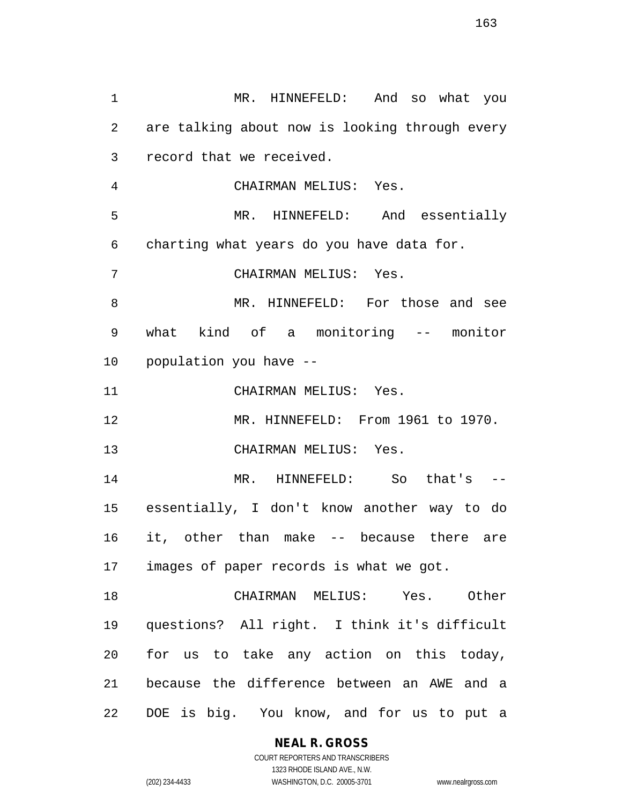MR. HINNEFELD: And so what you are talking about now is looking through every record that we received. CHAIRMAN MELIUS: Yes. MR. HINNEFELD: And essentially charting what years do you have data for. CHAIRMAN MELIUS: Yes. MR. HINNEFELD: For those and see what kind of a monitoring -- monitor population you have -- CHAIRMAN MELIUS: Yes. MR. HINNEFELD: From 1961 to 1970. CHAIRMAN MELIUS: Yes. MR. HINNEFELD: So that's -- essentially, I don't know another way to do it, other than make -- because there are images of paper records is what we got. CHAIRMAN MELIUS: Yes. Other questions? All right. I think it's difficult for us to take any action on this today, because the difference between an AWE and a DOE is big. You know, and for us to put a

**NEAL R. GROSS**

COURT REPORTERS AND TRANSCRIBERS 1323 RHODE ISLAND AVE., N.W. (202) 234-4433 WASHINGTON, D.C. 20005-3701 www.nealrgross.com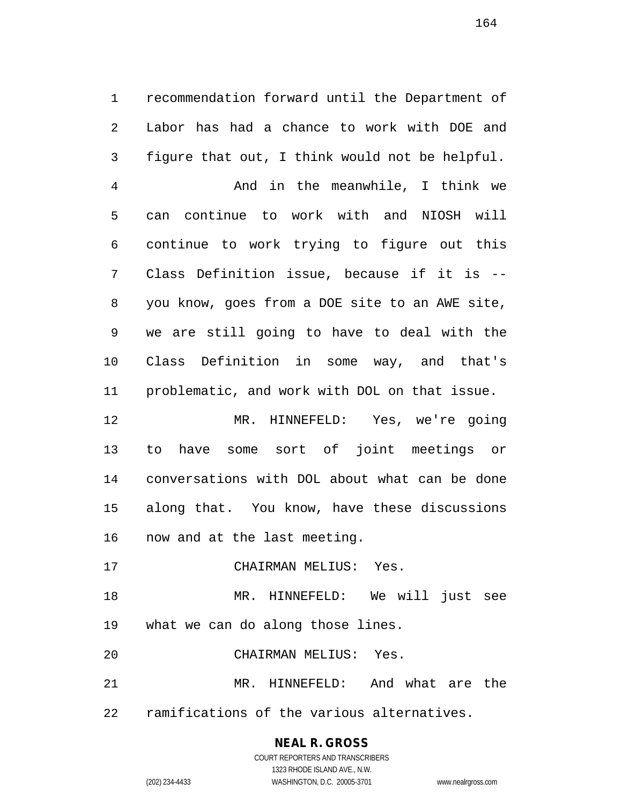recommendation forward until the Department of Labor has had a chance to work with DOE and figure that out, I think would not be helpful.

 And in the meanwhile, I think we can continue to work with and NIOSH will continue to work trying to figure out this Class Definition issue, because if it is -- you know, goes from a DOE site to an AWE site, we are still going to have to deal with the Class Definition in some way, and that's problematic, and work with DOL on that issue.

 MR. HINNEFELD: Yes, we're going to have some sort of joint meetings or conversations with DOL about what can be done along that. You know, have these discussions now and at the last meeting.

- CHAIRMAN MELIUS: Yes.
- MR. HINNEFELD: We will just see
- what we can do along those lines.
- CHAIRMAN MELIUS: Yes.

 MR. HINNEFELD: And what are the ramifications of the various alternatives.

# **NEAL R. GROSS**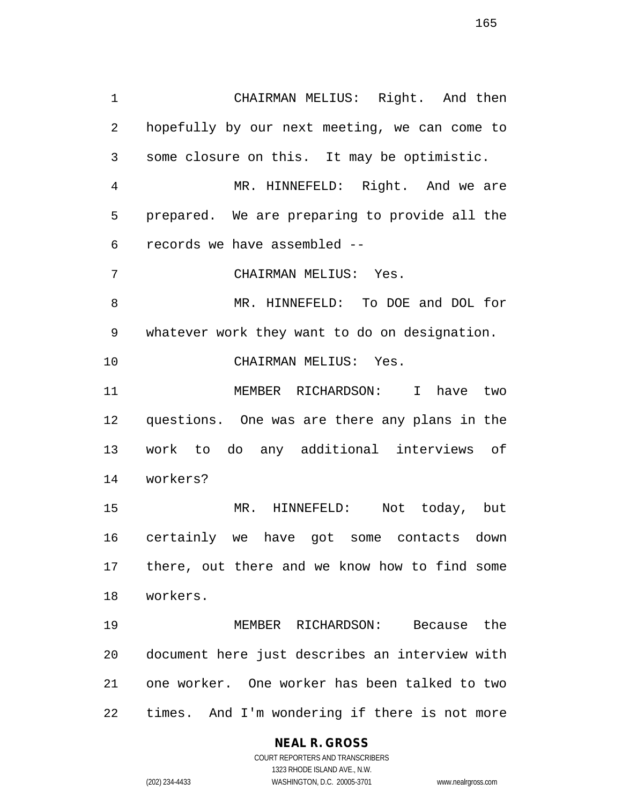CHAIRMAN MELIUS: Right. And then hopefully by our next meeting, we can come to some closure on this. It may be optimistic. MR. HINNEFELD: Right. And we are prepared. We are preparing to provide all the records we have assembled -- CHAIRMAN MELIUS: Yes. MR. HINNEFELD: To DOE and DOL for whatever work they want to do on designation. CHAIRMAN MELIUS: Yes. MEMBER RICHARDSON: I have two questions. One was are there any plans in the work to do any additional interviews of workers? MR. HINNEFELD: Not today, but certainly we have got some contacts down there, out there and we know how to find some

 MEMBER RICHARDSON: Because the document here just describes an interview with one worker. One worker has been talked to two times. And I'm wondering if there is not more

# **NEAL R. GROSS**

workers.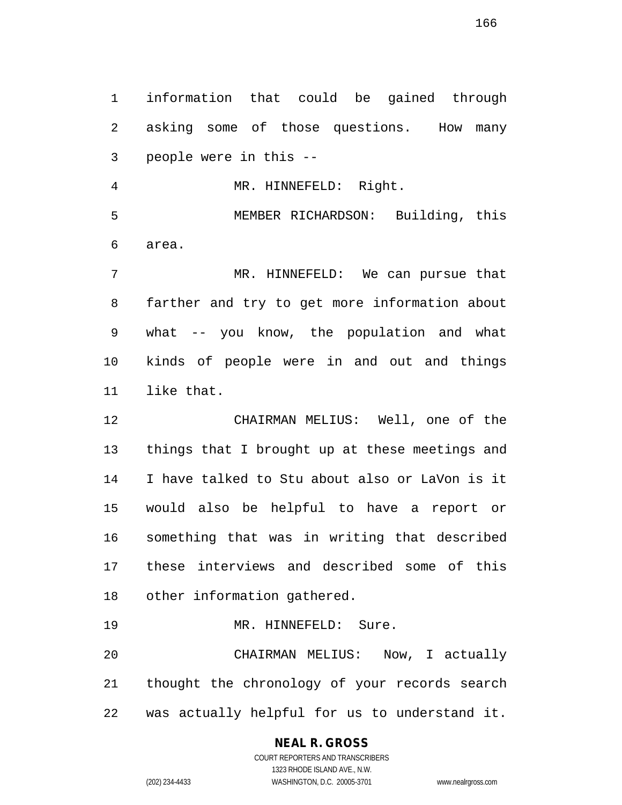information that could be gained through asking some of those questions. How many people were in this --

 MR. HINNEFELD: Right. MEMBER RICHARDSON: Building, this area.

 MR. HINNEFELD: We can pursue that farther and try to get more information about what -- you know, the population and what kinds of people were in and out and things like that.

 CHAIRMAN MELIUS: Well, one of the things that I brought up at these meetings and I have talked to Stu about also or LaVon is it would also be helpful to have a report or something that was in writing that described these interviews and described some of this other information gathered.

19 MR. HINNEFELD: Sure.

 CHAIRMAN MELIUS: Now, I actually thought the chronology of your records search was actually helpful for us to understand it.

# **NEAL R. GROSS**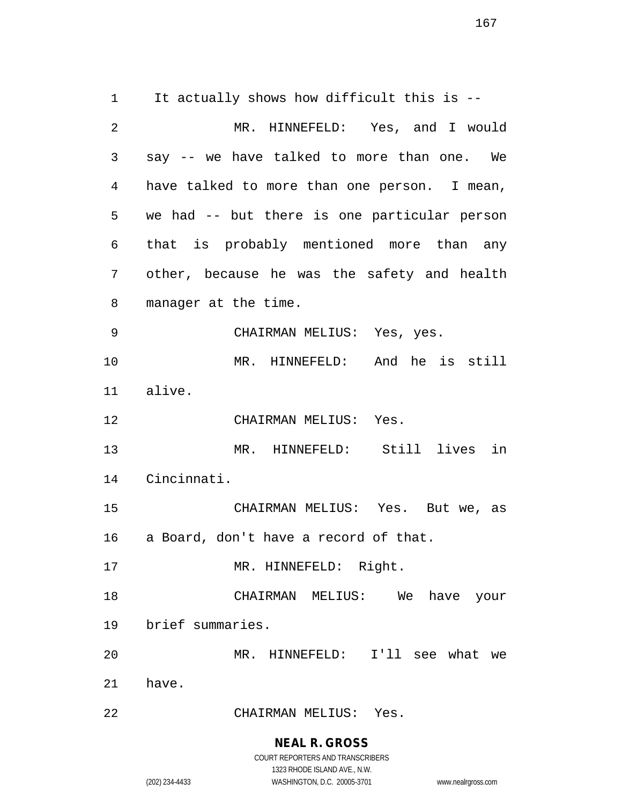It actually shows how difficult this is -- MR. HINNEFELD: Yes, and I would say -- we have talked to more than one. We have talked to more than one person. I mean, we had -- but there is one particular person that is probably mentioned more than any other, because he was the safety and health manager at the time. CHAIRMAN MELIUS: Yes, yes. MR. HINNEFELD: And he is still alive. CHAIRMAN MELIUS: Yes. MR. HINNEFELD: Still lives in Cincinnati. CHAIRMAN MELIUS: Yes. But we, as a Board, don't have a record of that. 17 MR. HINNEFELD: Right. CHAIRMAN MELIUS: We have your brief summaries. MR. HINNEFELD: I'll see what we have. CHAIRMAN MELIUS: Yes.

### **NEAL R. GROSS**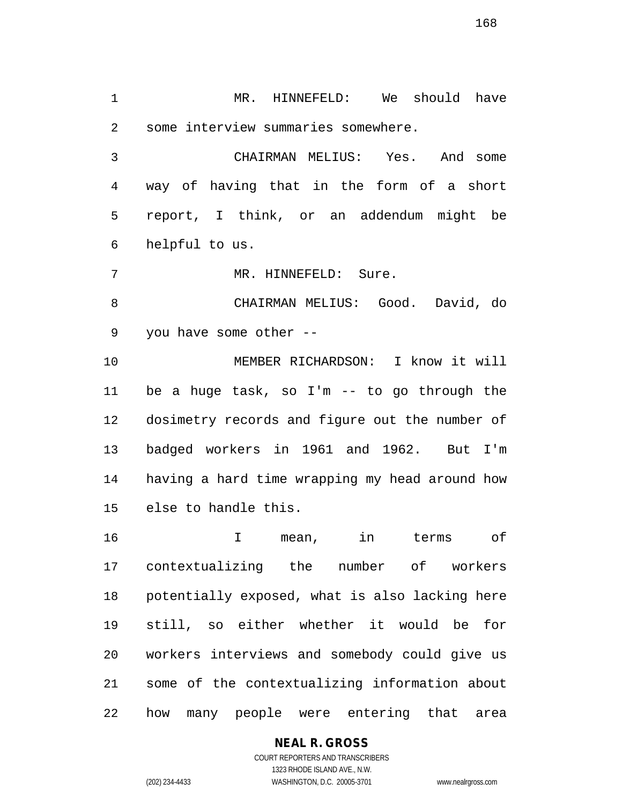1 MR. HINNEFELD: We should have some interview summaries somewhere.

 CHAIRMAN MELIUS: Yes. And some way of having that in the form of a short report, I think, or an addendum might be helpful to us.

MR. HINNEFELD: Sure.

 CHAIRMAN MELIUS: Good. David, do you have some other --

 MEMBER RICHARDSON: I know it will be a huge task, so I'm -- to go through the dosimetry records and figure out the number of badged workers in 1961 and 1962. But I'm having a hard time wrapping my head around how else to handle this.

 I mean, in terms of contextualizing the number of workers potentially exposed, what is also lacking here still, so either whether it would be for workers interviews and somebody could give us some of the contextualizing information about how many people were entering that area

## **NEAL R. GROSS**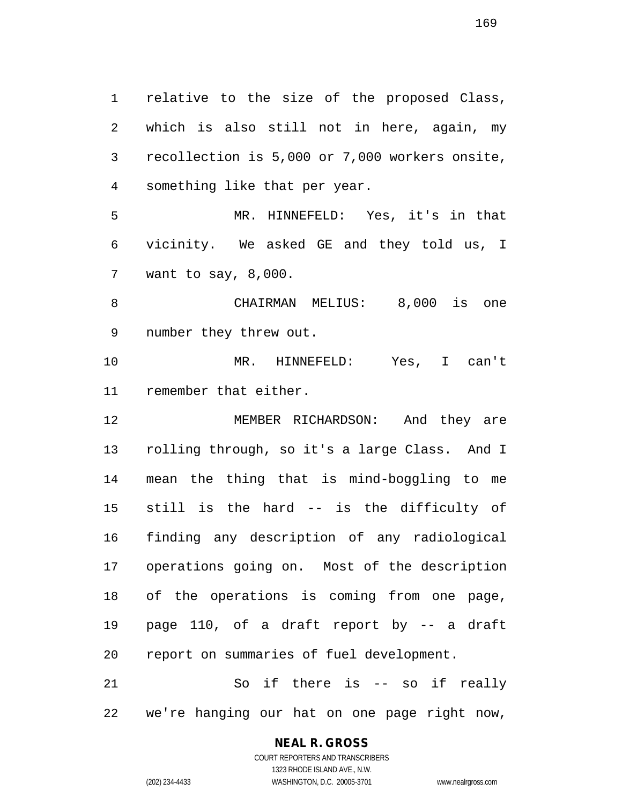relative to the size of the proposed Class, which is also still not in here, again, my recollection is 5,000 or 7,000 workers onsite, something like that per year. MR. HINNEFELD: Yes, it's in that vicinity. We asked GE and they told us, I want to say, 8,000. CHAIRMAN MELIUS: 8,000 is one number they threw out. MR. HINNEFELD: Yes, I can't remember that either. MEMBER RICHARDSON: And they are rolling through, so it's a large Class. And I mean the thing that is mind-boggling to me still is the hard -- is the difficulty of finding any description of any radiological operations going on. Most of the description of the operations is coming from one page, page 110, of a draft report by -- a draft report on summaries of fuel development. So if there is -- so if really

we're hanging our hat on one page right now,

# **NEAL R. GROSS**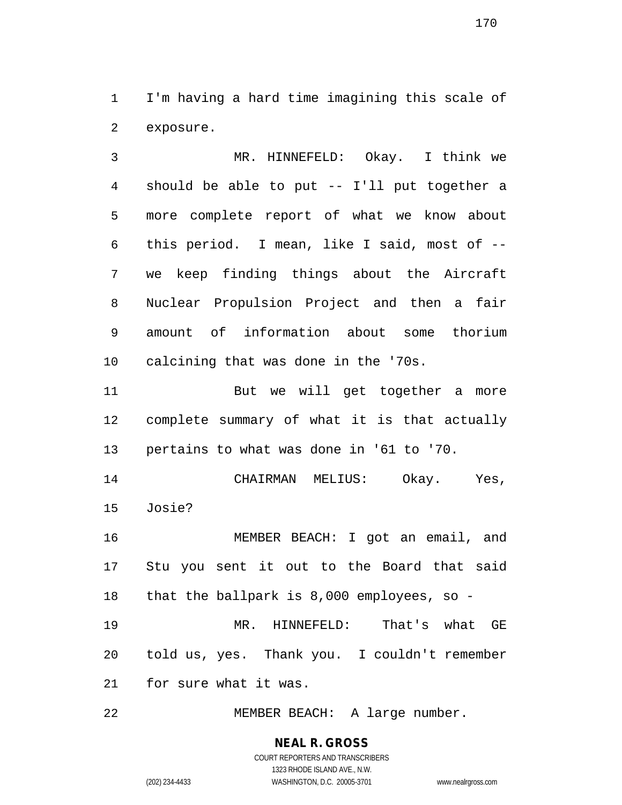I'm having a hard time imagining this scale of exposure.

 MR. HINNEFELD: Okay. I think we should be able to put -- I'll put together a more complete report of what we know about this period. I mean, like I said, most of -- we keep finding things about the Aircraft Nuclear Propulsion Project and then a fair amount of information about some thorium calcining that was done in the '70s.

 But we will get together a more complete summary of what it is that actually pertains to what was done in '61 to '70.

 CHAIRMAN MELIUS: Okay. Yes, Josie?

 MEMBER BEACH: I got an email, and Stu you sent it out to the Board that said that the ballpark is 8,000 employees, so -

 MR. HINNEFELD: That's what GE told us, yes. Thank you. I couldn't remember for sure what it was.

MEMBER BEACH: A large number.

**NEAL R. GROSS** COURT REPORTERS AND TRANSCRIBERS 1323 RHODE ISLAND AVE., N.W. (202) 234-4433 WASHINGTON, D.C. 20005-3701 www.nealrgross.com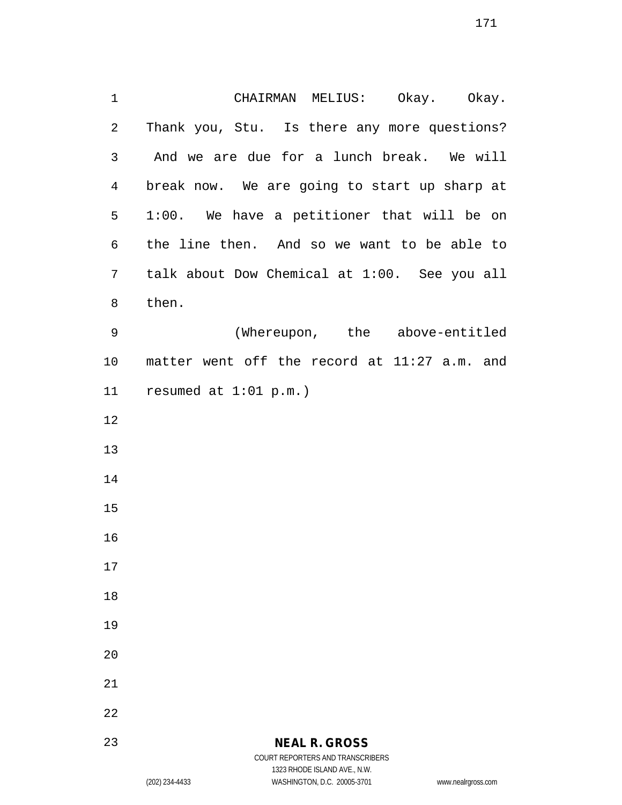CHAIRMAN MELIUS: Okay. Okay. Thank you, Stu. Is there any more questions? And we are due for a lunch break. We will break now. We are going to start up sharp at 1:00. We have a petitioner that will be on the line then. And so we want to be able to talk about Dow Chemical at 1:00. See you all then. (Whereupon, the above-entitled matter went off the record at 11:27 a.m. and resumed at 1:01 p.m.) 

### **NEAL R. GROSS** COURT REPORTERS AND TRANSCRIBERS

1323 RHODE ISLAND AVE., N.W.

(202) 234-4433 WASHINGTON, D.C. 20005-3701 www.nealrgross.com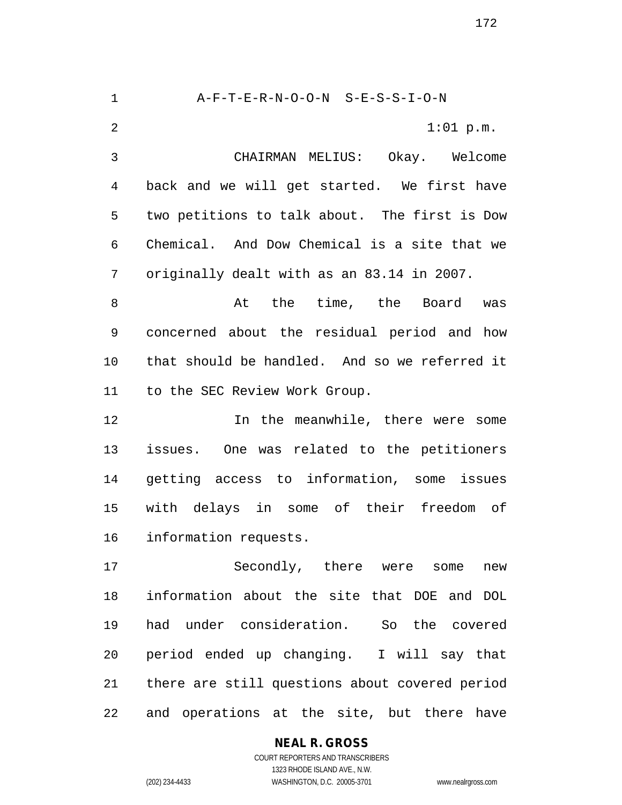A-F-T-E-R-N-O-O-N S-E-S-S-I-O-N 2 1:01 p.m. CHAIRMAN MELIUS: Okay. Welcome back and we will get started. We first have two petitions to talk about. The first is Dow Chemical. And Dow Chemical is a site that we originally dealt with as an 83.14 in 2007. 8 at the time, the Board was concerned about the residual period and how that should be handled. And so we referred it to the SEC Review Work Group. 12 12 In the meanwhile, there were some issues. One was related to the petitioners getting access to information, some issues with delays in some of their freedom of information requests. Secondly, there were some new information about the site that DOE and DOL had under consideration. So the covered period ended up changing. I will say that there are still questions about covered period

and operations at the site, but there have

COURT REPORTERS AND TRANSCRIBERS 1323 RHODE ISLAND AVE., N.W. (202) 234-4433 WASHINGTON, D.C. 20005-3701 www.nealrgross.com

**NEAL R. GROSS**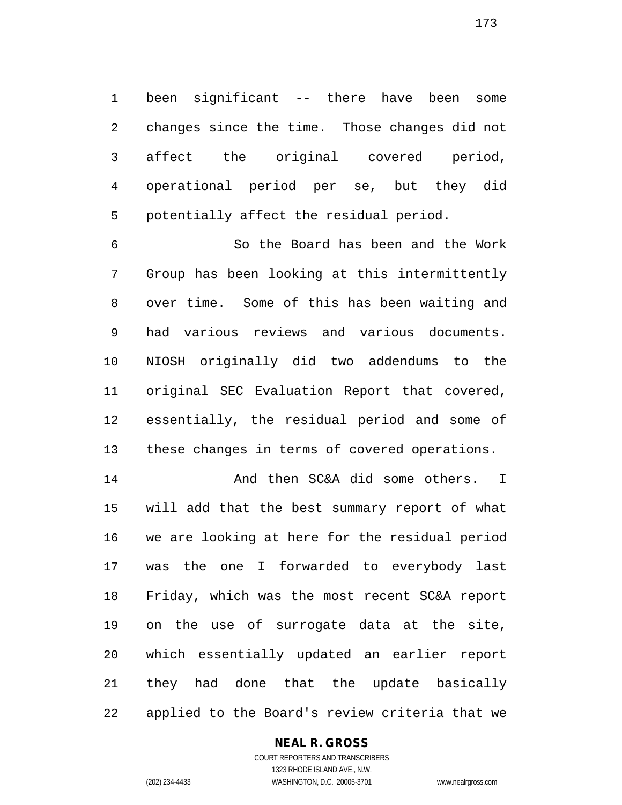been significant -- there have been some changes since the time. Those changes did not affect the original covered period, operational period per se, but they did potentially affect the residual period.

 So the Board has been and the Work Group has been looking at this intermittently over time. Some of this has been waiting and had various reviews and various documents. NIOSH originally did two addendums to the original SEC Evaluation Report that covered, essentially, the residual period and some of these changes in terms of covered operations.

 And then SC&A did some others. I will add that the best summary report of what we are looking at here for the residual period was the one I forwarded to everybody last Friday, which was the most recent SC&A report on the use of surrogate data at the site, which essentially updated an earlier report they had done that the update basically applied to the Board's review criteria that we

### **NEAL R. GROSS**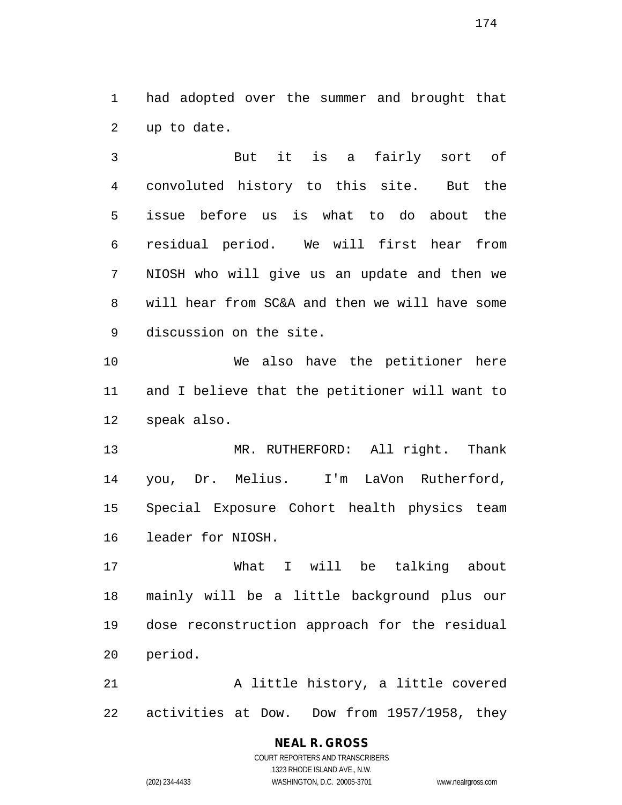had adopted over the summer and brought that up to date.

 But it is a fairly sort of convoluted history to this site. But the issue before us is what to do about the residual period. We will first hear from NIOSH who will give us an update and then we will hear from SC&A and then we will have some discussion on the site.

 We also have the petitioner here and I believe that the petitioner will want to speak also.

13 MR. RUTHERFORD: All right. Thank you, Dr. Melius. I'm LaVon Rutherford, Special Exposure Cohort health physics team leader for NIOSH.

 What I will be talking about mainly will be a little background plus our dose reconstruction approach for the residual period.

 A little history, a little covered activities at Dow. Dow from 1957/1958, they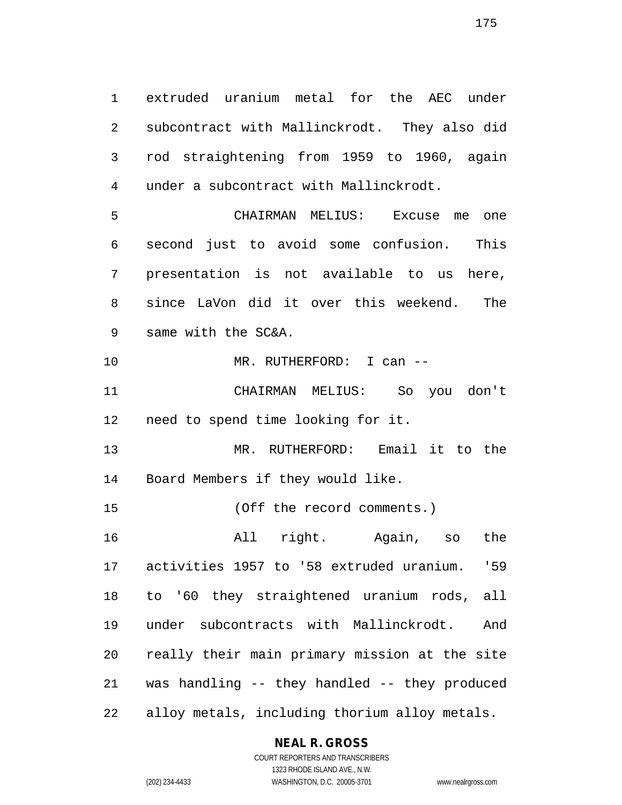extruded uranium metal for the AEC under subcontract with Mallinckrodt. They also did rod straightening from 1959 to 1960, again under a subcontract with Mallinckrodt. CHAIRMAN MELIUS: Excuse me one second just to avoid some confusion. This presentation is not available to us here, since LaVon did it over this weekend. The same with the SC&A. MR. RUTHERFORD: I can --

 CHAIRMAN MELIUS: So you don't need to spend time looking for it.

 MR. RUTHERFORD: Email it to the Board Members if they would like.

(Off the record comments.)

 All right. Again, so the activities 1957 to '58 extruded uranium. '59 to '60 they straightened uranium rods, all under subcontracts with Mallinckrodt. And really their main primary mission at the site was handling -- they handled -- they produced alloy metals, including thorium alloy metals.

## **NEAL R. GROSS**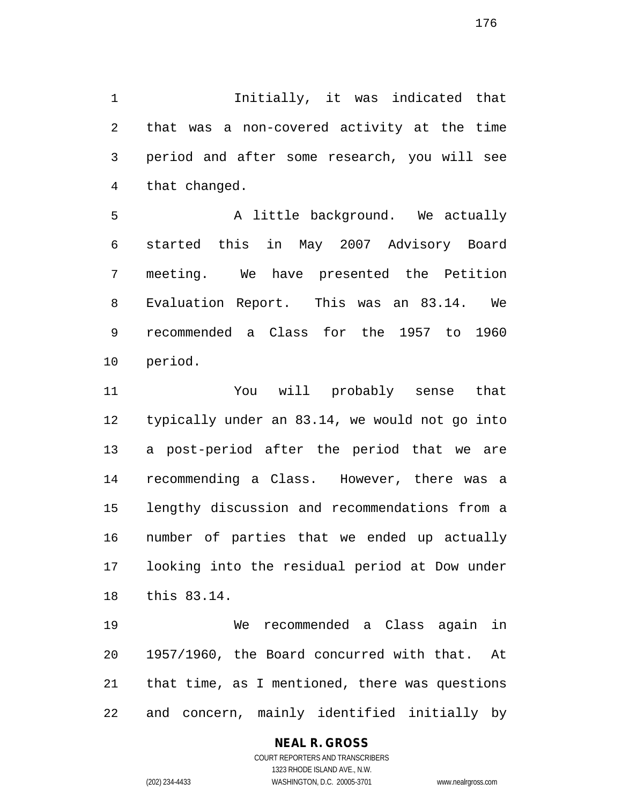Initially, it was indicated that that was a non-covered activity at the time period and after some research, you will see that changed.

5 A little background. We actually started this in May 2007 Advisory Board meeting. We have presented the Petition Evaluation Report. This was an 83.14. We recommended a Class for the 1957 to 1960 period.

 You will probably sense that typically under an 83.14, we would not go into a post-period after the period that we are recommending a Class. However, there was a lengthy discussion and recommendations from a number of parties that we ended up actually looking into the residual period at Dow under this 83.14.

 We recommended a Class again in 1957/1960, the Board concurred with that. At that time, as I mentioned, there was questions and concern, mainly identified initially by

# **NEAL R. GROSS**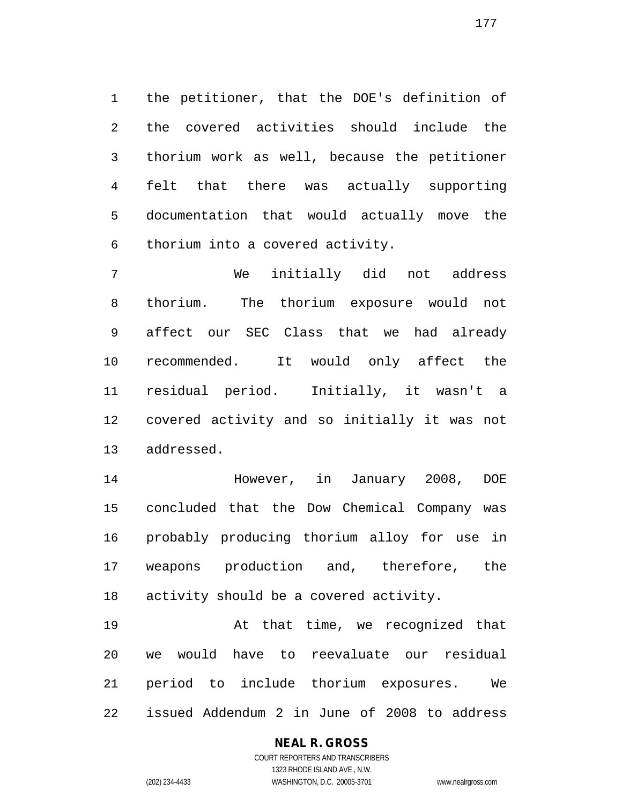the petitioner, that the DOE's definition of the covered activities should include the thorium work as well, because the petitioner felt that there was actually supporting documentation that would actually move the thorium into a covered activity.

 We initially did not address thorium. The thorium exposure would not affect our SEC Class that we had already recommended. It would only affect the residual period. Initially, it wasn't a covered activity and so initially it was not addressed.

 However, in January 2008, DOE concluded that the Dow Chemical Company was probably producing thorium alloy for use in weapons production and, therefore, the activity should be a covered activity.

 At that time, we recognized that we would have to reevaluate our residual period to include thorium exposures. We issued Addendum 2 in June of 2008 to address

# **NEAL R. GROSS**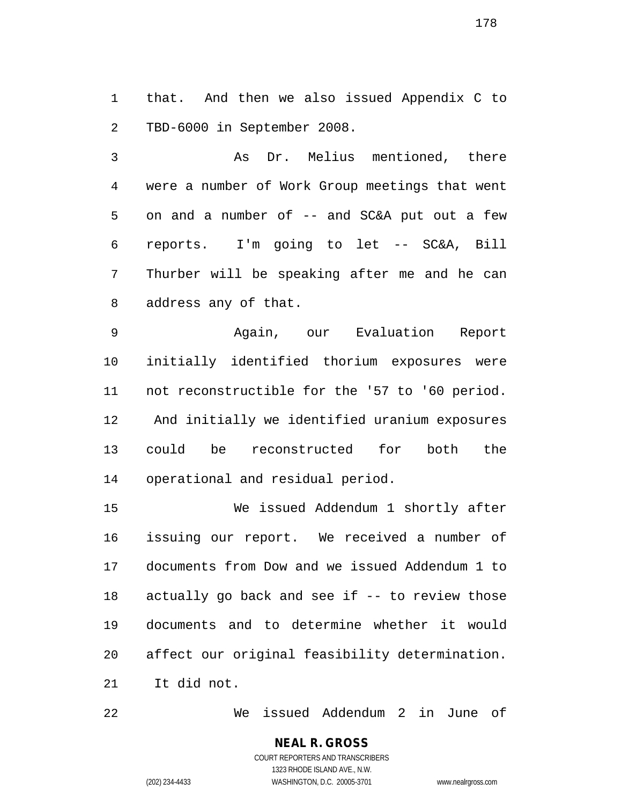that. And then we also issued Appendix C to TBD-6000 in September 2008.

 As Dr. Melius mentioned, there were a number of Work Group meetings that went on and a number of -- and SC&A put out a few reports. I'm going to let -- SC&A, Bill Thurber will be speaking after me and he can address any of that.

 Again, our Evaluation Report initially identified thorium exposures were not reconstructible for the '57 to '60 period. And initially we identified uranium exposures could be reconstructed for both the operational and residual period.

 We issued Addendum 1 shortly after issuing our report. We received a number of documents from Dow and we issued Addendum 1 to actually go back and see if -- to review those documents and to determine whether it would affect our original feasibility determination. It did not.

We issued Addendum 2 in June of

COURT REPORTERS AND TRANSCRIBERS 1323 RHODE ISLAND AVE., N.W. (202) 234-4433 WASHINGTON, D.C. 20005-3701 www.nealrgross.com

**NEAL R. GROSS**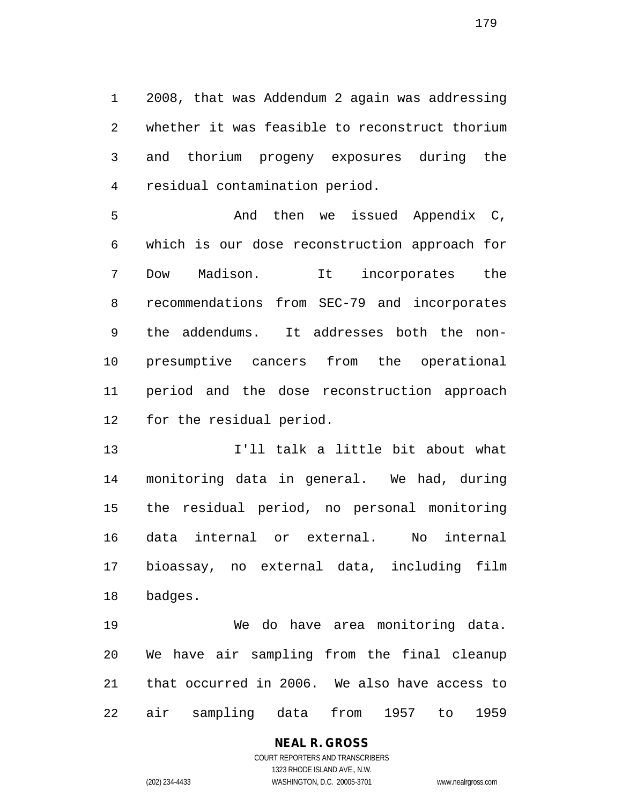2008, that was Addendum 2 again was addressing whether it was feasible to reconstruct thorium and thorium progeny exposures during the residual contamination period.

 And then we issued Appendix C, which is our dose reconstruction approach for Dow Madison. It incorporates the recommendations from SEC-79 and incorporates the addendums. It addresses both the non- presumptive cancers from the operational period and the dose reconstruction approach for the residual period.

 I'll talk a little bit about what monitoring data in general. We had, during the residual period, no personal monitoring data internal or external. No internal bioassay, no external data, including film badges.

 We do have area monitoring data. We have air sampling from the final cleanup that occurred in 2006. We also have access to air sampling data from 1957 to 1959

## **NEAL R. GROSS** COURT REPORTERS AND TRANSCRIBERS

1323 RHODE ISLAND AVE., N.W. (202) 234-4433 WASHINGTON, D.C. 20005-3701 www.nealrgross.com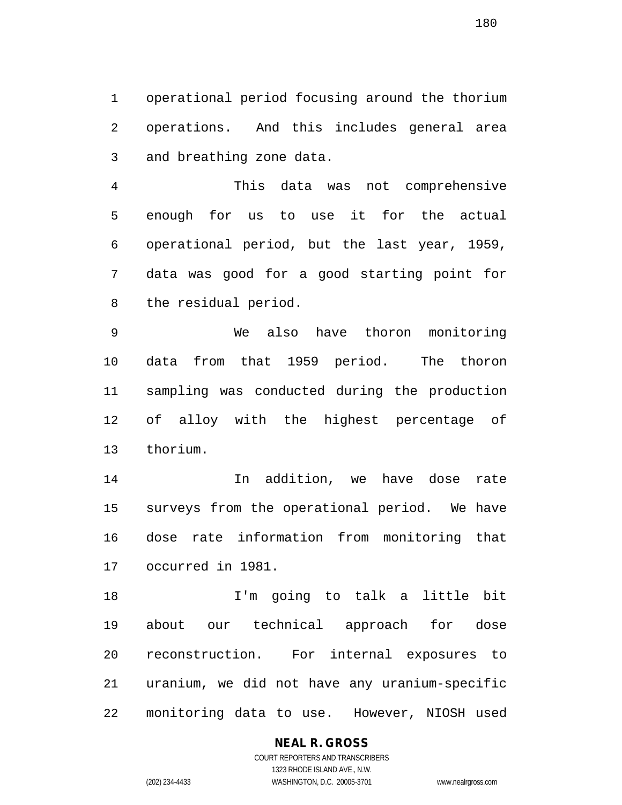operational period focusing around the thorium operations. And this includes general area and breathing zone data.

 This data was not comprehensive enough for us to use it for the actual operational period, but the last year, 1959, data was good for a good starting point for the residual period.

 We also have thoron monitoring data from that 1959 period. The thoron sampling was conducted during the production of alloy with the highest percentage of thorium.

 In addition, we have dose rate surveys from the operational period. We have dose rate information from monitoring that occurred in 1981.

 I'm going to talk a little bit about our technical approach for dose reconstruction. For internal exposures to uranium, we did not have any uranium-specific monitoring data to use. However, NIOSH used

### **NEAL R. GROSS** COURT REPORTERS AND TRANSCRIBERS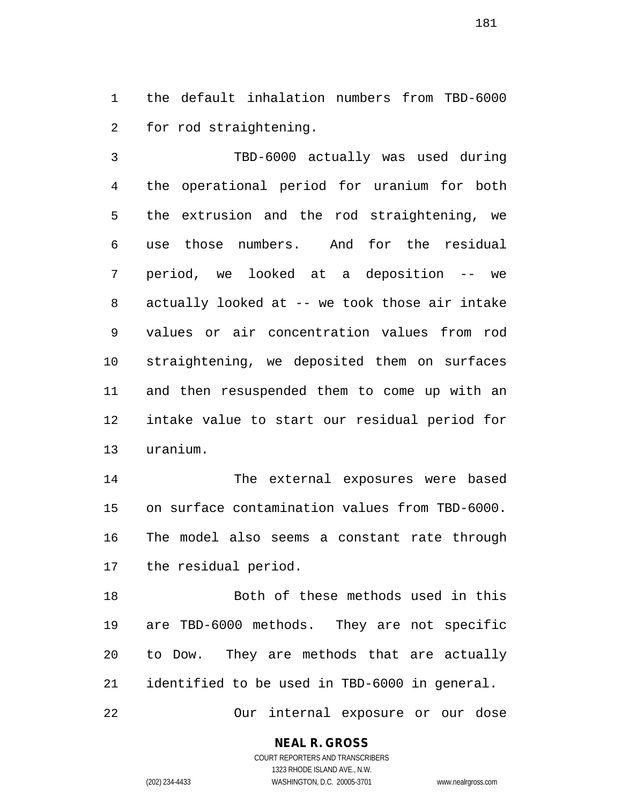the default inhalation numbers from TBD-6000 for rod straightening.

 TBD-6000 actually was used during the operational period for uranium for both the extrusion and the rod straightening, we use those numbers. And for the residual period, we looked at a deposition -- we actually looked at -- we took those air intake values or air concentration values from rod straightening, we deposited them on surfaces and then resuspended them to come up with an intake value to start our residual period for uranium.

 The external exposures were based on surface contamination values from TBD-6000. The model also seems a constant rate through the residual period.

 Both of these methods used in this are TBD-6000 methods. They are not specific to Dow. They are methods that are actually identified to be used in TBD-6000 in general.

Our internal exposure or our dose

# **NEAL R. GROSS**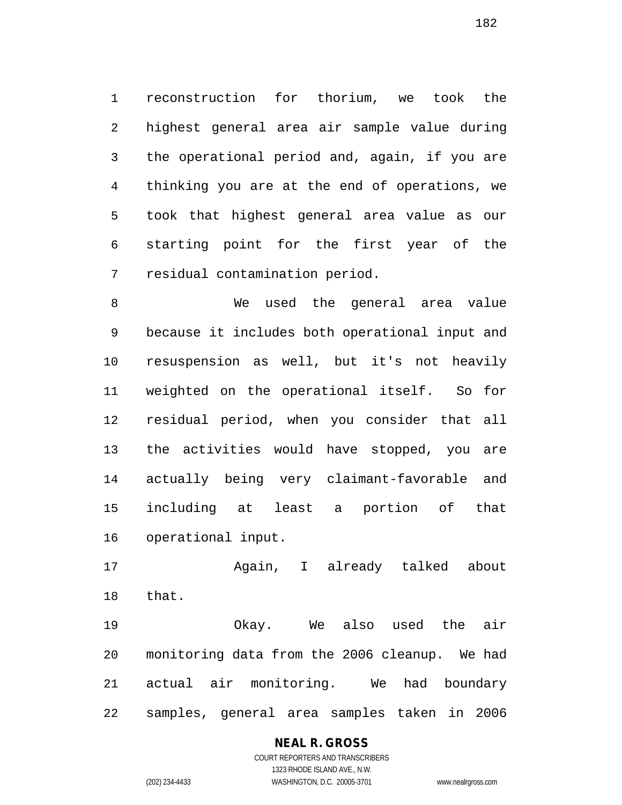reconstruction for thorium, we took the highest general area air sample value during the operational period and, again, if you are thinking you are at the end of operations, we took that highest general area value as our starting point for the first year of the residual contamination period.

 We used the general area value because it includes both operational input and resuspension as well, but it's not heavily weighted on the operational itself. So for residual period, when you consider that all the activities would have stopped, you are actually being very claimant-favorable and including at least a portion of that operational input.

 Again, I already talked about that.

 Okay. We also used the air monitoring data from the 2006 cleanup. We had actual air monitoring. We had boundary samples, general area samples taken in 2006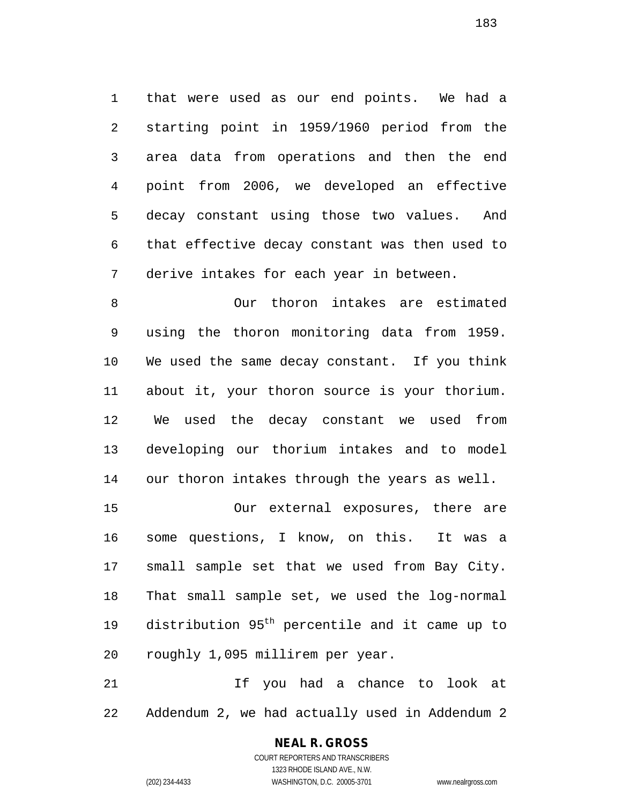that were used as our end points. We had a starting point in 1959/1960 period from the area data from operations and then the end point from 2006, we developed an effective decay constant using those two values. And that effective decay constant was then used to derive intakes for each year in between.

 Our thoron intakes are estimated using the thoron monitoring data from 1959. We used the same decay constant. If you think about it, your thoron source is your thorium. We used the decay constant we used from developing our thorium intakes and to model our thoron intakes through the years as well.

 Our external exposures, there are some questions, I know, on this. It was a small sample set that we used from Bay City. That small sample set, we used the log-normal 19 distribution 95<sup>th</sup> percentile and it came up to roughly 1,095 millirem per year.

 If you had a chance to look at Addendum 2, we had actually used in Addendum 2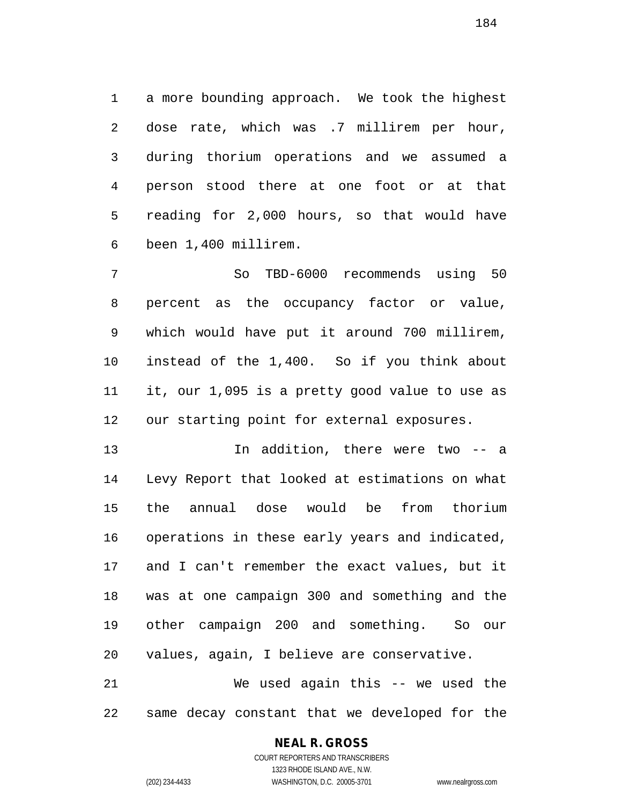a more bounding approach. We took the highest dose rate, which was .7 millirem per hour, during thorium operations and we assumed a person stood there at one foot or at that reading for 2,000 hours, so that would have been 1,400 millirem.

 So TBD-6000 recommends using 50 percent as the occupancy factor or value, which would have put it around 700 millirem, instead of the 1,400. So if you think about it, our 1,095 is a pretty good value to use as our starting point for external exposures.

 In addition, there were two -- a Levy Report that looked at estimations on what the annual dose would be from thorium operations in these early years and indicated, and I can't remember the exact values, but it was at one campaign 300 and something and the other campaign 200 and something. So our values, again, I believe are conservative.

 We used again this -- we used the same decay constant that we developed for the

# **NEAL R. GROSS**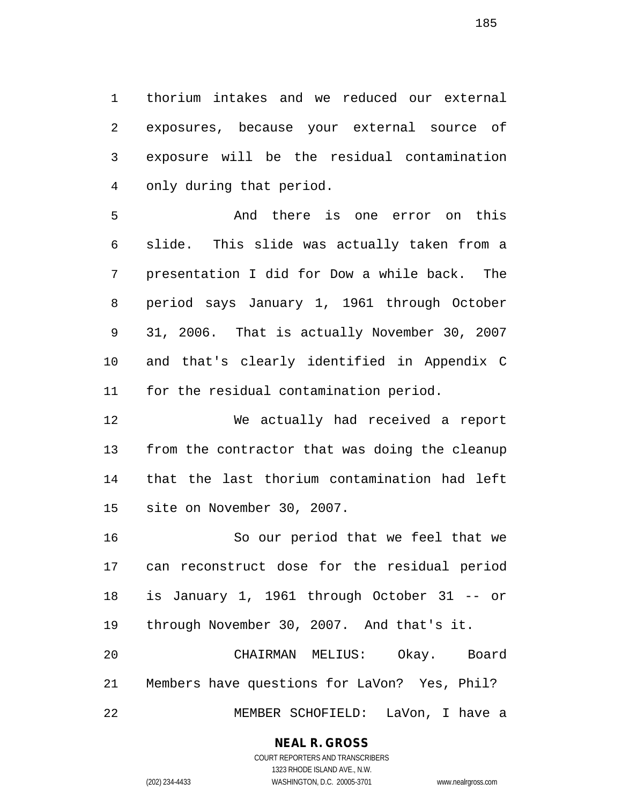thorium intakes and we reduced our external exposures, because your external source of exposure will be the residual contamination only during that period.

 And there is one error on this slide. This slide was actually taken from a presentation I did for Dow a while back. The period says January 1, 1961 through October 31, 2006. That is actually November 30, 2007 and that's clearly identified in Appendix C for the residual contamination period.

 We actually had received a report from the contractor that was doing the cleanup that the last thorium contamination had left site on November 30, 2007.

 So our period that we feel that we can reconstruct dose for the residual period is January 1, 1961 through October 31 -- or through November 30, 2007. And that's it. CHAIRMAN MELIUS: Okay. Board

 Members have questions for LaVon? Yes, Phil? MEMBER SCHOFIELD: LaVon, I have a

# **NEAL R. GROSS**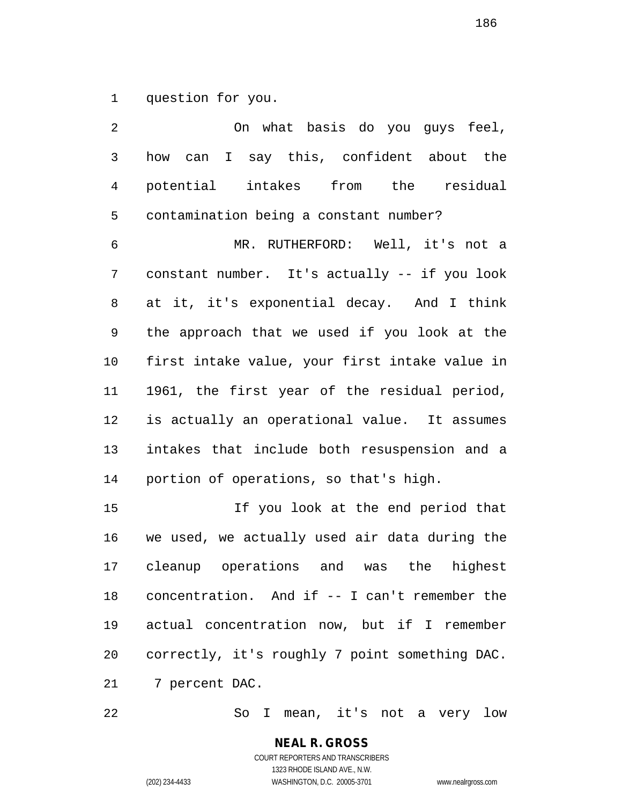question for you.

 On what basis do you guys feel, how can I say this, confident about the potential intakes from the residual contamination being a constant number? MR. RUTHERFORD: Well, it's not a constant number. It's actually -- if you look at it, it's exponential decay. And I think the approach that we used if you look at the first intake value, your first intake value in 1961, the first year of the residual period, is actually an operational value. It assumes intakes that include both resuspension and a portion of operations, so that's high. If you look at the end period that we used, we actually used air data during the cleanup operations and was the highest

 concentration. And if -- I can't remember the actual concentration now, but if I remember correctly, it's roughly 7 point something DAC. 7 percent DAC.

So I mean, it's not a very low

COURT REPORTERS AND TRANSCRIBERS 1323 RHODE ISLAND AVE., N.W. (202) 234-4433 WASHINGTON, D.C. 20005-3701 www.nealrgross.com

**NEAL R. GROSS**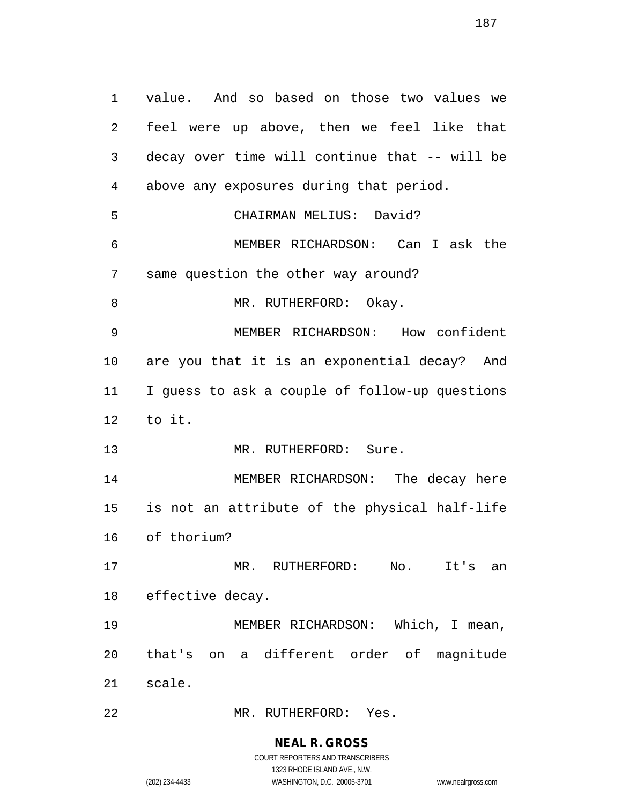value. And so based on those two values we feel were up above, then we feel like that decay over time will continue that -- will be above any exposures during that period. CHAIRMAN MELIUS: David? MEMBER RICHARDSON: Can I ask the same question the other way around? 8 MR. RUTHERFORD: Okay. MEMBER RICHARDSON: How confident are you that it is an exponential decay? And I guess to ask a couple of follow-up questions to it. 13 MR. RUTHERFORD: Sure. MEMBER RICHARDSON: The decay here is not an attribute of the physical half-life of thorium? MR. RUTHERFORD: No. It's an effective decay. MEMBER RICHARDSON: Which, I mean, that's on a different order of magnitude scale.

MR. RUTHERFORD: Yes.

#### **NEAL R. GROSS**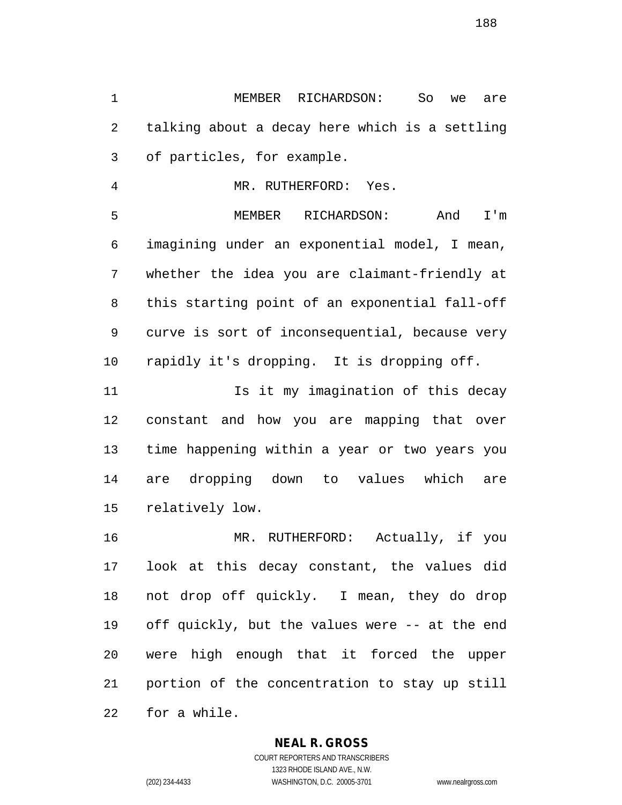MEMBER RICHARDSON: So we are talking about a decay here which is a settling of particles, for example.

MR. RUTHERFORD: Yes.

 MEMBER RICHARDSON: And I'm imagining under an exponential model, I mean, whether the idea you are claimant-friendly at this starting point of an exponential fall-off curve is sort of inconsequential, because very rapidly it's dropping. It is dropping off.

11 11 Is it my imagination of this decay constant and how you are mapping that over time happening within a year or two years you are dropping down to values which are relatively low.

 MR. RUTHERFORD: Actually, if you look at this decay constant, the values did not drop off quickly. I mean, they do drop off quickly, but the values were -- at the end were high enough that it forced the upper portion of the concentration to stay up still for a while.

#### **NEAL R. GROSS**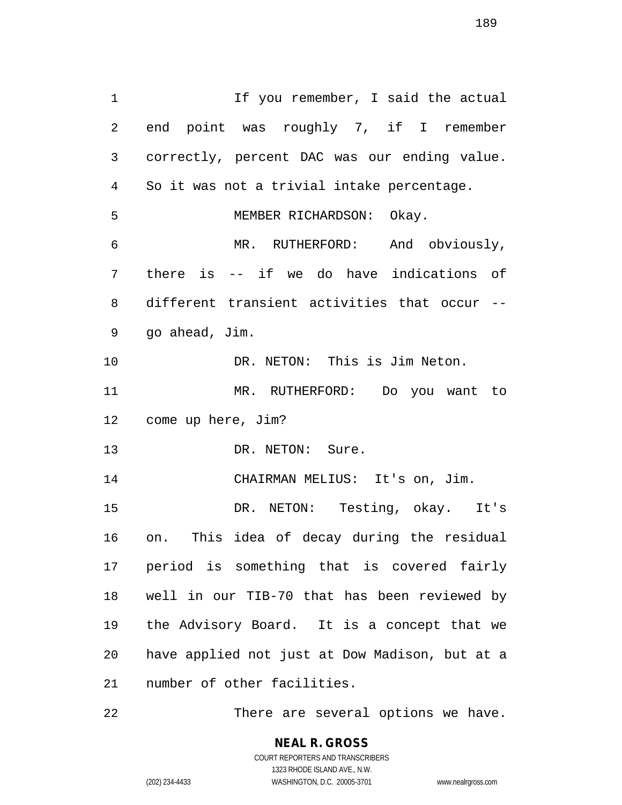1 1 If you remember, I said the actual end point was roughly 7, if I remember correctly, percent DAC was our ending value. So it was not a trivial intake percentage. MEMBER RICHARDSON: Okay. MR. RUTHERFORD: And obviously, there is -- if we do have indications of different transient activities that occur -- go ahead, Jim. DR. NETON: This is Jim Neton. MR. RUTHERFORD: Do you want to come up here, Jim? 13 DR. NETON: Sure. CHAIRMAN MELIUS: It's on, Jim. DR. NETON: Testing, okay. It's on. This idea of decay during the residual period is something that is covered fairly well in our TIB-70 that has been reviewed by the Advisory Board. It is a concept that we have applied not just at Dow Madison, but at a number of other facilities.

There are several options we have.

COURT REPORTERS AND TRANSCRIBERS 1323 RHODE ISLAND AVE., N.W. (202) 234-4433 WASHINGTON, D.C. 20005-3701 www.nealrgross.com

**NEAL R. GROSS**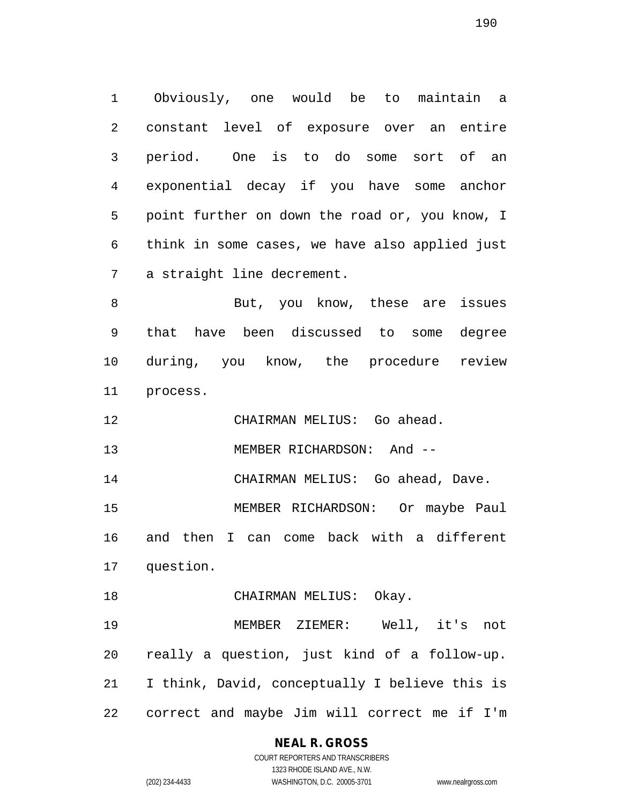Obviously, one would be to maintain a constant level of exposure over an entire period. One is to do some sort of an exponential decay if you have some anchor point further on down the road or, you know, I think in some cases, we have also applied just a straight line decrement.

 But, you know, these are issues that have been discussed to some degree during, you know, the procedure review process.

CHAIRMAN MELIUS: Go ahead.

13 MEMBER RICHARDSON: And --

CHAIRMAN MELIUS: Go ahead, Dave.

 MEMBER RICHARDSON: Or maybe Paul and then I can come back with a different question.

18 CHAIRMAN MELIUS: Okay.

 MEMBER ZIEMER: Well, it's not really a question, just kind of a follow-up. I think, David, conceptually I believe this is correct and maybe Jim will correct me if I'm

#### **NEAL R. GROSS** COURT REPORTERS AND TRANSCRIBERS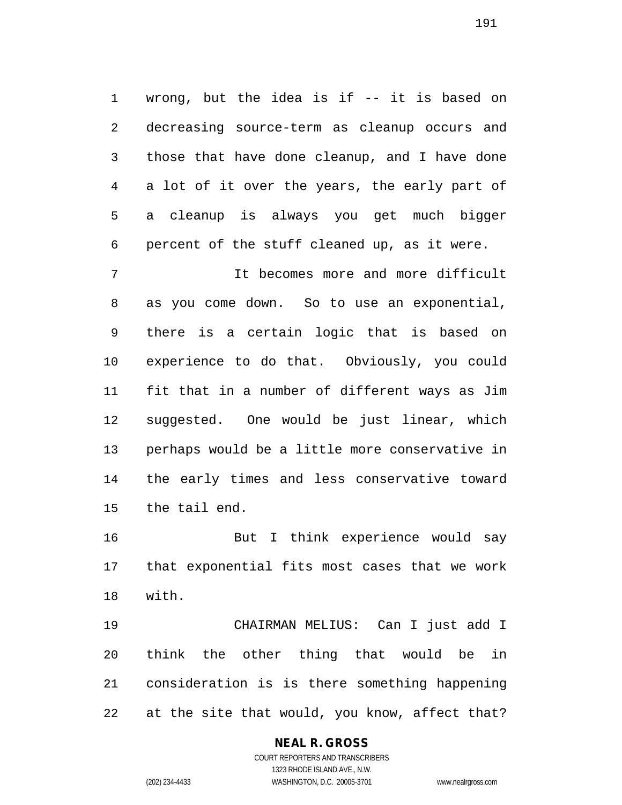wrong, but the idea is if -- it is based on decreasing source-term as cleanup occurs and those that have done cleanup, and I have done a lot of it over the years, the early part of a cleanup is always you get much bigger percent of the stuff cleaned up, as it were.

 It becomes more and more difficult as you come down. So to use an exponential, there is a certain logic that is based on experience to do that. Obviously, you could fit that in a number of different ways as Jim suggested. One would be just linear, which perhaps would be a little more conservative in the early times and less conservative toward the tail end.

 But I think experience would say that exponential fits most cases that we work with.

 CHAIRMAN MELIUS: Can I just add I think the other thing that would be in consideration is is there something happening at the site that would, you know, affect that?

# **NEAL R. GROSS**

COURT REPORTERS AND TRANSCRIBERS 1323 RHODE ISLAND AVE., N.W. (202) 234-4433 WASHINGTON, D.C. 20005-3701 www.nealrgross.com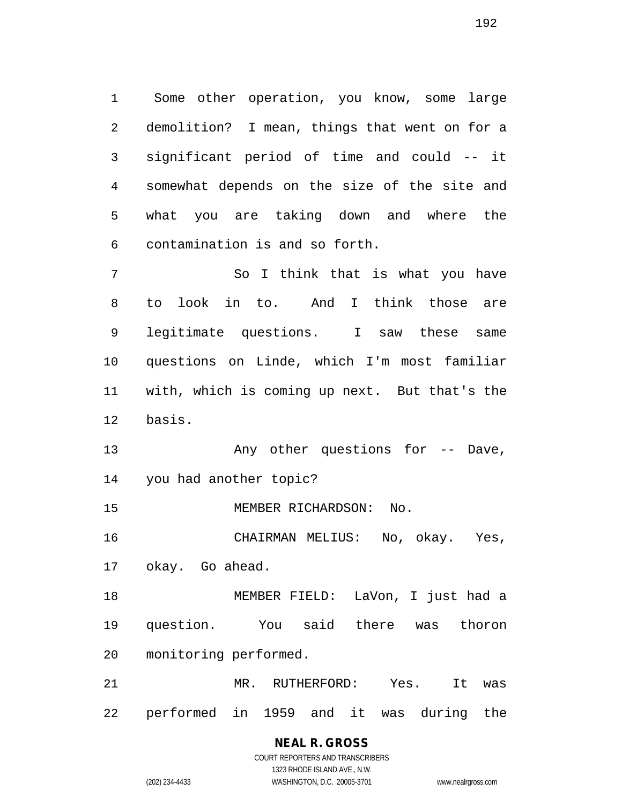Some other operation, you know, some large demolition? I mean, things that went on for a significant period of time and could -- it somewhat depends on the size of the site and what you are taking down and where the contamination is and so forth.

 So I think that is what you have to look in to. And I think those are legitimate questions. I saw these same questions on Linde, which I'm most familiar with, which is coming up next. But that's the basis.

13 Any other questions for -- Dave, you had another topic?

15 MEMBER RICHARDSON: No.

 CHAIRMAN MELIUS: No, okay. Yes, okay. Go ahead.

 MEMBER FIELD: LaVon, I just had a question. You said there was thoron monitoring performed.

 MR. RUTHERFORD: Yes. It was performed in 1959 and it was during the

> **NEAL R. GROSS** COURT REPORTERS AND TRANSCRIBERS 1323 RHODE ISLAND AVE., N.W. (202) 234-4433 WASHINGTON, D.C. 20005-3701 www.nealrgross.com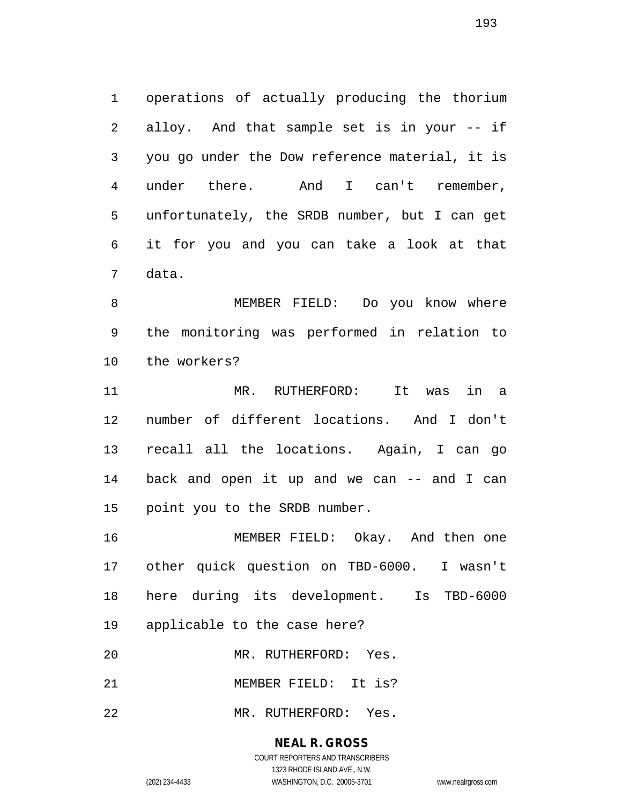operations of actually producing the thorium alloy. And that sample set is in your -- if you go under the Dow reference material, it is under there. And I can't remember, unfortunately, the SRDB number, but I can get it for you and you can take a look at that data.

 MEMBER FIELD: Do you know where the monitoring was performed in relation to the workers?

 MR. RUTHERFORD: It was in a number of different locations. And I don't recall all the locations. Again, I can go back and open it up and we can -- and I can point you to the SRDB number.

 MEMBER FIELD: Okay. And then one other quick question on TBD-6000. I wasn't here during its development. Is TBD-6000 applicable to the case here?

MR. RUTHERFORD: Yes.

MEMBER FIELD: It is?

MR. RUTHERFORD: Yes.

#### **NEAL R. GROSS**

COURT REPORTERS AND TRANSCRIBERS 1323 RHODE ISLAND AVE., N.W. (202) 234-4433 WASHINGTON, D.C. 20005-3701 www.nealrgross.com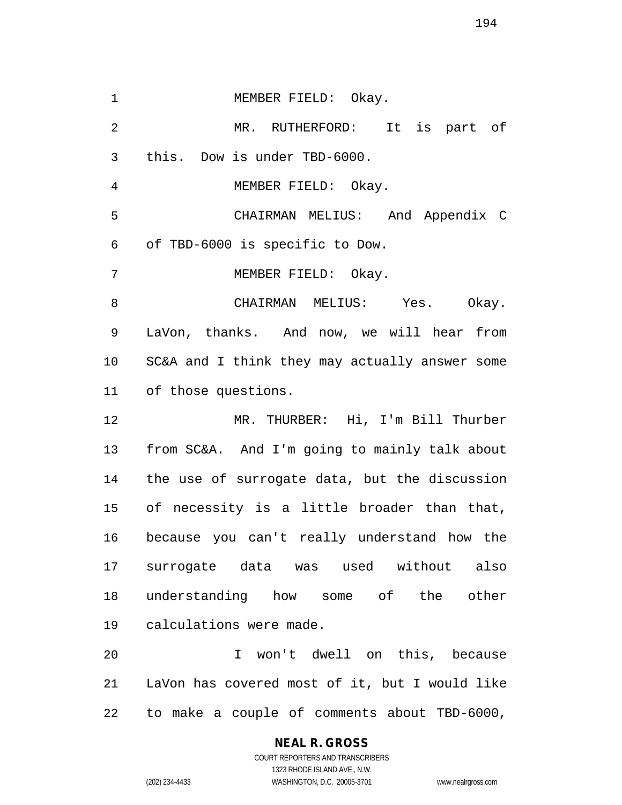1 MEMBER FIELD: Okay. MR. RUTHERFORD: It is part of this. Dow is under TBD-6000. MEMBER FIELD: Okay. CHAIRMAN MELIUS: And Appendix C of TBD-6000 is specific to Dow. MEMBER FIELD: Okay. CHAIRMAN MELIUS: Yes. Okay. LaVon, thanks. And now, we will hear from SC&A and I think they may actually answer some of those questions. MR. THURBER: Hi, I'm Bill Thurber from SC&A. And I'm going to mainly talk about the use of surrogate data, but the discussion of necessity is a little broader than that, because you can't really understand how the surrogate data was used without also understanding how some of the other calculations were made. I won't dwell on this, because LaVon has covered most of it, but I would like to make a couple of comments about TBD-6000,

> **NEAL R. GROSS** COURT REPORTERS AND TRANSCRIBERS

1323 RHODE ISLAND AVE., N.W. (202) 234-4433 WASHINGTON, D.C. 20005-3701 www.nealrgross.com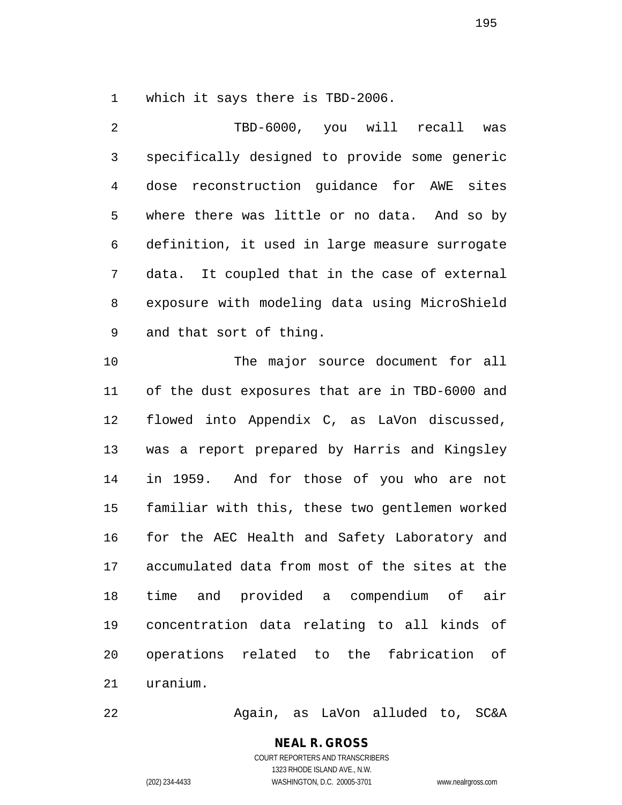which it says there is TBD-2006.

 TBD-6000, you will recall was specifically designed to provide some generic dose reconstruction guidance for AWE sites where there was little or no data. And so by definition, it used in large measure surrogate data. It coupled that in the case of external exposure with modeling data using MicroShield and that sort of thing. The major source document for all of the dust exposures that are in TBD-6000 and flowed into Appendix C, as LaVon discussed, was a report prepared by Harris and Kingsley in 1959. And for those of you who are not familiar with this, these two gentlemen worked for the AEC Health and Safety Laboratory and accumulated data from most of the sites at the time and provided a compendium of air concentration data relating to all kinds of operations related to the fabrication of uranium.

Again, as LaVon alluded to, SC&A

**NEAL R. GROSS** COURT REPORTERS AND TRANSCRIBERS 1323 RHODE ISLAND AVE., N.W.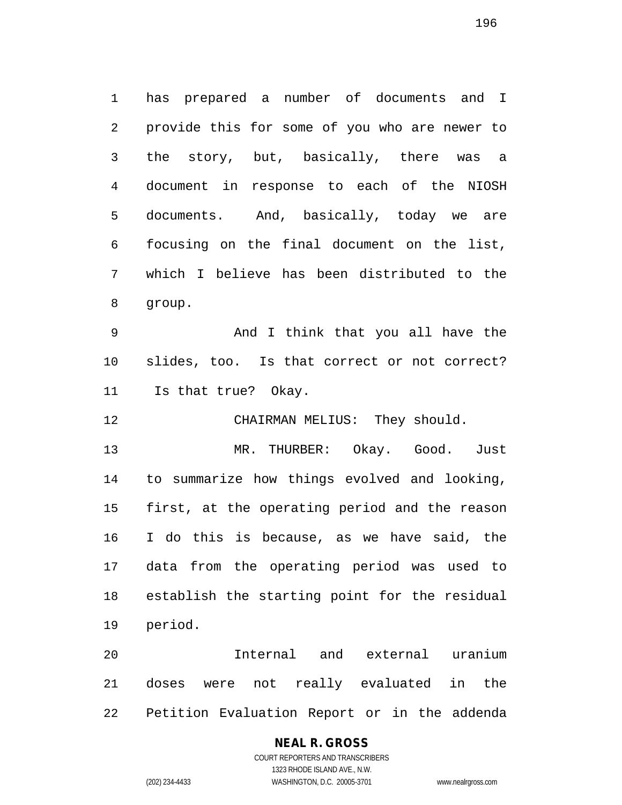has prepared a number of documents and I provide this for some of you who are newer to the story, but, basically, there was a document in response to each of the NIOSH documents. And, basically, today we are focusing on the final document on the list, which I believe has been distributed to the group.

 And I think that you all have the slides, too. Is that correct or not correct? Is that true? Okay.

12 CHAIRMAN MELIUS: They should.

 MR. THURBER: Okay. Good. Just to summarize how things evolved and looking, first, at the operating period and the reason I do this is because, as we have said, the data from the operating period was used to establish the starting point for the residual period.

 Internal and external uranium doses were not really evaluated in the Petition Evaluation Report or in the addenda

#### **NEAL R. GROSS** COURT REPORTERS AND TRANSCRIBERS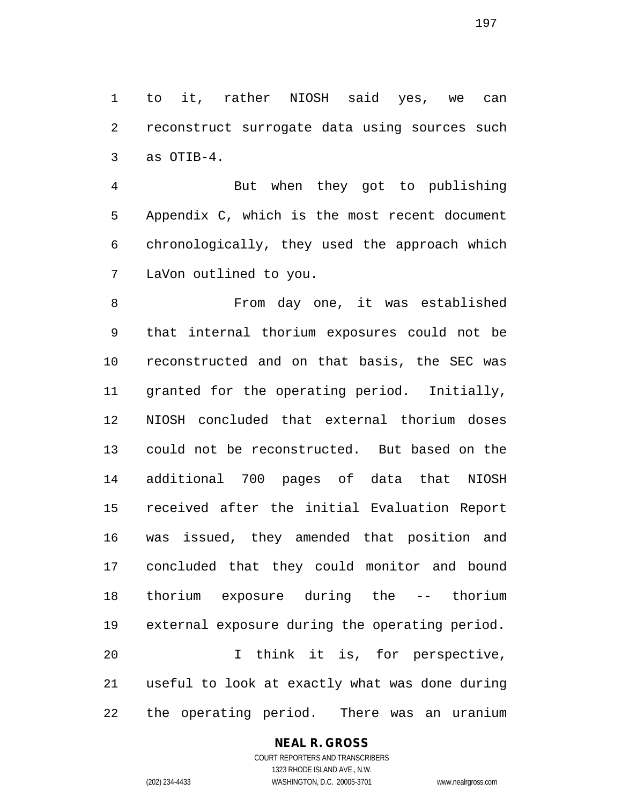to it, rather NIOSH said yes, we can reconstruct surrogate data using sources such as OTIB-4.

 But when they got to publishing Appendix C, which is the most recent document chronologically, they used the approach which LaVon outlined to you.

 From day one, it was established that internal thorium exposures could not be reconstructed and on that basis, the SEC was granted for the operating period. Initially, NIOSH concluded that external thorium doses could not be reconstructed. But based on the additional 700 pages of data that NIOSH received after the initial Evaluation Report was issued, they amended that position and concluded that they could monitor and bound thorium exposure during the -- thorium external exposure during the operating period. I think it is, for perspective, useful to look at exactly what was done during the operating period. There was an uranium

# **NEAL R. GROSS**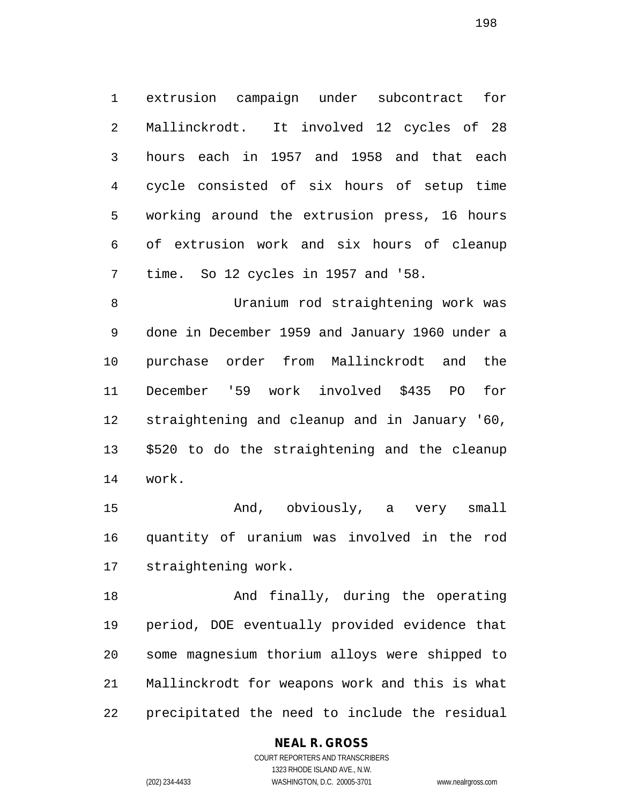extrusion campaign under subcontract for Mallinckrodt. It involved 12 cycles of 28 hours each in 1957 and 1958 and that each cycle consisted of six hours of setup time working around the extrusion press, 16 hours of extrusion work and six hours of cleanup time. So 12 cycles in 1957 and '58.

 Uranium rod straightening work was done in December 1959 and January 1960 under a purchase order from Mallinckrodt and the December '59 work involved \$435 PO for straightening and cleanup and in January '60, \$520 to do the straightening and the cleanup work.

 And, obviously, a very small quantity of uranium was involved in the rod straightening work.

18 And finally, during the operating period, DOE eventually provided evidence that some magnesium thorium alloys were shipped to Mallinckrodt for weapons work and this is what precipitated the need to include the residual

# **NEAL R. GROSS**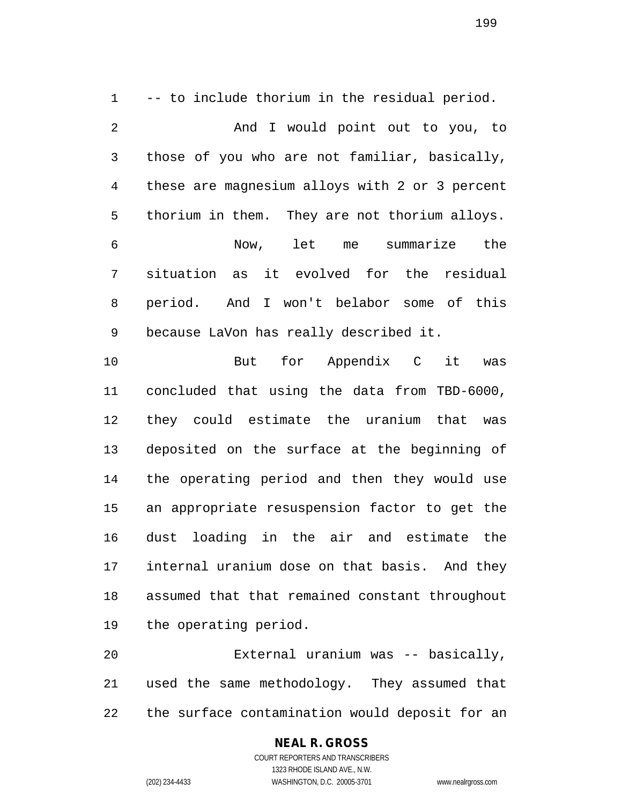-- to include thorium in the residual period. And I would point out to you, to those of you who are not familiar, basically, these are magnesium alloys with 2 or 3 percent thorium in them. They are not thorium alloys. Now, let me summarize the situation as it evolved for the residual period. And I won't belabor some of this because LaVon has really described it. But for Appendix C it was

 concluded that using the data from TBD-6000, they could estimate the uranium that was deposited on the surface at the beginning of the operating period and then they would use an appropriate resuspension factor to get the dust loading in the air and estimate the internal uranium dose on that basis. And they assumed that that remained constant throughout the operating period.

 External uranium was -- basically, used the same methodology. They assumed that the surface contamination would deposit for an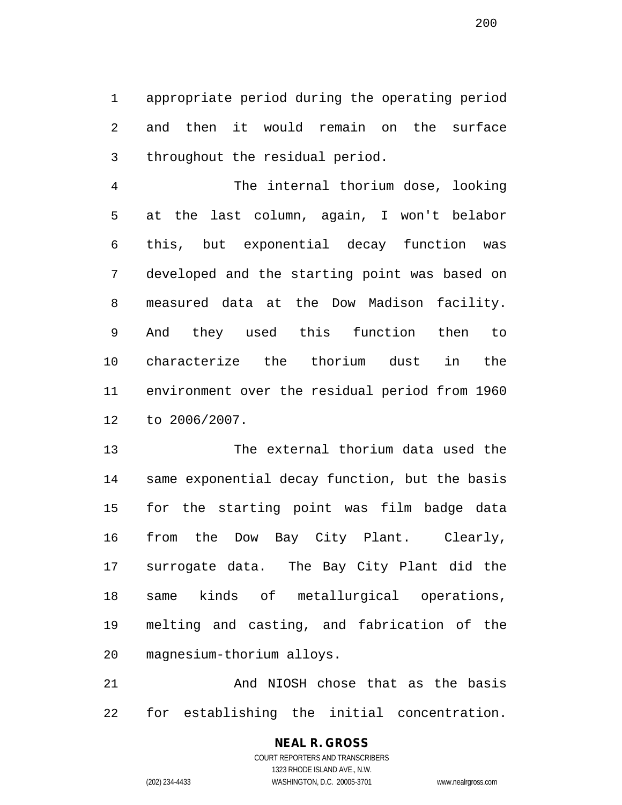appropriate period during the operating period and then it would remain on the surface throughout the residual period.

 The internal thorium dose, looking at the last column, again, I won't belabor this, but exponential decay function was developed and the starting point was based on measured data at the Dow Madison facility. And they used this function then to characterize the thorium dust in the environment over the residual period from 1960 to 2006/2007.

 The external thorium data used the same exponential decay function, but the basis for the starting point was film badge data from the Dow Bay City Plant. Clearly, surrogate data. The Bay City Plant did the same kinds of metallurgical operations, melting and casting, and fabrication of the magnesium-thorium alloys.

 And NIOSH chose that as the basis for establishing the initial concentration.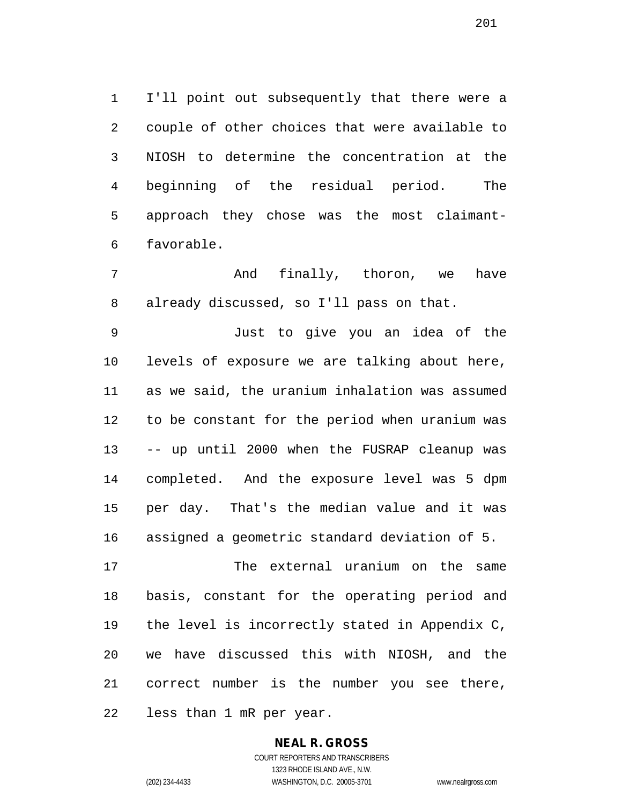I'll point out subsequently that there were a couple of other choices that were available to NIOSH to determine the concentration at the beginning of the residual period. The approach they chose was the most claimant-favorable.

 And finally, thoron, we have already discussed, so I'll pass on that.

 Just to give you an idea of the levels of exposure we are talking about here, as we said, the uranium inhalation was assumed to be constant for the period when uranium was -- up until 2000 when the FUSRAP cleanup was completed. And the exposure level was 5 dpm per day. That's the median value and it was assigned a geometric standard deviation of 5.

 The external uranium on the same basis, constant for the operating period and the level is incorrectly stated in Appendix C, we have discussed this with NIOSH, and the correct number is the number you see there, less than 1 mR per year.

> **NEAL R. GROSS** COURT REPORTERS AND TRANSCRIBERS

> > 1323 RHODE ISLAND AVE., N.W.

(202) 234-4433 WASHINGTON, D.C. 20005-3701 www.nealrgross.com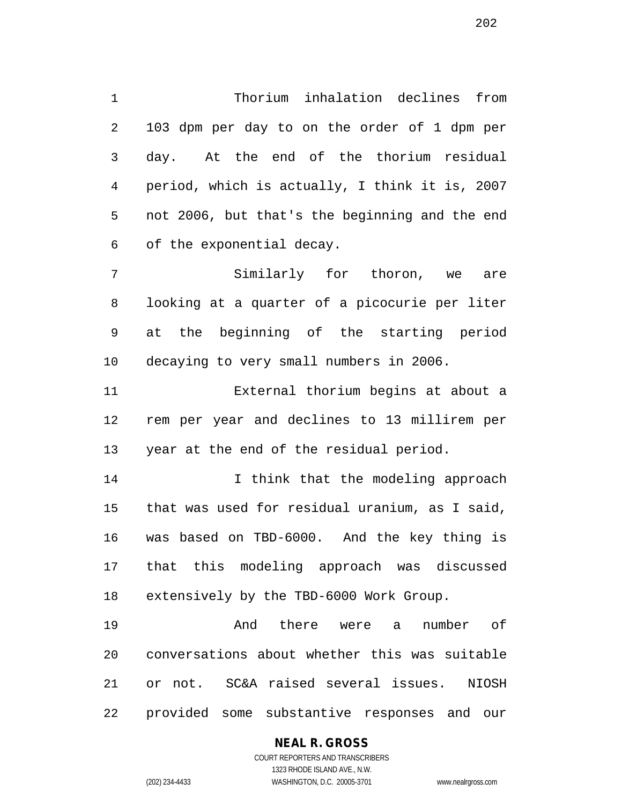Thorium inhalation declines from 103 dpm per day to on the order of 1 dpm per day. At the end of the thorium residual period, which is actually, I think it is, 2007 not 2006, but that's the beginning and the end of the exponential decay.

 Similarly for thoron, we are looking at a quarter of a picocurie per liter at the beginning of the starting period decaying to very small numbers in 2006.

 External thorium begins at about a rem per year and declines to 13 millirem per year at the end of the residual period.

14 14 I think that the modeling approach that was used for residual uranium, as I said, was based on TBD-6000. And the key thing is that this modeling approach was discussed extensively by the TBD-6000 Work Group.

 And there were a number of conversations about whether this was suitable or not. SC&A raised several issues. NIOSH provided some substantive responses and our

#### **NEAL R. GROSS**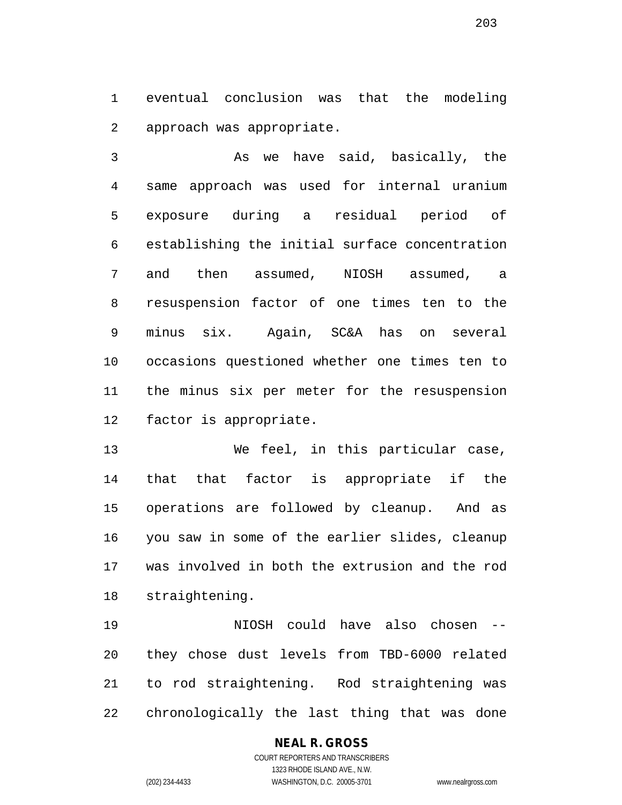eventual conclusion was that the modeling approach was appropriate.

 As we have said, basically, the same approach was used for internal uranium exposure during a residual period of establishing the initial surface concentration and then assumed, NIOSH assumed, a resuspension factor of one times ten to the minus six. Again, SC&A has on several occasions questioned whether one times ten to the minus six per meter for the resuspension factor is appropriate.

 We feel, in this particular case, that that factor is appropriate if the operations are followed by cleanup. And as you saw in some of the earlier slides, cleanup was involved in both the extrusion and the rod straightening.

 NIOSH could have also chosen -- they chose dust levels from TBD-6000 related to rod straightening. Rod straightening was chronologically the last thing that was done

# **NEAL R. GROSS**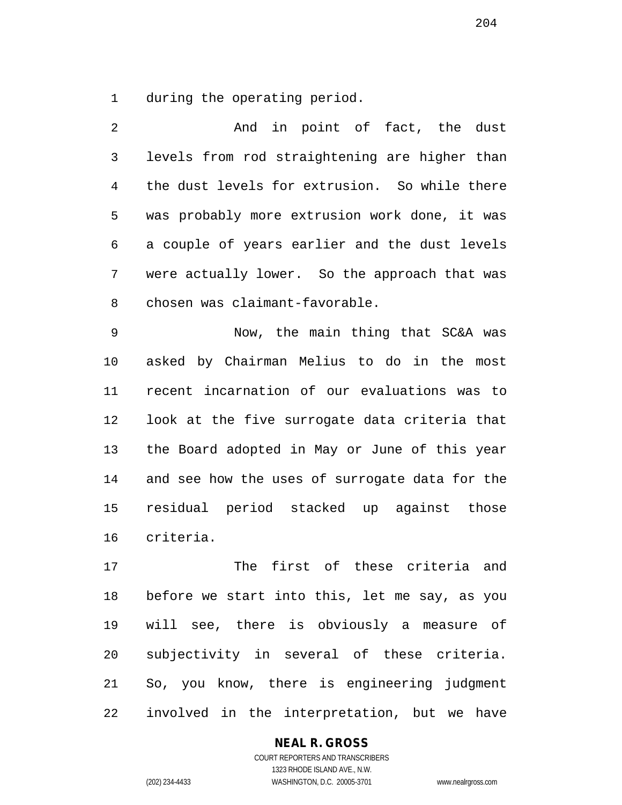during the operating period.

 And in point of fact, the dust levels from rod straightening are higher than the dust levels for extrusion. So while there was probably more extrusion work done, it was a couple of years earlier and the dust levels were actually lower. So the approach that was chosen was claimant-favorable.

 Now, the main thing that SC&A was asked by Chairman Melius to do in the most recent incarnation of our evaluations was to look at the five surrogate data criteria that the Board adopted in May or June of this year and see how the uses of surrogate data for the residual period stacked up against those criteria.

 The first of these criteria and before we start into this, let me say, as you will see, there is obviously a measure of subjectivity in several of these criteria. So, you know, there is engineering judgment involved in the interpretation, but we have

#### **NEAL R. GROSS**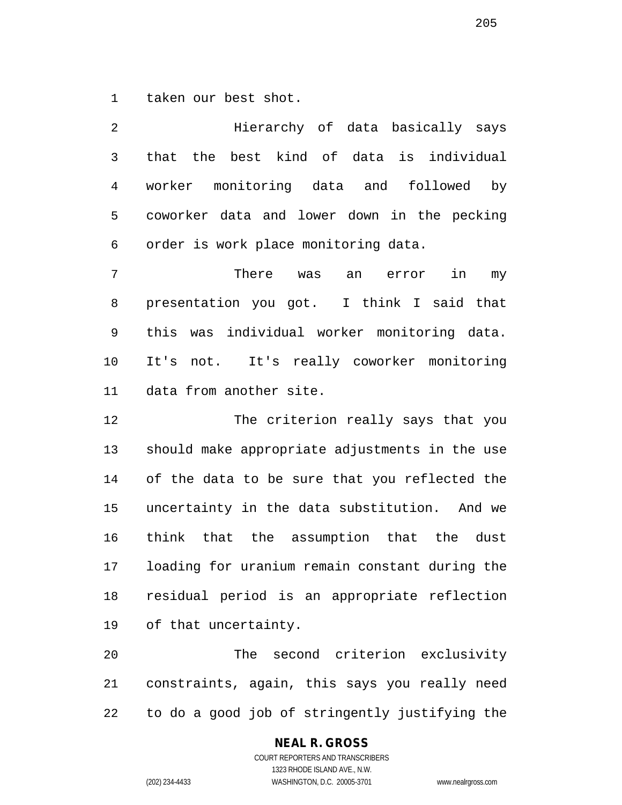taken our best shot.

 Hierarchy of data basically says that the best kind of data is individual worker monitoring data and followed by coworker data and lower down in the pecking order is work place monitoring data. There was an error in my presentation you got. I think I said that this was individual worker monitoring data. It's not. It's really coworker monitoring data from another site. The criterion really says that you should make appropriate adjustments in the use of the data to be sure that you reflected the uncertainty in the data substitution. And we think that the assumption that the dust

 loading for uranium remain constant during the residual period is an appropriate reflection of that uncertainty.

 The second criterion exclusivity constraints, again, this says you really need to do a good job of stringently justifying the

# **NEAL R. GROSS**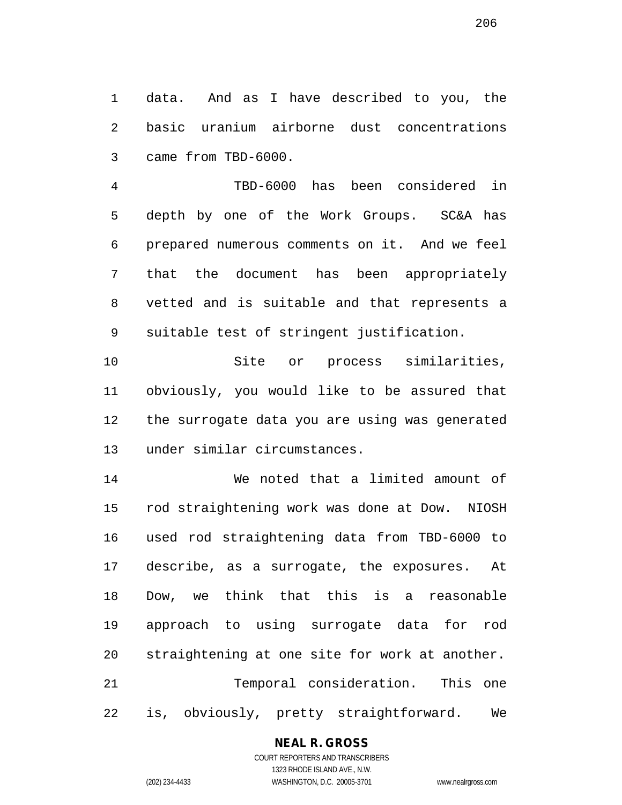data. And as I have described to you, the basic uranium airborne dust concentrations came from TBD-6000.

 TBD-6000 has been considered in depth by one of the Work Groups. SC&A has prepared numerous comments on it. And we feel that the document has been appropriately vetted and is suitable and that represents a suitable test of stringent justification.

 Site or process similarities, obviously, you would like to be assured that the surrogate data you are using was generated under similar circumstances.

 We noted that a limited amount of rod straightening work was done at Dow. NIOSH used rod straightening data from TBD-6000 to describe, as a surrogate, the exposures. At Dow, we think that this is a reasonable approach to using surrogate data for rod straightening at one site for work at another. Temporal consideration. This one is, obviously, pretty straightforward. We

#### **NEAL R. GROSS**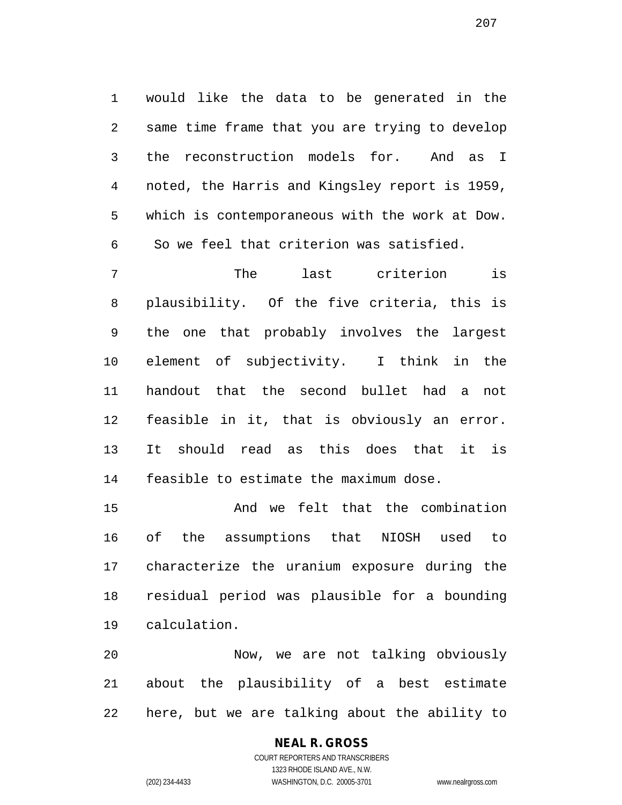would like the data to be generated in the same time frame that you are trying to develop the reconstruction models for. And as I noted, the Harris and Kingsley report is 1959, which is contemporaneous with the work at Dow. So we feel that criterion was satisfied.

 The last criterion is plausibility. Of the five criteria, this is the one that probably involves the largest element of subjectivity. I think in the handout that the second bullet had a not feasible in it, that is obviously an error. It should read as this does that it is feasible to estimate the maximum dose.

 And we felt that the combination of the assumptions that NIOSH used to characterize the uranium exposure during the residual period was plausible for a bounding calculation.

 Now, we are not talking obviously about the plausibility of a best estimate here, but we are talking about the ability to

# **NEAL R. GROSS**

COURT REPORTERS AND TRANSCRIBERS 1323 RHODE ISLAND AVE., N.W. (202) 234-4433 WASHINGTON, D.C. 20005-3701 www.nealrgross.com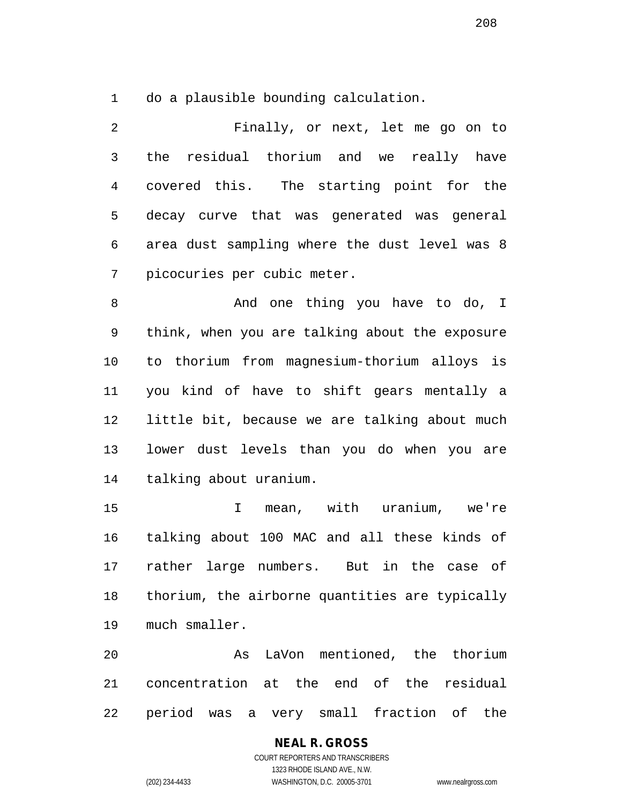do a plausible bounding calculation.

 Finally, or next, let me go on to the residual thorium and we really have covered this. The starting point for the decay curve that was generated was general area dust sampling where the dust level was 8 picocuries per cubic meter.

8 And one thing you have to do, I think, when you are talking about the exposure to thorium from magnesium-thorium alloys is you kind of have to shift gears mentally a little bit, because we are talking about much lower dust levels than you do when you are talking about uranium.

 I mean, with uranium, we're talking about 100 MAC and all these kinds of rather large numbers. But in the case of thorium, the airborne quantities are typically much smaller.

 As LaVon mentioned, the thorium concentration at the end of the residual period was a very small fraction of the

# **NEAL R. GROSS**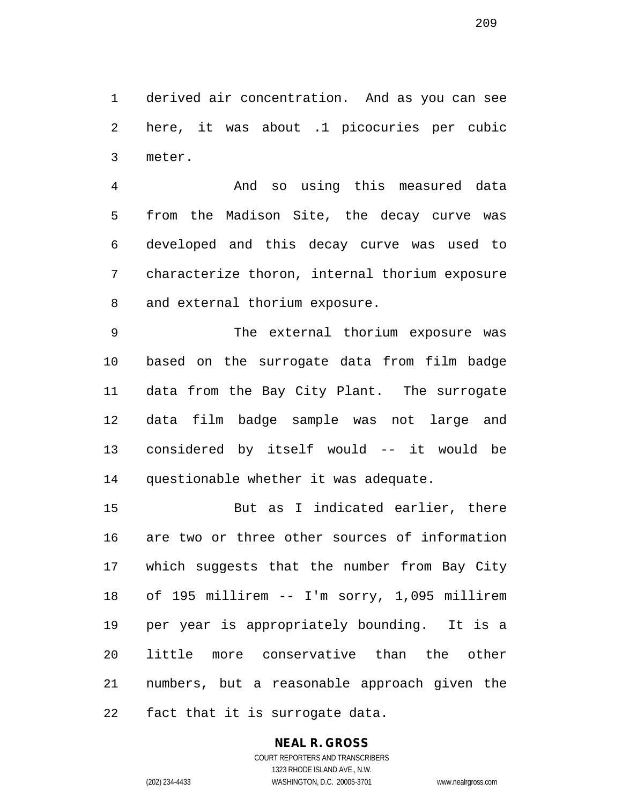derived air concentration. And as you can see here, it was about .1 picocuries per cubic meter.

 And so using this measured data from the Madison Site, the decay curve was developed and this decay curve was used to characterize thoron, internal thorium exposure and external thorium exposure.

 The external thorium exposure was based on the surrogate data from film badge data from the Bay City Plant. The surrogate data film badge sample was not large and considered by itself would -- it would be questionable whether it was adequate.

 But as I indicated earlier, there are two or three other sources of information which suggests that the number from Bay City of 195 millirem -- I'm sorry, 1,095 millirem per year is appropriately bounding. It is a little more conservative than the other numbers, but a reasonable approach given the fact that it is surrogate data.

# **NEAL R. GROSS**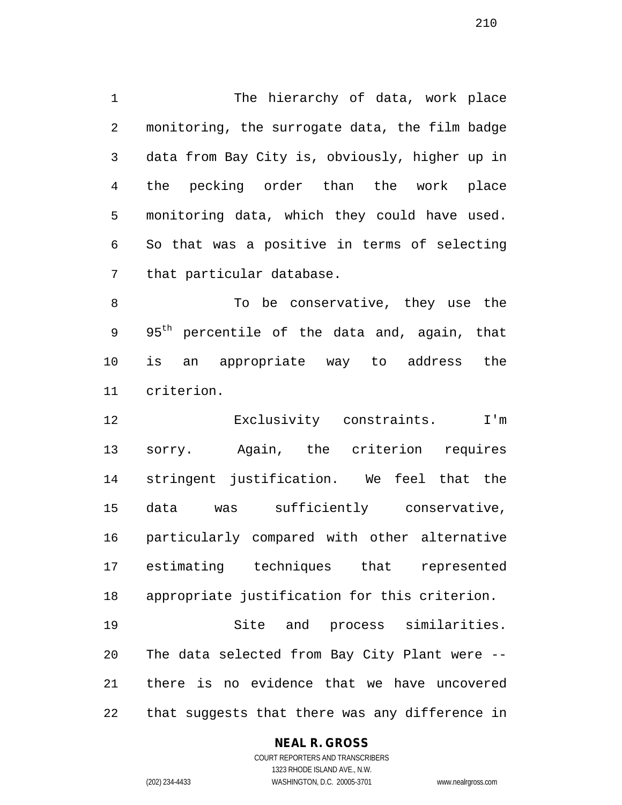The hierarchy of data, work place monitoring, the surrogate data, the film badge data from Bay City is, obviously, higher up in the pecking order than the work place monitoring data, which they could have used. So that was a positive in terms of selecting that particular database.

8 To be conservative, they use the 9 95<sup>th</sup> percentile of the data and, again, that is an appropriate way to address the criterion.

 Exclusivity constraints. I'm sorry. Again, the criterion requires stringent justification. We feel that the data was sufficiently conservative, particularly compared with other alternative estimating techniques that represented appropriate justification for this criterion. Site and process similarities. The data selected from Bay City Plant were --

that suggests that there was any difference in

there is no evidence that we have uncovered

#### **NEAL R. GROSS**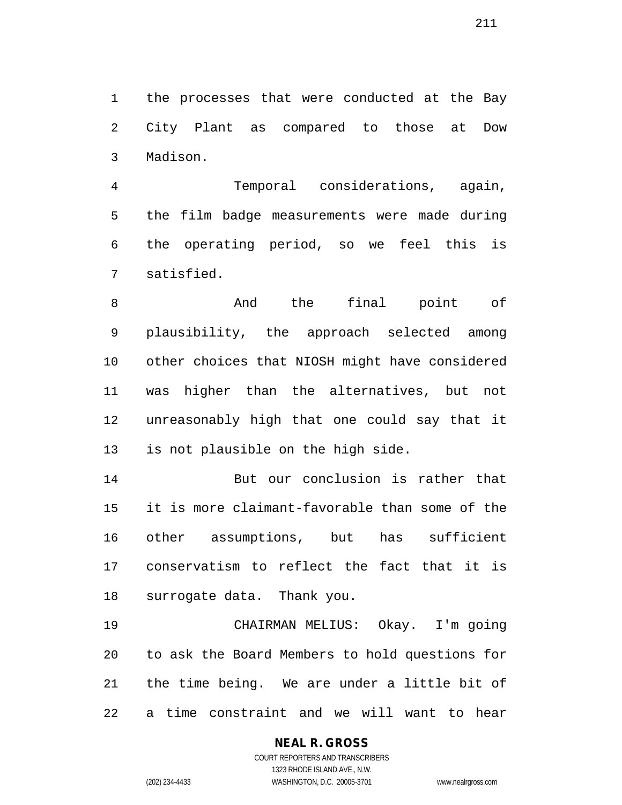the processes that were conducted at the Bay City Plant as compared to those at Dow Madison.

 Temporal considerations, again, the film badge measurements were made during the operating period, so we feel this is satisfied.

8 And the final point of plausibility, the approach selected among other choices that NIOSH might have considered was higher than the alternatives, but not unreasonably high that one could say that it is not plausible on the high side.

 But our conclusion is rather that it is more claimant-favorable than some of the other assumptions, but has sufficient conservatism to reflect the fact that it is surrogate data. Thank you.

 CHAIRMAN MELIUS: Okay. I'm going to ask the Board Members to hold questions for the time being. We are under a little bit of a time constraint and we will want to hear

# **NEAL R. GROSS**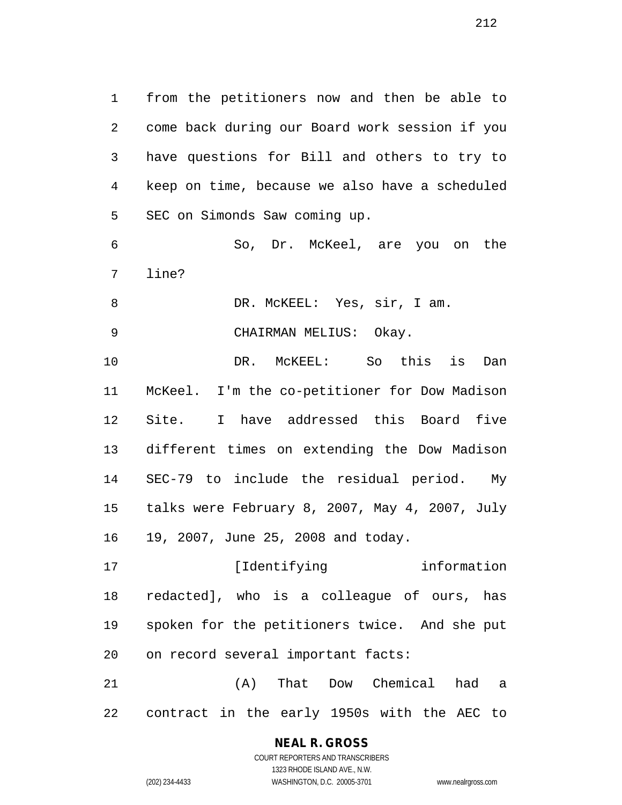from the petitioners now and then be able to come back during our Board work session if you have questions for Bill and others to try to keep on time, because we also have a scheduled SEC on Simonds Saw coming up.

 So, Dr. McKeel, are you on the line?

8 DR. McKEEL: Yes, sir, I am.

CHAIRMAN MELIUS: Okay.

 DR. McKEEL: So this is Dan McKeel. I'm the co-petitioner for Dow Madison Site. I have addressed this Board five different times on extending the Dow Madison SEC-79 to include the residual period. My talks were February 8, 2007, May 4, 2007, July 19, 2007, June 25, 2008 and today.

**Information** [Identifying information redacted], who is a colleague of ours, has spoken for the petitioners twice. And she put on record several important facts:

 (A) That Dow Chemical had a contract in the early 1950s with the AEC to

# **NEAL R. GROSS**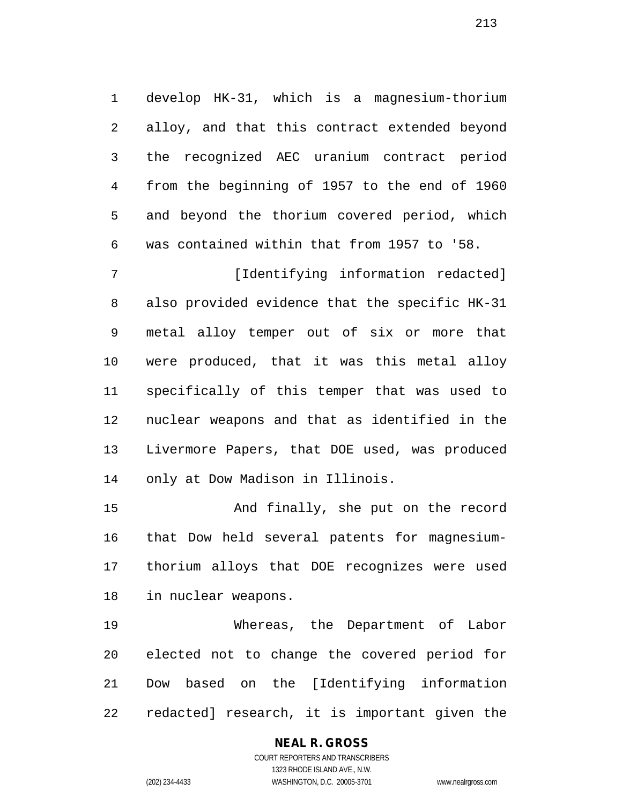develop HK-31, which is a magnesium-thorium alloy, and that this contract extended beyond the recognized AEC uranium contract period from the beginning of 1957 to the end of 1960 and beyond the thorium covered period, which was contained within that from 1957 to '58.

7 [Identifying information redacted] also provided evidence that the specific HK-31 metal alloy temper out of six or more that were produced, that it was this metal alloy specifically of this temper that was used to nuclear weapons and that as identified in the Livermore Papers, that DOE used, was produced only at Dow Madison in Illinois.

 And finally, she put on the record that Dow held several patents for magnesium- thorium alloys that DOE recognizes were used in nuclear weapons.

 Whereas, the Department of Labor elected not to change the covered period for Dow based on the [Identifying information redacted] research, it is important given the

#### **NEAL R. GROSS**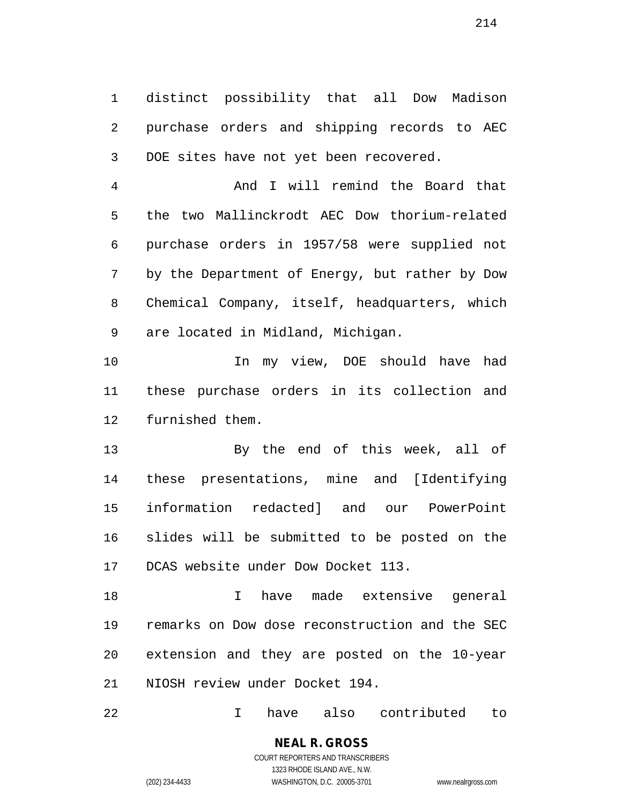distinct possibility that all Dow Madison purchase orders and shipping records to AEC DOE sites have not yet been recovered.

 And I will remind the Board that the two Mallinckrodt AEC Dow thorium-related purchase orders in 1957/58 were supplied not by the Department of Energy, but rather by Dow Chemical Company, itself, headquarters, which are located in Midland, Michigan.

 In my view, DOE should have had these purchase orders in its collection and furnished them.

 By the end of this week, all of these presentations, mine and [Identifying information redacted] and our PowerPoint slides will be submitted to be posted on the DCAS website under Dow Docket 113.

 I have made extensive general remarks on Dow dose reconstruction and the SEC extension and they are posted on the 10-year NIOSH review under Docket 194.

I have also contributed to

COURT REPORTERS AND TRANSCRIBERS 1323 RHODE ISLAND AVE., N.W. (202) 234-4433 WASHINGTON, D.C. 20005-3701 www.nealrgross.com

**NEAL R. GROSS**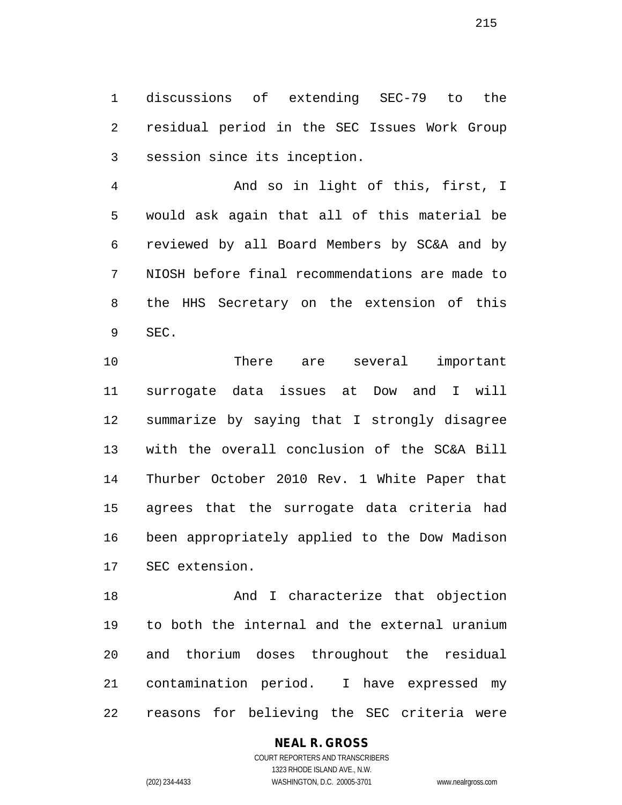discussions of extending SEC-79 to the residual period in the SEC Issues Work Group session since its inception.

 And so in light of this, first, I would ask again that all of this material be reviewed by all Board Members by SC&A and by NIOSH before final recommendations are made to the HHS Secretary on the extension of this SEC.

 There are several important surrogate data issues at Dow and I will summarize by saying that I strongly disagree with the overall conclusion of the SC&A Bill Thurber October 2010 Rev. 1 White Paper that agrees that the surrogate data criteria had been appropriately applied to the Dow Madison SEC extension.

18 And I characterize that objection to both the internal and the external uranium and thorium doses throughout the residual contamination period. I have expressed my reasons for believing the SEC criteria were

#### **NEAL R. GROSS** COURT REPORTERS AND TRANSCRIBERS

1323 RHODE ISLAND AVE., N.W. (202) 234-4433 WASHINGTON, D.C. 20005-3701 www.nealrgross.com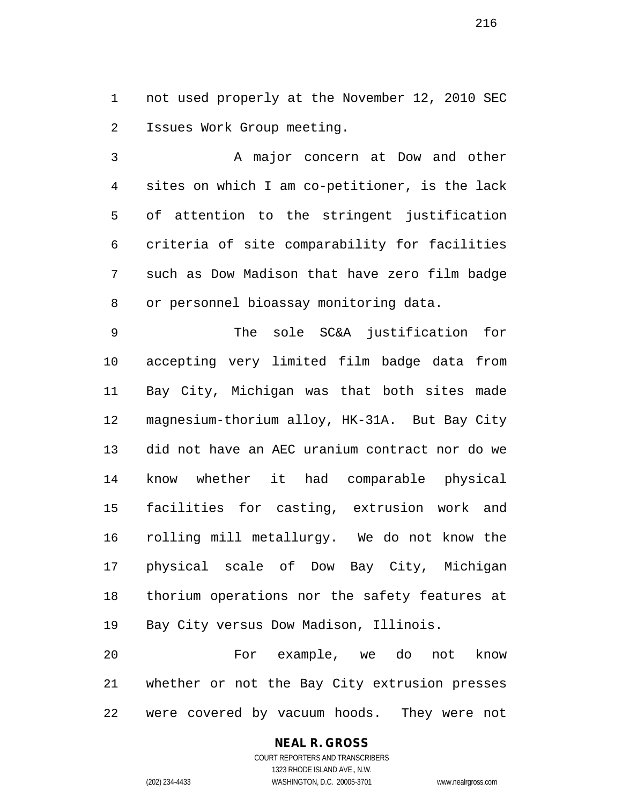not used properly at the November 12, 2010 SEC Issues Work Group meeting.

 A major concern at Dow and other sites on which I am co-petitioner, is the lack of attention to the stringent justification criteria of site comparability for facilities such as Dow Madison that have zero film badge or personnel bioassay monitoring data.

 The sole SC&A justification for accepting very limited film badge data from Bay City, Michigan was that both sites made magnesium-thorium alloy, HK-31A. But Bay City did not have an AEC uranium contract nor do we know whether it had comparable physical facilities for casting, extrusion work and rolling mill metallurgy. We do not know the physical scale of Dow Bay City, Michigan thorium operations nor the safety features at Bay City versus Dow Madison, Illinois.

 For example, we do not know whether or not the Bay City extrusion presses were covered by vacuum hoods. They were not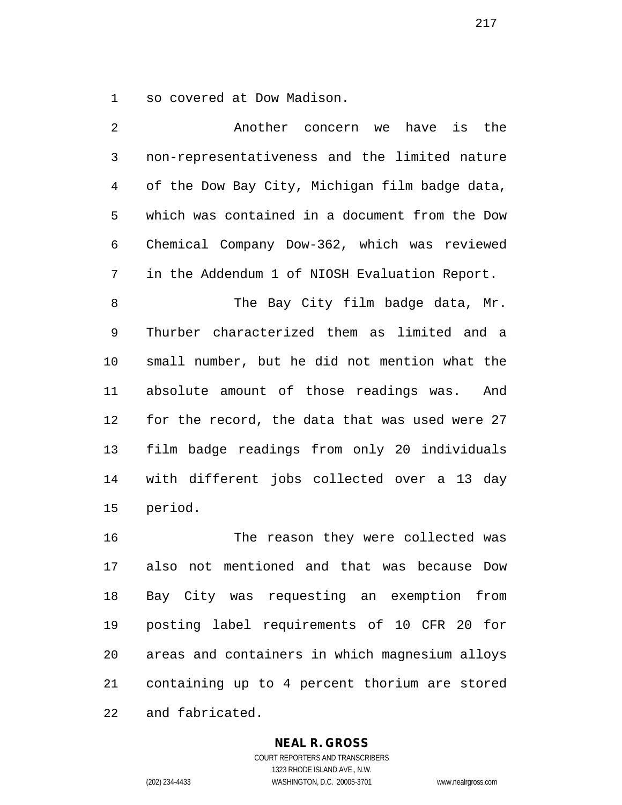so covered at Dow Madison.

 Another concern we have is the non-representativeness and the limited nature of the Dow Bay City, Michigan film badge data, which was contained in a document from the Dow Chemical Company Dow-362, which was reviewed in the Addendum 1 of NIOSH Evaluation Report. 8 The Bay City film badge data, Mr. Thurber characterized them as limited and a small number, but he did not mention what the absolute amount of those readings was. And for the record, the data that was used were 27 film badge readings from only 20 individuals with different jobs collected over a 13 day period. The reason they were collected was also not mentioned and that was because Dow

 Bay City was requesting an exemption from posting label requirements of 10 CFR 20 for areas and containers in which magnesium alloys containing up to 4 percent thorium are stored and fabricated.

#### **NEAL R. GROSS**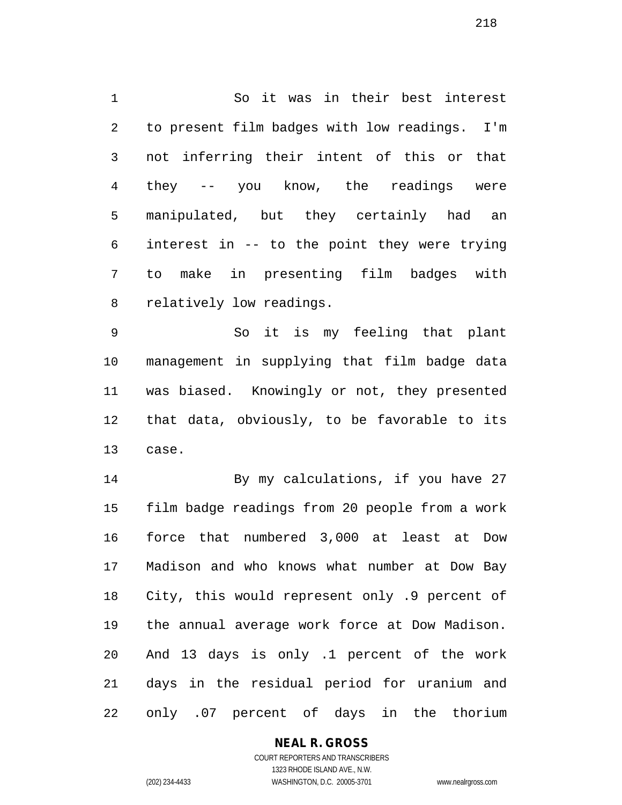So it was in their best interest to present film badges with low readings. I'm not inferring their intent of this or that they -- you know, the readings were manipulated, but they certainly had an interest in -- to the point they were trying to make in presenting film badges with relatively low readings.

 So it is my feeling that plant management in supplying that film badge data was biased. Knowingly or not, they presented that data, obviously, to be favorable to its case.

 By my calculations, if you have 27 film badge readings from 20 people from a work force that numbered 3,000 at least at Dow Madison and who knows what number at Dow Bay City, this would represent only .9 percent of the annual average work force at Dow Madison. And 13 days is only .1 percent of the work days in the residual period for uranium and only .07 percent of days in the thorium

#### **NEAL R. GROSS**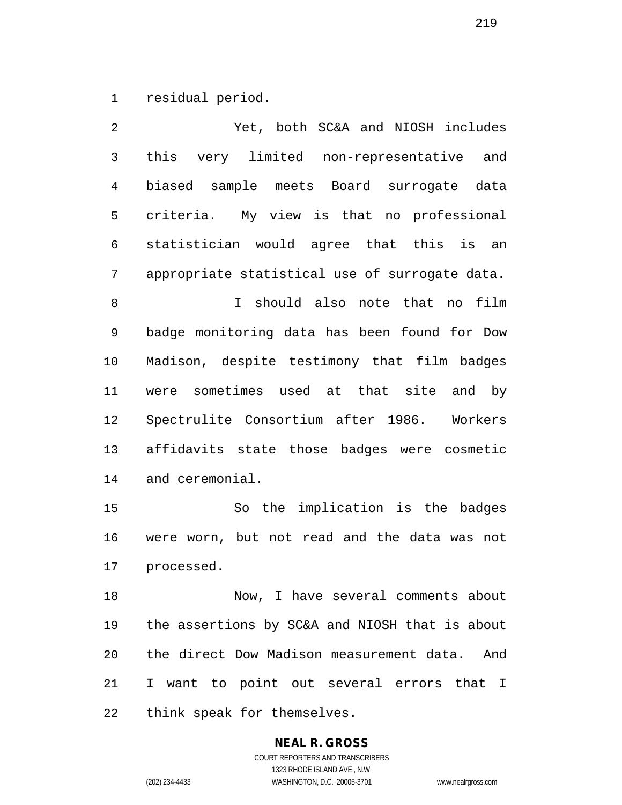residual period.

 Yet, both SC&A and NIOSH includes this very limited non-representative and biased sample meets Board surrogate data criteria. My view is that no professional statistician would agree that this is an appropriate statistical use of surrogate data. I should also note that no film badge monitoring data has been found for Dow Madison, despite testimony that film badges were sometimes used at that site and by Spectrulite Consortium after 1986. Workers affidavits state those badges were cosmetic and ceremonial. So the implication is the badges were worn, but not read and the data was not processed.

 Now, I have several comments about the assertions by SC&A and NIOSH that is about the direct Dow Madison measurement data. And I want to point out several errors that I think speak for themselves.

# **NEAL R. GROSS**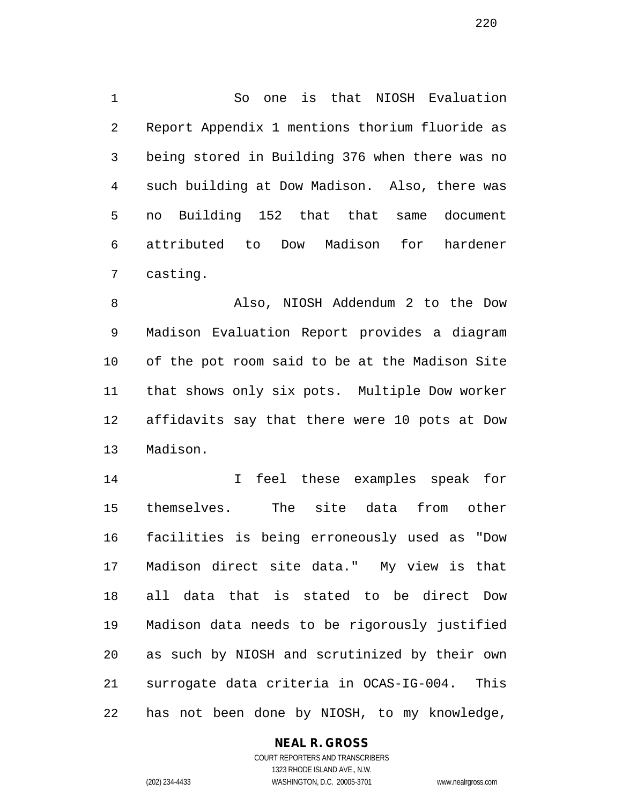So one is that NIOSH Evaluation Report Appendix 1 mentions thorium fluoride as being stored in Building 376 when there was no such building at Dow Madison. Also, there was no Building 152 that that same document attributed to Dow Madison for hardener casting.

 Also, NIOSH Addendum 2 to the Dow Madison Evaluation Report provides a diagram of the pot room said to be at the Madison Site that shows only six pots. Multiple Dow worker affidavits say that there were 10 pots at Dow Madison.

 I feel these examples speak for themselves. The site data from other facilities is being erroneously used as "Dow Madison direct site data." My view is that all data that is stated to be direct Dow Madison data needs to be rigorously justified as such by NIOSH and scrutinized by their own surrogate data criteria in OCAS-IG-004. This has not been done by NIOSH, to my knowledge,

#### **NEAL R. GROSS**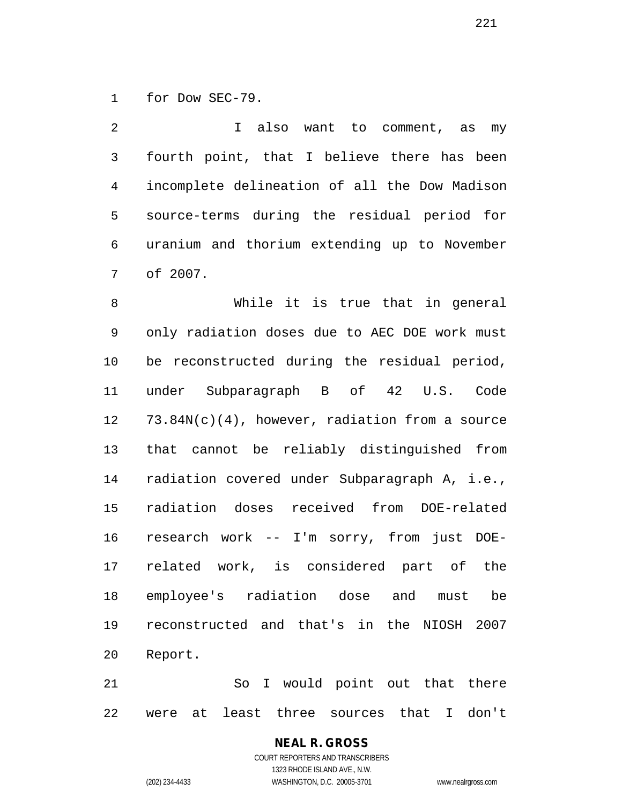for Dow SEC-79.

 I also want to comment, as my fourth point, that I believe there has been incomplete delineation of all the Dow Madison source-terms during the residual period for uranium and thorium extending up to November of 2007.

 While it is true that in general only radiation doses due to AEC DOE work must be reconstructed during the residual period, under Subparagraph B of 42 U.S. Code 73.84N(c)(4), however, radiation from a source that cannot be reliably distinguished from radiation covered under Subparagraph A, i.e., radiation doses received from DOE-related research work -- I'm sorry, from just DOE- related work, is considered part of the employee's radiation dose and must be reconstructed and that's in the NIOSH 2007 Report.

 So I would point out that there were at least three sources that I don't

#### **NEAL R. GROSS** COURT REPORTERS AND TRANSCRIBERS 1323 RHODE ISLAND AVE., N.W.

(202) 234-4433 WASHINGTON, D.C. 20005-3701 www.nealrgross.com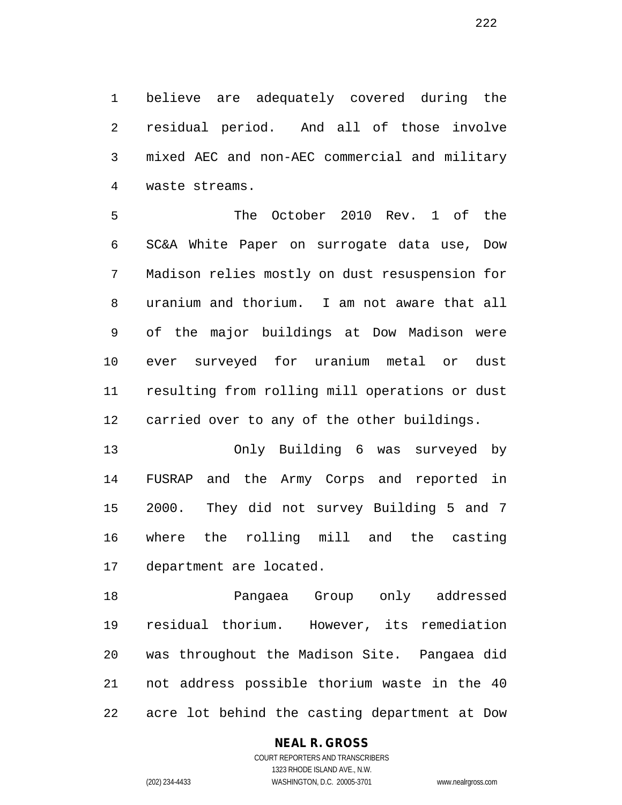believe are adequately covered during the residual period. And all of those involve mixed AEC and non-AEC commercial and military waste streams.

 The October 2010 Rev. 1 of the SC&A White Paper on surrogate data use, Dow Madison relies mostly on dust resuspension for uranium and thorium. I am not aware that all of the major buildings at Dow Madison were ever surveyed for uranium metal or dust resulting from rolling mill operations or dust carried over to any of the other buildings.

 Only Building 6 was surveyed by FUSRAP and the Army Corps and reported in 2000. They did not survey Building 5 and 7 where the rolling mill and the casting department are located.

 Pangaea Group only addressed residual thorium. However, its remediation was throughout the Madison Site. Pangaea did not address possible thorium waste in the 40 acre lot behind the casting department at Dow

#### **NEAL R. GROSS**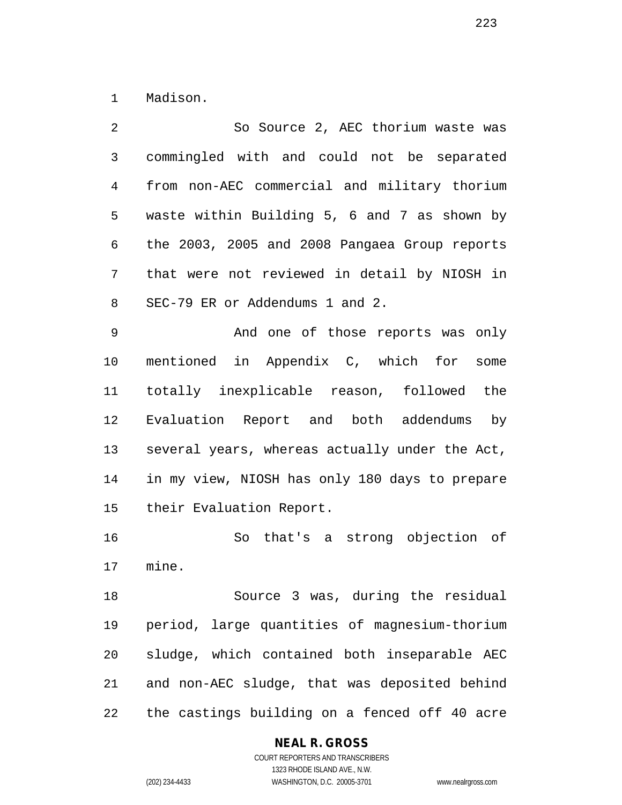Madison.

 So Source 2, AEC thorium waste was commingled with and could not be separated from non-AEC commercial and military thorium waste within Building 5, 6 and 7 as shown by the 2003, 2005 and 2008 Pangaea Group reports that were not reviewed in detail by NIOSH in SEC-79 ER or Addendums 1 and 2. And one of those reports was only mentioned in Appendix C, which for some totally inexplicable reason, followed the Evaluation Report and both addendums by several years, whereas actually under the Act, in my view, NIOSH has only 180 days to prepare their Evaluation Report. So that's a strong objection of mine.

 Source 3 was, during the residual period, large quantities of magnesium-thorium sludge, which contained both inseparable AEC and non-AEC sludge, that was deposited behind the castings building on a fenced off 40 acre

#### **NEAL R. GROSS**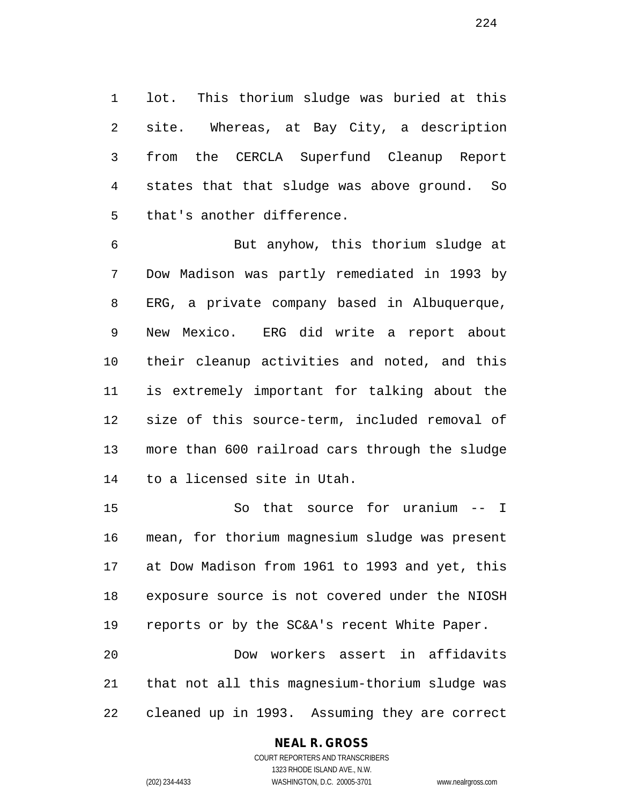lot. This thorium sludge was buried at this site. Whereas, at Bay City, a description from the CERCLA Superfund Cleanup Report states that that sludge was above ground. So that's another difference.

 But anyhow, this thorium sludge at Dow Madison was partly remediated in 1993 by ERG, a private company based in Albuquerque, New Mexico. ERG did write a report about their cleanup activities and noted, and this is extremely important for talking about the size of this source-term, included removal of more than 600 railroad cars through the sludge to a licensed site in Utah.

 So that source for uranium -- I mean, for thorium magnesium sludge was present at Dow Madison from 1961 to 1993 and yet, this exposure source is not covered under the NIOSH reports or by the SC&A's recent White Paper. Dow workers assert in affidavits that not all this magnesium-thorium sludge was

cleaned up in 1993. Assuming they are correct

#### **NEAL R. GROSS**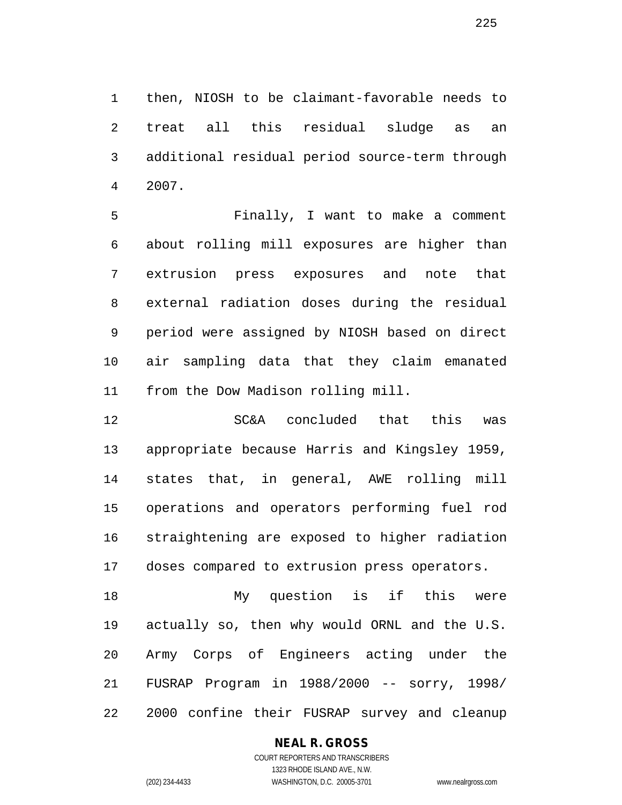then, NIOSH to be claimant-favorable needs to treat all this residual sludge as an additional residual period source-term through 2007.

 Finally, I want to make a comment about rolling mill exposures are higher than extrusion press exposures and note that external radiation doses during the residual period were assigned by NIOSH based on direct air sampling data that they claim emanated from the Dow Madison rolling mill.

 SC&A concluded that this was appropriate because Harris and Kingsley 1959, states that, in general, AWE rolling mill operations and operators performing fuel rod straightening are exposed to higher radiation doses compared to extrusion press operators.

 My question is if this were actually so, then why would ORNL and the U.S. Army Corps of Engineers acting under the FUSRAP Program in 1988/2000 -- sorry, 1998/ 2000 confine their FUSRAP survey and cleanup

#### **NEAL R. GROSS**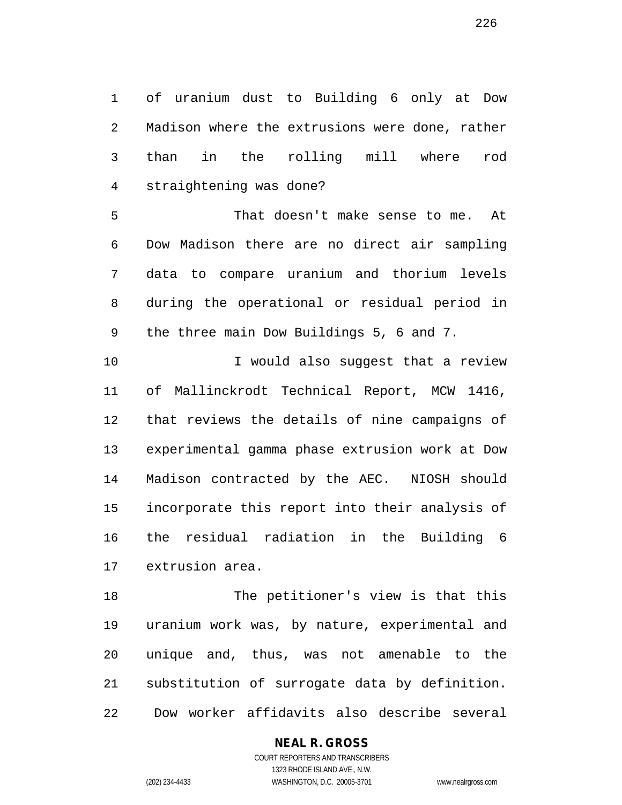of uranium dust to Building 6 only at Dow Madison where the extrusions were done, rather than in the rolling mill where rod straightening was done?

 That doesn't make sense to me. At Dow Madison there are no direct air sampling data to compare uranium and thorium levels during the operational or residual period in the three main Dow Buildings 5, 6 and 7.

10 10 I would also suggest that a review of Mallinckrodt Technical Report, MCW 1416, that reviews the details of nine campaigns of experimental gamma phase extrusion work at Dow Madison contracted by the AEC. NIOSH should incorporate this report into their analysis of the residual radiation in the Building 6 extrusion area.

 The petitioner's view is that this uranium work was, by nature, experimental and unique and, thus, was not amenable to the substitution of surrogate data by definition. Dow worker affidavits also describe several

#### **NEAL R. GROSS**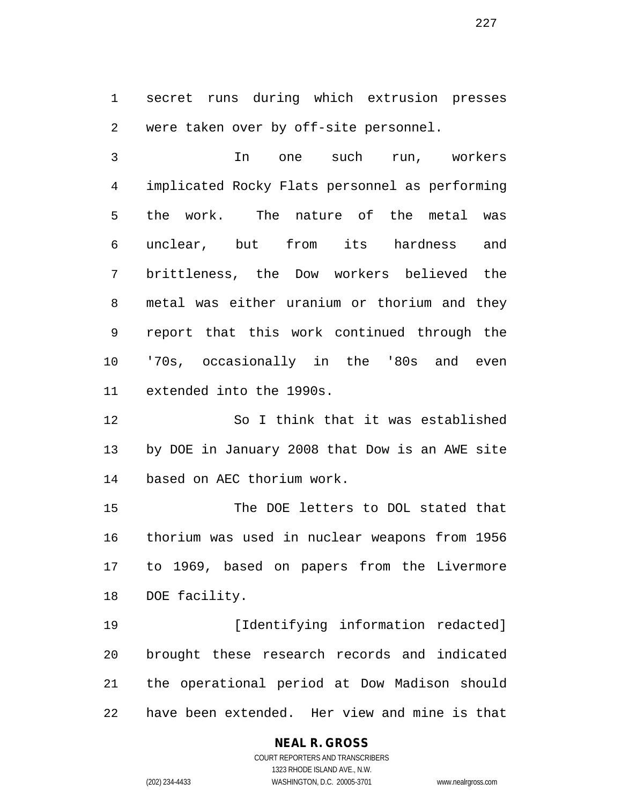secret runs during which extrusion presses were taken over by off-site personnel.

 In one such run, workers implicated Rocky Flats personnel as performing the work. The nature of the metal was unclear, but from its hardness and brittleness, the Dow workers believed the metal was either uranium or thorium and they report that this work continued through the '70s, occasionally in the '80s and even extended into the 1990s.

 So I think that it was established by DOE in January 2008 that Dow is an AWE site based on AEC thorium work.

 The DOE letters to DOL stated that thorium was used in nuclear weapons from 1956 to 1969, based on papers from the Livermore DOE facility.

**[Identifying information redacted]**  brought these research records and indicated the operational period at Dow Madison should have been extended. Her view and mine is that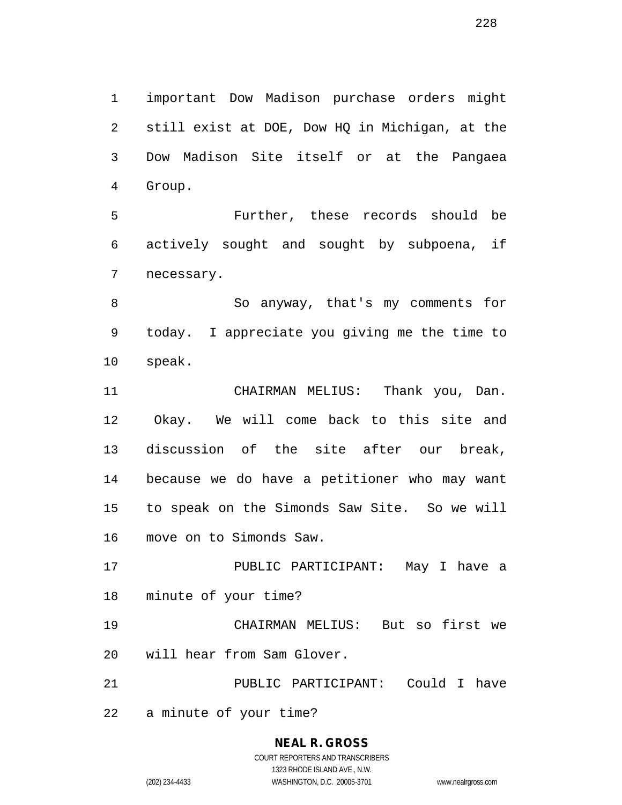important Dow Madison purchase orders might still exist at DOE, Dow HQ in Michigan, at the Dow Madison Site itself or at the Pangaea Group.

 Further, these records should be actively sought and sought by subpoena, if necessary.

 So anyway, that's my comments for today. I appreciate you giving me the time to speak.

 CHAIRMAN MELIUS: Thank you, Dan. Okay. We will come back to this site and discussion of the site after our break, because we do have a petitioner who may want to speak on the Simonds Saw Site. So we will move on to Simonds Saw.

 PUBLIC PARTICIPANT: May I have a minute of your time?

 CHAIRMAN MELIUS: But so first we will hear from Sam Glover.

PUBLIC PARTICIPANT: Could I have

a minute of your time?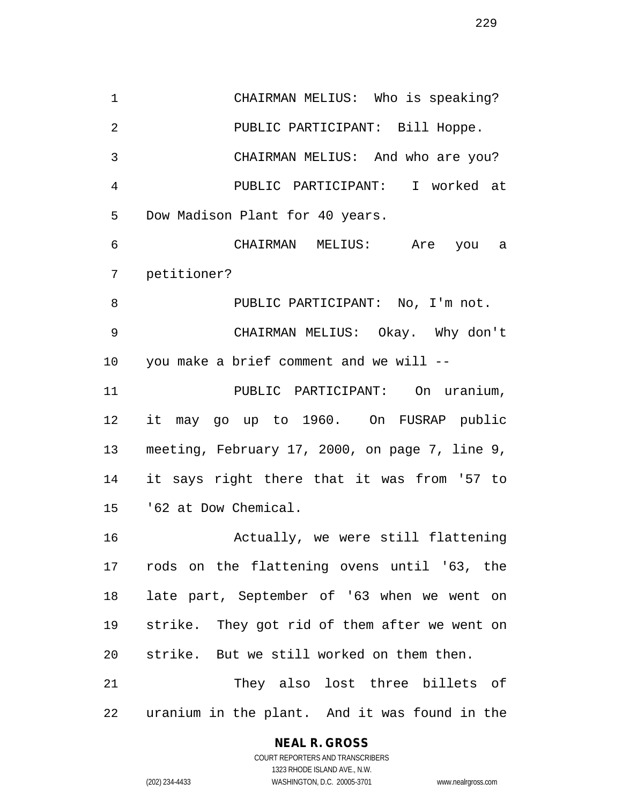CHAIRMAN MELIUS: Who is speaking? PUBLIC PARTICIPANT: Bill Hoppe. CHAIRMAN MELIUS: And who are you? PUBLIC PARTICIPANT: I worked at Dow Madison Plant for 40 years. CHAIRMAN MELIUS: Are you a petitioner? 8 PUBLIC PARTICIPANT: No, I'm not. CHAIRMAN MELIUS: Okay. Why don't you make a brief comment and we will -- PUBLIC PARTICIPANT: On uranium, it may go up to 1960. On FUSRAP public meeting, February 17, 2000, on page 7, line 9, it says right there that it was from '57 to '62 at Dow Chemical. Actually, we were still flattening rods on the flattening ovens until '63, the late part, September of '63 when we went on strike. They got rid of them after we went on strike. But we still worked on them then. They also lost three billets of

uranium in the plant. And it was found in the

#### **NEAL R. GROSS**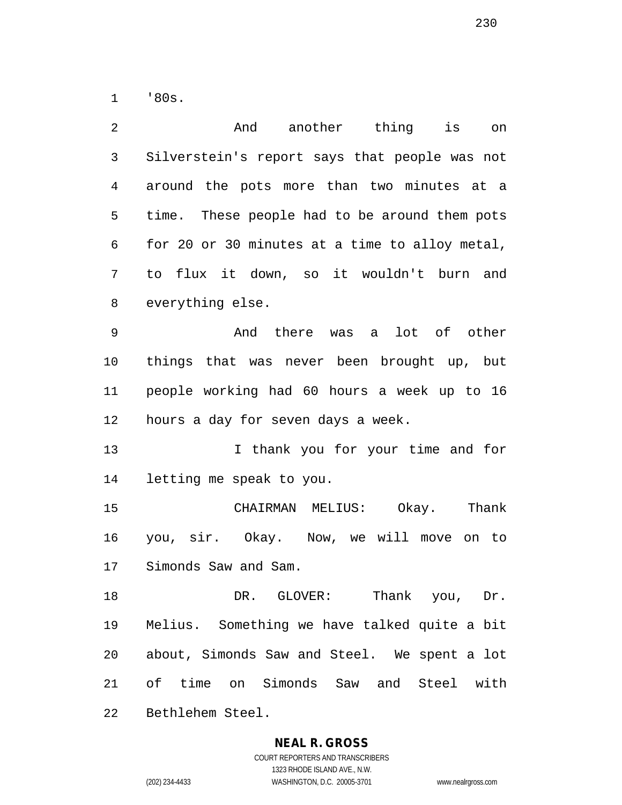'80s.

| 2  | And<br>another thing<br>is<br>on               |
|----|------------------------------------------------|
| 3  | Silverstein's report says that people was not  |
| 4  | around the pots more than two minutes at a     |
| 5  | time. These people had to be around them pots  |
| 6  | for 20 or 30 minutes at a time to alloy metal, |
| 7  | to flux it down, so it wouldn't burn and       |
| 8  | everything else.                               |
| 9  | And there was a lot of other                   |
| 10 | things that was never been brought up, but     |
| 11 | people working had 60 hours a week up to 16    |
| 12 | hours a day for seven days a week.             |
| 13 | I thank you for your time and for              |
| 14 | letting me speak to you.                       |
| 15 | Okay.<br>Thank<br>CHAIRMAN MELIUS:             |
| 16 | you, sir. Okay. Now, we will move on to        |
| 17 | Simonds Saw and Sam.                           |
| 18 | DR. GLOVER: Thank you, Dr.                     |
| 19 | Melius. Something we have talked quite a bit   |
| 20 | about, Simonds Saw and Steel. We spent a lot   |
| 21 | of time on Simonds Saw and Steel with          |
| 22 | Bethlehem Steel.                               |

**NEAL R. GROSS**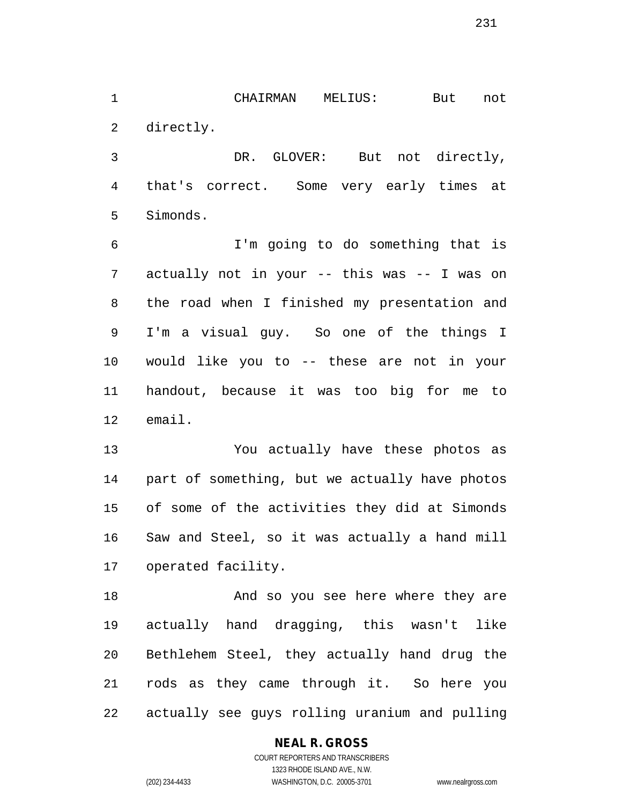CHAIRMAN MELIUS: But not directly.

 DR. GLOVER: But not directly, that's correct. Some very early times at Simonds.

 I'm going to do something that is actually not in your -- this was -- I was on the road when I finished my presentation and I'm a visual guy. So one of the things I would like you to -- these are not in your handout, because it was too big for me to email.

 You actually have these photos as part of something, but we actually have photos of some of the activities they did at Simonds Saw and Steel, so it was actually a hand mill operated facility.

 And so you see here where they are actually hand dragging, this wasn't like Bethlehem Steel, they actually hand drug the rods as they came through it. So here you actually see guys rolling uranium and pulling

#### **NEAL R. GROSS**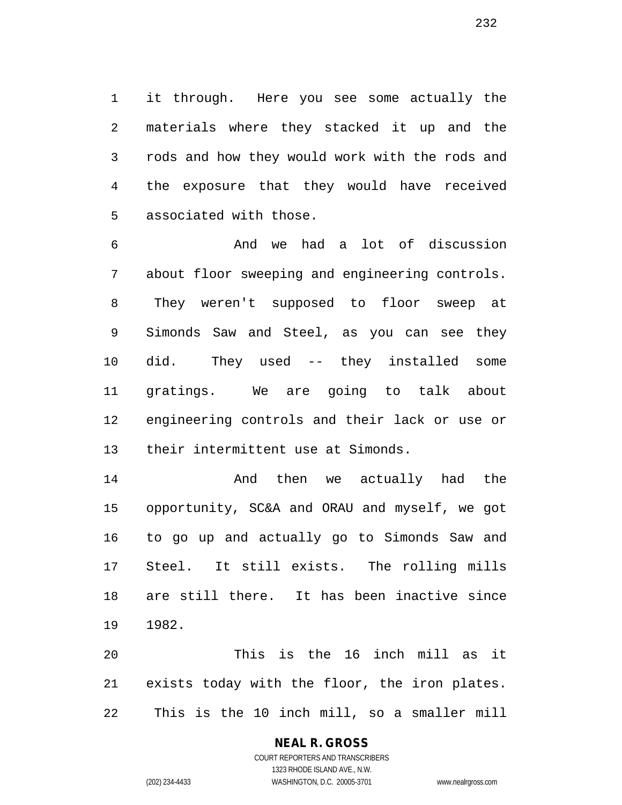it through. Here you see some actually the materials where they stacked it up and the rods and how they would work with the rods and the exposure that they would have received associated with those.

 And we had a lot of discussion about floor sweeping and engineering controls. They weren't supposed to floor sweep at Simonds Saw and Steel, as you can see they did. They used -- they installed some gratings. We are going to talk about engineering controls and their lack or use or their intermittent use at Simonds.

 And then we actually had the opportunity, SC&A and ORAU and myself, we got to go up and actually go to Simonds Saw and Steel. It still exists. The rolling mills are still there. It has been inactive since 1982.

 This is the 16 inch mill as it exists today with the floor, the iron plates. This is the 10 inch mill, so a smaller mill

#### **NEAL R. GROSS**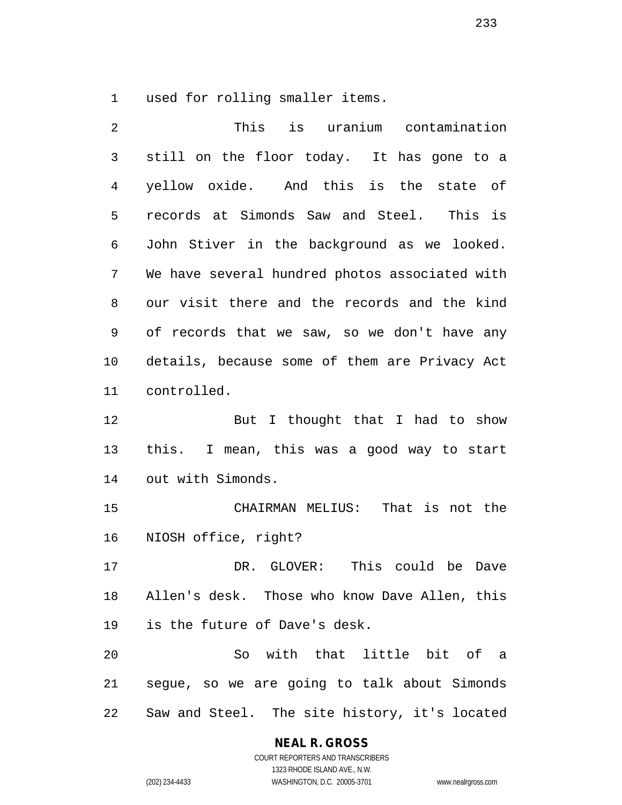used for rolling smaller items.

| 2            | This<br>is uranium contamination               |
|--------------|------------------------------------------------|
| $\mathsf{3}$ | still on the floor today. It has gone to a     |
| 4            | yellow oxide. And this is the state of         |
| 5            | records at Simonds Saw and Steel. This is      |
| 6            | John Stiver in the background as we looked.    |
| 7            | We have several hundred photos associated with |
| 8            | our visit there and the records and the kind   |
| 9            | of records that we saw, so we don't have any   |
| 10           | details, because some of them are Privacy Act  |
| 11           | controlled.                                    |
| 12           | But I thought that I had to show               |
| 13           | this. I mean, this was a good way to start     |
| 14           | out with Simonds.                              |
| 15           | CHAIRMAN MELIUS: That is not the               |
| 16           | NIOSH office, right?                           |
| 17           | DR. GLOVER: This could be<br>Dave              |
| 18           | Allen's desk. Those who know Dave Allen, this  |
| 19           | is the future of Dave's desk.                  |
| 20           | So with that little bit of a                   |
| 21           | segue, so we are going to talk about Simonds   |
| 22           | Saw and Steel. The site history, it's located  |

**NEAL R. GROSS**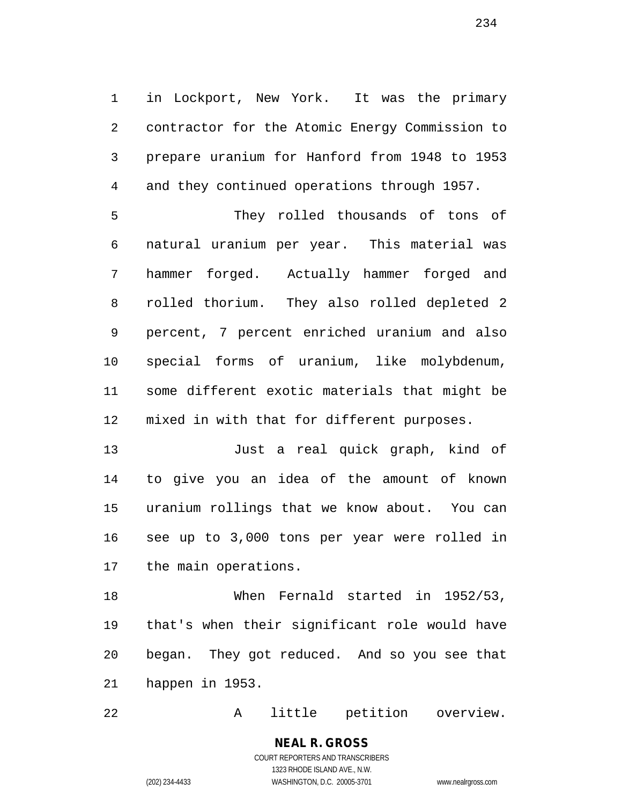in Lockport, New York. It was the primary contractor for the Atomic Energy Commission to prepare uranium for Hanford from 1948 to 1953 and they continued operations through 1957. They rolled thousands of tons of natural uranium per year. This material was hammer forged. Actually hammer forged and rolled thorium. They also rolled depleted 2 percent, 7 percent enriched uranium and also

 special forms of uranium, like molybdenum, some different exotic materials that might be mixed in with that for different purposes.

 Just a real quick graph, kind of to give you an idea of the amount of known uranium rollings that we know about. You can see up to 3,000 tons per year were rolled in the main operations.

 When Fernald started in 1952/53, that's when their significant role would have began. They got reduced. And so you see that happen in 1953.

A little petition overview.

COURT REPORTERS AND TRANSCRIBERS 1323 RHODE ISLAND AVE., N.W. (202) 234-4433 WASHINGTON, D.C. 20005-3701 www.nealrgross.com

**NEAL R. GROSS**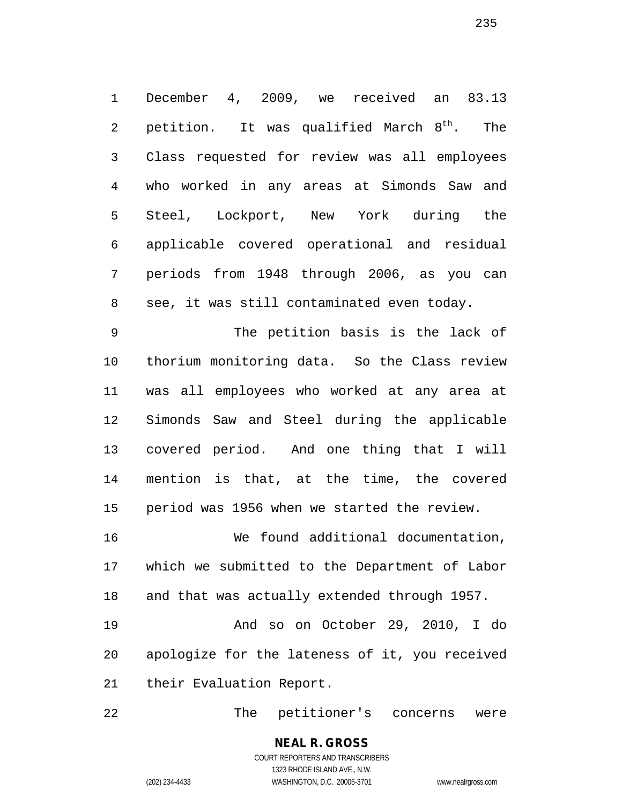December 4, 2009, we received an 83.13 2 petition. It was qualified March  $8^{th}$ . The Class requested for review was all employees who worked in any areas at Simonds Saw and Steel, Lockport, New York during the applicable covered operational and residual periods from 1948 through 2006, as you can see, it was still contaminated even today.

 The petition basis is the lack of thorium monitoring data. So the Class review was all employees who worked at any area at Simonds Saw and Steel during the applicable covered period. And one thing that I will mention is that, at the time, the covered period was 1956 when we started the review.

 We found additional documentation, which we submitted to the Department of Labor and that was actually extended through 1957.

 And so on October 29, 2010, I do apologize for the lateness of it, you received their Evaluation Report.

The petitioner's concerns were

COURT REPORTERS AND TRANSCRIBERS 1323 RHODE ISLAND AVE., N.W.

**NEAL R. GROSS**

(202) 234-4433 WASHINGTON, D.C. 20005-3701 www.nealrgross.com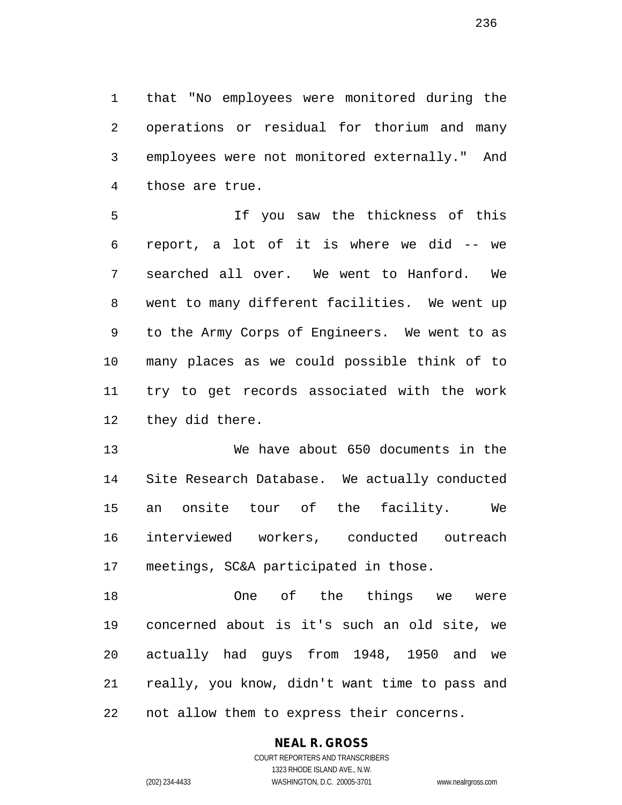that "No employees were monitored during the operations or residual for thorium and many employees were not monitored externally." And those are true.

 If you saw the thickness of this report, a lot of it is where we did -- we searched all over. We went to Hanford. We went to many different facilities. We went up to the Army Corps of Engineers. We went to as many places as we could possible think of to try to get records associated with the work they did there.

 We have about 650 documents in the Site Research Database. We actually conducted an onsite tour of the facility. We interviewed workers, conducted outreach meetings, SC&A participated in those.

 One of the things we were concerned about is it's such an old site, we actually had guys from 1948, 1950 and we really, you know, didn't want time to pass and not allow them to express their concerns.

#### **NEAL R. GROSS**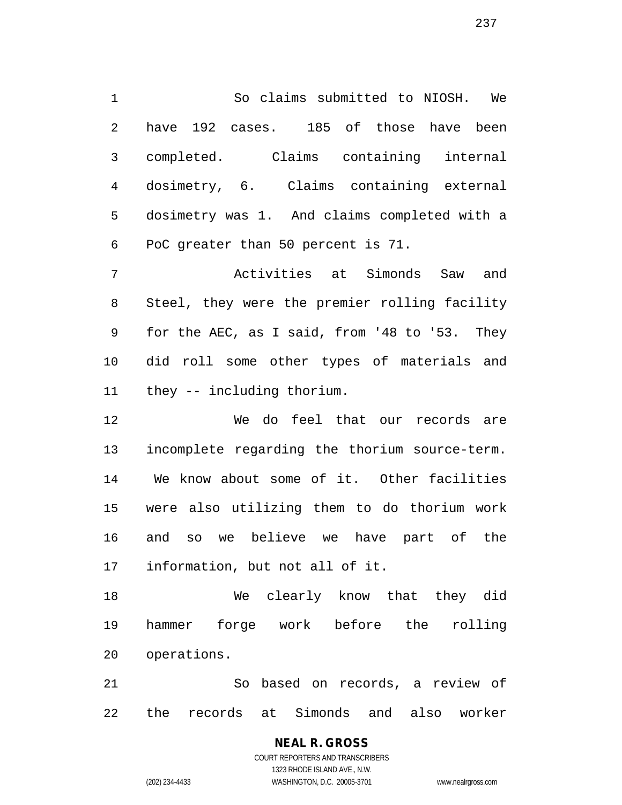So claims submitted to NIOSH. We have 192 cases. 185 of those have been completed. Claims containing internal dosimetry, 6. Claims containing external dosimetry was 1. And claims completed with a PoC greater than 50 percent is 71.

 Activities at Simonds Saw and Steel, they were the premier rolling facility for the AEC, as I said, from '48 to '53. They did roll some other types of materials and they -- including thorium.

 We do feel that our records are incomplete regarding the thorium source-term. We know about some of it. Other facilities were also utilizing them to do thorium work and so we believe we have part of the information, but not all of it.

 We clearly know that they did hammer forge work before the rolling operations.

 So based on records, a review of the records at Simonds and also worker

> **NEAL R. GROSS** COURT REPORTERS AND TRANSCRIBERS 1323 RHODE ISLAND AVE., N.W. (202) 234-4433 WASHINGTON, D.C. 20005-3701 www.nealrgross.com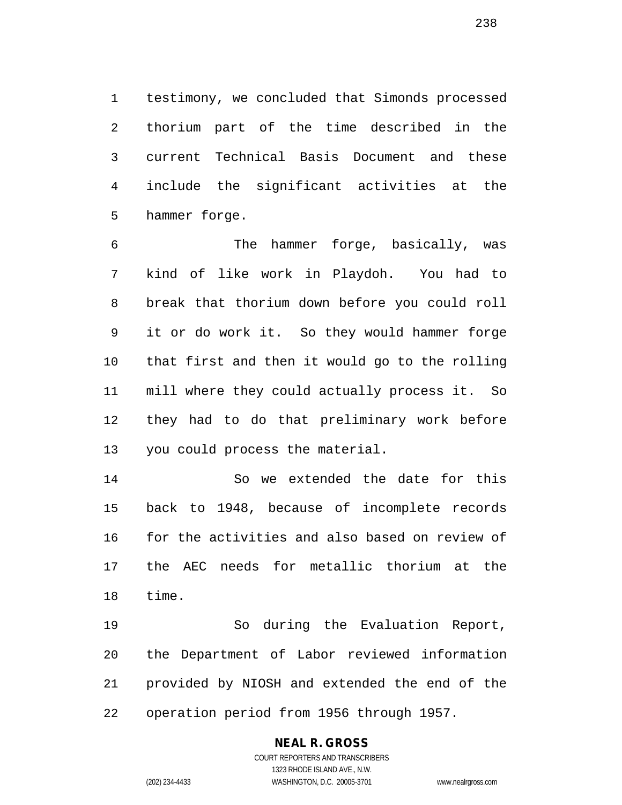testimony, we concluded that Simonds processed thorium part of the time described in the current Technical Basis Document and these include the significant activities at the hammer forge.

 The hammer forge, basically, was kind of like work in Playdoh. You had to break that thorium down before you could roll it or do work it. So they would hammer forge that first and then it would go to the rolling mill where they could actually process it. So they had to do that preliminary work before you could process the material.

 So we extended the date for this back to 1948, because of incomplete records for the activities and also based on review of the AEC needs for metallic thorium at the time.

 So during the Evaluation Report, the Department of Labor reviewed information provided by NIOSH and extended the end of the operation period from 1956 through 1957.

#### **NEAL R. GROSS**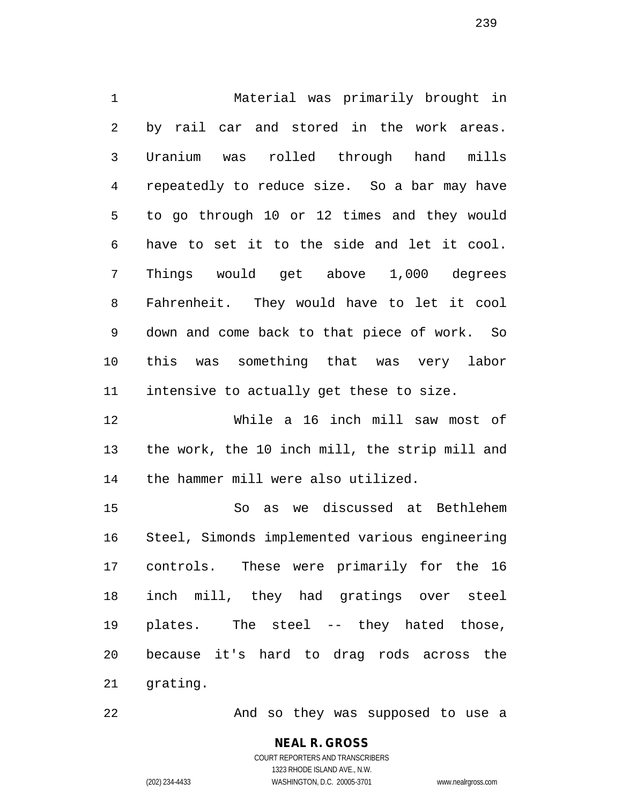Material was primarily brought in by rail car and stored in the work areas. Uranium was rolled through hand mills repeatedly to reduce size. So a bar may have to go through 10 or 12 times and they would have to set it to the side and let it cool. Things would get above 1,000 degrees Fahrenheit. They would have to let it cool down and come back to that piece of work. So this was something that was very labor intensive to actually get these to size. While a 16 inch mill saw most of

 the work, the 10 inch mill, the strip mill and the hammer mill were also utilized.

 So as we discussed at Bethlehem Steel, Simonds implemented various engineering controls. These were primarily for the 16 inch mill, they had gratings over steel plates. The steel -- they hated those, because it's hard to drag rods across the grating.

22 And so they was supposed to use a

COURT REPORTERS AND TRANSCRIBERS 1323 RHODE ISLAND AVE., N.W. (202) 234-4433 WASHINGTON, D.C. 20005-3701 www.nealrgross.com

**NEAL R. GROSS**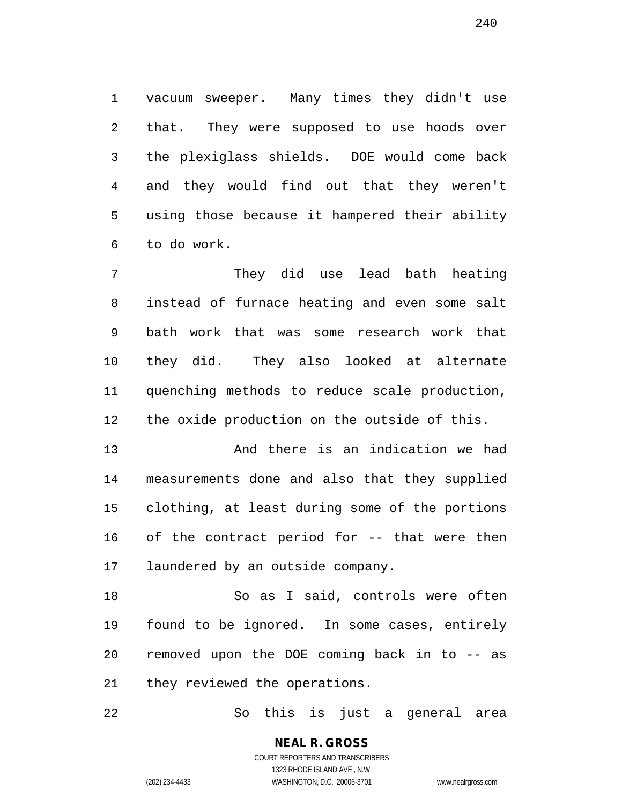vacuum sweeper. Many times they didn't use that. They were supposed to use hoods over the plexiglass shields. DOE would come back and they would find out that they weren't using those because it hampered their ability to do work.

 They did use lead bath heating instead of furnace heating and even some salt bath work that was some research work that they did. They also looked at alternate quenching methods to reduce scale production, the oxide production on the outside of this.

 And there is an indication we had measurements done and also that they supplied clothing, at least during some of the portions of the contract period for -- that were then laundered by an outside company.

 So as I said, controls were often found to be ignored. In some cases, entirely removed upon the DOE coming back in to -- as they reviewed the operations.

So this is just a general area

**NEAL R. GROSS** COURT REPORTERS AND TRANSCRIBERS 1323 RHODE ISLAND AVE., N.W.

(202) 234-4433 WASHINGTON, D.C. 20005-3701 www.nealrgross.com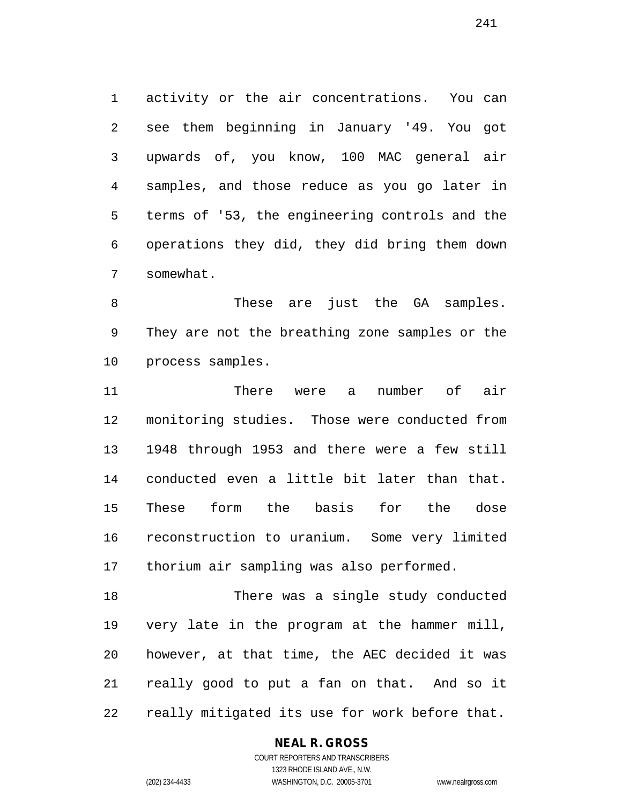activity or the air concentrations. You can see them beginning in January '49. You got upwards of, you know, 100 MAC general air samples, and those reduce as you go later in terms of '53, the engineering controls and the operations they did, they did bring them down somewhat.

 These are just the GA samples. They are not the breathing zone samples or the process samples.

 There were a number of air monitoring studies. Those were conducted from 1948 through 1953 and there were a few still conducted even a little bit later than that. These form the basis for the dose reconstruction to uranium. Some very limited thorium air sampling was also performed.

 There was a single study conducted very late in the program at the hammer mill, however, at that time, the AEC decided it was really good to put a fan on that. And so it really mitigated its use for work before that.

#### **NEAL R. GROSS**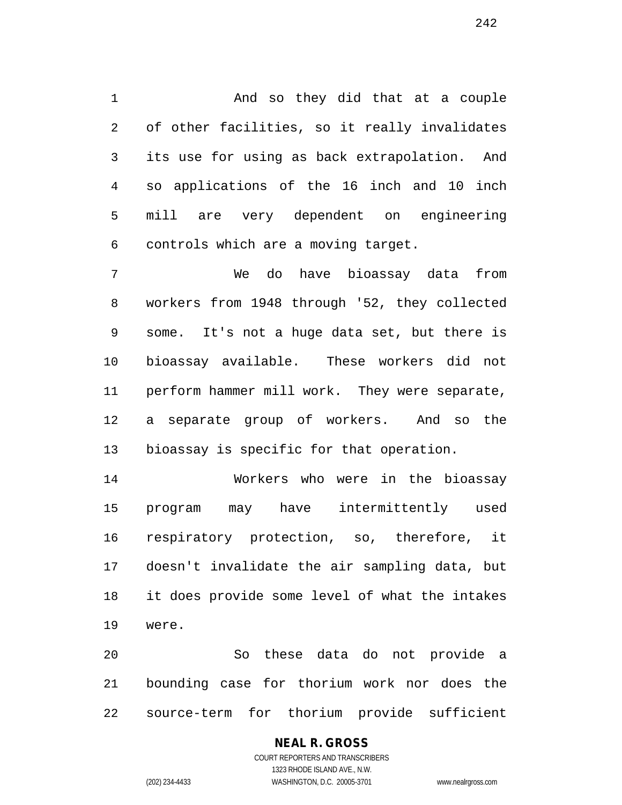And so they did that at a couple of other facilities, so it really invalidates its use for using as back extrapolation. And so applications of the 16 inch and 10 inch mill are very dependent on engineering controls which are a moving target.

 We do have bioassay data from workers from 1948 through '52, they collected some. It's not a huge data set, but there is bioassay available. These workers did not perform hammer mill work. They were separate, a separate group of workers. And so the bioassay is specific for that operation.

 Workers who were in the bioassay program may have intermittently used respiratory protection, so, therefore, it doesn't invalidate the air sampling data, but it does provide some level of what the intakes were.

 So these data do not provide a bounding case for thorium work nor does the source-term for thorium provide sufficient

# **NEAL R. GROSS**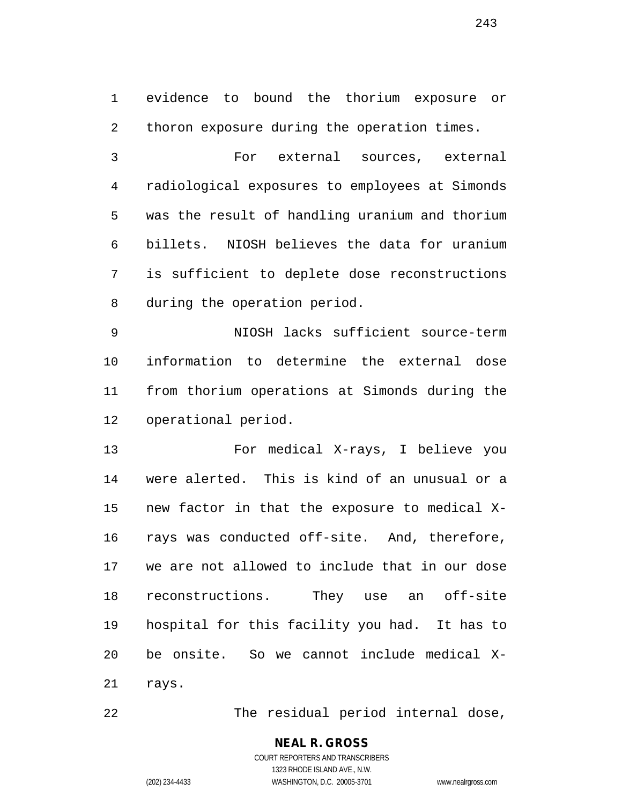evidence to bound the thorium exposure or thoron exposure during the operation times.

 For external sources, external radiological exposures to employees at Simonds was the result of handling uranium and thorium billets. NIOSH believes the data for uranium is sufficient to deplete dose reconstructions during the operation period.

 NIOSH lacks sufficient source-term information to determine the external dose from thorium operations at Simonds during the operational period.

 For medical X-rays, I believe you were alerted. This is kind of an unusual or a new factor in that the exposure to medical X- rays was conducted off-site. And, therefore, we are not allowed to include that in our dose reconstructions. They use an off-site hospital for this facility you had. It has to be onsite. So we cannot include medical X-rays.

The residual period internal dose,

# **NEAL R. GROSS**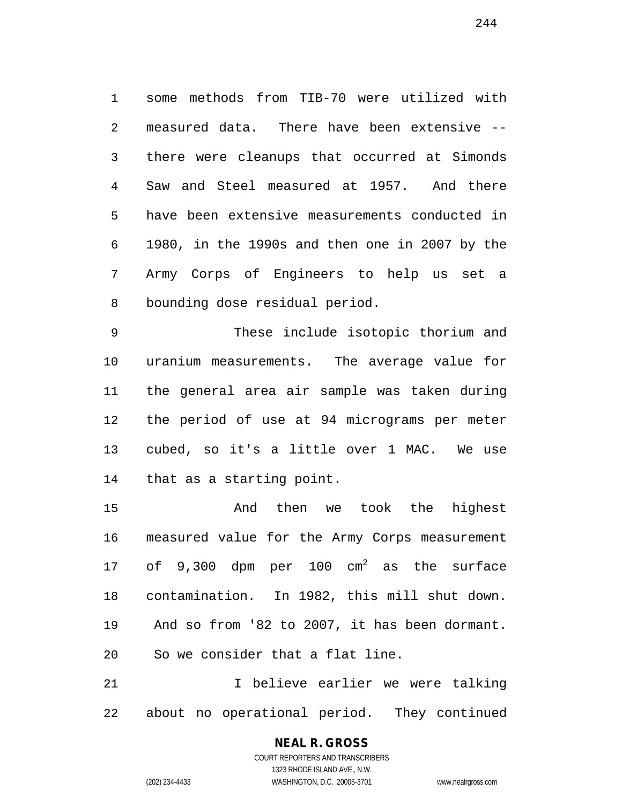some methods from TIB-70 were utilized with measured data. There have been extensive -- there were cleanups that occurred at Simonds Saw and Steel measured at 1957. And there have been extensive measurements conducted in 1980, in the 1990s and then one in 2007 by the Army Corps of Engineers to help us set a bounding dose residual period.

 These include isotopic thorium and uranium measurements. The average value for the general area air sample was taken during the period of use at 94 micrograms per meter cubed, so it's a little over 1 MAC. We use that as a starting point.

 And then we took the highest measured value for the Army Corps measurement 17 of 9,300 dpm per 100  $cm<sup>2</sup>$  as the surface contamination. In 1982, this mill shut down. And so from '82 to 2007, it has been dormant. So we consider that a flat line.

 I believe earlier we were talking about no operational period. They continued

#### **NEAL R. GROSS** COURT REPORTERS AND TRANSCRIBERS

1323 RHODE ISLAND AVE., N.W.

(202) 234-4433 WASHINGTON, D.C. 20005-3701 www.nealrgross.com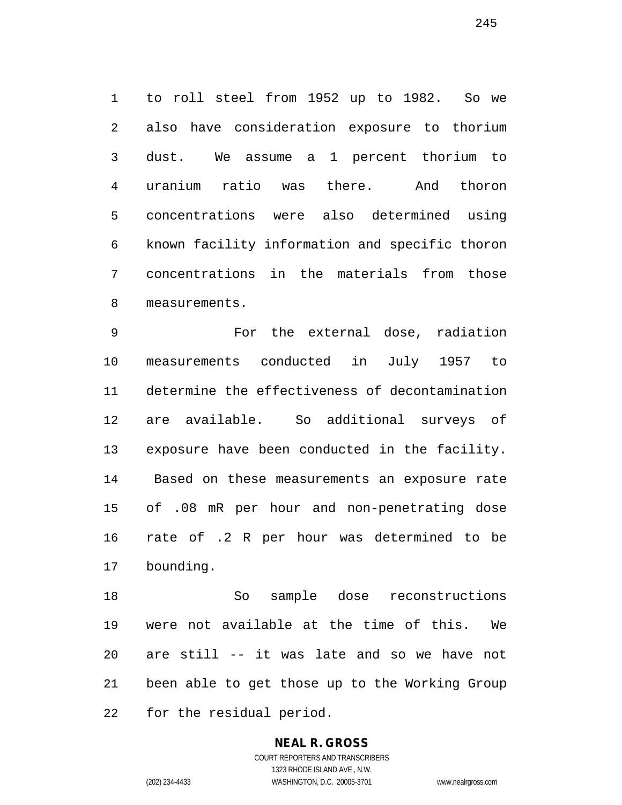to roll steel from 1952 up to 1982. So we also have consideration exposure to thorium dust. We assume a 1 percent thorium to uranium ratio was there. And thoron concentrations were also determined using known facility information and specific thoron concentrations in the materials from those measurements.

 For the external dose, radiation measurements conducted in July 1957 to determine the effectiveness of decontamination are available. So additional surveys of exposure have been conducted in the facility. Based on these measurements an exposure rate of .08 mR per hour and non-penetrating dose rate of .2 R per hour was determined to be bounding.

 So sample dose reconstructions were not available at the time of this. We are still -- it was late and so we have not been able to get those up to the Working Group for the residual period.

#### **NEAL R. GROSS** COURT REPORTERS AND TRANSCRIBERS

1323 RHODE ISLAND AVE., N.W. (202) 234-4433 WASHINGTON, D.C. 20005-3701 www.nealrgross.com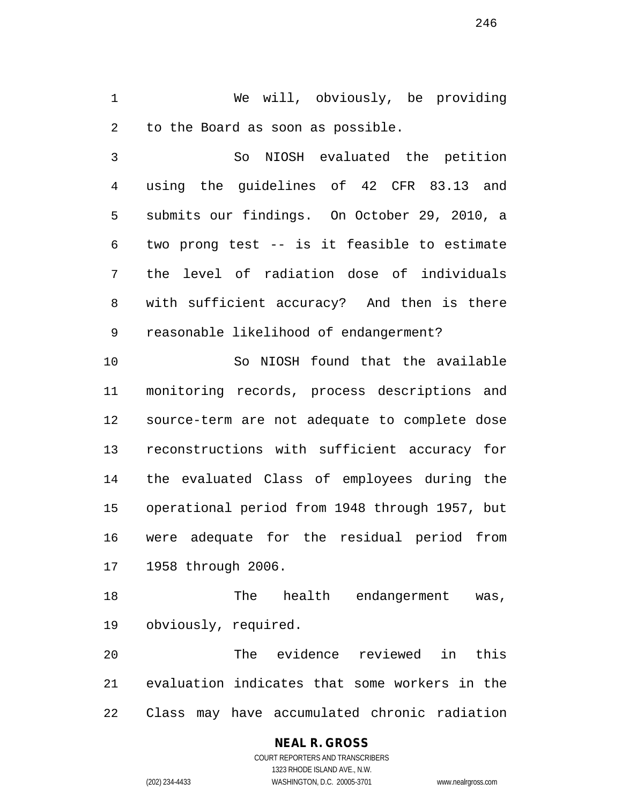We will, obviously, be providing to the Board as soon as possible.

 So NIOSH evaluated the petition using the guidelines of 42 CFR 83.13 and submits our findings. On October 29, 2010, a two prong test -- is it feasible to estimate the level of radiation dose of individuals with sufficient accuracy? And then is there reasonable likelihood of endangerment?

 So NIOSH found that the available monitoring records, process descriptions and source-term are not adequate to complete dose reconstructions with sufficient accuracy for the evaluated Class of employees during the operational period from 1948 through 1957, but were adequate for the residual period from 1958 through 2006.

 The health endangerment was, obviously, required.

 The evidence reviewed in this evaluation indicates that some workers in the Class may have accumulated chronic radiation

### **NEAL R. GROSS**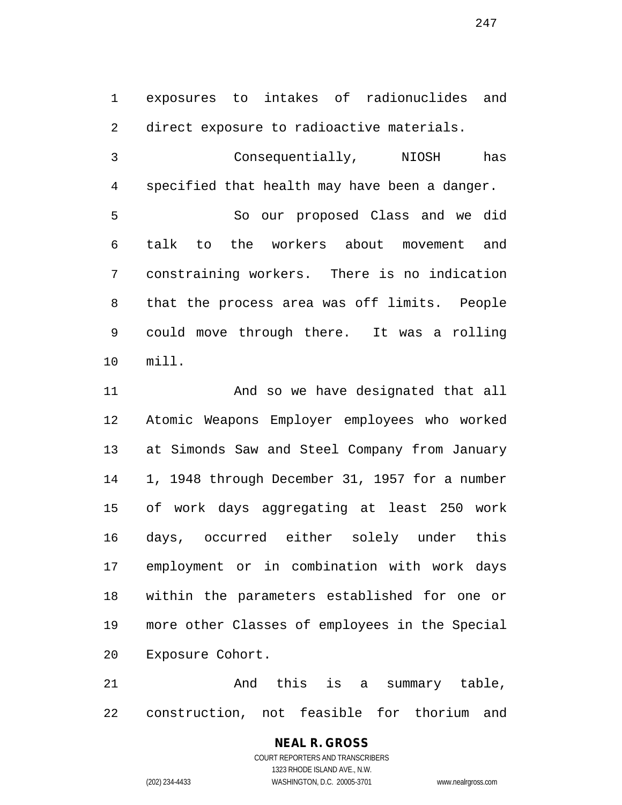exposures to intakes of radionuclides and direct exposure to radioactive materials.

 Consequentially, NIOSH has specified that health may have been a danger. So our proposed Class and we did talk to the workers about movement and constraining workers. There is no indication that the process area was off limits. People could move through there. It was a rolling mill.

 And so we have designated that all Atomic Weapons Employer employees who worked at Simonds Saw and Steel Company from January 1, 1948 through December 31, 1957 for a number of work days aggregating at least 250 work days, occurred either solely under this employment or in combination with work days within the parameters established for one or more other Classes of employees in the Special Exposure Cohort.

 And this is a summary table, construction, not feasible for thorium and

#### **NEAL R. GROSS** COURT REPORTERS AND TRANSCRIBERS

1323 RHODE ISLAND AVE., N.W.

(202) 234-4433 WASHINGTON, D.C. 20005-3701 www.nealrgross.com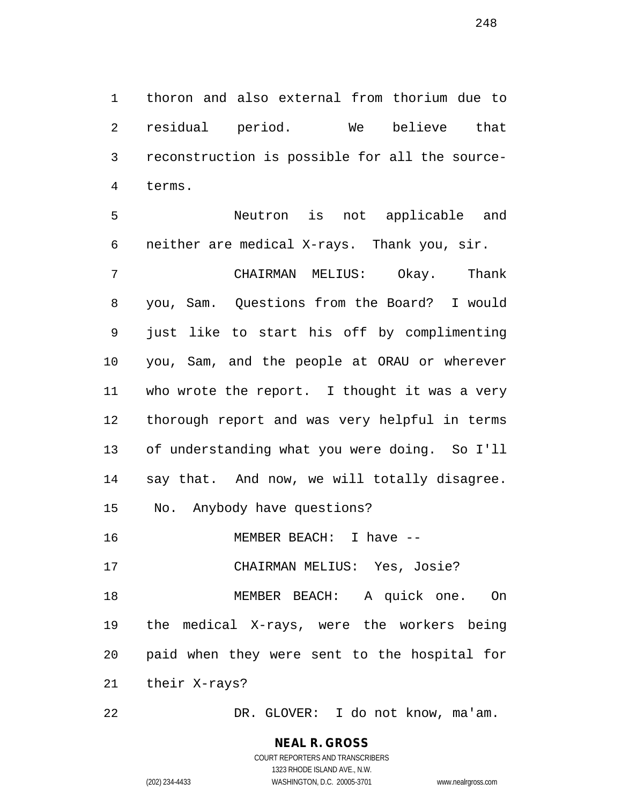thoron and also external from thorium due to residual period. We believe that reconstruction is possible for all the source-terms.

 Neutron is not applicable and neither are medical X-rays. Thank you, sir.

 CHAIRMAN MELIUS: Okay. Thank you, Sam. Questions from the Board? I would just like to start his off by complimenting you, Sam, and the people at ORAU or wherever who wrote the report. I thought it was a very thorough report and was very helpful in terms of understanding what you were doing. So I'll say that. And now, we will totally disagree. No. Anybody have questions? 16 MEMBER BEACH: I have -- CHAIRMAN MELIUS: Yes, Josie? MEMBER BEACH: A quick one. On

 the medical X-rays, were the workers being paid when they were sent to the hospital for

their X-rays?

DR. GLOVER: I do not know, ma'am.

# **NEAL R. GROSS**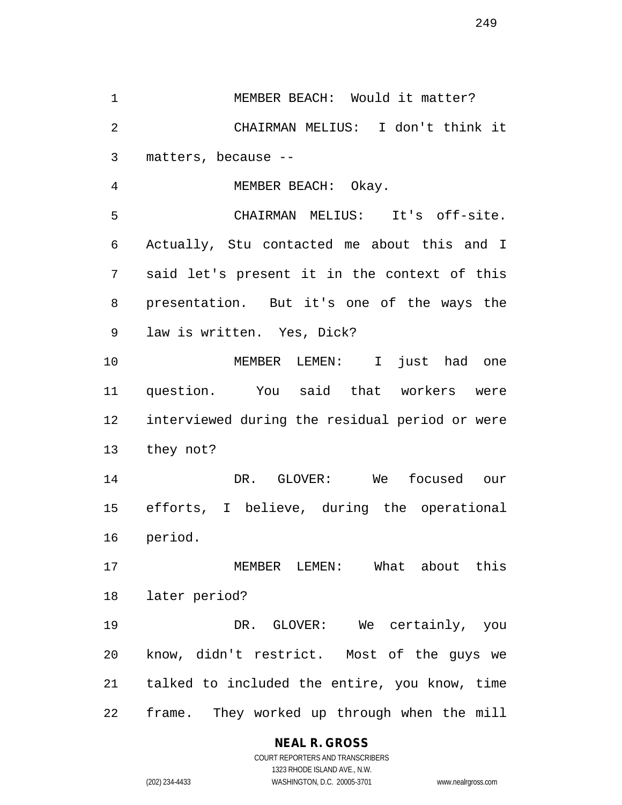MEMBER BEACH: Would it matter? CHAIRMAN MELIUS: I don't think it matters, because --

MEMBER BEACH: Okay.

 CHAIRMAN MELIUS: It's off-site. Actually, Stu contacted me about this and I said let's present it in the context of this presentation. But it's one of the ways the law is written. Yes, Dick?

 MEMBER LEMEN: I just had one question. You said that workers were interviewed during the residual period or were they not?

 DR. GLOVER: We focused our efforts, I believe, during the operational period.

 MEMBER LEMEN: What about this later period?

 DR. GLOVER: We certainly, you know, didn't restrict. Most of the guys we talked to included the entire, you know, time frame. They worked up through when the mill

#### **NEAL R. GROSS**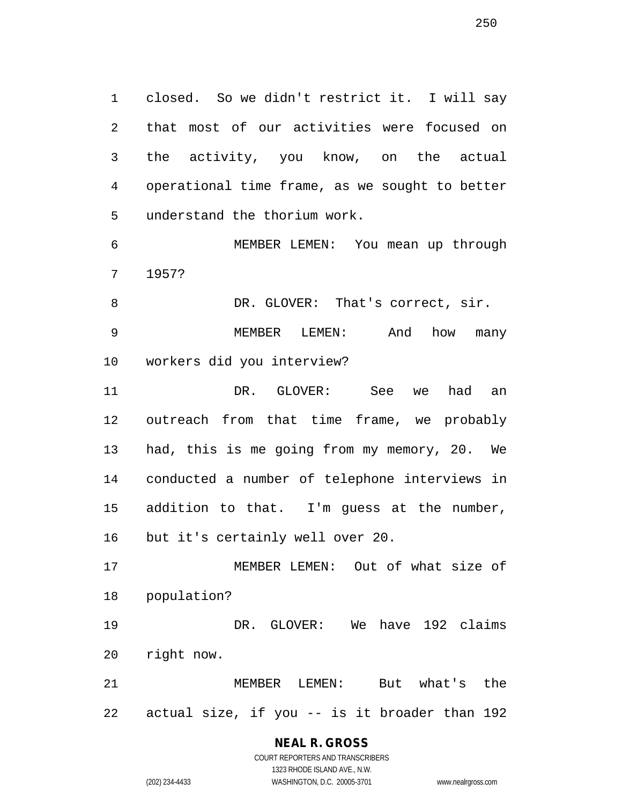closed. So we didn't restrict it. I will say that most of our activities were focused on the activity, you know, on the actual operational time frame, as we sought to better understand the thorium work.

 MEMBER LEMEN: You mean up through 1957?

8 DR. GLOVER: That's correct, sir. MEMBER LEMEN: And how many workers did you interview?

 DR. GLOVER: See we had an outreach from that time frame, we probably had, this is me going from my memory, 20. We conducted a number of telephone interviews in addition to that. I'm guess at the number, but it's certainly well over 20.

 MEMBER LEMEN: Out of what size of population?

 DR. GLOVER: We have 192 claims right now.

 MEMBER LEMEN: But what's the actual size, if you -- is it broader than 192

# **NEAL R. GROSS**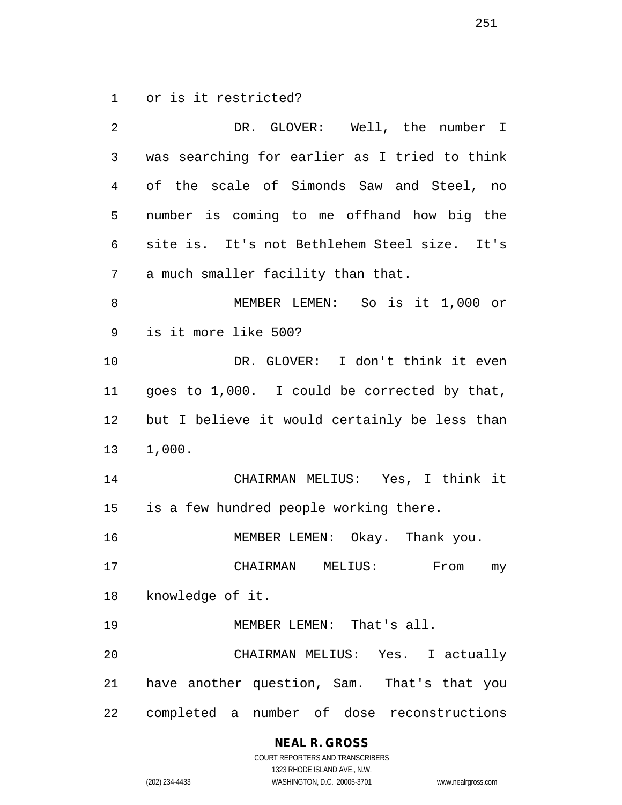or is it restricted?

| 2              | DR. GLOVER: Well, the number I                |
|----------------|-----------------------------------------------|
| 3              | was searching for earlier as I tried to think |
| $\overline{4}$ | of the scale of Simonds Saw and Steel, no     |
| 5              | number is coming to me offhand how big the    |
| 6              | site is. It's not Bethlehem Steel size. It's  |
| 7              | a much smaller facility than that.            |
| 8              | MEMBER LEMEN: So is it 1,000 or               |
| 9              | is it more like 500?                          |
| 10             | DR. GLOVER: I don't think it even             |
| 11             | goes to 1,000. I could be corrected by that,  |
| 12             | but I believe it would certainly be less than |
| 13             | 1,000.                                        |
| 14             | CHAIRMAN MELIUS: Yes, I think it              |
| 15             | is a few hundred people working there.        |
| 16             | MEMBER LEMEN: Okay. Thank you.                |
| 17             | CHAIRMAN MELIUS:<br>From<br>my                |
| 18             | knowledge of it.                              |
| 19             | MEMBER LEMEN: That's all.                     |
| 20             | CHAIRMAN MELIUS: Yes. I actually              |
| 21             | have another question, Sam. That's that you   |
| 22             | completed a number of dose reconstructions    |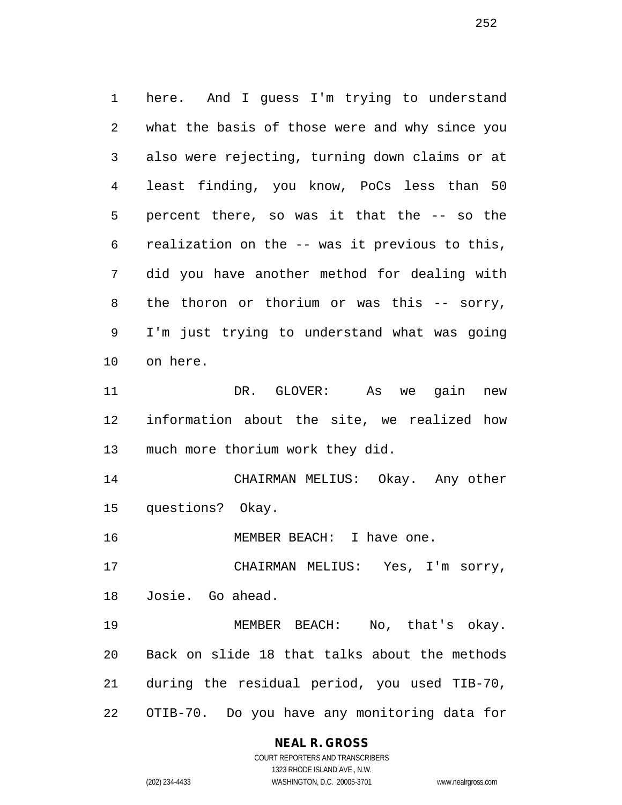here. And I guess I'm trying to understand what the basis of those were and why since you also were rejecting, turning down claims or at least finding, you know, PoCs less than 50 percent there, so was it that the -- so the realization on the -- was it previous to this, did you have another method for dealing with the thoron or thorium or was this -- sorry, I'm just trying to understand what was going on here. DR. GLOVER: As we gain new information about the site, we realized how much more thorium work they did. CHAIRMAN MELIUS: Okay. Any other questions? Okay. MEMBER BEACH: I have one. CHAIRMAN MELIUS: Yes, I'm sorry, Josie. Go ahead. MEMBER BEACH: No, that's okay.

 Back on slide 18 that talks about the methods during the residual period, you used TIB-70, OTIB-70. Do you have any monitoring data for

#### **NEAL R. GROSS**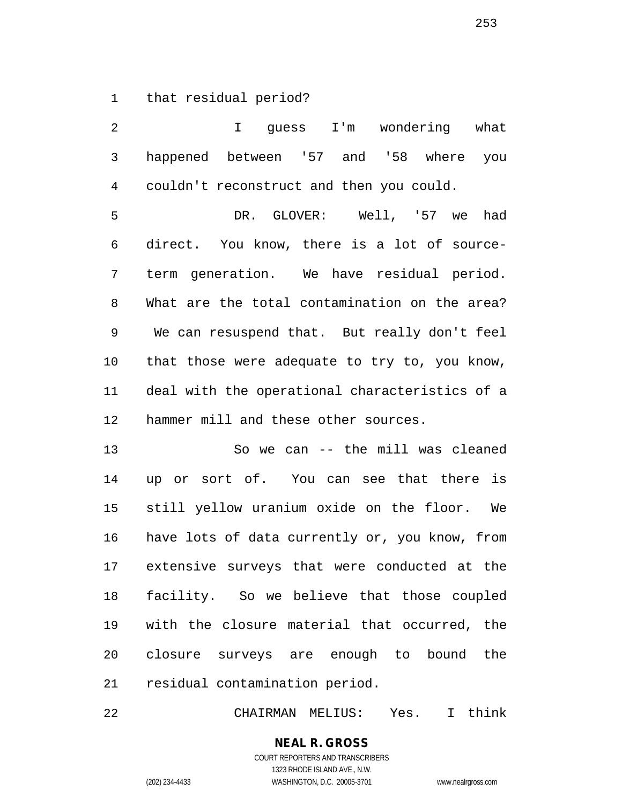that residual period?

 I guess I'm wondering what happened between '57 and '58 where you couldn't reconstruct and then you could.

 DR. GLOVER: Well, '57 we had direct. You know, there is a lot of source- term generation. We have residual period. What are the total contamination on the area? We can resuspend that. But really don't feel that those were adequate to try to, you know, deal with the operational characteristics of a hammer mill and these other sources.

 So we can -- the mill was cleaned up or sort of. You can see that there is still yellow uranium oxide on the floor. We have lots of data currently or, you know, from extensive surveys that were conducted at the facility. So we believe that those coupled with the closure material that occurred, the closure surveys are enough to bound the residual contamination period.

CHAIRMAN MELIUS: Yes. I think

**NEAL R. GROSS** COURT REPORTERS AND TRANSCRIBERS 1323 RHODE ISLAND AVE., N.W.

(202) 234-4433 WASHINGTON, D.C. 20005-3701 www.nealrgross.com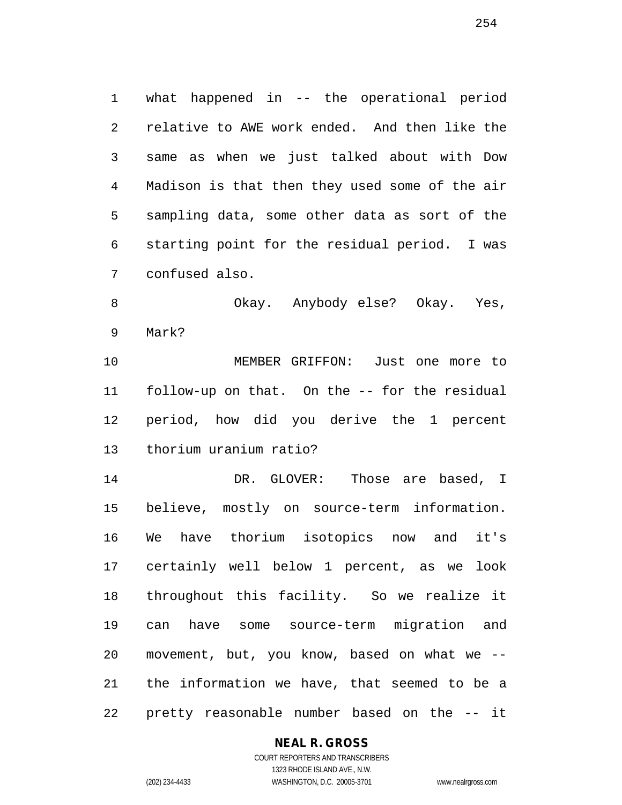what happened in -- the operational period relative to AWE work ended. And then like the same as when we just talked about with Dow Madison is that then they used some of the air sampling data, some other data as sort of the starting point for the residual period. I was confused also.

 Okay. Anybody else? Okay. Yes, Mark?

 MEMBER GRIFFON: Just one more to follow-up on that. On the -- for the residual period, how did you derive the 1 percent thorium uranium ratio?

 DR. GLOVER: Those are based, I believe, mostly on source-term information. We have thorium isotopics now and it's certainly well below 1 percent, as we look throughout this facility. So we realize it can have some source-term migration and movement, but, you know, based on what we -- the information we have, that seemed to be a pretty reasonable number based on the -- it

## **NEAL R. GROSS**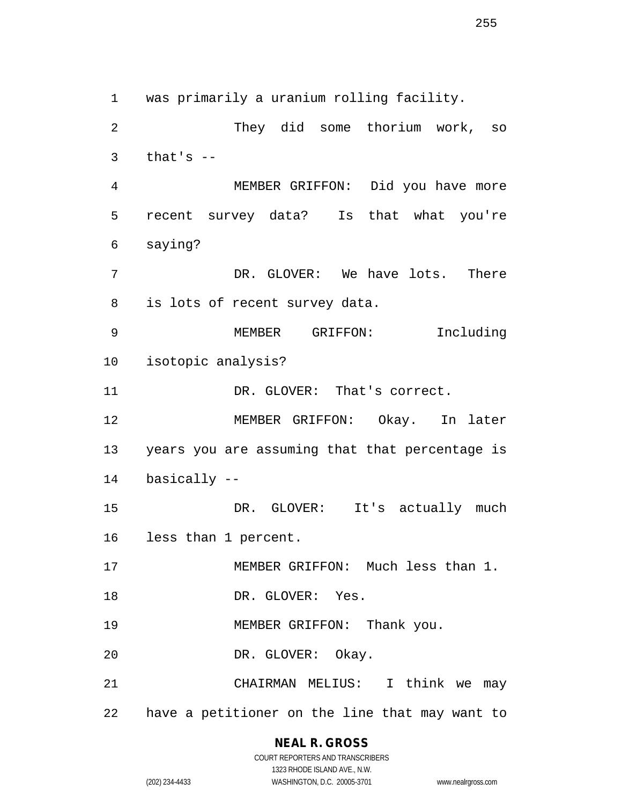was primarily a uranium rolling facility. They did some thorium work, so that's  $-$  MEMBER GRIFFON: Did you have more recent survey data? Is that what you're saying? DR. GLOVER: We have lots. There is lots of recent survey data. MEMBER GRIFFON: Including isotopic analysis? 11 DR. GLOVER: That's correct. MEMBER GRIFFON: Okay. In later years you are assuming that that percentage is basically -- 15 DR. GLOVER: It's actually much less than 1 percent. MEMBER GRIFFON: Much less than 1.

- 18 DR. GLOVER: Yes.
- MEMBER GRIFFON: Thank you.
- DR. GLOVER: Okay.

 CHAIRMAN MELIUS: I think we may have a petitioner on the line that may want to

#### **NEAL R. GROSS** COURT REPORTERS AND TRANSCRIBERS

1323 RHODE ISLAND AVE., N.W. (202) 234-4433 WASHINGTON, D.C. 20005-3701 www.nealrgross.com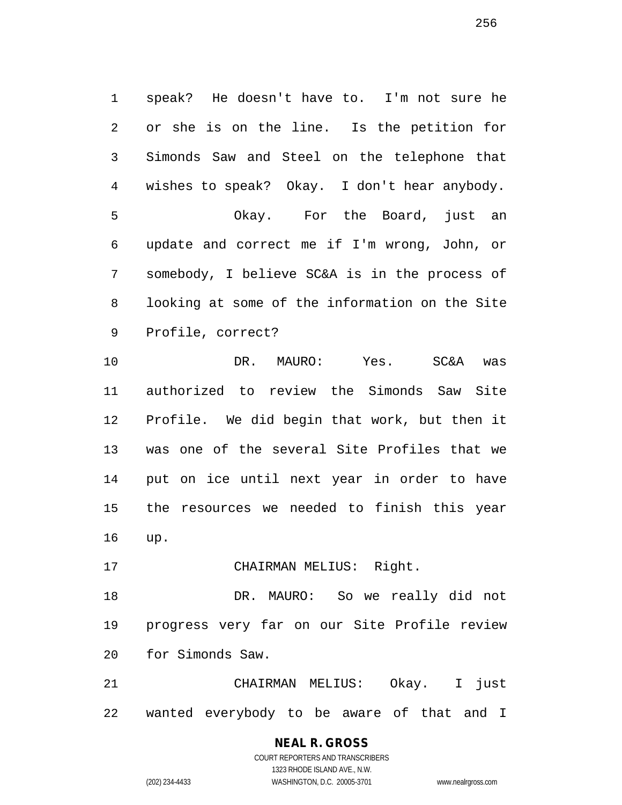speak? He doesn't have to. I'm not sure he or she is on the line. Is the petition for Simonds Saw and Steel on the telephone that wishes to speak? Okay. I don't hear anybody. Okay. For the Board, just an update and correct me if I'm wrong, John, or somebody, I believe SC&A is in the process of looking at some of the information on the Site Profile, correct?

 DR. MAURO: Yes. SC&A was authorized to review the Simonds Saw Site Profile. We did begin that work, but then it was one of the several Site Profiles that we put on ice until next year in order to have the resources we needed to finish this year up.

17 CHAIRMAN MELIUS: Right.

 DR. MAURO: So we really did not progress very far on our Site Profile review for Simonds Saw.

 CHAIRMAN MELIUS: Okay. I just wanted everybody to be aware of that and I

#### **NEAL R. GROSS** COURT REPORTERS AND TRANSCRIBERS 1323 RHODE ISLAND AVE., N.W.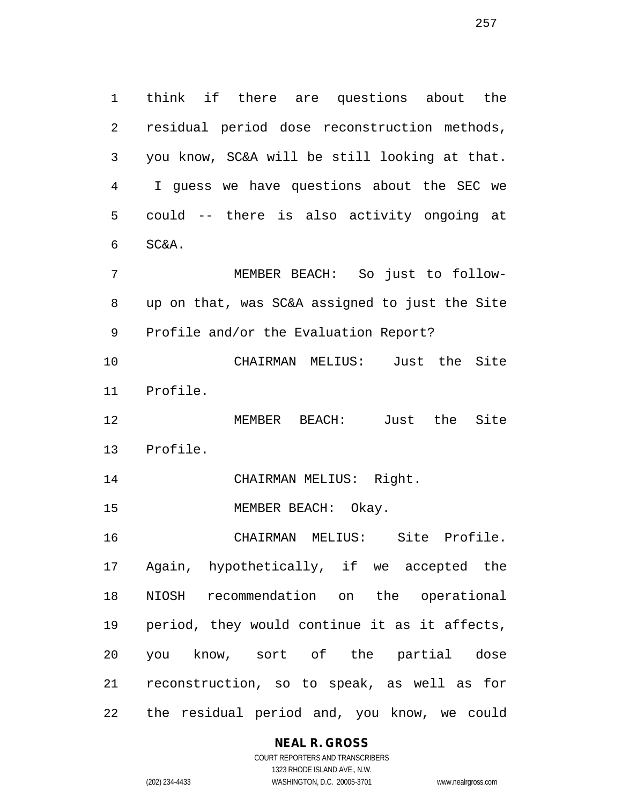think if there are questions about the residual period dose reconstruction methods, you know, SC&A will be still looking at that. I guess we have questions about the SEC we could -- there is also activity ongoing at SC&A.

 MEMBER BEACH: So just to follow- up on that, was SC&A assigned to just the Site Profile and/or the Evaluation Report?

 CHAIRMAN MELIUS: Just the Site Profile.

 MEMBER BEACH: Just the Site Profile.

CHAIRMAN MELIUS: Right.

MEMBER BEACH: Okay.

 CHAIRMAN MELIUS: Site Profile. Again, hypothetically, if we accepted the NIOSH recommendation on the operational period, they would continue it as it affects, you know, sort of the partial dose reconstruction, so to speak, as well as for the residual period and, you know, we could

**NEAL R. GROSS**

COURT REPORTERS AND TRANSCRIBERS 1323 RHODE ISLAND AVE., N.W. (202) 234-4433 WASHINGTON, D.C. 20005-3701 www.nealrgross.com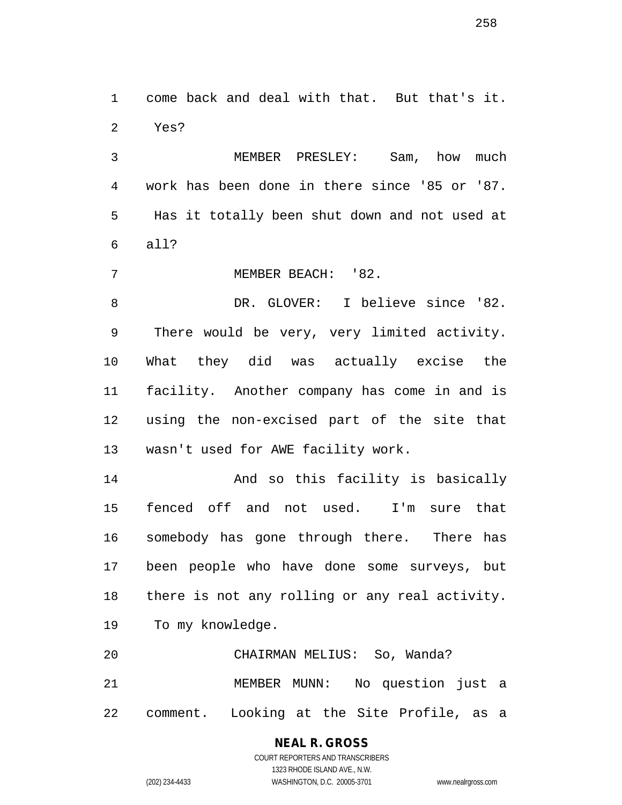come back and deal with that. But that's it. Yes?

 MEMBER PRESLEY: Sam, how much work has been done in there since '85 or '87. Has it totally been shut down and not used at all?

7 MEMBER BEACH: '82.

 DR. GLOVER: I believe since '82. There would be very, very limited activity. What they did was actually excise the facility. Another company has come in and is using the non-excised part of the site that wasn't used for AWE facility work.

 And so this facility is basically fenced off and not used. I'm sure that somebody has gone through there. There has been people who have done some surveys, but there is not any rolling or any real activity. To my knowledge.

 CHAIRMAN MELIUS: So, Wanda? MEMBER MUNN: No question just a comment. Looking at the Site Profile, as a

> **NEAL R. GROSS** COURT REPORTERS AND TRANSCRIBERS

> > 1323 RHODE ISLAND AVE., N.W.

(202) 234-4433 WASHINGTON, D.C. 20005-3701 www.nealrgross.com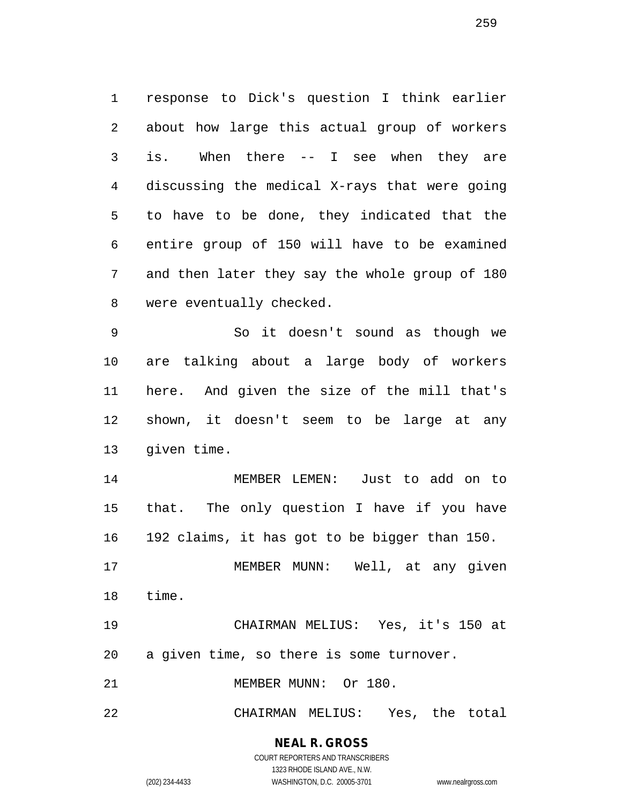response to Dick's question I think earlier about how large this actual group of workers is. When there -- I see when they are discussing the medical X-rays that were going to have to be done, they indicated that the entire group of 150 will have to be examined and then later they say the whole group of 180 were eventually checked.

 So it doesn't sound as though we are talking about a large body of workers here. And given the size of the mill that's shown, it doesn't seem to be large at any given time.

 MEMBER LEMEN: Just to add on to that. The only question I have if you have 192 claims, it has got to be bigger than 150.

 MEMBER MUNN: Well, at any given time.

 CHAIRMAN MELIUS: Yes, it's 150 at a given time, so there is some turnover.

21 MEMBER MUNN: Or 180.

CHAIRMAN MELIUS: Yes, the total

**NEAL R. GROSS**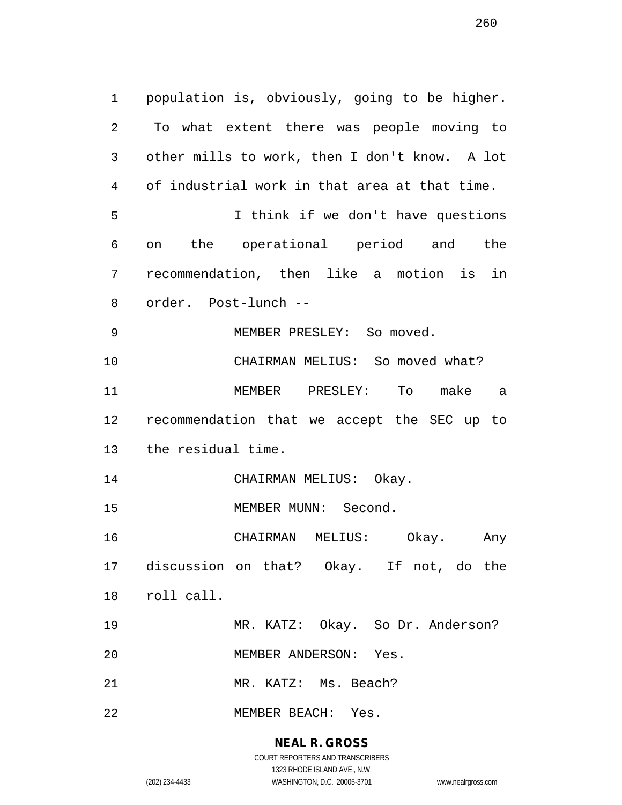population is, obviously, going to be higher. To what extent there was people moving to other mills to work, then I don't know. A lot of industrial work in that area at that time. I think if we don't have questions on the operational period and the recommendation, then like a motion is in order. Post-lunch -- 9 MEMBER PRESLEY: So moved. CHAIRMAN MELIUS: So moved what? MEMBER PRESLEY: To make a recommendation that we accept the SEC up to the residual time. 14 CHAIRMAN MELIUS: Okay. 15 MEMBER MUNN: Second. CHAIRMAN MELIUS: Okay. Any discussion on that? Okay. If not, do the roll call. MR. KATZ: Okay. So Dr. Anderson? MEMBER ANDERSON: Yes. MR. KATZ: Ms. Beach? MEMBER BEACH: Yes.

## **NEAL R. GROSS**

COURT REPORTERS AND TRANSCRIBERS 1323 RHODE ISLAND AVE., N.W. (202) 234-4433 WASHINGTON, D.C. 20005-3701 www.nealrgross.com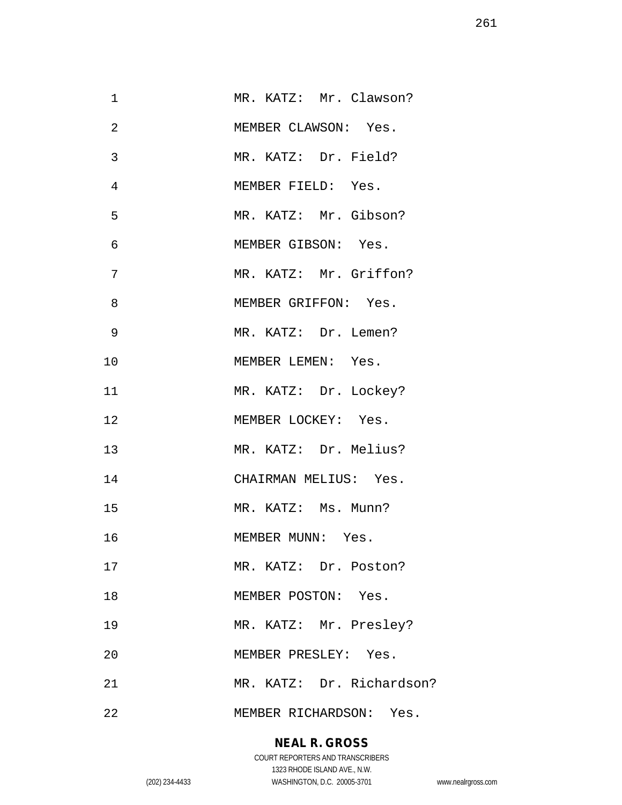| 1  | MR. KATZ: Mr. Clawson?    |
|----|---------------------------|
| 2  | MEMBER CLAWSON: Yes.      |
| 3  | MR. KATZ: Dr. Field?      |
| 4  | MEMBER FIELD: Yes.        |
| 5  | MR. KATZ: Mr. Gibson?     |
| 6  | MEMBER GIBSON: Yes.       |
| 7  | MR. KATZ: Mr. Griffon?    |
| 8  | MEMBER GRIFFON: Yes.      |
| 9  | MR. KATZ: Dr. Lemen?      |
| 10 | MEMBER LEMEN: Yes.        |
| 11 | MR. KATZ: Dr. Lockey?     |
| 12 | MEMBER LOCKEY: Yes.       |
| 13 | MR. KATZ: Dr. Melius?     |
| 14 | CHAIRMAN MELIUS: Yes.     |
| 15 | MR. KATZ: Ms. Munn?       |
| 16 | MEMBER MUNN: Yes.         |
| 17 | MR. KATZ: Dr. Poston?     |
| 18 | MEMBER POSTON: Yes.       |
| 19 | MR. KATZ: Mr. Presley?    |
| 20 | MEMBER PRESLEY: Yes.      |
| 21 | MR. KATZ: Dr. Richardson? |
| 22 | MEMBER RICHARDSON: Yes.   |

# **NEAL R. GROSS**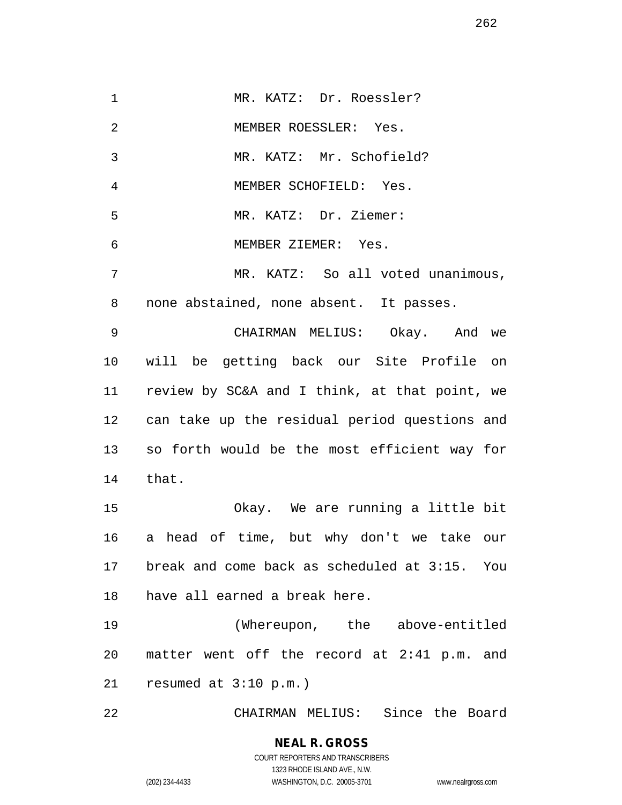1 MR. KATZ: Dr. Roessler? MEMBER ROESSLER: Yes. MR. KATZ: Mr. Schofield? MEMBER SCHOFIELD: Yes. MR. KATZ: Dr. Ziemer: MEMBER ZIEMER: Yes. MR. KATZ: So all voted unanimous, none abstained, none absent. It passes. CHAIRMAN MELIUS: Okay. And we will be getting back our Site Profile on review by SC&A and I think, at that point, we can take up the residual period questions and so forth would be the most efficient way for that. Okay. We are running a little bit a head of time, but why don't we take our break and come back as scheduled at 3:15. You have all earned a break here. (Whereupon, the above-entitled matter went off the record at 2:41 p.m. and resumed at 3:10 p.m.) CHAIRMAN MELIUS: Since the Board

> **NEAL R. GROSS** COURT REPORTERS AND TRANSCRIBERS 1323 RHODE ISLAND AVE., N.W. (202) 234-4433 WASHINGTON, D.C. 20005-3701 www.nealrgross.com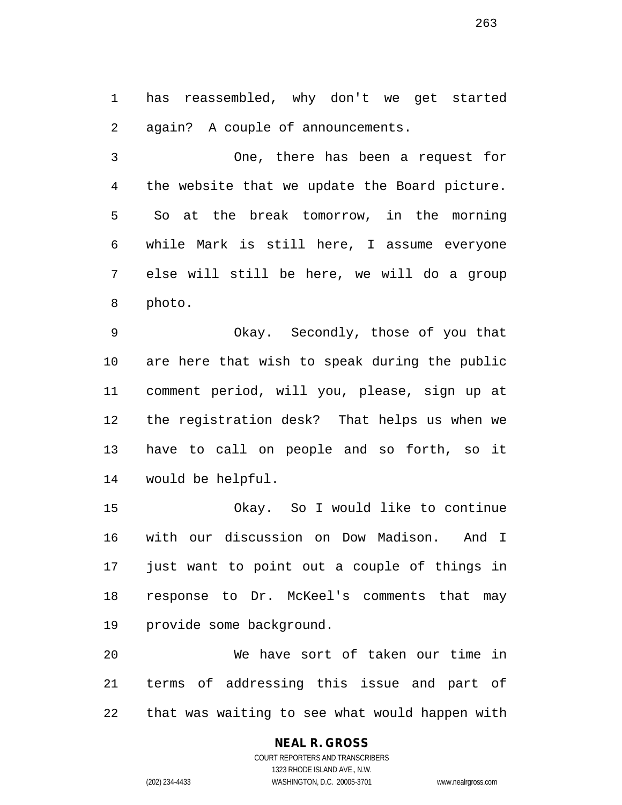has reassembled, why don't we get started again? A couple of announcements.

 One, there has been a request for the website that we update the Board picture. So at the break tomorrow, in the morning while Mark is still here, I assume everyone else will still be here, we will do a group photo.

 Okay. Secondly, those of you that are here that wish to speak during the public comment period, will you, please, sign up at the registration desk? That helps us when we have to call on people and so forth, so it would be helpful.

 Okay. So I would like to continue with our discussion on Dow Madison. And I just want to point out a couple of things in response to Dr. McKeel's comments that may provide some background.

 We have sort of taken our time in terms of addressing this issue and part of that was waiting to see what would happen with

# **NEAL R. GROSS**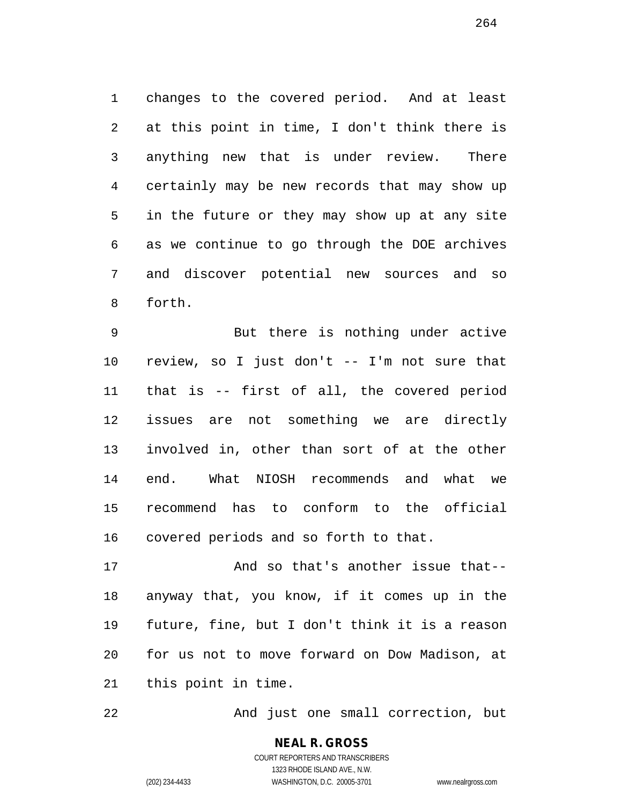changes to the covered period. And at least at this point in time, I don't think there is anything new that is under review. There certainly may be new records that may show up in the future or they may show up at any site as we continue to go through the DOE archives and discover potential new sources and so forth.

 But there is nothing under active review, so I just don't -- I'm not sure that that is -- first of all, the covered period issues are not something we are directly involved in, other than sort of at the other end. What NIOSH recommends and what we recommend has to conform to the official covered periods and so forth to that.

 And so that's another issue that-- anyway that, you know, if it comes up in the future, fine, but I don't think it is a reason for us not to move forward on Dow Madison, at this point in time.

And just one small correction, but

COURT REPORTERS AND TRANSCRIBERS 1323 RHODE ISLAND AVE., N.W. (202) 234-4433 WASHINGTON, D.C. 20005-3701 www.nealrgross.com

**NEAL R. GROSS**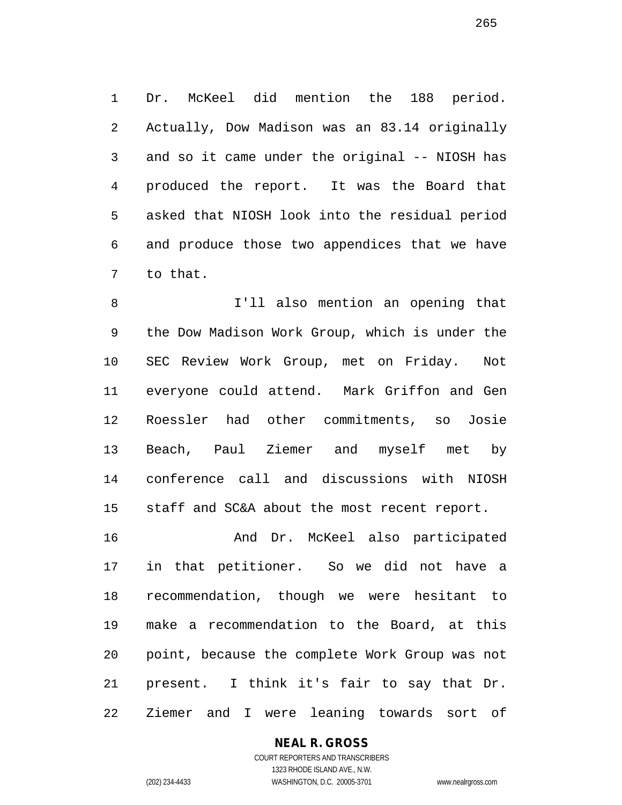Dr. McKeel did mention the 188 period. Actually, Dow Madison was an 83.14 originally and so it came under the original -- NIOSH has produced the report. It was the Board that asked that NIOSH look into the residual period and produce those two appendices that we have to that.

 I'll also mention an opening that the Dow Madison Work Group, which is under the SEC Review Work Group, met on Friday. Not everyone could attend. Mark Griffon and Gen Roessler had other commitments, so Josie Beach, Paul Ziemer and myself met by conference call and discussions with NIOSH staff and SC&A about the most recent report.

 And Dr. McKeel also participated in that petitioner. So we did not have a recommendation, though we were hesitant to make a recommendation to the Board, at this point, because the complete Work Group was not present. I think it's fair to say that Dr. Ziemer and I were leaning towards sort of

## **NEAL R. GROSS**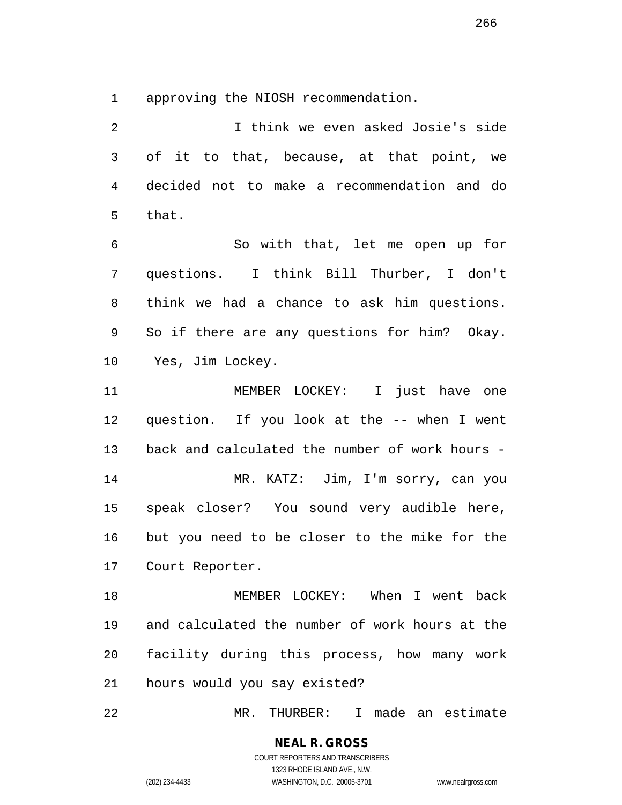approving the NIOSH recommendation.

 I think we even asked Josie's side of it to that, because, at that point, we decided not to make a recommendation and do that.

 So with that, let me open up for questions. I think Bill Thurber, I don't think we had a chance to ask him questions. So if there are any questions for him? Okay. Yes, Jim Lockey.

 MEMBER LOCKEY: I just have one question. If you look at the -- when I went back and calculated the number of work hours - MR. KATZ: Jim, I'm sorry, can you speak closer? You sound very audible here, but you need to be closer to the mike for the Court Reporter.

 MEMBER LOCKEY: When I went back and calculated the number of work hours at the facility during this process, how many work hours would you say existed?

MR. THURBER: I made an estimate

## **NEAL R. GROSS** COURT REPORTERS AND TRANSCRIBERS

1323 RHODE ISLAND AVE., N.W. (202) 234-4433 WASHINGTON, D.C. 20005-3701 www.nealrgross.com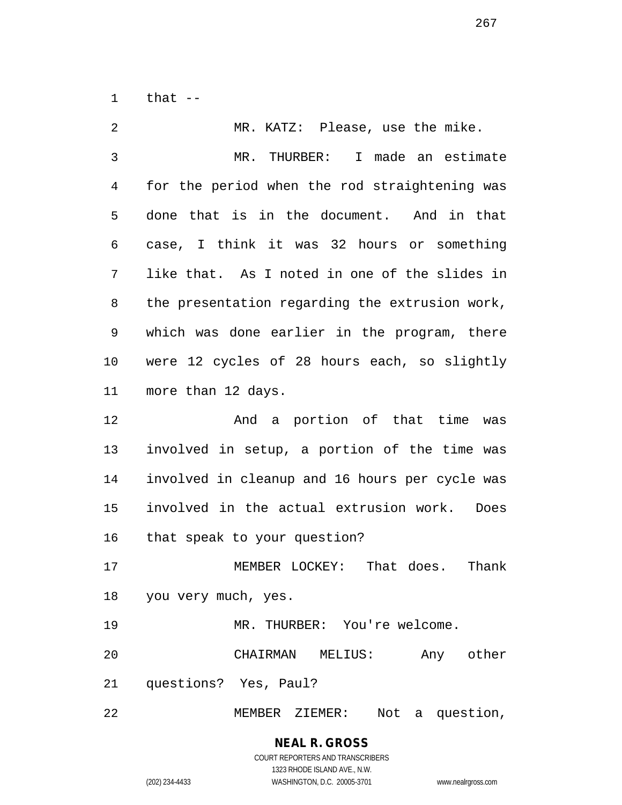that --

| 2  | MR. KATZ: Please, use the mike.                |
|----|------------------------------------------------|
| 3  | MR. THURBER: I made an estimate                |
| 4  | for the period when the rod straightening was  |
| 5  | done that is in the document. And in that      |
| 6  | case, I think it was 32 hours or something     |
| 7  | like that. As I noted in one of the slides in  |
| 8  | the presentation regarding the extrusion work, |
| 9  | which was done earlier in the program, there   |
| 10 | were 12 cycles of 28 hours each, so slightly   |
| 11 | more than 12 days.                             |
| 12 | And a portion of that time was                 |
| 13 | involved in setup, a portion of the time was   |
| 14 | involved in cleanup and 16 hours per cycle was |
| 15 | involved in the actual extrusion work.<br>Does |
| 16 | that speak to your question?                   |
| 17 | MEMBER LOCKEY: That does.<br>Thank             |
|    | 18 you very much, yes.                         |
| 19 | MR. THURBER: You're welcome.                   |
| 20 | CHAIRMAN MELIUS:<br>Any other                  |
| 21 | questions? Yes, Paul?                          |
| 22 | Not<br>a question,<br>MEMBER ZIEMER:           |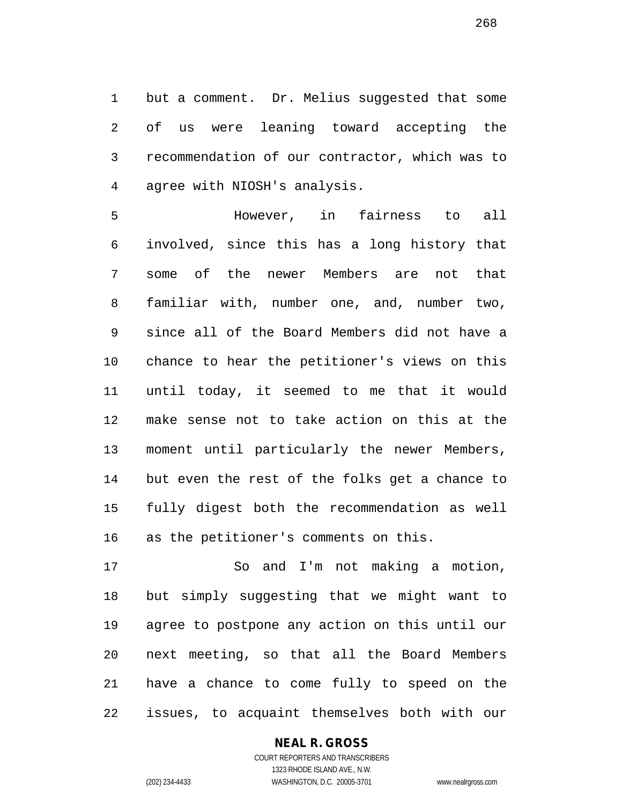but a comment. Dr. Melius suggested that some of us were leaning toward accepting the recommendation of our contractor, which was to agree with NIOSH's analysis.

 However, in fairness to all involved, since this has a long history that some of the newer Members are not that familiar with, number one, and, number two, since all of the Board Members did not have a chance to hear the petitioner's views on this until today, it seemed to me that it would make sense not to take action on this at the moment until particularly the newer Members, but even the rest of the folks get a chance to fully digest both the recommendation as well as the petitioner's comments on this.

 So and I'm not making a motion, but simply suggesting that we might want to agree to postpone any action on this until our next meeting, so that all the Board Members have a chance to come fully to speed on the issues, to acquaint themselves both with our

#### **NEAL R. GROSS** COURT REPORTERS AND TRANSCRIBERS

1323 RHODE ISLAND AVE., N.W. (202) 234-4433 WASHINGTON, D.C. 20005-3701 www.nealrgross.com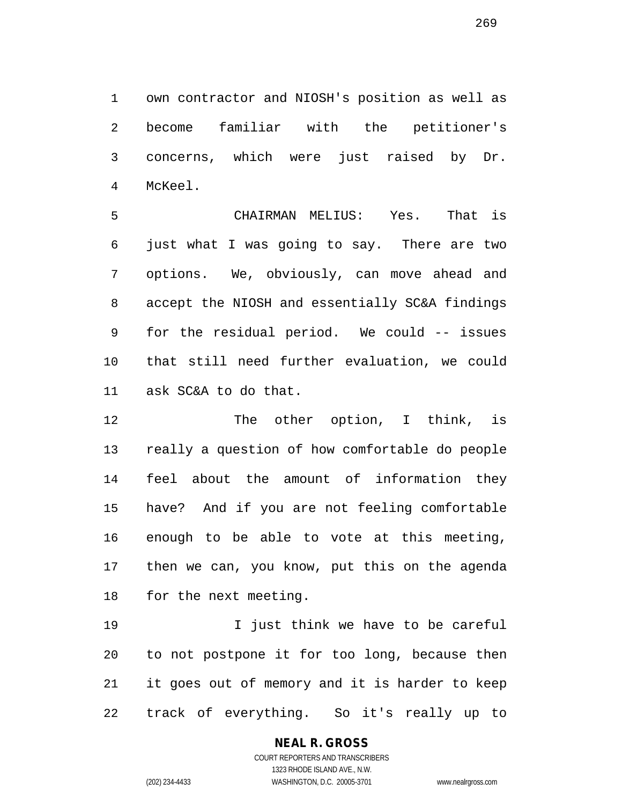own contractor and NIOSH's position as well as become familiar with the petitioner's concerns, which were just raised by Dr. McKeel.

 CHAIRMAN MELIUS: Yes. That is just what I was going to say. There are two options. We, obviously, can move ahead and accept the NIOSH and essentially SC&A findings for the residual period. We could -- issues that still need further evaluation, we could ask SC&A to do that.

12 The other option, I think, is really a question of how comfortable do people feel about the amount of information they have? And if you are not feeling comfortable enough to be able to vote at this meeting, then we can, you know, put this on the agenda for the next meeting.

 I just think we have to be careful to not postpone it for too long, because then it goes out of memory and it is harder to keep track of everything. So it's really up to

# **NEAL R. GROSS**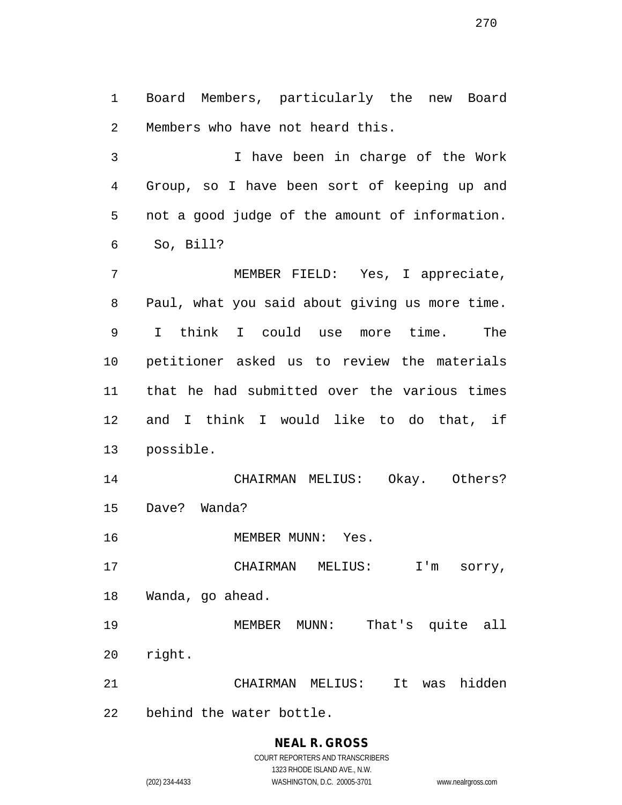Board Members, particularly the new Board Members who have not heard this.

 I have been in charge of the Work Group, so I have been sort of keeping up and not a good judge of the amount of information. So, Bill?

 MEMBER FIELD: Yes, I appreciate, Paul, what you said about giving us more time. I think I could use more time. The petitioner asked us to review the materials that he had submitted over the various times and I think I would like to do that, if possible.

 CHAIRMAN MELIUS: Okay. Others? Dave? Wanda?

MEMBER MUNN: Yes.

17 CHAIRMAN MELIUS: I'm sorry, Wanda, go ahead.

MEMBER MUNN: That's quite all

- right.
- CHAIRMAN MELIUS: It was hidden
- behind the water bottle.

# **NEAL R. GROSS**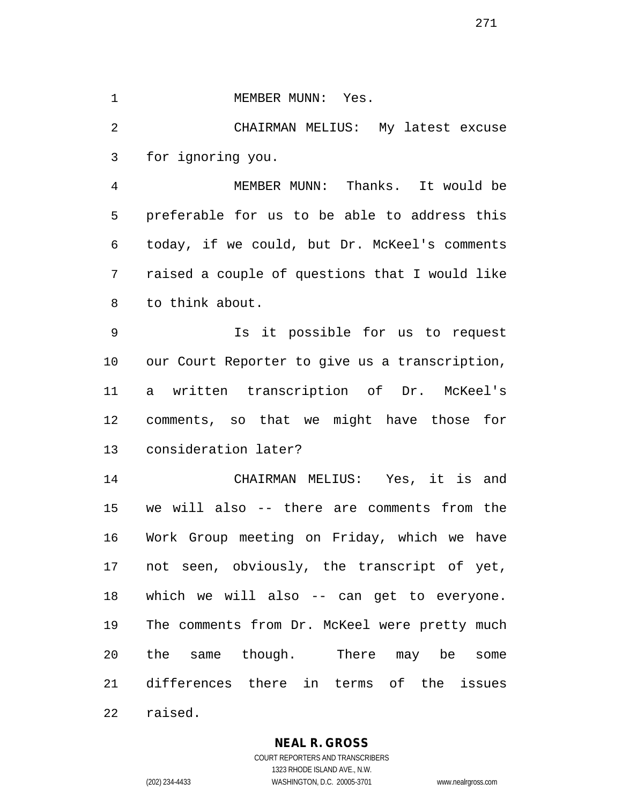#### 1 MEMBER MUNN: Yes.

 CHAIRMAN MELIUS: My latest excuse for ignoring you.

 MEMBER MUNN: Thanks. It would be preferable for us to be able to address this today, if we could, but Dr. McKeel's comments raised a couple of questions that I would like to think about.

 Is it possible for us to request our Court Reporter to give us a transcription, a written transcription of Dr. McKeel's comments, so that we might have those for consideration later?

 CHAIRMAN MELIUS: Yes, it is and we will also -- there are comments from the Work Group meeting on Friday, which we have not seen, obviously, the transcript of yet, which we will also -- can get to everyone. 19 The comments from Dr. McKeel were pretty much the same though. There may be some differences there in terms of the issues raised.

## **NEAL R. GROSS**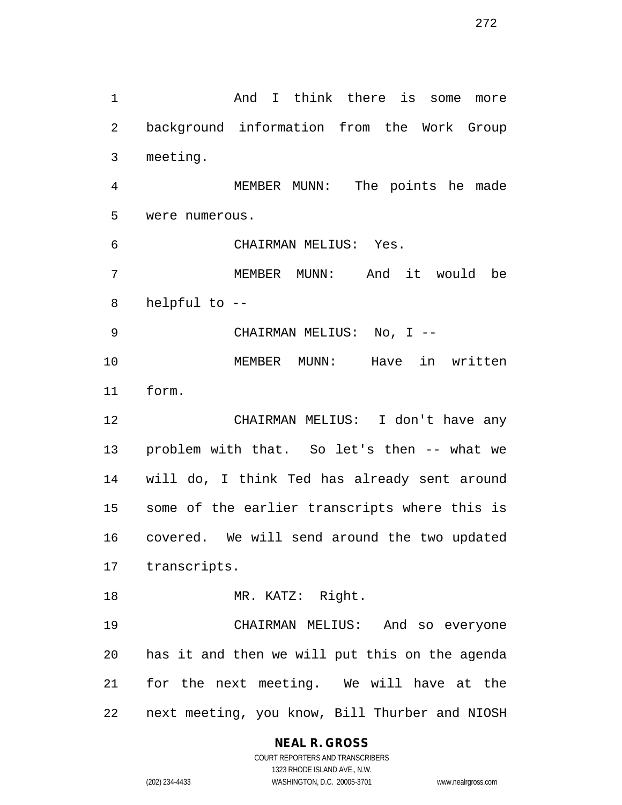And I think there is some more background information from the Work Group meeting. MEMBER MUNN: The points he made were numerous. CHAIRMAN MELIUS: Yes. MEMBER MUNN: And it would be helpful to -- CHAIRMAN MELIUS: No, I -- MEMBER MUNN: Have in written form. CHAIRMAN MELIUS: I don't have any problem with that. So let's then -- what we will do, I think Ted has already sent around some of the earlier transcripts where this is covered. We will send around the two updated transcripts. 18 MR. KATZ: Right. CHAIRMAN MELIUS: And so everyone has it and then we will put this on the agenda for the next meeting. We will have at the next meeting, you know, Bill Thurber and NIOSH

> **NEAL R. GROSS** COURT REPORTERS AND TRANSCRIBERS 1323 RHODE ISLAND AVE., N.W.

(202) 234-4433 WASHINGTON, D.C. 20005-3701 www.nealrgross.com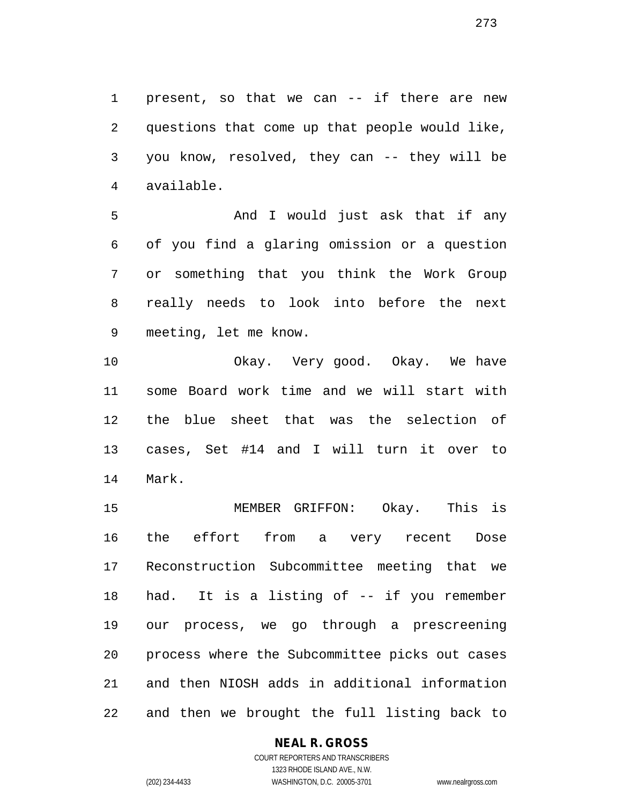present, so that we can -- if there are new questions that come up that people would like, you know, resolved, they can -- they will be available.

 And I would just ask that if any of you find a glaring omission or a question or something that you think the Work Group really needs to look into before the next meeting, let me know.

 Okay. Very good. Okay. We have some Board work time and we will start with the blue sheet that was the selection of cases, Set #14 and I will turn it over to Mark.

 MEMBER GRIFFON: Okay. This is the effort from a very recent Dose Reconstruction Subcommittee meeting that we had. It is a listing of -- if you remember our process, we go through a prescreening process where the Subcommittee picks out cases and then NIOSH adds in additional information and then we brought the full listing back to

## **NEAL R. GROSS**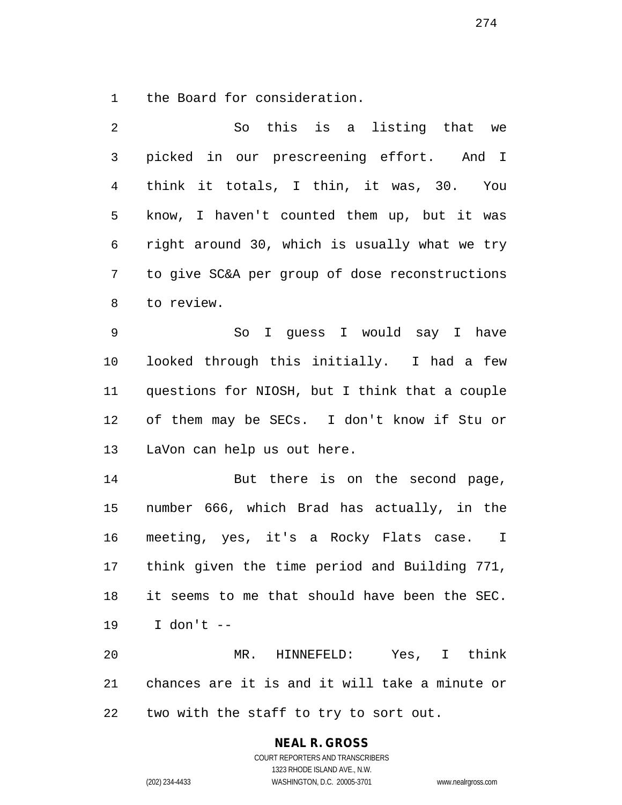the Board for consideration.

| 2              | So this is a listing that we                      |
|----------------|---------------------------------------------------|
| 3              | picked in our prescreening effort. And I          |
| $\overline{4}$ | think it totals, I thin, it was, 30. You          |
| 5              | know, I haven't counted them up, but it was       |
| 6              | right around 30, which is usually what we try     |
| 7              | to give SC&A per group of dose reconstructions    |
| 8              | to review.                                        |
| 9              | I guess I would say I have<br>So                  |
| 10             | looked through this initially. I had a few        |
| 11             | questions for NIOSH, but I think that a couple    |
| 12             | of them may be SECs. I don't know if Stu or       |
| 13             | LaVon can help us out here.                       |
| 14             | But there is on the second page,                  |
| 15             | number 666, which Brad has actually, in the       |
| 16             | meeting, yes, it's a Rocky Flats case. I          |
| 17             | think given the time period and Building 771,     |
| 18             | it seems to me that should have been the SEC.     |
| 19             | I don't $--$                                      |
| 20             | MR. HINNEFELD: Yes, I think                       |
|                | 21 chances are it is and it will take a minute or |
| 22             | two with the staff to try to sort out.            |

**NEAL R. GROSS** COURT REPORTERS AND TRANSCRIBERS

1323 RHODE ISLAND AVE., N.W.

(202) 234-4433 WASHINGTON, D.C. 20005-3701 www.nealrgross.com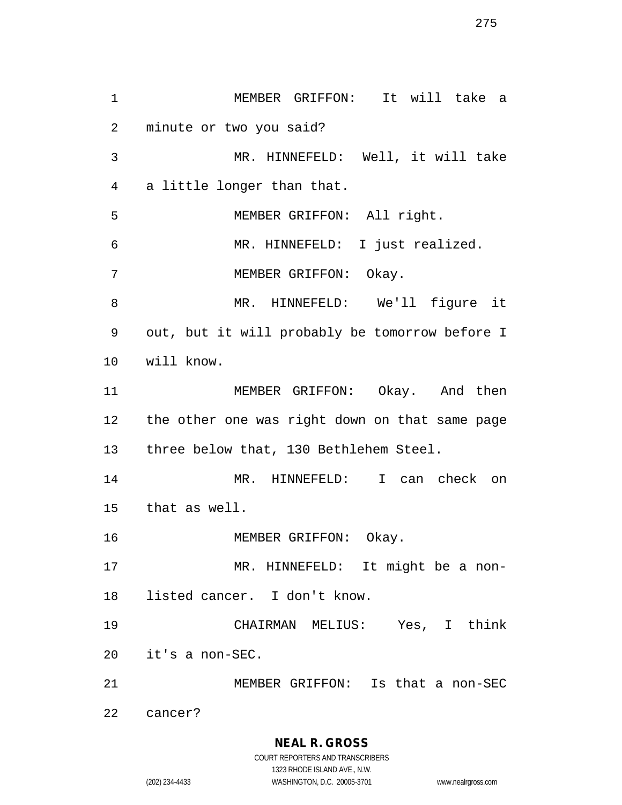MEMBER GRIFFON: It will take a minute or two you said? MR. HINNEFELD: Well, it will take a little longer than that. MEMBER GRIFFON: All right. MR. HINNEFELD: I just realized. MEMBER GRIFFON: Okay. MR. HINNEFELD: We'll figure it out, but it will probably be tomorrow before I will know. MEMBER GRIFFON: Okay. And then the other one was right down on that same page three below that, 130 Bethlehem Steel. MR. HINNEFELD: I can check on that as well. 16 MEMBER GRIFFON: Okay. MR. HINNEFELD: It might be a non- listed cancer. I don't know. CHAIRMAN MELIUS: Yes, I think it's a non-SEC. MEMBER GRIFFON: Is that a non-SEC cancer?

> **NEAL R. GROSS** COURT REPORTERS AND TRANSCRIBERS

1323 RHODE ISLAND AVE., N.W. (202) 234-4433 WASHINGTON, D.C. 20005-3701 www.nealrgross.com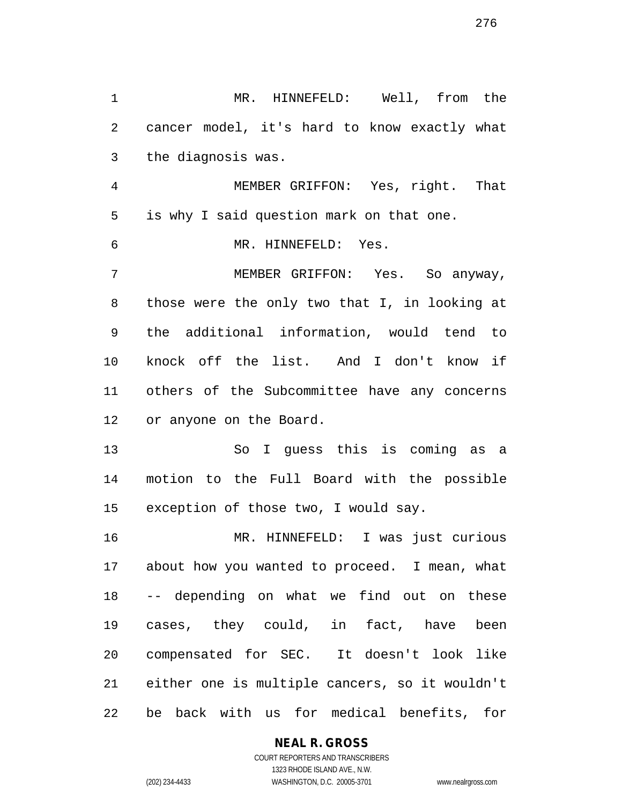MR. HINNEFELD: Well, from the cancer model, it's hard to know exactly what the diagnosis was. MEMBER GRIFFON: Yes, right. That is why I said question mark on that one. MR. HINNEFELD: Yes. MEMBER GRIFFON: Yes. So anyway, those were the only two that I, in looking at the additional information, would tend to knock off the list. And I don't know if others of the Subcommittee have any concerns or anyone on the Board. So I guess this is coming as a motion to the Full Board with the possible exception of those two, I would say. MR. HINNEFELD: I was just curious about how you wanted to proceed. I mean, what -- depending on what we find out on these cases, they could, in fact, have been compensated for SEC. It doesn't look like either one is multiple cancers, so it wouldn't be back with us for medical benefits, for

**NEAL R. GROSS**

COURT REPORTERS AND TRANSCRIBERS 1323 RHODE ISLAND AVE., N.W. (202) 234-4433 WASHINGTON, D.C. 20005-3701 www.nealrgross.com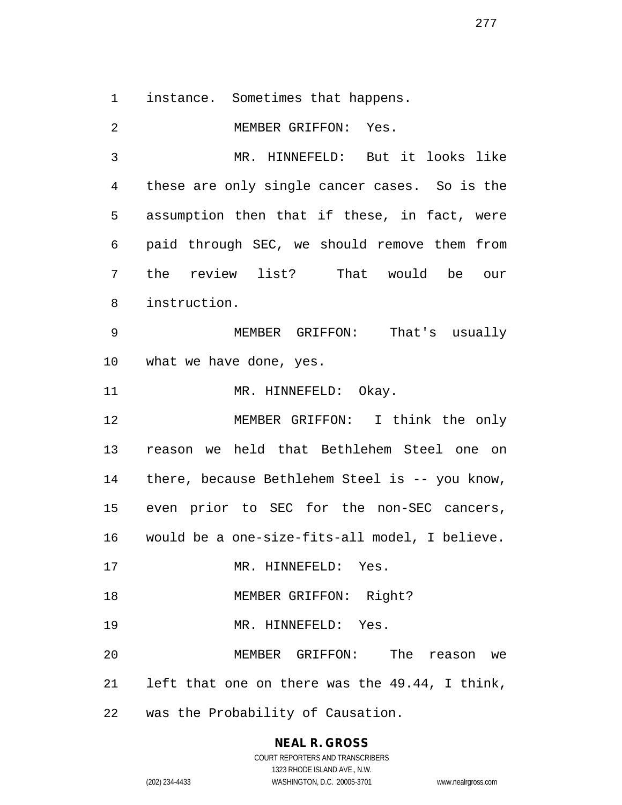instance. Sometimes that happens.

MEMBER GRIFFON: Yes.

 MR. HINNEFELD: But it looks like these are only single cancer cases. So is the assumption then that if these, in fact, were paid through SEC, we should remove them from the review list? That would be our instruction.

 MEMBER GRIFFON: That's usually what we have done, yes.

11 MR. HINNEFELD: Okay.

 MEMBER GRIFFON: I think the only reason we held that Bethlehem Steel one on there, because Bethlehem Steel is -- you know, even prior to SEC for the non-SEC cancers, would be a one-size-fits-all model, I believe.

17 MR. HINNEFELD: Yes.

18 MEMBER GRIFFON: Right?

19 MR. HINNEFELD: Yes.

 MEMBER GRIFFON: The reason we left that one on there was the 49.44, I think,

was the Probability of Causation.

## **NEAL R. GROSS**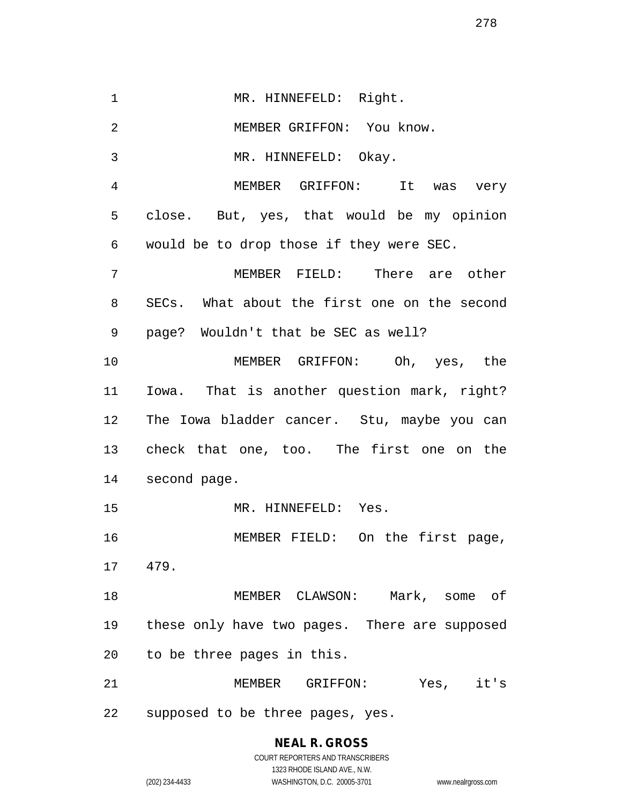1 MR. HINNEFELD: Right. MEMBER GRIFFON: You know. MR. HINNEFELD: Okay. MEMBER GRIFFON: It was very close. But, yes, that would be my opinion would be to drop those if they were SEC. MEMBER FIELD: There are other SECs. What about the first one on the second page? Wouldn't that be SEC as well? MEMBER GRIFFON: Oh, yes, the Iowa. That is another question mark, right? The Iowa bladder cancer. Stu, maybe you can check that one, too. The first one on the second page. MR. HINNEFELD: Yes. MEMBER FIELD: On the first page, 479. MEMBER CLAWSON: Mark, some of these only have two pages. There are supposed to be three pages in this. MEMBER GRIFFON: Yes, it's

supposed to be three pages, yes.

# **NEAL R. GROSS** COURT REPORTERS AND TRANSCRIBERS 1323 RHODE ISLAND AVE., N.W.

(202) 234-4433 WASHINGTON, D.C. 20005-3701 www.nealrgross.com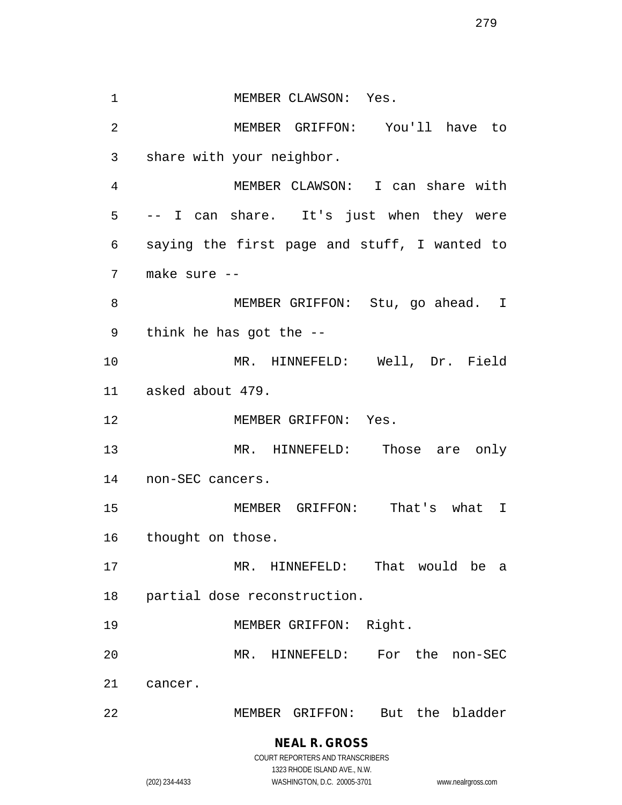1 MEMBER CLAWSON: Yes. MEMBER GRIFFON: You'll have to share with your neighbor. MEMBER CLAWSON: I can share with -- I can share. It's just when they were saying the first page and stuff, I wanted to make sure -- 8 MEMBER GRIFFON: Stu, go ahead. I think he has got the -- MR. HINNEFELD: Well, Dr. Field asked about 479. 12 MEMBER GRIFFON: Yes. MR. HINNEFELD: Those are only non-SEC cancers. MEMBER GRIFFON: That's what I thought on those. MR. HINNEFELD: That would be a partial dose reconstruction. MEMBER GRIFFON: Right. MR. HINNEFELD: For the non-SEC cancer. MEMBER GRIFFON: But the bladder

## **NEAL R. GROSS** COURT REPORTERS AND TRANSCRIBERS

1323 RHODE ISLAND AVE., N.W. (202) 234-4433 WASHINGTON, D.C. 20005-3701 www.nealrgross.com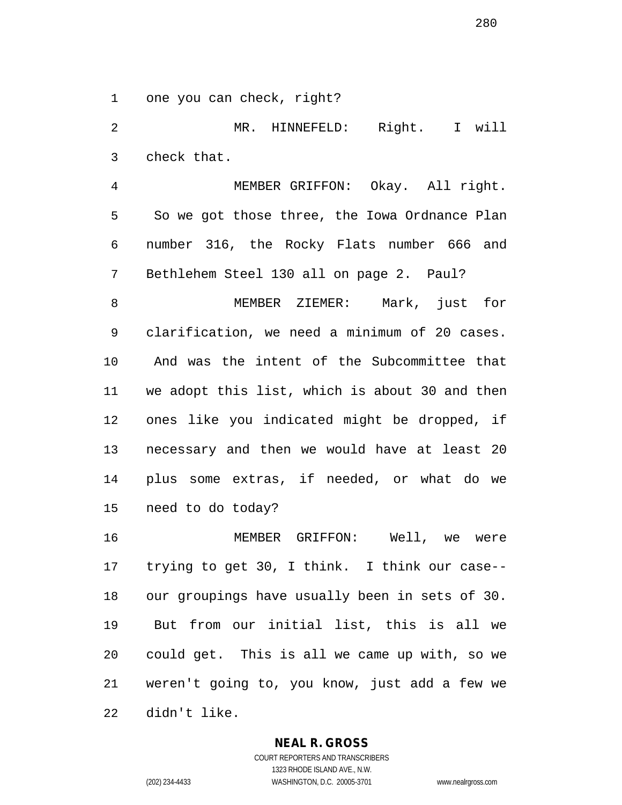one you can check, right?

 MR. HINNEFELD: Right. I will check that.

 MEMBER GRIFFON: Okay. All right. So we got those three, the Iowa Ordnance Plan number 316, the Rocky Flats number 666 and Bethlehem Steel 130 all on page 2. Paul?

 MEMBER ZIEMER: Mark, just for clarification, we need a minimum of 20 cases. And was the intent of the Subcommittee that we adopt this list, which is about 30 and then ones like you indicated might be dropped, if necessary and then we would have at least 20 plus some extras, if needed, or what do we need to do today?

 MEMBER GRIFFON: Well, we were trying to get 30, I think. I think our case-- our groupings have usually been in sets of 30. But from our initial list, this is all we could get. This is all we came up with, so we weren't going to, you know, just add a few we didn't like.

#### **NEAL R. GROSS**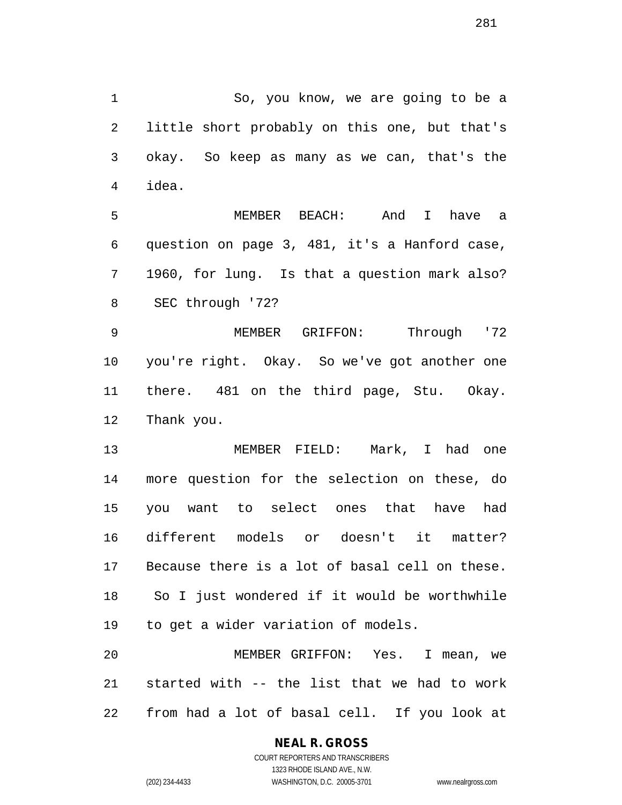So, you know, we are going to be a little short probably on this one, but that's okay. So keep as many as we can, that's the idea.

 MEMBER BEACH: And I have a question on page 3, 481, it's a Hanford case, 1960, for lung. Is that a question mark also? SEC through '72?

 MEMBER GRIFFON: Through '72 you're right. Okay. So we've got another one there. 481 on the third page, Stu. Okay. Thank you.

 MEMBER FIELD: Mark, I had one more question for the selection on these, do you want to select ones that have had different models or doesn't it matter? Because there is a lot of basal cell on these. So I just wondered if it would be worthwhile to get a wider variation of models.

 MEMBER GRIFFON: Yes. I mean, we started with -- the list that we had to work from had a lot of basal cell. If you look at

# **NEAL R. GROSS**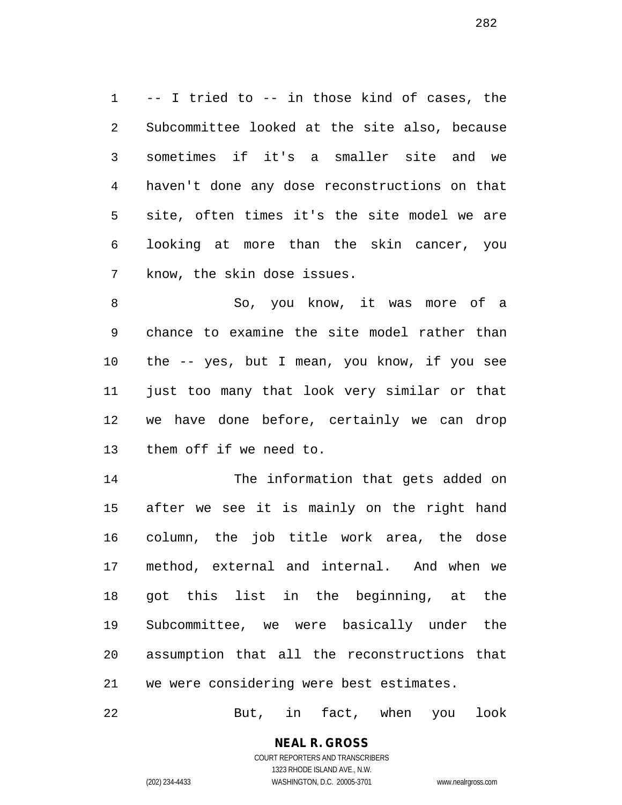-- I tried to -- in those kind of cases, the Subcommittee looked at the site also, because sometimes if it's a smaller site and we haven't done any dose reconstructions on that site, often times it's the site model we are looking at more than the skin cancer, you know, the skin dose issues.

 So, you know, it was more of a chance to examine the site model rather than the -- yes, but I mean, you know, if you see just too many that look very similar or that we have done before, certainly we can drop them off if we need to.

 The information that gets added on after we see it is mainly on the right hand column, the job title work area, the dose method, external and internal. And when we got this list in the beginning, at the Subcommittee, we were basically under the assumption that all the reconstructions that we were considering were best estimates.

But, in fact, when you look

# **NEAL R. GROSS**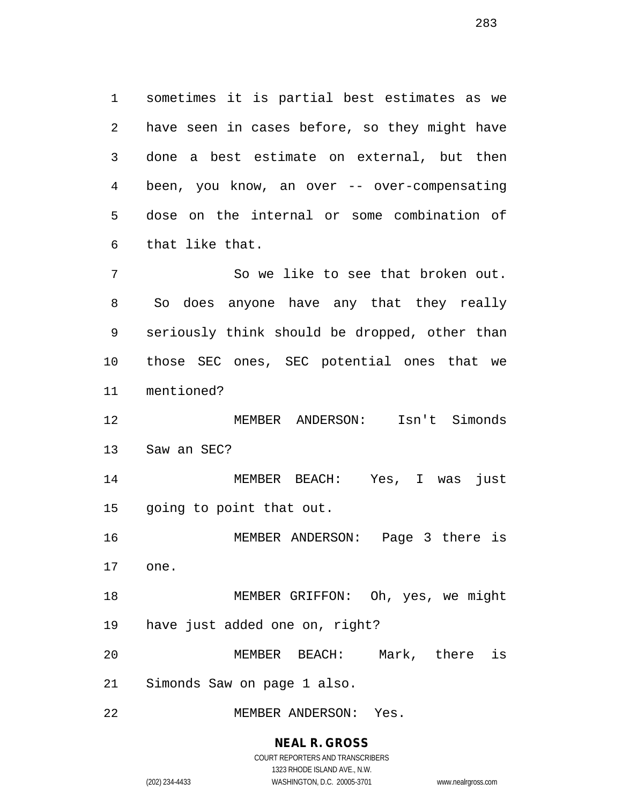sometimes it is partial best estimates as we have seen in cases before, so they might have done a best estimate on external, but then been, you know, an over -- over-compensating dose on the internal or some combination of that like that.

 So we like to see that broken out. So does anyone have any that they really seriously think should be dropped, other than those SEC ones, SEC potential ones that we mentioned?

 MEMBER ANDERSON: Isn't Simonds Saw an SEC?

 MEMBER BEACH: Yes, I was just going to point that out.

 MEMBER ANDERSON: Page 3 there is one.

 MEMBER GRIFFON: Oh, yes, we might have just added one on, right?

 MEMBER BEACH: Mark, there is Simonds Saw on page 1 also.

MEMBER ANDERSON: Yes.

**NEAL R. GROSS**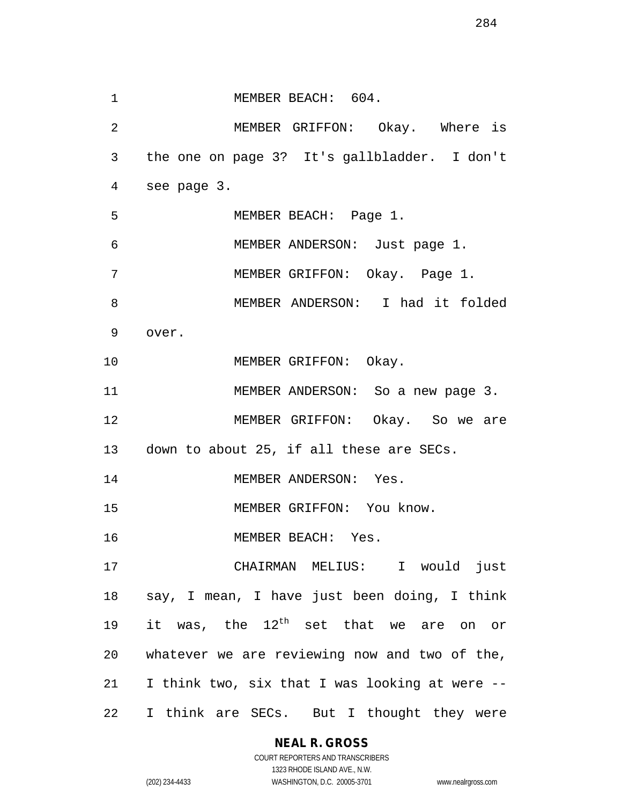1 MEMBER BEACH: 604. MEMBER GRIFFON: Okay. Where is the one on page 3? It's gallbladder. I don't see page 3. MEMBER BEACH: Page 1. MEMBER ANDERSON: Just page 1. MEMBER GRIFFON: Okay. Page 1. MEMBER ANDERSON: I had it folded over. 10 MEMBER GRIFFON: Okay. 11 MEMBER ANDERSON: So a new page 3. MEMBER GRIFFON: Okay. So we are down to about 25, if all these are SECs. 14 MEMBER ANDERSON: Yes. 15 MEMBER GRIFFON: You know. MEMBER BEACH: Yes. CHAIRMAN MELIUS: I would just say, I mean, I have just been doing, I think 19 it was, the  $12^{th}$  set that we are on or whatever we are reviewing now and two of the, I think two, six that I was looking at were -- I think are SECs. But I thought they were

**NEAL R. GROSS**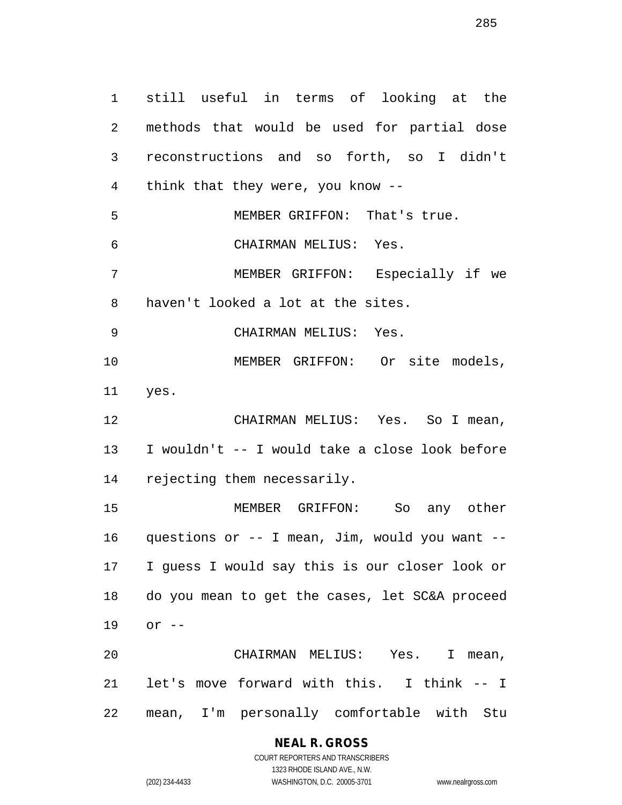still useful in terms of looking at the methods that would be used for partial dose reconstructions and so forth, so I didn't think that they were, you know -- MEMBER GRIFFON: That's true. CHAIRMAN MELIUS: Yes. MEMBER GRIFFON: Especially if we haven't looked a lot at the sites. CHAIRMAN MELIUS: Yes. MEMBER GRIFFON: Or site models, yes. CHAIRMAN MELIUS: Yes. So I mean, I wouldn't -- I would take a close look before rejecting them necessarily. MEMBER GRIFFON: So any other questions or -- I mean, Jim, would you want -- I guess I would say this is our closer look or do you mean to get the cases, let SC&A proceed or -- CHAIRMAN MELIUS: Yes. I mean, let's move forward with this. I think -- I mean, I'm personally comfortable with Stu

#### **NEAL R. GROSS**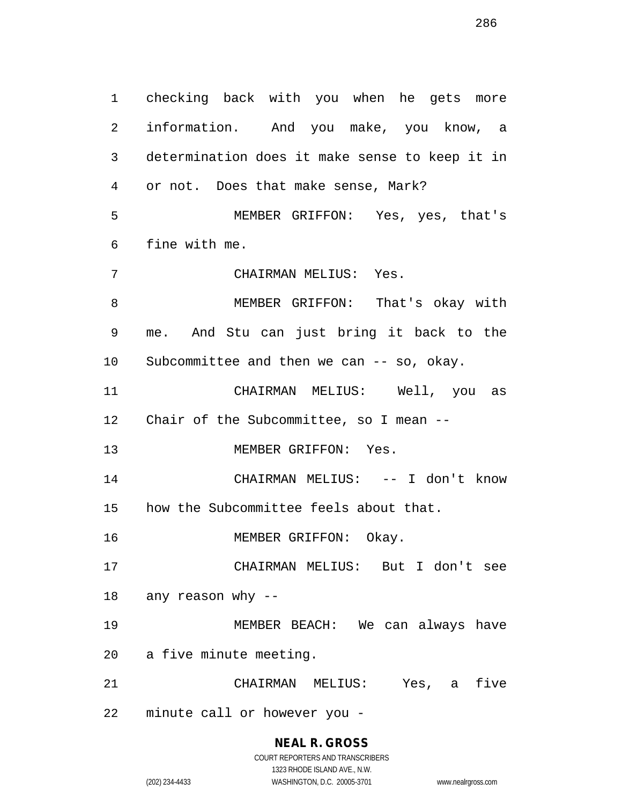checking back with you when he gets more information. And you make, you know, a determination does it make sense to keep it in or not. Does that make sense, Mark? MEMBER GRIFFON: Yes, yes, that's fine with me. CHAIRMAN MELIUS: Yes. MEMBER GRIFFON: That's okay with me. And Stu can just bring it back to the Subcommittee and then we can -- so, okay. CHAIRMAN MELIUS: Well, you as Chair of the Subcommittee, so I mean -- MEMBER GRIFFON: Yes. CHAIRMAN MELIUS: -- I don't know how the Subcommittee feels about that. 16 MEMBER GRIFFON: Okay. CHAIRMAN MELIUS: But I don't see any reason why -- MEMBER BEACH: We can always have a five minute meeting. CHAIRMAN MELIUS: Yes, a five minute call or however you -

> COURT REPORTERS AND TRANSCRIBERS 1323 RHODE ISLAND AVE., N.W. (202) 234-4433 WASHINGTON, D.C. 20005-3701 www.nealrgross.com

**NEAL R. GROSS**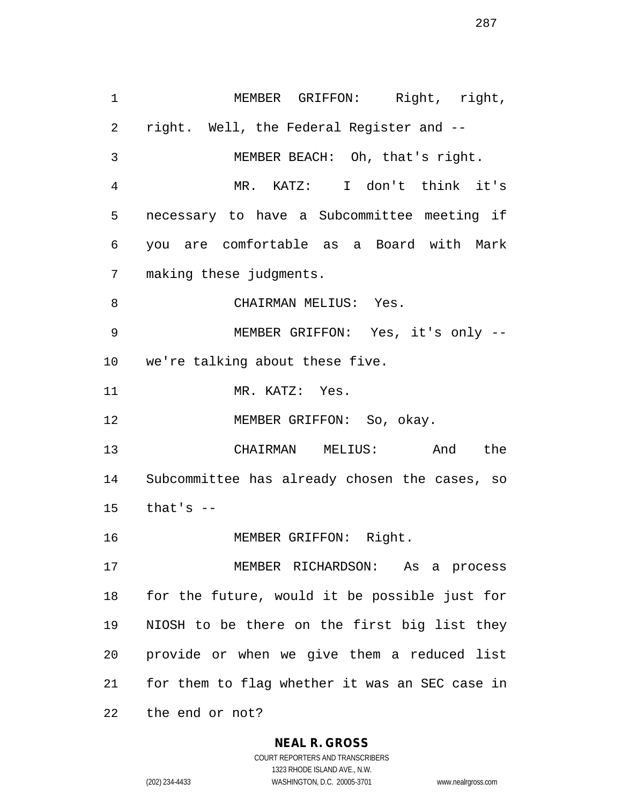MEMBER GRIFFON: Right, right, right. Well, the Federal Register and -- MEMBER BEACH: Oh, that's right. MR. KATZ: I don't think it's necessary to have a Subcommittee meeting if you are comfortable as a Board with Mark making these judgments. CHAIRMAN MELIUS: Yes. MEMBER GRIFFON: Yes, it's only -- we're talking about these five. 11 MR. KATZ: Yes. 12 MEMBER GRIFFON: So, okay. CHAIRMAN MELIUS: And the Subcommittee has already chosen the cases, so that's  $-$ 16 MEMBER GRIFFON: Right. MEMBER RICHARDSON: As a process for the future, would it be possible just for NIOSH to be there on the first big list they provide or when we give them a reduced list for them to flag whether it was an SEC case in

the end or not?

#### **NEAL R. GROSS**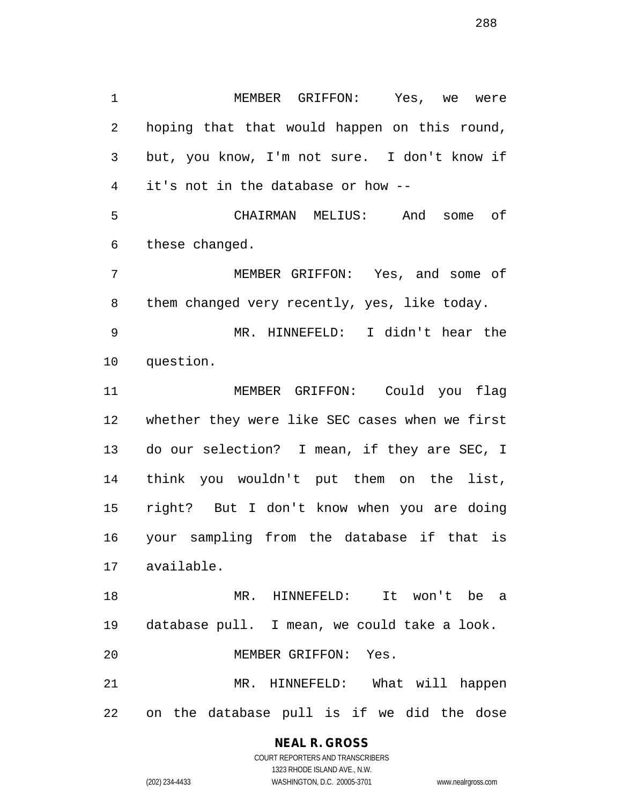MEMBER GRIFFON: Yes, we were hoping that that would happen on this round, but, you know, I'm not sure. I don't know if it's not in the database or how -- CHAIRMAN MELIUS: And some of these changed. MEMBER GRIFFON: Yes, and some of them changed very recently, yes, like today. MR. HINNEFELD: I didn't hear the question. MEMBER GRIFFON: Could you flag whether they were like SEC cases when we first do our selection? I mean, if they are SEC, I think you wouldn't put them on the list, right? But I don't know when you are doing your sampling from the database if that is available. MR. HINNEFELD: It won't be a database pull. I mean, we could take a look. MEMBER GRIFFON: Yes.

 MR. HINNEFELD: What will happen on the database pull is if we did the dose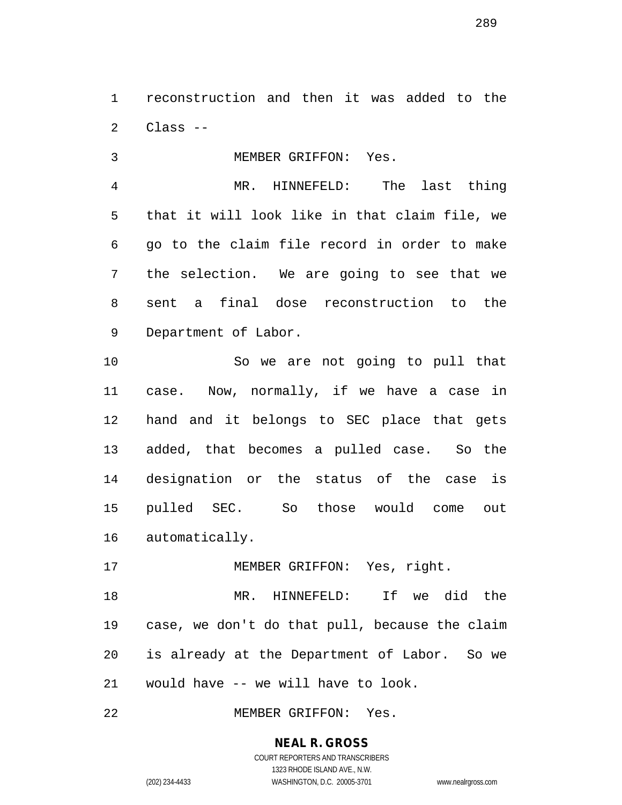reconstruction and then it was added to the Class --

 MEMBER GRIFFON: Yes. MR. HINNEFELD: The last thing that it will look like in that claim file, we go to the claim file record in order to make the selection. We are going to see that we sent a final dose reconstruction to the Department of Labor.

 So we are not going to pull that case. Now, normally, if we have a case in hand and it belongs to SEC place that gets added, that becomes a pulled case. So the designation or the status of the case is pulled SEC. So those would come out automatically.

17 MEMBER GRIFFON: Yes, right. MR. HINNEFELD: If we did the case, we don't do that pull, because the claim is already at the Department of Labor. So we would have -- we will have to look.

MEMBER GRIFFON: Yes.

# **NEAL R. GROSS**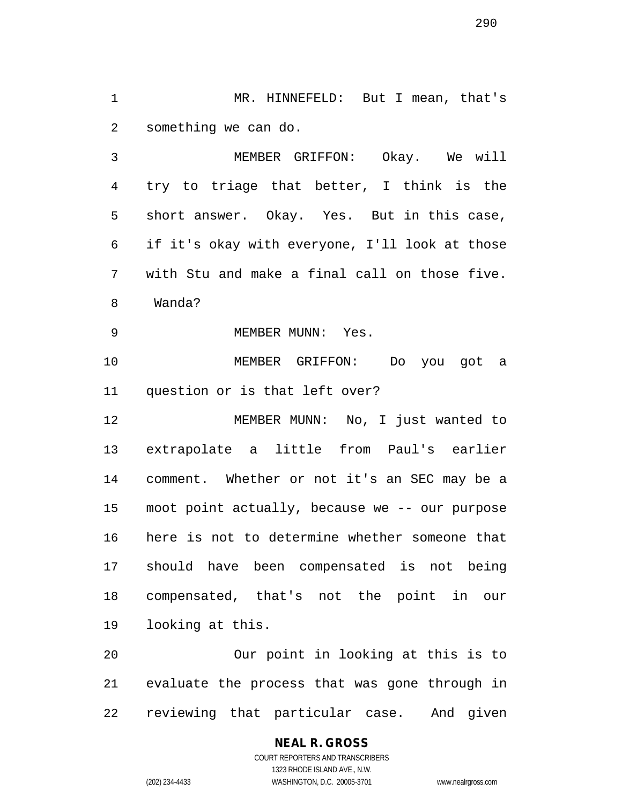MR. HINNEFELD: But I mean, that's something we can do.

 MEMBER GRIFFON: Okay. We will try to triage that better, I think is the short answer. Okay. Yes. But in this case, if it's okay with everyone, I'll look at those with Stu and make a final call on those five. Wanda?

9 MEMBER MUNN: Yes.

 MEMBER GRIFFON: Do you got a question or is that left over?

 MEMBER MUNN: No, I just wanted to extrapolate a little from Paul's earlier comment. Whether or not it's an SEC may be a moot point actually, because we -- our purpose here is not to determine whether someone that should have been compensated is not being compensated, that's not the point in our looking at this.

 Our point in looking at this is to evaluate the process that was gone through in reviewing that particular case. And given

# **NEAL R. GROSS**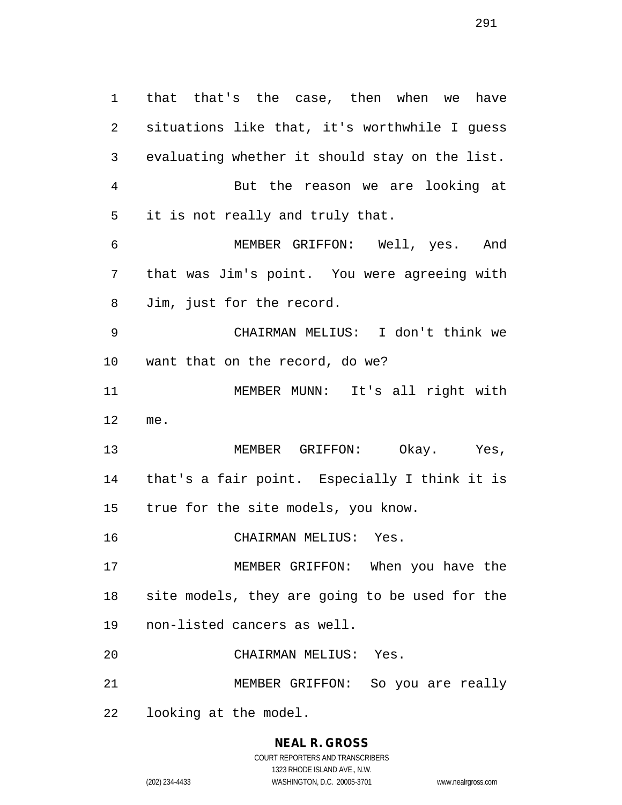that that's the case, then when we have situations like that, it's worthwhile I guess evaluating whether it should stay on the list. But the reason we are looking at it is not really and truly that. MEMBER GRIFFON: Well, yes. And that was Jim's point. You were agreeing with Jim, just for the record. CHAIRMAN MELIUS: I don't think we want that on the record, do we? MEMBER MUNN: It's all right with me. MEMBER GRIFFON: Okay. Yes, that's a fair point. Especially I think it is true for the site models, you know. CHAIRMAN MELIUS: Yes. MEMBER GRIFFON: When you have the site models, they are going to be used for the non-listed cancers as well. CHAIRMAN MELIUS: Yes. MEMBER GRIFFON: So you are really looking at the model.

#### **NEAL R. GROSS** COURT REPORTERS AND TRANSCRIBERS

1323 RHODE ISLAND AVE., N.W.

(202) 234-4433 WASHINGTON, D.C. 20005-3701 www.nealrgross.com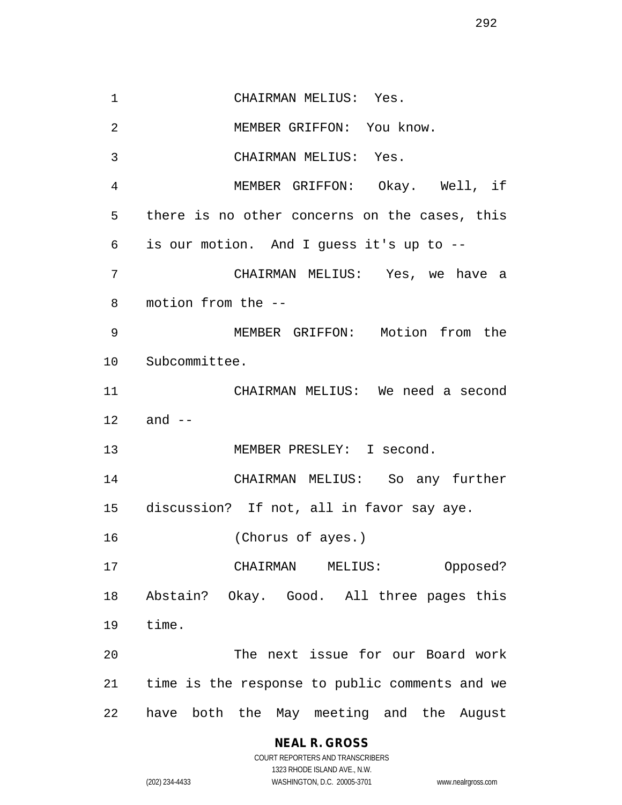CHAIRMAN MELIUS: Yes. MEMBER GRIFFON: You know. CHAIRMAN MELIUS: Yes. MEMBER GRIFFON: Okay. Well, if there is no other concerns on the cases, this is our motion. And I guess it's up to -- CHAIRMAN MELIUS: Yes, we have a motion from the -- MEMBER GRIFFON: Motion from the Subcommittee. CHAIRMAN MELIUS: We need a second and -- MEMBER PRESLEY: I second. CHAIRMAN MELIUS: So any further discussion? If not, all in favor say aye. (Chorus of ayes.) CHAIRMAN MELIUS: Opposed? Abstain? Okay. Good. All three pages this time. The next issue for our Board work time is the response to public comments and we have both the May meeting and the August

#### **NEAL R. GROSS**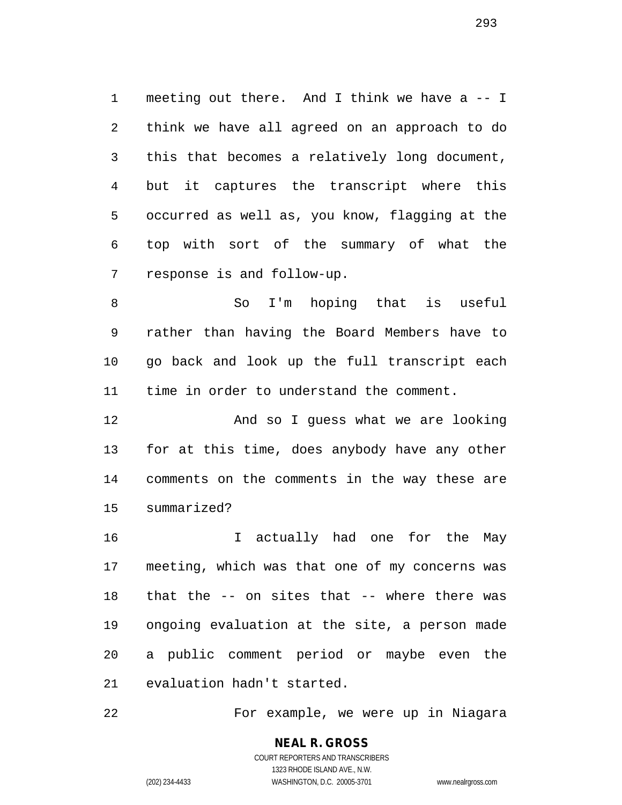meeting out there. And I think we have a -- I think we have all agreed on an approach to do this that becomes a relatively long document, but it captures the transcript where this occurred as well as, you know, flagging at the top with sort of the summary of what the response is and follow-up.

 So I'm hoping that is useful rather than having the Board Members have to go back and look up the full transcript each time in order to understand the comment.

 And so I guess what we are looking for at this time, does anybody have any other comments on the comments in the way these are summarized?

 I actually had one for the May meeting, which was that one of my concerns was that the -- on sites that -- where there was ongoing evaluation at the site, a person made a public comment period or maybe even the evaluation hadn't started.

For example, we were up in Niagara

COURT REPORTERS AND TRANSCRIBERS 1323 RHODE ISLAND AVE., N.W. (202) 234-4433 WASHINGTON, D.C. 20005-3701 www.nealrgross.com

**NEAL R. GROSS**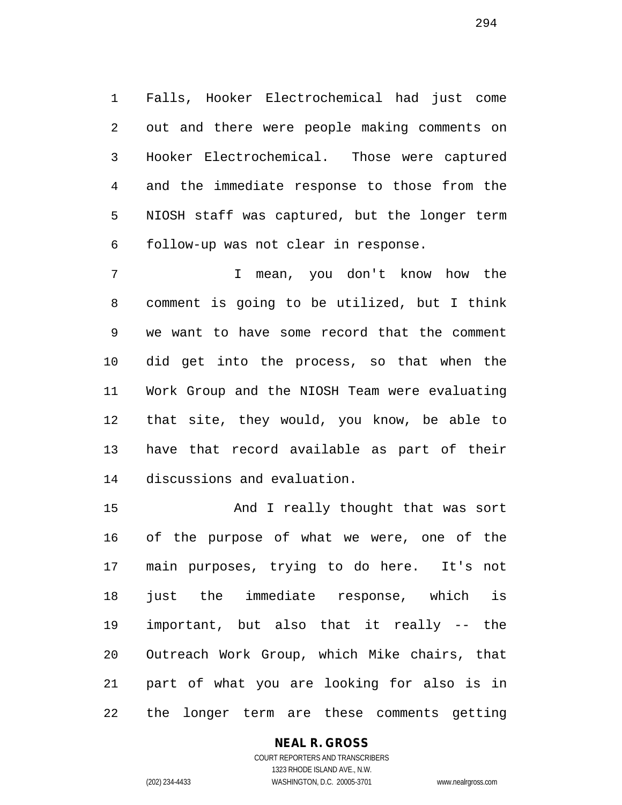Falls, Hooker Electrochemical had just come out and there were people making comments on Hooker Electrochemical. Those were captured and the immediate response to those from the NIOSH staff was captured, but the longer term follow-up was not clear in response.

 I mean, you don't know how the comment is going to be utilized, but I think we want to have some record that the comment did get into the process, so that when the Work Group and the NIOSH Team were evaluating that site, they would, you know, be able to have that record available as part of their discussions and evaluation.

 And I really thought that was sort of the purpose of what we were, one of the main purposes, trying to do here. It's not just the immediate response, which is important, but also that it really -- the Outreach Work Group, which Mike chairs, that part of what you are looking for also is in the longer term are these comments getting

#### **NEAL R. GROSS** COURT REPORTERS AND TRANSCRIBERS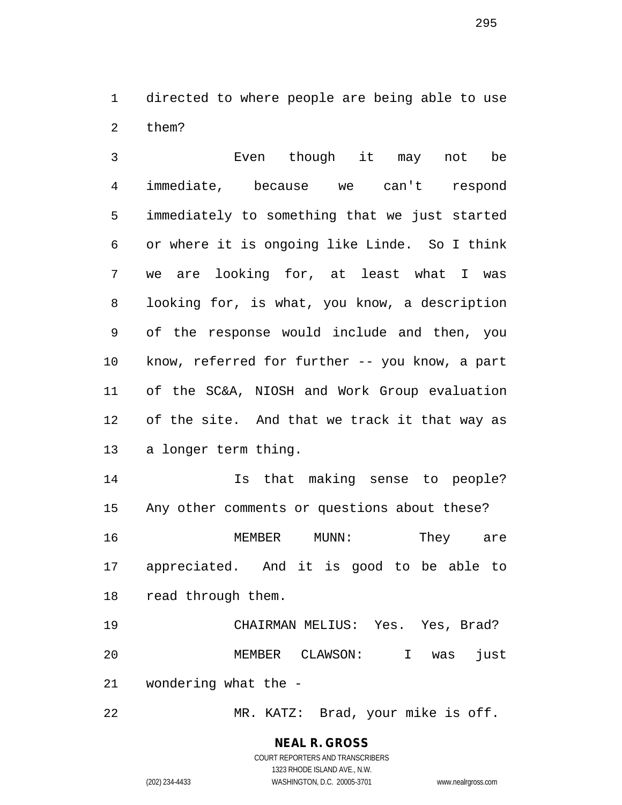directed to where people are being able to use them?

 Even though it may not be immediate, because we can't respond immediately to something that we just started or where it is ongoing like Linde. So I think we are looking for, at least what I was looking for, is what, you know, a description of the response would include and then, you know, referred for further -- you know, a part of the SC&A, NIOSH and Work Group evaluation of the site. And that we track it that way as a longer term thing.

 Is that making sense to people? Any other comments or questions about these? 16 MEMBER MUNN: They are appreciated. And it is good to be able to read through them.

 CHAIRMAN MELIUS: Yes. Yes, Brad? MEMBER CLAWSON: I was just wondering what the -

MR. KATZ: Brad, your mike is off.

**NEAL R. GROSS** COURT REPORTERS AND TRANSCRIBERS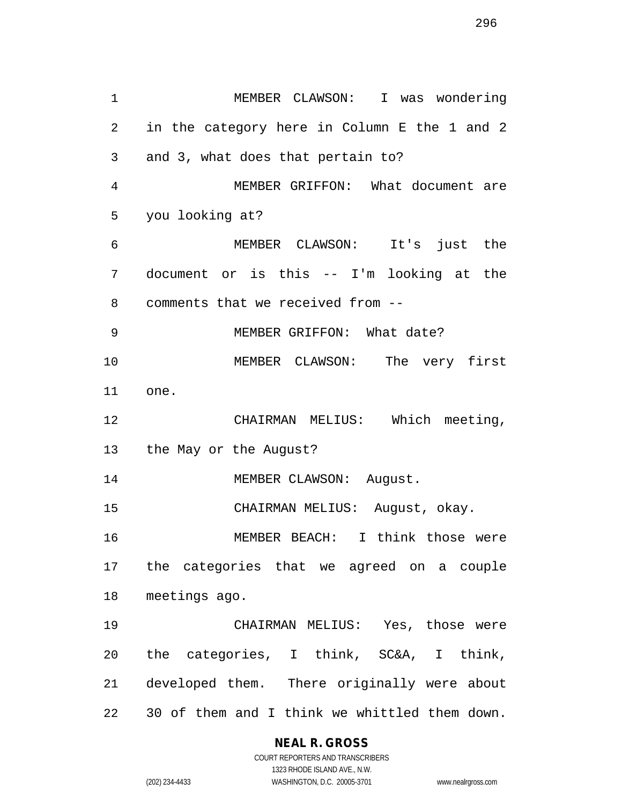MEMBER CLAWSON: I was wondering in the category here in Column E the 1 and 2 and 3, what does that pertain to? MEMBER GRIFFON: What document are you looking at? MEMBER CLAWSON: It's just the document or is this -- I'm looking at the comments that we received from -- MEMBER GRIFFON: What date? MEMBER CLAWSON: The very first one. CHAIRMAN MELIUS: Which meeting, the May or the August? 14 MEMBER CLAWSON: August. CHAIRMAN MELIUS: August, okay. MEMBER BEACH: I think those were the categories that we agreed on a couple meetings ago. CHAIRMAN MELIUS: Yes, those were the categories, I think, SC&A, I think, developed them. There originally were about 30 of them and I think we whittled them down.

## **NEAL R. GROSS**

COURT REPORTERS AND TRANSCRIBERS 1323 RHODE ISLAND AVE., N.W. (202) 234-4433 WASHINGTON, D.C. 20005-3701 www.nealrgross.com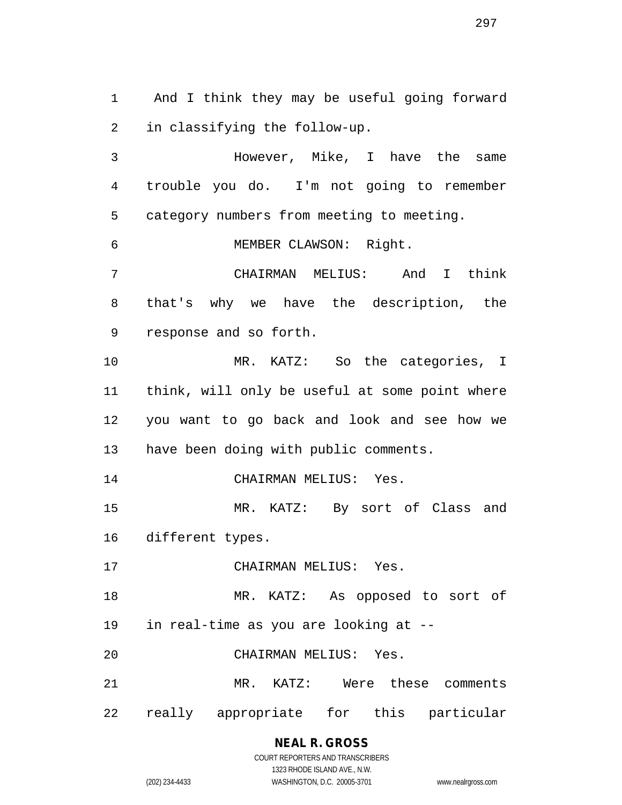And I think they may be useful going forward in classifying the follow-up.

 However, Mike, I have the same trouble you do. I'm not going to remember category numbers from meeting to meeting. MEMBER CLAWSON: Right.

 CHAIRMAN MELIUS: And I think that's why we have the description, the response and so forth.

 MR. KATZ: So the categories, I think, will only be useful at some point where you want to go back and look and see how we have been doing with public comments.

CHAIRMAN MELIUS: Yes.

 MR. KATZ: By sort of Class and different types.

CHAIRMAN MELIUS: Yes.

MR. KATZ: As opposed to sort of

in real-time as you are looking at --

CHAIRMAN MELIUS: Yes.

MR. KATZ: Were these comments

really appropriate for this particular

**NEAL R. GROSS** COURT REPORTERS AND TRANSCRIBERS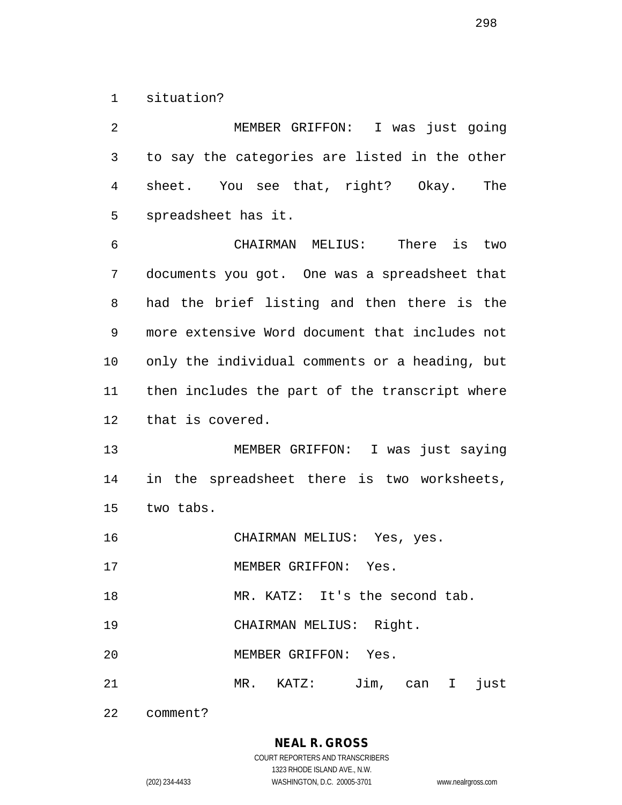situation?

 MEMBER GRIFFON: I was just going to say the categories are listed in the other sheet. You see that, right? Okay. The spreadsheet has it. CHAIRMAN MELIUS: There is two documents you got. One was a spreadsheet that had the brief listing and then there is the more extensive Word document that includes not only the individual comments or a heading, but then includes the part of the transcript where that is covered. MEMBER GRIFFON: I was just saying in the spreadsheet there is two worksheets, two tabs. CHAIRMAN MELIUS: Yes, yes. 17 MEMBER GRIFFON: Yes. 18 MR. KATZ: It's the second tab. CHAIRMAN MELIUS: Right. MEMBER GRIFFON: Yes. MR. KATZ: Jim, can I just

comment?

**NEAL R. GROSS** COURT REPORTERS AND TRANSCRIBERS 1323 RHODE ISLAND AVE., N.W. (202) 234-4433 WASHINGTON, D.C. 20005-3701 www.nealrgross.com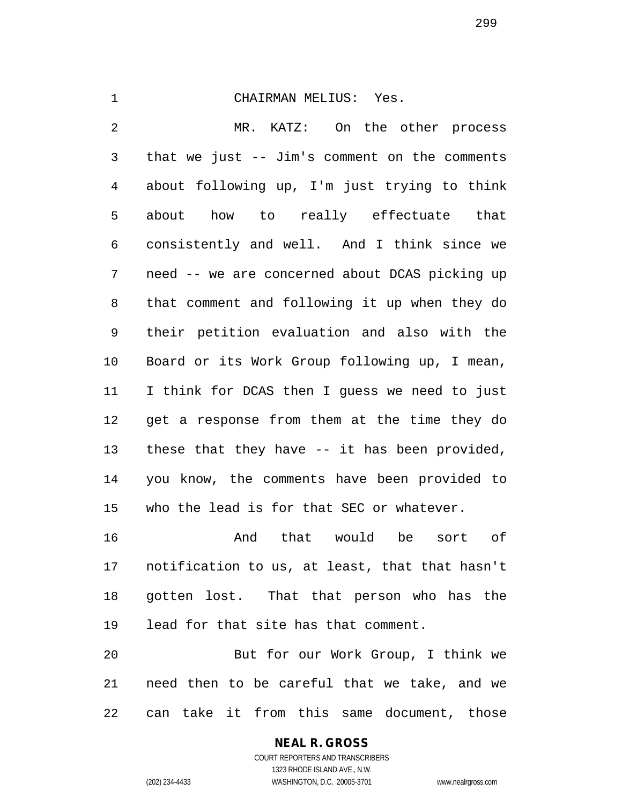#### CHAIRMAN MELIUS: Yes.

 MR. KATZ: On the other process that we just -- Jim's comment on the comments about following up, I'm just trying to think about how to really effectuate that consistently and well. And I think since we need -- we are concerned about DCAS picking up that comment and following it up when they do their petition evaluation and also with the Board or its Work Group following up, I mean, I think for DCAS then I guess we need to just get a response from them at the time they do these that they have -- it has been provided, you know, the comments have been provided to who the lead is for that SEC or whatever. And that would be sort of notification to us, at least, that that hasn't gotten lost. That that person who has the

lead for that site has that comment.

 But for our Work Group, I think we need then to be careful that we take, and we can take it from this same document, those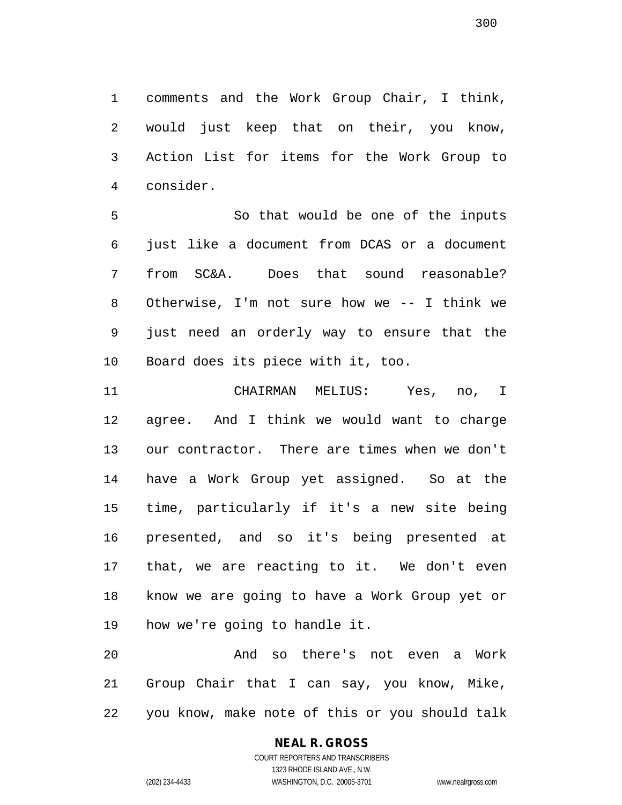comments and the Work Group Chair, I think, would just keep that on their, you know, Action List for items for the Work Group to consider.

 So that would be one of the inputs just like a document from DCAS or a document from SC&A. Does that sound reasonable? Otherwise, I'm not sure how we -- I think we just need an orderly way to ensure that the Board does its piece with it, too.

 CHAIRMAN MELIUS: Yes, no, I agree. And I think we would want to charge our contractor. There are times when we don't have a Work Group yet assigned. So at the time, particularly if it's a new site being presented, and so it's being presented at that, we are reacting to it. We don't even know we are going to have a Work Group yet or how we're going to handle it.

 And so there's not even a Work Group Chair that I can say, you know, Mike, you know, make note of this or you should talk

# **NEAL R. GROSS**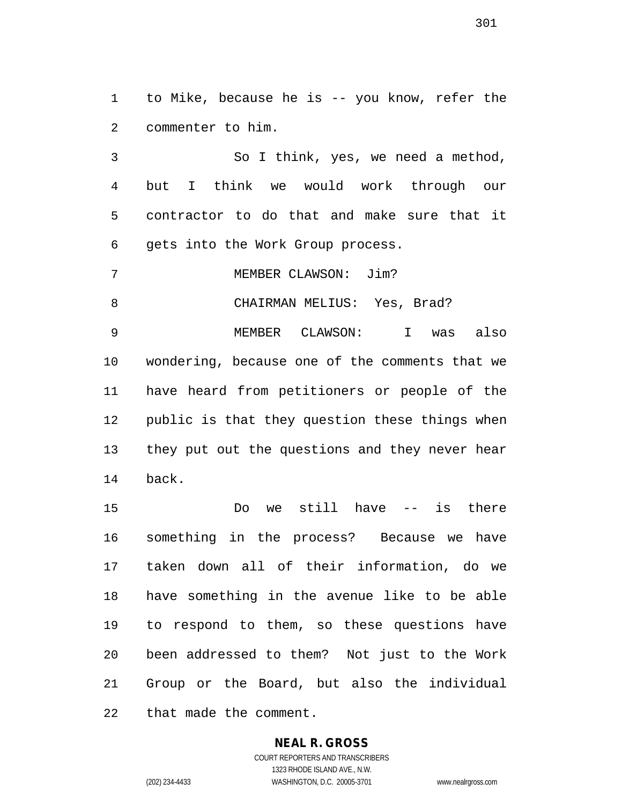to Mike, because he is -- you know, refer the commenter to him.

 So I think, yes, we need a method, but I think we would work through our contractor to do that and make sure that it gets into the Work Group process.

MEMBER CLAWSON: Jim?

8 CHAIRMAN MELIUS: Yes, Brad?

 MEMBER CLAWSON: I was also wondering, because one of the comments that we have heard from petitioners or people of the public is that they question these things when they put out the questions and they never hear back.

 Do we still have -- is there something in the process? Because we have taken down all of their information, do we have something in the avenue like to be able to respond to them, so these questions have been addressed to them? Not just to the Work Group or the Board, but also the individual that made the comment.

#### **NEAL R. GROSS** COURT REPORTERS AND TRANSCRIBERS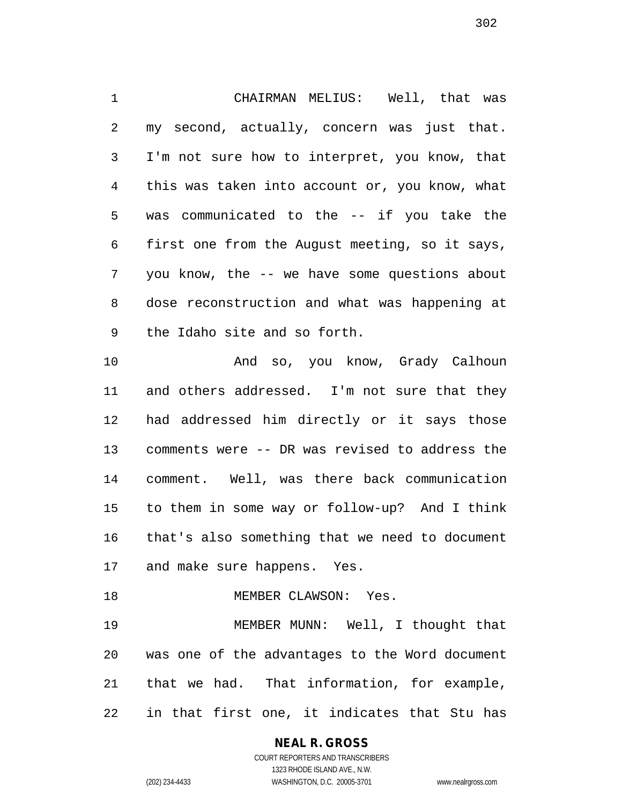CHAIRMAN MELIUS: Well, that was my second, actually, concern was just that. I'm not sure how to interpret, you know, that this was taken into account or, you know, what was communicated to the -- if you take the first one from the August meeting, so it says, you know, the -- we have some questions about dose reconstruction and what was happening at the Idaho site and so forth.

 And so, you know, Grady Calhoun 11 and others addressed. I'm not sure that they had addressed him directly or it says those comments were -- DR was revised to address the comment. Well, was there back communication to them in some way or follow-up? And I think that's also something that we need to document and make sure happens. Yes.

MEMBER CLAWSON: Yes.

 MEMBER MUNN: Well, I thought that was one of the advantages to the Word document that we had. That information, for example, in that first one, it indicates that Stu has

# **NEAL R. GROSS**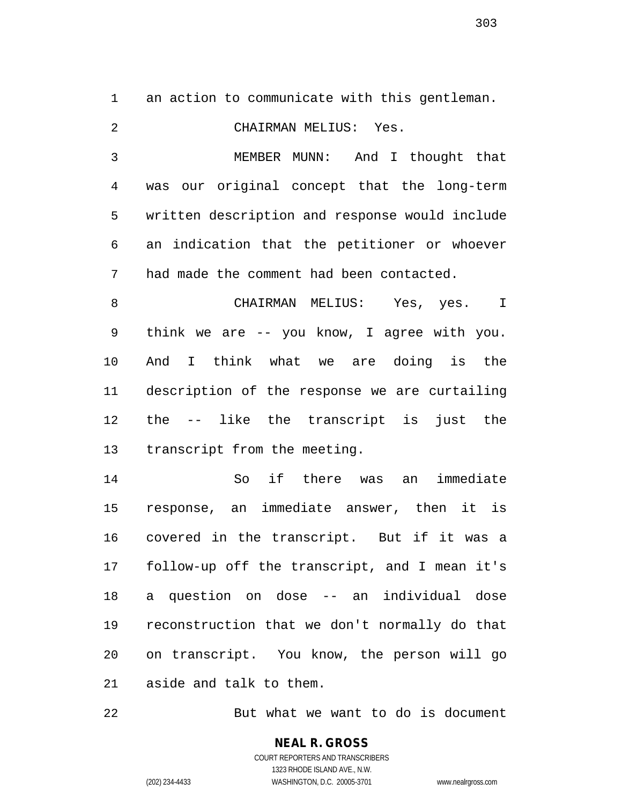an action to communicate with this gentleman.

 CHAIRMAN MELIUS: Yes. MEMBER MUNN: And I thought that was our original concept that the long-term written description and response would include an indication that the petitioner or whoever had made the comment had been contacted. CHAIRMAN MELIUS: Yes, yes. I think we are -- you know, I agree with you. And I think what we are doing is the description of the response we are curtailing the -- like the transcript is just the transcript from the meeting. So if there was an immediate response, an immediate answer, then it is covered in the transcript. But if it was a follow-up off the transcript, and I mean it's a question on dose -- an individual dose reconstruction that we don't normally do that

aside and talk to them.

But what we want to do is document

on transcript. You know, the person will go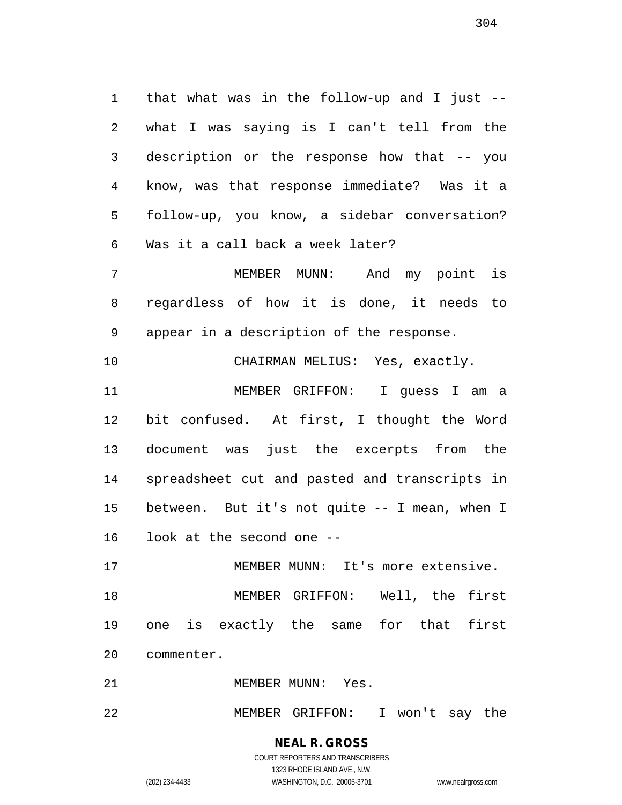that what was in the follow-up and I just -- what I was saying is I can't tell from the description or the response how that -- you know, was that response immediate? Was it a follow-up, you know, a sidebar conversation? Was it a call back a week later?

 MEMBER MUNN: And my point is regardless of how it is done, it needs to appear in a description of the response.

CHAIRMAN MELIUS: Yes, exactly.

 MEMBER GRIFFON: I guess I am a bit confused. At first, I thought the Word document was just the excerpts from the spreadsheet cut and pasted and transcripts in between. But it's not quite -- I mean, when I look at the second one --

 MEMBER MUNN: It's more extensive. MEMBER GRIFFON: Well, the first one is exactly the same for that first commenter.

21 MEMBER MUNN: Yes.

MEMBER GRIFFON: I won't say the

**NEAL R. GROSS** COURT REPORTERS AND TRANSCRIBERS 1323 RHODE ISLAND AVE., N.W.

(202) 234-4433 WASHINGTON, D.C. 20005-3701 www.nealrgross.com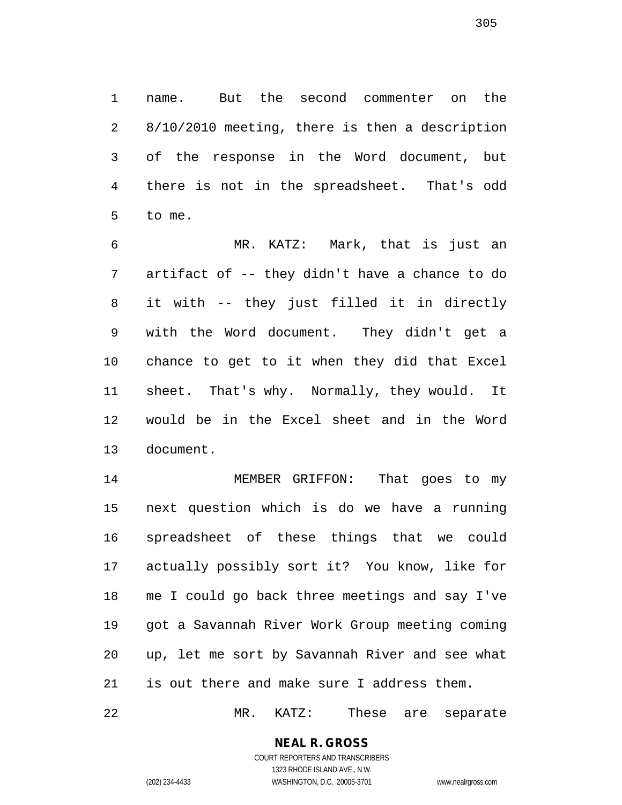name. But the second commenter on the 8/10/2010 meeting, there is then a description of the response in the Word document, but there is not in the spreadsheet. That's odd to me.

 MR. KATZ: Mark, that is just an artifact of -- they didn't have a chance to do it with -- they just filled it in directly with the Word document. They didn't get a chance to get to it when they did that Excel sheet. That's why. Normally, they would. It would be in the Excel sheet and in the Word document.

 MEMBER GRIFFON: That goes to my next question which is do we have a running spreadsheet of these things that we could actually possibly sort it? You know, like for me I could go back three meetings and say I've got a Savannah River Work Group meeting coming up, let me sort by Savannah River and see what is out there and make sure I address them.

MR. KATZ: These are separate

## **NEAL R. GROSS** COURT REPORTERS AND TRANSCRIBERS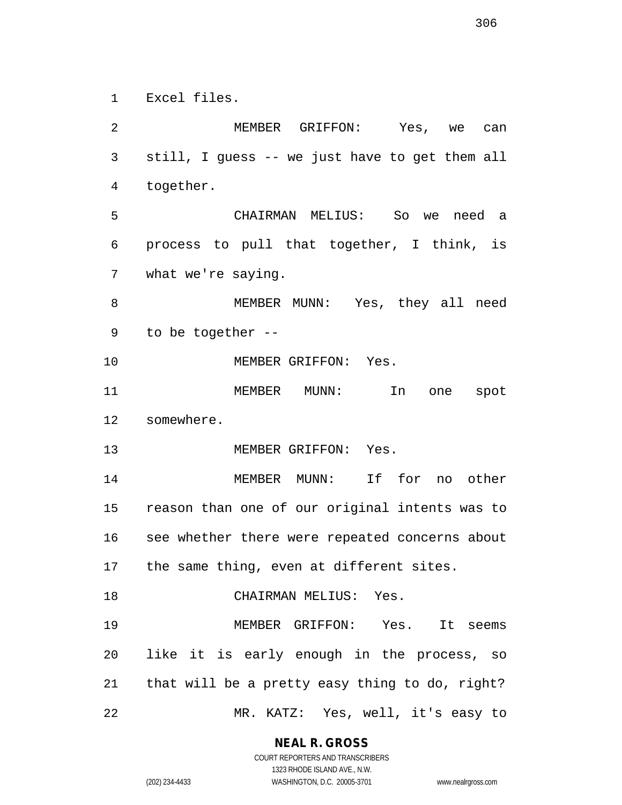Excel files.

 MEMBER GRIFFON: Yes, we can still, I guess -- we just have to get them all together. CHAIRMAN MELIUS: So we need a process to pull that together, I think, is what we're saying. MEMBER MUNN: Yes, they all need to be together -- MEMBER GRIFFON: Yes. MEMBER MUNN: In one spot somewhere. 13 MEMBER GRIFFON: Yes. MEMBER MUNN: If for no other reason than one of our original intents was to see whether there were repeated concerns about the same thing, even at different sites. 18 CHAIRMAN MELIUS: Yes. MEMBER GRIFFON: Yes. It seems like it is early enough in the process, so that will be a pretty easy thing to do, right? MR. KATZ: Yes, well, it's easy to

**NEAL R. GROSS**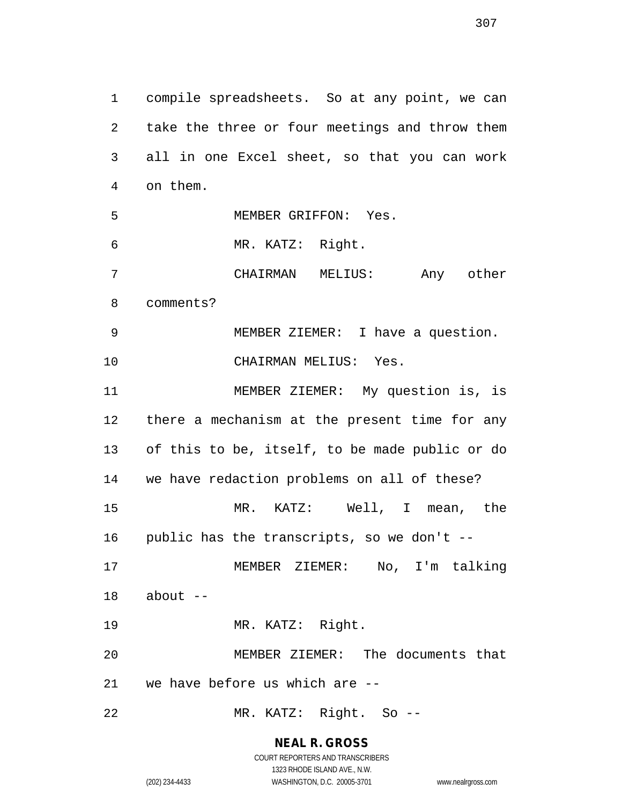compile spreadsheets. So at any point, we can take the three or four meetings and throw them all in one Excel sheet, so that you can work on them. MEMBER GRIFFON: Yes. MR. KATZ: Right. CHAIRMAN MELIUS: Any other comments? MEMBER ZIEMER: I have a question. CHAIRMAN MELIUS: Yes. MEMBER ZIEMER: My question is, is there a mechanism at the present time for any of this to be, itself, to be made public or do we have redaction problems on all of these? MR. KATZ: Well, I mean, the public has the transcripts, so we don't -- MEMBER ZIEMER: No, I'm talking about  $-$  MR. KATZ: Right. MEMBER ZIEMER: The documents that we have before us which are -- MR. KATZ: Right. So --

> **NEAL R. GROSS** COURT REPORTERS AND TRANSCRIBERS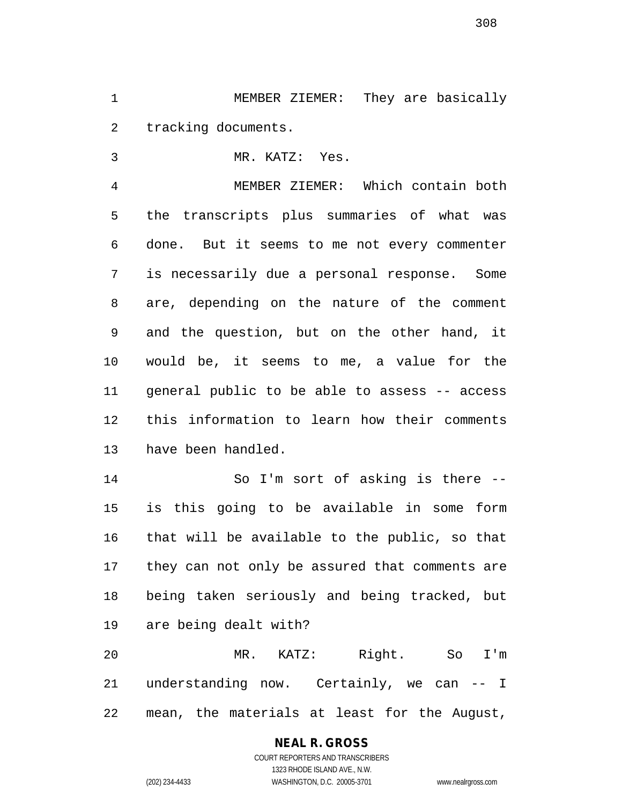MEMBER ZIEMER: They are basically tracking documents.

MR. KATZ: Yes.

 MEMBER ZIEMER: Which contain both the transcripts plus summaries of what was done. But it seems to me not every commenter is necessarily due a personal response. Some are, depending on the nature of the comment and the question, but on the other hand, it would be, it seems to me, a value for the general public to be able to assess -- access this information to learn how their comments have been handled.

 So I'm sort of asking is there -- is this going to be available in some form that will be available to the public, so that they can not only be assured that comments are being taken seriously and being tracked, but are being dealt with?

 MR. KATZ: Right. So I'm understanding now. Certainly, we can -- I mean, the materials at least for the August,

# **NEAL R. GROSS**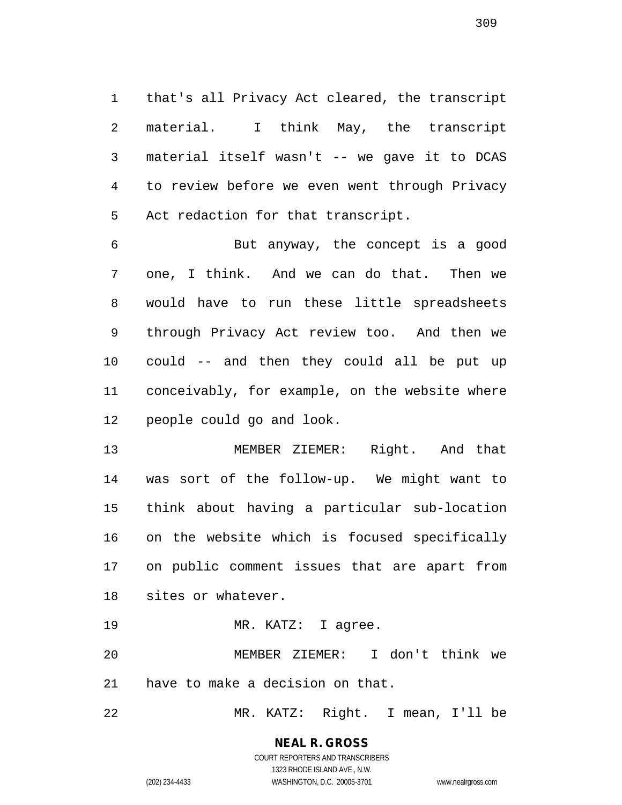that's all Privacy Act cleared, the transcript material. I think May, the transcript material itself wasn't -- we gave it to DCAS to review before we even went through Privacy Act redaction for that transcript.

 But anyway, the concept is a good one, I think. And we can do that. Then we would have to run these little spreadsheets through Privacy Act review too. And then we could -- and then they could all be put up conceivably, for example, on the website where people could go and look.

 MEMBER ZIEMER: Right. And that was sort of the follow-up. We might want to think about having a particular sub-location on the website which is focused specifically on public comment issues that are apart from sites or whatever.

19 MR. KATZ: I agree.

 MEMBER ZIEMER: I don't think we have to make a decision on that.

MR. KATZ: Right. I mean, I'll be

# **NEAL R. GROSS**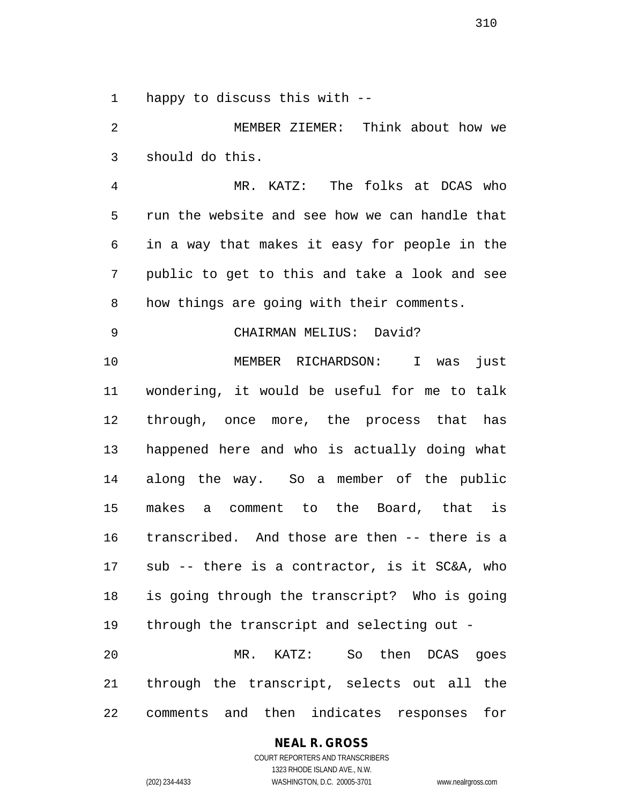happy to discuss this with --

 MEMBER ZIEMER: Think about how we should do this.

 MR. KATZ: The folks at DCAS who run the website and see how we can handle that in a way that makes it easy for people in the public to get to this and take a look and see how things are going with their comments.

CHAIRMAN MELIUS: David?

 MEMBER RICHARDSON: I was just wondering, it would be useful for me to talk through, once more, the process that has happened here and who is actually doing what along the way. So a member of the public makes a comment to the Board, that is transcribed. And those are then -- there is a sub -- there is a contractor, is it SC&A, who is going through the transcript? Who is going through the transcript and selecting out - MR. KATZ: So then DCAS goes through the transcript, selects out all the comments and then indicates responses for

**NEAL R. GROSS**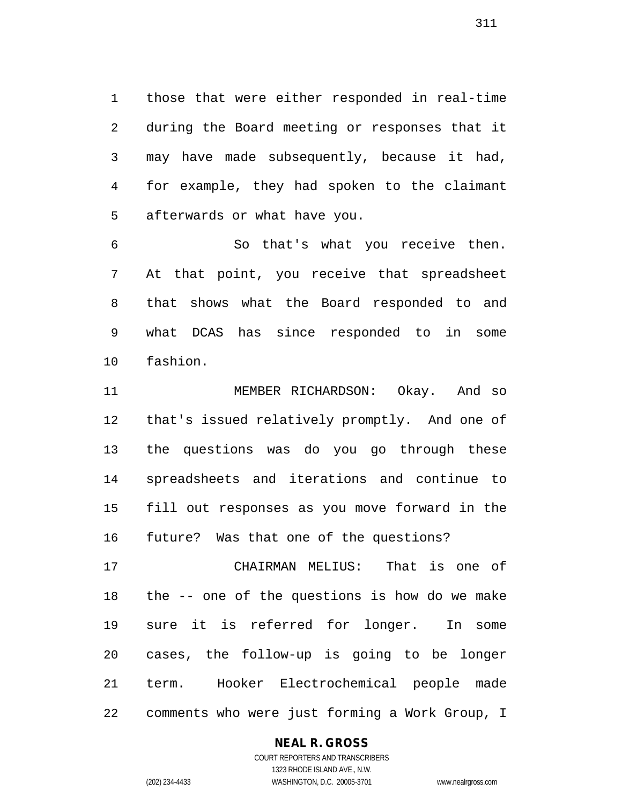those that were either responded in real-time during the Board meeting or responses that it may have made subsequently, because it had, for example, they had spoken to the claimant afterwards or what have you.

 So that's what you receive then. At that point, you receive that spreadsheet that shows what the Board responded to and what DCAS has since responded to in some fashion.

 MEMBER RICHARDSON: Okay. And so that's issued relatively promptly. And one of the questions was do you go through these spreadsheets and iterations and continue to fill out responses as you move forward in the future? Was that one of the questions?

 CHAIRMAN MELIUS: That is one of the -- one of the questions is how do we make sure it is referred for longer. In some cases, the follow-up is going to be longer term. Hooker Electrochemical people made comments who were just forming a Work Group, I

## **NEAL R. GROSS**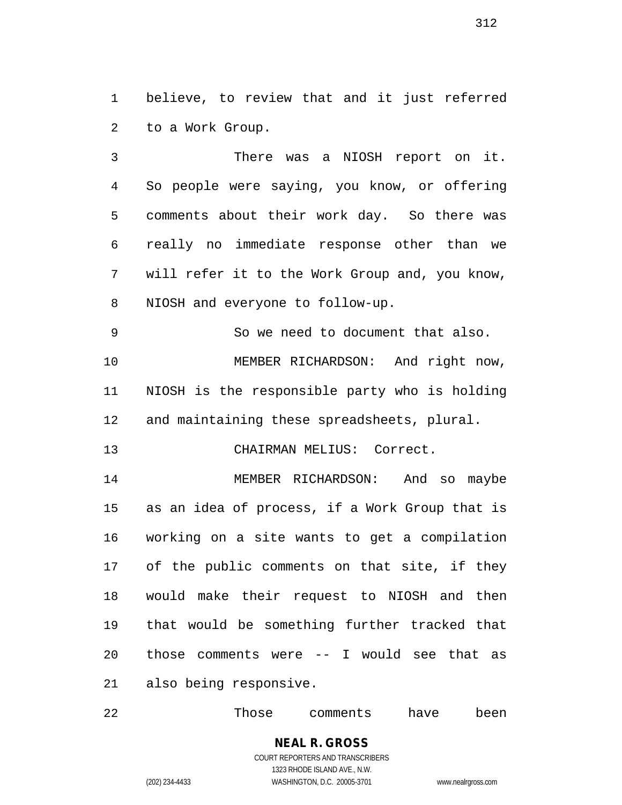believe, to review that and it just referred to a Work Group.

 There was a NIOSH report on it. So people were saying, you know, or offering comments about their work day. So there was really no immediate response other than we will refer it to the Work Group and, you know, NIOSH and everyone to follow-up.

 So we need to document that also. MEMBER RICHARDSON: And right now, NIOSH is the responsible party who is holding and maintaining these spreadsheets, plural.

CHAIRMAN MELIUS: Correct.

 MEMBER RICHARDSON: And so maybe as an idea of process, if a Work Group that is working on a site wants to get a compilation of the public comments on that site, if they would make their request to NIOSH and then that would be something further tracked that those comments were -- I would see that as also being responsive.

Those comments have been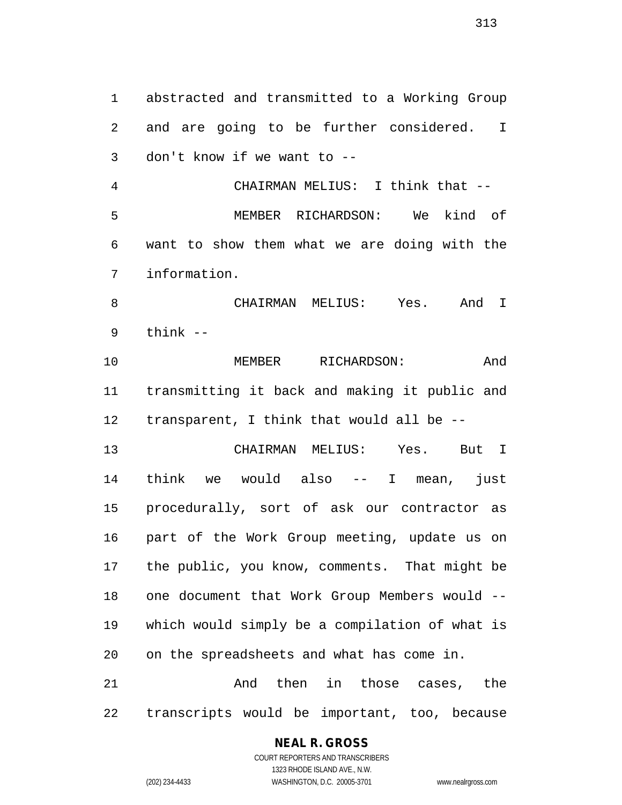abstracted and transmitted to a Working Group and are going to be further considered. I don't know if we want to -- CHAIRMAN MELIUS: I think that -- MEMBER RICHARDSON: We kind of want to show them what we are doing with the information. CHAIRMAN MELIUS: Yes. And I think -- MEMBER RICHARDSON: And transmitting it back and making it public and transparent, I think that would all be -- CHAIRMAN MELIUS: Yes. But I think we would also -- I mean, just procedurally, sort of ask our contractor as part of the Work Group meeting, update us on the public, you know, comments. That might be one document that Work Group Members would -- which would simply be a compilation of what is on the spreadsheets and what has come in. 21 and then in those cases, the transcripts would be important, too, because

#### **NEAL R. GROSS**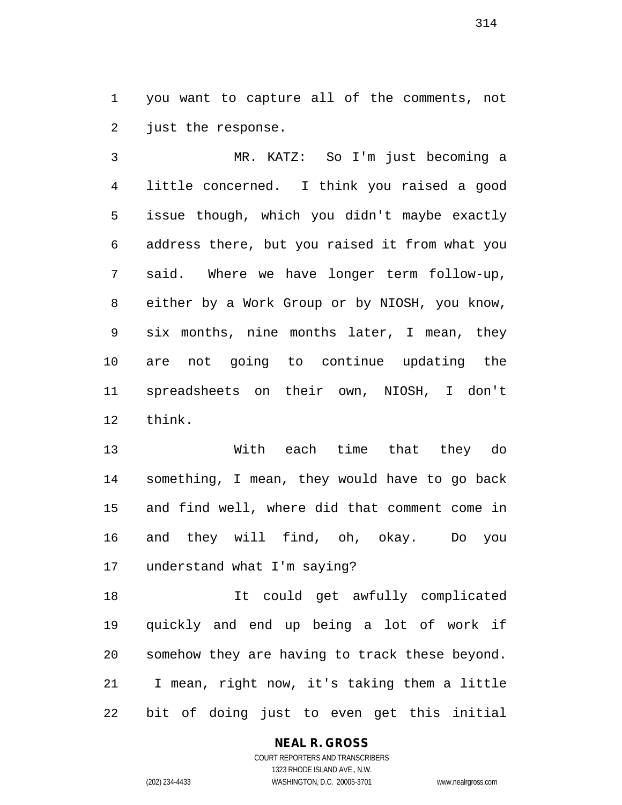you want to capture all of the comments, not just the response.

 MR. KATZ: So I'm just becoming a little concerned. I think you raised a good issue though, which you didn't maybe exactly address there, but you raised it from what you said. Where we have longer term follow-up, either by a Work Group or by NIOSH, you know, six months, nine months later, I mean, they are not going to continue updating the spreadsheets on their own, NIOSH, I don't think.

 With each time that they do something, I mean, they would have to go back and find well, where did that comment come in and they will find, oh, okay. Do you understand what I'm saying?

 It could get awfully complicated quickly and end up being a lot of work if somehow they are having to track these beyond. I mean, right now, it's taking them a little bit of doing just to even get this initial

## **NEAL R. GROSS**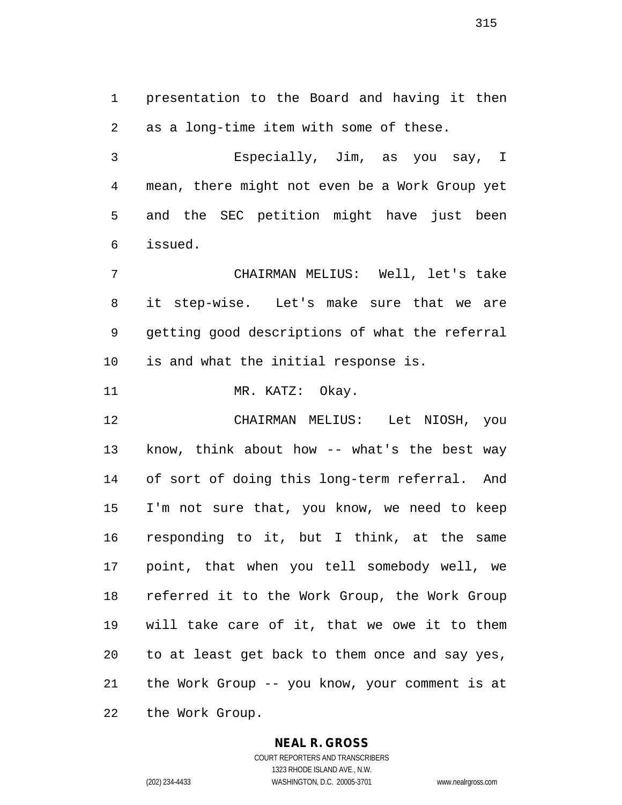presentation to the Board and having it then as a long-time item with some of these.

 Especially, Jim, as you say, I mean, there might not even be a Work Group yet and the SEC petition might have just been issued.

 CHAIRMAN MELIUS: Well, let's take it step-wise. Let's make sure that we are getting good descriptions of what the referral is and what the initial response is.

11 MR. KATZ: Okay.

 CHAIRMAN MELIUS: Let NIOSH, you know, think about how -- what's the best way of sort of doing this long-term referral. And I'm not sure that, you know, we need to keep responding to it, but I think, at the same point, that when you tell somebody well, we referred it to the Work Group, the Work Group will take care of it, that we owe it to them to at least get back to them once and say yes, the Work Group -- you know, your comment is at the Work Group.

## **NEAL R. GROSS**

COURT REPORTERS AND TRANSCRIBERS 1323 RHODE ISLAND AVE., N.W. (202) 234-4433 WASHINGTON, D.C. 20005-3701 www.nealrgross.com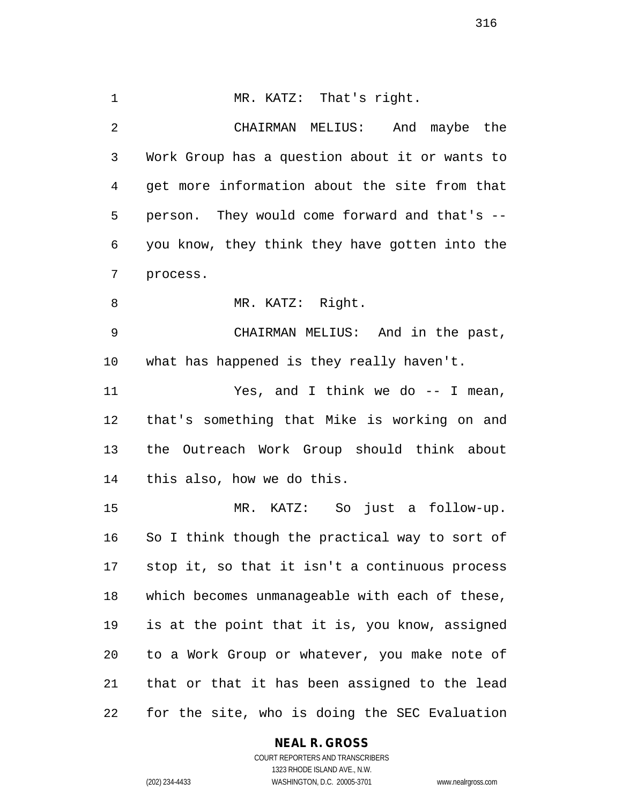1 MR. KATZ: That's right. CHAIRMAN MELIUS: And maybe the Work Group has a question about it or wants to get more information about the site from that person. They would come forward and that's -- you know, they think they have gotten into the process. 8 MR. KATZ: Right. CHAIRMAN MELIUS: And in the past, what has happened is they really haven't. Yes, and I think we do -- I mean, that's something that Mike is working on and the Outreach Work Group should think about this also, how we do this. MR. KATZ: So just a follow-up. So I think though the practical way to sort of stop it, so that it isn't a continuous process which becomes unmanageable with each of these, is at the point that it is, you know, assigned to a Work Group or whatever, you make note of that or that it has been assigned to the lead for the site, who is doing the SEC Evaluation

## **NEAL R. GROSS**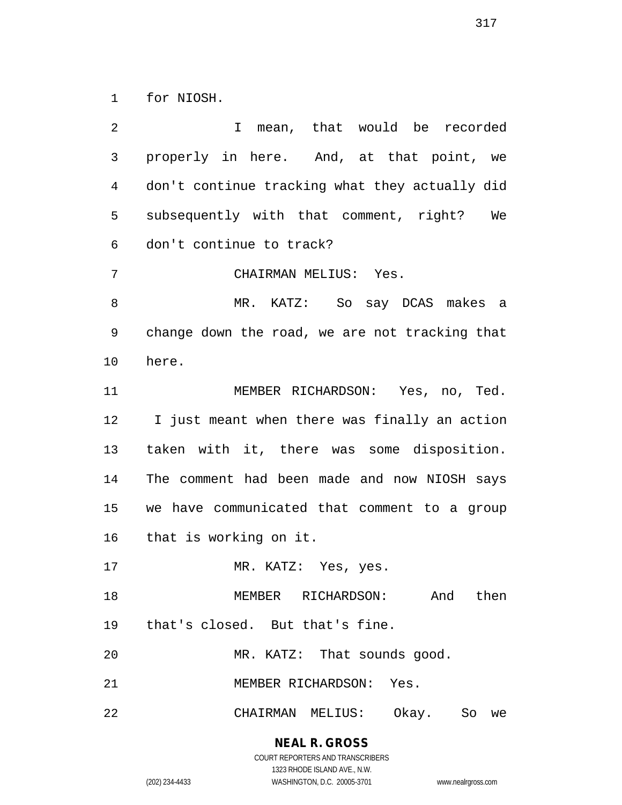for NIOSH.

 I mean, that would be recorded properly in here. And, at that point, we don't continue tracking what they actually did subsequently with that comment, right? We don't continue to track? CHAIRMAN MELIUS: Yes. MR. KATZ: So say DCAS makes a change down the road, we are not tracking that here. MEMBER RICHARDSON: Yes, no, Ted. I just meant when there was finally an action taken with it, there was some disposition. The comment had been made and now NIOSH says we have communicated that comment to a group that is working on it. 17 MR. KATZ: Yes, yes. MEMBER RICHARDSON: And then that's closed. But that's fine. 20 MR. KATZ: That sounds good. MEMBER RICHARDSON: Yes. CHAIRMAN MELIUS: Okay. So we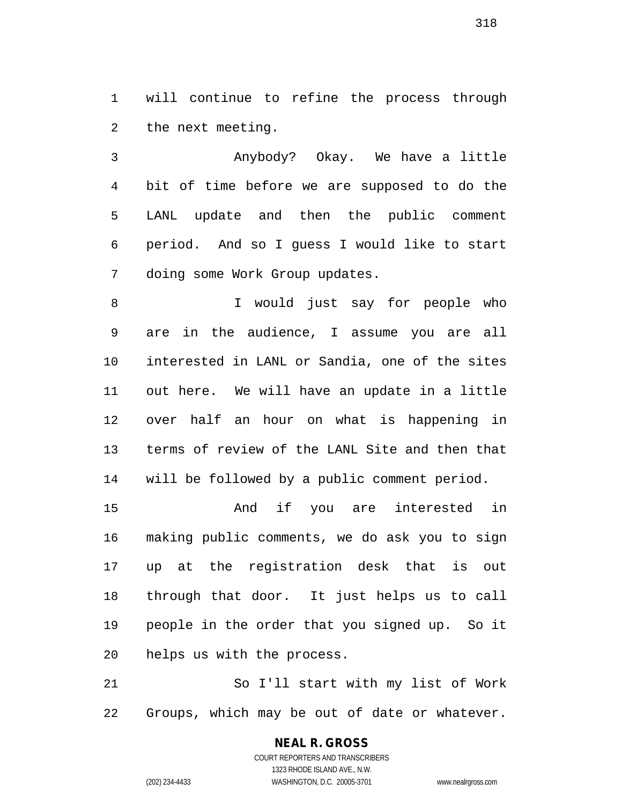will continue to refine the process through the next meeting.

 Anybody? Okay. We have a little bit of time before we are supposed to do the LANL update and then the public comment period. And so I guess I would like to start doing some Work Group updates.

 I would just say for people who are in the audience, I assume you are all interested in LANL or Sandia, one of the sites out here. We will have an update in a little over half an hour on what is happening in terms of review of the LANL Site and then that will be followed by a public comment period.

 And if you are interested in making public comments, we do ask you to sign up at the registration desk that is out through that door. It just helps us to call people in the order that you signed up. So it helps us with the process.

 So I'll start with my list of Work Groups, which may be out of date or whatever.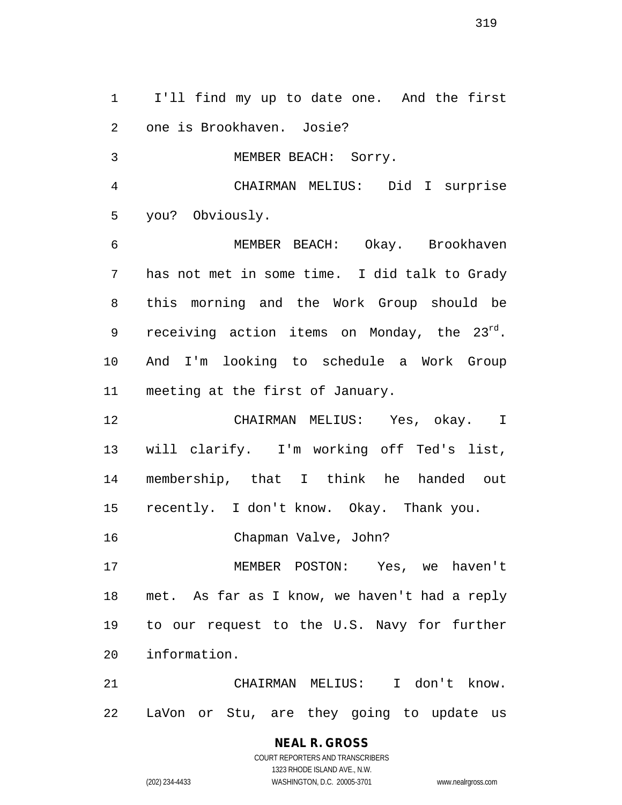I'll find my up to date one. And the first one is Brookhaven. Josie?

MEMBER BEACH: Sorry.

 CHAIRMAN MELIUS: Did I surprise you? Obviously.

 MEMBER BEACH: Okay. Brookhaven has not met in some time. I did talk to Grady this morning and the Work Group should be 9 receiving action items on Monday, the  $23^{rd}$ . And I'm looking to schedule a Work Group meeting at the first of January.

 CHAIRMAN MELIUS: Yes, okay. I will clarify. I'm working off Ted's list, membership, that I think he handed out recently. I don't know. Okay. Thank you.

Chapman Valve, John?

 MEMBER POSTON: Yes, we haven't met. As far as I know, we haven't had a reply to our request to the U.S. Navy for further information.

 CHAIRMAN MELIUS: I don't know. LaVon or Stu, are they going to update us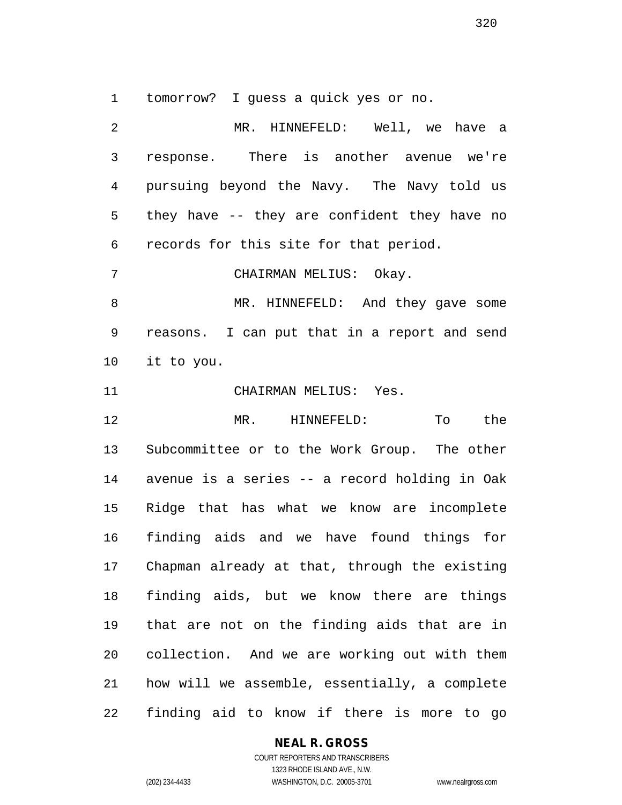tomorrow? I guess a quick yes or no.

 MR. HINNEFELD: Well, we have a response. There is another avenue we're pursuing beyond the Navy. The Navy told us they have -- they are confident they have no records for this site for that period. CHAIRMAN MELIUS: Okay. 8 MR. HINNEFELD: And they gave some reasons. I can put that in a report and send it to you. CHAIRMAN MELIUS: Yes. MR. HINNEFELD: To the Subcommittee or to the Work Group. The other avenue is a series -- a record holding in Oak Ridge that has what we know are incomplete finding aids and we have found things for Chapman already at that, through the existing finding aids, but we know there are things that are not on the finding aids that are in collection. And we are working out with them how will we assemble, essentially, a complete finding aid to know if there is more to go

## **NEAL R. GROSS**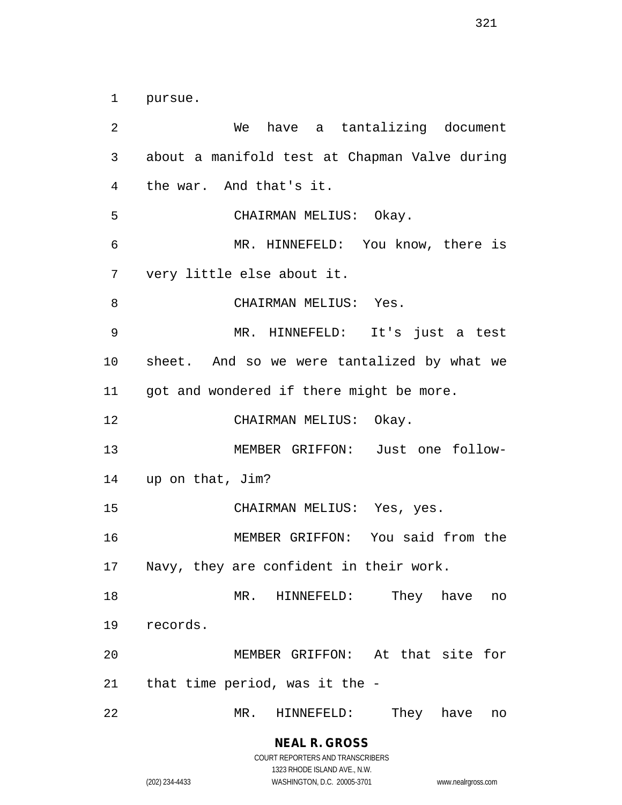pursue.

 We have a tantalizing document about a manifold test at Chapman Valve during the war. And that's it. CHAIRMAN MELIUS: Okay. MR. HINNEFELD: You know, there is very little else about it. CHAIRMAN MELIUS: Yes. MR. HINNEFELD: It's just a test sheet. And so we were tantalized by what we 11 got and wondered if there might be more. CHAIRMAN MELIUS: Okay. MEMBER GRIFFON: Just one follow- up on that, Jim? CHAIRMAN MELIUS: Yes, yes. MEMBER GRIFFON: You said from the Navy, they are confident in their work. MR. HINNEFELD: They have no records. MEMBER GRIFFON: At that site for that time period, was it the - MR. HINNEFELD: They have no

> **NEAL R. GROSS** COURT REPORTERS AND TRANSCRIBERS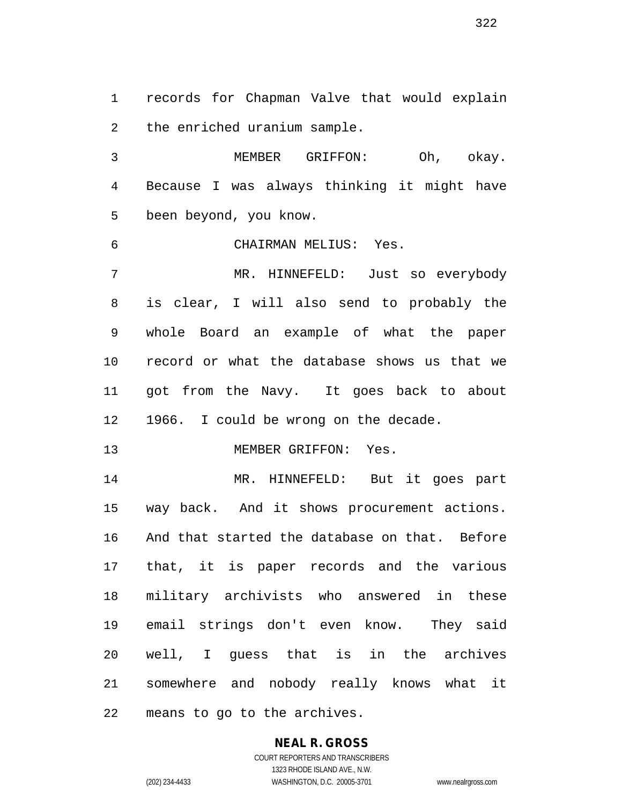records for Chapman Valve that would explain the enriched uranium sample.

 MEMBER GRIFFON: Oh, okay. Because I was always thinking it might have been beyond, you know.

CHAIRMAN MELIUS: Yes.

 MR. HINNEFELD: Just so everybody is clear, I will also send to probably the whole Board an example of what the paper record or what the database shows us that we got from the Navy. It goes back to about 1966. I could be wrong on the decade.

13 MEMBER GRIFFON: Yes.

 MR. HINNEFELD: But it goes part way back. And it shows procurement actions. And that started the database on that. Before that, it is paper records and the various military archivists who answered in these email strings don't even know. They said well, I guess that is in the archives somewhere and nobody really knows what it means to go to the archives.

> **NEAL R. GROSS** COURT REPORTERS AND TRANSCRIBERS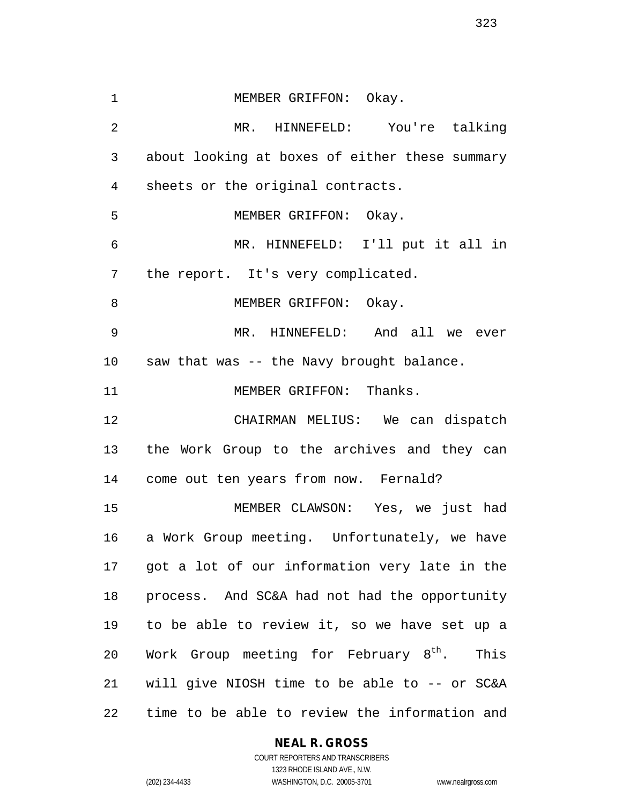1 MEMBER GRIFFON: Okay. MR. HINNEFELD: You're talking about looking at boxes of either these summary sheets or the original contracts. MEMBER GRIFFON: Okay. MR. HINNEFELD: I'll put it all in the report. It's very complicated. 8 MEMBER GRIFFON: Okay. MR. HINNEFELD: And all we ever saw that was -- the Navy brought balance. 11 MEMBER GRIFFON: Thanks. CHAIRMAN MELIUS: We can dispatch the Work Group to the archives and they can come out ten years from now. Fernald? MEMBER CLAWSON: Yes, we just had a Work Group meeting. Unfortunately, we have got a lot of our information very late in the process. And SC&A had not had the opportunity to be able to review it, so we have set up a 20 Work Group meeting for February  $8^{th}$ . This will give NIOSH time to be able to -- or SC&A time to be able to review the information and

## **NEAL R. GROSS**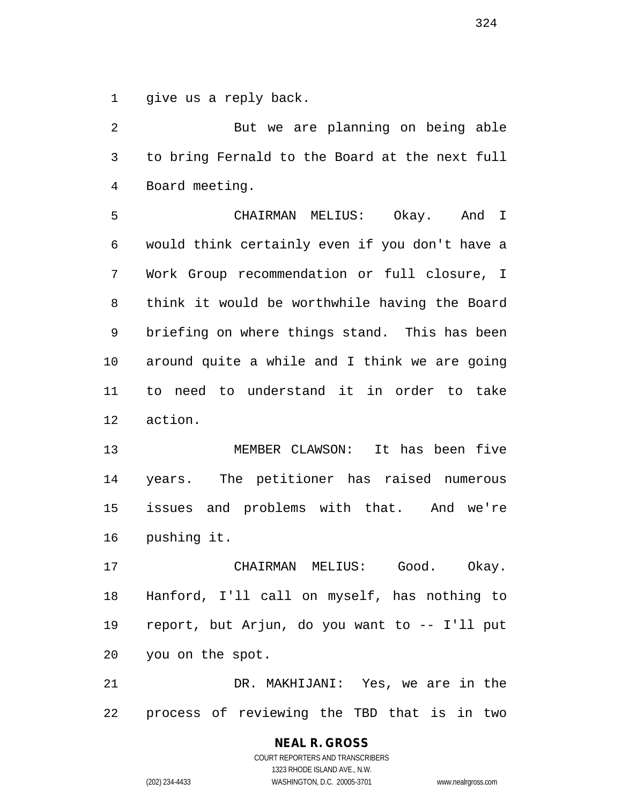give us a reply back.

2 But we are planning on being able to bring Fernald to the Board at the next full Board meeting.

 CHAIRMAN MELIUS: Okay. And I would think certainly even if you don't have a Work Group recommendation or full closure, I think it would be worthwhile having the Board briefing on where things stand. This has been around quite a while and I think we are going to need to understand it in order to take action.

 MEMBER CLAWSON: It has been five years. The petitioner has raised numerous issues and problems with that. And we're pushing it.

 CHAIRMAN MELIUS: Good. Okay. Hanford, I'll call on myself, has nothing to report, but Arjun, do you want to -- I'll put you on the spot.

 DR. MAKHIJANI: Yes, we are in the process of reviewing the TBD that is in two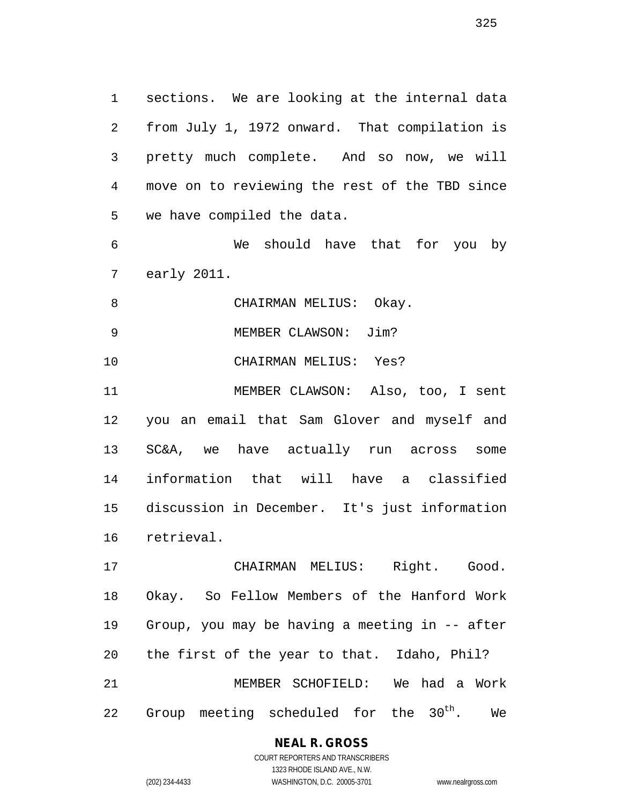sections. We are looking at the internal data from July 1, 1972 onward. That compilation is pretty much complete. And so now, we will move on to reviewing the rest of the TBD since we have compiled the data.

 We should have that for you by early 2011.

8 CHAIRMAN MELIUS: Okay.

MEMBER CLAWSON: Jim?

CHAIRMAN MELIUS: Yes?

 MEMBER CLAWSON: Also, too, I sent you an email that Sam Glover and myself and SC&A, we have actually run across some information that will have a classified discussion in December. It's just information retrieval.

 CHAIRMAN MELIUS: Right. Good. Okay. So Fellow Members of the Hanford Work Group, you may be having a meeting in -- after the first of the year to that. Idaho, Phil? MEMBER SCHOFIELD: We had a Work 22 Group meeting scheduled for the 30<sup>th</sup>. We

# **NEAL R. GROSS**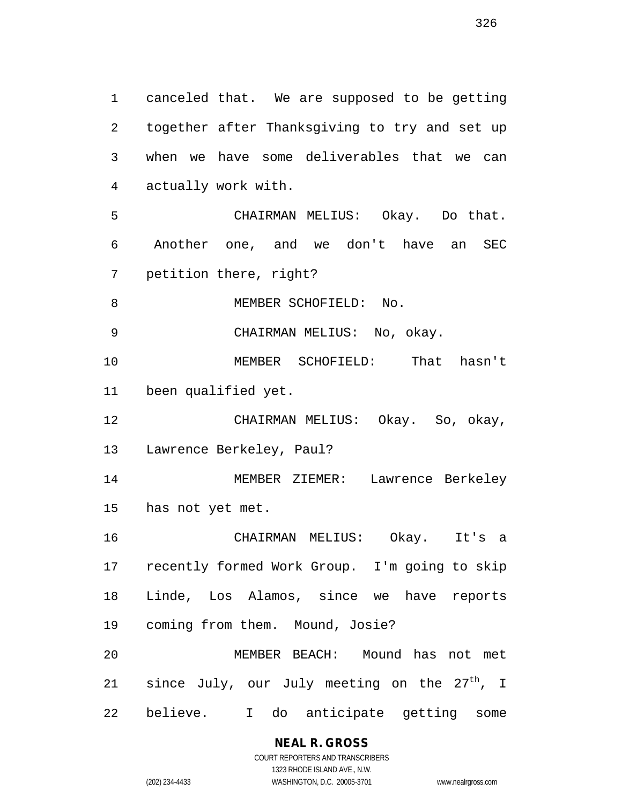canceled that. We are supposed to be getting together after Thanksgiving to try and set up when we have some deliverables that we can actually work with. CHAIRMAN MELIUS: Okay. Do that. Another one, and we don't have an SEC petition there, right? 8 MEMBER SCHOFIELD: No. CHAIRMAN MELIUS: No, okay. MEMBER SCHOFIELD: That hasn't been qualified yet. CHAIRMAN MELIUS: Okay. So, okay, Lawrence Berkeley, Paul? MEMBER ZIEMER: Lawrence Berkeley has not yet met. CHAIRMAN MELIUS: Okay. It's a recently formed Work Group. I'm going to skip Linde, Los Alamos, since we have reports coming from them. Mound, Josie? MEMBER BEACH: Mound has not met 21 since July, our July meeting on the  $27<sup>th</sup>$ , I believe. I do anticipate getting some

**NEAL R. GROSS**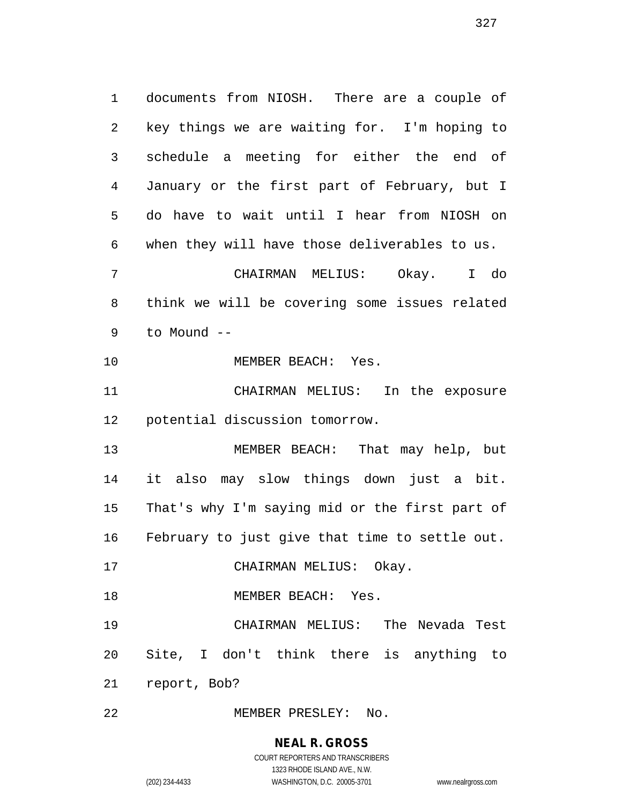documents from NIOSH. There are a couple of key things we are waiting for. I'm hoping to schedule a meeting for either the end of January or the first part of February, but I do have to wait until I hear from NIOSH on when they will have those deliverables to us.

 CHAIRMAN MELIUS: Okay. I do think we will be covering some issues related to Mound --

10 MEMBER BEACH: Yes.

 CHAIRMAN MELIUS: In the exposure potential discussion tomorrow.

 MEMBER BEACH: That may help, but it also may slow things down just a bit. That's why I'm saying mid or the first part of February to just give that time to settle out.

17 CHAIRMAN MELIUS: Okay.

18 MEMBER BEACH: Yes.

 CHAIRMAN MELIUS: The Nevada Test Site, I don't think there is anything to report, Bob?

MEMBER PRESLEY: No.

# **NEAL R. GROSS**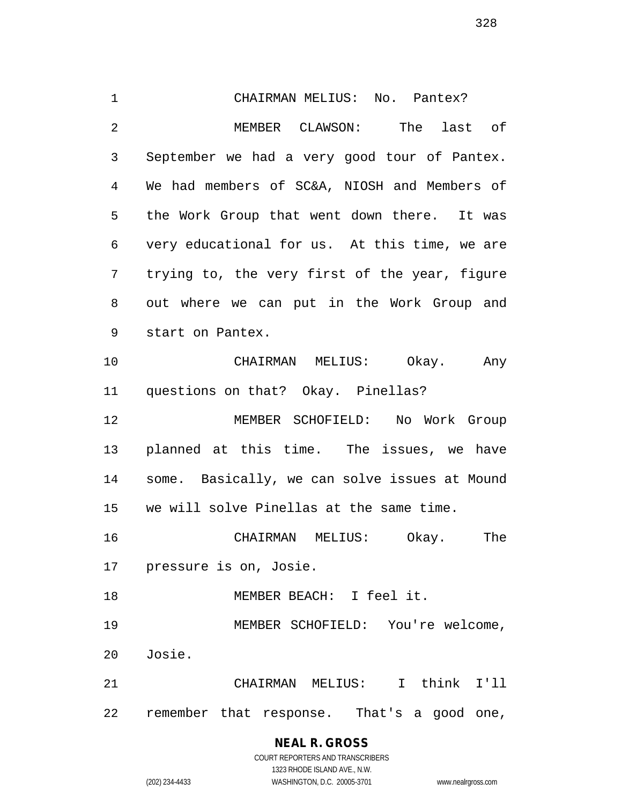CHAIRMAN MELIUS: No. Pantex? MEMBER CLAWSON: The last of September we had a very good tour of Pantex. We had members of SC&A, NIOSH and Members of the Work Group that went down there. It was very educational for us. At this time, we are trying to, the very first of the year, figure out where we can put in the Work Group and start on Pantex. CHAIRMAN MELIUS: Okay. Any questions on that? Okay. Pinellas? MEMBER SCHOFIELD: No Work Group planned at this time. The issues, we have some. Basically, we can solve issues at Mound we will solve Pinellas at the same time. CHAIRMAN MELIUS: Okay. The pressure is on, Josie. MEMBER BEACH: I feel it. MEMBER SCHOFIELD: You're welcome, Josie. CHAIRMAN MELIUS: I think I'll remember that response. That's a good one,

# **NEAL R. GROSS** COURT REPORTERS AND TRANSCRIBERS 1323 RHODE ISLAND AVE., N.W.

(202) 234-4433 WASHINGTON, D.C. 20005-3701 www.nealrgross.com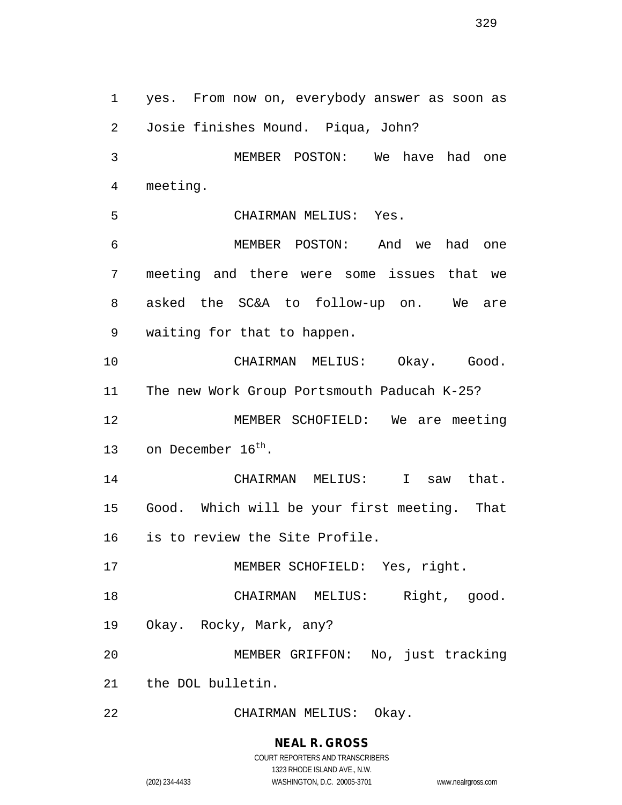yes. From now on, everybody answer as soon as Josie finishes Mound. Piqua, John? MEMBER POSTON: We have had one meeting. CHAIRMAN MELIUS: Yes. MEMBER POSTON: And we had one meeting and there were some issues that we asked the SC&A to follow-up on. We are waiting for that to happen. CHAIRMAN MELIUS: Okay. Good. The new Work Group Portsmouth Paducah K-25? MEMBER SCHOFIELD: We are meeting 13 on December  $16^{th}$ . CHAIRMAN MELIUS: I saw that. Good. Which will be your first meeting. That is to review the Site Profile. 17 MEMBER SCHOFIELD: Yes, right. CHAIRMAN MELIUS: Right, good. Okay. Rocky, Mark, any? MEMBER GRIFFON: No, just tracking the DOL bulletin. CHAIRMAN MELIUS: Okay.

**NEAL R. GROSS**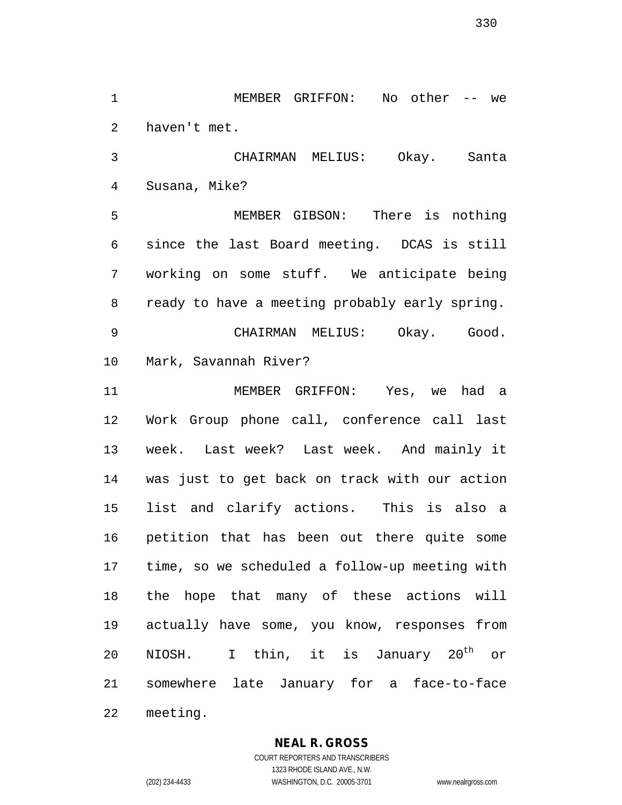MEMBER GRIFFON: No other -- we haven't met.

 CHAIRMAN MELIUS: Okay. Santa Susana, Mike?

 MEMBER GIBSON: There is nothing since the last Board meeting. DCAS is still working on some stuff. We anticipate being ready to have a meeting probably early spring. CHAIRMAN MELIUS: Okay. Good. Mark, Savannah River?

 MEMBER GRIFFON: Yes, we had a Work Group phone call, conference call last week. Last week? Last week. And mainly it was just to get back on track with our action list and clarify actions. This is also a petition that has been out there quite some time, so we scheduled a follow-up meeting with the hope that many of these actions will actually have some, you know, responses from 20 NIOSH. I thin, it is January  $20<sup>th</sup>$  or somewhere late January for a face-to-face

meeting.

# **NEAL R. GROSS**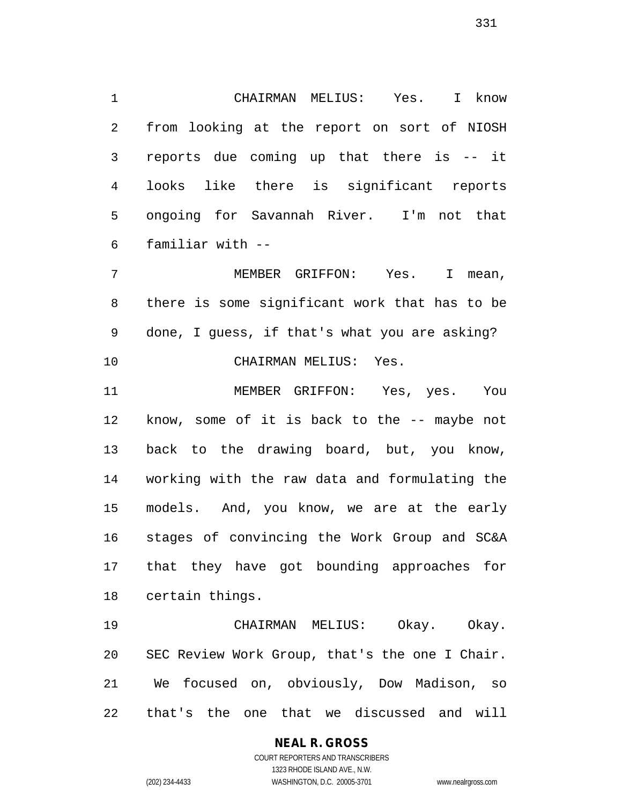CHAIRMAN MELIUS: Yes. I know from looking at the report on sort of NIOSH reports due coming up that there is -- it looks like there is significant reports ongoing for Savannah River. I'm not that familiar with --

 MEMBER GRIFFON: Yes. I mean, there is some significant work that has to be done, I guess, if that's what you are asking? CHAIRMAN MELIUS: Yes.

 MEMBER GRIFFON: Yes, yes. You know, some of it is back to the -- maybe not back to the drawing board, but, you know, working with the raw data and formulating the models. And, you know, we are at the early stages of convincing the Work Group and SC&A that they have got bounding approaches for certain things.

 CHAIRMAN MELIUS: Okay. Okay. SEC Review Work Group, that's the one I Chair. We focused on, obviously, Dow Madison, so that's the one that we discussed and will

# **NEAL R. GROSS**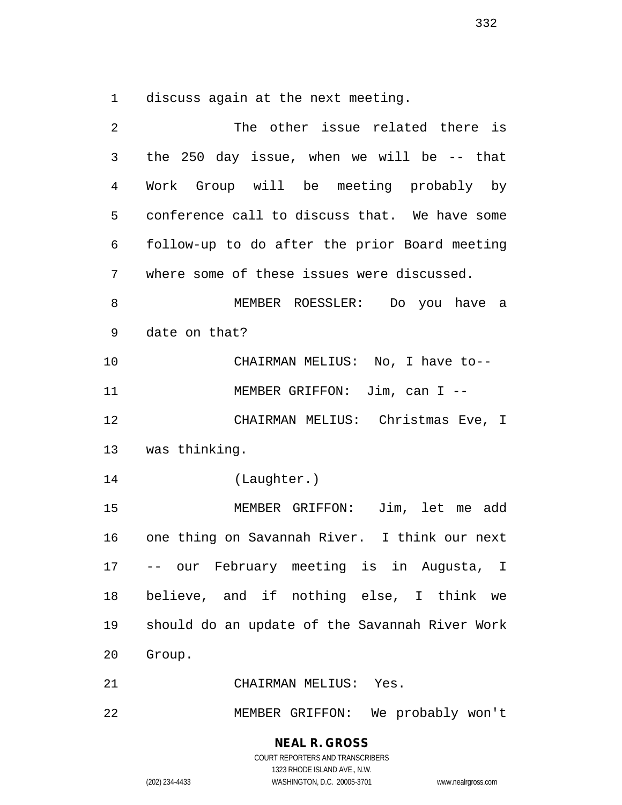discuss again at the next meeting.

| 2              | The other issue related there is               |
|----------------|------------------------------------------------|
| 3              | the 250 day issue, when we will be $-$ - that  |
| $\overline{4}$ | Work Group will be meeting probably by         |
| 5              | conference call to discuss that. We have some  |
| 6              | follow-up to do after the prior Board meeting  |
| 7              | where some of these issues were discussed.     |
| 8              | MEMBER ROESSLER: Do you have a                 |
| 9              | date on that?                                  |
| 10             | CHAIRMAN MELIUS: No, I have to--               |
| 11             | MEMBER GRIFFON: $Jim, can I --$                |
| 12             | CHAIRMAN MELIUS: Christmas Eve, I              |
|                | 13 was thinking.                               |
| 14             | (Laughter.)                                    |
| 15             | MEMBER GRIFFON: Jim, let me add                |
| 16             | one thing on Savannah River. I think our next  |
| 17             | -- our February meeting is in Augusta, I       |
| 18             | believe, and if nothing else, I think we       |
| 19             | should do an update of the Savannah River Work |
| 20             | Group.                                         |
| 21             | CHAIRMAN MELIUS: Yes.                          |
| 22             | MEMBER GRIFFON: We probably won't              |

**NEAL R. GROSS** COURT REPORTERS AND TRANSCRIBERS

1323 RHODE ISLAND AVE., N.W.

(202) 234-4433 WASHINGTON, D.C. 20005-3701 www.nealrgross.com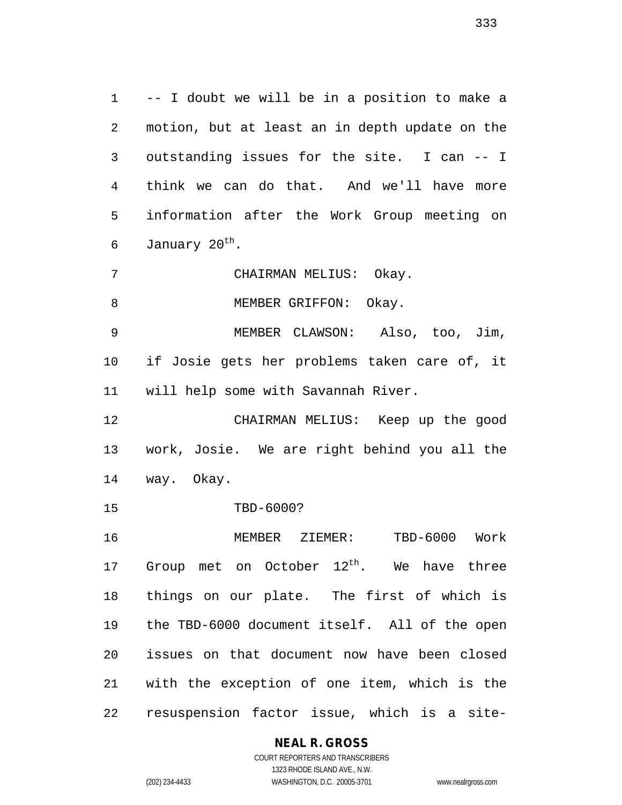-- I doubt we will be in a position to make a motion, but at least an in depth update on the outstanding issues for the site. I can -- I think we can do that. And we'll have more information after the Work Group meeting on 6 January 20<sup>th</sup>.

CHAIRMAN MELIUS: Okay.

8 MEMBER GRIFFON: Okay.

 MEMBER CLAWSON: Also, too, Jim, if Josie gets her problems taken care of, it will help some with Savannah River.

 CHAIRMAN MELIUS: Keep up the good work, Josie. We are right behind you all the way. Okay.

TBD-6000?

 MEMBER ZIEMER: TBD-6000 Work 17 Group met on October  $12^{th}$ . We have three things on our plate. The first of which is the TBD-6000 document itself. All of the open issues on that document now have been closed with the exception of one item, which is the resuspension factor issue, which is a site-

# **NEAL R. GROSS**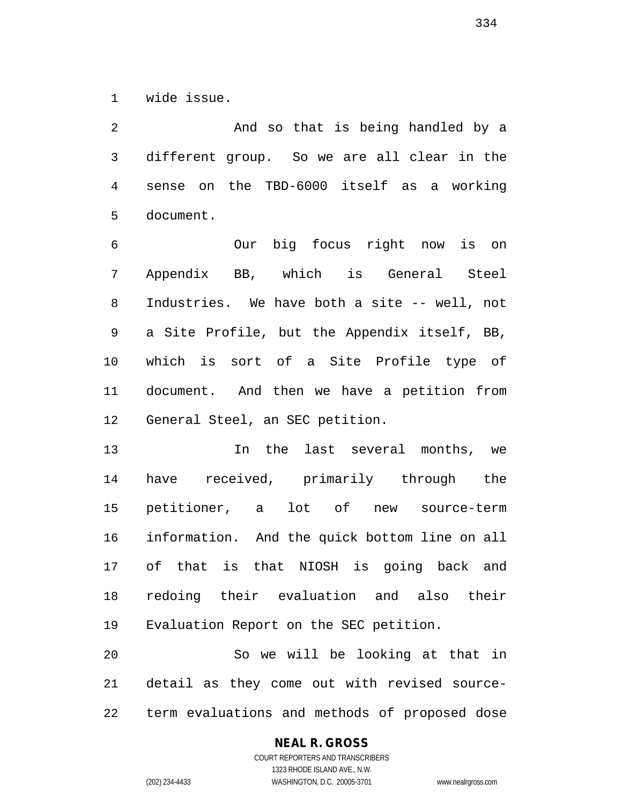wide issue.

 And so that is being handled by a different group. So we are all clear in the sense on the TBD-6000 itself as a working document.

 Our big focus right now is on Appendix BB, which is General Steel Industries. We have both a site -- well, not a Site Profile, but the Appendix itself, BB, which is sort of a Site Profile type of document. And then we have a petition from General Steel, an SEC petition.

 In the last several months, we have received, primarily through the petitioner, a lot of new source-term information. And the quick bottom line on all of that is that NIOSH is going back and redoing their evaluation and also their Evaluation Report on the SEC petition.

 So we will be looking at that in detail as they come out with revised source-term evaluations and methods of proposed dose

# **NEAL R. GROSS** COURT REPORTERS AND TRANSCRIBERS

1323 RHODE ISLAND AVE., N.W. (202) 234-4433 WASHINGTON, D.C. 20005-3701 www.nealrgross.com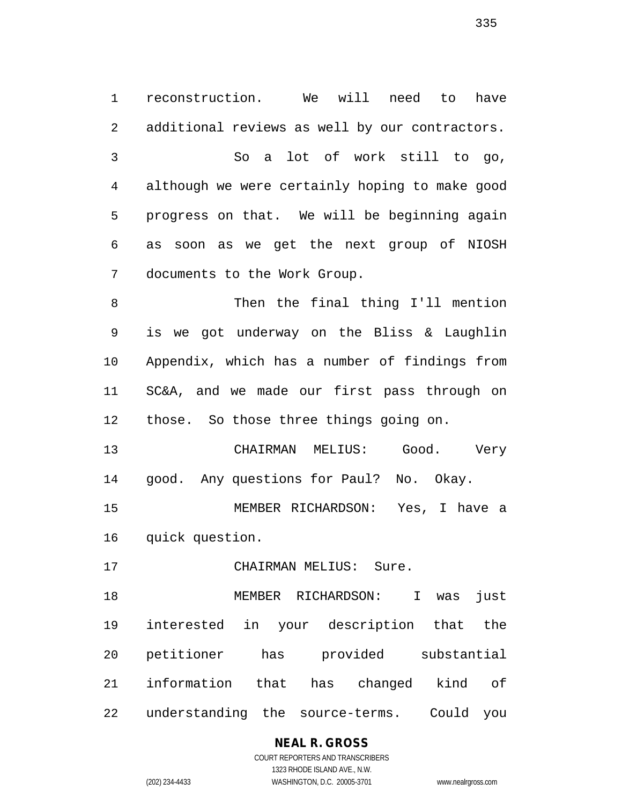reconstruction. We will need to have additional reviews as well by our contractors. So a lot of work still to go, although we were certainly hoping to make good progress on that. We will be beginning again as soon as we get the next group of NIOSH documents to the Work Group. Then the final thing I'll mention is we got underway on the Bliss & Laughlin

 Appendix, which has a number of findings from SC&A, and we made our first pass through on those. So those three things going on.

 CHAIRMAN MELIUS: Good. Very good. Any questions for Paul? No. Okay.

 MEMBER RICHARDSON: Yes, I have a quick question.

CHAIRMAN MELIUS: Sure.

 MEMBER RICHARDSON: I was just interested in your description that the petitioner has provided substantial information that has changed kind of understanding the source-terms. Could you

# **NEAL R. GROSS**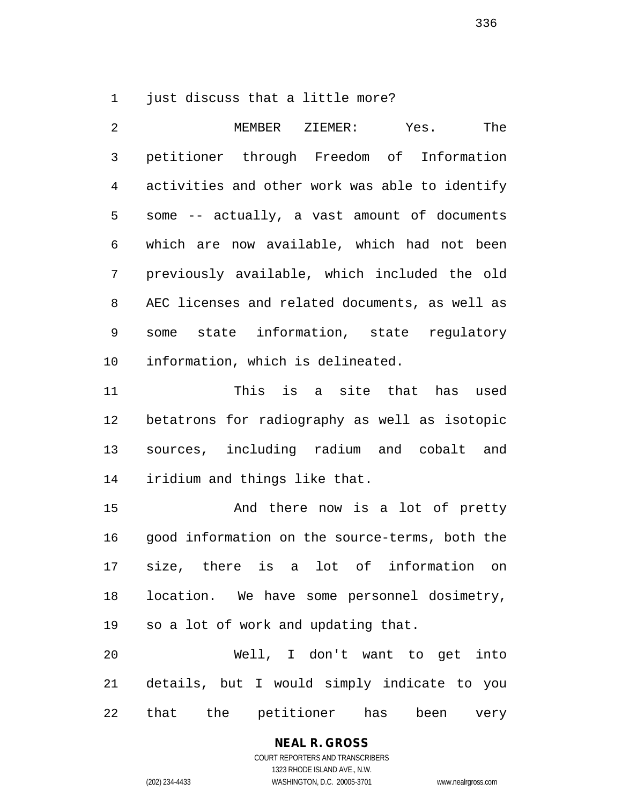1 just discuss that a little more?

 MEMBER ZIEMER: Yes. The petitioner through Freedom of Information activities and other work was able to identify some -- actually, a vast amount of documents which are now available, which had not been previously available, which included the old AEC licenses and related documents, as well as some state information, state regulatory information, which is delineated.

 This is a site that has used betatrons for radiography as well as isotopic sources, including radium and cobalt and iridium and things like that.

 And there now is a lot of pretty good information on the source-terms, both the size, there is a lot of information on location. We have some personnel dosimetry, so a lot of work and updating that.

 Well, I don't want to get into details, but I would simply indicate to you that the petitioner has been very

# **NEAL R. GROSS** COURT REPORTERS AND TRANSCRIBERS 1323 RHODE ISLAND AVE., N.W.

(202) 234-4433 WASHINGTON, D.C. 20005-3701 www.nealrgross.com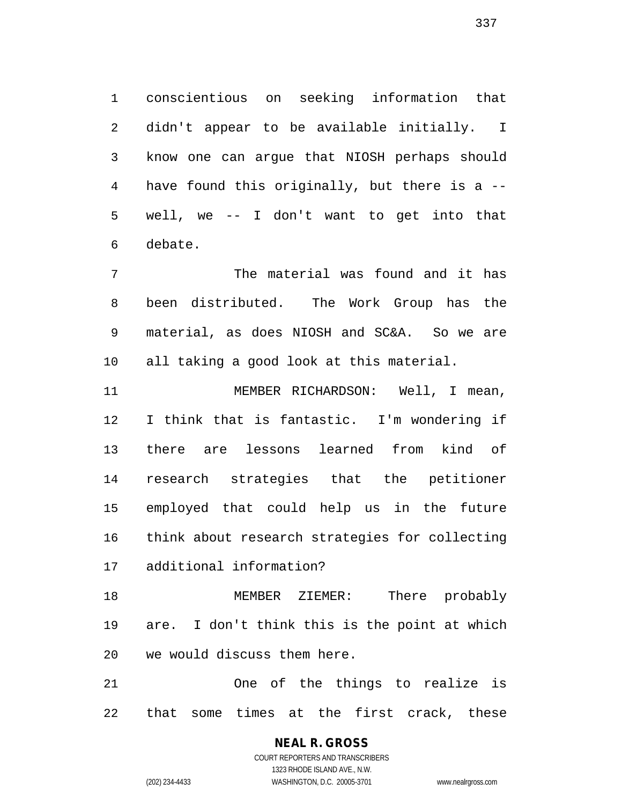conscientious on seeking information that didn't appear to be available initially. I know one can argue that NIOSH perhaps should have found this originally, but there is a -- well, we -- I don't want to get into that debate.

 The material was found and it has been distributed. The Work Group has the material, as does NIOSH and SC&A. So we are all taking a good look at this material.

 MEMBER RICHARDSON: Well, I mean, I think that is fantastic. I'm wondering if there are lessons learned from kind of research strategies that the petitioner employed that could help us in the future think about research strategies for collecting additional information?

 MEMBER ZIEMER: There probably are. I don't think this is the point at which we would discuss them here.

 One of the things to realize is that some times at the first crack, these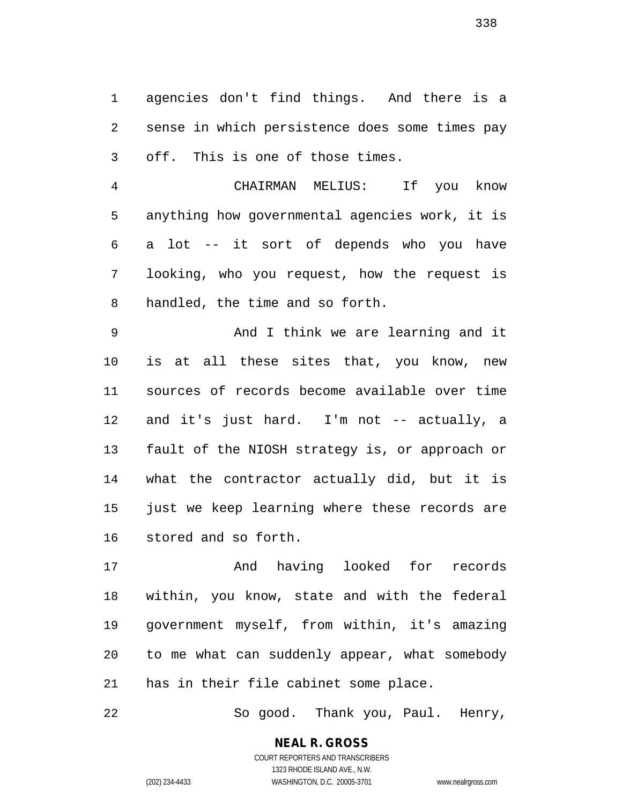agencies don't find things. And there is a sense in which persistence does some times pay off. This is one of those times.

 CHAIRMAN MELIUS: If you know anything how governmental agencies work, it is a lot -- it sort of depends who you have looking, who you request, how the request is handled, the time and so forth.

 And I think we are learning and it is at all these sites that, you know, new sources of records become available over time and it's just hard. I'm not -- actually, a fault of the NIOSH strategy is, or approach or what the contractor actually did, but it is just we keep learning where these records are stored and so forth.

 And having looked for records within, you know, state and with the federal government myself, from within, it's amazing to me what can suddenly appear, what somebody has in their file cabinet some place.

So good. Thank you, Paul. Henry,

**NEAL R. GROSS** COURT REPORTERS AND TRANSCRIBERS 1323 RHODE ISLAND AVE., N.W.

(202) 234-4433 WASHINGTON, D.C. 20005-3701 www.nealrgross.com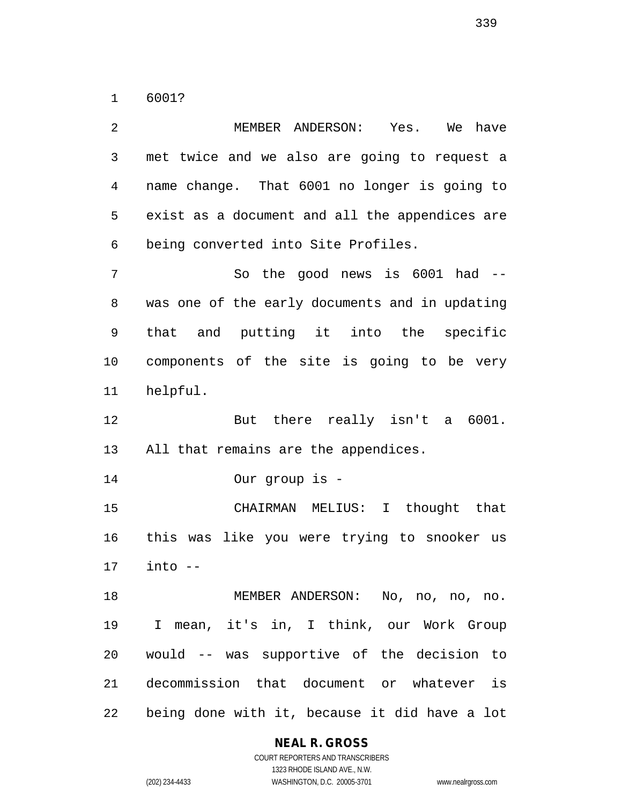6001?

 MEMBER ANDERSON: Yes. We have met twice and we also are going to request a name change. That 6001 no longer is going to exist as a document and all the appendices are being converted into Site Profiles. So the good news is 6001 had -- was one of the early documents and in updating that and putting it into the specific components of the site is going to be very helpful. But there really isn't a 6001. All that remains are the appendices. Our group is - CHAIRMAN MELIUS: I thought that this was like you were trying to snooker us into -- MEMBER ANDERSON: No, no, no, no. I mean, it's in, I think, our Work Group would -- was supportive of the decision to decommission that document or whatever is being done with it, because it did have a lot

**NEAL R. GROSS**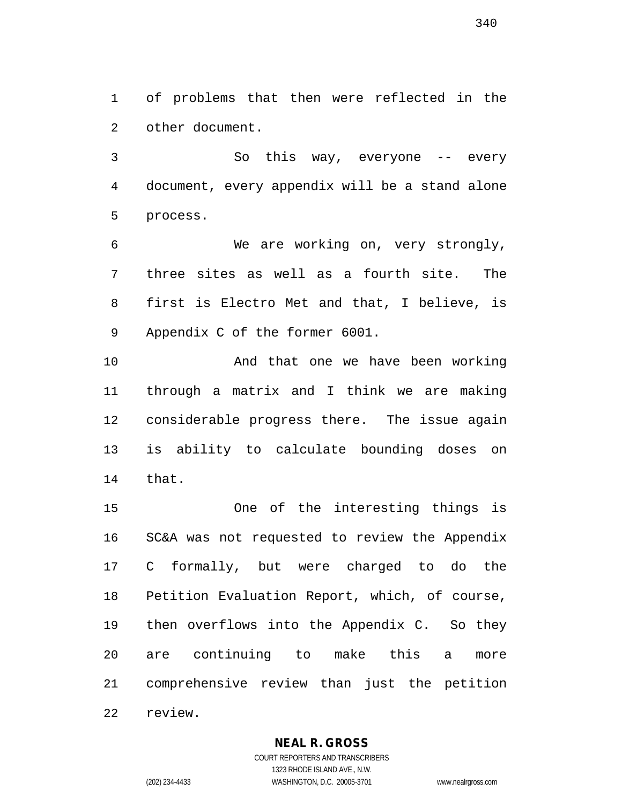of problems that then were reflected in the other document.

 So this way, everyone -- every document, every appendix will be a stand alone process.

 We are working on, very strongly, three sites as well as a fourth site. The first is Electro Met and that, I believe, is Appendix C of the former 6001.

10 And that one we have been working through a matrix and I think we are making considerable progress there. The issue again is ability to calculate bounding doses on that.

 One of the interesting things is SC&A was not requested to review the Appendix C formally, but were charged to do the Petition Evaluation Report, which, of course, then overflows into the Appendix C. So they are continuing to make this a more comprehensive review than just the petition review.

# **NEAL R. GROSS**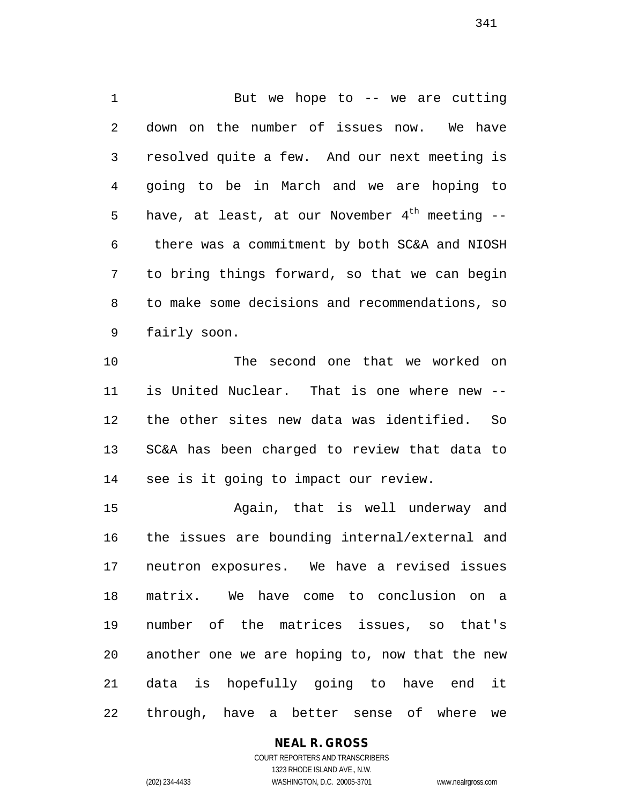1 But we hope to -- we are cutting down on the number of issues now. We have resolved quite a few. And our next meeting is going to be in March and we are hoping to 5 have, at least, at our November  $4^{th}$  meeting -- there was a commitment by both SC&A and NIOSH to bring things forward, so that we can begin to make some decisions and recommendations, so fairly soon.

 The second one that we worked on is United Nuclear. That is one where new -- the other sites new data was identified. So SC&A has been charged to review that data to see is it going to impact our review.

 Again, that is well underway and the issues are bounding internal/external and neutron exposures. We have a revised issues matrix. We have come to conclusion on a number of the matrices issues, so that's another one we are hoping to, now that the new data is hopefully going to have end it through, have a better sense of where we

# **NEAL R. GROSS**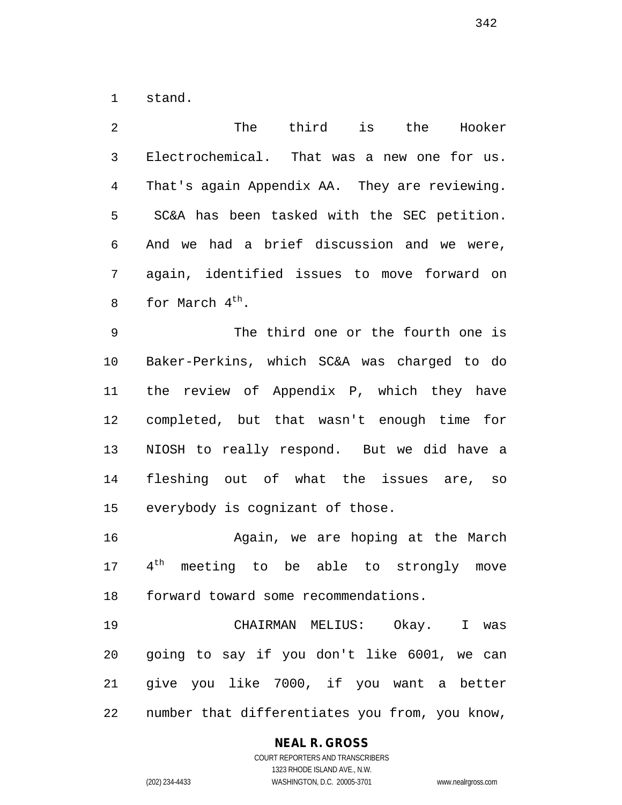stand.

 The third is the Hooker Electrochemical. That was a new one for us. That's again Appendix AA. They are reviewing. SC&A has been tasked with the SEC petition. And we had a brief discussion and we were, again, identified issues to move forward on 8 for March  $4^{\text{th}}$ .

 The third one or the fourth one is Baker-Perkins, which SC&A was charged to do the review of Appendix P, which they have completed, but that wasn't enough time for NIOSH to really respond. But we did have a fleshing out of what the issues are, so everybody is cognizant of those.

 Again, we are hoping at the March  $4<sup>th</sup>$  meeting to be able to strongly move forward toward some recommendations.

 CHAIRMAN MELIUS: Okay. I was going to say if you don't like 6001, we can give you like 7000, if you want a better number that differentiates you from, you know,

# **NEAL R. GROSS**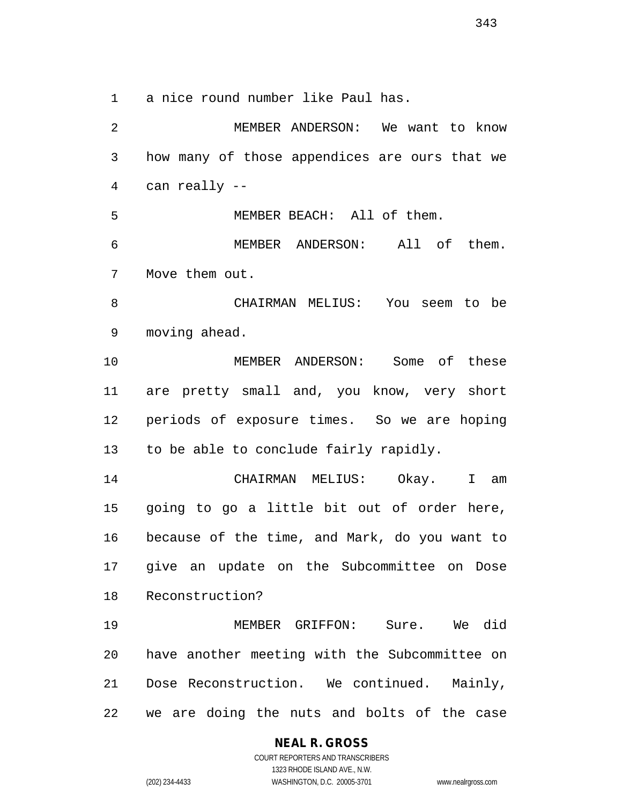a nice round number like Paul has.

 MEMBER ANDERSON: We want to know how many of those appendices are ours that we can really -- MEMBER BEACH: All of them. MEMBER ANDERSON: All of them. Move them out. CHAIRMAN MELIUS: You seem to be moving ahead. MEMBER ANDERSON: Some of these are pretty small and, you know, very short periods of exposure times. So we are hoping to be able to conclude fairly rapidly. CHAIRMAN MELIUS: Okay. I am going to go a little bit out of order here, because of the time, and Mark, do you want to give an update on the Subcommittee on Dose Reconstruction? MEMBER GRIFFON: Sure. We did have another meeting with the Subcommittee on Dose Reconstruction. We continued. Mainly, we are doing the nuts and bolts of the case

**NEAL R. GROSS**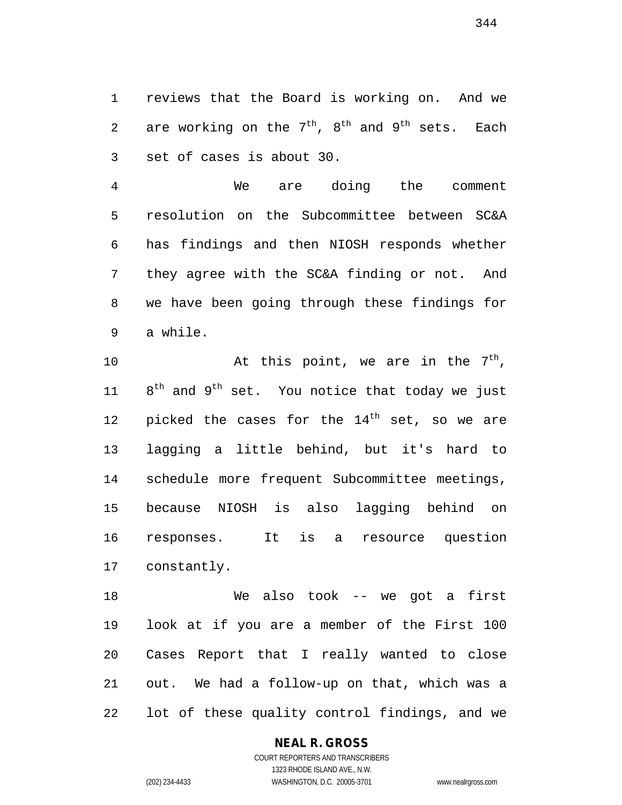reviews that the Board is working on. And we 2 are working on the  $7<sup>th</sup>$ ,  $8<sup>th</sup>$  and  $9<sup>th</sup>$  sets. Each set of cases is about 30.

 We are doing the comment resolution on the Subcommittee between SC&A has findings and then NIOSH responds whether they agree with the SC&A finding or not. And we have been going through these findings for a while.

 $\mu$  at this point, we are in the  $7<sup>th</sup>$ ,  $8^{th}$  and  $9^{th}$  set. You notice that today we just 12 picked the cases for the  $14<sup>th</sup>$  set, so we are lagging a little behind, but it's hard to schedule more frequent Subcommittee meetings, because NIOSH is also lagging behind on responses. It is a resource question constantly.

 We also took -- we got a first look at if you are a member of the First 100 Cases Report that I really wanted to close out. We had a follow-up on that, which was a lot of these quality control findings, and we

#### **NEAL R. GROSS**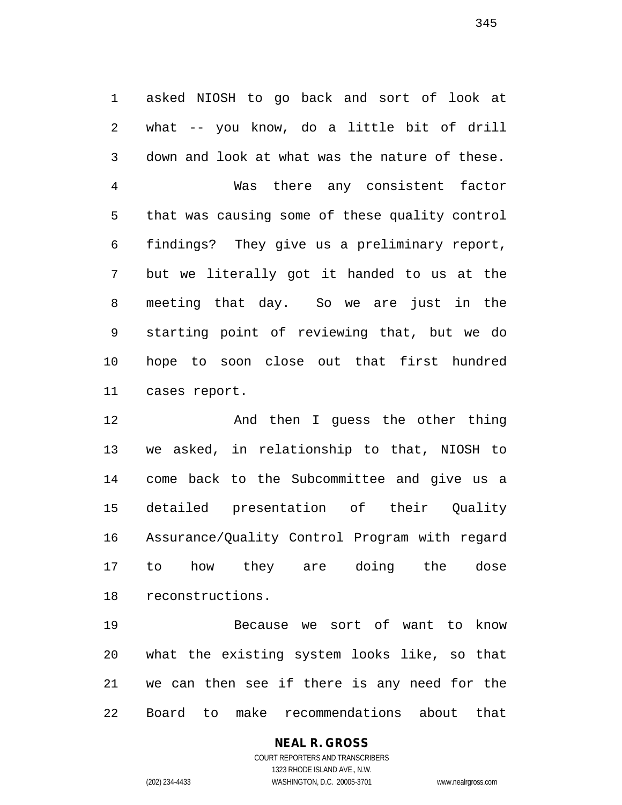asked NIOSH to go back and sort of look at what -- you know, do a little bit of drill down and look at what was the nature of these. Was there any consistent factor that was causing some of these quality control findings? They give us a preliminary report, but we literally got it handed to us at the meeting that day. So we are just in the starting point of reviewing that, but we do hope to soon close out that first hundred cases report.

 And then I guess the other thing we asked, in relationship to that, NIOSH to come back to the Subcommittee and give us a detailed presentation of their Quality Assurance/Quality Control Program with regard to how they are doing the dose reconstructions.

 Because we sort of want to know what the existing system looks like, so that we can then see if there is any need for the Board to make recommendations about that

### **NEAL R. GROSS** COURT REPORTERS AND TRANSCRIBERS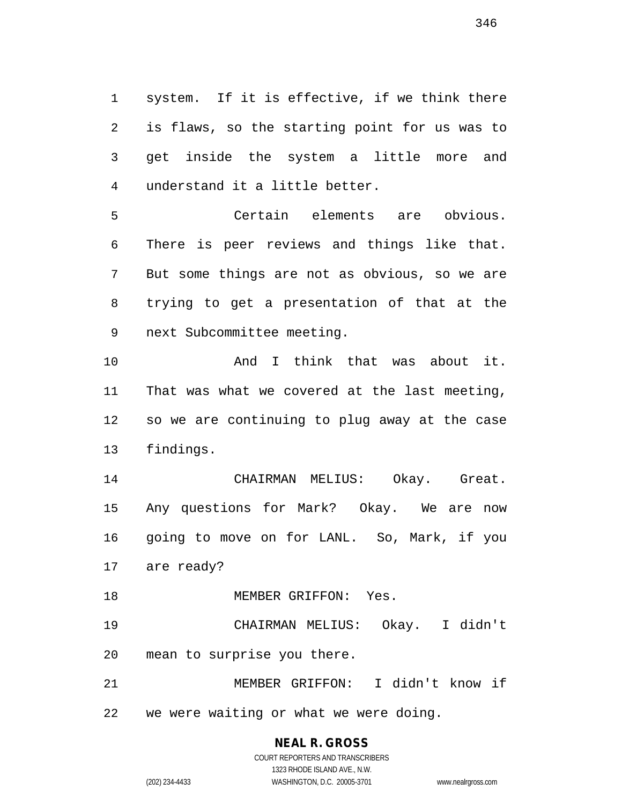system. If it is effective, if we think there is flaws, so the starting point for us was to get inside the system a little more and understand it a little better.

 Certain elements are obvious. There is peer reviews and things like that. But some things are not as obvious, so we are trying to get a presentation of that at the next Subcommittee meeting.

 And I think that was about it. That was what we covered at the last meeting, so we are continuing to plug away at the case findings.

 CHAIRMAN MELIUS: Okay. Great. Any questions for Mark? Okay. We are now going to move on for LANL. So, Mark, if you are ready?

MEMBER GRIFFON: Yes.

 CHAIRMAN MELIUS: Okay. I didn't mean to surprise you there.

 MEMBER GRIFFON: I didn't know if we were waiting or what we were doing.

COURT REPORTERS AND TRANSCRIBERS 1323 RHODE ISLAND AVE., N.W. (202) 234-4433 WASHINGTON, D.C. 20005-3701 www.nealrgross.com

**NEAL R. GROSS**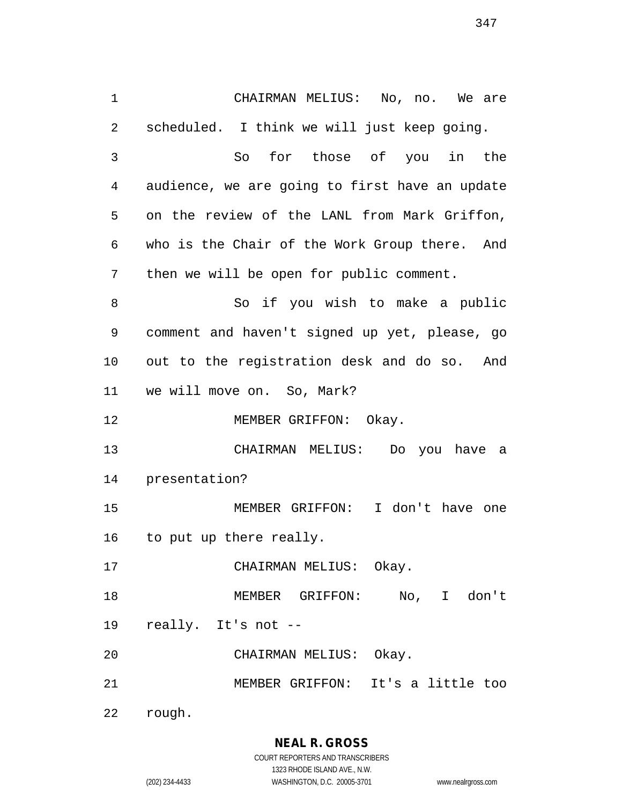CHAIRMAN MELIUS: No, no. We are scheduled. I think we will just keep going. So for those of you in the audience, we are going to first have an update on the review of the LANL from Mark Griffon, who is the Chair of the Work Group there. And then we will be open for public comment. 8 So if you wish to make a public comment and haven't signed up yet, please, go out to the registration desk and do so. And we will move on. So, Mark? 12 MEMBER GRIFFON: Okay. CHAIRMAN MELIUS: Do you have a presentation? MEMBER GRIFFON: I don't have one to put up there really. CHAIRMAN MELIUS: Okay. MEMBER GRIFFON: No, I don't really. It's not -- CHAIRMAN MELIUS: Okay. MEMBER GRIFFON: It's a little too rough.

> **NEAL R. GROSS** COURT REPORTERS AND TRANSCRIBERS

1323 RHODE ISLAND AVE., N.W. (202) 234-4433 WASHINGTON, D.C. 20005-3701 www.nealrgross.com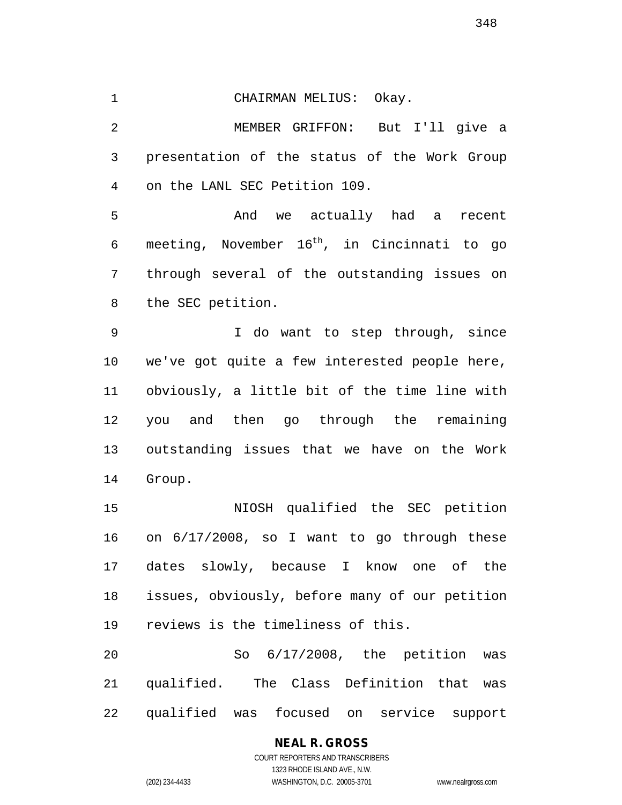CHAIRMAN MELIUS: Okay.

 MEMBER GRIFFON: But I'll give a presentation of the status of the Work Group on the LANL SEC Petition 109.

 And we actually had a recent 6 meeting, November  $16<sup>th</sup>$ , in Cincinnati to go through several of the outstanding issues on the SEC petition.

 I do want to step through, since we've got quite a few interested people here, obviously, a little bit of the time line with you and then go through the remaining outstanding issues that we have on the Work Group.

 NIOSH qualified the SEC petition on 6/17/2008, so I want to go through these dates slowly, because I know one of the issues, obviously, before many of our petition reviews is the timeliness of this.

 So 6/17/2008, the petition was qualified. The Class Definition that was qualified was focused on service support

> **NEAL R. GROSS** COURT REPORTERS AND TRANSCRIBERS 1323 RHODE ISLAND AVE., N.W. (202) 234-4433 WASHINGTON, D.C. 20005-3701 www.nealrgross.com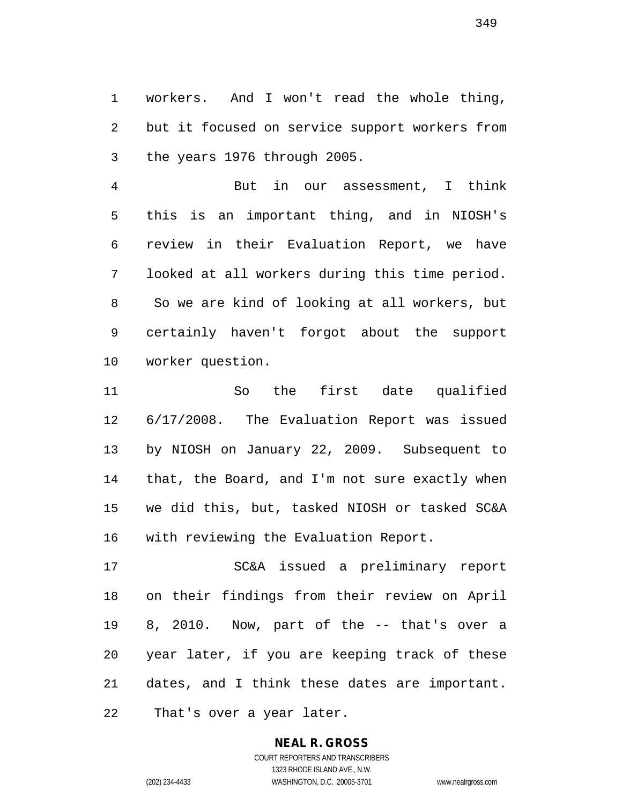workers. And I won't read the whole thing, but it focused on service support workers from the years 1976 through 2005.

 But in our assessment, I think this is an important thing, and in NIOSH's review in their Evaluation Report, we have looked at all workers during this time period. So we are kind of looking at all workers, but certainly haven't forgot about the support worker question.

 So the first date qualified 6/17/2008. The Evaluation Report was issued by NIOSH on January 22, 2009. Subsequent to that, the Board, and I'm not sure exactly when we did this, but, tasked NIOSH or tasked SC&A with reviewing the Evaluation Report.

 SC&A issued a preliminary report on their findings from their review on April 8, 2010. Now, part of the -- that's over a year later, if you are keeping track of these dates, and I think these dates are important. That's over a year later.

# **NEAL R. GROSS**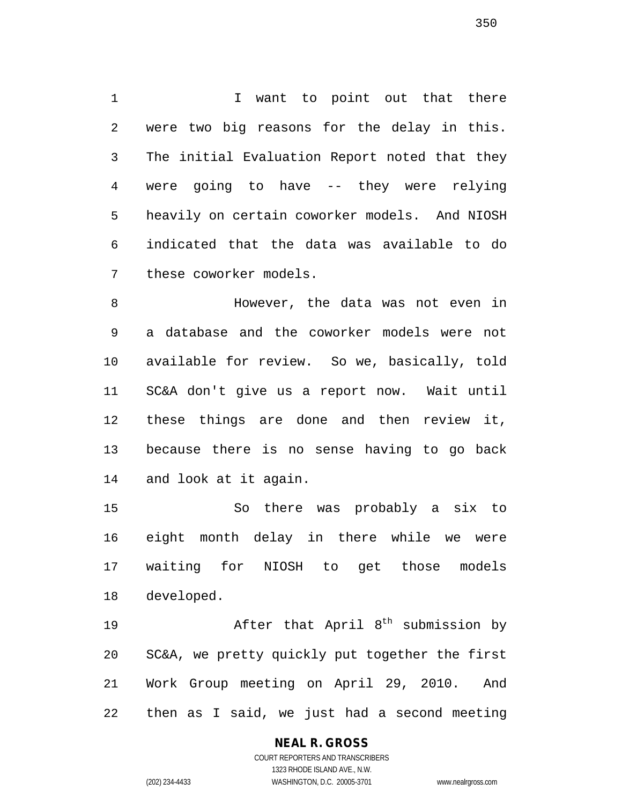1 1 I want to point out that there were two big reasons for the delay in this. The initial Evaluation Report noted that they were going to have -- they were relying heavily on certain coworker models. And NIOSH indicated that the data was available to do these coworker models.

 However, the data was not even in a database and the coworker models were not available for review. So we, basically, told SC&A don't give us a report now. Wait until these things are done and then review it, because there is no sense having to go back and look at it again.

 So there was probably a six to eight month delay in there while we were waiting for NIOSH to get those models developed.

19 19 After that April 8<sup>th</sup> submission by SC&A, we pretty quickly put together the first Work Group meeting on April 29, 2010. And then as I said, we just had a second meeting

# **NEAL R. GROSS**

COURT REPORTERS AND TRANSCRIBERS 1323 RHODE ISLAND AVE., N.W. (202) 234-4433 WASHINGTON, D.C. 20005-3701 www.nealrgross.com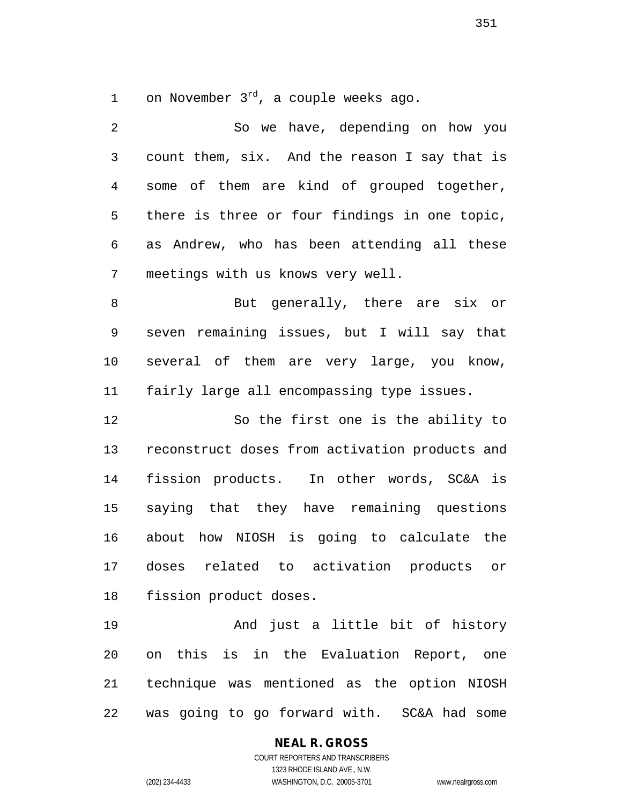1 on November  $3^{rd}$ , a couple weeks ago.

 So we have, depending on how you count them, six. And the reason I say that is some of them are kind of grouped together, there is three or four findings in one topic, as Andrew, who has been attending all these meetings with us knows very well. 8 But generally, there are six or seven remaining issues, but I will say that several of them are very large, you know, fairly large all encompassing type issues. So the first one is the ability to reconstruct doses from activation products and fission products. In other words, SC&A is saying that they have remaining questions about how NIOSH is going to calculate the doses related to activation products or fission product doses. And just a little bit of history on this is in the Evaluation Report, one technique was mentioned as the option NIOSH

was going to go forward with. SC&A had some

**NEAL R. GROSS** COURT REPORTERS AND TRANSCRIBERS 1323 RHODE ISLAND AVE., N.W. (202) 234-4433 WASHINGTON, D.C. 20005-3701 www.nealrgross.com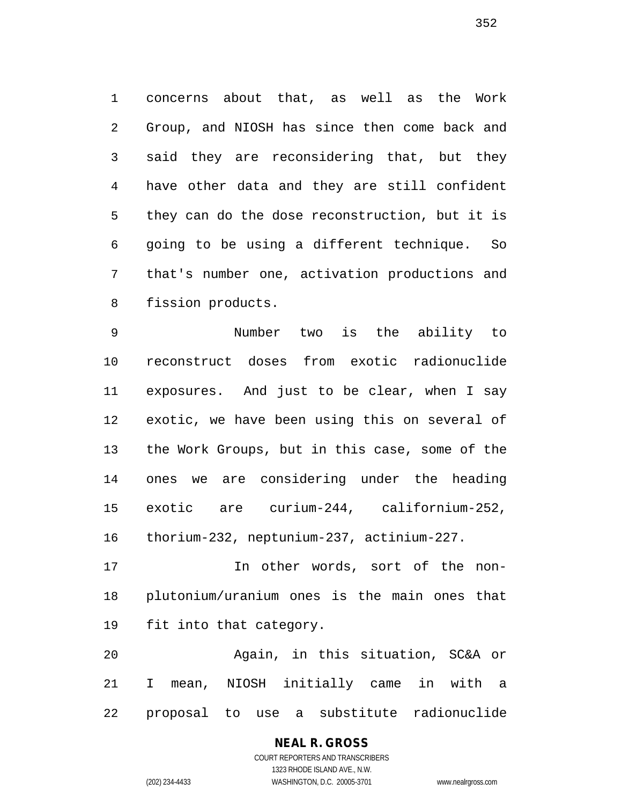concerns about that, as well as the Work Group, and NIOSH has since then come back and said they are reconsidering that, but they have other data and they are still confident they can do the dose reconstruction, but it is going to be using a different technique. So that's number one, activation productions and fission products.

 Number two is the ability to reconstruct doses from exotic radionuclide exposures. And just to be clear, when I say exotic, we have been using this on several of the Work Groups, but in this case, some of the ones we are considering under the heading exotic are curium-244, californium-252, thorium-232, neptunium-237, actinium-227.

 In other words, sort of the non- plutonium/uranium ones is the main ones that fit into that category.

 Again, in this situation, SC&A or I mean, NIOSH initially came in with a proposal to use a substitute radionuclide

# **NEAL R. GROSS**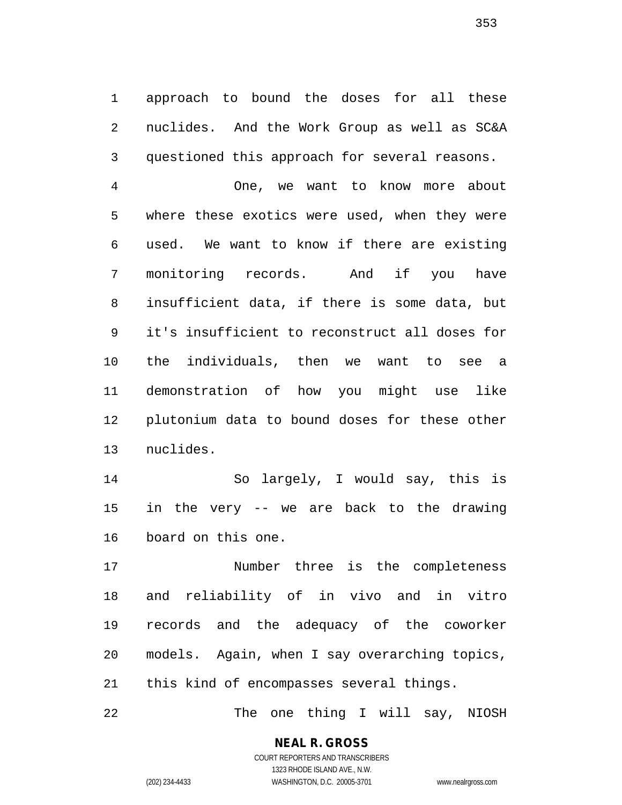approach to bound the doses for all these nuclides. And the Work Group as well as SC&A questioned this approach for several reasons.

 One, we want to know more about where these exotics were used, when they were used. We want to know if there are existing monitoring records. And if you have insufficient data, if there is some data, but it's insufficient to reconstruct all doses for the individuals, then we want to see a demonstration of how you might use like plutonium data to bound doses for these other nuclides.

 So largely, I would say, this is in the very -- we are back to the drawing board on this one.

 Number three is the completeness and reliability of in vivo and in vitro records and the adequacy of the coworker models. Again, when I say overarching topics, this kind of encompasses several things.

The one thing I will say, NIOSH

**NEAL R. GROSS** COURT REPORTERS AND TRANSCRIBERS 1323 RHODE ISLAND AVE., N.W.

(202) 234-4433 WASHINGTON, D.C. 20005-3701 www.nealrgross.com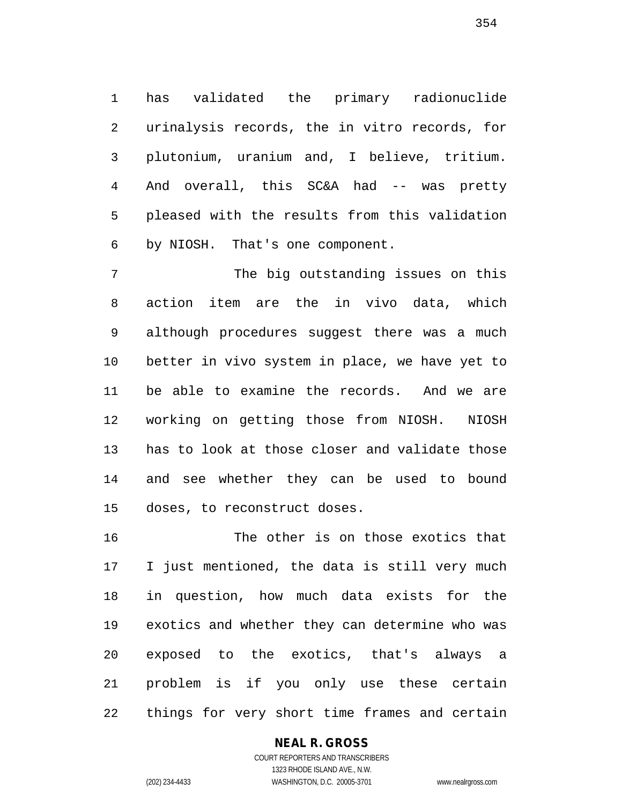has validated the primary radionuclide urinalysis records, the in vitro records, for plutonium, uranium and, I believe, tritium. And overall, this SC&A had -- was pretty pleased with the results from this validation by NIOSH. That's one component.

 The big outstanding issues on this action item are the in vivo data, which although procedures suggest there was a much better in vivo system in place, we have yet to be able to examine the records. And we are working on getting those from NIOSH. NIOSH has to look at those closer and validate those and see whether they can be used to bound doses, to reconstruct doses.

 The other is on those exotics that I just mentioned, the data is still very much in question, how much data exists for the exotics and whether they can determine who was exposed to the exotics, that's always a problem is if you only use these certain things for very short time frames and certain

# **NEAL R. GROSS**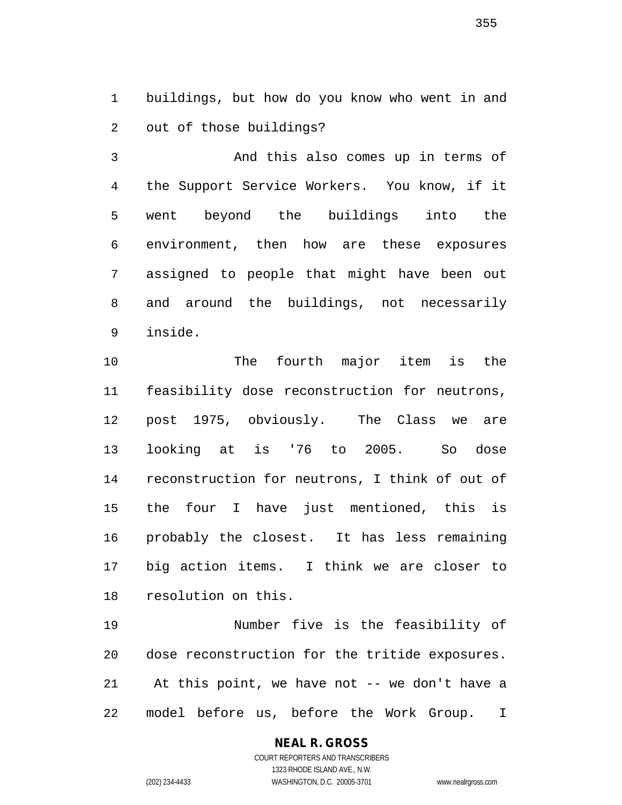buildings, but how do you know who went in and out of those buildings?

 And this also comes up in terms of the Support Service Workers. You know, if it went beyond the buildings into the environment, then how are these exposures assigned to people that might have been out and around the buildings, not necessarily inside.

 The fourth major item is the feasibility dose reconstruction for neutrons, post 1975, obviously. The Class we are looking at is '76 to 2005. So dose reconstruction for neutrons, I think of out of the four I have just mentioned, this is probably the closest. It has less remaining big action items. I think we are closer to resolution on this.

 Number five is the feasibility of dose reconstruction for the tritide exposures. At this point, we have not -- we don't have a model before us, before the Work Group. I

# **NEAL R. GROSS**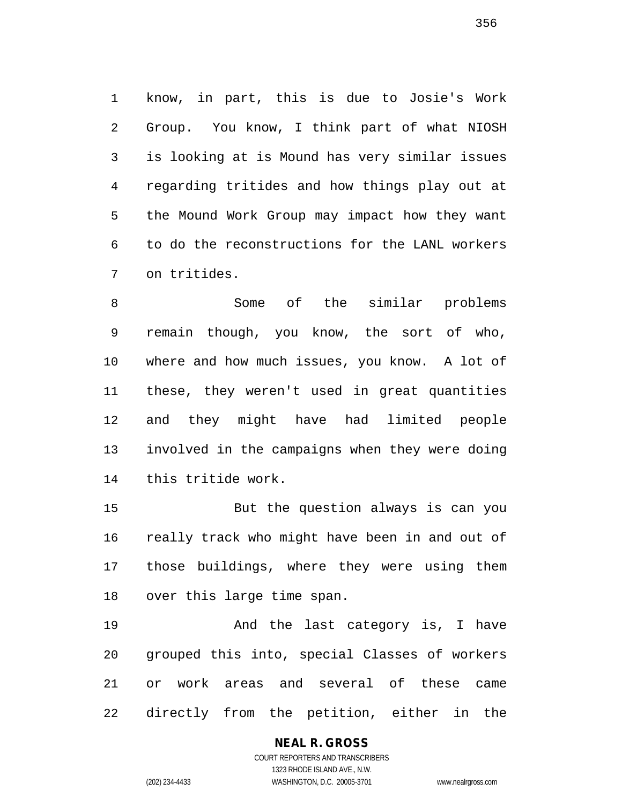know, in part, this is due to Josie's Work Group. You know, I think part of what NIOSH is looking at is Mound has very similar issues regarding tritides and how things play out at the Mound Work Group may impact how they want to do the reconstructions for the LANL workers on tritides.

 Some of the similar problems remain though, you know, the sort of who, where and how much issues, you know. A lot of these, they weren't used in great quantities and they might have had limited people involved in the campaigns when they were doing this tritide work.

 But the question always is can you really track who might have been in and out of those buildings, where they were using them over this large time span.

 And the last category is, I have grouped this into, special Classes of workers or work areas and several of these came directly from the petition, either in the

> COURT REPORTERS AND TRANSCRIBERS 1323 RHODE ISLAND AVE., N.W. (202) 234-4433 WASHINGTON, D.C. 20005-3701 www.nealrgross.com

**NEAL R. GROSS**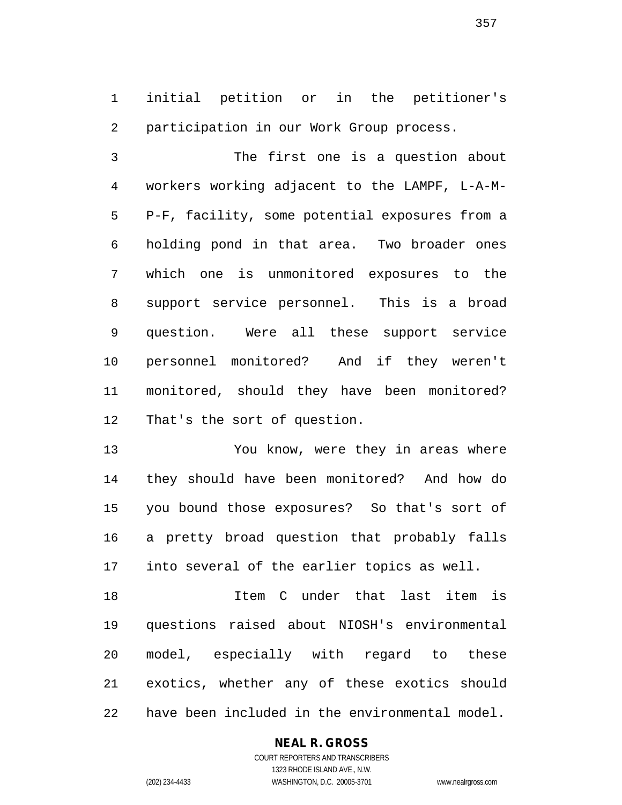initial petition or in the petitioner's participation in our Work Group process.

 The first one is a question about workers working adjacent to the LAMPF, L-A-M- P-F, facility, some potential exposures from a holding pond in that area. Two broader ones which one is unmonitored exposures to the support service personnel. This is a broad question. Were all these support service personnel monitored? And if they weren't monitored, should they have been monitored? That's the sort of question.

 You know, were they in areas where they should have been monitored? And how do you bound those exposures? So that's sort of a pretty broad question that probably falls into several of the earlier topics as well.

 Item C under that last item is questions raised about NIOSH's environmental model, especially with regard to these exotics, whether any of these exotics should have been included in the environmental model.

# **NEAL R. GROSS**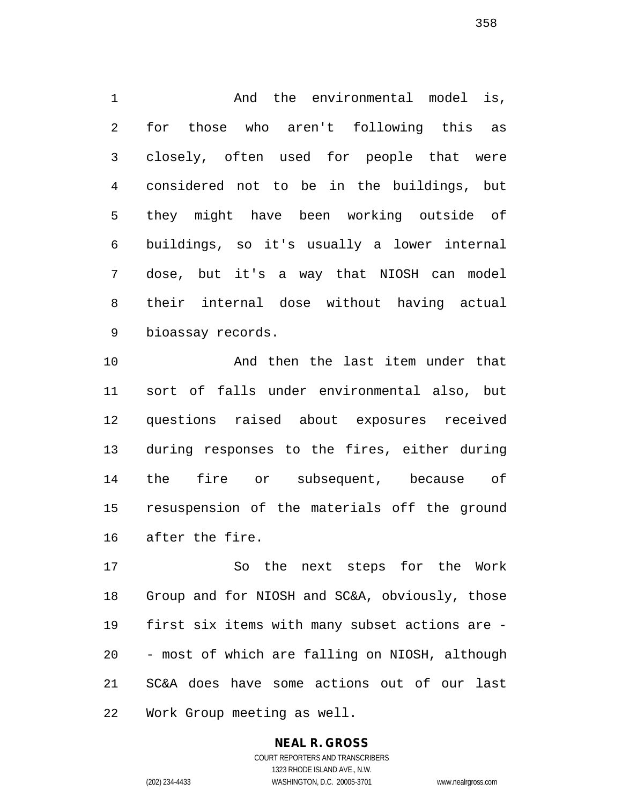And the environmental model is, for those who aren't following this as closely, often used for people that were considered not to be in the buildings, but they might have been working outside of buildings, so it's usually a lower internal dose, but it's a way that NIOSH can model their internal dose without having actual bioassay records.

 And then the last item under that sort of falls under environmental also, but questions raised about exposures received during responses to the fires, either during the fire or subsequent, because of resuspension of the materials off the ground after the fire.

 So the next steps for the Work Group and for NIOSH and SC&A, obviously, those first six items with many subset actions are - - most of which are falling on NIOSH, although SC&A does have some actions out of our last Work Group meeting as well.

# **NEAL R. GROSS**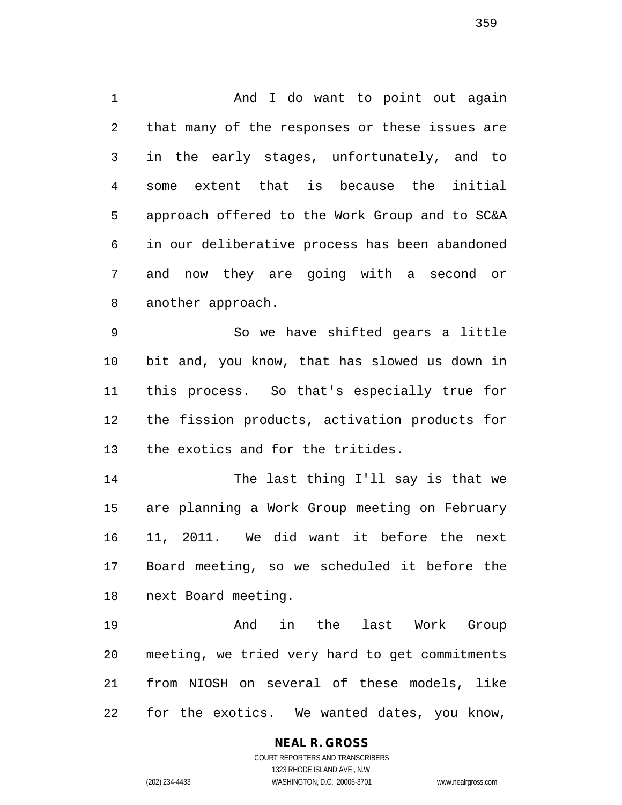1 And I do want to point out again that many of the responses or these issues are in the early stages, unfortunately, and to some extent that is because the initial approach offered to the Work Group and to SC&A in our deliberative process has been abandoned and now they are going with a second or another approach.

 So we have shifted gears a little bit and, you know, that has slowed us down in this process. So that's especially true for the fission products, activation products for the exotics and for the tritides.

 The last thing I'll say is that we are planning a Work Group meeting on February 11, 2011. We did want it before the next Board meeting, so we scheduled it before the next Board meeting.

 And in the last Work Group meeting, we tried very hard to get commitments from NIOSH on several of these models, like for the exotics. We wanted dates, you know,

**NEAL R. GROSS**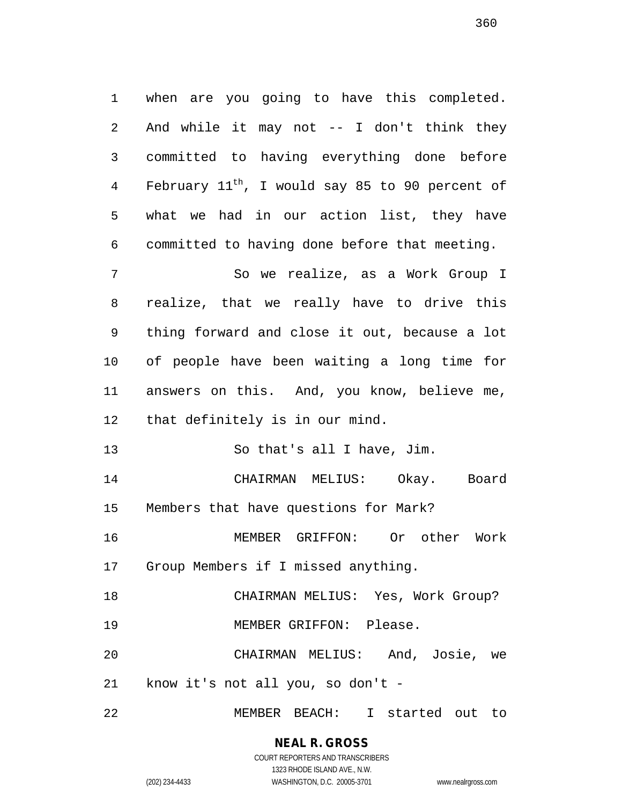when are you going to have this completed. And while it may not -- I don't think they committed to having everything done before 4 February  $11^{\text{th}}$ , I would say 85 to 90 percent of what we had in our action list, they have committed to having done before that meeting.

 So we realize, as a Work Group I realize, that we really have to drive this thing forward and close it out, because a lot of people have been waiting a long time for answers on this. And, you know, believe me, that definitely is in our mind.

So that's all I have, Jim.

 CHAIRMAN MELIUS: Okay. Board Members that have questions for Mark?

 MEMBER GRIFFON: Or other Work Group Members if I missed anything.

CHAIRMAN MELIUS: Yes, Work Group?

MEMBER GRIFFON: Please.

 CHAIRMAN MELIUS: And, Josie, we know it's not all you, so don't -

MEMBER BEACH: I started out to

# **NEAL R. GROSS**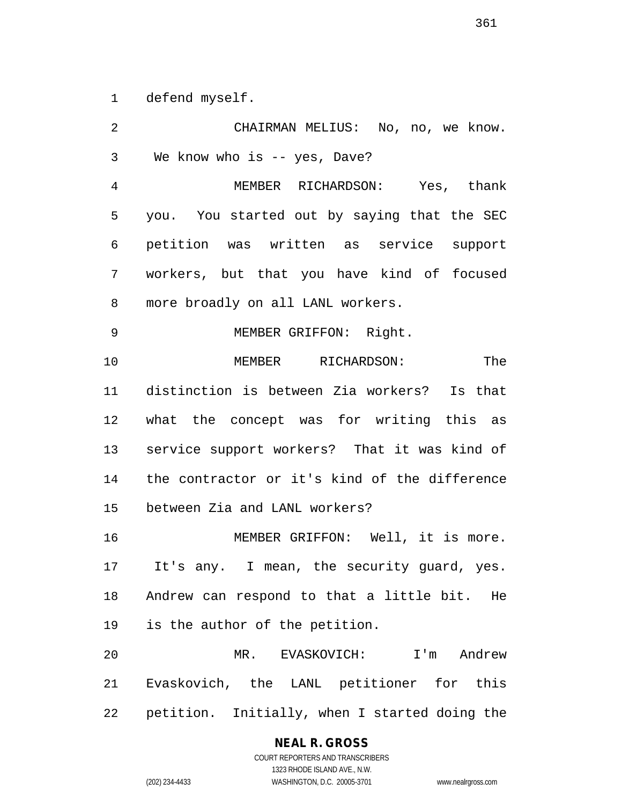defend myself.

 CHAIRMAN MELIUS: No, no, we know. We know who is -- yes, Dave? MEMBER RICHARDSON: Yes, thank you. You started out by saying that the SEC petition was written as service support workers, but that you have kind of focused more broadly on all LANL workers. MEMBER GRIFFON: Right. MEMBER RICHARDSON: The distinction is between Zia workers? Is that what the concept was for writing this as service support workers? That it was kind of the contractor or it's kind of the difference between Zia and LANL workers? MEMBER GRIFFON: Well, it is more. It's any. I mean, the security guard, yes. Andrew can respond to that a little bit. He is the author of the petition. MR. EVASKOVICH: I'm Andrew Evaskovich, the LANL petitioner for this petition. Initially, when I started doing the

#### **NEAL R. GROSS**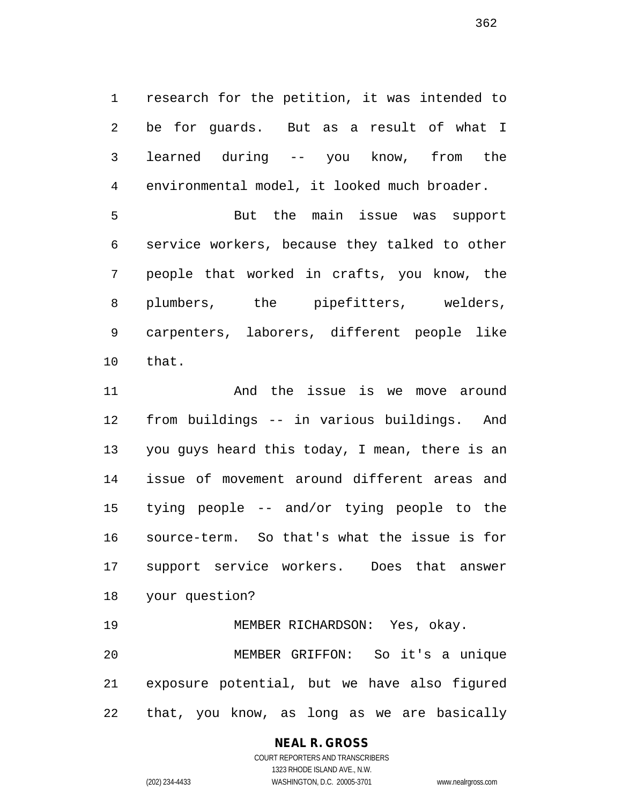research for the petition, it was intended to be for guards. But as a result of what I learned during -- you know, from the environmental model, it looked much broader.

 But the main issue was support service workers, because they talked to other people that worked in crafts, you know, the plumbers, the pipefitters, welders, carpenters, laborers, different people like that.

 And the issue is we move around from buildings -- in various buildings. And you guys heard this today, I mean, there is an issue of movement around different areas and tying people -- and/or tying people to the source-term. So that's what the issue is for support service workers. Does that answer your question?

 MEMBER RICHARDSON: Yes, okay. MEMBER GRIFFON: So it's a unique exposure potential, but we have also figured that, you know, as long as we are basically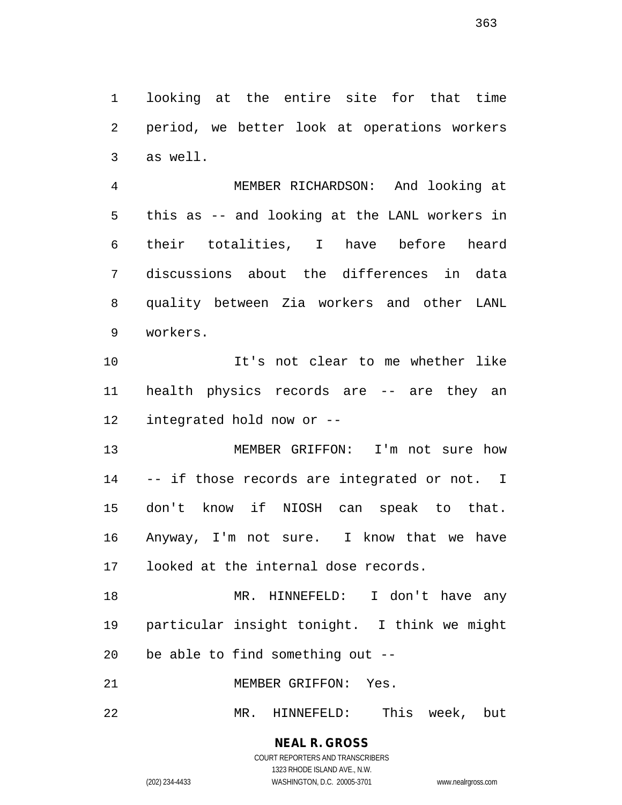looking at the entire site for that time period, we better look at operations workers as well.

 MEMBER RICHARDSON: And looking at this as -- and looking at the LANL workers in their totalities, I have before heard discussions about the differences in data quality between Zia workers and other LANL workers.

 It's not clear to me whether like health physics records are -- are they an integrated hold now or --

 MEMBER GRIFFON: I'm not sure how -- if those records are integrated or not. I don't know if NIOSH can speak to that. Anyway, I'm not sure. I know that we have looked at the internal dose records.

 MR. HINNEFELD: I don't have any particular insight tonight. I think we might be able to find something out --

MEMBER GRIFFON: Yes.

MR. HINNEFELD: This week, but

COURT REPORTERS AND TRANSCRIBERS 1323 RHODE ISLAND AVE., N.W. (202) 234-4433 WASHINGTON, D.C. 20005-3701 www.nealrgross.com

**NEAL R. GROSS**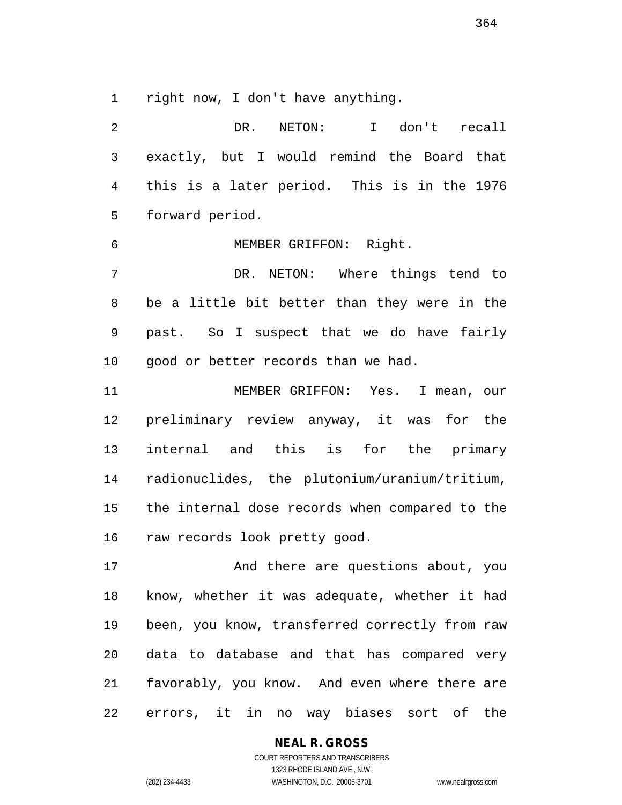right now, I don't have anything.

| 2              | NETON:<br>I don't recall<br>DR.                |
|----------------|------------------------------------------------|
| 3              | exactly, but I would remind the Board that     |
| $\overline{4}$ | this is a later period. This is in the 1976    |
| 5              | forward period.                                |
| 6              | MEMBER GRIFFON: Right.                         |
| 7              | DR. NETON: Where things tend to                |
| 8              | be a little bit better than they were in the   |
| 9              | past. So I suspect that we do have fairly      |
| 10             | good or better records than we had.            |
| 11             | MEMBER GRIFFON: Yes. I mean, our               |
| 12             | preliminary review anyway, it was for the      |
| 13             | internal and this is for the primary           |
| 14             | radionuclides, the plutonium/uranium/tritium,  |
| 15             | the internal dose records when compared to the |
| 16             | raw records look pretty good.                  |
| 17             | And there are questions about, you             |
| 18             | know, whether it was adequate, whether it had  |
| 19             | been, you know, transferred correctly from raw |
| 20             | data to database and that has compared very    |
| 21             | favorably, you know. And even where there are  |
| 22             | errors, it in no way biases sort of<br>the     |

# **NEAL R. GROSS**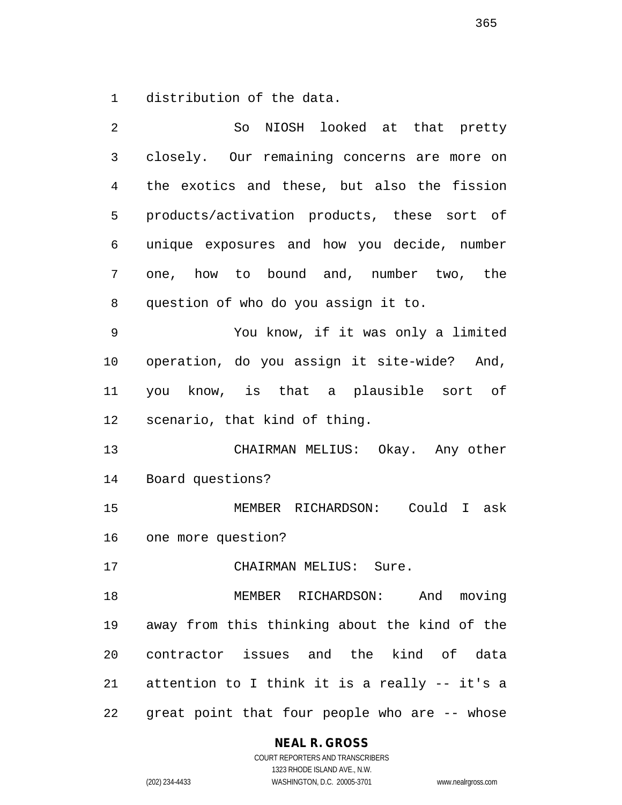distribution of the data.

| 2            | So NIOSH looked at that pretty                |
|--------------|-----------------------------------------------|
| $\mathsf{3}$ | closely. Our remaining concerns are more on   |
| 4            | the exotics and these, but also the fission   |
| 5            | products/activation products, these sort of   |
| 6            | unique exposures and how you decide, number   |
| 7            | one, how to bound and, number two, the        |
| 8            | question of who do you assign it to.          |
| 9            | You know, if it was only a limited            |
| 10           | operation, do you assign it site-wide? And,   |
| 11           | you know, is that a plausible sort of         |
| 12           | scenario, that kind of thing.                 |
| 13           | CHAIRMAN MELIUS: Okay. Any other              |
| 14           | Board questions?                              |
| 15           | MEMBER RICHARDSON: Could I ask                |
| 16           | one more question?                            |
| 17           | CHAIRMAN MELIUS: Sure.                        |
| 18           | MEMBER RICHARDSON: And moving                 |
| 19           | away from this thinking about the kind of the |
| 20           | contractor issues and the kind of data        |
| 21           | attention to I think it is a really -- it's a |
| 22           | great point that four people who are -- whose |

**NEAL R. GROSS**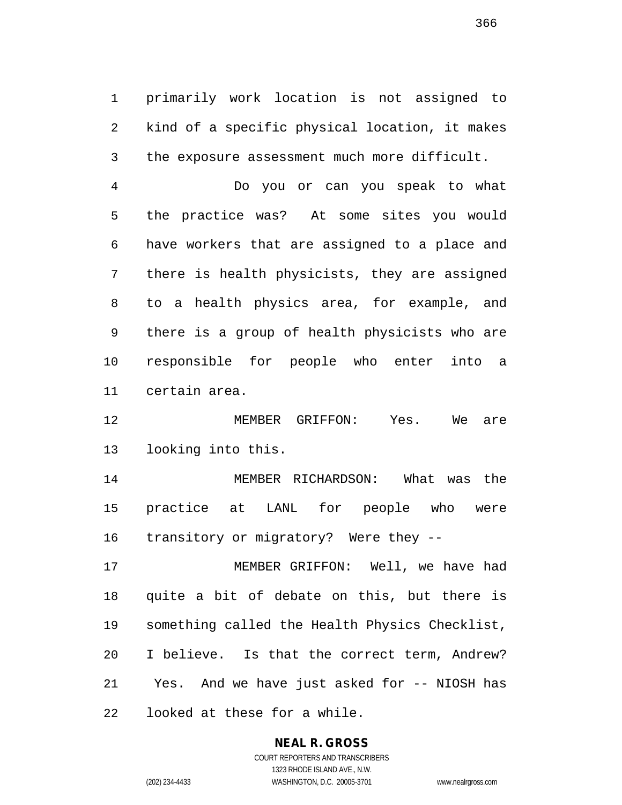primarily work location is not assigned to kind of a specific physical location, it makes the exposure assessment much more difficult.

 Do you or can you speak to what the practice was? At some sites you would have workers that are assigned to a place and there is health physicists, they are assigned to a health physics area, for example, and there is a group of health physicists who are responsible for people who enter into a certain area.

 MEMBER GRIFFON: Yes. We are looking into this.

 MEMBER RICHARDSON: What was the practice at LANL for people who were transitory or migratory? Were they --

 MEMBER GRIFFON: Well, we have had quite a bit of debate on this, but there is something called the Health Physics Checklist, I believe. Is that the correct term, Andrew? Yes. And we have just asked for -- NIOSH has looked at these for a while.

## **NEAL R. GROSS**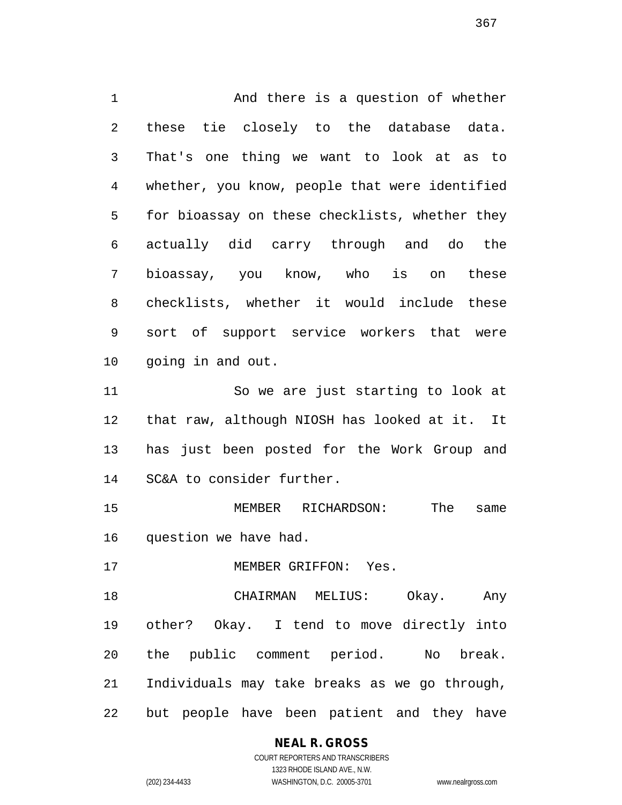And there is a question of whether these tie closely to the database data. That's one thing we want to look at as to whether, you know, people that were identified for bioassay on these checklists, whether they actually did carry through and do the bioassay, you know, who is on these checklists, whether it would include these sort of support service workers that were going in and out. So we are just starting to look at

 that raw, although NIOSH has looked at it. It has just been posted for the Work Group and SC&A to consider further.

 MEMBER RICHARDSON: The same question we have had.

17 MEMBER GRIFFON: Yes.

 CHAIRMAN MELIUS: Okay. Any other? Okay. I tend to move directly into the public comment period. No break. Individuals may take breaks as we go through, but people have been patient and they have

## **NEAL R. GROSS** COURT REPORTERS AND TRANSCRIBERS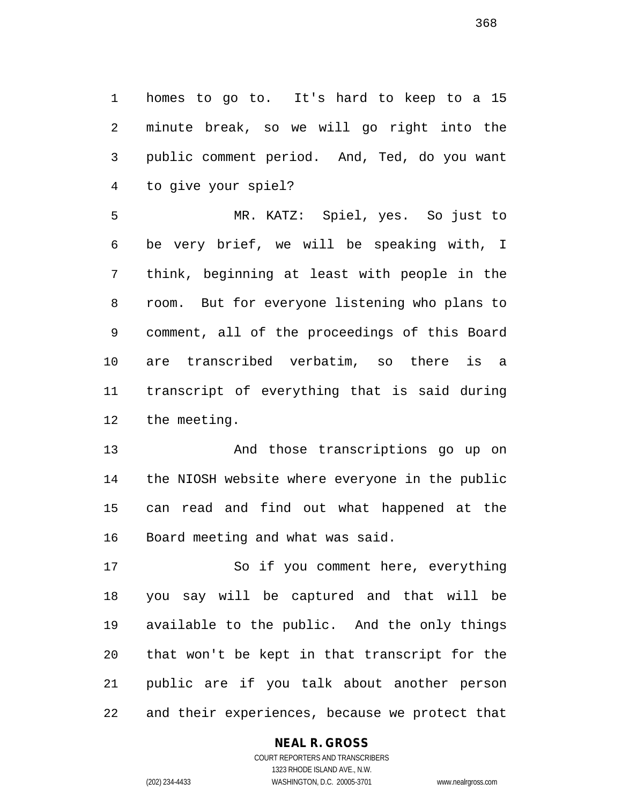homes to go to. It's hard to keep to a 15 minute break, so we will go right into the public comment period. And, Ted, do you want to give your spiel?

 MR. KATZ: Spiel, yes. So just to be very brief, we will be speaking with, I think, beginning at least with people in the room. But for everyone listening who plans to comment, all of the proceedings of this Board are transcribed verbatim, so there is a transcript of everything that is said during the meeting.

 And those transcriptions go up on the NIOSH website where everyone in the public can read and find out what happened at the Board meeting and what was said.

 So if you comment here, everything you say will be captured and that will be available to the public. And the only things that won't be kept in that transcript for the public are if you talk about another person and their experiences, because we protect that

## **NEAL R. GROSS**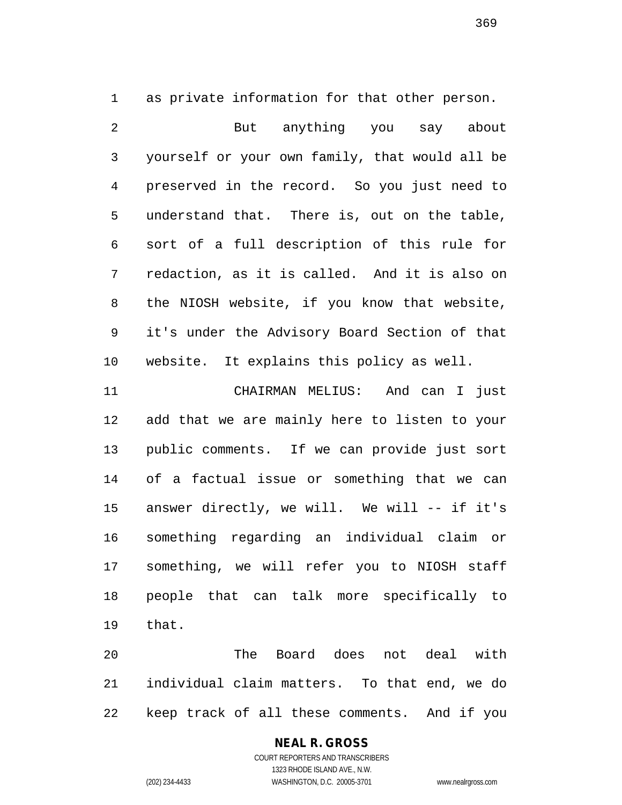as private information for that other person.

 But anything you say about yourself or your own family, that would all be preserved in the record. So you just need to understand that. There is, out on the table, sort of a full description of this rule for redaction, as it is called. And it is also on the NIOSH website, if you know that website, it's under the Advisory Board Section of that website. It explains this policy as well.

 CHAIRMAN MELIUS: And can I just add that we are mainly here to listen to your public comments. If we can provide just sort of a factual issue or something that we can answer directly, we will. We will -- if it's something regarding an individual claim or something, we will refer you to NIOSH staff people that can talk more specifically to that.

 The Board does not deal with individual claim matters. To that end, we do keep track of all these comments. And if you

# **NEAL R. GROSS**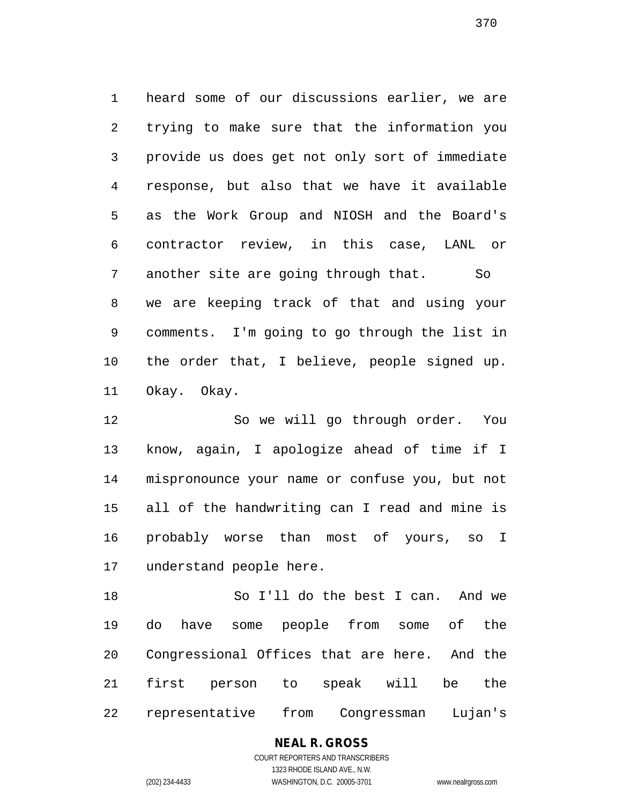heard some of our discussions earlier, we are trying to make sure that the information you provide us does get not only sort of immediate response, but also that we have it available as the Work Group and NIOSH and the Board's contractor review, in this case, LANL or 7 another site are going through that. So we are keeping track of that and using your comments. I'm going to go through the list in the order that, I believe, people signed up. Okay. Okay.

 So we will go through order. You know, again, I apologize ahead of time if I mispronounce your name or confuse you, but not all of the handwriting can I read and mine is probably worse than most of yours, so I understand people here.

 So I'll do the best I can. And we do have some people from some of the Congressional Offices that are here. And the first person to speak will be the representative from Congressman Lujan's

# **NEAL R. GROSS**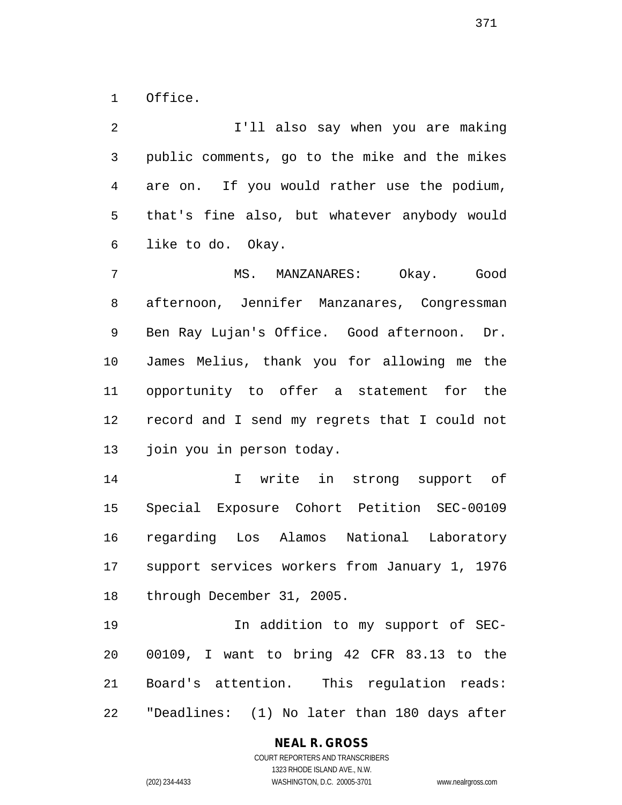Office.

 I'll also say when you are making public comments, go to the mike and the mikes are on. If you would rather use the podium, that's fine also, but whatever anybody would like to do. Okay. MS. MANZANARES: Okay. Good afternoon, Jennifer Manzanares, Congressman Ben Ray Lujan's Office. Good afternoon. Dr. James Melius, thank you for allowing me the opportunity to offer a statement for the record and I send my regrets that I could not join you in person today. I write in strong support of Special Exposure Cohort Petition SEC-00109 regarding Los Alamos National Laboratory

 support services workers from January 1, 1976 through December 31, 2005.

 In addition to my support of SEC- 00109, I want to bring 42 CFR 83.13 to the Board's attention. This regulation reads: "Deadlines: (1) No later than 180 days after

#### **NEAL R. GROSS** COURT REPORTERS AND TRANSCRIBERS

1323 RHODE ISLAND AVE., N.W. (202) 234-4433 WASHINGTON, D.C. 20005-3701 www.nealrgross.com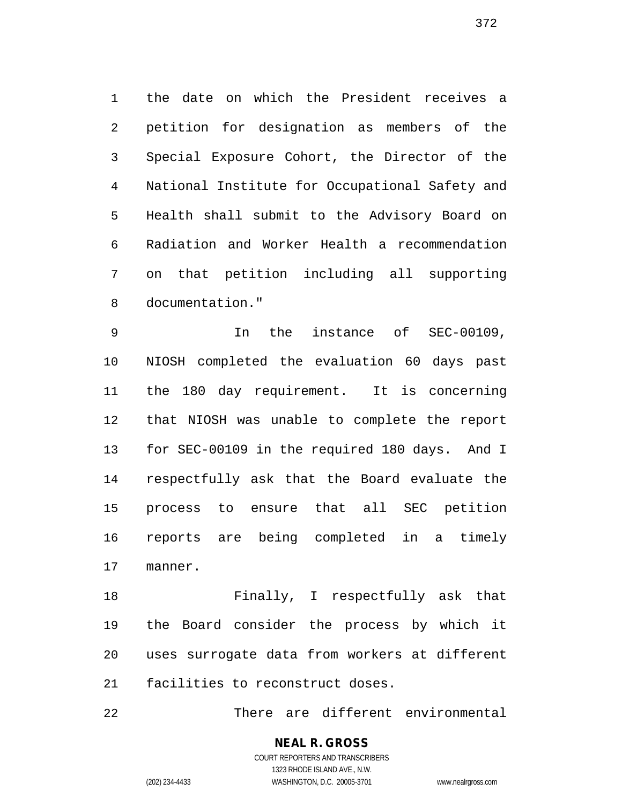the date on which the President receives a petition for designation as members of the Special Exposure Cohort, the Director of the National Institute for Occupational Safety and Health shall submit to the Advisory Board on Radiation and Worker Health a recommendation on that petition including all supporting documentation."

 In the instance of SEC-00109, NIOSH completed the evaluation 60 days past the 180 day requirement. It is concerning that NIOSH was unable to complete the report for SEC-00109 in the required 180 days. And I respectfully ask that the Board evaluate the process to ensure that all SEC petition reports are being completed in a timely manner.

 Finally, I respectfully ask that the Board consider the process by which it uses surrogate data from workers at different facilities to reconstruct doses.

There are different environmental

#### **NEAL R. GROSS** COURT REPORTERS AND TRANSCRIBERS

1323 RHODE ISLAND AVE., N.W. (202) 234-4433 WASHINGTON, D.C. 20005-3701 www.nealrgross.com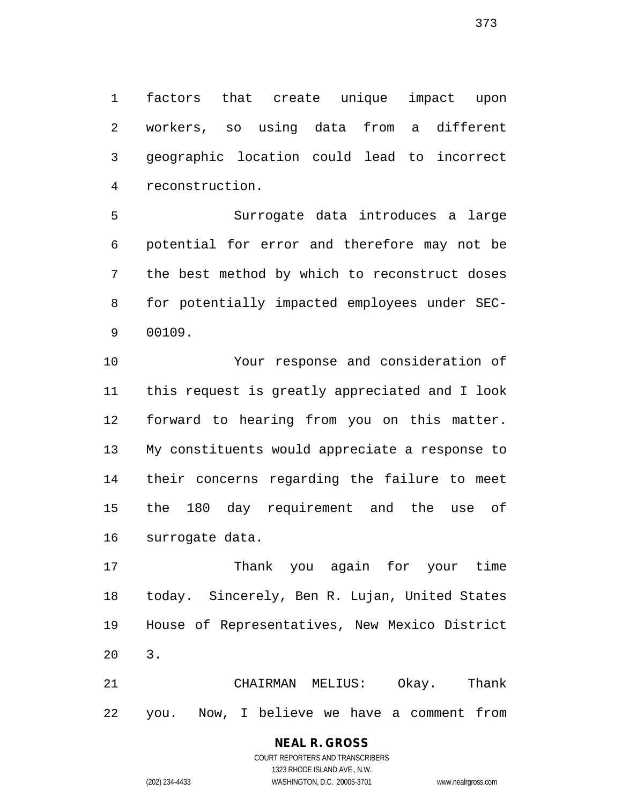factors that create unique impact upon workers, so using data from a different geographic location could lead to incorrect reconstruction.

 Surrogate data introduces a large potential for error and therefore may not be the best method by which to reconstruct doses for potentially impacted employees under SEC-00109.

 Your response and consideration of this request is greatly appreciated and I look forward to hearing from you on this matter. My constituents would appreciate a response to their concerns regarding the failure to meet the 180 day requirement and the use of surrogate data.

 Thank you again for your time today. Sincerely, Ben R. Lujan, United States House of Representatives, New Mexico District 3.

 CHAIRMAN MELIUS: Okay. Thank you. Now, I believe we have a comment from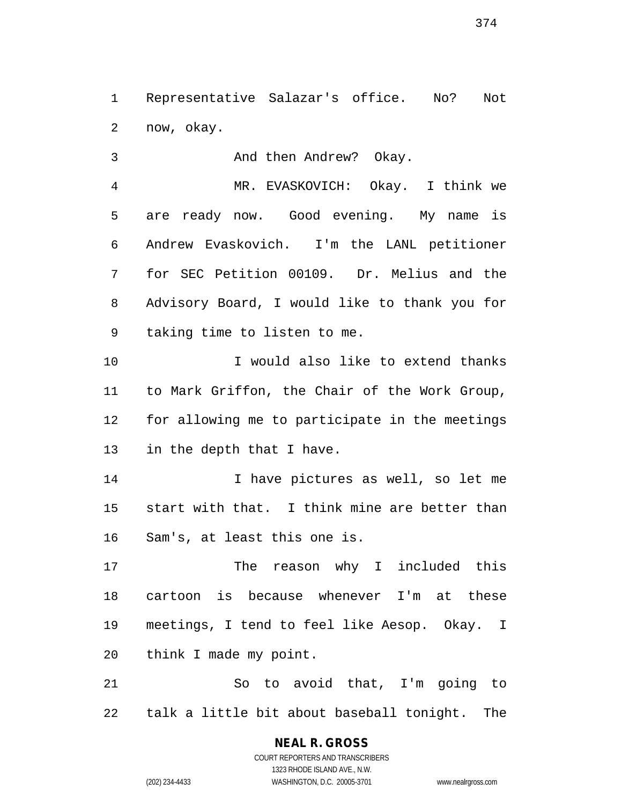Representative Salazar's office. No? Not now, okay.

And then Andrew? Okay.

 MR. EVASKOVICH: Okay. I think we are ready now. Good evening. My name is Andrew Evaskovich. I'm the LANL petitioner for SEC Petition 00109. Dr. Melius and the Advisory Board, I would like to thank you for taking time to listen to me.

 I would also like to extend thanks to Mark Griffon, the Chair of the Work Group, for allowing me to participate in the meetings in the depth that I have.

 I have pictures as well, so let me start with that. I think mine are better than Sam's, at least this one is.

 The reason why I included this cartoon is because whenever I'm at these meetings, I tend to feel like Aesop. Okay. I think I made my point.

 So to avoid that, I'm going to talk a little bit about baseball tonight. The

COURT REPORTERS AND TRANSCRIBERS 1323 RHODE ISLAND AVE., N.W. (202) 234-4433 WASHINGTON, D.C. 20005-3701 www.nealrgross.com

**NEAL R. GROSS**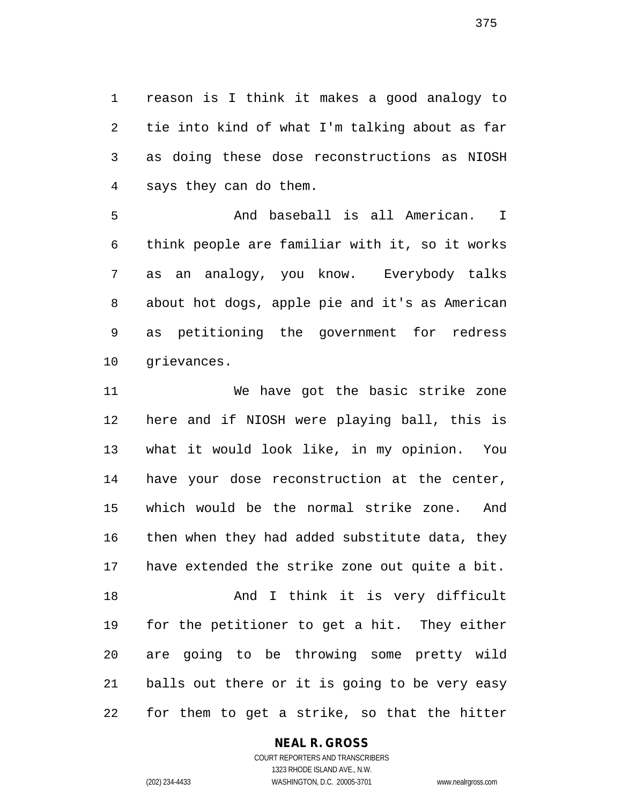reason is I think it makes a good analogy to tie into kind of what I'm talking about as far as doing these dose reconstructions as NIOSH says they can do them.

 And baseball is all American. I think people are familiar with it, so it works as an analogy, you know. Everybody talks about hot dogs, apple pie and it's as American as petitioning the government for redress grievances.

 We have got the basic strike zone here and if NIOSH were playing ball, this is what it would look like, in my opinion. You have your dose reconstruction at the center, which would be the normal strike zone. And then when they had added substitute data, they have extended the strike zone out quite a bit. And I think it is very difficult for the petitioner to get a hit. They either are going to be throwing some pretty wild balls out there or it is going to be very easy for them to get a strike, so that the hitter

**NEAL R. GROSS**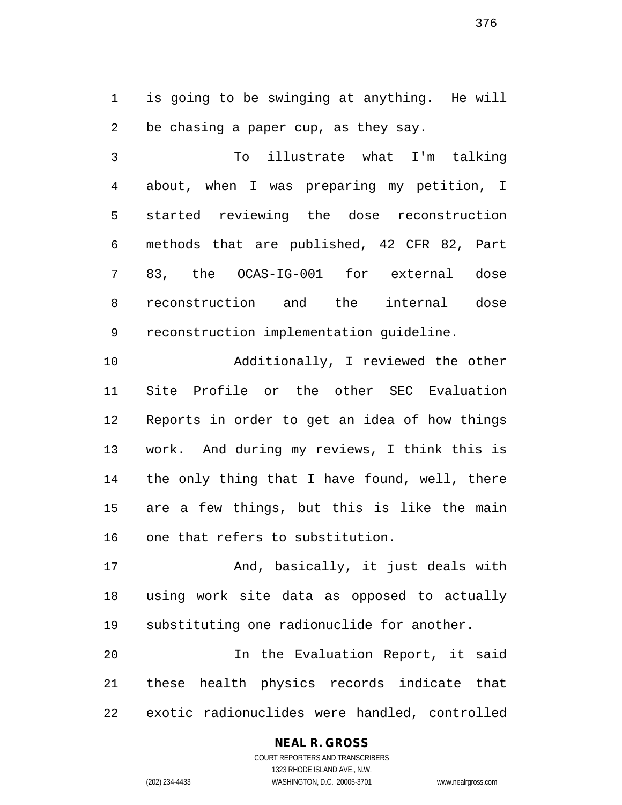is going to be swinging at anything. He will be chasing a paper cup, as they say.

 To illustrate what I'm talking about, when I was preparing my petition, I started reviewing the dose reconstruction methods that are published, 42 CFR 82, Part 83, the OCAS-IG-001 for external dose reconstruction and the internal dose reconstruction implementation guideline.

 Additionally, I reviewed the other Site Profile or the other SEC Evaluation Reports in order to get an idea of how things work. And during my reviews, I think this is the only thing that I have found, well, there are a few things, but this is like the main one that refers to substitution.

17 And, basically, it just deals with using work site data as opposed to actually substituting one radionuclide for another.

 In the Evaluation Report, it said these health physics records indicate that exotic radionuclides were handled, controlled

## **NEAL R. GROSS** COURT REPORTERS AND TRANSCRIBERS

1323 RHODE ISLAND AVE., N.W. (202) 234-4433 WASHINGTON, D.C. 20005-3701 www.nealrgross.com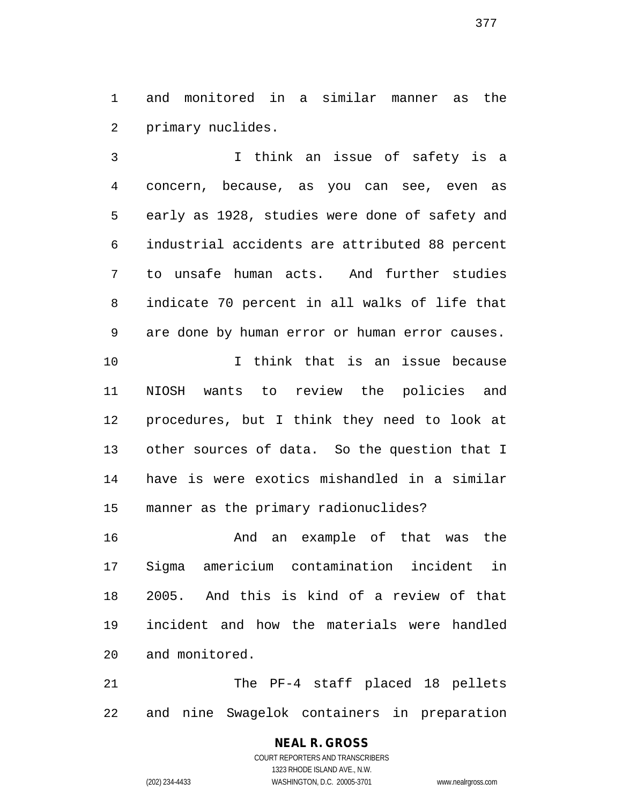and monitored in a similar manner as the primary nuclides.

 I think an issue of safety is a concern, because, as you can see, even as early as 1928, studies were done of safety and industrial accidents are attributed 88 percent to unsafe human acts. And further studies indicate 70 percent in all walks of life that are done by human error or human error causes. I think that is an issue because NIOSH wants to review the policies and procedures, but I think they need to look at other sources of data. So the question that I have is were exotics mishandled in a similar manner as the primary radionuclides?

 And an example of that was the Sigma americium contamination incident in 2005. And this is kind of a review of that incident and how the materials were handled and monitored.

 The PF-4 staff placed 18 pellets and nine Swagelok containers in preparation

# **NEAL R. GROSS**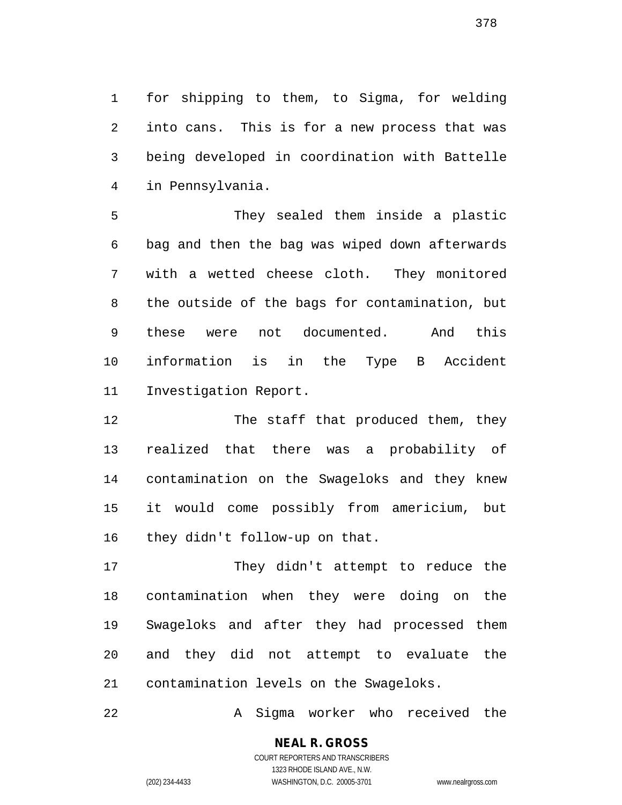for shipping to them, to Sigma, for welding into cans. This is for a new process that was being developed in coordination with Battelle in Pennsylvania.

 They sealed them inside a plastic bag and then the bag was wiped down afterwards with a wetted cheese cloth. They monitored the outside of the bags for contamination, but these were not documented. And this information is in the Type B Accident Investigation Report.

12 The staff that produced them, they realized that there was a probability of contamination on the Swageloks and they knew it would come possibly from americium, but they didn't follow-up on that.

 They didn't attempt to reduce the contamination when they were doing on the Swageloks and after they had processed them and they did not attempt to evaluate the contamination levels on the Swageloks.

A Sigma worker who received the

**NEAL R. GROSS**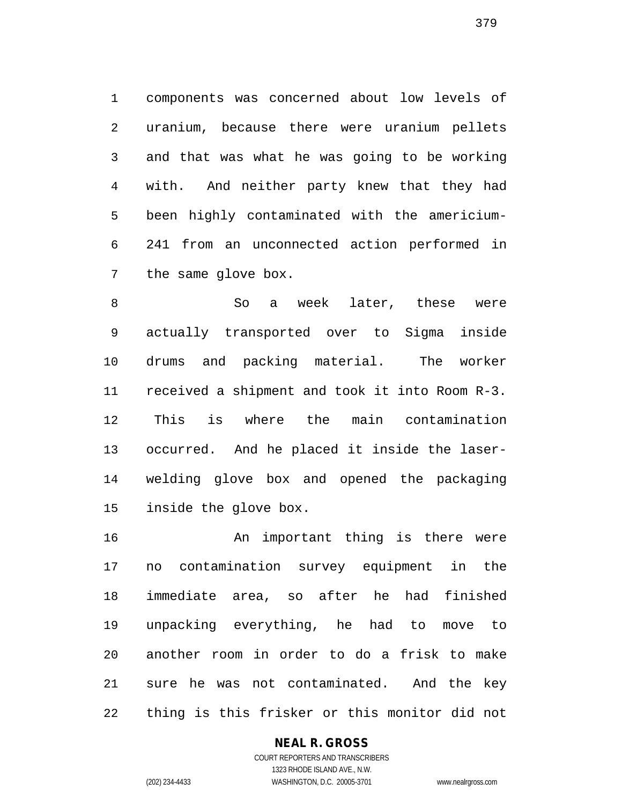components was concerned about low levels of uranium, because there were uranium pellets and that was what he was going to be working with. And neither party knew that they had been highly contaminated with the americium- 241 from an unconnected action performed in the same glove box.

 So a week later, these were actually transported over to Sigma inside drums and packing material. The worker received a shipment and took it into Room R-3. This is where the main contamination occurred. And he placed it inside the laser- welding glove box and opened the packaging inside the glove box.

 An important thing is there were no contamination survey equipment in the immediate area, so after he had finished unpacking everything, he had to move to another room in order to do a frisk to make sure he was not contaminated. And the key thing is this frisker or this monitor did not

## **NEAL R. GROSS**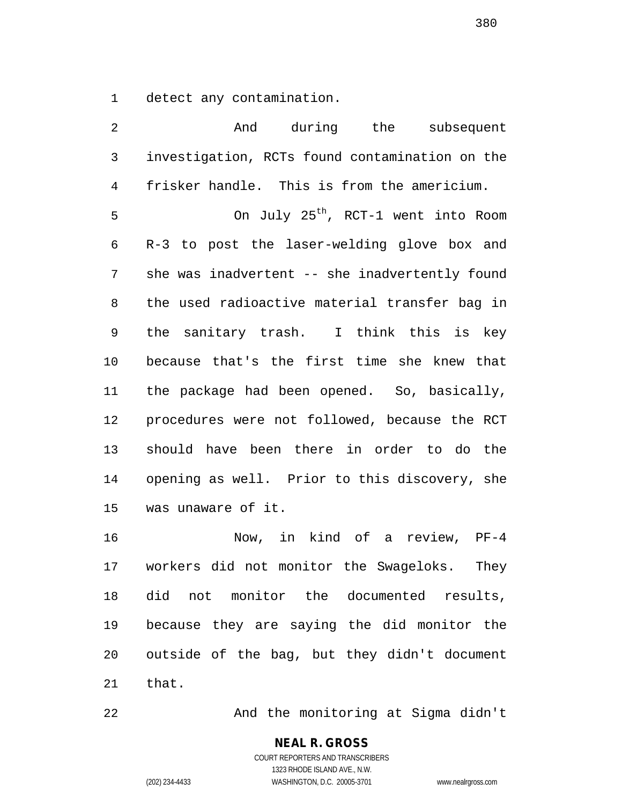detect any contamination.

| $\overline{2}$ | And during the subsequent                       |
|----------------|-------------------------------------------------|
| $\mathsf 3$    | investigation, RCTs found contamination on the  |
| $\overline{4}$ | frisker handle. This is from the americium.     |
| 5              | On July 25 <sup>th</sup> , RCT-1 went into Room |
| 6              | R-3 to post the laser-welding glove box and     |
| 7              | she was inadvertent -- she inadvertently found  |
| 8              | the used radioactive material transfer bag in   |
| 9              | the sanitary trash. I think this is key         |
| 10             | because that's the first time she knew that     |
| 11             | the package had been opened. So, basically,     |
| 12             | procedures were not followed, because the RCT   |
| 13             | should have been there in order to do the       |
| 14             | opening as well. Prior to this discovery, she   |
| 15             | was unaware of it.                              |
| 16             | Now, in kind of a review, PF-4                  |
| 17             | workers did not monitor the Swageloks.<br>They  |

 did not monitor the documented results, because they are saying the did monitor the outside of the bag, but they didn't document that.

And the monitoring at Sigma didn't

## **NEAL R. GROSS** COURT REPORTERS AND TRANSCRIBERS

1323 RHODE ISLAND AVE., N.W. (202) 234-4433 WASHINGTON, D.C. 20005-3701 www.nealrgross.com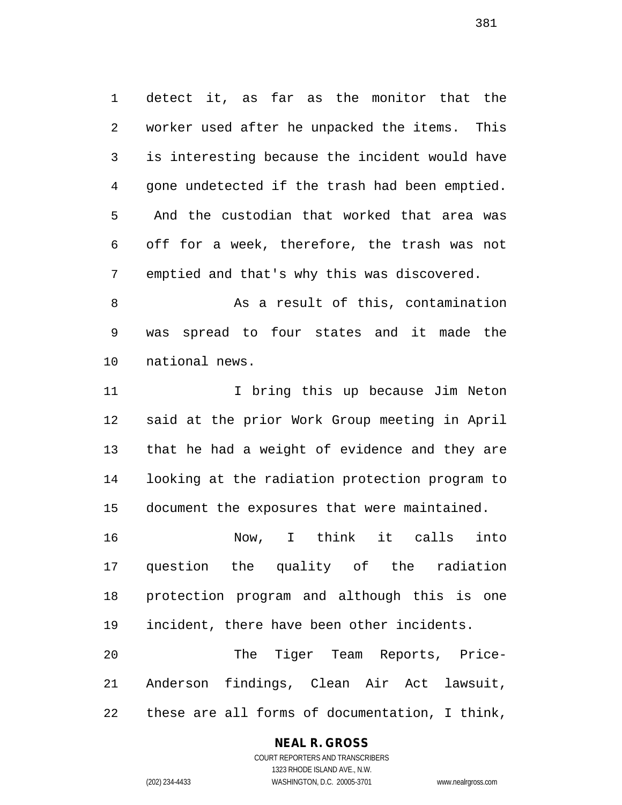detect it, as far as the monitor that the worker used after he unpacked the items. This is interesting because the incident would have gone undetected if the trash had been emptied. And the custodian that worked that area was off for a week, therefore, the trash was not emptied and that's why this was discovered.

 As a result of this, contamination was spread to four states and it made the national news.

11 11 I bring this up because Jim Neton said at the prior Work Group meeting in April that he had a weight of evidence and they are looking at the radiation protection program to document the exposures that were maintained.

 Now, I think it calls into question the quality of the radiation protection program and although this is one incident, there have been other incidents.

 The Tiger Team Reports, Price- Anderson findings, Clean Air Act lawsuit, these are all forms of documentation, I think,

## **NEAL R. GROSS**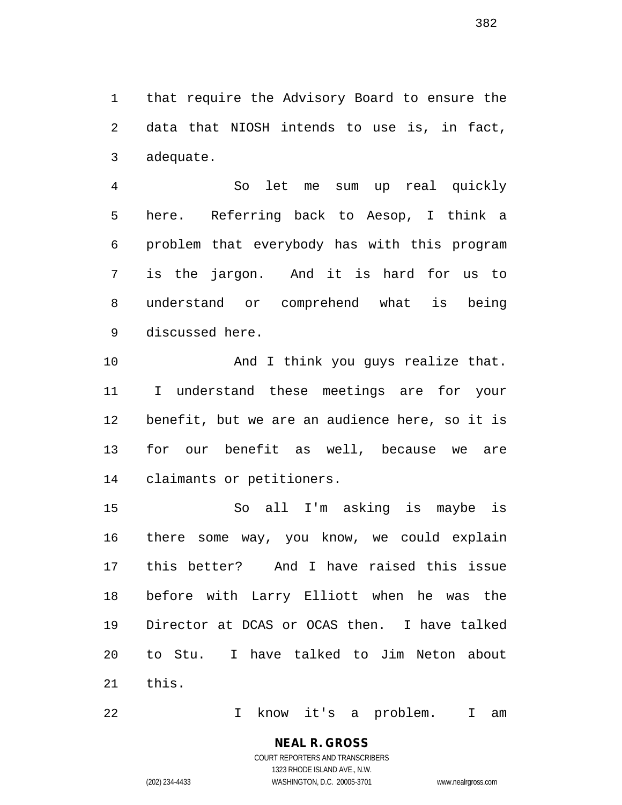that require the Advisory Board to ensure the data that NIOSH intends to use is, in fact, adequate.

 So let me sum up real quickly here. Referring back to Aesop, I think a problem that everybody has with this program is the jargon. And it is hard for us to understand or comprehend what is being discussed here.

10 And I think you guys realize that. I understand these meetings are for your benefit, but we are an audience here, so it is for our benefit as well, because we are claimants or petitioners.

 So all I'm asking is maybe is there some way, you know, we could explain this better? And I have raised this issue before with Larry Elliott when he was the Director at DCAS or OCAS then. I have talked to Stu. I have talked to Jim Neton about this.

I know it's a problem. I am

COURT REPORTERS AND TRANSCRIBERS 1323 RHODE ISLAND AVE., N.W. (202) 234-4433 WASHINGTON, D.C. 20005-3701 www.nealrgross.com

**NEAL R. GROSS**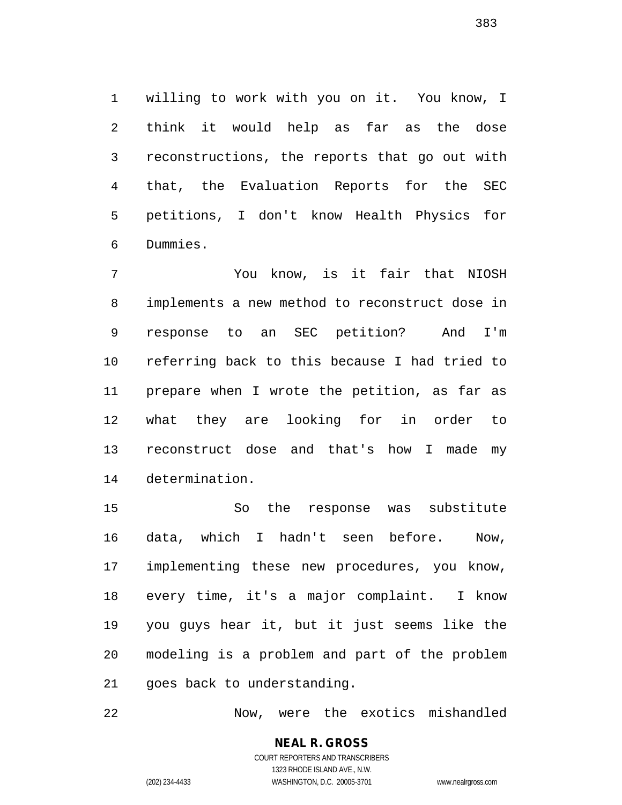willing to work with you on it. You know, I think it would help as far as the dose reconstructions, the reports that go out with that, the Evaluation Reports for the SEC petitions, I don't know Health Physics for Dummies.

 You know, is it fair that NIOSH implements a new method to reconstruct dose in response to an SEC petition? And I'm referring back to this because I had tried to prepare when I wrote the petition, as far as what they are looking for in order to reconstruct dose and that's how I made my determination.

 So the response was substitute data, which I hadn't seen before. Now, implementing these new procedures, you know, every time, it's a major complaint. I know you guys hear it, but it just seems like the modeling is a problem and part of the problem goes back to understanding.

Now, were the exotics mishandled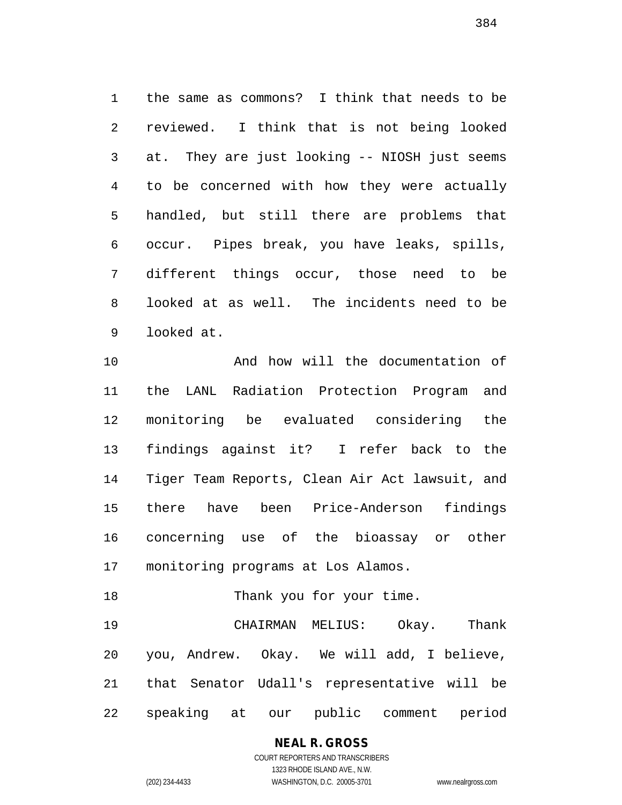the same as commons? I think that needs to be reviewed. I think that is not being looked at. They are just looking -- NIOSH just seems to be concerned with how they were actually handled, but still there are problems that occur. Pipes break, you have leaks, spills, different things occur, those need to be looked at as well. The incidents need to be looked at.

 And how will the documentation of the LANL Radiation Protection Program and monitoring be evaluated considering the findings against it? I refer back to the Tiger Team Reports, Clean Air Act lawsuit, and there have been Price-Anderson findings concerning use of the bioassay or other monitoring programs at Los Alamos.

 CHAIRMAN MELIUS: Okay. Thank you, Andrew. Okay. We will add, I believe, that Senator Udall's representative will be speaking at our public comment period

18 Thank you for your time.

**NEAL R. GROSS**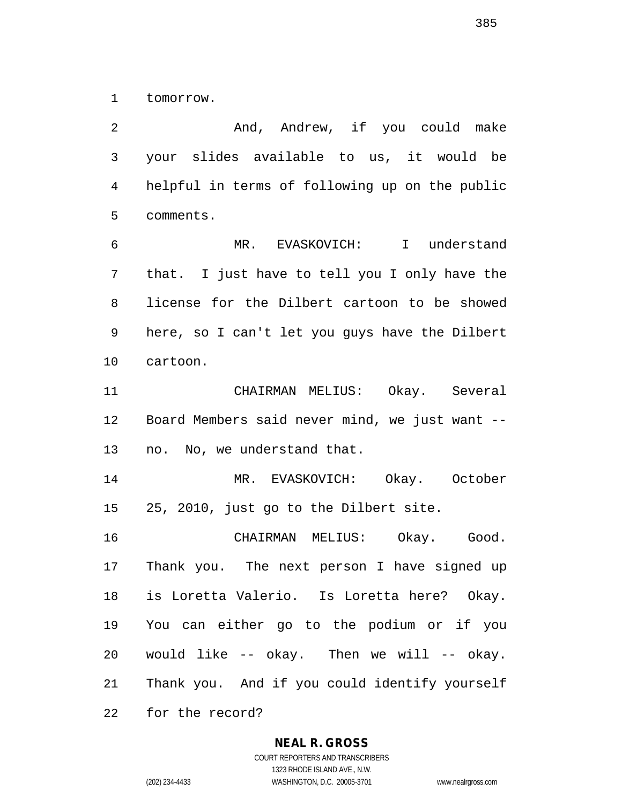tomorrow.

2 And, Andrew, if you could make your slides available to us, it would be helpful in terms of following up on the public comments.

 MR. EVASKOVICH: I understand that. I just have to tell you I only have the license for the Dilbert cartoon to be showed here, so I can't let you guys have the Dilbert cartoon.

 CHAIRMAN MELIUS: Okay. Several Board Members said never mind, we just want -- no. No, we understand that.

 MR. EVASKOVICH: Okay. October 25, 2010, just go to the Dilbert site.

 CHAIRMAN MELIUS: Okay. Good. Thank you. The next person I have signed up is Loretta Valerio. Is Loretta here? Okay. You can either go to the podium or if you would like -- okay. Then we will -- okay. Thank you. And if you could identify yourself

for the record?

#### **NEAL R. GROSS**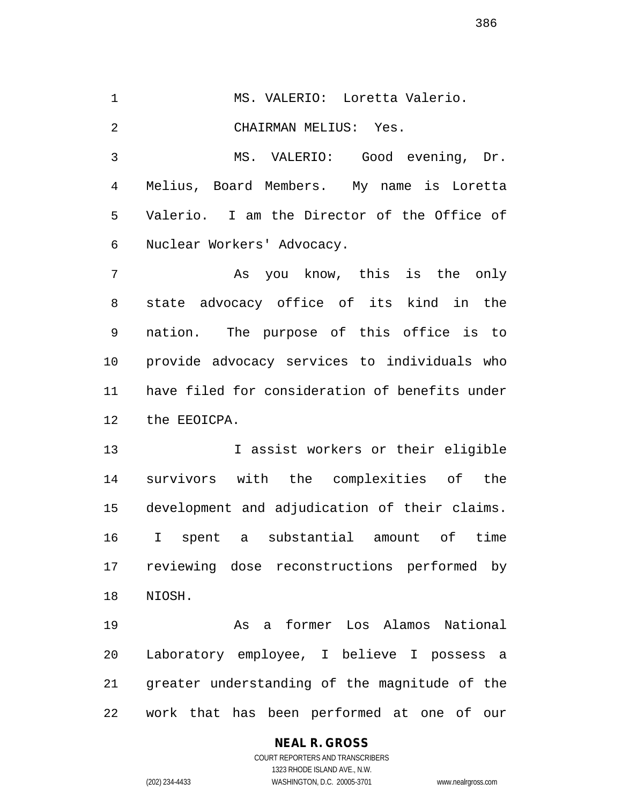MS. VALERIO: Loretta Valerio. CHAIRMAN MELIUS: Yes. MS. VALERIO: Good evening, Dr. Melius, Board Members. My name is Loretta Valerio. I am the Director of the Office of Nuclear Workers' Advocacy. As you know, this is the only state advocacy office of its kind in the

 nation. The purpose of this office is to provide advocacy services to individuals who have filed for consideration of benefits under the EEOICPA.

 I assist workers or their eligible survivors with the complexities of the development and adjudication of their claims. I spent a substantial amount of time reviewing dose reconstructions performed by NIOSH.

 As a former Los Alamos National Laboratory employee, I believe I possess a greater understanding of the magnitude of the work that has been performed at one of our

# **NEAL R. GROSS**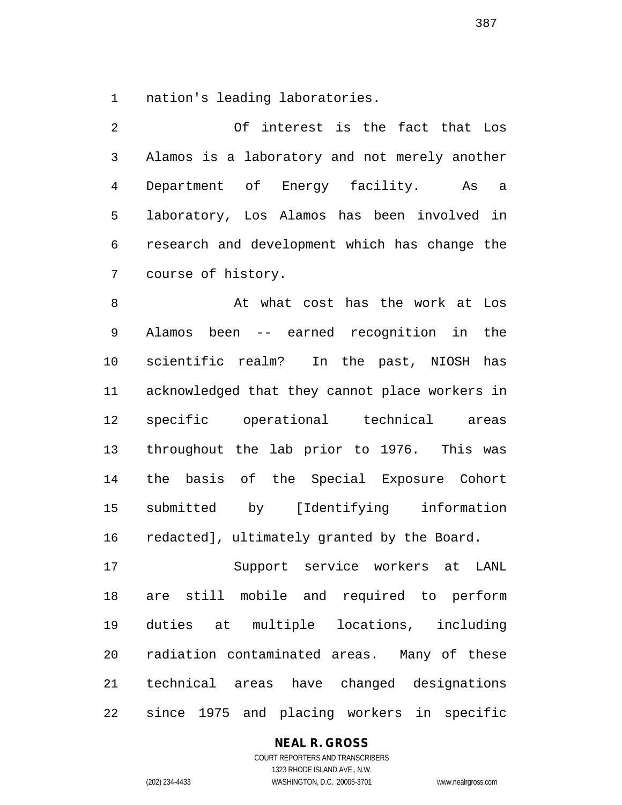nation's leading laboratories.

 Of interest is the fact that Los Alamos is a laboratory and not merely another Department of Energy facility. As a laboratory, Los Alamos has been involved in research and development which has change the course of history.

8 At what cost has the work at Los Alamos been -- earned recognition in the scientific realm? In the past, NIOSH has acknowledged that they cannot place workers in specific operational technical areas throughout the lab prior to 1976. This was the basis of the Special Exposure Cohort submitted by [Identifying information redacted], ultimately granted by the Board.

 Support service workers at LANL are still mobile and required to perform duties at multiple locations, including radiation contaminated areas. Many of these technical areas have changed designations since 1975 and placing workers in specific

## **NEAL R. GROSS**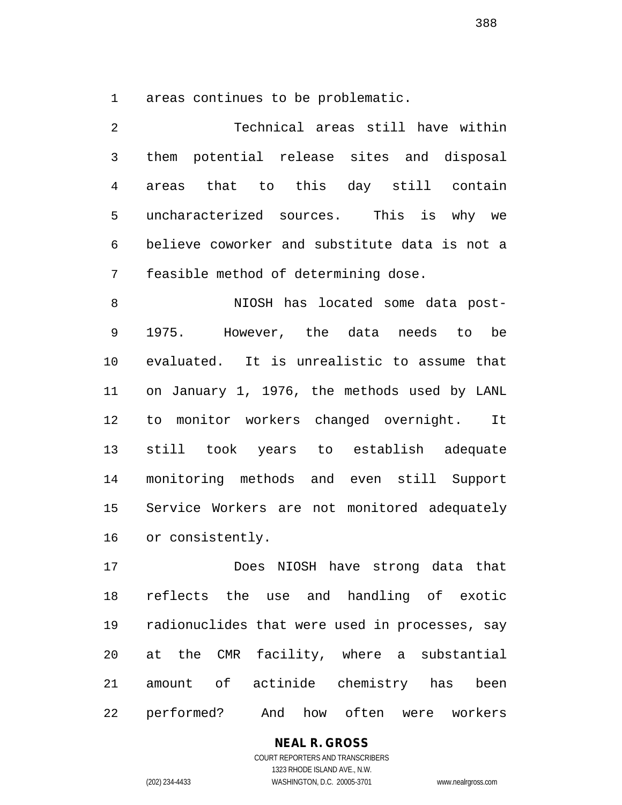areas continues to be problematic.

 Technical areas still have within them potential release sites and disposal areas that to this day still contain uncharacterized sources. This is why we believe coworker and substitute data is not a feasible method of determining dose.

8 MIOSH has located some data post- 1975. However, the data needs to be evaluated. It is unrealistic to assume that on January 1, 1976, the methods used by LANL to monitor workers changed overnight. It still took years to establish adequate monitoring methods and even still Support Service Workers are not monitored adequately or consistently.

 Does NIOSH have strong data that reflects the use and handling of exotic radionuclides that were used in processes, say at the CMR facility, where a substantial amount of actinide chemistry has been performed? And how often were workers

> COURT REPORTERS AND TRANSCRIBERS 1323 RHODE ISLAND AVE., N.W. (202) 234-4433 WASHINGTON, D.C. 20005-3701 www.nealrgross.com

**NEAL R. GROSS**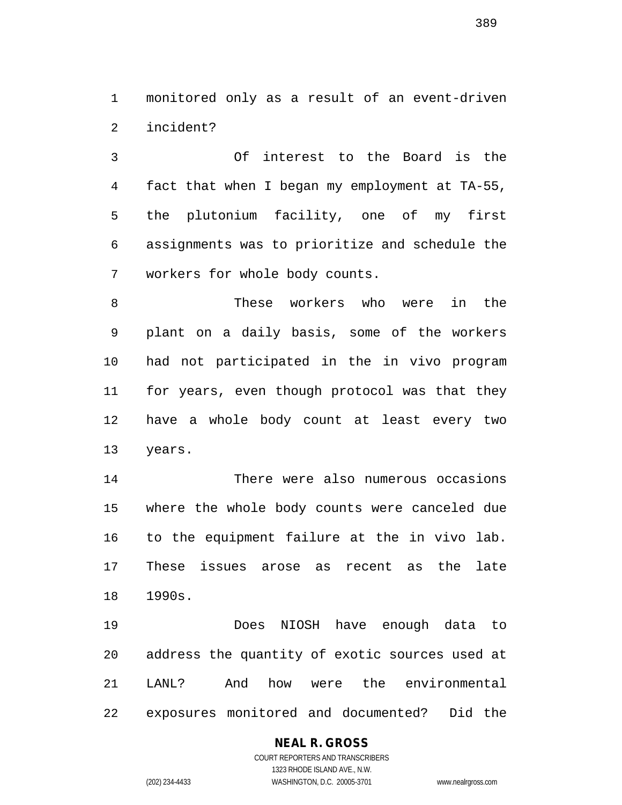monitored only as a result of an event-driven incident?

 Of interest to the Board is the fact that when I began my employment at TA-55, the plutonium facility, one of my first assignments was to prioritize and schedule the workers for whole body counts.

 These workers who were in the plant on a daily basis, some of the workers had not participated in the in vivo program for years, even though protocol was that they have a whole body count at least every two years.

 There were also numerous occasions where the whole body counts were canceled due to the equipment failure at the in vivo lab. These issues arose as recent as the late 1990s.

 Does NIOSH have enough data to address the quantity of exotic sources used at LANL? And how were the environmental exposures monitored and documented? Did the

# **NEAL R. GROSS**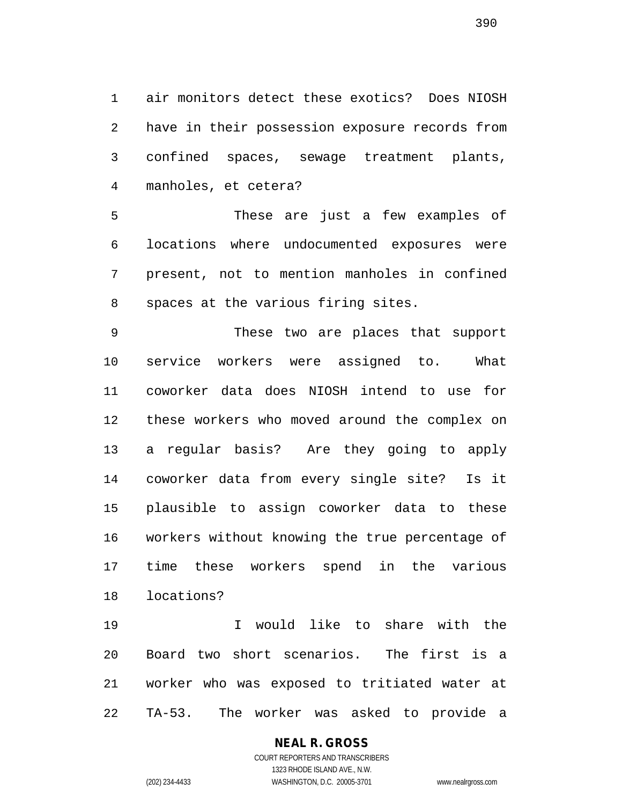air monitors detect these exotics? Does NIOSH have in their possession exposure records from confined spaces, sewage treatment plants, manholes, et cetera?

 These are just a few examples of locations where undocumented exposures were present, not to mention manholes in confined spaces at the various firing sites.

 These two are places that support service workers were assigned to. What coworker data does NIOSH intend to use for these workers who moved around the complex on a regular basis? Are they going to apply coworker data from every single site? Is it plausible to assign coworker data to these workers without knowing the true percentage of time these workers spend in the various locations?

 I would like to share with the Board two short scenarios. The first is a worker who was exposed to tritiated water at TA-53. The worker was asked to provide a

#### **NEAL R. GROSS** COURT REPORTERS AND TRANSCRIBERS

1323 RHODE ISLAND AVE., N.W. (202) 234-4433 WASHINGTON, D.C. 20005-3701 www.nealrgross.com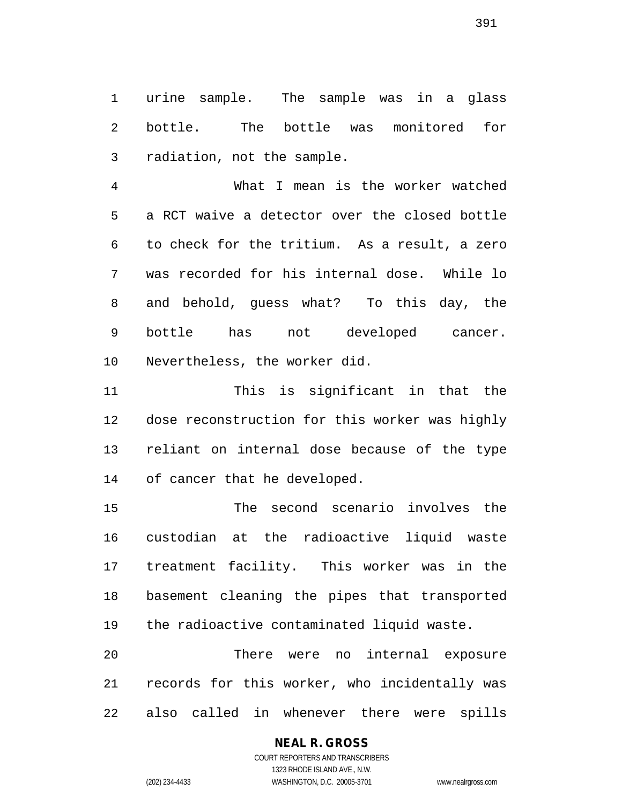urine sample. The sample was in a glass bottle. The bottle was monitored for radiation, not the sample.

 What I mean is the worker watched a RCT waive a detector over the closed bottle to check for the tritium. As a result, a zero was recorded for his internal dose. While lo and behold, guess what? To this day, the bottle has not developed cancer. Nevertheless, the worker did.

 This is significant in that the dose reconstruction for this worker was highly reliant on internal dose because of the type of cancer that he developed.

 The second scenario involves the custodian at the radioactive liquid waste treatment facility. This worker was in the basement cleaning the pipes that transported the radioactive contaminated liquid waste.

 There were no internal exposure records for this worker, who incidentally was also called in whenever there were spills

# **NEAL R. GROSS**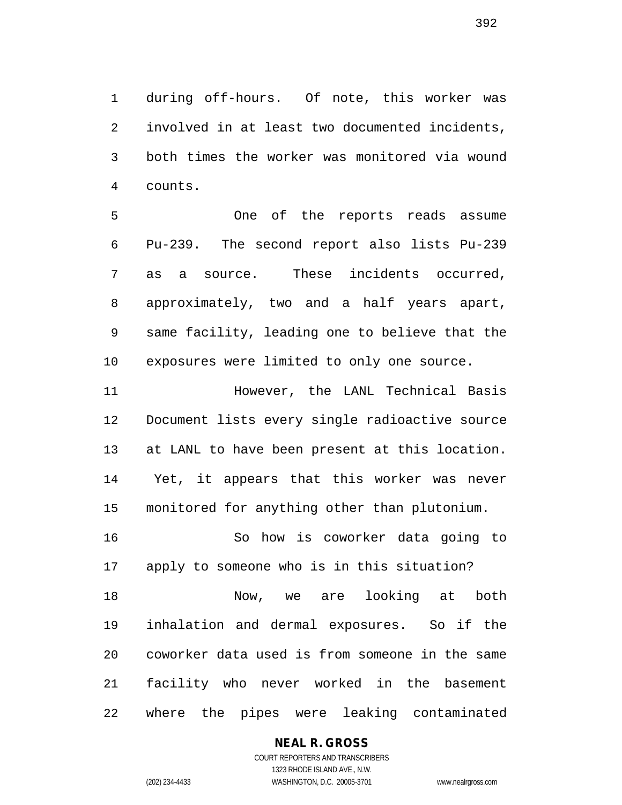during off-hours. Of note, this worker was involved in at least two documented incidents, both times the worker was monitored via wound counts.

 One of the reports reads assume Pu-239. The second report also lists Pu-239 as a source. These incidents occurred, approximately, two and a half years apart, same facility, leading one to believe that the exposures were limited to only one source.

 However, the LANL Technical Basis Document lists every single radioactive source at LANL to have been present at this location. Yet, it appears that this worker was never monitored for anything other than plutonium.

 So how is coworker data going to apply to someone who is in this situation?

 Now, we are looking at both inhalation and dermal exposures. So if the coworker data used is from someone in the same facility who never worked in the basement where the pipes were leaking contaminated

## **NEAL R. GROSS**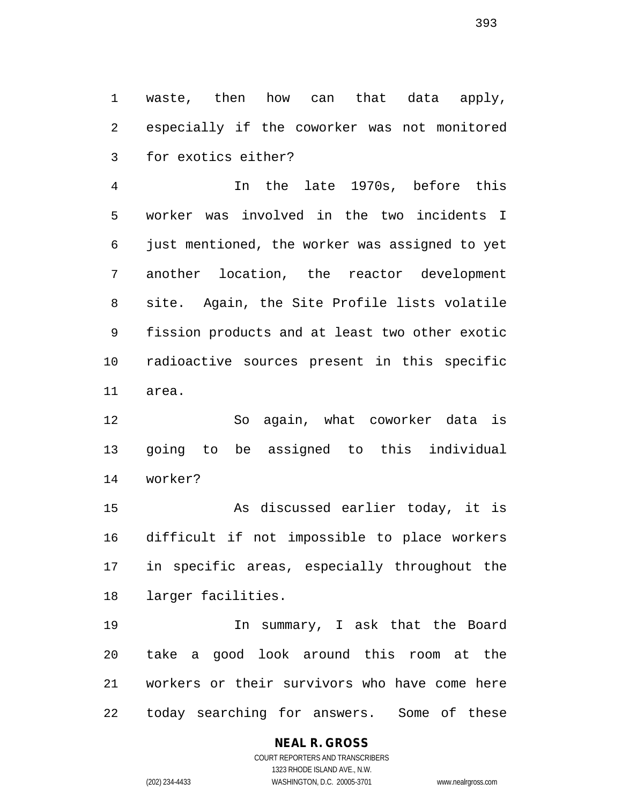waste, then how can that data apply, especially if the coworker was not monitored for exotics either?

 In the late 1970s, before this worker was involved in the two incidents I just mentioned, the worker was assigned to yet another location, the reactor development site. Again, the Site Profile lists volatile fission products and at least two other exotic radioactive sources present in this specific area.

 So again, what coworker data is going to be assigned to this individual worker?

 As discussed earlier today, it is difficult if not impossible to place workers in specific areas, especially throughout the larger facilities.

 In summary, I ask that the Board take a good look around this room at the workers or their survivors who have come here today searching for answers. Some of these

#### **NEAL R. GROSS** COURT REPORTERS AND TRANSCRIBERS

1323 RHODE ISLAND AVE., N.W. (202) 234-4433 WASHINGTON, D.C. 20005-3701 www.nealrgross.com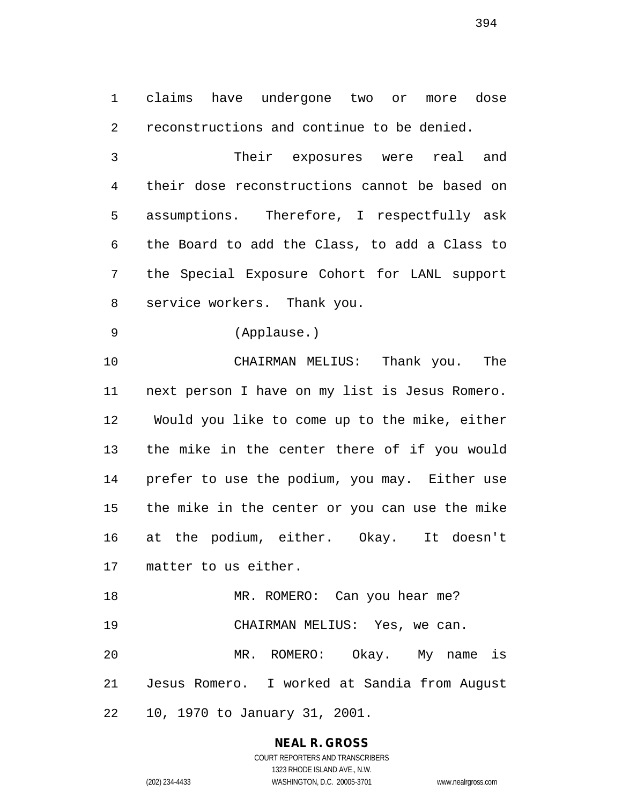claims have undergone two or more dose reconstructions and continue to be denied.

 Their exposures were real and their dose reconstructions cannot be based on assumptions. Therefore, I respectfully ask the Board to add the Class, to add a Class to the Special Exposure Cohort for LANL support service workers. Thank you.

(Applause.)

 CHAIRMAN MELIUS: Thank you. The next person I have on my list is Jesus Romero. Would you like to come up to the mike, either the mike in the center there of if you would prefer to use the podium, you may. Either use the mike in the center or you can use the mike at the podium, either. Okay. It doesn't matter to us either.

18 MR. ROMERO: Can you hear me? CHAIRMAN MELIUS: Yes, we can. MR. ROMERO: Okay. My name is Jesus Romero. I worked at Sandia from August 10, 1970 to January 31, 2001.

> **NEAL R. GROSS** COURT REPORTERS AND TRANSCRIBERS 1323 RHODE ISLAND AVE., N.W.

(202) 234-4433 WASHINGTON, D.C. 20005-3701 www.nealrgross.com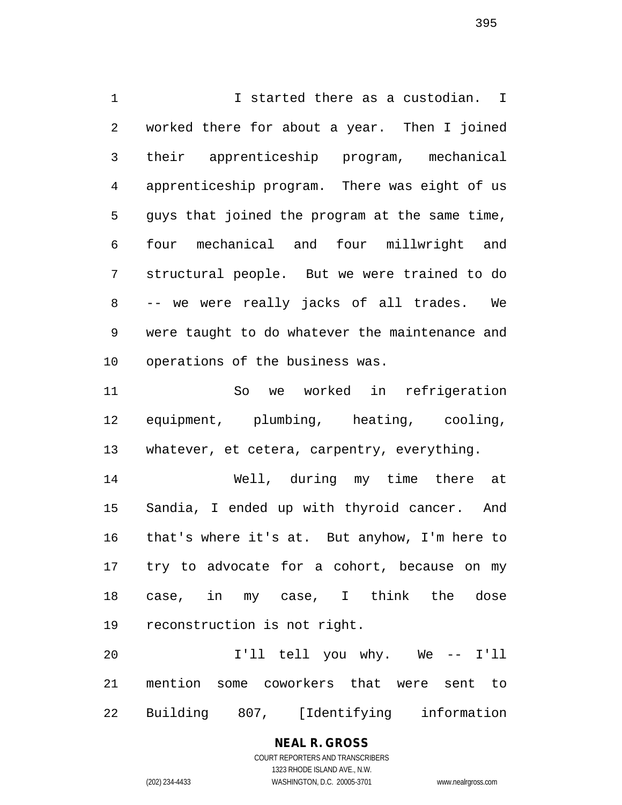I started there as a custodian. I worked there for about a year. Then I joined their apprenticeship program, mechanical apprenticeship program. There was eight of us guys that joined the program at the same time, four mechanical and four millwright and structural people. But we were trained to do -- we were really jacks of all trades. We were taught to do whatever the maintenance and operations of the business was.

 So we worked in refrigeration equipment, plumbing, heating, cooling, whatever, et cetera, carpentry, everything.

 Well, during my time there at Sandia, I ended up with thyroid cancer. And that's where it's at. But anyhow, I'm here to try to advocate for a cohort, because on my case, in my case, I think the dose reconstruction is not right.

 I'll tell you why. We -- I'll mention some coworkers that were sent to Building 807, [Identifying information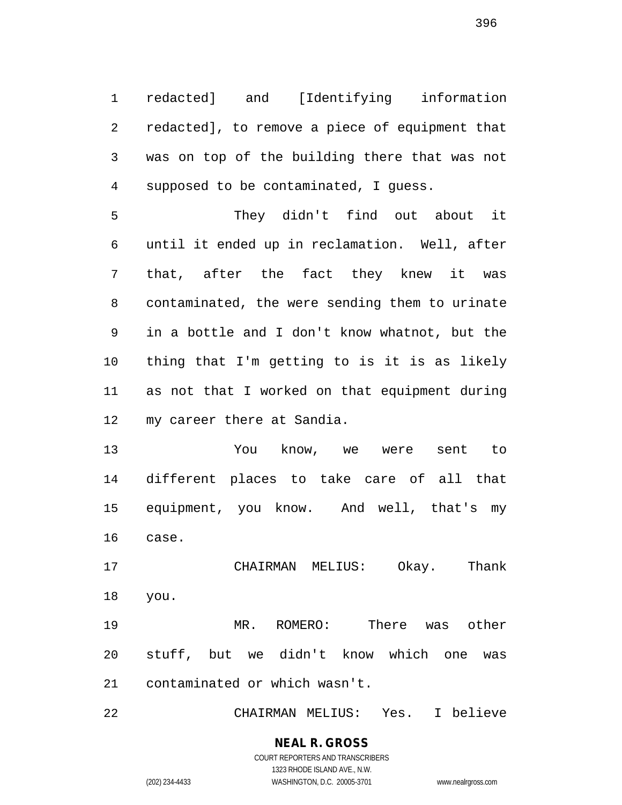redacted] and [Identifying information redacted], to remove a piece of equipment that was on top of the building there that was not supposed to be contaminated, I guess.

 They didn't find out about it until it ended up in reclamation. Well, after that, after the fact they knew it was contaminated, the were sending them to urinate in a bottle and I don't know whatnot, but the thing that I'm getting to is it is as likely as not that I worked on that equipment during my career there at Sandia.

 You know, we were sent to different places to take care of all that equipment, you know. And well, that's my case.

 CHAIRMAN MELIUS: Okay. Thank you.

 MR. ROMERO: There was other stuff, but we didn't know which one was contaminated or which wasn't.

CHAIRMAN MELIUS: Yes. I believe

**NEAL R. GROSS** COURT REPORTERS AND TRANSCRIBERS 1323 RHODE ISLAND AVE., N.W.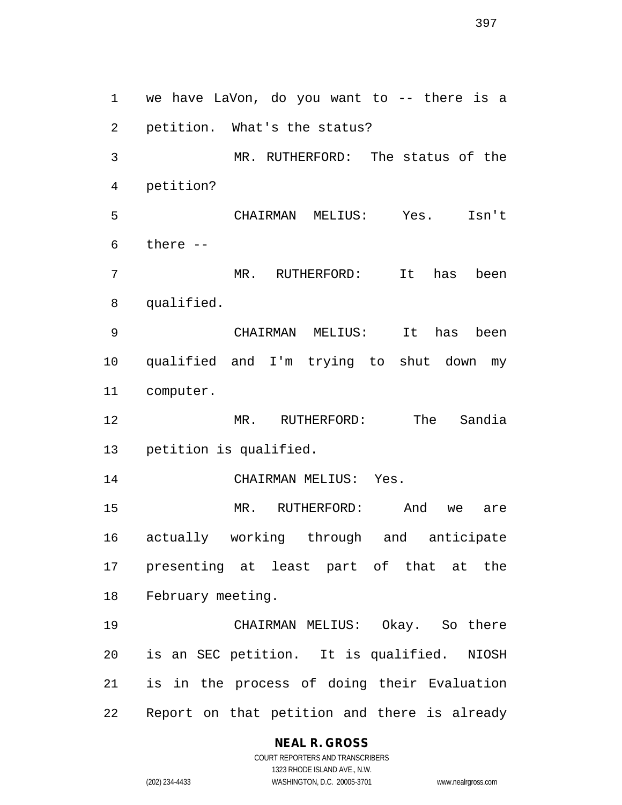we have LaVon, do you want to -- there is a petition. What's the status? MR. RUTHERFORD: The status of the petition? CHAIRMAN MELIUS: Yes. Isn't there -- MR. RUTHERFORD: It has been qualified. CHAIRMAN MELIUS: It has been qualified and I'm trying to shut down my computer. MR. RUTHERFORD: The Sandia petition is qualified. CHAIRMAN MELIUS: Yes. MR. RUTHERFORD: And we are actually working through and anticipate presenting at least part of that at the February meeting. CHAIRMAN MELIUS: Okay. So there is an SEC petition. It is qualified. NIOSH is in the process of doing their Evaluation Report on that petition and there is already

#### **NEAL R. GROSS**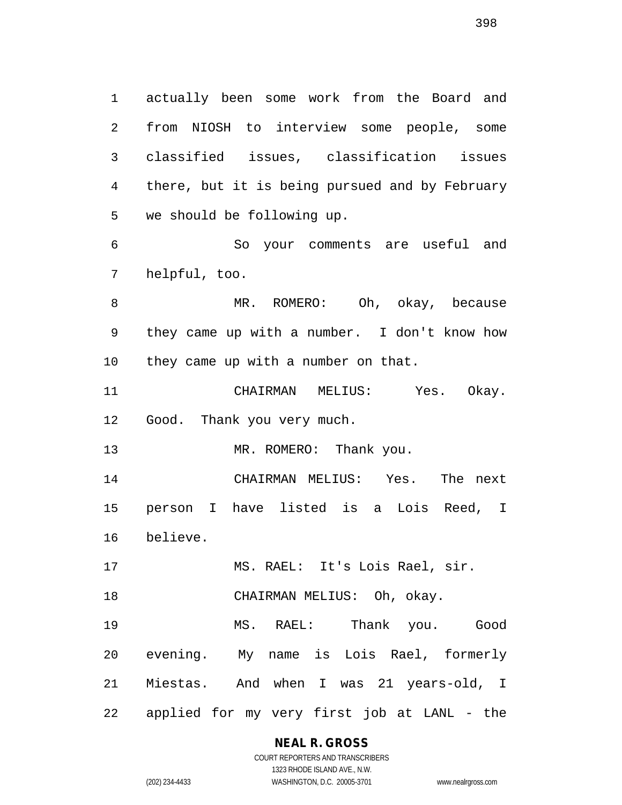actually been some work from the Board and from NIOSH to interview some people, some classified issues, classification issues there, but it is being pursued and by February we should be following up.

 So your comments are useful and helpful, too.

 MR. ROMERO: Oh, okay, because they came up with a number. I don't know how they came up with a number on that.

 CHAIRMAN MELIUS: Yes. Okay. Good. Thank you very much.

13 MR. ROMERO: Thank you.

 CHAIRMAN MELIUS: Yes. The next person I have listed is a Lois Reed, I believe.

MS. RAEL: It's Lois Rael, sir.

CHAIRMAN MELIUS: Oh, okay.

 MS. RAEL: Thank you. Good evening. My name is Lois Rael, formerly Miestas. And when I was 21 years-old, I applied for my very first job at LANL - the

### **NEAL R. GROSS**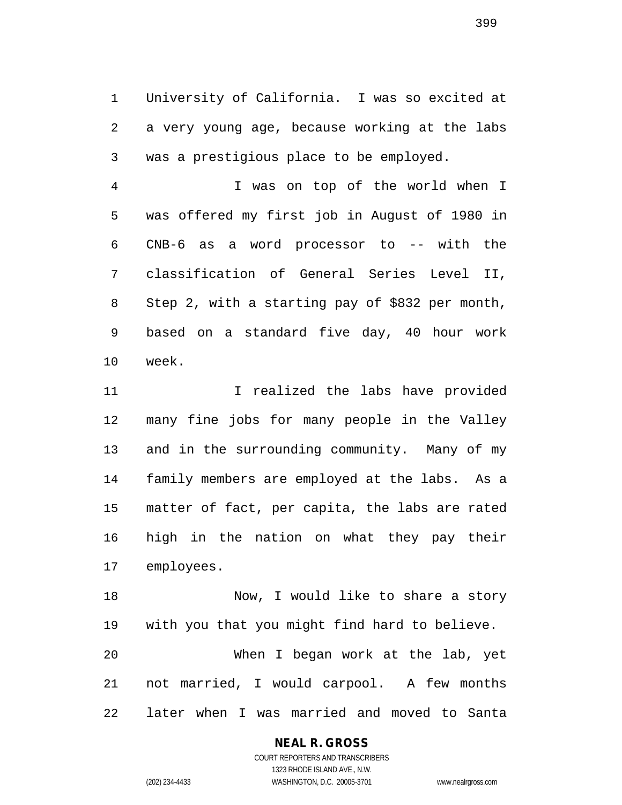University of California. I was so excited at a very young age, because working at the labs was a prestigious place to be employed.

 I was on top of the world when I was offered my first job in August of 1980 in CNB-6 as a word processor to -- with the classification of General Series Level II, Step 2, with a starting pay of \$832 per month, based on a standard five day, 40 hour work week.

11 11 I realized the labs have provided many fine jobs for many people in the Valley and in the surrounding community. Many of my family members are employed at the labs. As a matter of fact, per capita, the labs are rated high in the nation on what they pay their employees.

 Now, I would like to share a story with you that you might find hard to believe. When I began work at the lab, yet not married, I would carpool. A few months later when I was married and moved to Santa

#### **NEAL R. GROSS** COURT REPORTERS AND TRANSCRIBERS

1323 RHODE ISLAND AVE., N.W. (202) 234-4433 WASHINGTON, D.C. 20005-3701 www.nealrgross.com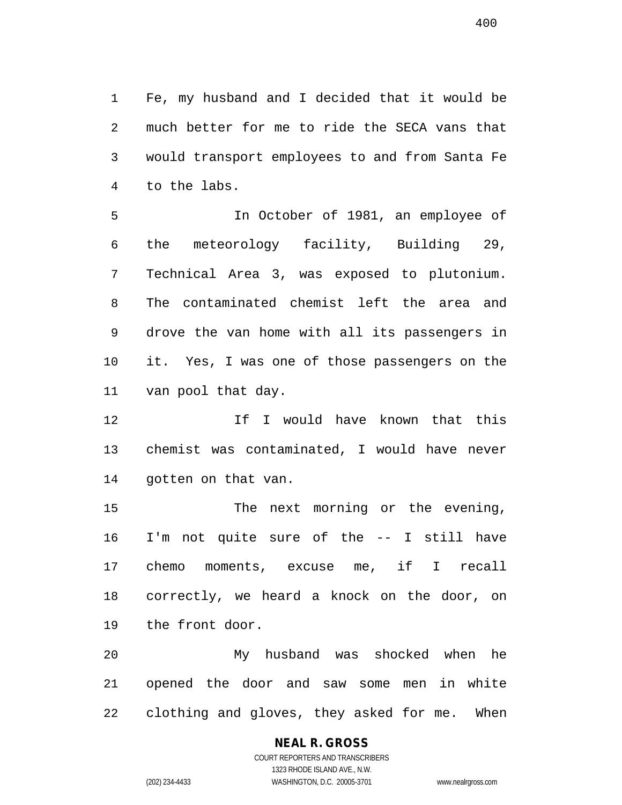Fe, my husband and I decided that it would be much better for me to ride the SECA vans that would transport employees to and from Santa Fe to the labs.

 In October of 1981, an employee of the meteorology facility, Building 29, Technical Area 3, was exposed to plutonium. The contaminated chemist left the area and drove the van home with all its passengers in it. Yes, I was one of those passengers on the van pool that day.

12 12 If I would have known that this chemist was contaminated, I would have never gotten on that van.

 The next morning or the evening, I'm not quite sure of the -- I still have chemo moments, excuse me, if I recall correctly, we heard a knock on the door, on the front door.

 My husband was shocked when he opened the door and saw some men in white clothing and gloves, they asked for me. When

# **NEAL R. GROSS**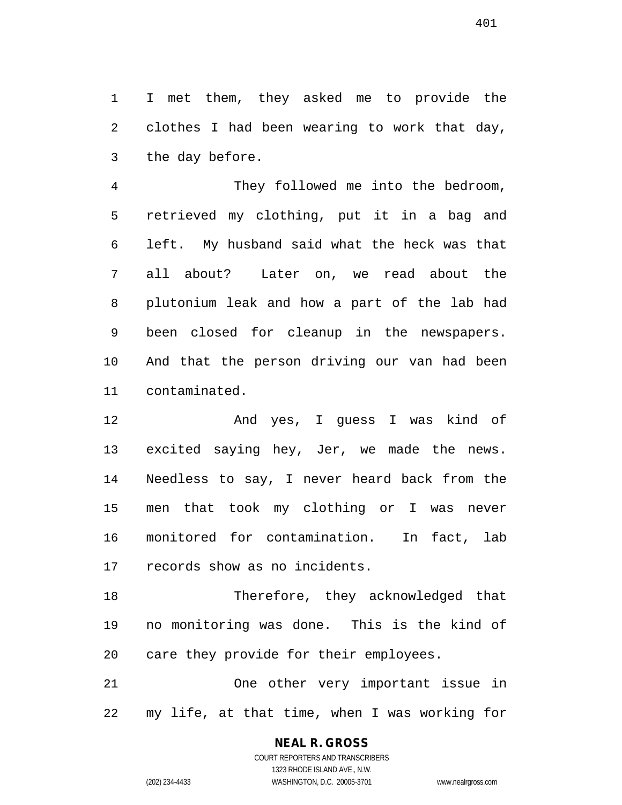I met them, they asked me to provide the clothes I had been wearing to work that day, the day before.

 They followed me into the bedroom, retrieved my clothing, put it in a bag and left. My husband said what the heck was that all about? Later on, we read about the plutonium leak and how a part of the lab had been closed for cleanup in the newspapers. And that the person driving our van had been contaminated.

 And yes, I guess I was kind of excited saying hey, Jer, we made the news. Needless to say, I never heard back from the men that took my clothing or I was never monitored for contamination. In fact, lab records show as no incidents.

 Therefore, they acknowledged that no monitoring was done. This is the kind of care they provide for their employees.

 One other very important issue in my life, at that time, when I was working for

# **NEAL R. GROSS**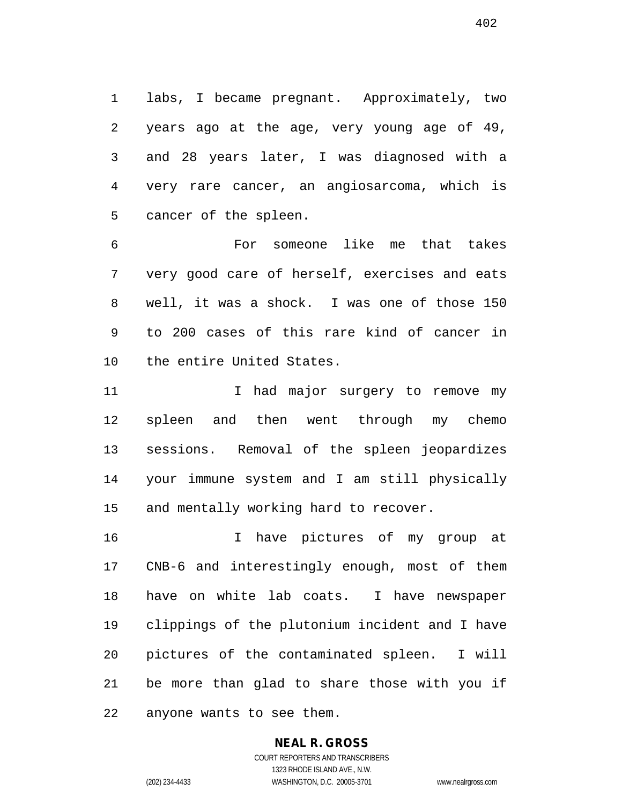labs, I became pregnant. Approximately, two years ago at the age, very young age of 49, and 28 years later, I was diagnosed with a very rare cancer, an angiosarcoma, which is cancer of the spleen.

 For someone like me that takes very good care of herself, exercises and eats well, it was a shock. I was one of those 150 to 200 cases of this rare kind of cancer in the entire United States.

11 11 I had major surgery to remove my spleen and then went through my chemo sessions. Removal of the spleen jeopardizes your immune system and I am still physically and mentally working hard to recover.

 I have pictures of my group at CNB-6 and interestingly enough, most of them have on white lab coats. I have newspaper clippings of the plutonium incident and I have pictures of the contaminated spleen. I will be more than glad to share those with you if anyone wants to see them.

# **NEAL R. GROSS**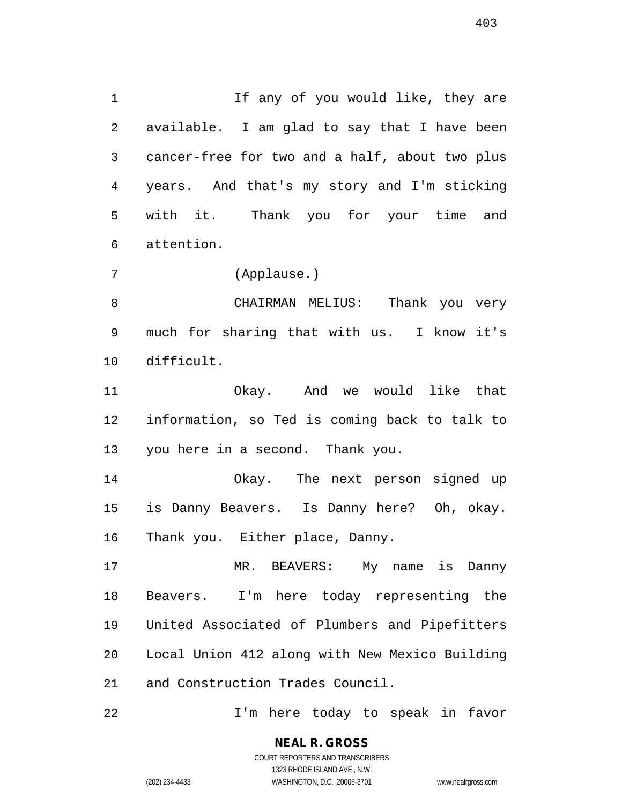1 If any of you would like, they are available. I am glad to say that I have been cancer-free for two and a half, about two plus years. And that's my story and I'm sticking with it. Thank you for your time and attention.

(Applause.)

 CHAIRMAN MELIUS: Thank you very much for sharing that with us. I know it's difficult.

 Okay. And we would like that information, so Ted is coming back to talk to you here in a second. Thank you.

 Okay. The next person signed up is Danny Beavers. Is Danny here? Oh, okay. Thank you. Either place, Danny.

 MR. BEAVERS: My name is Danny Beavers. I'm here today representing the United Associated of Plumbers and Pipefitters Local Union 412 along with New Mexico Building and Construction Trades Council.

I'm here today to speak in favor

**NEAL R. GROSS**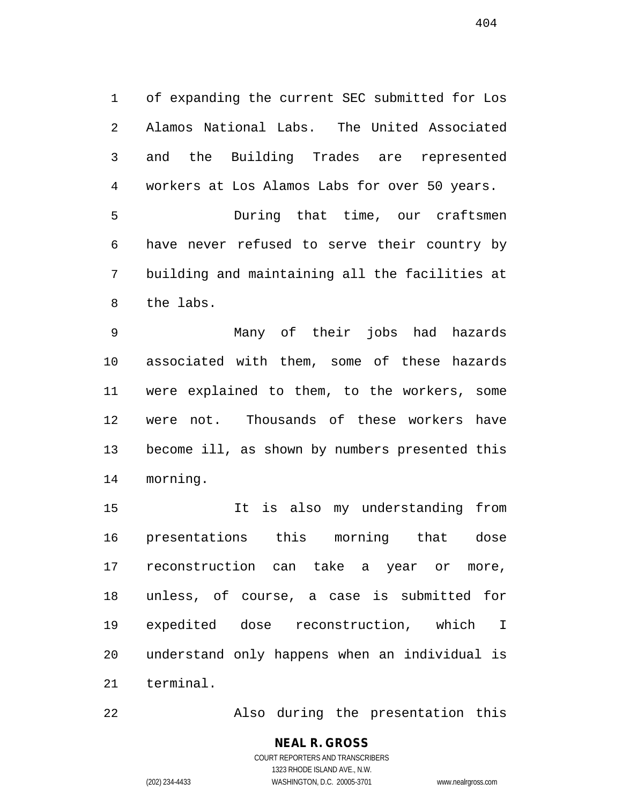of expanding the current SEC submitted for Los Alamos National Labs. The United Associated and the Building Trades are represented workers at Los Alamos Labs for over 50 years. During that time, our craftsmen have never refused to serve their country by

 building and maintaining all the facilities at the labs.

 Many of their jobs had hazards associated with them, some of these hazards were explained to them, to the workers, some were not. Thousands of these workers have become ill, as shown by numbers presented this morning.

 It is also my understanding from presentations this morning that dose reconstruction can take a year or more, unless, of course, a case is submitted for expedited dose reconstruction, which I understand only happens when an individual is terminal.

Also during the presentation this

### **NEAL R. GROSS** COURT REPORTERS AND TRANSCRIBERS 1323 RHODE ISLAND AVE., N.W.

(202) 234-4433 WASHINGTON, D.C. 20005-3701 www.nealrgross.com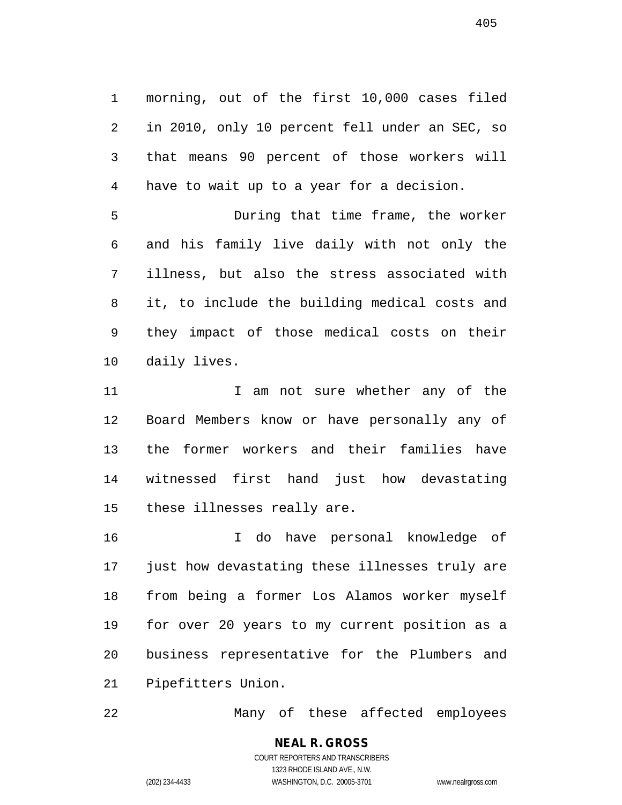morning, out of the first 10,000 cases filed in 2010, only 10 percent fell under an SEC, so that means 90 percent of those workers will have to wait up to a year for a decision.

 During that time frame, the worker and his family live daily with not only the illness, but also the stress associated with it, to include the building medical costs and they impact of those medical costs on their daily lives.

11 1 I am not sure whether any of the Board Members know or have personally any of the former workers and their families have witnessed first hand just how devastating these illnesses really are.

 I do have personal knowledge of just how devastating these illnesses truly are from being a former Los Alamos worker myself for over 20 years to my current position as a business representative for the Plumbers and Pipefitters Union.

Many of these affected employees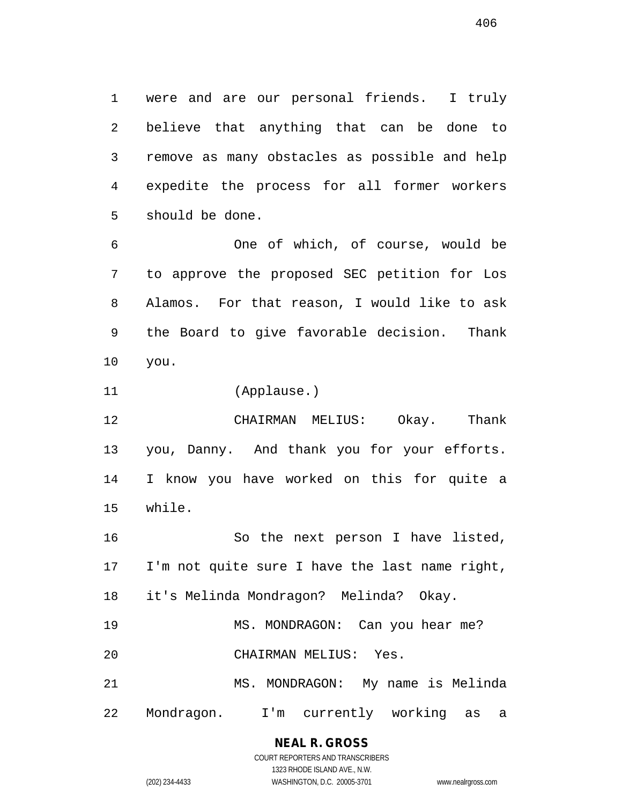were and are our personal friends. I truly believe that anything that can be done to remove as many obstacles as possible and help expedite the process for all former workers should be done.

 One of which, of course, would be to approve the proposed SEC petition for Los Alamos. For that reason, I would like to ask the Board to give favorable decision. Thank you.

(Applause.)

 CHAIRMAN MELIUS: Okay. Thank you, Danny. And thank you for your efforts. I know you have worked on this for quite a while.

 So the next person I have listed, I'm not quite sure I have the last name right, it's Melinda Mondragon? Melinda? Okay.

19 MS. MONDRAGON: Can you hear me?

CHAIRMAN MELIUS: Yes.

MS. MONDRAGON: My name is Melinda

Mondragon. I'm currently working as a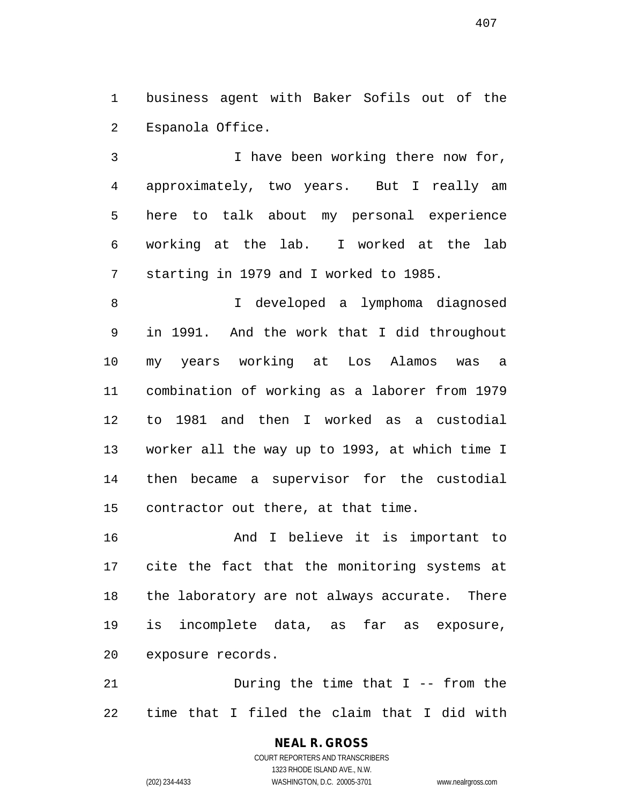business agent with Baker Sofils out of the Espanola Office.

 I have been working there now for, approximately, two years. But I really am here to talk about my personal experience working at the lab. I worked at the lab starting in 1979 and I worked to 1985.

 I developed a lymphoma diagnosed in 1991. And the work that I did throughout my years working at Los Alamos was a combination of working as a laborer from 1979 to 1981 and then I worked as a custodial worker all the way up to 1993, at which time I then became a supervisor for the custodial contractor out there, at that time.

 And I believe it is important to cite the fact that the monitoring systems at the laboratory are not always accurate. There is incomplete data, as far as exposure, exposure records.

 During the time that I -- from the time that I filed the claim that I did with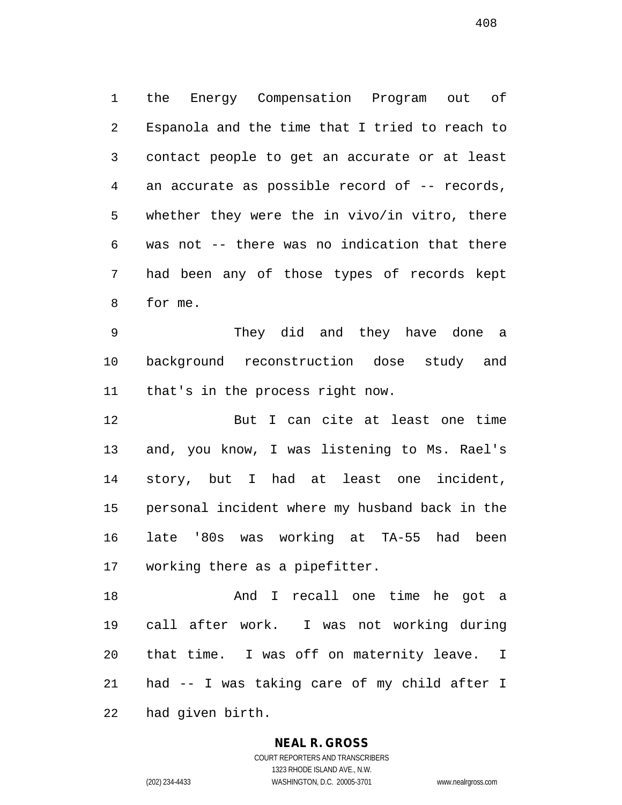the Energy Compensation Program out of Espanola and the time that I tried to reach to contact people to get an accurate or at least an accurate as possible record of -- records, whether they were the in vivo/in vitro, there was not -- there was no indication that there had been any of those types of records kept for me.

 They did and they have done a background reconstruction dose study and that's in the process right now.

 But I can cite at least one time and, you know, I was listening to Ms. Rael's story, but I had at least one incident, personal incident where my husband back in the late '80s was working at TA-55 had been working there as a pipefitter.

 And I recall one time he got a call after work. I was not working during that time. I was off on maternity leave. I had -- I was taking care of my child after I had given birth.

### **NEAL R. GROSS**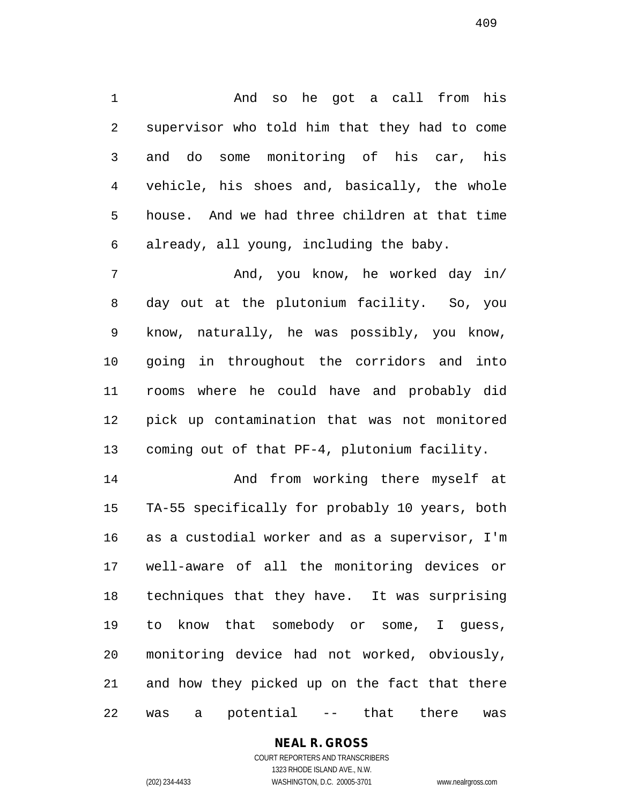And so he got a call from his supervisor who told him that they had to come and do some monitoring of his car, his vehicle, his shoes and, basically, the whole house. And we had three children at that time already, all young, including the baby.

 And, you know, he worked day in/ day out at the plutonium facility. So, you know, naturally, he was possibly, you know, going in throughout the corridors and into rooms where he could have and probably did pick up contamination that was not monitored coming out of that PF-4, plutonium facility.

 And from working there myself at TA-55 specifically for probably 10 years, both as a custodial worker and as a supervisor, I'm well-aware of all the monitoring devices or techniques that they have. It was surprising to know that somebody or some, I guess, monitoring device had not worked, obviously, and how they picked up on the fact that there was a potential -- that there was

# **NEAL R. GROSS**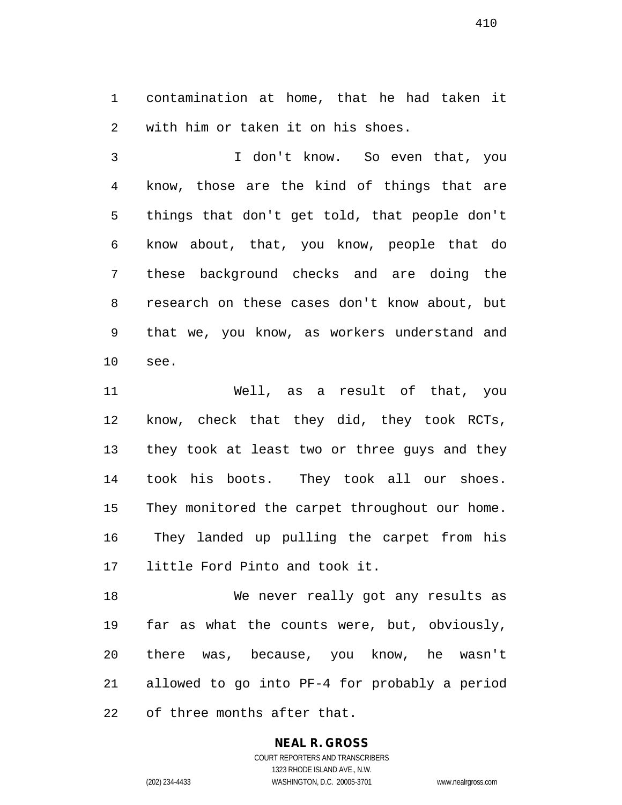contamination at home, that he had taken it with him or taken it on his shoes.

 I don't know. So even that, you know, those are the kind of things that are things that don't get told, that people don't know about, that, you know, people that do these background checks and are doing the research on these cases don't know about, but that we, you know, as workers understand and see.

 Well, as a result of that, you know, check that they did, they took RCTs, they took at least two or three guys and they took his boots. They took all our shoes. 15 They monitored the carpet throughout our home. They landed up pulling the carpet from his little Ford Pinto and took it.

 We never really got any results as far as what the counts were, but, obviously, there was, because, you know, he wasn't allowed to go into PF-4 for probably a period of three months after that.

### **NEAL R. GROSS**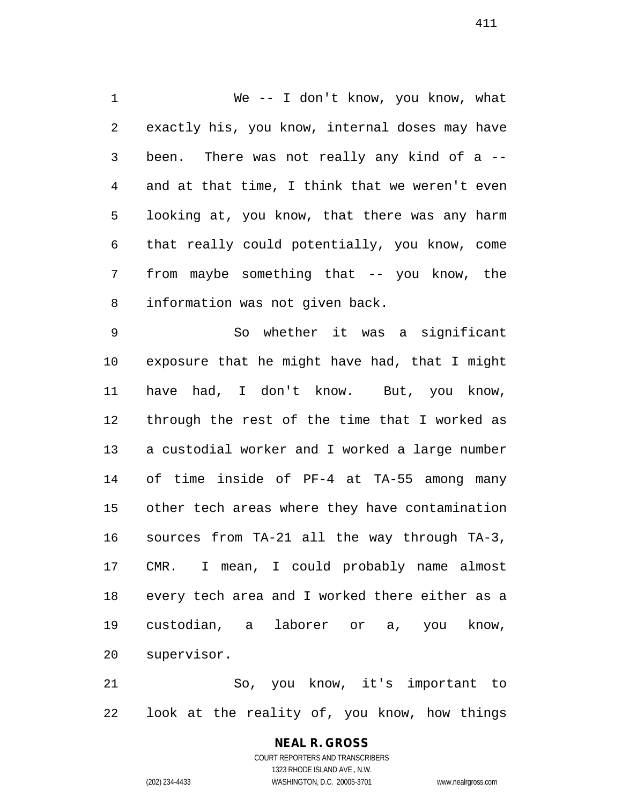We -- I don't know, you know, what exactly his, you know, internal doses may have been. There was not really any kind of a -- and at that time, I think that we weren't even looking at, you know, that there was any harm that really could potentially, you know, come from maybe something that -- you know, the information was not given back.

 So whether it was a significant exposure that he might have had, that I might have had, I don't know. But, you know, through the rest of the time that I worked as a custodial worker and I worked a large number of time inside of PF-4 at TA-55 among many other tech areas where they have contamination sources from TA-21 all the way through TA-3, CMR. I mean, I could probably name almost every tech area and I worked there either as a custodian, a laborer or a, you know, supervisor.

 So, you know, it's important to look at the reality of, you know, how things

# **NEAL R. GROSS**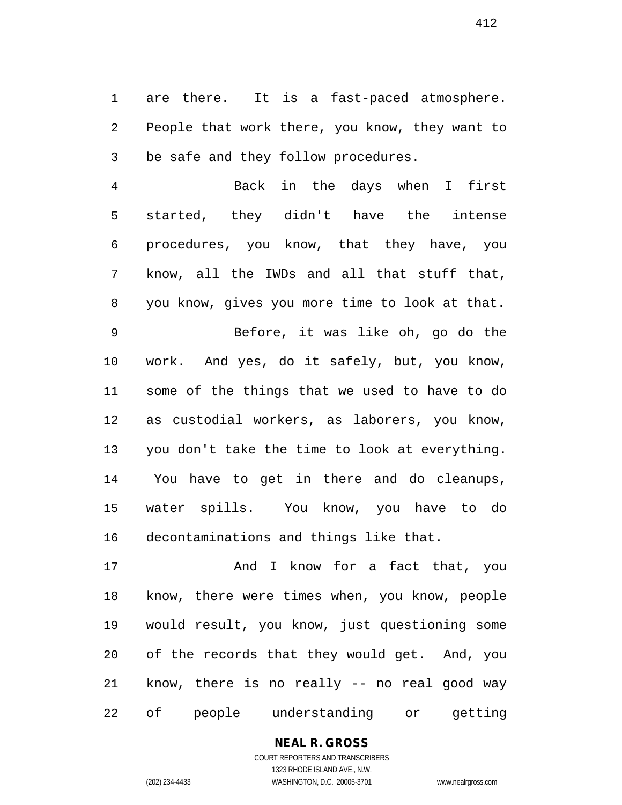are there. It is a fast-paced atmosphere. People that work there, you know, they want to be safe and they follow procedures.

 Back in the days when I first started, they didn't have the intense procedures, you know, that they have, you know, all the IWDs and all that stuff that, you know, gives you more time to look at that.

 Before, it was like oh, go do the work. And yes, do it safely, but, you know, some of the things that we used to have to do as custodial workers, as laborers, you know, you don't take the time to look at everything. You have to get in there and do cleanups, water spills. You know, you have to do decontaminations and things like that.

17 And I know for a fact that, you know, there were times when, you know, people would result, you know, just questioning some of the records that they would get. And, you know, there is no really -- no real good way of people understanding or getting

> **NEAL R. GROSS** COURT REPORTERS AND TRANSCRIBERS

1323 RHODE ISLAND AVE., N.W. (202) 234-4433 WASHINGTON, D.C. 20005-3701 www.nealrgross.com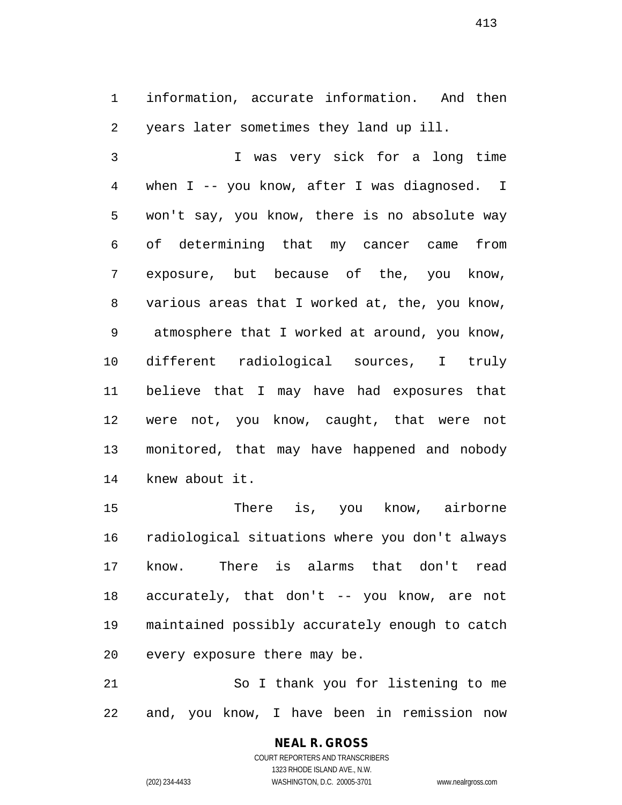information, accurate information. And then years later sometimes they land up ill.

 I was very sick for a long time when I -- you know, after I was diagnosed. I won't say, you know, there is no absolute way of determining that my cancer came from exposure, but because of the, you know, various areas that I worked at, the, you know, atmosphere that I worked at around, you know, different radiological sources, I truly believe that I may have had exposures that were not, you know, caught, that were not monitored, that may have happened and nobody knew about it.

 There is, you know, airborne radiological situations where you don't always know. There is alarms that don't read accurately, that don't -- you know, are not maintained possibly accurately enough to catch every exposure there may be.

 So I thank you for listening to me and, you know, I have been in remission now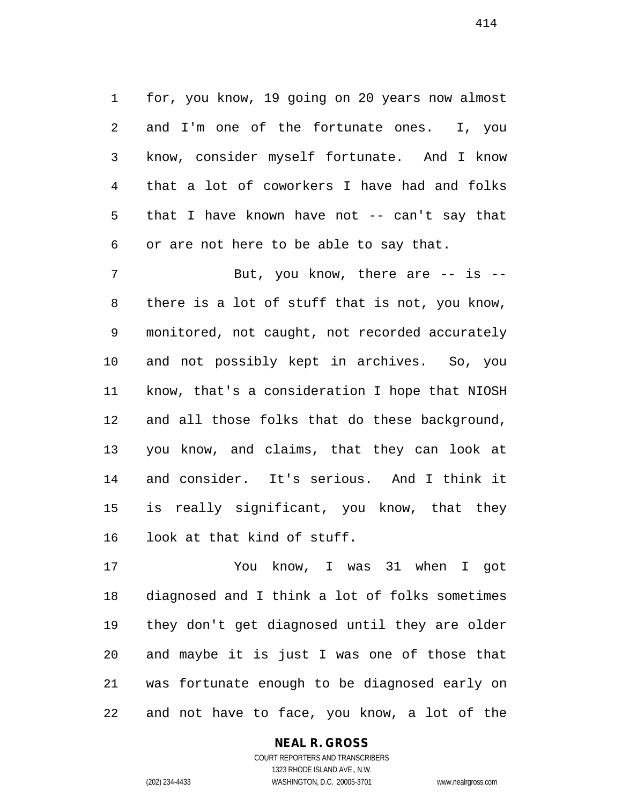for, you know, 19 going on 20 years now almost and I'm one of the fortunate ones. I, you know, consider myself fortunate. And I know that a lot of coworkers I have had and folks that I have known have not -- can't say that or are not here to be able to say that.

7 But, you know, there are -- is -- there is a lot of stuff that is not, you know, monitored, not caught, not recorded accurately and not possibly kept in archives. So, you know, that's a consideration I hope that NIOSH and all those folks that do these background, you know, and claims, that they can look at and consider. It's serious. And I think it is really significant, you know, that they look at that kind of stuff.

 You know, I was 31 when I got diagnosed and I think a lot of folks sometimes they don't get diagnosed until they are older and maybe it is just I was one of those that was fortunate enough to be diagnosed early on and not have to face, you know, a lot of the

### **NEAL R. GROSS**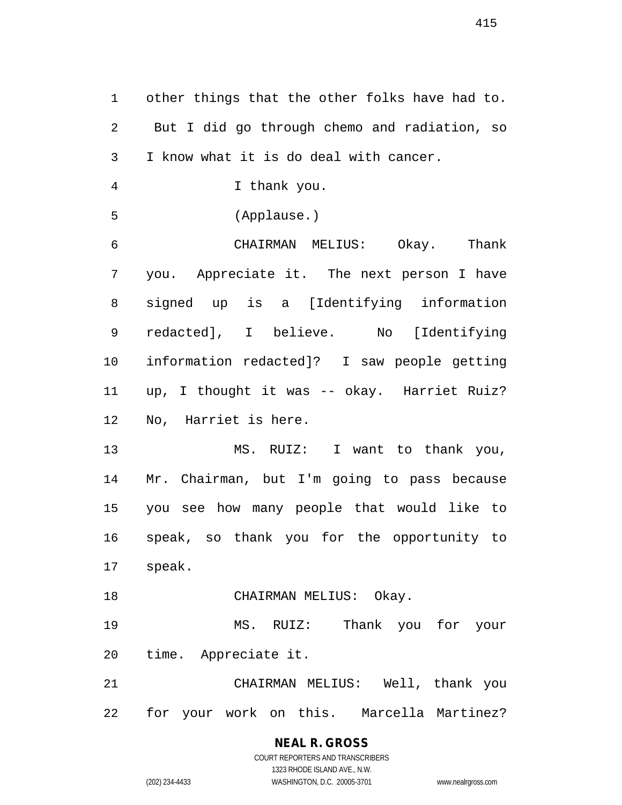other things that the other folks have had to. But I did go through chemo and radiation, so I know what it is do deal with cancer.

I thank you.

(Applause.)

 CHAIRMAN MELIUS: Okay. Thank you. Appreciate it. The next person I have signed up is a [Identifying information redacted], I believe. No [Identifying information redacted]? I saw people getting up, I thought it was -- okay. Harriet Ruiz? No, Harriet is here.

 MS. RUIZ: I want to thank you, Mr. Chairman, but I'm going to pass because you see how many people that would like to speak, so thank you for the opportunity to speak.

18 CHAIRMAN MELIUS: Okay.

 MS. RUIZ: Thank you for your time. Appreciate it.

 CHAIRMAN MELIUS: Well, thank you for your work on this. Marcella Martinez?

> **NEAL R. GROSS** COURT REPORTERS AND TRANSCRIBERS

> > 1323 RHODE ISLAND AVE., N.W.

(202) 234-4433 WASHINGTON, D.C. 20005-3701 www.nealrgross.com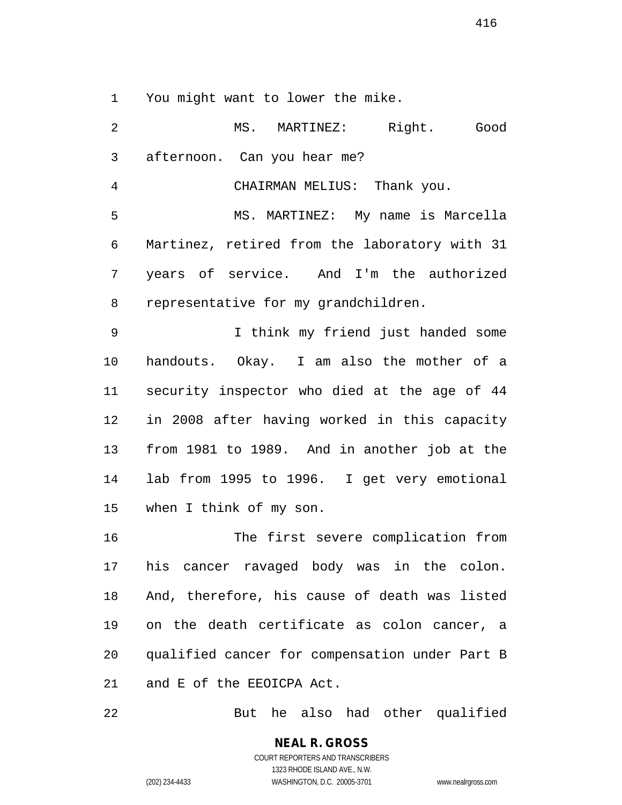You might want to lower the mike.

 MS. MARTINEZ: Right. Good afternoon. Can you hear me? CHAIRMAN MELIUS: Thank you. MS. MARTINEZ: My name is Marcella Martinez, retired from the laboratory with 31 years of service. And I'm the authorized representative for my grandchildren. I think my friend just handed some handouts. Okay. I am also the mother of a security inspector who died at the age of 44 in 2008 after having worked in this capacity from 1981 to 1989. And in another job at the lab from 1995 to 1996. I get very emotional when I think of my son. The first severe complication from his cancer ravaged body was in the colon. And, therefore, his cause of death was listed on the death certificate as colon cancer, a

 qualified cancer for compensation under Part B and E of the EEOICPA Act.

But he also had other qualified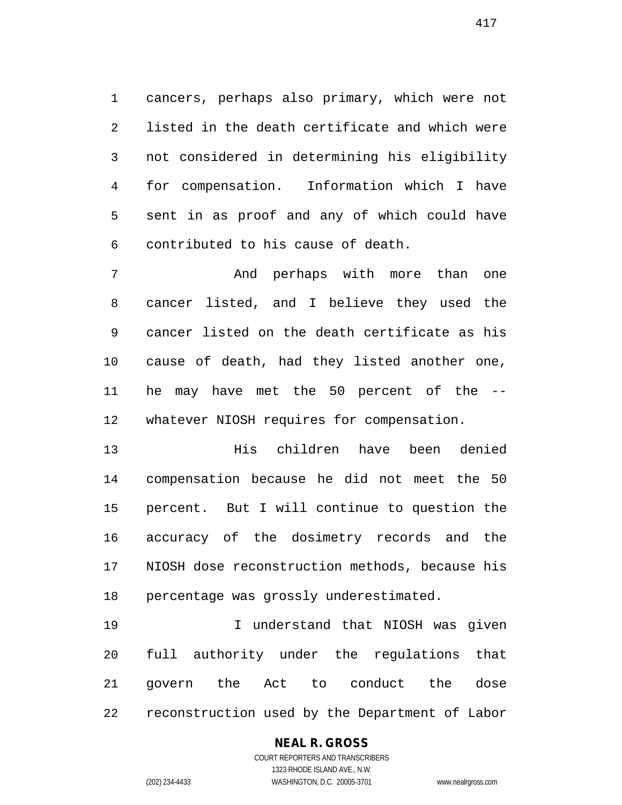cancers, perhaps also primary, which were not listed in the death certificate and which were not considered in determining his eligibility for compensation. Information which I have sent in as proof and any of which could have contributed to his cause of death.

 And perhaps with more than one cancer listed, and I believe they used the cancer listed on the death certificate as his cause of death, had they listed another one, he may have met the 50 percent of the -- whatever NIOSH requires for compensation.

 His children have been denied compensation because he did not meet the 50 percent. But I will continue to question the accuracy of the dosimetry records and the NIOSH dose reconstruction methods, because his percentage was grossly underestimated.

 I understand that NIOSH was given full authority under the regulations that govern the Act to conduct the dose reconstruction used by the Department of Labor

# **NEAL R. GROSS**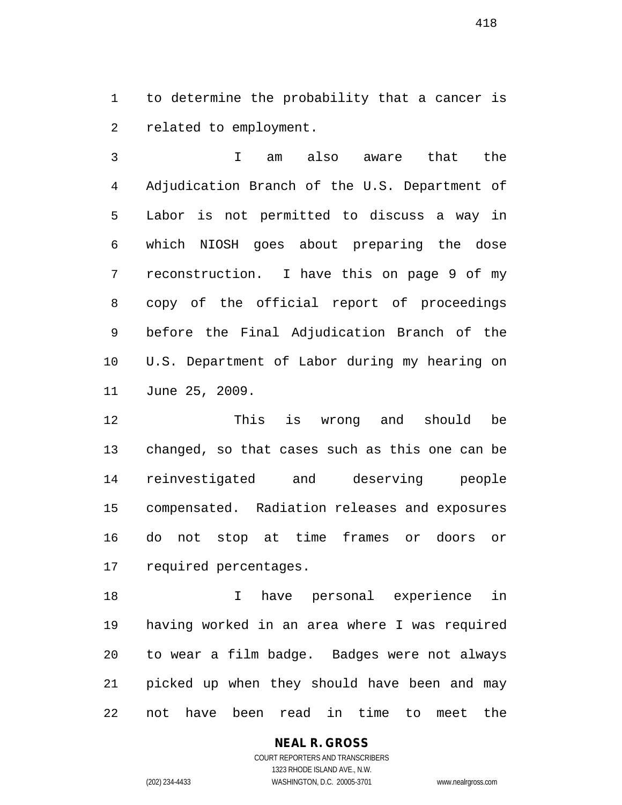to determine the probability that a cancer is related to employment.

 I am also aware that the Adjudication Branch of the U.S. Department of Labor is not permitted to discuss a way in which NIOSH goes about preparing the dose reconstruction. I have this on page 9 of my copy of the official report of proceedings before the Final Adjudication Branch of the U.S. Department of Labor during my hearing on June 25, 2009.

 This is wrong and should be changed, so that cases such as this one can be reinvestigated and deserving people compensated. Radiation releases and exposures do not stop at time frames or doors or required percentages.

 I have personal experience in having worked in an area where I was required to wear a film badge. Badges were not always picked up when they should have been and may not have been read in time to meet the

### **NEAL R. GROSS**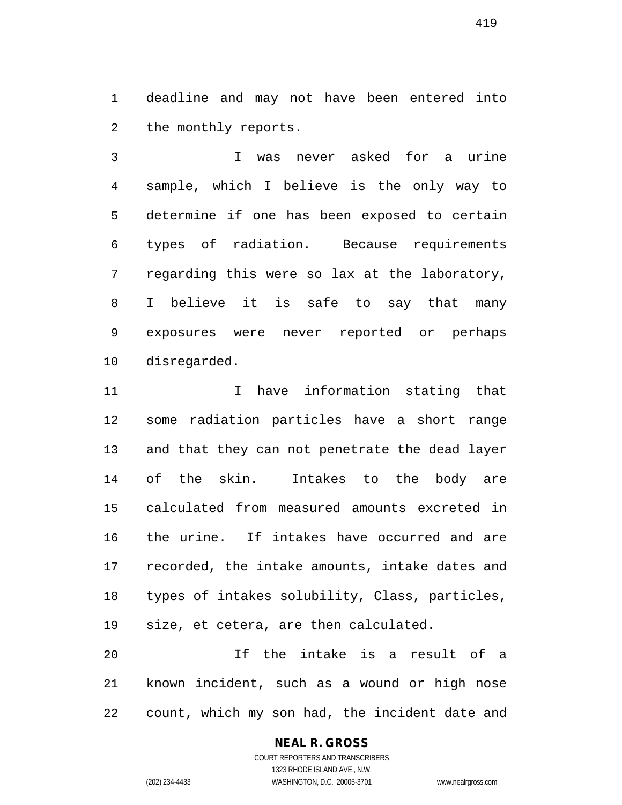deadline and may not have been entered into the monthly reports.

 I was never asked for a urine sample, which I believe is the only way to determine if one has been exposed to certain types of radiation. Because requirements regarding this were so lax at the laboratory, I believe it is safe to say that many exposures were never reported or perhaps disregarded.

11 11 I have information stating that some radiation particles have a short range and that they can not penetrate the dead layer of the skin. Intakes to the body are calculated from measured amounts excreted in the urine. If intakes have occurred and are recorded, the intake amounts, intake dates and types of intakes solubility, Class, particles, size, et cetera, are then calculated.

 If the intake is a result of a known incident, such as a wound or high nose count, which my son had, the incident date and

# **NEAL R. GROSS**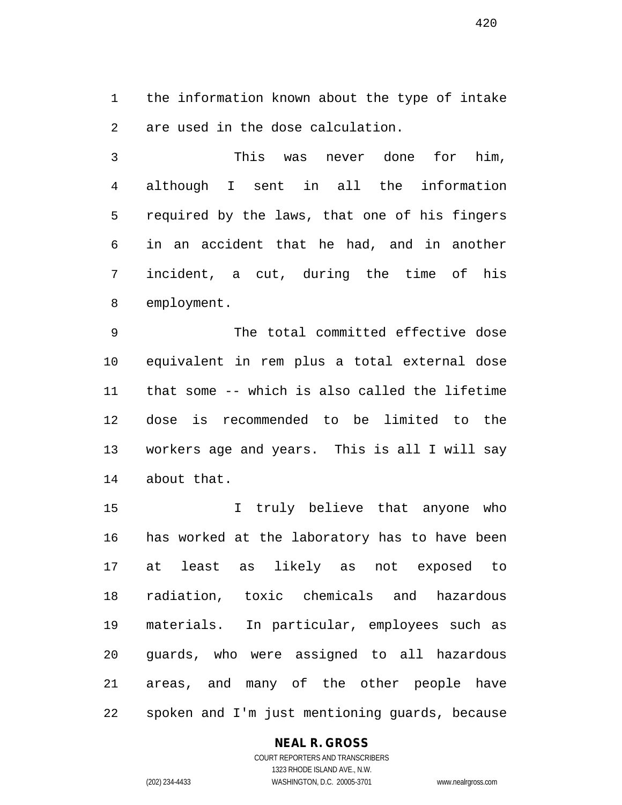the information known about the type of intake are used in the dose calculation.

 This was never done for him, although I sent in all the information required by the laws, that one of his fingers in an accident that he had, and in another incident, a cut, during the time of his employment.

 The total committed effective dose equivalent in rem plus a total external dose that some -- which is also called the lifetime dose is recommended to be limited to the workers age and years. This is all I will say about that.

 I truly believe that anyone who has worked at the laboratory has to have been at least as likely as not exposed to radiation, toxic chemicals and hazardous materials. In particular, employees such as guards, who were assigned to all hazardous areas, and many of the other people have spoken and I'm just mentioning guards, because

### **NEAL R. GROSS**

COURT REPORTERS AND TRANSCRIBERS 1323 RHODE ISLAND AVE., N.W. (202) 234-4433 WASHINGTON, D.C. 20005-3701 www.nealrgross.com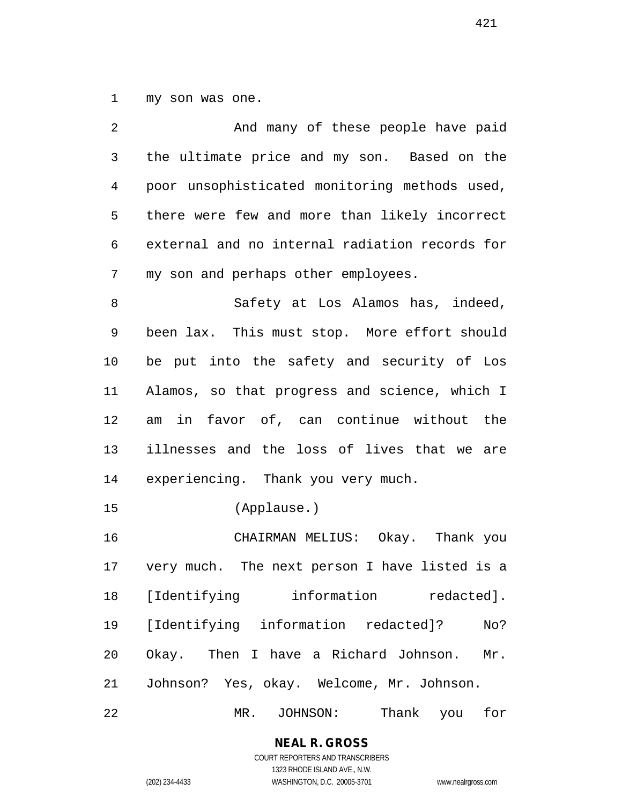my son was one.

| 2  | And many of these people have paid             |
|----|------------------------------------------------|
| 3  | the ultimate price and my son. Based on the    |
| 4  | poor unsophisticated monitoring methods used,  |
| 5  | there were few and more than likely incorrect  |
| 6  | external and no internal radiation records for |
| 7  | my son and perhaps other employees.            |
| 8  | Safety at Los Alamos has, indeed,              |
| 9  | been lax. This must stop. More effort should   |
| 10 | be put into the safety and security of Los     |
| 11 | Alamos, so that progress and science, which I  |
| 12 | am in favor of, can continue without the       |
| 13 | illnesses and the loss of lives that we are    |
| 14 | experiencing. Thank you very much.             |
| 15 | (Applause.)                                    |
| 16 | CHAIRMAN MELIUS: Okay. Thank you               |
| 17 | very much. The next person I have listed is a  |
| 18 | [Identifying<br>information<br>redacted].      |
| 19 | [Identifying information redacted]?<br>No?     |
| 20 | Okay. Then I have a Richard Johnson.<br>Mr.    |
| 21 | Johnson? Yes, okay. Welcome, Mr. Johnson.      |
| 22 | Thank<br>$MR$ .<br>JOHNSON:<br>for<br>you      |

**NEAL R. GROSS** COURT REPORTERS AND TRANSCRIBERS

1323 RHODE ISLAND AVE., N.W. (202) 234-4433 WASHINGTON, D.C. 20005-3701 www.nealrgross.com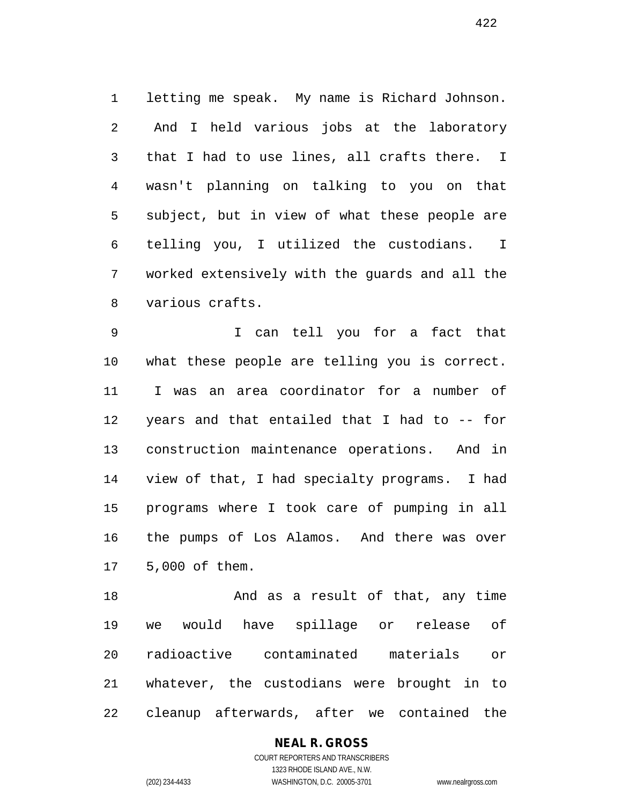letting me speak. My name is Richard Johnson. And I held various jobs at the laboratory that I had to use lines, all crafts there. I wasn't planning on talking to you on that subject, but in view of what these people are telling you, I utilized the custodians. I worked extensively with the guards and all the various crafts.

 I can tell you for a fact that what these people are telling you is correct. I was an area coordinator for a number of years and that entailed that I had to -- for construction maintenance operations. And in view of that, I had specialty programs. I had programs where I took care of pumping in all the pumps of Los Alamos. And there was over 5,000 of them.

18 And as a result of that, any time we would have spillage or release of radioactive contaminated materials or whatever, the custodians were brought in to cleanup afterwards, after we contained the

# **NEAL R. GROSS**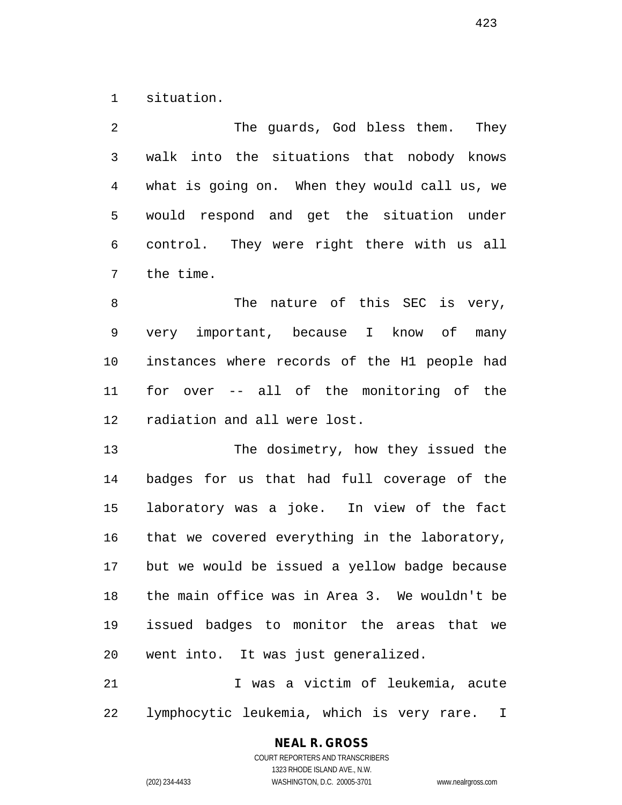situation.

 The guards, God bless them. They walk into the situations that nobody knows what is going on. When they would call us, we would respond and get the situation under control. They were right there with us all the time.

8 The nature of this SEC is very, very important, because I know of many instances where records of the H1 people had for over -- all of the monitoring of the radiation and all were lost.

 The dosimetry, how they issued the badges for us that had full coverage of the laboratory was a joke. In view of the fact that we covered everything in the laboratory, but we would be issued a yellow badge because the main office was in Area 3. We wouldn't be issued badges to monitor the areas that we went into. It was just generalized.

 I was a victim of leukemia, acute lymphocytic leukemia, which is very rare. I

# **NEAL R. GROSS**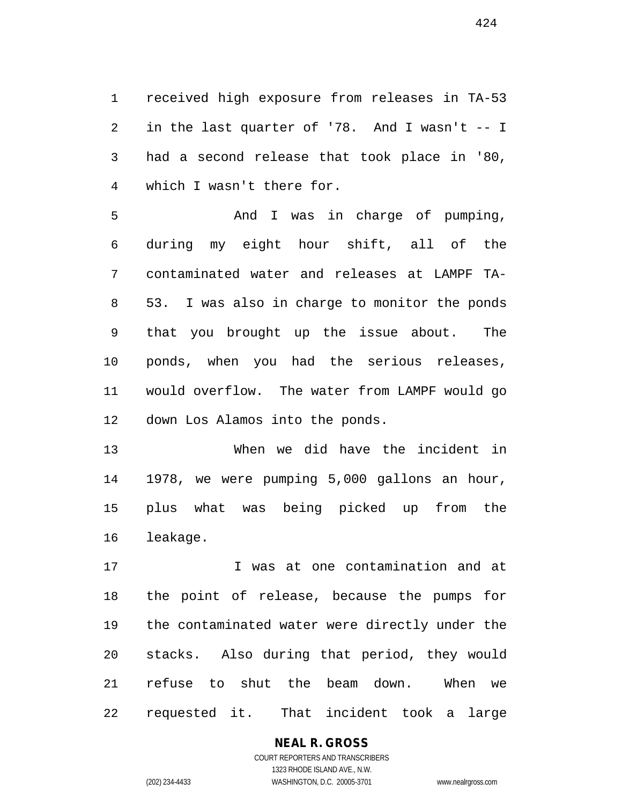received high exposure from releases in TA-53 in the last quarter of '78. And I wasn't -- I had a second release that took place in '80, which I wasn't there for.

5 And I was in charge of pumping, during my eight hour shift, all of the contaminated water and releases at LAMPF TA- 53. I was also in charge to monitor the ponds that you brought up the issue about. The ponds, when you had the serious releases, would overflow. The water from LAMPF would go down Los Alamos into the ponds.

 When we did have the incident in 1978, we were pumping 5,000 gallons an hour, plus what was being picked up from the leakage.

 I was at one contamination and at the point of release, because the pumps for the contaminated water were directly under the stacks. Also during that period, they would refuse to shut the beam down. When we requested it. That incident took a large

#### **NEAL R. GROSS** COURT REPORTERS AND TRANSCRIBERS

1323 RHODE ISLAND AVE., N.W. (202) 234-4433 WASHINGTON, D.C. 20005-3701 www.nealrgross.com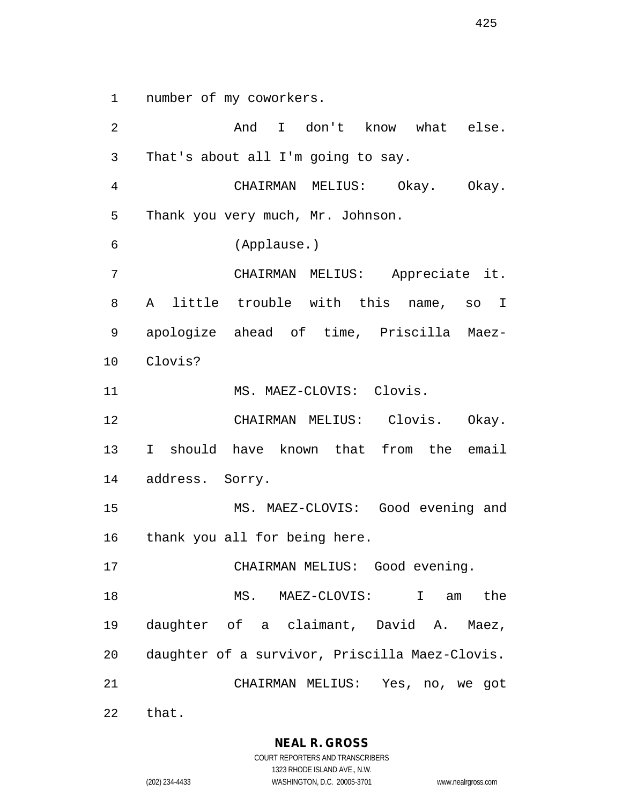number of my coworkers.

 And I don't know what else. That's about all I'm going to say. CHAIRMAN MELIUS: Okay. Okay. Thank you very much, Mr. Johnson. (Applause.) CHAIRMAN MELIUS: Appreciate it. A little trouble with this name, so I apologize ahead of time, Priscilla Maez- Clovis? 11 MS. MAEZ-CLOVIS: Clovis. CHAIRMAN MELIUS: Clovis. Okay. I should have known that from the email address. Sorry. MS. MAEZ-CLOVIS: Good evening and thank you all for being here. CHAIRMAN MELIUS: Good evening. MS. MAEZ-CLOVIS: I am the daughter of a claimant, David A. Maez, daughter of a survivor, Priscilla Maez-Clovis. CHAIRMAN MELIUS: Yes, no, we got

that.

**NEAL R. GROSS** COURT REPORTERS AND TRANSCRIBERS

1323 RHODE ISLAND AVE., N.W. (202) 234-4433 WASHINGTON, D.C. 20005-3701 www.nealrgross.com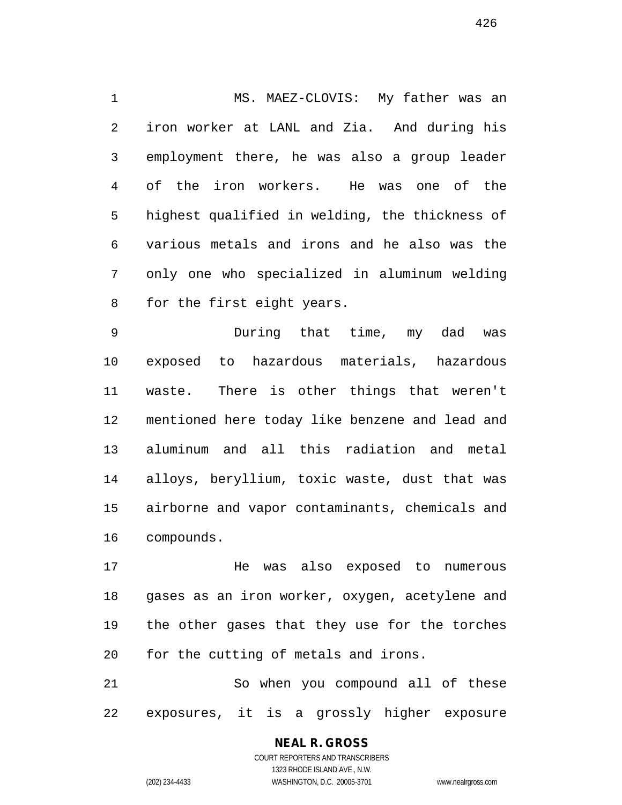MS. MAEZ-CLOVIS: My father was an iron worker at LANL and Zia. And during his employment there, he was also a group leader of the iron workers. He was one of the highest qualified in welding, the thickness of various metals and irons and he also was the only one who specialized in aluminum welding for the first eight years.

 During that time, my dad was exposed to hazardous materials, hazardous waste. There is other things that weren't mentioned here today like benzene and lead and aluminum and all this radiation and metal alloys, beryllium, toxic waste, dust that was airborne and vapor contaminants, chemicals and compounds.

 He was also exposed to numerous gases as an iron worker, oxygen, acetylene and the other gases that they use for the torches for the cutting of metals and irons.

 So when you compound all of these exposures, it is a grossly higher exposure

# **NEAL R. GROSS**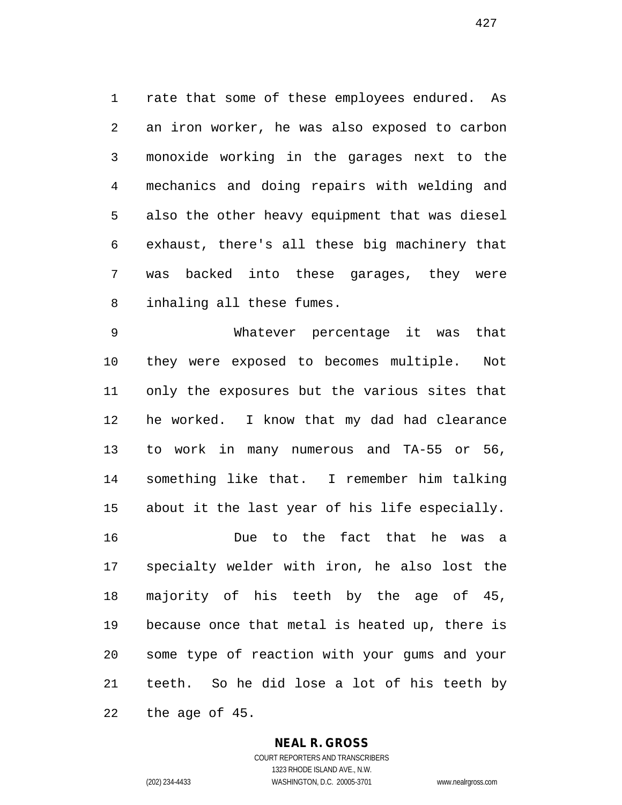rate that some of these employees endured. As an iron worker, he was also exposed to carbon monoxide working in the garages next to the mechanics and doing repairs with welding and also the other heavy equipment that was diesel exhaust, there's all these big machinery that was backed into these garages, they were inhaling all these fumes.

 Whatever percentage it was that they were exposed to becomes multiple. Not only the exposures but the various sites that he worked. I know that my dad had clearance to work in many numerous and TA-55 or 56, something like that. I remember him talking about it the last year of his life especially. Due to the fact that he was a

 specialty welder with iron, he also lost the majority of his teeth by the age of 45, because once that metal is heated up, there is some type of reaction with your gums and your teeth. So he did lose a lot of his teeth by the age of 45.

### **NEAL R. GROSS**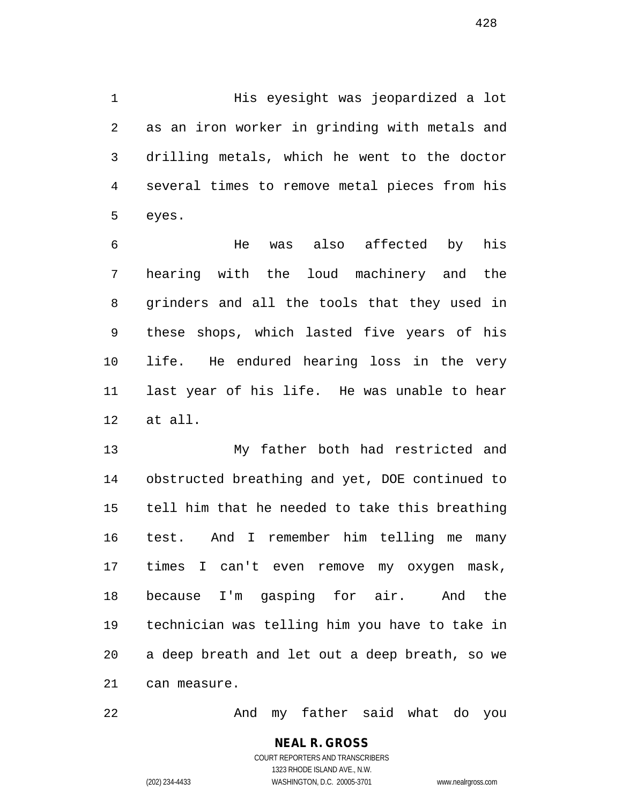1 His eyesight was jeopardized a lot as an iron worker in grinding with metals and drilling metals, which he went to the doctor several times to remove metal pieces from his eyes.

 He was also affected by his hearing with the loud machinery and the grinders and all the tools that they used in these shops, which lasted five years of his life. He endured hearing loss in the very last year of his life. He was unable to hear at all.

 My father both had restricted and obstructed breathing and yet, DOE continued to tell him that he needed to take this breathing test. And I remember him telling me many times I can't even remove my oxygen mask, because I'm gasping for air. And the technician was telling him you have to take in a deep breath and let out a deep breath, so we can measure.

And my father said what do you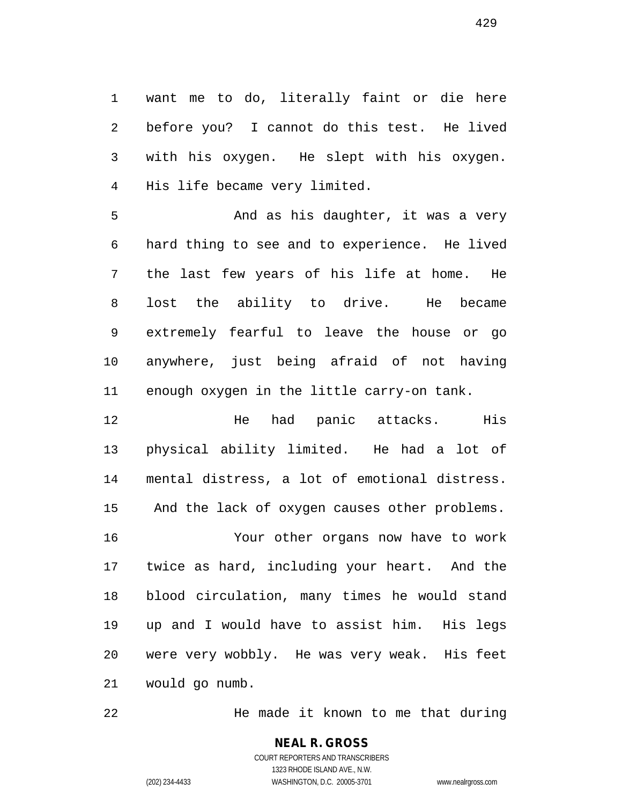want me to do, literally faint or die here before you? I cannot do this test. He lived with his oxygen. He slept with his oxygen. His life became very limited.

 And as his daughter, it was a very hard thing to see and to experience. He lived the last few years of his life at home. He lost the ability to drive. He became extremely fearful to leave the house or go anywhere, just being afraid of not having enough oxygen in the little carry-on tank.

 He had panic attacks. His physical ability limited. He had a lot of mental distress, a lot of emotional distress. And the lack of oxygen causes other problems. Your other organs now have to work twice as hard, including your heart. And the blood circulation, many times he would stand up and I would have to assist him. His legs were very wobbly. He was very weak. His feet would go numb.

He made it known to me that during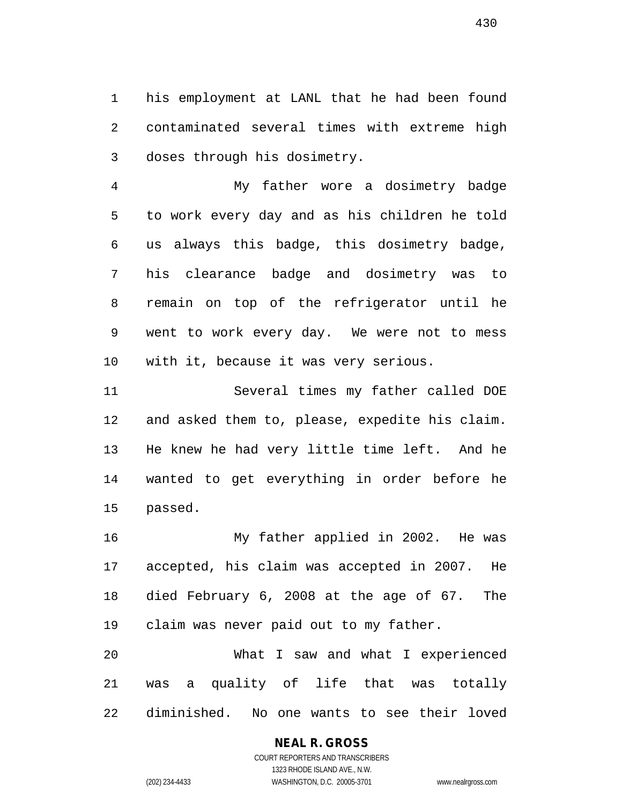his employment at LANL that he had been found contaminated several times with extreme high doses through his dosimetry.

 My father wore a dosimetry badge to work every day and as his children he told us always this badge, this dosimetry badge, his clearance badge and dosimetry was to remain on top of the refrigerator until he went to work every day. We were not to mess with it, because it was very serious.

 Several times my father called DOE and asked them to, please, expedite his claim. He knew he had very little time left. And he wanted to get everything in order before he passed.

 My father applied in 2002. He was accepted, his claim was accepted in 2007. He died February 6, 2008 at the age of 67. The claim was never paid out to my father.

 What I saw and what I experienced was a quality of life that was totally diminished. No one wants to see their loved

### **NEAL R. GROSS**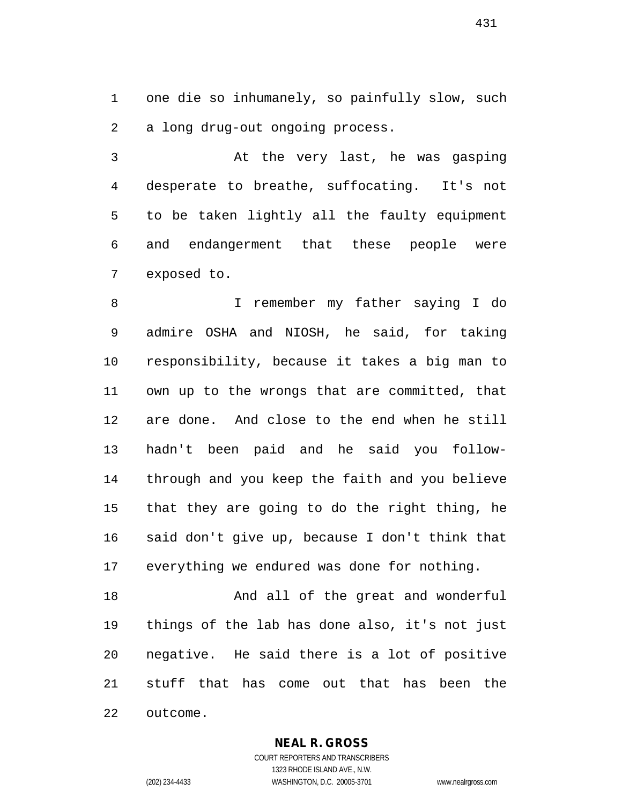one die so inhumanely, so painfully slow, such a long drug-out ongoing process.

 At the very last, he was gasping desperate to breathe, suffocating. It's not to be taken lightly all the faulty equipment and endangerment that these people were exposed to.

 I remember my father saying I do admire OSHA and NIOSH, he said, for taking responsibility, because it takes a big man to own up to the wrongs that are committed, that are done. And close to the end when he still hadn't been paid and he said you follow- through and you keep the faith and you believe that they are going to do the right thing, he said don't give up, because I don't think that everything we endured was done for nothing.

18 And all of the great and wonderful things of the lab has done also, it's not just negative. He said there is a lot of positive stuff that has come out that has been the outcome.

**NEAL R. GROSS**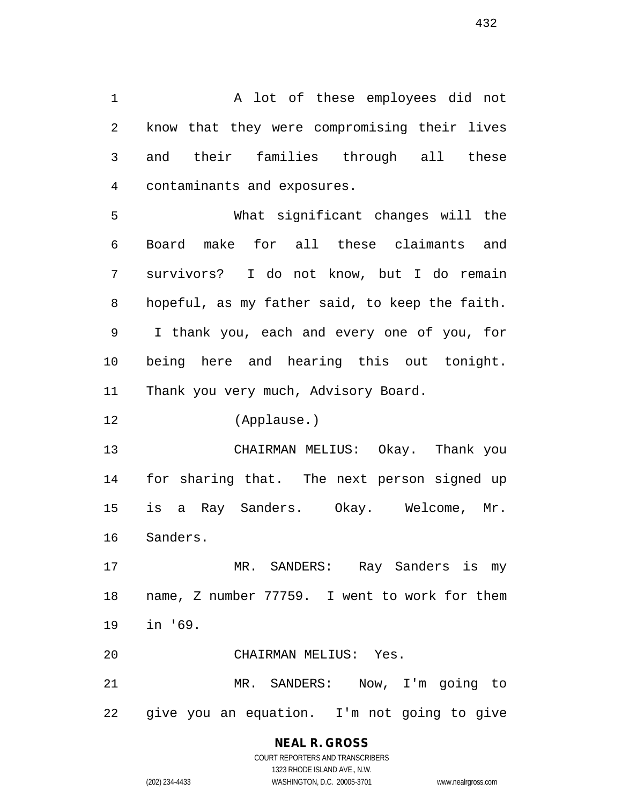A lot of these employees did not know that they were compromising their lives and their families through all these contaminants and exposures.

 What significant changes will the Board make for all these claimants and survivors? I do not know, but I do remain hopeful, as my father said, to keep the faith. I thank you, each and every one of you, for being here and hearing this out tonight. Thank you very much, Advisory Board.

(Applause.)

 CHAIRMAN MELIUS: Okay. Thank you for sharing that. The next person signed up is a Ray Sanders. Okay. Welcome, Mr. Sanders.

 MR. SANDERS: Ray Sanders is my name, Z number 77759. I went to work for them in '69.

CHAIRMAN MELIUS: Yes.

 MR. SANDERS: Now, I'm going to give you an equation. I'm not going to give

# **NEAL R. GROSS**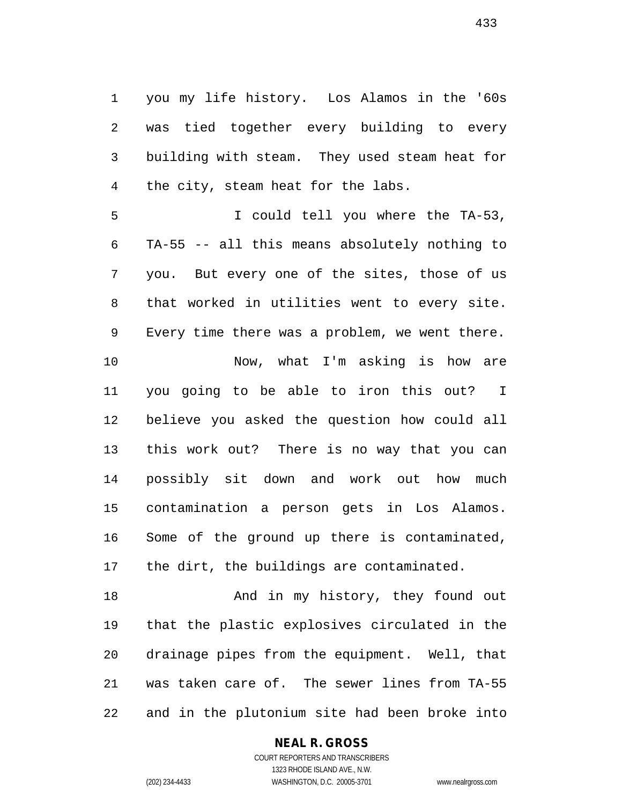you my life history. Los Alamos in the '60s was tied together every building to every building with steam. They used steam heat for the city, steam heat for the labs.

 I could tell you where the TA-53, TA-55 -- all this means absolutely nothing to you. But every one of the sites, those of us that worked in utilities went to every site. Every time there was a problem, we went there. Now, what I'm asking is how are you going to be able to iron this out? I believe you asked the question how could all this work out? There is no way that you can possibly sit down and work out how much contamination a person gets in Los Alamos. Some of the ground up there is contaminated, the dirt, the buildings are contaminated.

18 And in my history, they found out that the plastic explosives circulated in the drainage pipes from the equipment. Well, that was taken care of. The sewer lines from TA-55 and in the plutonium site had been broke into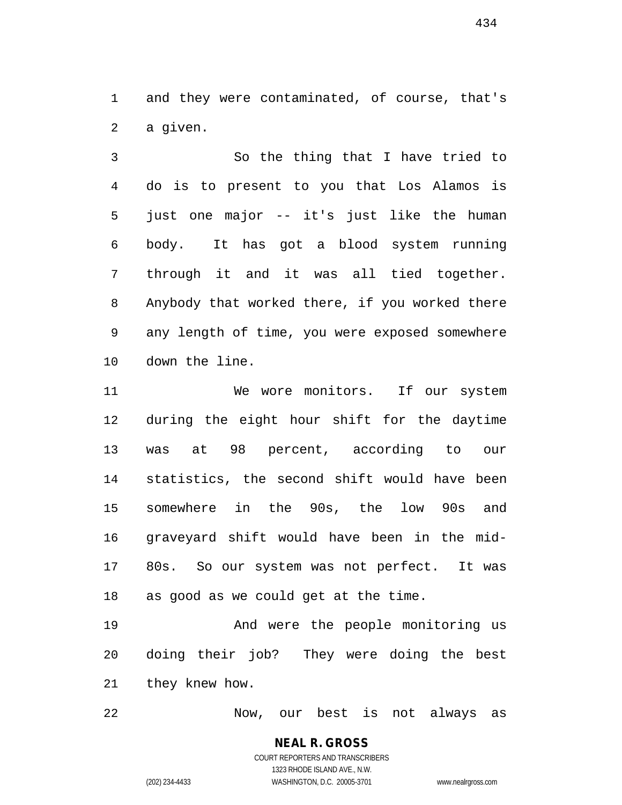and they were contaminated, of course, that's a given.

 So the thing that I have tried to do is to present to you that Los Alamos is just one major -- it's just like the human body. It has got a blood system running through it and it was all tied together. Anybody that worked there, if you worked there any length of time, you were exposed somewhere down the line.

 We wore monitors. If our system during the eight hour shift for the daytime was at 98 percent, according to our statistics, the second shift would have been somewhere in the 90s, the low 90s and graveyard shift would have been in the mid- 80s. So our system was not perfect. It was as good as we could get at the time.

 And were the people monitoring us doing their job? They were doing the best they knew how.

Now, our best is not always as

# **NEAL R. GROSS** COURT REPORTERS AND TRANSCRIBERS

1323 RHODE ISLAND AVE., N.W. (202) 234-4433 WASHINGTON, D.C. 20005-3701 www.nealrgross.com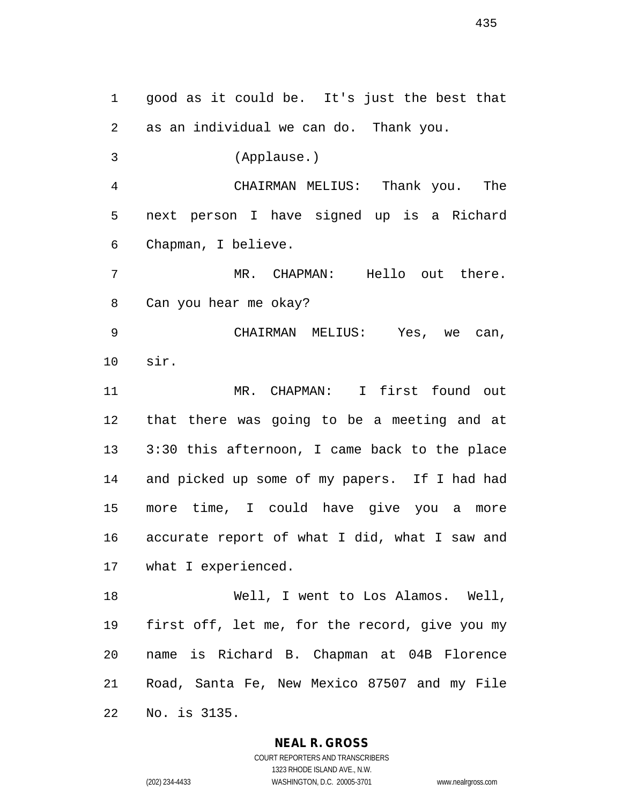good as it could be. It's just the best that as an individual we can do. Thank you. (Applause.) CHAIRMAN MELIUS: Thank you. The next person I have signed up is a Richard Chapman, I believe. MR. CHAPMAN: Hello out there. Can you hear me okay? CHAIRMAN MELIUS: Yes, we can, sir. MR. CHAPMAN: I first found out that there was going to be a meeting and at 3:30 this afternoon, I came back to the place and picked up some of my papers. If I had had more time, I could have give you a more accurate report of what I did, what I saw and what I experienced. Well, I went to Los Alamos. Well, first off, let me, for the record, give you my name is Richard B. Chapman at 04B Florence Road, Santa Fe, New Mexico 87507 and my File

No. is 3135.

**NEAL R. GROSS**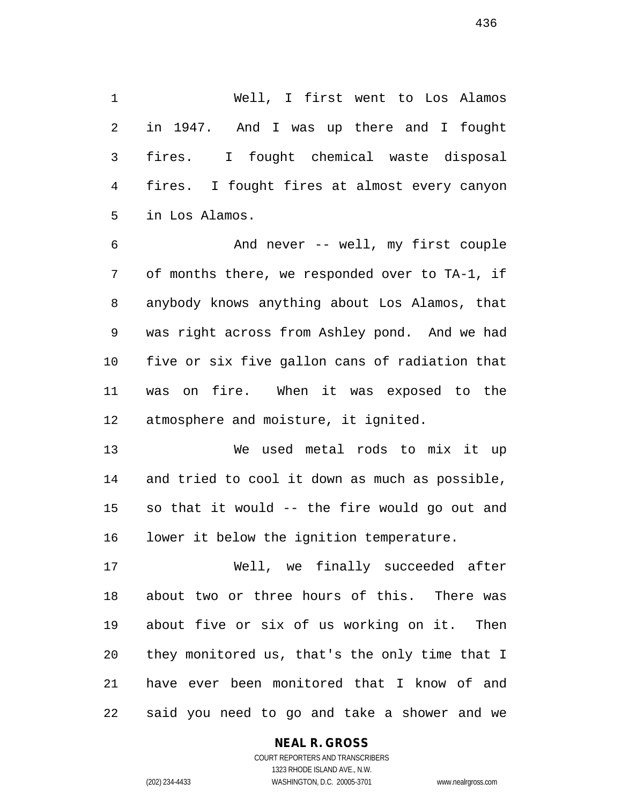Well, I first went to Los Alamos in 1947. And I was up there and I fought fires. I fought chemical waste disposal fires. I fought fires at almost every canyon in Los Alamos.

 And never -- well, my first couple of months there, we responded over to TA-1, if anybody knows anything about Los Alamos, that was right across from Ashley pond. And we had five or six five gallon cans of radiation that was on fire. When it was exposed to the atmosphere and moisture, it ignited.

 We used metal rods to mix it up and tried to cool it down as much as possible, so that it would -- the fire would go out and lower it below the ignition temperature.

 Well, we finally succeeded after about two or three hours of this. There was about five or six of us working on it. Then they monitored us, that's the only time that I have ever been monitored that I know of and said you need to go and take a shower and we

# **NEAL R. GROSS**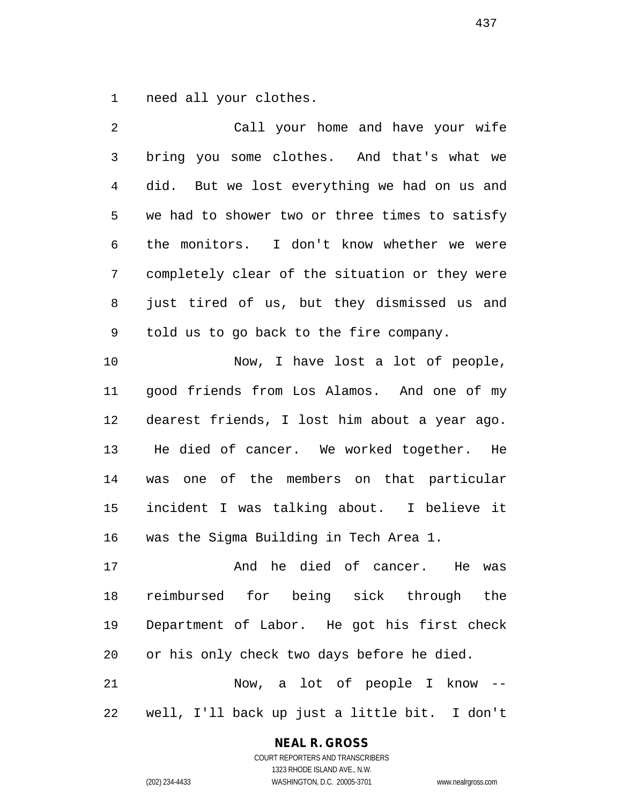need all your clothes.

| 2              | Call your home and have your wife              |
|----------------|------------------------------------------------|
| $\mathfrak{Z}$ | bring you some clothes. And that's what we     |
| $\overline{4}$ | did. But we lost everything we had on us and   |
| 5              | we had to shower two or three times to satisfy |
| 6              | the monitors. I don't know whether we were     |
| 7              | completely clear of the situation or they were |
| 8              | just tired of us, but they dismissed us and    |
| 9              | told us to go back to the fire company.        |
| 10             | Now, I have lost a lot of people,              |
| 11             | good friends from Los Alamos. And one of my    |
| 12             | dearest friends, I lost him about a year ago.  |
| 13             | He died of cancer. We worked together. He      |
| 14             | was one of the members on that particular      |
| 15             | incident I was talking about. I believe it     |
| 16             | was the Sigma Building in Tech Area 1.         |
| 17             | And he died of cancer.<br>He was               |
| 18             | reimbursed for being sick through the          |
| 19             | Department of Labor. He got his first check    |
| 20             | or his only check two days before he died.     |
| 21             | Now, a lot of people I know --                 |
| 22             | well, I'll back up just a little bit. I don't  |

# **NEAL R. GROSS**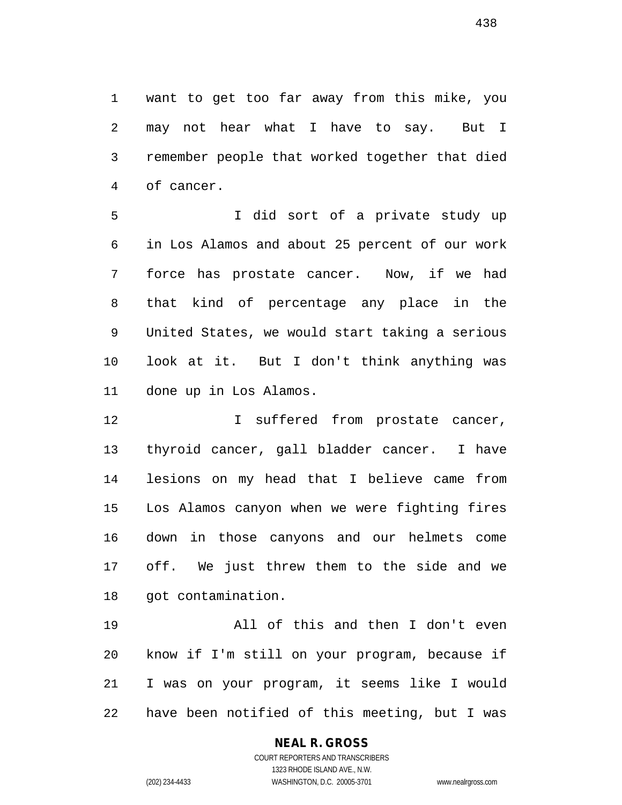want to get too far away from this mike, you may not hear what I have to say. But I remember people that worked together that died of cancer.

 I did sort of a private study up in Los Alamos and about 25 percent of our work force has prostate cancer. Now, if we had that kind of percentage any place in the United States, we would start taking a serious look at it. But I don't think anything was done up in Los Alamos.

**I** suffered from prostate cancer, thyroid cancer, gall bladder cancer. I have lesions on my head that I believe came from Los Alamos canyon when we were fighting fires down in those canyons and our helmets come off. We just threw them to the side and we got contamination.

 All of this and then I don't even know if I'm still on your program, because if I was on your program, it seems like I would have been notified of this meeting, but I was

# **NEAL R. GROSS**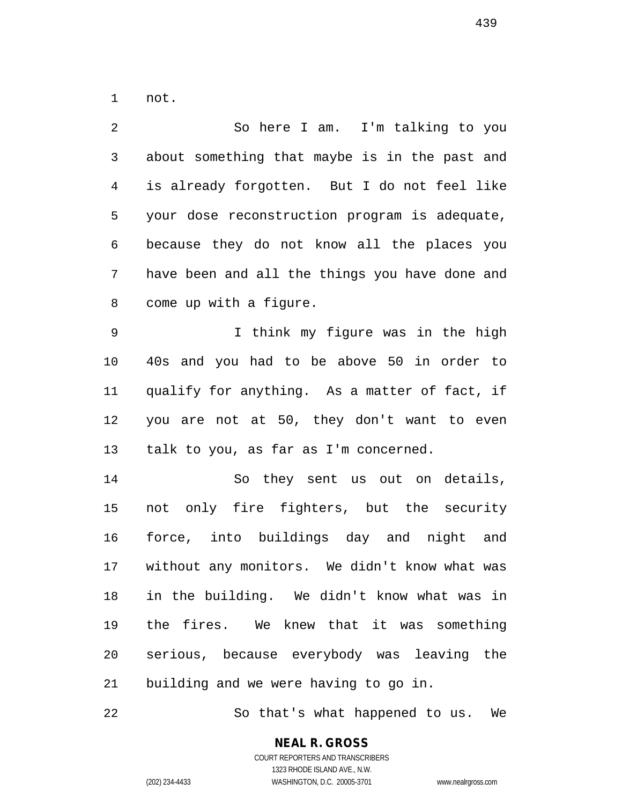not.

 So here I am. I'm talking to you about something that maybe is in the past and is already forgotten. But I do not feel like your dose reconstruction program is adequate, because they do not know all the places you have been and all the things you have done and come up with a figure. I think my figure was in the high 40s and you had to be above 50 in order to qualify for anything. As a matter of fact, if you are not at 50, they don't want to even talk to you, as far as I'm concerned. So they sent us out on details, not only fire fighters, but the security force, into buildings day and night and without any monitors. We didn't know what was in the building. We didn't know what was in the fires. We knew that it was something serious, because everybody was leaving the building and we were having to go in.

So that's what happened to us. We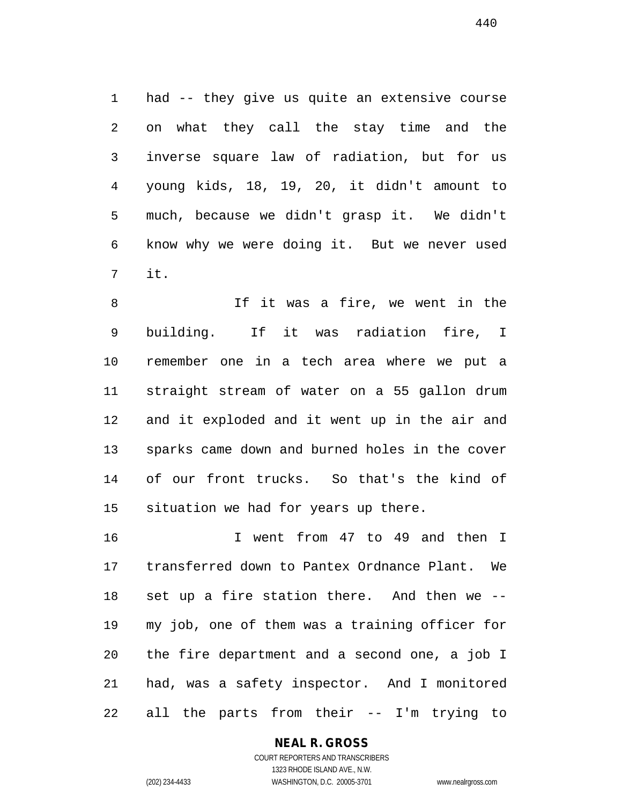had -- they give us quite an extensive course on what they call the stay time and the inverse square law of radiation, but for us young kids, 18, 19, 20, it didn't amount to much, because we didn't grasp it. We didn't know why we were doing it. But we never used it.

8 1f it was a fire, we went in the building. If it was radiation fire, I remember one in a tech area where we put a straight stream of water on a 55 gallon drum and it exploded and it went up in the air and sparks came down and burned holes in the cover of our front trucks. So that's the kind of situation we had for years up there.

 I went from 47 to 49 and then I transferred down to Pantex Ordnance Plant. We set up a fire station there. And then we -- my job, one of them was a training officer for the fire department and a second one, a job I had, was a safety inspector. And I monitored all the parts from their -- I'm trying to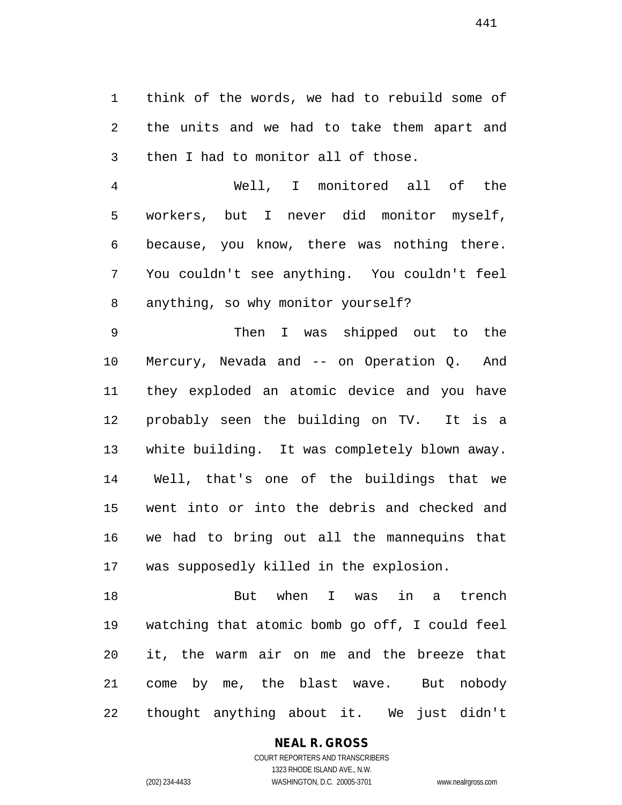think of the words, we had to rebuild some of the units and we had to take them apart and then I had to monitor all of those.

 Well, I monitored all of the workers, but I never did monitor myself, because, you know, there was nothing there. You couldn't see anything. You couldn't feel anything, so why monitor yourself?

 Then I was shipped out to the Mercury, Nevada and -- on Operation Q. And they exploded an atomic device and you have probably seen the building on TV. It is a white building. It was completely blown away. Well, that's one of the buildings that we went into or into the debris and checked and we had to bring out all the mannequins that was supposedly killed in the explosion.

 But when I was in a trench watching that atomic bomb go off, I could feel it, the warm air on me and the breeze that come by me, the blast wave. But nobody thought anything about it. We just didn't

# **NEAL R. GROSS**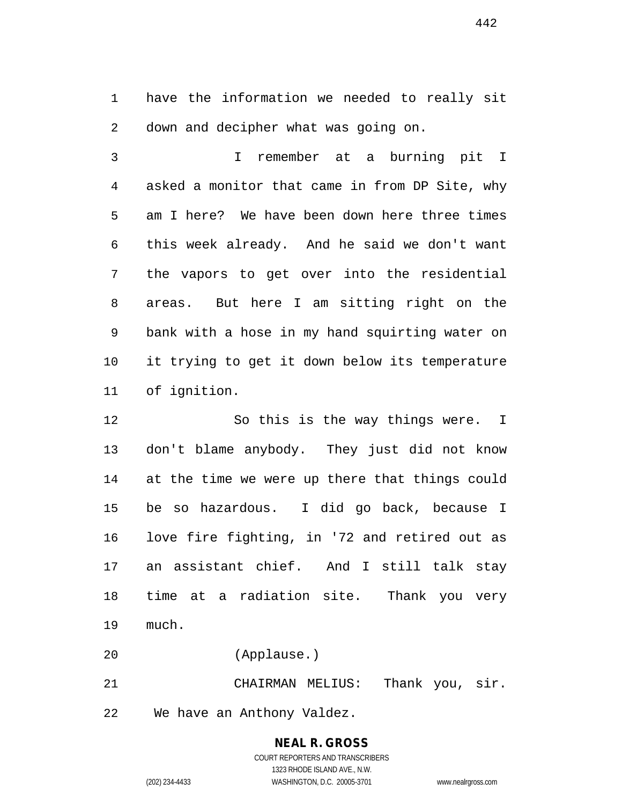have the information we needed to really sit down and decipher what was going on.

 I remember at a burning pit I asked a monitor that came in from DP Site, why am I here? We have been down here three times this week already. And he said we don't want the vapors to get over into the residential areas. But here I am sitting right on the bank with a hose in my hand squirting water on it trying to get it down below its temperature of ignition.

 So this is the way things were. I don't blame anybody. They just did not know at the time we were up there that things could be so hazardous. I did go back, because I love fire fighting, in '72 and retired out as an assistant chief. And I still talk stay time at a radiation site. Thank you very much.

(Applause.)

 CHAIRMAN MELIUS: Thank you, sir. We have an Anthony Valdez.

#### **NEAL R. GROSS** COURT REPORTERS AND TRANSCRIBERS 1323 RHODE ISLAND AVE., N.W.

(202) 234-4433 WASHINGTON, D.C. 20005-3701 www.nealrgross.com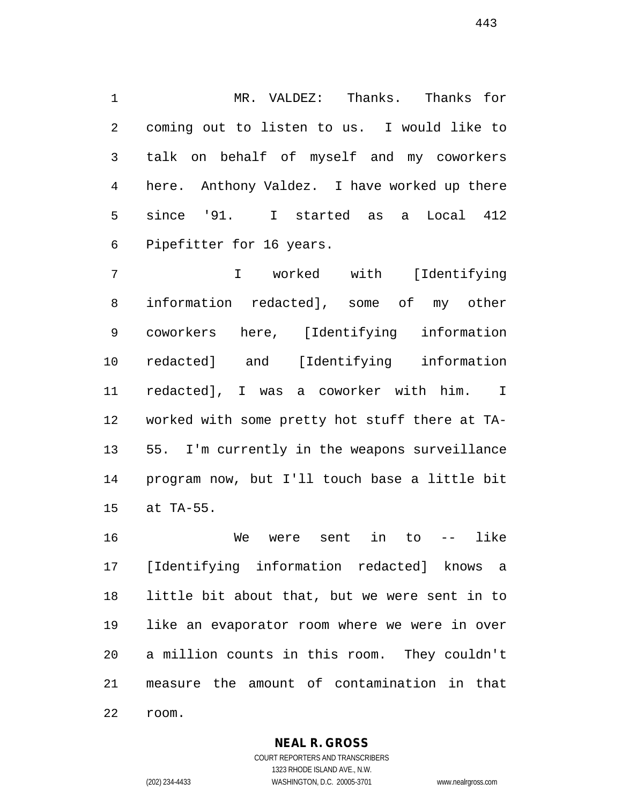MR. VALDEZ: Thanks. Thanks for coming out to listen to us. I would like to talk on behalf of myself and my coworkers here. Anthony Valdez. I have worked up there since '91. I started as a Local 412 Pipefitter for 16 years.

 I worked with [Identifying information redacted], some of my other coworkers here, [Identifying information redacted] and [Identifying information redacted], I was a coworker with him. I worked with some pretty hot stuff there at TA- 55. I'm currently in the weapons surveillance program now, but I'll touch base a little bit at TA-55.

 We were sent in to -- like [Identifying information redacted] knows a little bit about that, but we were sent in to like an evaporator room where we were in over a million counts in this room. They couldn't measure the amount of contamination in that room.

**NEAL R. GROSS**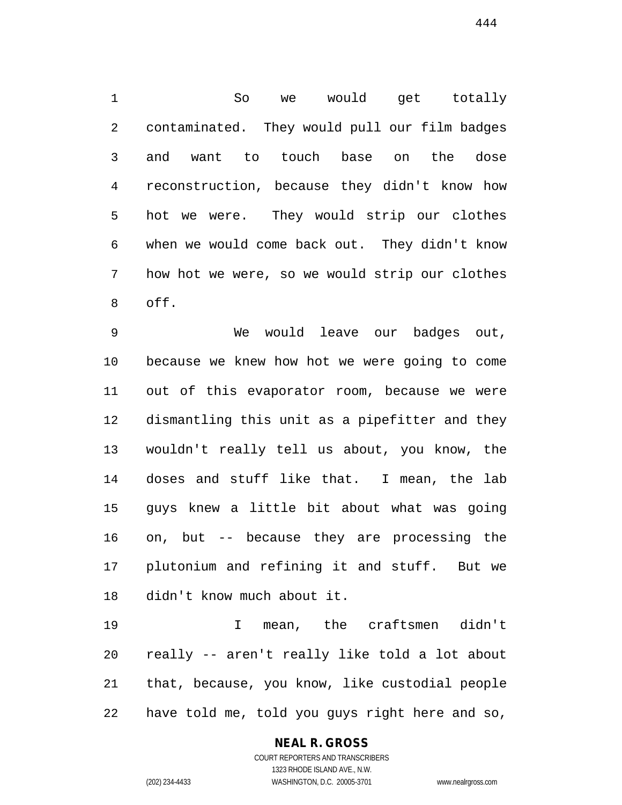So we would get totally contaminated. They would pull our film badges and want to touch base on the dose reconstruction, because they didn't know how hot we were. They would strip our clothes when we would come back out. They didn't know how hot we were, so we would strip our clothes off.

 We would leave our badges out, because we knew how hot we were going to come out of this evaporator room, because we were dismantling this unit as a pipefitter and they wouldn't really tell us about, you know, the doses and stuff like that. I mean, the lab guys knew a little bit about what was going on, but -- because they are processing the plutonium and refining it and stuff. But we didn't know much about it.

 I mean, the craftsmen didn't really -- aren't really like told a lot about that, because, you know, like custodial people have told me, told you guys right here and so,

# **NEAL R. GROSS**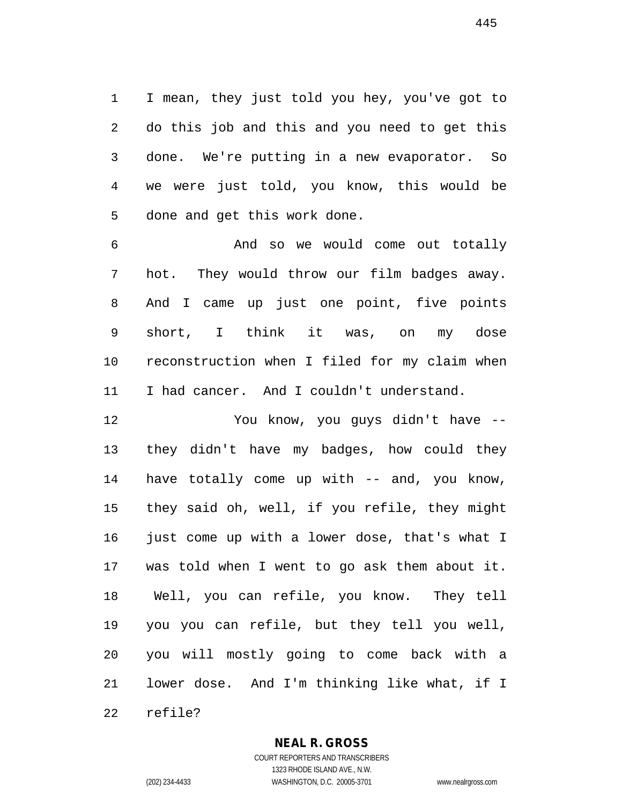I mean, they just told you hey, you've got to do this job and this and you need to get this done. We're putting in a new evaporator. So we were just told, you know, this would be done and get this work done.

 And so we would come out totally hot. They would throw our film badges away. And I came up just one point, five points short, I think it was, on my dose reconstruction when I filed for my claim when 11 I had cancer. And I couldn't understand.

 You know, you guys didn't have -- they didn't have my badges, how could they have totally come up with -- and, you know, they said oh, well, if you refile, they might 16 just come up with a lower dose, that's what I was told when I went to go ask them about it. Well, you can refile, you know. They tell you you can refile, but they tell you well, you will mostly going to come back with a lower dose. And I'm thinking like what, if I

refile?

#### **NEAL R. GROSS** COURT REPORTERS AND TRANSCRIBERS

1323 RHODE ISLAND AVE., N.W.

(202) 234-4433 WASHINGTON, D.C. 20005-3701 www.nealrgross.com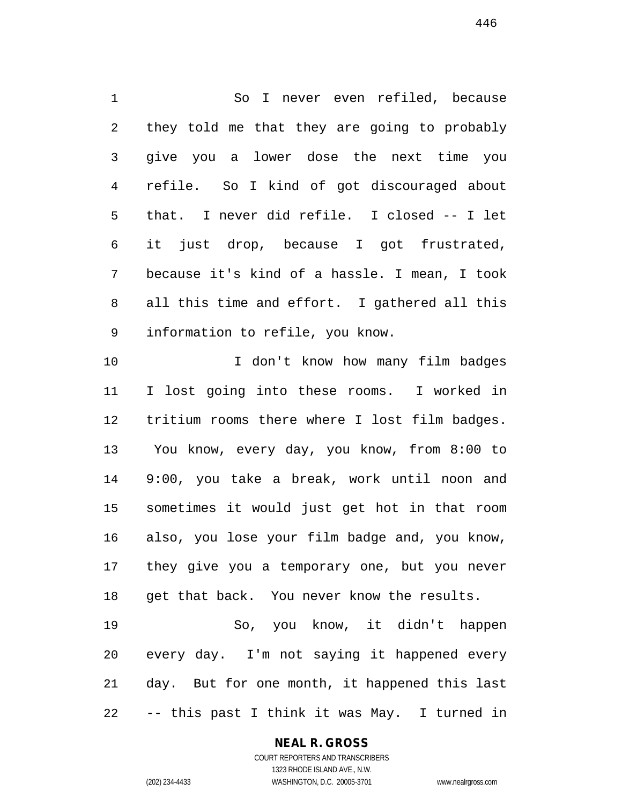So I never even refiled, because they told me that they are going to probably give you a lower dose the next time you refile. So I kind of got discouraged about that. I never did refile. I closed -- I let it just drop, because I got frustrated, because it's kind of a hassle. I mean, I took all this time and effort. I gathered all this information to refile, you know. 10 10 I don't know how many film badges I lost going into these rooms. I worked in tritium rooms there where I lost film badges. You know, every day, you know, from 8:00 to 9:00, you take a break, work until noon and sometimes it would just get hot in that room also, you lose your film badge and, you know,

18 get that back. You never know the results. So, you know, it didn't happen

they give you a temporary one, but you never

 every day. I'm not saying it happened every day. But for one month, it happened this last -- this past I think it was May. I turned in

# **NEAL R. GROSS**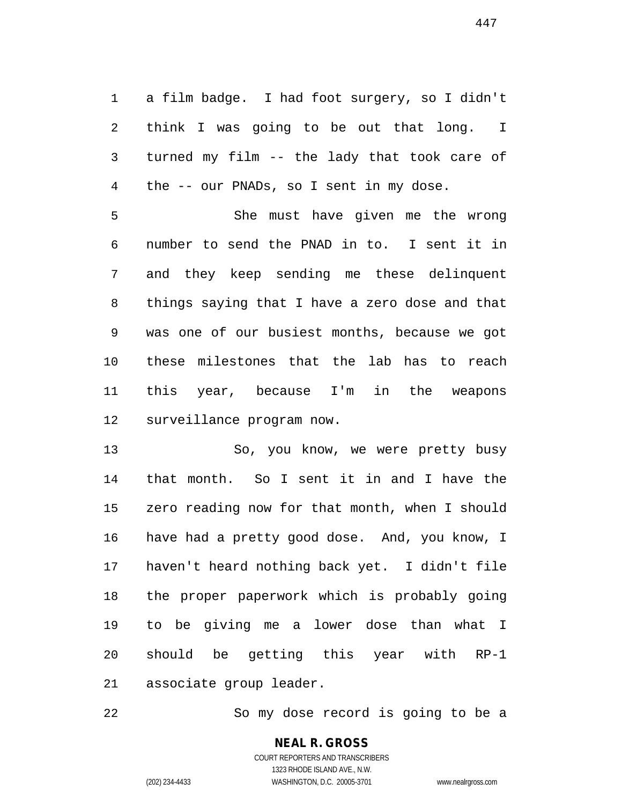a film badge. I had foot surgery, so I didn't think I was going to be out that long. I turned my film -- the lady that took care of the -- our PNADs, so I sent in my dose.

 She must have given me the wrong number to send the PNAD in to. I sent it in and they keep sending me these delinquent things saying that I have a zero dose and that was one of our busiest months, because we got these milestones that the lab has to reach this year, because I'm in the weapons surveillance program now.

 So, you know, we were pretty busy that month. So I sent it in and I have the zero reading now for that month, when I should have had a pretty good dose. And, you know, I haven't heard nothing back yet. I didn't file the proper paperwork which is probably going to be giving me a lower dose than what I should be getting this year with RP-1 associate group leader.

So my dose record is going to be a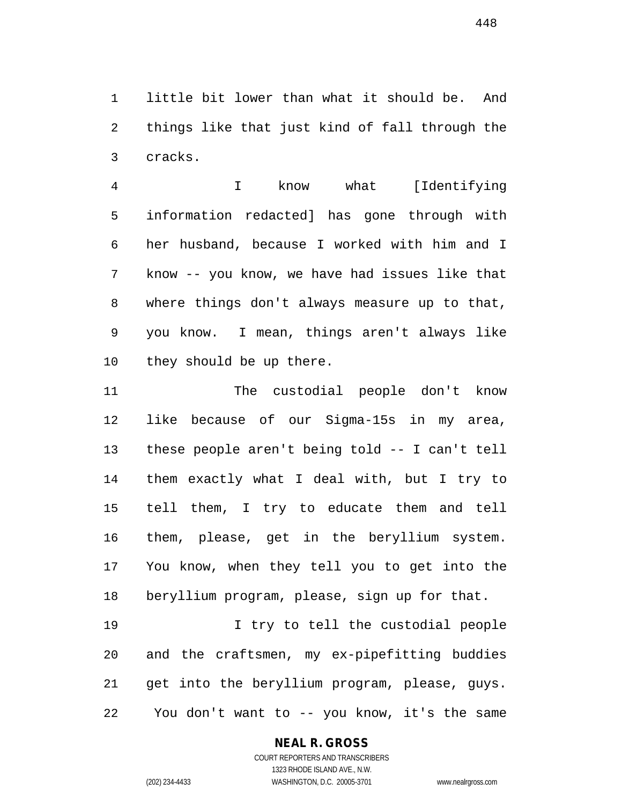little bit lower than what it should be. And things like that just kind of fall through the cracks.

 I know what [Identifying information redacted] has gone through with her husband, because I worked with him and I know -- you know, we have had issues like that where things don't always measure up to that, you know. I mean, things aren't always like they should be up there.

 The custodial people don't know like because of our Sigma-15s in my area, these people aren't being told -- I can't tell them exactly what I deal with, but I try to tell them, I try to educate them and tell them, please, get in the beryllium system. You know, when they tell you to get into the beryllium program, please, sign up for that.

 I try to tell the custodial people and the craftsmen, my ex-pipefitting buddies get into the beryllium program, please, guys. You don't want to -- you know, it's the same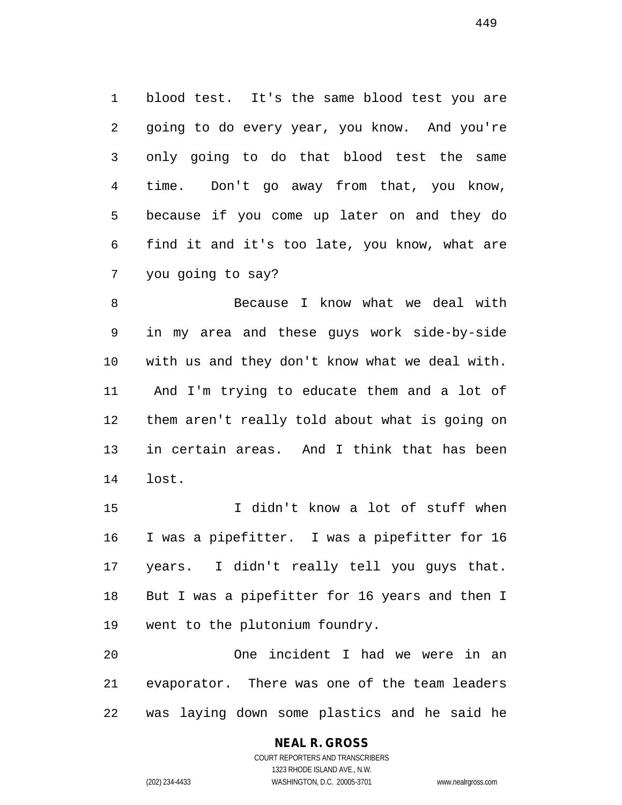blood test. It's the same blood test you are going to do every year, you know. And you're only going to do that blood test the same time. Don't go away from that, you know, because if you come up later on and they do find it and it's too late, you know, what are you going to say?

 Because I know what we deal with in my area and these guys work side-by-side with us and they don't know what we deal with. And I'm trying to educate them and a lot of them aren't really told about what is going on in certain areas. And I think that has been lost.

 I didn't know a lot of stuff when I was a pipefitter. I was a pipefitter for 16 years. I didn't really tell you guys that. But I was a pipefitter for 16 years and then I went to the plutonium foundry.

 One incident I had we were in an evaporator. There was one of the team leaders was laying down some plastics and he said he

> COURT REPORTERS AND TRANSCRIBERS 1323 RHODE ISLAND AVE., N.W. (202) 234-4433 WASHINGTON, D.C. 20005-3701 www.nealrgross.com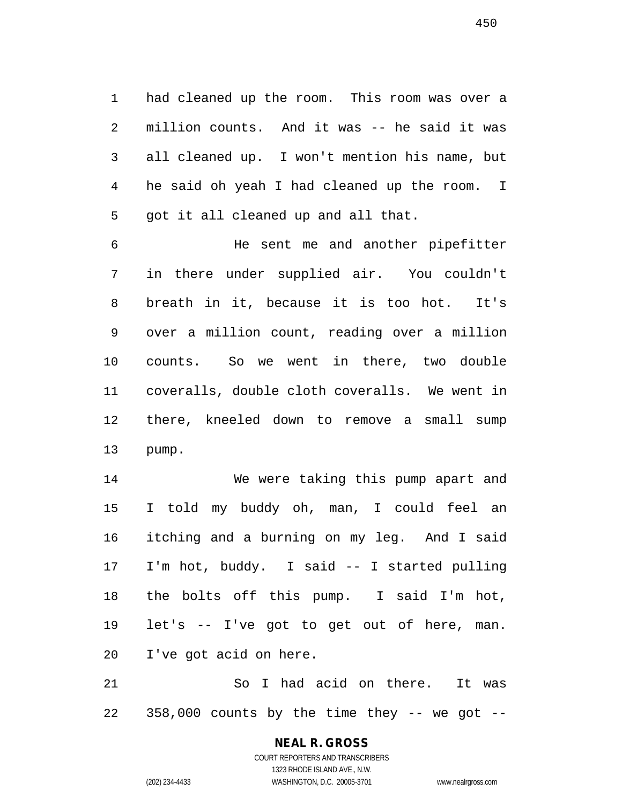had cleaned up the room. This room was over a million counts. And it was -- he said it was all cleaned up. I won't mention his name, but he said oh yeah I had cleaned up the room. I got it all cleaned up and all that.

 He sent me and another pipefitter in there under supplied air. You couldn't breath in it, because it is too hot. It's over a million count, reading over a million counts. So we went in there, two double coveralls, double cloth coveralls. We went in there, kneeled down to remove a small sump pump.

 We were taking this pump apart and I told my buddy oh, man, I could feel an itching and a burning on my leg. And I said I'm hot, buddy. I said -- I started pulling the bolts off this pump. I said I'm hot, let's -- I've got to get out of here, man. I've got acid on here.

 So I had acid on there. It was 358,000 counts by the time they  $-$  we got  $-$ 

# **NEAL R. GROSS**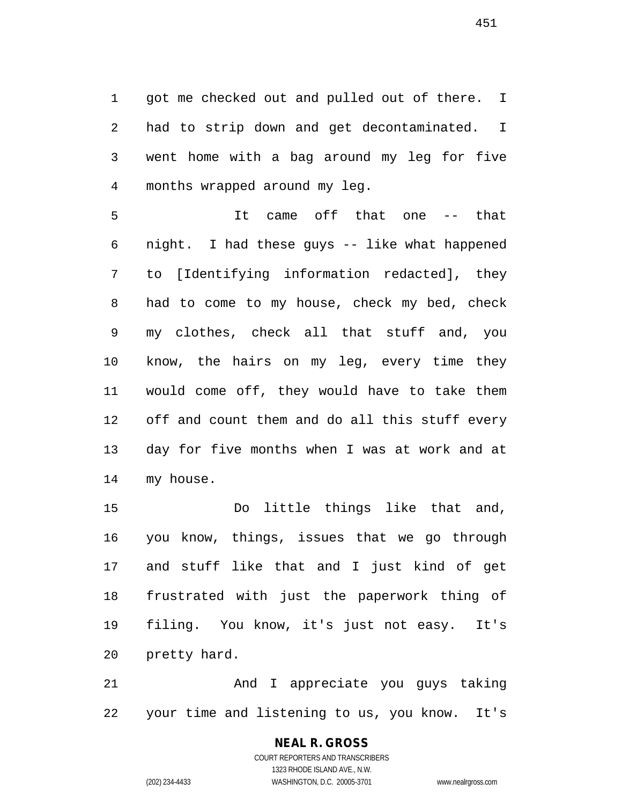got me checked out and pulled out of there. I had to strip down and get decontaminated. I went home with a bag around my leg for five months wrapped around my leg.

 It came off that one -- that night. I had these guys -- like what happened to [Identifying information redacted], they had to come to my house, check my bed, check my clothes, check all that stuff and, you know, the hairs on my leg, every time they would come off, they would have to take them off and count them and do all this stuff every day for five months when I was at work and at my house.

 Do little things like that and, you know, things, issues that we go through and stuff like that and I just kind of get frustrated with just the paperwork thing of filing. You know, it's just not easy. It's pretty hard.

 And I appreciate you guys taking your time and listening to us, you know. It's

> COURT REPORTERS AND TRANSCRIBERS 1323 RHODE ISLAND AVE., N.W. (202) 234-4433 WASHINGTON, D.C. 20005-3701 www.nealrgross.com

**NEAL R. GROSS**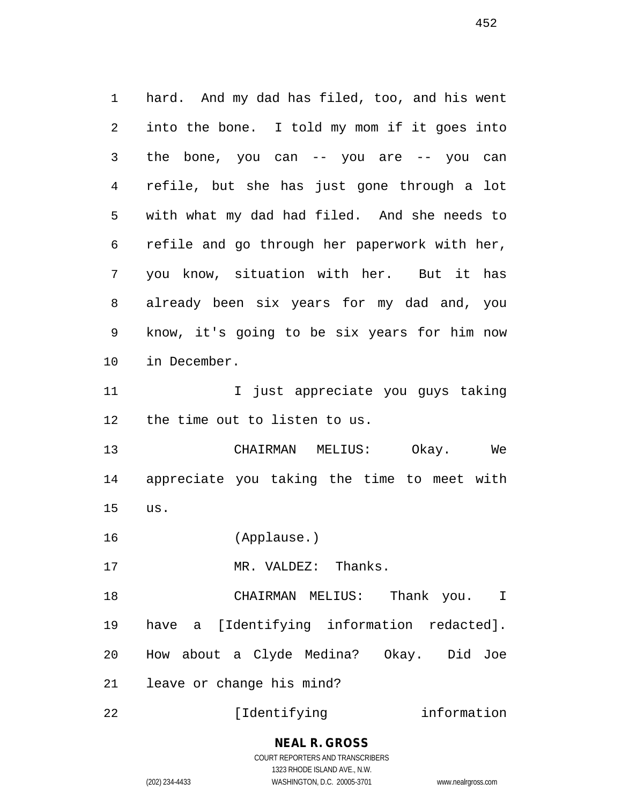hard. And my dad has filed, too, and his went into the bone. I told my mom if it goes into the bone, you can -- you are -- you can refile, but she has just gone through a lot with what my dad had filed. And she needs to refile and go through her paperwork with her, you know, situation with her. But it has already been six years for my dad and, you know, it's going to be six years for him now in December. I just appreciate you guys taking the time out to listen to us. CHAIRMAN MELIUS: Okay. We appreciate you taking the time to meet with us. (Applause.) 17 MR. VALDEZ: Thanks. CHAIRMAN MELIUS: Thank you. I have a [Identifying information redacted]. How about a Clyde Medina? Okay. Did Joe leave or change his mind? 22 [Identifying information

#### **NEAL R. GROSS** COURT REPORTERS AND TRANSCRIBERS

1323 RHODE ISLAND AVE., N.W.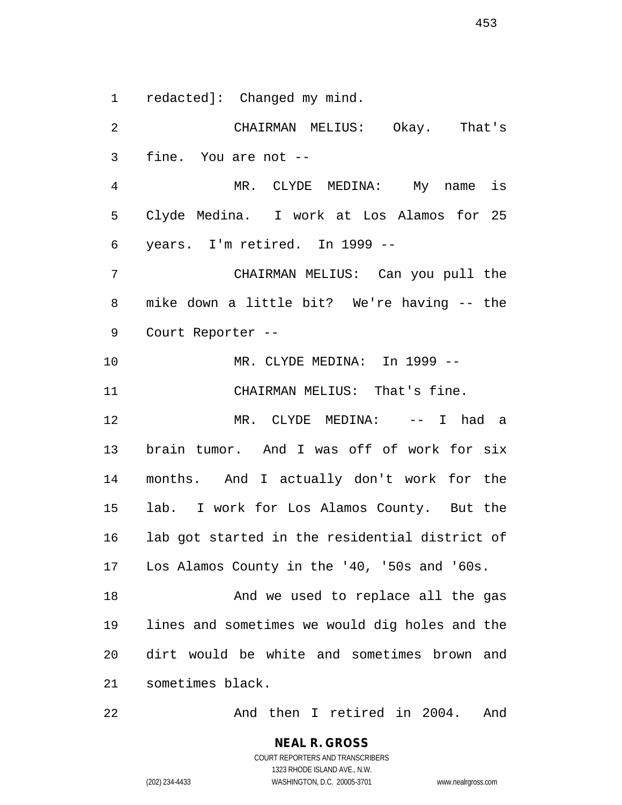redacted]: Changed my mind.

 CHAIRMAN MELIUS: Okay. That's fine. You are not -- MR. CLYDE MEDINA: My name is Clyde Medina. I work at Los Alamos for 25 years. I'm retired. In 1999 -- CHAIRMAN MELIUS: Can you pull the mike down a little bit? We're having -- the Court Reporter -- MR. CLYDE MEDINA: In 1999 -- CHAIRMAN MELIUS: That's fine. MR. CLYDE MEDINA: -- I had a brain tumor. And I was off of work for six months. And I actually don't work for the lab. I work for Los Alamos County. But the lab got started in the residential district of Los Alamos County in the '40, '50s and '60s. 18 And we used to replace all the gas lines and sometimes we would dig holes and the dirt would be white and sometimes brown and sometimes black.

And then I retired in 2004. And

COURT REPORTERS AND TRANSCRIBERS 1323 RHODE ISLAND AVE., N.W. (202) 234-4433 WASHINGTON, D.C. 20005-3701 www.nealrgross.com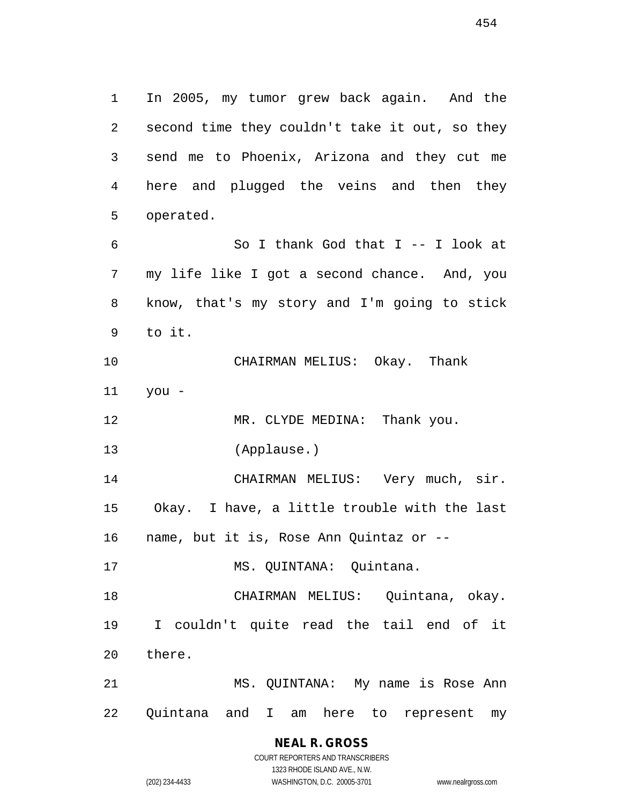In 2005, my tumor grew back again. And the second time they couldn't take it out, so they send me to Phoenix, Arizona and they cut me here and plugged the veins and then they operated. So I thank God that I -- I look at my life like I got a second chance. And, you know, that's my story and I'm going to stick to it. CHAIRMAN MELIUS: Okay. Thank you - 12 MR. CLYDE MEDINA: Thank you. (Applause.) CHAIRMAN MELIUS: Very much, sir. Okay. I have, a little trouble with the last name, but it is, Rose Ann Quintaz or -- MS. QUINTANA: Quintana. CHAIRMAN MELIUS: Quintana, okay. I couldn't quite read the tail end of it there. MS. QUINTANA: My name is Rose Ann

> **NEAL R. GROSS** COURT REPORTERS AND TRANSCRIBERS

Quintana and I am here to represent my

1323 RHODE ISLAND AVE., N.W.

(202) 234-4433 WASHINGTON, D.C. 20005-3701 www.nealrgross.com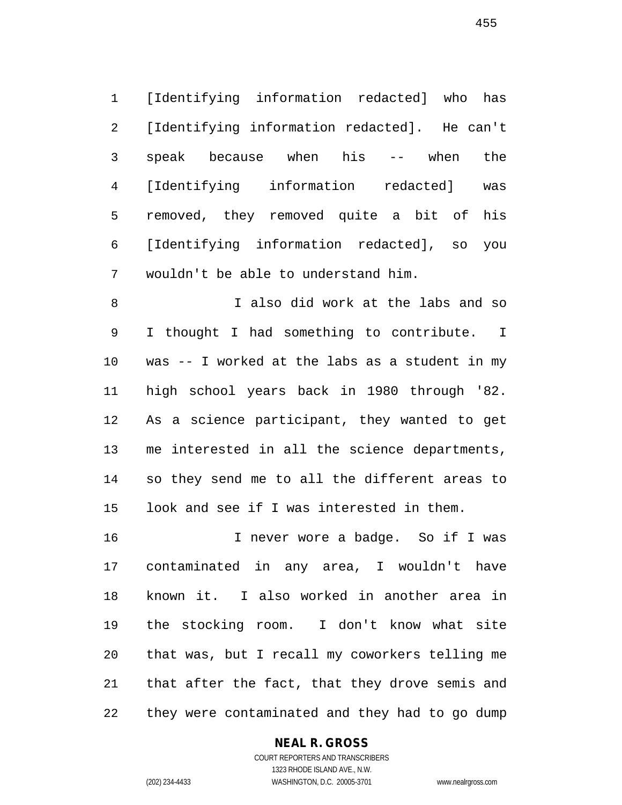[Identifying information redacted] who has [Identifying information redacted]. He can't speak because when his -- when the [Identifying information redacted] was removed, they removed quite a bit of his [Identifying information redacted], so you wouldn't be able to understand him.

 I also did work at the labs and so I thought I had something to contribute. I was -- I worked at the labs as a student in my high school years back in 1980 through '82. As a science participant, they wanted to get me interested in all the science departments, so they send me to all the different areas to look and see if I was interested in them.

 I never wore a badge. So if I was contaminated in any area, I wouldn't have known it. I also worked in another area in the stocking room. I don't know what site that was, but I recall my coworkers telling me that after the fact, that they drove semis and they were contaminated and they had to go dump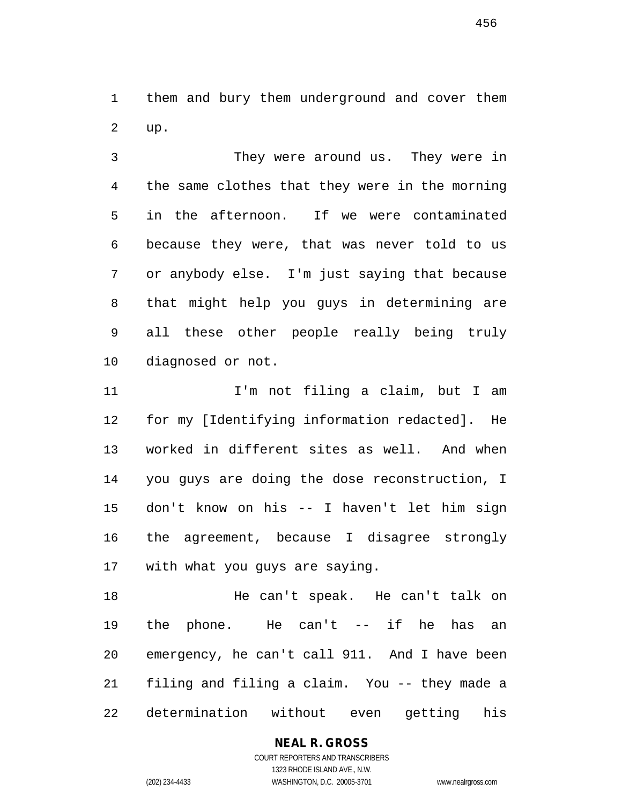them and bury them underground and cover them up.

 They were around us. They were in the same clothes that they were in the morning in the afternoon. If we were contaminated because they were, that was never told to us or anybody else. I'm just saying that because that might help you guys in determining are all these other people really being truly diagnosed or not.

 I'm not filing a claim, but I am for my [Identifying information redacted]. He worked in different sites as well. And when you guys are doing the dose reconstruction, I don't know on his -- I haven't let him sign the agreement, because I disagree strongly with what you guys are saying.

 He can't speak. He can't talk on the phone. He can't -- if he has an emergency, he can't call 911. And I have been filing and filing a claim. You -- they made a determination without even getting his

> COURT REPORTERS AND TRANSCRIBERS 1323 RHODE ISLAND AVE., N.W. (202) 234-4433 WASHINGTON, D.C. 20005-3701 www.nealrgross.com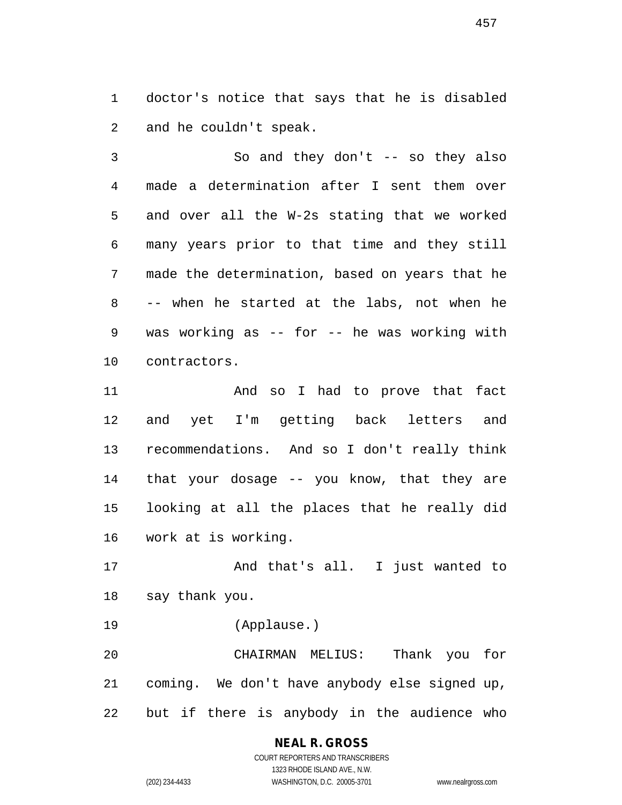doctor's notice that says that he is disabled and he couldn't speak.

 So and they don't -- so they also made a determination after I sent them over and over all the W-2s stating that we worked many years prior to that time and they still made the determination, based on years that he -- when he started at the labs, not when he was working as -- for -- he was working with contractors.

 And so I had to prove that fact and yet I'm getting back letters and recommendations. And so I don't really think that your dosage -- you know, that they are looking at all the places that he really did work at is working.

 And that's all. I just wanted to say thank you.

(Applause.)

 CHAIRMAN MELIUS: Thank you for coming. We don't have anybody else signed up, but if there is anybody in the audience who

# **NEAL R. GROSS** COURT REPORTERS AND TRANSCRIBERS

1323 RHODE ISLAND AVE., N.W. (202) 234-4433 WASHINGTON, D.C. 20005-3701 www.nealrgross.com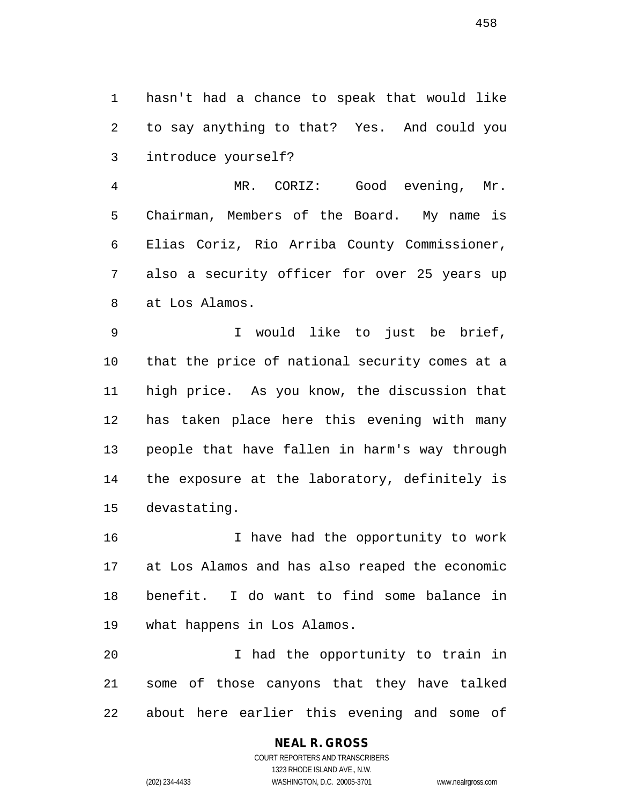hasn't had a chance to speak that would like to say anything to that? Yes. And could you introduce yourself?

 MR. CORIZ: Good evening, Mr. Chairman, Members of the Board. My name is Elias Coriz, Rio Arriba County Commissioner, also a security officer for over 25 years up at Los Alamos.

 I would like to just be brief, that the price of national security comes at a high price. As you know, the discussion that has taken place here this evening with many people that have fallen in harm's way through the exposure at the laboratory, definitely is devastating.

 I have had the opportunity to work at Los Alamos and has also reaped the economic benefit. I do want to find some balance in what happens in Los Alamos.

 I had the opportunity to train in some of those canyons that they have talked about here earlier this evening and some of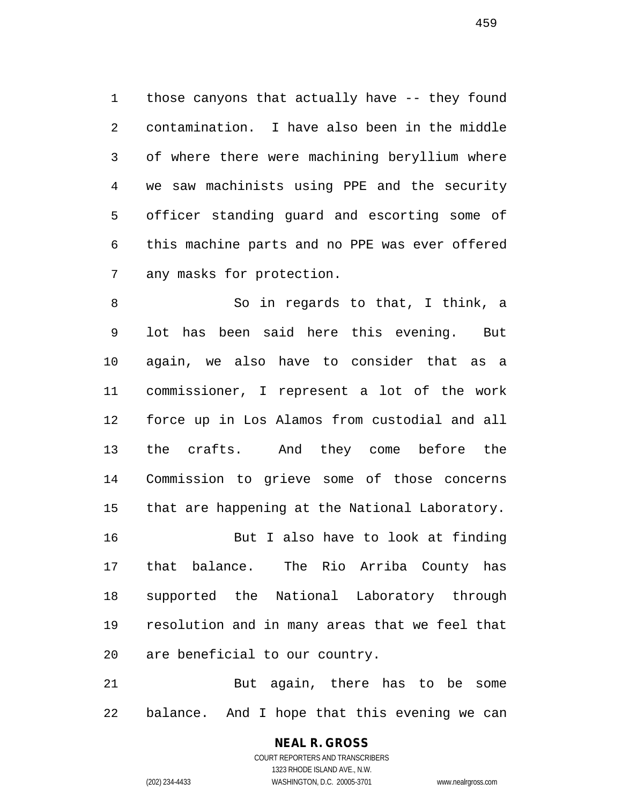those canyons that actually have -- they found contamination. I have also been in the middle of where there were machining beryllium where we saw machinists using PPE and the security officer standing guard and escorting some of this machine parts and no PPE was ever offered any masks for protection.

 So in regards to that, I think, a lot has been said here this evening. But again, we also have to consider that as a commissioner, I represent a lot of the work force up in Los Alamos from custodial and all the crafts. And they come before the Commission to grieve some of those concerns that are happening at the National Laboratory. But I also have to look at finding that balance. The Rio Arriba County has supported the National Laboratory through resolution and in many areas that we feel that are beneficial to our country.

 But again, there has to be some balance. And I hope that this evening we can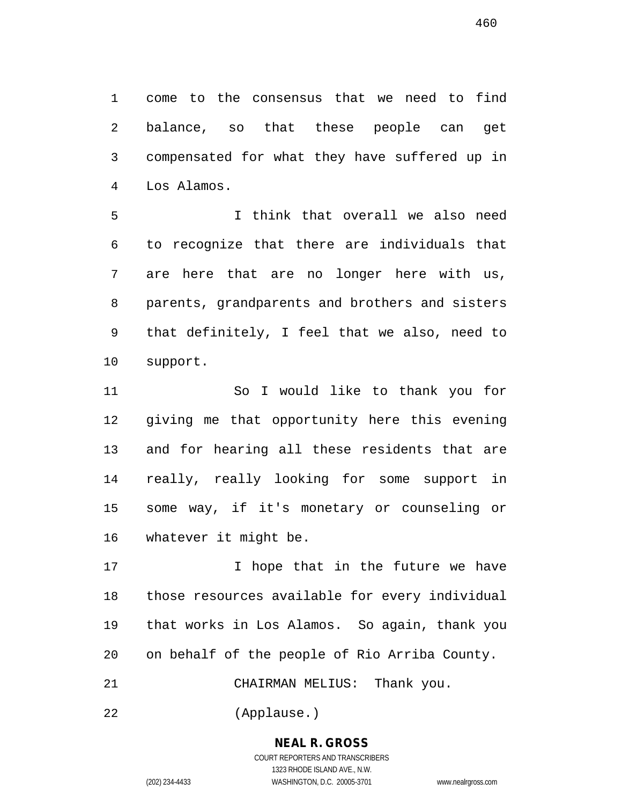come to the consensus that we need to find balance, so that these people can get compensated for what they have suffered up in Los Alamos.

 I think that overall we also need to recognize that there are individuals that are here that are no longer here with us, parents, grandparents and brothers and sisters that definitely, I feel that we also, need to support.

 So I would like to thank you for giving me that opportunity here this evening and for hearing all these residents that are really, really looking for some support in some way, if it's monetary or counseling or whatever it might be.

17 100 I hope that in the future we have those resources available for every individual that works in Los Alamos. So again, thank you on behalf of the people of Rio Arriba County.

CHAIRMAN MELIUS: Thank you.

(Applause.)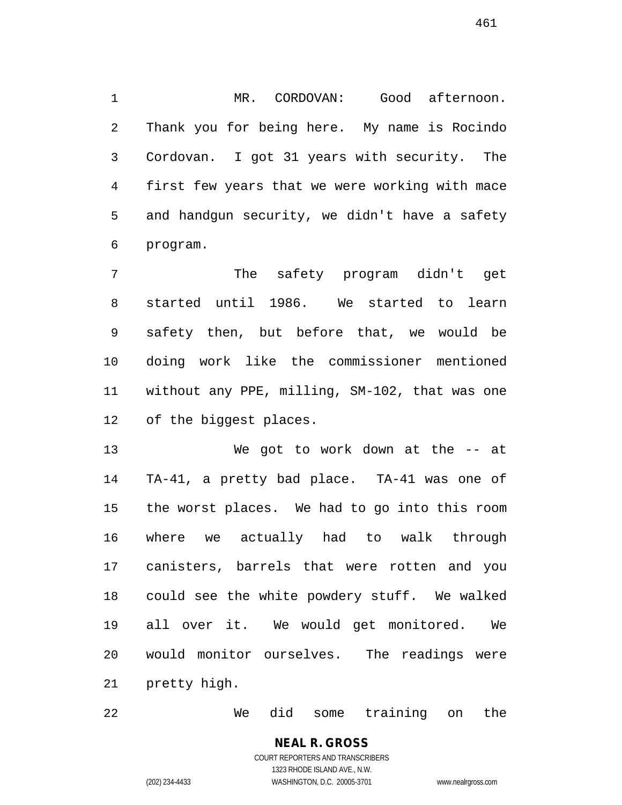MR. CORDOVAN: Good afternoon. Thank you for being here. My name is Rocindo Cordovan. I got 31 years with security. The first few years that we were working with mace and handgun security, we didn't have a safety program.

 The safety program didn't get started until 1986. We started to learn safety then, but before that, we would be doing work like the commissioner mentioned without any PPE, milling, SM-102, that was one of the biggest places.

 We got to work down at the -- at TA-41, a pretty bad place. TA-41 was one of the worst places. We had to go into this room where we actually had to walk through canisters, barrels that were rotten and you could see the white powdery stuff. We walked all over it. We would get monitored. We would monitor ourselves. The readings were pretty high.

We did some training on the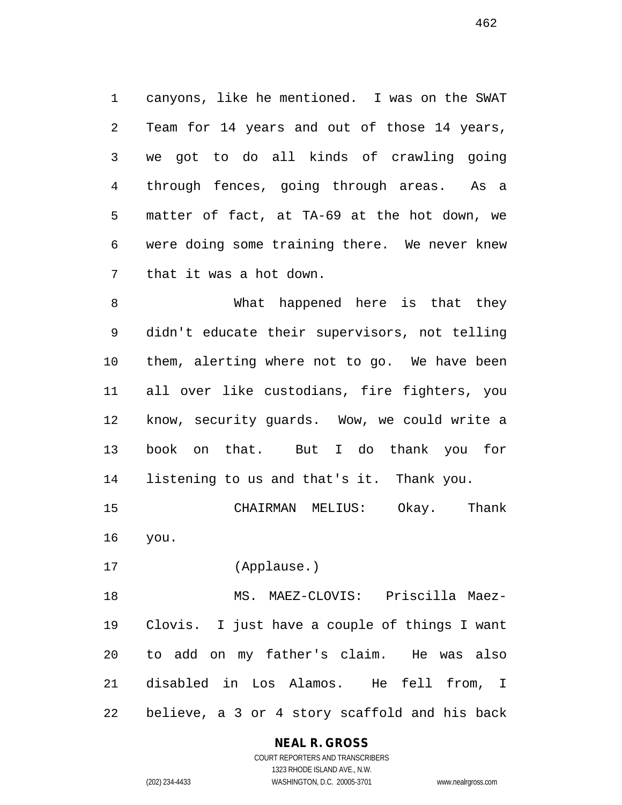canyons, like he mentioned. I was on the SWAT Team for 14 years and out of those 14 years, we got to do all kinds of crawling going through fences, going through areas. As a matter of fact, at TA-69 at the hot down, we were doing some training there. We never knew that it was a hot down.

 What happened here is that they didn't educate their supervisors, not telling them, alerting where not to go. We have been all over like custodians, fire fighters, you know, security guards. Wow, we could write a book on that. But I do thank you for listening to us and that's it. Thank you.

 CHAIRMAN MELIUS: Okay. Thank you.

(Applause.)

 MS. MAEZ-CLOVIS: Priscilla Maez- Clovis. I just have a couple of things I want to add on my father's claim. He was also disabled in Los Alamos. He fell from, I believe, a 3 or 4 story scaffold and his back

# **NEAL R. GROSS**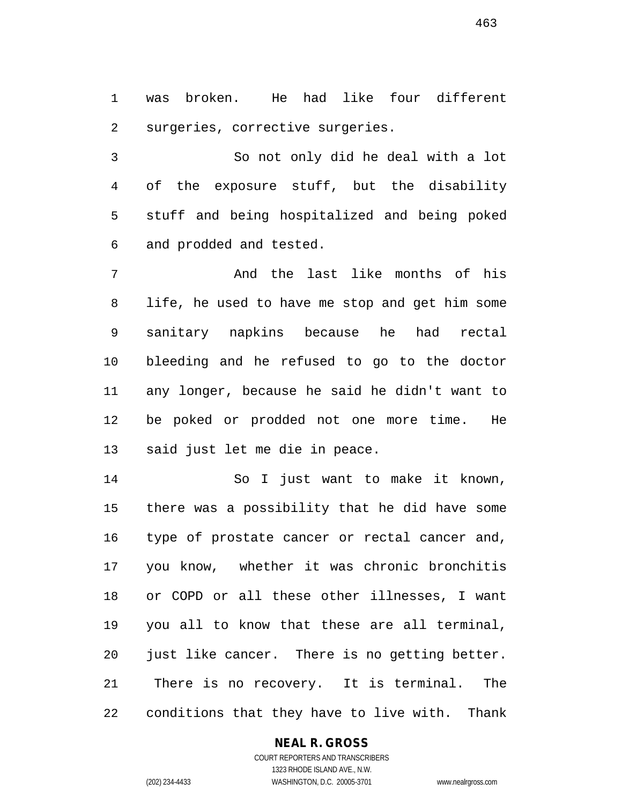was broken. He had like four different surgeries, corrective surgeries.

 So not only did he deal with a lot of the exposure stuff, but the disability stuff and being hospitalized and being poked and prodded and tested.

 And the last like months of his life, he used to have me stop and get him some sanitary napkins because he had rectal bleeding and he refused to go to the doctor any longer, because he said he didn't want to be poked or prodded not one more time. He said just let me die in peace.

 So I just want to make it known, there was a possibility that he did have some type of prostate cancer or rectal cancer and, you know, whether it was chronic bronchitis or COPD or all these other illnesses, I want you all to know that these are all terminal, just like cancer. There is no getting better. There is no recovery. It is terminal. The conditions that they have to live with. Thank

# **NEAL R. GROSS**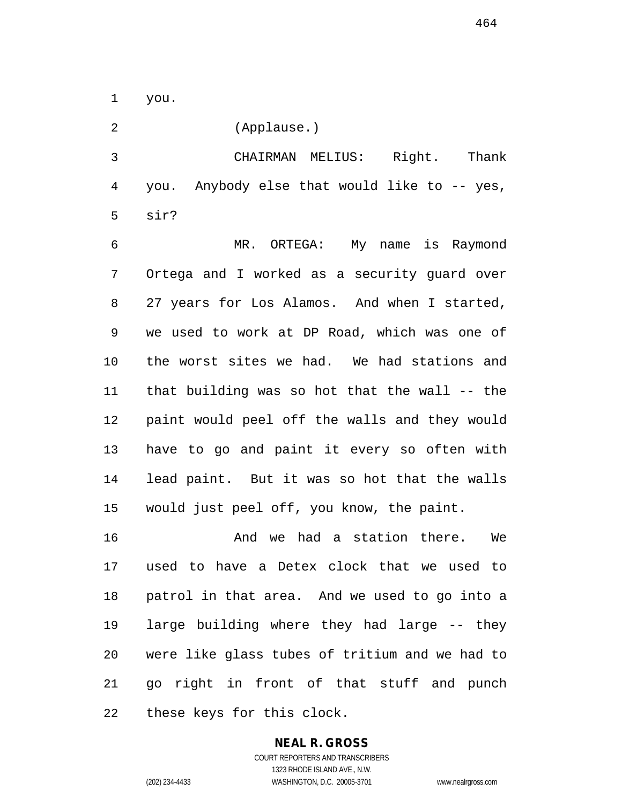you.

(Applause.)

 CHAIRMAN MELIUS: Right. Thank you. Anybody else that would like to -- yes, sir?

 MR. ORTEGA: My name is Raymond Ortega and I worked as a security guard over 27 years for Los Alamos. And when I started, we used to work at DP Road, which was one of the worst sites we had. We had stations and that building was so hot that the wall -- the paint would peel off the walls and they would have to go and paint it every so often with lead paint. But it was so hot that the walls would just peel off, you know, the paint.

16 And we had a station there. We used to have a Detex clock that we used to patrol in that area. And we used to go into a large building where they had large -- they were like glass tubes of tritium and we had to go right in front of that stuff and punch these keys for this clock.

# **NEAL R. GROSS**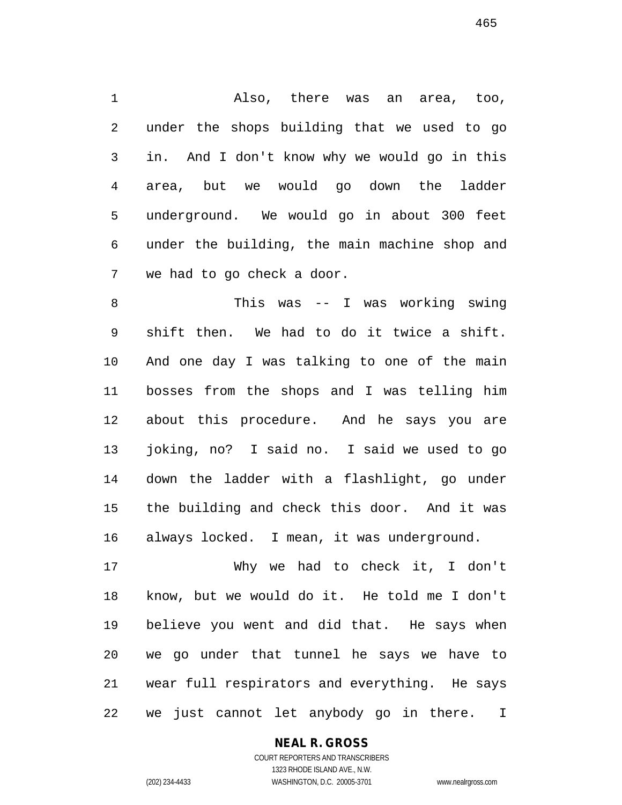Also, there was an area, too, under the shops building that we used to go in. And I don't know why we would go in this area, but we would go down the ladder underground. We would go in about 300 feet under the building, the main machine shop and we had to go check a door.

 This was -- I was working swing shift then. We had to do it twice a shift. And one day I was talking to one of the main bosses from the shops and I was telling him about this procedure. And he says you are joking, no? I said no. I said we used to go down the ladder with a flashlight, go under the building and check this door. And it was always locked. I mean, it was underground.

 Why we had to check it, I don't know, but we would do it. He told me I don't believe you went and did that. He says when we go under that tunnel he says we have to wear full respirators and everything. He says we just cannot let anybody go in there. I

# **NEAL R. GROSS**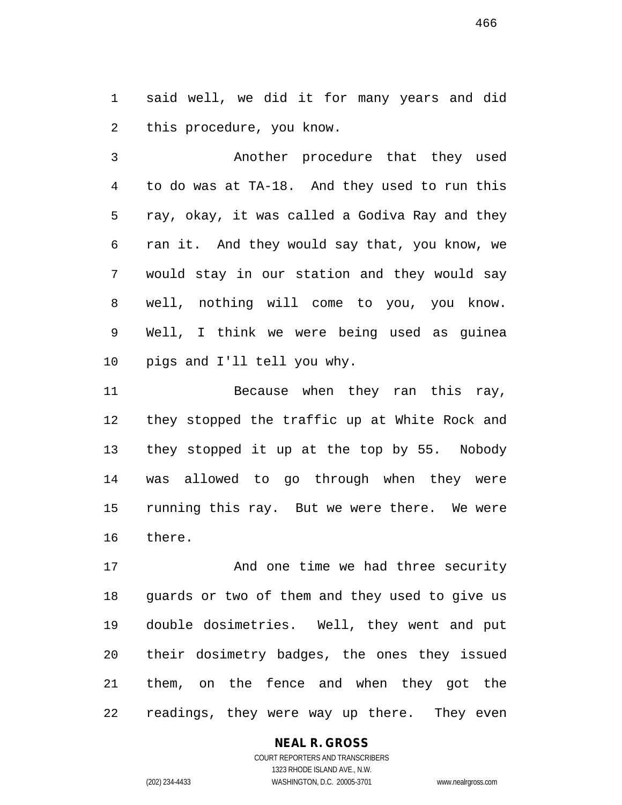said well, we did it for many years and did this procedure, you know.

 Another procedure that they used to do was at TA-18. And they used to run this ray, okay, it was called a Godiva Ray and they ran it. And they would say that, you know, we would stay in our station and they would say well, nothing will come to you, you know. Well, I think we were being used as guinea pigs and I'll tell you why.

 Because when they ran this ray, they stopped the traffic up at White Rock and they stopped it up at the top by 55. Nobody was allowed to go through when they were running this ray. But we were there. We were there.

 And one time we had three security guards or two of them and they used to give us double dosimetries. Well, they went and put their dosimetry badges, the ones they issued them, on the fence and when they got the readings, they were way up there. They even

# **NEAL R. GROSS**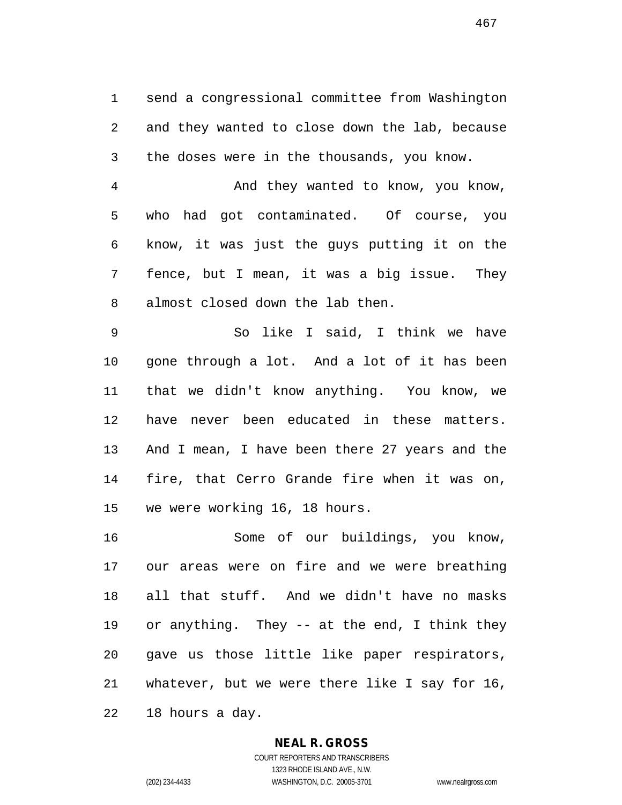send a congressional committee from Washington and they wanted to close down the lab, because the doses were in the thousands, you know.

 And they wanted to know, you know, who had got contaminated. Of course, you know, it was just the guys putting it on the fence, but I mean, it was a big issue. They almost closed down the lab then.

 So like I said, I think we have gone through a lot. And a lot of it has been that we didn't know anything. You know, we have never been educated in these matters. And I mean, I have been there 27 years and the fire, that Cerro Grande fire when it was on, we were working 16, 18 hours.

 Some of our buildings, you know, our areas were on fire and we were breathing all that stuff. And we didn't have no masks or anything. They -- at the end, I think they gave us those little like paper respirators, whatever, but we were there like I say for 16, 18 hours a day.

#### **NEAL R. GROSS**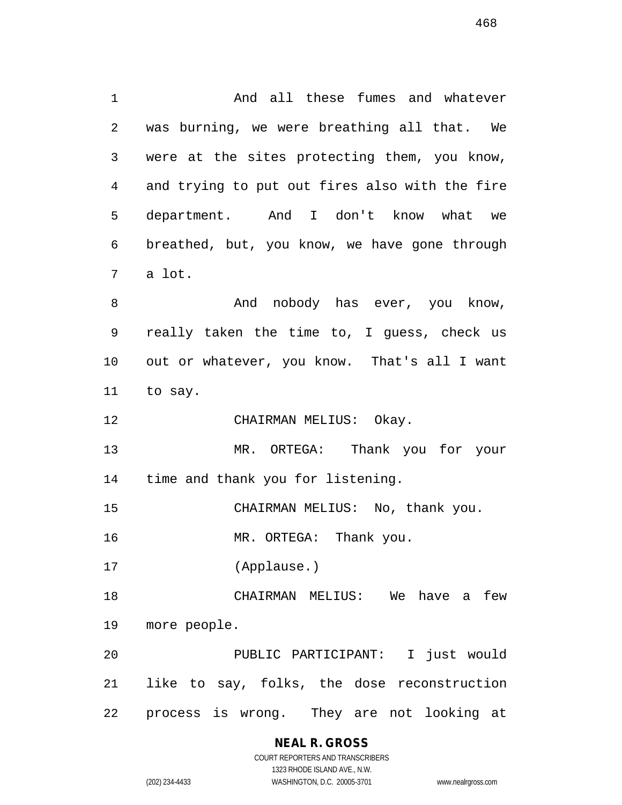And all these fumes and whatever was burning, we were breathing all that. We were at the sites protecting them, you know, and trying to put out fires also with the fire department. And I don't know what we breathed, but, you know, we have gone through a lot. 8 And nobody has ever, you know, really taken the time to, I guess, check us out or whatever, you know. That's all I want to say. CHAIRMAN MELIUS: Okay. MR. ORTEGA: Thank you for your time and thank you for listening. CHAIRMAN MELIUS: No, thank you. 16 MR. ORTEGA: Thank you. (Applause.) CHAIRMAN MELIUS: We have a few more people. PUBLIC PARTICIPANT: I just would like to say, folks, the dose reconstruction process is wrong. They are not looking at

# **NEAL R. GROSS**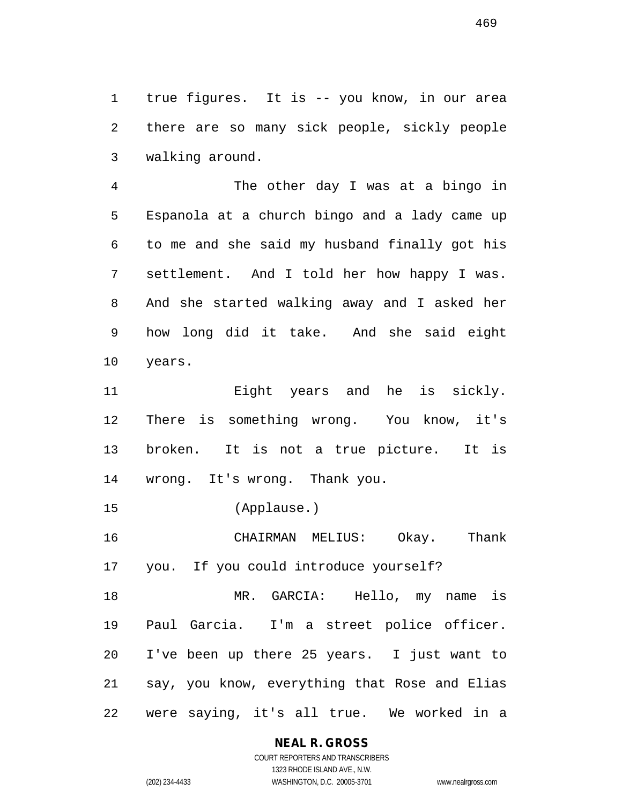true figures. It is -- you know, in our area there are so many sick people, sickly people walking around.

 The other day I was at a bingo in Espanola at a church bingo and a lady came up to me and she said my husband finally got his settlement. And I told her how happy I was. And she started walking away and I asked her how long did it take. And she said eight years.

 Eight years and he is sickly. There is something wrong. You know, it's broken. It is not a true picture. It is wrong. It's wrong. Thank you.

(Applause.)

 CHAIRMAN MELIUS: Okay. Thank you. If you could introduce yourself?

 MR. GARCIA: Hello, my name is Paul Garcia. I'm a street police officer. I've been up there 25 years. I just want to say, you know, everything that Rose and Elias were saying, it's all true. We worked in a

# **NEAL R. GROSS**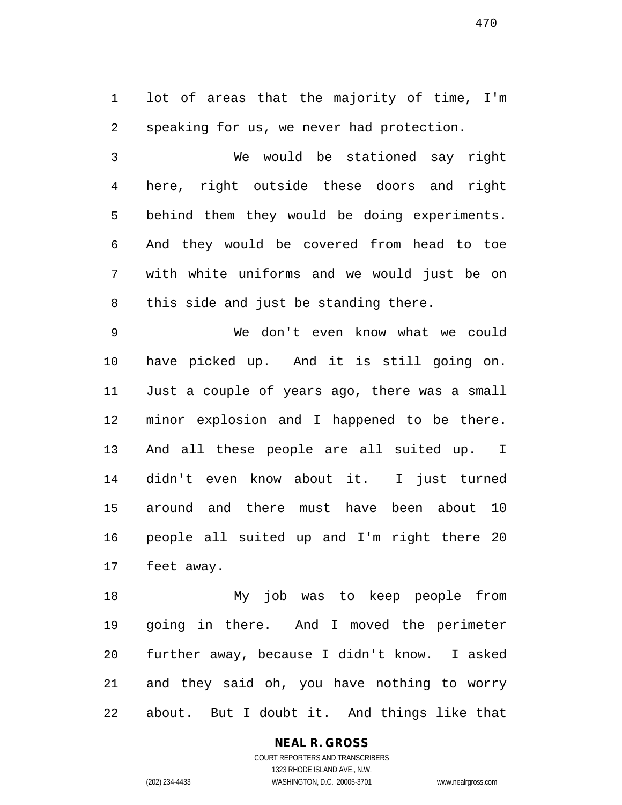lot of areas that the majority of time, I'm speaking for us, we never had protection.

 We would be stationed say right here, right outside these doors and right behind them they would be doing experiments. And they would be covered from head to toe with white uniforms and we would just be on this side and just be standing there.

 We don't even know what we could have picked up. And it is still going on. Just a couple of years ago, there was a small minor explosion and I happened to be there. And all these people are all suited up. I didn't even know about it. I just turned around and there must have been about 10 people all suited up and I'm right there 20 feet away.

 My job was to keep people from going in there. And I moved the perimeter further away, because I didn't know. I asked and they said oh, you have nothing to worry about. But I doubt it. And things like that

# **NEAL R. GROSS**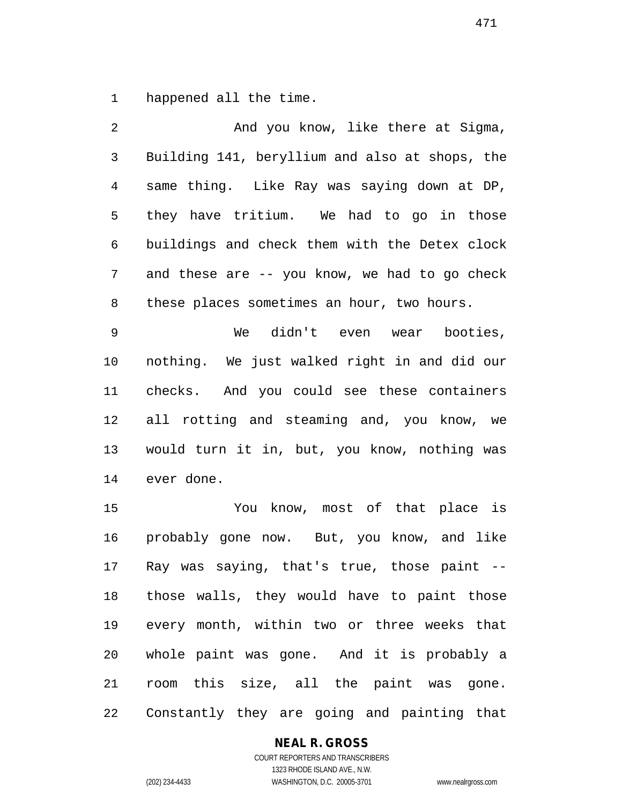happened all the time.

 And you know, like there at Sigma, Building 141, beryllium and also at shops, the same thing. Like Ray was saying down at DP, they have tritium. We had to go in those buildings and check them with the Detex clock and these are -- you know, we had to go check these places sometimes an hour, two hours. We didn't even wear booties,

 nothing. We just walked right in and did our checks. And you could see these containers all rotting and steaming and, you know, we would turn it in, but, you know, nothing was ever done.

 You know, most of that place is probably gone now. But, you know, and like Ray was saying, that's true, those paint -- those walls, they would have to paint those every month, within two or three weeks that whole paint was gone. And it is probably a room this size, all the paint was gone. Constantly they are going and painting that

### **NEAL R. GROSS**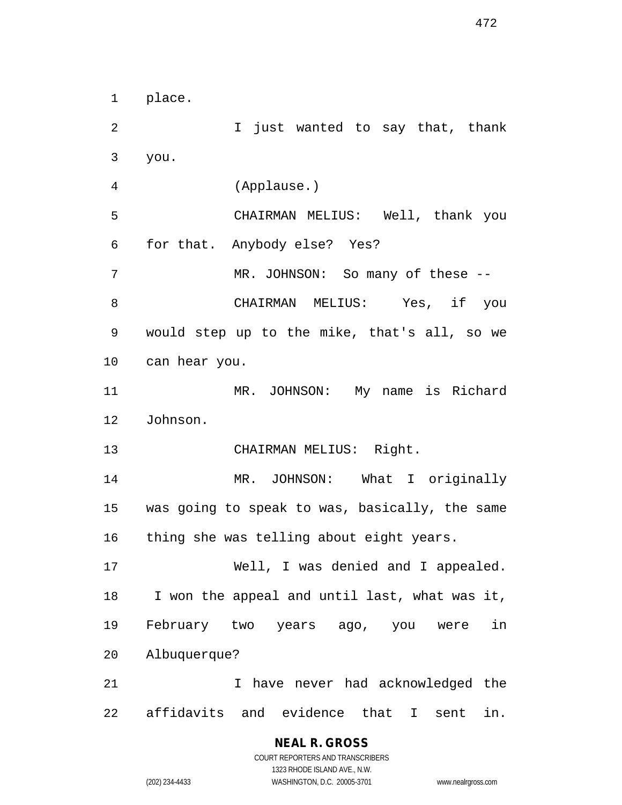place.

2 1 Just wanted to say that, thank you. (Applause.) CHAIRMAN MELIUS: Well, thank you for that. Anybody else? Yes? 7 MR. JOHNSON: So many of these -- CHAIRMAN MELIUS: Yes, if you would step up to the mike, that's all, so we can hear you. MR. JOHNSON: My name is Richard Johnson. CHAIRMAN MELIUS: Right. MR. JOHNSON: What I originally was going to speak to was, basically, the same thing she was telling about eight years. Well, I was denied and I appealed. I won the appeal and until last, what was it, February two years ago, you were in Albuquerque? I have never had acknowledged the affidavits and evidence that I sent in.

> **NEAL R. GROSS** COURT REPORTERS AND TRANSCRIBERS 1323 RHODE ISLAND AVE., N.W. (202) 234-4433 WASHINGTON, D.C. 20005-3701 www.nealrgross.com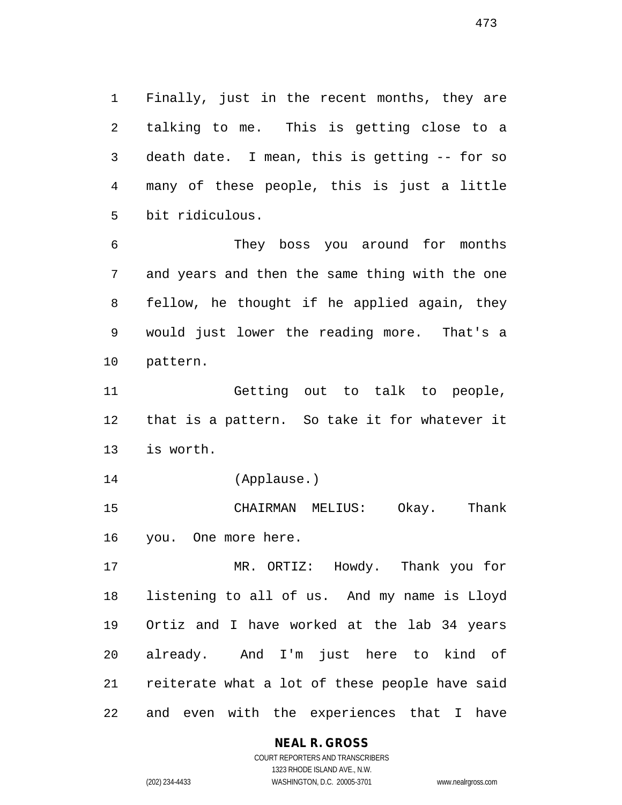Finally, just in the recent months, they are talking to me. This is getting close to a death date. I mean, this is getting -- for so many of these people, this is just a little bit ridiculous.

 They boss you around for months and years and then the same thing with the one fellow, he thought if he applied again, they would just lower the reading more. That's a pattern.

 Getting out to talk to people, that is a pattern. So take it for whatever it is worth.

(Applause.)

 CHAIRMAN MELIUS: Okay. Thank you. One more here.

 MR. ORTIZ: Howdy. Thank you for listening to all of us. And my name is Lloyd Ortiz and I have worked at the lab 34 years already. And I'm just here to kind of reiterate what a lot of these people have said and even with the experiences that I have

**NEAL R. GROSS**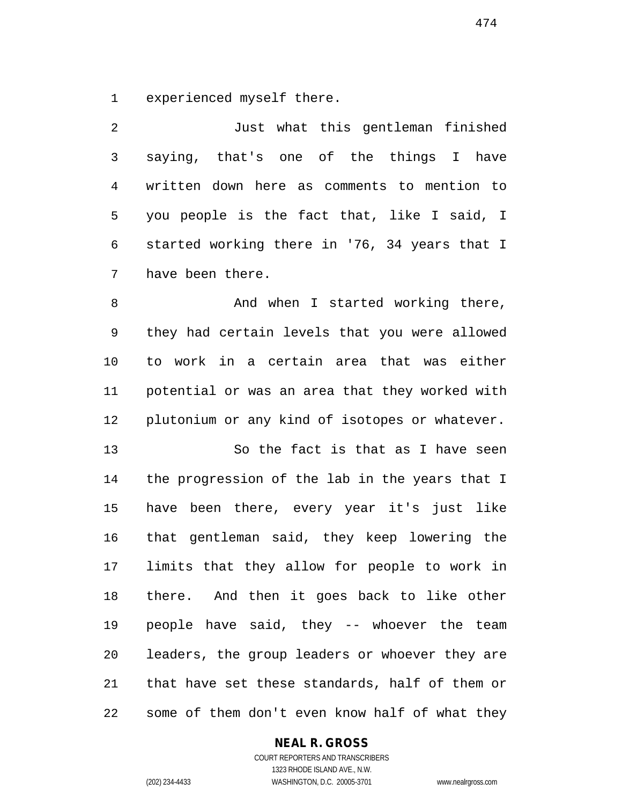experienced myself there.

 Just what this gentleman finished saying, that's one of the things I have written down here as comments to mention to you people is the fact that, like I said, I started working there in '76, 34 years that I have been there.

8 And when I started working there, they had certain levels that you were allowed to work in a certain area that was either potential or was an area that they worked with plutonium or any kind of isotopes or whatever.

 So the fact is that as I have seen the progression of the lab in the years that I have been there, every year it's just like that gentleman said, they keep lowering the limits that they allow for people to work in there. And then it goes back to like other people have said, they -- whoever the team leaders, the group leaders or whoever they are that have set these standards, half of them or some of them don't even know half of what they

### **NEAL R. GROSS**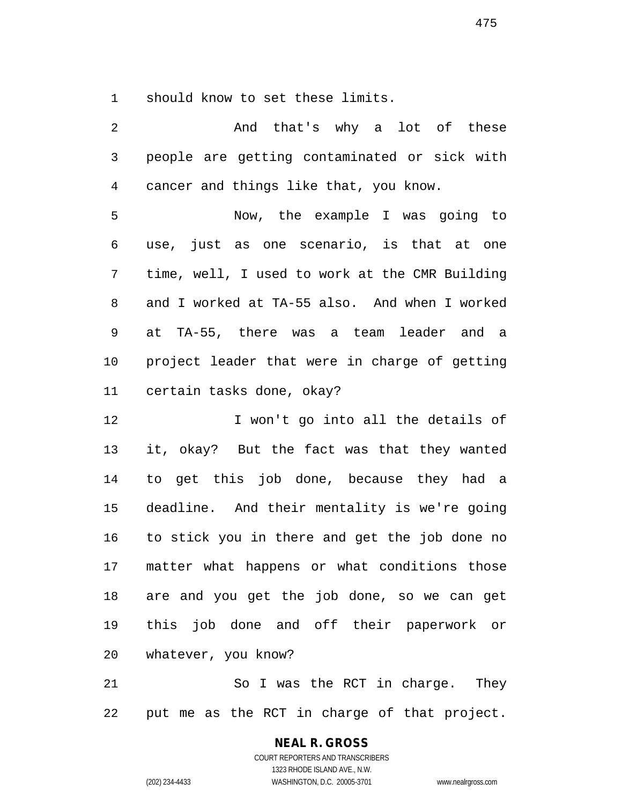should know to set these limits.

| 2            | And that's why a lot of these                  |
|--------------|------------------------------------------------|
| $\mathsf{3}$ | people are getting contaminated or sick with   |
| 4            | cancer and things like that, you know.         |
| 5            | Now, the example I was going to                |
| 6            | use, just as one scenario, is that at one      |
| 7            | time, well, I used to work at the CMR Building |
| 8            | and I worked at TA-55 also. And when I worked  |
| 9            | at TA-55, there was a team leader and a        |
| 10           | project leader that were in charge of getting  |
| 11           | certain tasks done, okay?                      |
| 12           | I won't go into all the details of             |
| 13           | it, okay? But the fact was that they wanted    |
| 14           | to get this job done, because they had a       |
| 15           | deadline. And their mentality is we're going   |
| 16           | to stick you in there and get the job done no  |
| 17           | matter what happens or what conditions those   |
|              | 18 are and you get the job done, so we can get |
| 19           | this job done and off their paperwork or       |
| 20           | whatever, you know?                            |
| 21           | So I was the RCT in charge. They               |
| 22           | put me as the RCT in charge of that project.   |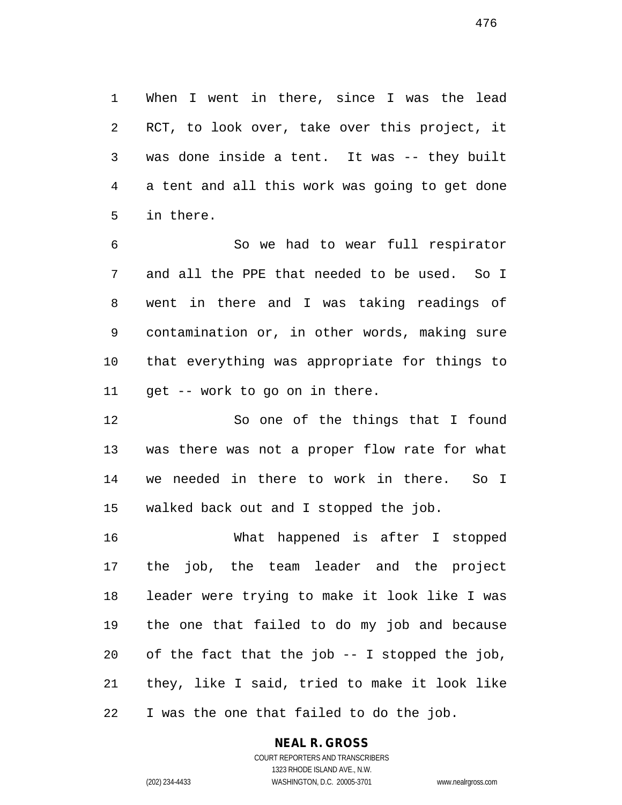When I went in there, since I was the lead RCT, to look over, take over this project, it was done inside a tent. It was -- they built a tent and all this work was going to get done in there.

 So we had to wear full respirator and all the PPE that needed to be used. So I went in there and I was taking readings of contamination or, in other words, making sure that everything was appropriate for things to get -- work to go on in there.

 So one of the things that I found was there was not a proper flow rate for what we needed in there to work in there. So I walked back out and I stopped the job.

 What happened is after I stopped the job, the team leader and the project leader were trying to make it look like I was the one that failed to do my job and because 20 of the fact that the  $job$  -- I stopped the  $job$ , they, like I said, tried to make it look like I was the one that failed to do the job.

# **NEAL R. GROSS**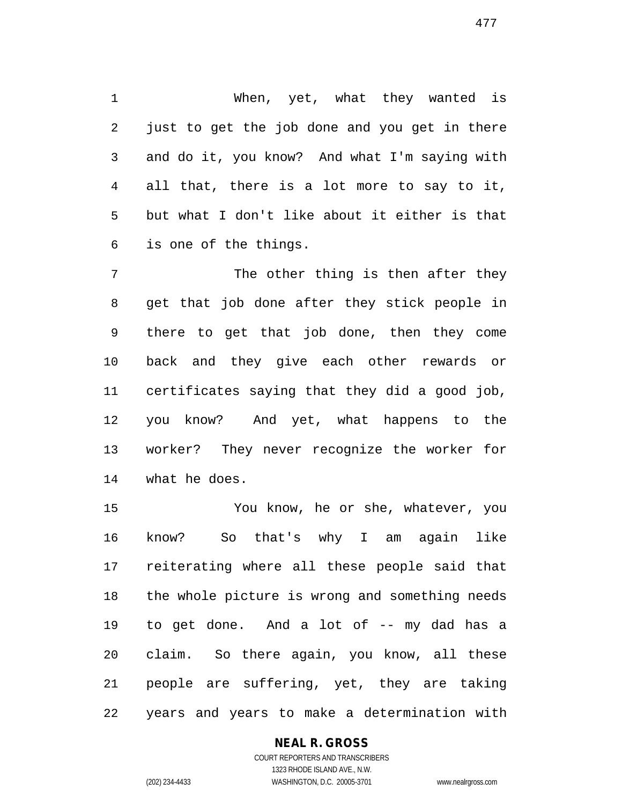When, yet, what they wanted is just to get the job done and you get in there and do it, you know? And what I'm saying with all that, there is a lot more to say to it, but what I don't like about it either is that is one of the things.

7 The other thing is then after they get that job done after they stick people in there to get that job done, then they come back and they give each other rewards or certificates saying that they did a good job, you know? And yet, what happens to the worker? They never recognize the worker for what he does.

 You know, he or she, whatever, you know? So that's why I am again like reiterating where all these people said that the whole picture is wrong and something needs to get done. And a lot of -- my dad has a claim. So there again, you know, all these people are suffering, yet, they are taking years and years to make a determination with

### **NEAL R. GROSS**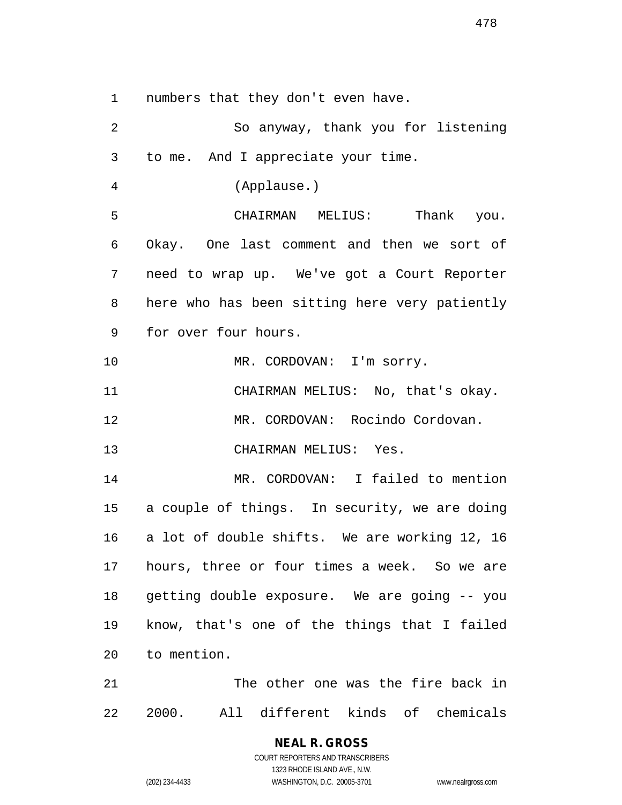numbers that they don't even have.

 So anyway, thank you for listening to me. And I appreciate your time. (Applause.) CHAIRMAN MELIUS: Thank you. Okay. One last comment and then we sort of need to wrap up. We've got a Court Reporter here who has been sitting here very patiently for over four hours. 10 MR. CORDOVAN: I'm sorry. CHAIRMAN MELIUS: No, that's okay. MR. CORDOVAN: Rocindo Cordovan. CHAIRMAN MELIUS: Yes. MR. CORDOVAN: I failed to mention a couple of things. In security, we are doing a lot of double shifts. We are working 12, 16 hours, three or four times a week. So we are getting double exposure. We are going -- you know, that's one of the things that I failed to mention. The other one was the fire back in 2000. All different kinds of chemicals

COURT REPORTERS AND TRANSCRIBERS 1323 RHODE ISLAND AVE., N.W. (202) 234-4433 WASHINGTON, D.C. 20005-3701 www.nealrgross.com

**NEAL R. GROSS**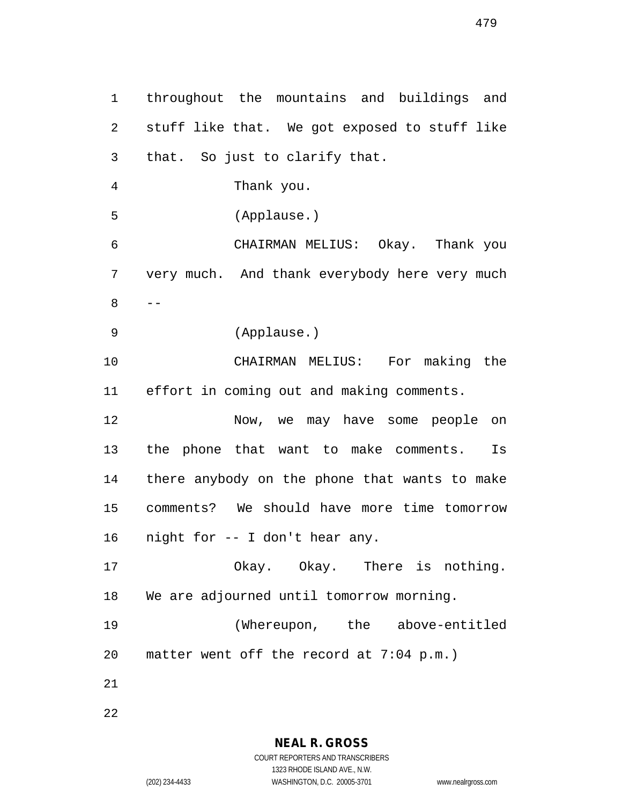throughout the mountains and buildings and stuff like that. We got exposed to stuff like that. So just to clarify that. Thank you. (Applause.) CHAIRMAN MELIUS: Okay. Thank you very much. And thank everybody here very much  $8 - -$  (Applause.) CHAIRMAN MELIUS: For making the effort in coming out and making comments. Now, we may have some people on the phone that want to make comments. Is there anybody on the phone that wants to make comments? We should have more time tomorrow night for -- I don't hear any. Okay. Okay. There is nothing. We are adjourned until tomorrow morning. (Whereupon, the above-entitled matter went off the record at 7:04 p.m.) 

**NEAL R. GROSS** COURT REPORTERS AND TRANSCRIBERS

1323 RHODE ISLAND AVE., N.W.